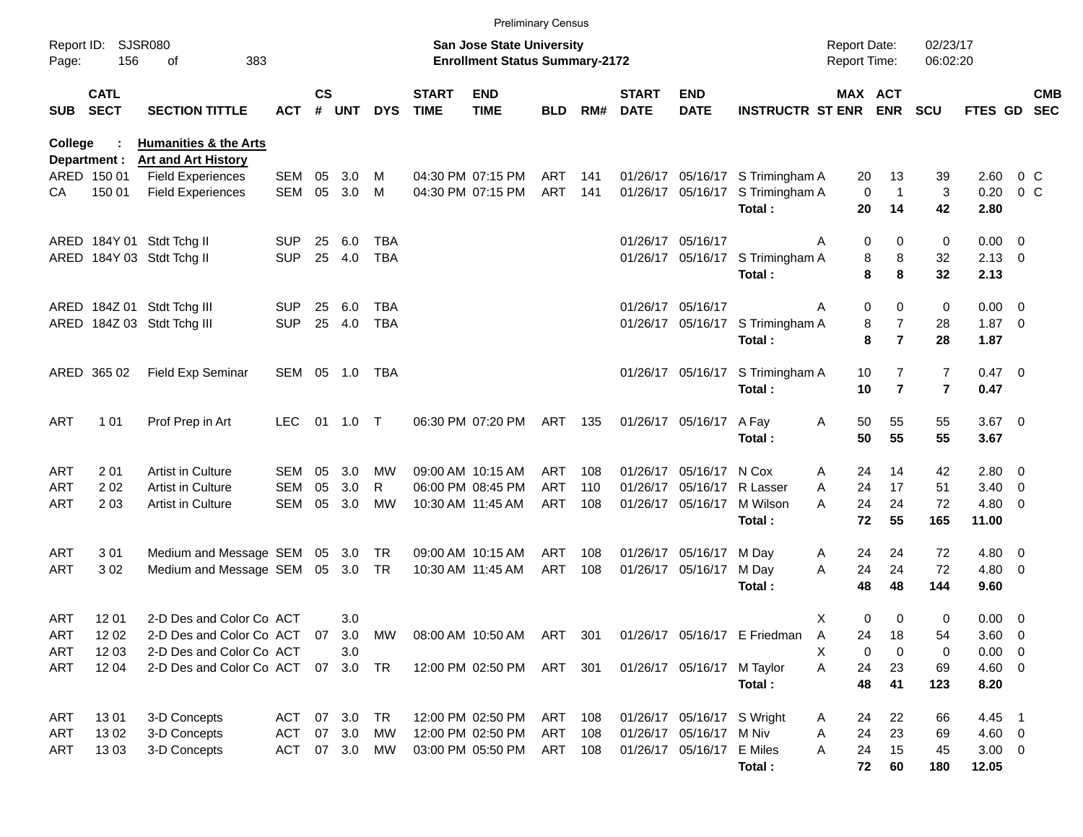|                |                            |                                                                |            |               |           |            |                             | <b>Preliminary Census</b>                                                 |            |       |                             |                            |                                  |                                     |                             |                      |                     |                |                          |
|----------------|----------------------------|----------------------------------------------------------------|------------|---------------|-----------|------------|-----------------------------|---------------------------------------------------------------------------|------------|-------|-----------------------------|----------------------------|----------------------------------|-------------------------------------|-----------------------------|----------------------|---------------------|----------------|--------------------------|
| Page:          | Report ID: SJSR080<br>156  | 383<br>οf                                                      |            |               |           |            |                             | <b>San Jose State University</b><br><b>Enrollment Status Summary-2172</b> |            |       |                             |                            |                                  | <b>Report Date:</b><br>Report Time: |                             | 02/23/17<br>06:02:20 |                     |                |                          |
| SUB            | <b>CATL</b><br><b>SECT</b> | <b>SECTION TITTLE</b>                                          | ACT        | $\mathsf{cs}$ | # UNT     | <b>DYS</b> | <b>START</b><br><b>TIME</b> | <b>END</b><br><b>TIME</b>                                                 | BLD.       | RM#   | <b>START</b><br><b>DATE</b> | <b>END</b><br><b>DATE</b>  | <b>INSTRUCTR ST ENR</b>          |                                     | MAX ACT<br><b>ENR</b>       | <b>SCU</b>           | <b>FTES GD</b>      |                | <b>CMB</b><br><b>SEC</b> |
| <b>College</b> | Department :               | <b>Humanities &amp; the Arts</b><br><b>Art and Art History</b> |            |               |           |            |                             |                                                                           |            |       |                             |                            |                                  |                                     |                             |                      |                     |                |                          |
|                | ARED 150 01                | <b>Field Experiences</b>                                       | SEM        | 05            | 3.0       | м          |                             | 04:30 PM 07:15 PM                                                         | ART        | 141   |                             |                            | 01/26/17 05/16/17 S Trimingham A | 20                                  | 13                          | 39                   | 2.60                | 0 <sup>o</sup> |                          |
| CА             | 150 01                     | <b>Field Experiences</b>                                       | <b>SEM</b> | 05            | 3.0       | M          |                             | 04:30 PM 07:15 PM                                                         | <b>ART</b> | 141   |                             | 01/26/17 05/16/17          | S Trimingham A                   |                                     | $\mathbf 0$<br>$\mathbf{1}$ | 3                    | 0.20                | 0 <sup>o</sup> |                          |
|                |                            |                                                                |            |               |           |            |                             |                                                                           |            |       |                             |                            | Total:                           | 20                                  | 14                          | 42                   | 2.80                |                |                          |
|                |                            | ARED 184Y 01 Stdt Tchg II                                      | <b>SUP</b> | 25            | 6.0       | TBA        |                             |                                                                           |            |       |                             | 01/26/17 05/16/17          |                                  | A                                   | 0<br>0                      | 0                    | $0.00 \t 0$         |                |                          |
|                |                            | ARED 184Y 03 Stdt Tchg II                                      | <b>SUP</b> | 25            | 4.0       | <b>TBA</b> |                             |                                                                           |            |       |                             |                            | 01/26/17 05/16/17 S Trimingham A |                                     | 8<br>8                      | 32                   | $2.13 \quad 0$      |                |                          |
|                |                            |                                                                |            |               |           |            |                             |                                                                           |            |       |                             |                            | Total:                           |                                     | 8<br>8                      | 32                   | 2.13                |                |                          |
|                |                            | ARED 184Z 01 Stdt Tchg III                                     | <b>SUP</b> | 25            | 6.0       | TBA        |                             |                                                                           |            |       |                             | 01/26/17 05/16/17          |                                  | A                                   | 0<br>0                      | 0                    | $0.00 \t 0$         |                |                          |
|                |                            | ARED 184Z 03 Stdt Tchg III                                     | <b>SUP</b> | 25            | 4.0       | <b>TBA</b> |                             |                                                                           |            |       |                             |                            | 01/26/17 05/16/17 S Trimingham A |                                     | $\overline{7}$<br>8         | 28                   | $1.87 \t 0$         |                |                          |
|                |                            |                                                                |            |               |           |            |                             |                                                                           |            |       |                             |                            | Total:                           |                                     | $\overline{7}$<br>8         | 28                   | 1.87                |                |                          |
|                | ARED 365 02                | Field Exp Seminar                                              | SEM 05 1.0 |               |           | TBA        |                             |                                                                           |            |       |                             | 01/26/17 05/16/17          | S Trimingham A                   | 10                                  | 7                           | $\overline{7}$       | $0.47 \quad 0$      |                |                          |
|                |                            |                                                                |            |               |           |            |                             |                                                                           |            |       |                             |                            | Total:                           | 10                                  | $\overline{7}$              | $\overline{7}$       | 0.47                |                |                          |
| ART            | 1 0 1                      | Prof Prep in Art                                               | <b>LEC</b> | 01            | 1.0       | $\top$     |                             | 06:30 PM 07:20 PM                                                         | ART        | - 135 |                             | 01/26/17 05/16/17          | A Fay                            | Α<br>50                             | 55                          | 55                   | $3.67$ 0            |                |                          |
|                |                            |                                                                |            |               |           |            |                             |                                                                           |            |       |                             |                            | Total:                           | 50                                  | 55                          | 55                   | 3.67                |                |                          |
| ART            | 201                        | <b>Artist in Culture</b>                                       | SEM        | 05            | 3.0       | MW         |                             | 09:00 AM 10:15 AM                                                         | ART        | 108   |                             | 01/26/17 05/16/17 N Cox    |                                  | 24<br>Α                             | 14                          | 42                   | $2.80 \t 0$         |                |                          |
| ART            | 202                        | Artist in Culture                                              | <b>SEM</b> | 05            | 3.0       | R          |                             | 06:00 PM 08:45 PM                                                         | <b>ART</b> | 110   |                             | 01/26/17 05/16/17          | R Lasser                         | 24<br>A                             | 17                          | 51                   | $3.40 \ 0$          |                |                          |
| ART            | 203                        | <b>Artist in Culture</b>                                       | SEM        | 05            | 3.0       | <b>MW</b>  |                             | 10:30 AM 11:45 AM                                                         | ART        | 108   |                             | 01/26/17 05/16/17          | M Wilson                         | A<br>24                             | 24                          | 72                   | $4.80\ 0$           |                |                          |
|                |                            |                                                                |            |               |           |            |                             |                                                                           |            |       |                             |                            | Total:                           | 72                                  | 55                          | 165                  | 11.00               |                |                          |
| ART            | 301                        | Medium and Message SEM                                         |            |               | 05 3.0    | TR         |                             | 09:00 AM 10:15 AM                                                         | ART        | 108   |                             | 01/26/17 05/16/17 M Day    |                                  | 24<br>A                             | 24                          | 72                   | $4.80\ 0$           |                |                          |
| ART            | 302                        | Medium and Message SEM                                         |            |               | 05 3.0    | TR         |                             | 10:30 AM 11:45 AM                                                         | <b>ART</b> | 108   |                             | 01/26/17 05/16/17          | M Day                            | 24<br>A                             | 24                          | 72                   | $4.80\ 0$           |                |                          |
|                |                            |                                                                |            |               |           |            |                             |                                                                           |            |       |                             |                            | Total:                           | 48                                  | 48                          | 144                  | 9.60                |                |                          |
| ART            | 12 01                      | 2-D Des and Color Co ACT                                       |            |               | 3.0       |            |                             |                                                                           |            |       |                             |                            |                                  | X                                   | 0<br>0                      | 0                    | $0.00 \t 0$         |                |                          |
| <b>ART</b>     | 12 02                      | 2-D Des and Color Co ACT                                       |            |               | 07 3.0 MW |            |                             | 08:00 AM 10:50 AM ART 301                                                 |            |       |                             |                            | 01/26/17 05/16/17 E Friedman     | 24<br>$\overline{A}$                | 18                          | 54                   | 3.60 0              |                |                          |
| ART            | 12 03                      | 2-D Des and Color Co ACT                                       |            |               | 3.0       |            |                             |                                                                           |            |       |                             |                            |                                  | X                                   | 0<br>0                      | 0                    | $0.00 \t 0$         |                |                          |
| ART            | 12 04                      | 2-D Des and Color Co ACT                                       |            |               | 07 3.0 TR |            |                             | 12:00 PM 02:50 PM ART 301                                                 |            |       |                             | 01/26/17 05/16/17 M Taylor | Total:                           | 24<br>A<br>48                       | 23<br>41                    | 69<br>123            | $4.60$ 0<br>8.20    |                |                          |
|                |                            |                                                                |            |               |           |            |                             |                                                                           |            |       |                             |                            |                                  |                                     |                             |                      |                     |                |                          |
| ART            | 1301                       | 3-D Concepts                                                   | ACT        |               | 07 3.0    | TR         |                             | 12:00 PM 02:50 PM                                                         | ART 108    |       |                             | 01/26/17 05/16/17 S Wright |                                  | 24<br>Α                             | 22                          | 66                   | 4.45 1              |                |                          |
| ART            | 1302                       | 3-D Concepts                                                   | ACT        |               | 07 3.0    | МW         |                             | 12:00 PM 02:50 PM                                                         | ART        | 108   |                             | 01/26/17 05/16/17 M Niv    |                                  | 24<br>Α                             | 23                          | 69                   | 4.60 0              |                |                          |
| ART            | 1303                       | 3-D Concepts                                                   | <b>ACT</b> |               | 07 3.0    | MW         |                             | 03:00 PM 05:50 PM                                                         | ART 108    |       |                             | 01/26/17 05/16/17 E Miles  | Total:                           | 24<br>Α                             | 15<br>60<br>72              | 45<br>180            | $3.00 \ 0$<br>12.05 |                |                          |
|                |                            |                                                                |            |               |           |            |                             |                                                                           |            |       |                             |                            |                                  |                                     |                             |                      |                     |                |                          |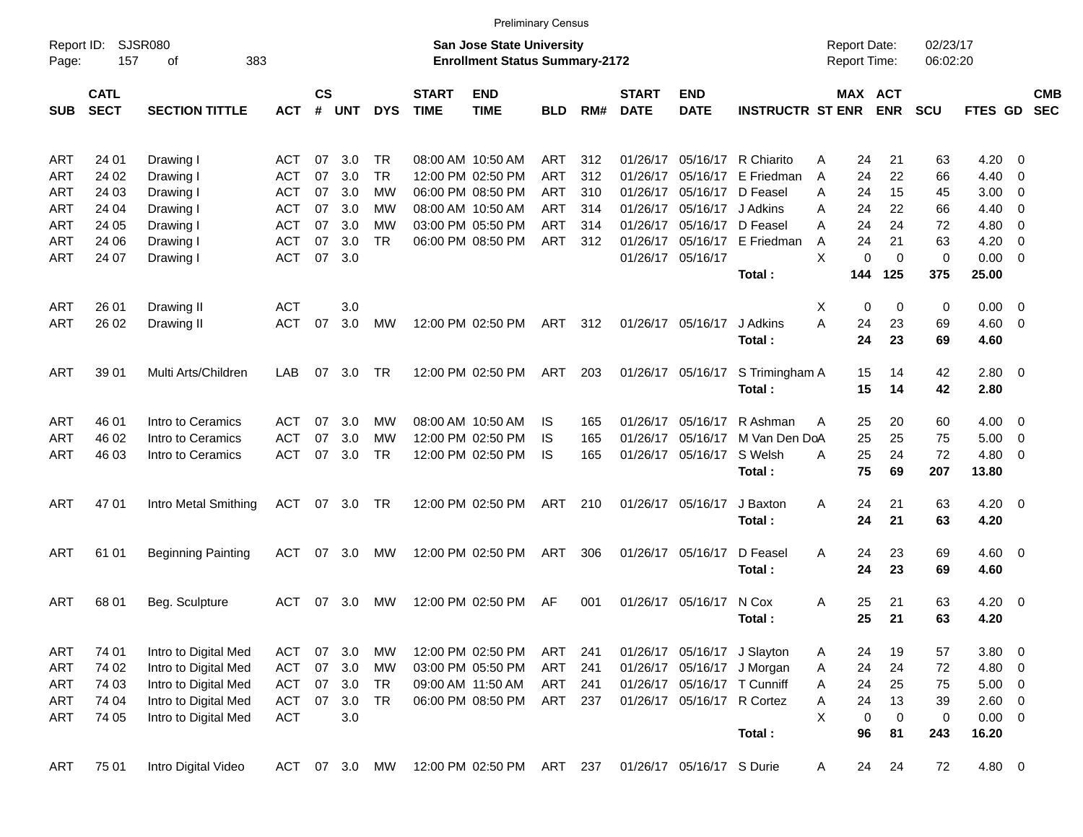| Report ID:<br>Page: | 157                        | <b>SJSR080</b><br>383<br>οf |               |                             |            |            |                             | <b>San Jose State University</b><br><b>Enrollment Status Summary-2172</b> |            |     |                             |                             |                             | <b>Report Date:</b><br>Report Time: |                       | 02/23/17<br>06:02:20 |                |                          |                          |
|---------------------|----------------------------|-----------------------------|---------------|-----------------------------|------------|------------|-----------------------------|---------------------------------------------------------------------------|------------|-----|-----------------------------|-----------------------------|-----------------------------|-------------------------------------|-----------------------|----------------------|----------------|--------------------------|--------------------------|
| <b>SUB</b>          | <b>CATL</b><br><b>SECT</b> | <b>SECTION TITTLE</b>       | <b>ACT</b>    | $\mathsf{cs}$<br>$\pmb{\#}$ | <b>UNT</b> | <b>DYS</b> | <b>START</b><br><b>TIME</b> | <b>END</b><br><b>TIME</b>                                                 | <b>BLD</b> | RM# | <b>START</b><br><b>DATE</b> | <b>END</b><br><b>DATE</b>   | <b>INSTRUCTR ST ENR</b>     |                                     | MAX ACT<br><b>ENR</b> | <b>SCU</b>           | <b>FTES GD</b> |                          | <b>CMB</b><br><b>SEC</b> |
| <b>ART</b>          | 24 01                      | Drawing I                   | <b>ACT</b>    | 07                          | 3.0        | TR         |                             | 08:00 AM 10:50 AM                                                         | ART        | 312 | 01/26/17                    | 05/16/17                    | R Chiarito                  | Α                                   | 24<br>21              | 63                   | 4.20           | - 0                      |                          |
| <b>ART</b>          | 24 02                      | Drawing I                   | <b>ACT</b>    | 07                          | 3.0        | <b>TR</b>  |                             | 12:00 PM 02:50 PM                                                         | <b>ART</b> | 312 | 01/26/17                    | 05/16/17                    | E Friedman                  | A                                   | 24<br>22              | 66                   | 4.40           | 0                        |                          |
| ART                 | 24 03                      | Drawing I                   | <b>ACT</b>    | 07                          | 3.0        | <b>MW</b>  |                             | 06:00 PM 08:50 PM                                                         | <b>ART</b> | 310 | 01/26/17                    | 05/16/17                    | D Feasel                    | 24<br>A                             | 15                    | 45                   | 3.00           | 0                        |                          |
| <b>ART</b>          | 24 04                      | Drawing I                   | <b>ACT</b>    | 07                          | 3.0        | МW         |                             | 08:00 AM 10:50 AM                                                         | ART        | 314 | 01/26/17                    | 05/16/17                    | J Adkins                    | Α                                   | 24<br>22              | 66                   | 4.40           | 0                        |                          |
| <b>ART</b>          | 24 05                      | Drawing I                   | <b>ACT</b>    | 07                          | 3.0        | <b>MW</b>  |                             | 03:00 PM 05:50 PM                                                         | <b>ART</b> | 314 | 01/26/17                    | 05/16/17                    | D Feasel                    | Α                                   | 24<br>24              | 72                   | 4.80           | 0                        |                          |
| <b>ART</b>          | 24 06                      | Drawing I                   | <b>ACT</b>    | 07                          | 3.0        | <b>TR</b>  |                             | 06:00 PM 08:50 PM                                                         | ART        | 312 | 01/26/17                    | 05/16/17                    | E Friedman                  | A                                   | 24<br>21              | 63                   | 4.20           | 0                        |                          |
| <b>ART</b>          | 24 07                      | Drawing I                   | <b>ACT</b>    | 07                          | 3.0        |            |                             |                                                                           |            |     |                             | 01/26/17 05/16/17           |                             | X                                   | 0<br>$\mathbf 0$      | 0                    | 0.00           | $\overline{0}$           |                          |
|                     |                            |                             |               |                             |            |            |                             |                                                                           |            |     |                             |                             | Total:                      | 144                                 | 125                   | 375                  | 25.00          |                          |                          |
|                     |                            |                             |               |                             |            |            |                             |                                                                           |            |     |                             |                             |                             |                                     |                       |                      |                |                          |                          |
| ART                 | 26 01                      | Drawing II                  | <b>ACT</b>    |                             | 3.0        |            |                             |                                                                           |            |     |                             |                             |                             | X                                   | 0<br>0                | 0                    | 0.00           | $\overline{0}$           |                          |
| <b>ART</b>          | 26 02                      | Drawing II                  | <b>ACT</b>    | 07                          | 3.0        | <b>MW</b>  |                             | 12:00 PM 02:50 PM                                                         | ART        | 312 |                             | 01/26/17 05/16/17           | J Adkins                    | A                                   | 24<br>23              | 69                   | 4.60           | $\mathbf 0$              |                          |
|                     |                            |                             |               |                             |            |            |                             |                                                                           |            |     |                             |                             | Total:                      |                                     | 24<br>23              | 69                   | 4.60           |                          |                          |
|                     |                            |                             |               |                             |            |            |                             |                                                                           |            |     |                             |                             |                             |                                     |                       |                      |                |                          |                          |
| <b>ART</b>          | 39 01                      | Multi Arts/Children         | LAB           | 07                          | 3.0        | TR         |                             | 12:00 PM 02:50 PM                                                         | ART        | 203 |                             | 01/26/17 05/16/17           | S Trimingham A              |                                     | 15<br>14<br>15        | 42                   | 2.80           | - 0                      |                          |
|                     |                            |                             |               |                             |            |            |                             |                                                                           |            |     |                             |                             | Total:                      |                                     | 14                    | 42                   | 2.80           |                          |                          |
| <b>ART</b>          | 46 01                      | Intro to Ceramics           | <b>ACT</b>    | 07                          | 3.0        | МW         |                             | 08:00 AM 10:50 AM                                                         | IS         | 165 | 01/26/17                    | 05/16/17                    | R Ashman                    | A                                   | 25<br>20              | 60                   | 4.00           | 0                        |                          |
| <b>ART</b>          | 46 02                      | Intro to Ceramics           | <b>ACT</b>    | 07                          | 3.0        | <b>MW</b>  |                             | 12:00 PM 02:50 PM                                                         | IS         | 165 | 01/26/17                    | 05/16/17                    | M Van Den DoA               |                                     | 25<br>25              | 75                   | 5.00           | 0                        |                          |
| <b>ART</b>          | 46 03                      | Intro to Ceramics           | <b>ACT</b>    | 07                          | 3.0        | <b>TR</b>  |                             | 12:00 PM 02:50 PM                                                         | IS         | 165 |                             | 01/26/17 05/16/17           | S Welsh                     | A                                   | 25<br>24              | 72                   | 4.80           | $\overline{\mathbf{0}}$  |                          |
|                     |                            |                             |               |                             |            |            |                             |                                                                           |            |     |                             |                             | Total:                      |                                     | 75<br>69              | 207                  | 13.80          |                          |                          |
|                     |                            |                             |               |                             |            |            |                             |                                                                           |            |     |                             |                             |                             |                                     |                       |                      |                |                          |                          |
| <b>ART</b>          | 47 01                      | Intro Metal Smithing        | ACT           |                             | 07 3.0     | <b>TR</b>  |                             | 12:00 PM 02:50 PM                                                         | ART        | 210 |                             | 01/26/17 05/16/17           | J Baxton                    | A                                   | 24<br>21              | 63                   | 4.20           | $\overline{\mathbf{0}}$  |                          |
|                     |                            |                             |               |                             |            |            |                             |                                                                           |            |     |                             |                             | Total:                      |                                     | 24<br>21              | 63                   | 4.20           |                          |                          |
| <b>ART</b>          | 61 01                      |                             | <b>ACT</b>    | 07                          | 3.0        | MW         |                             | 12:00 PM 02:50 PM                                                         | ART        | 306 |                             | 01/26/17 05/16/17           | D Feasel                    | A                                   | 24<br>23              | 69                   | 4.60           | $\overline{\mathbf{0}}$  |                          |
|                     |                            | <b>Beginning Painting</b>   |               |                             |            |            |                             |                                                                           |            |     |                             |                             | Total:                      |                                     | 24<br>23              | 69                   | 4.60           |                          |                          |
|                     |                            |                             |               |                             |            |            |                             |                                                                           |            |     |                             |                             |                             |                                     |                       |                      |                |                          |                          |
| <b>ART</b>          | 68 01                      | Beg. Sculpture              | ACT           | 07                          | 3.0        | <b>MW</b>  |                             | 12:00 PM 02:50 PM                                                         | AF         | 001 |                             | 01/26/17 05/16/17           | N Cox                       | Α                                   | 21<br>25              | 63                   | 4.20           | $\overline{\phantom{0}}$ |                          |
|                     |                            |                             |               |                             |            |            |                             |                                                                           |            |     |                             |                             | Total:                      |                                     | 25<br>21              | 63                   | 4.20           |                          |                          |
|                     |                            |                             |               |                             |            |            |                             |                                                                           |            |     |                             |                             |                             |                                     |                       |                      |                |                          |                          |
| <b>ART</b>          | 74 01                      | Intro to Digital Med        | <b>ACT</b>    | 07                          | 3.0        | MW         |                             | 12:00 PM 02:50 PM                                                         | ART        | 241 |                             |                             | 01/26/17 05/16/17 J Slayton | Α                                   | 24<br>19              | 57                   | 3.80           | $\overline{\phantom{0}}$ |                          |
| <b>ART</b>          | 74 02                      | Intro to Digital Med        | <b>ACT</b>    | 07                          | 3.0        | МW         |                             | 03:00 PM 05:50 PM                                                         | ART        | 241 |                             |                             | 01/26/17 05/16/17 J Morgan  | Α                                   | 24<br>24              | 72                   | 4.80           | $\overline{\phantom{0}}$ |                          |
| ART                 | 74 03                      | Intro to Digital Med        | <b>ACT</b>    |                             | 07 3.0     | TR         |                             | 09:00 AM 11:50 AM                                                         | ART        | 241 |                             | 01/26/17 05/16/17 T Cunniff |                             | Α                                   | 24<br>25              | 75                   | $5.00 \t 0$    |                          |                          |
| ART                 | 74 04                      | Intro to Digital Med        | <b>ACT</b>    | 07                          | 3.0        | TR         |                             | 06:00 PM 08:50 PM                                                         | ART 237    |     |                             | 01/26/17 05/16/17 R Cortez  |                             | Α                                   | 24<br>13              | 39                   | 2.60 0         |                          |                          |
| ART                 | 74 05                      | Intro to Digital Med        | <b>ACT</b>    |                             | 3.0        |            |                             |                                                                           |            |     |                             |                             |                             | X                                   | 0<br>0                | 0                    | $0.00 \t 0$    |                          |                          |
|                     |                            |                             |               |                             |            |            |                             |                                                                           |            |     |                             |                             | Total:                      |                                     | 96<br>81              | 243                  | 16.20          |                          |                          |
|                     |                            |                             |               |                             |            |            |                             |                                                                           |            |     |                             |                             |                             |                                     |                       |                      |                |                          |                          |
| <b>ART</b>          | 75 01                      | Intro Digital Video         | ACT 07 3.0 MW |                             |            |            |                             | 12:00 PM 02:50 PM ART 237                                                 |            |     |                             | 01/26/17 05/16/17 S Durie   |                             | A                                   | 24<br>24              | 72                   | 4.80 0         |                          |                          |

Preliminary Census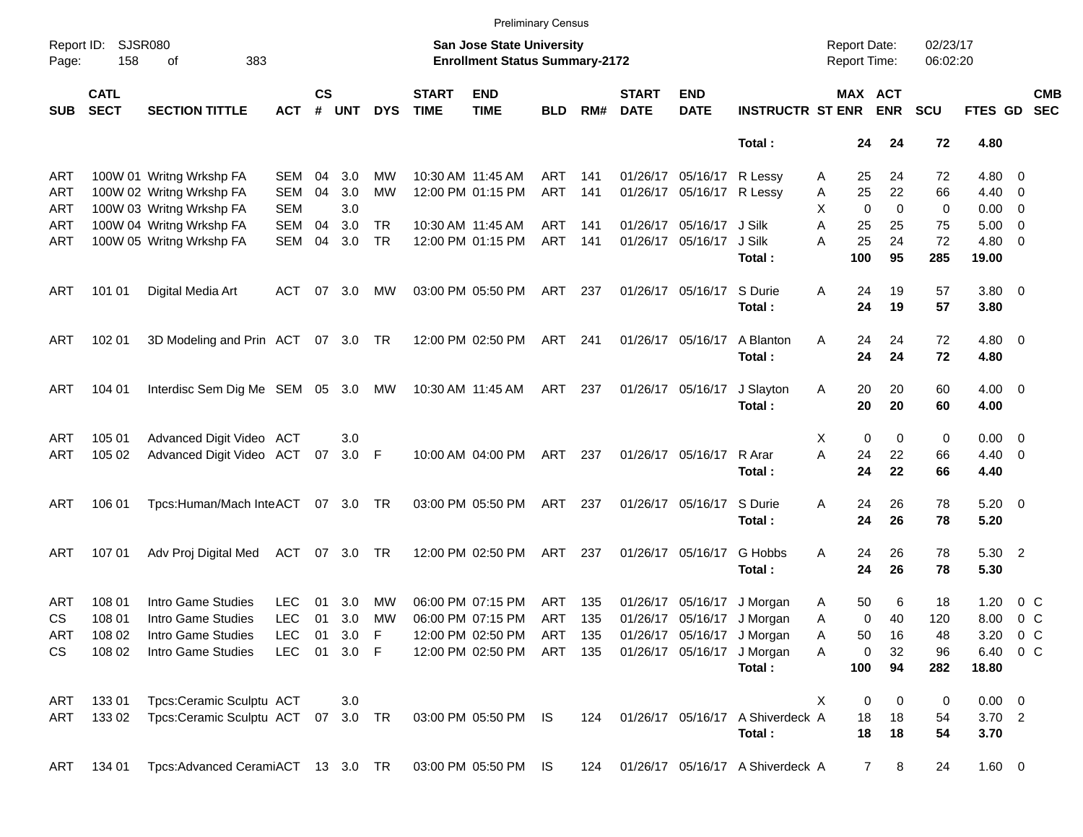|            |                            |                                    |               |                    |            |            |                             |                                                                    | <b>Preliminary Census</b> |     |                             |                           |                                  |                                            |            |                      |                    |                          |
|------------|----------------------------|------------------------------------|---------------|--------------------|------------|------------|-----------------------------|--------------------------------------------------------------------|---------------------------|-----|-----------------------------|---------------------------|----------------------------------|--------------------------------------------|------------|----------------------|--------------------|--------------------------|
| Page:      | Report ID: SJSR080<br>158  | 383<br>of                          |               |                    |            |            |                             | San Jose State University<br><b>Enrollment Status Summary-2172</b> |                           |     |                             |                           |                                  | <b>Report Date:</b><br><b>Report Time:</b> |            | 02/23/17<br>06:02:20 |                    |                          |
| <b>SUB</b> | <b>CATL</b><br><b>SECT</b> | <b>SECTION TITTLE</b>              | <b>ACT</b>    | $\mathsf{cs}$<br># | <b>UNT</b> | <b>DYS</b> | <b>START</b><br><b>TIME</b> | <b>END</b><br><b>TIME</b>                                          | <b>BLD</b>                | RM# | <b>START</b><br><b>DATE</b> | <b>END</b><br><b>DATE</b> | <b>INSTRUCTR ST ENR</b>          | MAX ACT                                    | <b>ENR</b> | <b>SCU</b>           | <b>FTES GD</b>     | <b>CMB</b><br><b>SEC</b> |
|            |                            |                                    |               |                    |            |            |                             |                                                                    |                           |     |                             |                           | Total:                           | 24                                         | 24         | 72                   | 4.80               |                          |
| ART        |                            | 100W 01 Writng Wrkshp FA           | SEM           | 04                 | 3.0        | MW         |                             | 10:30 AM 11:45 AM                                                  | ART                       | 141 |                             | 01/26/17 05/16/17         | R Lessy                          | 25<br>Α                                    | 24         | 72                   | $4.80\ 0$          |                          |
| <b>ART</b> |                            | 100W 02 Writng Wrkshp FA           | <b>SEM</b>    | 04                 | 3.0        | MW         |                             | 12:00 PM 01:15 PM                                                  | <b>ART</b>                | 141 |                             | 01/26/17 05/16/17         | R Lessy                          | 25<br>Α                                    | 22         | 66                   | $4.40 \quad 0$     |                          |
| <b>ART</b> |                            | 100W 03 Writng Wrkshp FA           | <b>SEM</b>    |                    | 3.0        |            |                             |                                                                    |                           |     |                             |                           |                                  | X<br>$\Omega$                              | $\Omega$   | 0                    | $0.00 \quad 0$     |                          |
| <b>ART</b> |                            | 100W 04 Writng Wrkshp FA           | <b>SEM</b>    | 04                 | 3.0        | <b>TR</b>  |                             | 10:30 AM 11:45 AM                                                  | ART                       | 141 |                             | 01/26/17 05/16/17         | J Silk                           | A<br>25                                    | 25         | 75                   | $5.00 \t 0$        |                          |
| ART        |                            | 100W 05 Writng Wrkshp FA           | <b>SEM</b>    | 04                 | 3.0        | <b>TR</b>  |                             | 12:00 PM 01:15 PM                                                  | ART                       | 141 |                             | 01/26/17 05/16/17         | J Silk                           | 25<br>A                                    | 24         | 72                   | $4.80\ 0$          |                          |
|            |                            |                                    |               |                    |            |            |                             |                                                                    |                           |     |                             |                           | Total:                           | 100                                        | 95         | 285                  | 19.00              |                          |
| ART        | 101 01                     | Digital Media Art                  | ACT           |                    | 07 3.0     | МW         |                             | 03:00 PM 05:50 PM                                                  | ART                       | 237 |                             | 01/26/17 05/16/17         | S Durie<br>Total:                | Α<br>24<br>24                              | 19<br>19   | 57<br>57             | $3.80\ 0$<br>3.80  |                          |
| ART        | 102 01                     | 3D Modeling and Prin ACT 07 3.0 TR |               |                    |            |            |                             | 12:00 PM 02:50 PM                                                  | ART 241                   |     |                             | 01/26/17 05/16/17         | A Blanton<br>Total:              | Α<br>24<br>24                              | 24<br>24   | 72<br>72             | $4.80\ 0$<br>4.80  |                          |
| <b>ART</b> | 104 01                     | Interdisc Sem Dig Me SEM 05 3.0 MW |               |                    |            |            |                             | 10:30 AM 11:45 AM                                                  | ART 237                   |     |                             | 01/26/17 05/16/17         | J Slayton<br>Total:              | 20<br>Α<br>20                              | 20<br>20   | 60<br>60             | $4.00 \ 0$<br>4.00 |                          |
| <b>ART</b> | 105 01                     | Advanced Digit Video ACT           |               |                    | 3.0        |            |                             |                                                                    |                           |     |                             |                           |                                  | $\mathbf 0$<br>X                           | 0          | 0                    | $0.00 \t 0$        |                          |
| ART        | 105 02                     | Advanced Digit Video ACT 07        |               |                    | 3.0 F      |            |                             | 10:00 AM 04:00 PM                                                  | ART                       | 237 |                             | 01/26/17 05/16/17         | R Arar                           | A<br>24                                    | 22         | 66                   | $4.40 \quad 0$     |                          |
|            |                            |                                    |               |                    |            |            |                             |                                                                    |                           |     |                             |                           | Total:                           | 24                                         | 22         | 66                   | 4.40               |                          |
| <b>ART</b> | 106 01                     | Tpcs:Human/Mach InteACT 07 3.0 TR  |               |                    |            |            |                             | 03:00 PM 05:50 PM                                                  | ART                       | 237 |                             | 01/26/17 05/16/17         | S Durie<br>Total:                | A<br>24<br>24                              | 26<br>26   | 78<br>78             | $5.20 \ 0$<br>5.20 |                          |
| <b>ART</b> | 107 01                     | Adv Proj Digital Med               | ACT 07 3.0 TR |                    |            |            |                             | 12:00 PM 02:50 PM                                                  | ART                       | 237 |                             | 01/26/17 05/16/17         | G Hobbs<br>Total:                | A<br>24<br>24                              | 26<br>26   | 78<br>78             | 5.30 2<br>5.30     |                          |
| ART        | 108 01                     | Intro Game Studies                 | LEC           | 01                 | 3.0        | MW         |                             | 06:00 PM 07:15 PM                                                  | ART                       | 135 |                             | 01/26/17 05/16/17         | J Morgan                         | 50<br>A                                    | 6          | 18                   | 1.20               | $0\,$ C                  |
| CS         | 108 01                     | Intro Game Studies                 | <b>LEC</b>    | 01                 | 3.0        | MW         |                             | 06:00 PM 07:15 PM                                                  | ART                       | 135 |                             | 01/26/17 05/16/17         | J Morgan                         | 0<br>Α                                     | 40         | 120                  | 8.00               | 0 <sup>o</sup>           |
| <b>ART</b> | 108 02                     | Intro Game Studies                 | <b>LEC</b>    |                    | 01 3.0 F   |            |                             | 12:00 PM 02:50 PM                                                  | ART                       | 135 |                             |                           | 01/26/17 05/16/17 J Morgan       | 50<br>Α                                    | 16         | 48                   |                    | 3.20 0 C                 |
| <b>CS</b>  | 108 02                     | Intro Game Studies                 | <b>LEC</b>    |                    | 01 3.0 F   |            |                             | 12:00 PM 02:50 PM                                                  | ART 135                   |     |                             | 01/26/17 05/16/17         | J Morgan                         | 0<br>Α                                     | 32         | 96                   | 6.40 0 C           |                          |
|            |                            |                                    |               |                    |            |            |                             |                                                                    |                           |     |                             |                           | Total:                           | 100                                        | 94         | 282                  | 18.80              |                          |
| ART        | 133 01                     | Tpcs:Ceramic Sculptu ACT           |               |                    | 3.0        |            |                             |                                                                    |                           |     |                             |                           |                                  | Χ<br>0                                     | 0          | 0                    | $0.00 \t 0$        |                          |
| ART        | 133 02                     | Tpcs:Ceramic Sculptu ACT 07 3.0 TR |               |                    |            |            |                             | 03:00 PM 05:50 PM IS                                               |                           | 124 |                             |                           | 01/26/17 05/16/17 A Shiverdeck A | 18                                         | 18         | 54                   | $3.70$ 2           |                          |
|            |                            |                                    |               |                    |            |            |                             |                                                                    |                           |     |                             |                           | Total:                           | 18                                         | 18         | 54                   | 3.70               |                          |
| ART        | 134 01                     | Tpcs: Advanced CeramiACT 13 3.0 TR |               |                    |            |            |                             | 03:00 PM 05:50 PM IS                                               |                           | 124 |                             |                           | 01/26/17 05/16/17 A Shiverdeck A | $\overline{7}$                             | 8          | 24                   | $1.60 \t 0$        |                          |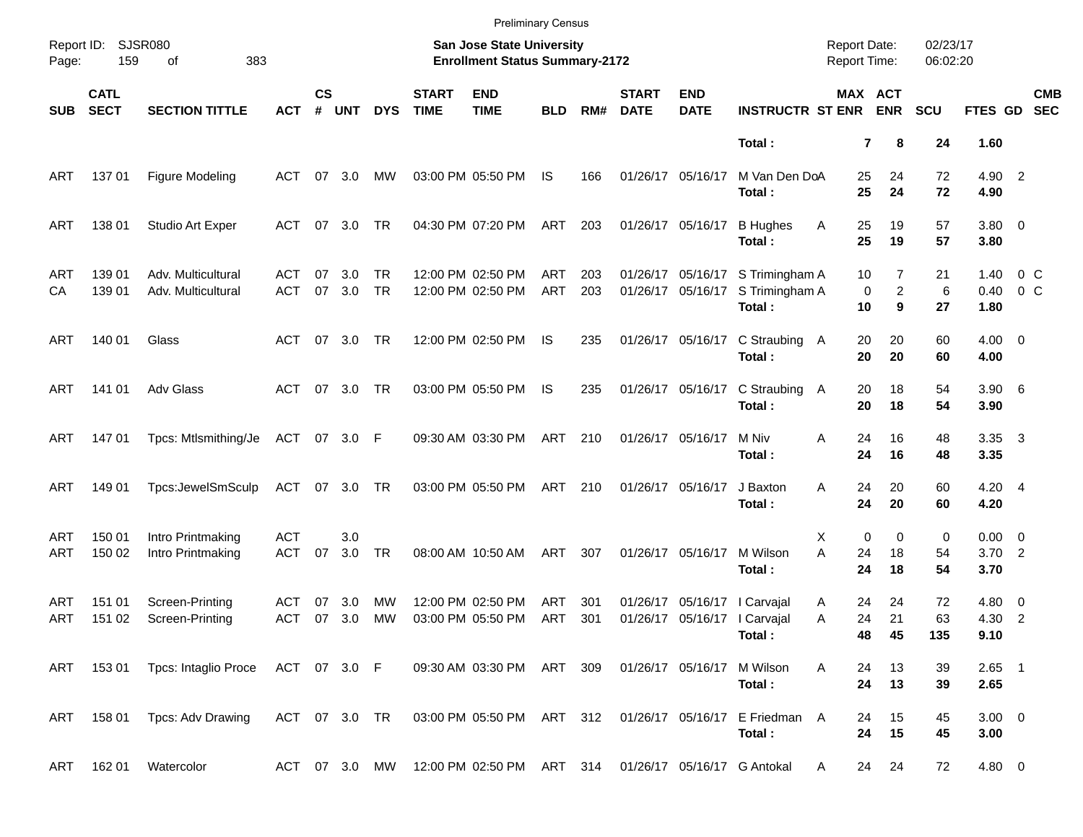|            |                            |                                              |                          |                    |               |                        |                             | <b>Preliminary Census</b>                                                 |            |            |                             |                                        |                                            |                                            |                          |                      |                              |                           |                          |
|------------|----------------------------|----------------------------------------------|--------------------------|--------------------|---------------|------------------------|-----------------------------|---------------------------------------------------------------------------|------------|------------|-----------------------------|----------------------------------------|--------------------------------------------|--------------------------------------------|--------------------------|----------------------|------------------------------|---------------------------|--------------------------|
| Page:      | Report ID: SJSR080<br>159  | 383<br>of                                    |                          |                    |               |                        |                             | <b>San Jose State University</b><br><b>Enrollment Status Summary-2172</b> |            |            |                             |                                        |                                            | <b>Report Date:</b><br><b>Report Time:</b> |                          | 02/23/17<br>06:02:20 |                              |                           |                          |
| <b>SUB</b> | <b>CATL</b><br><b>SECT</b> | <b>SECTION TITTLE</b>                        | <b>ACT</b>               | $\mathsf{cs}$<br># | <b>UNT</b>    | <b>DYS</b>             | <b>START</b><br><b>TIME</b> | <b>END</b><br><b>TIME</b>                                                 | <b>BLD</b> | RM#        | <b>START</b><br><b>DATE</b> | <b>END</b><br><b>DATE</b>              | <b>INSTRUCTR ST ENR</b>                    |                                            | MAX ACT<br><b>ENR</b>    | <b>SCU</b>           | FTES GD                      |                           | <b>CMB</b><br><b>SEC</b> |
|            |                            |                                              |                          |                    |               |                        |                             |                                                                           |            |            |                             |                                        | Total:                                     |                                            | $\overline{7}$<br>8      | 24                   | 1.60                         |                           |                          |
| ART        | 13701                      | Figure Modeling                              | ACT                      |                    | 07 3.0        | МW                     |                             | 03:00 PM 05:50 PM                                                         | IS         | 166        |                             | 01/26/17 05/16/17                      | M Van Den DoA<br>Total:                    | 25<br>25                                   | 24<br>24                 | 72<br>72             | 4.90 2<br>4.90               |                           |                          |
| ART        | 138 01                     | Studio Art Exper                             | ACT                      |                    | 07 3.0        | TR                     |                             | 04:30 PM 07:20 PM                                                         | ART        | 203        |                             | 01/26/17 05/16/17                      | <b>B</b> Hughes<br>Total:                  | Α<br>25<br>25                              | 19<br>19                 | 57<br>57             | $3.80\ 0$<br>3.80            |                           |                          |
| ART<br>СA  | 139 01<br>139 01           | Adv. Multicultural<br>Adv. Multicultural     | ACT<br><b>ACT</b>        | 07                 | 3.0<br>07 3.0 | <b>TR</b><br><b>TR</b> |                             | 12:00 PM 02:50 PM<br>12:00 PM 02:50 PM                                    | ART<br>ART | 203<br>203 |                             | 01/26/17 05/16/17<br>01/26/17 05/16/17 | S Trimingham A<br>S Trimingham A<br>Total: | 10<br>0<br>10                              | 7<br>$\overline{2}$<br>9 | 21<br>6<br>27        | 1.40<br>0.40<br>1.80         | $0\,$ C<br>0 <sup>o</sup> |                          |
| ART        | 140 01                     | Glass                                        | ACT                      |                    | 07 3.0        | TR                     |                             | 12:00 PM 02:50 PM                                                         | IS         | 235        |                             | 01/26/17 05/16/17                      | C Straubing A<br>Total:                    | 20<br>20                                   | 20<br>20                 | 60<br>60             | $4.00 \ 0$<br>4.00           |                           |                          |
| ART        | 141 01                     | Adv Glass                                    |                          |                    | ACT 07 3.0    | TR                     |                             | 03:00 PM 05:50 PM                                                         | IS         | 235        |                             | 01/26/17 05/16/17                      | C Straubing A<br>Total:                    | 20<br>20                                   | 18<br>18                 | 54<br>54             | $3.90\quad 6$<br>3.90        |                           |                          |
| ART        | 14701                      | Tpcs: Mtlsmithing/Je                         | ACT 07 3.0 F             |                    |               |                        |                             | 09:30 AM 03:30 PM                                                         | ART        | 210        |                             | 01/26/17 05/16/17                      | M Niv<br>Total:                            | Α<br>24<br>24                              | 16<br>16                 | 48<br>48             | 3.35 3<br>3.35               |                           |                          |
| ART        | 149 01                     | Tpcs:JewelSmSculp                            |                          |                    | ACT 07 3.0 TR |                        |                             | 03:00 PM 05:50 PM                                                         | ART 210    |            |                             | 01/26/17 05/16/17                      | J Baxton<br>Total:                         | 24<br>A<br>24                              | 20<br>20                 | 60<br>60             | $4.20 \quad 4$<br>4.20       |                           |                          |
| ART<br>ART | 150 01<br>150 02           | Intro Printmaking<br>Intro Printmaking       | <b>ACT</b><br><b>ACT</b> | 07                 | 3.0<br>3.0    | <b>TR</b>              |                             | 08:00 AM 10:50 AM                                                         | ART        | 307        |                             | 01/26/17 05/16/17                      | M Wilson<br>Total:                         | $\mathbf 0$<br>Х<br>A<br>24<br>24          | 0<br>18<br>18            | 0<br>54<br>54        | $0.00 \t 0$<br>3.702<br>3.70 |                           |                          |
| ART<br>ART | 151 01<br>151 02           | Screen-Printing<br>Screen-Printing           | <b>ACT</b><br>ACT        | 07                 | 3.0<br>07 3.0 | МW<br>MW               |                             | 12:00 PM 02:50 PM<br>03:00 PM 05:50 PM                                    | ART<br>ART | 301<br>301 |                             | 01/26/17 05/16/17   Carvajal           | 01/26/17 05/16/17   Carvajal<br>Total:     | 24<br>A<br>24<br>Α<br>48                   | 24<br>21<br>45           | 72<br>63<br>135      | $4.80\ 0$<br>4.30 2<br>9.10  |                           |                          |
|            |                            | ART 153 01 Tpcs: Intaglio Proce ACT 07 3.0 F |                          |                    |               |                        |                             | 09:30 AM 03:30 PM ART 309                                                 |            |            |                             | 01/26/17 05/16/17                      | M Wilson<br>Total:                         | A<br>24<br>24                              | 13<br>13                 | 39<br>39             | $2.65$ 1<br>2.65             |                           |                          |
|            |                            | ART 158 01 Tpcs: Adv Drawing                 | ACT 07 3.0 TR            |                    |               |                        |                             | 03:00 PM 05:50 PM ART 312                                                 |            |            |                             | 01/26/17 05/16/17                      | E Friedman A<br>Total:                     | 24<br>24                                   | 15<br>15                 | 45<br>45             | $3.00 \ 0$<br>3.00           |                           |                          |
| ART        | 162 01                     | Watercolor                                   |                          |                    |               |                        |                             | ACT 07 3.0 MW 12:00 PM 02:50 PM ART 314 01/26/17 05/16/17 G Antokal       |            |            |                             |                                        |                                            | A                                          | 24 24                    | 72                   | 4.80 0                       |                           |                          |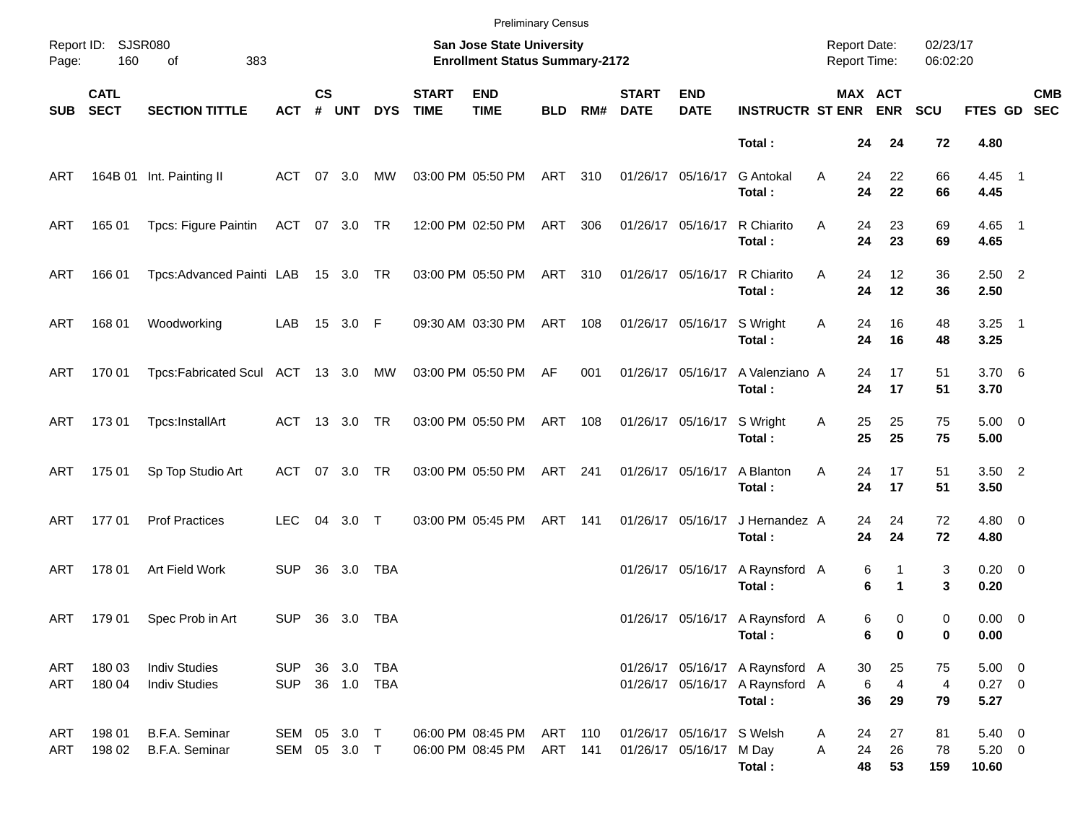|            |                            |                                              |                              |                    |                      |            |                             | <b>Preliminary Census</b>                                          |                    |     |                             |                                                      |                                                                              |                                     |                       |                            |                            |                                    |            |
|------------|----------------------------|----------------------------------------------|------------------------------|--------------------|----------------------|------------|-----------------------------|--------------------------------------------------------------------|--------------------|-----|-----------------------------|------------------------------------------------------|------------------------------------------------------------------------------|-------------------------------------|-----------------------|----------------------------|----------------------------|------------------------------------|------------|
| Page:      | Report ID: SJSR080<br>160  | 383<br>of                                    |                              |                    |                      |            |                             | San Jose State University<br><b>Enrollment Status Summary-2172</b> |                    |     |                             |                                                      |                                                                              | <b>Report Date:</b><br>Report Time: |                       |                            | 02/23/17<br>06:02:20       |                                    |            |
| <b>SUB</b> | <b>CATL</b><br><b>SECT</b> | <b>SECTION TITTLE</b>                        | <b>ACT</b>                   | $\mathsf{cs}$<br># | <b>UNT</b>           | <b>DYS</b> | <b>START</b><br><b>TIME</b> | <b>END</b><br><b>TIME</b>                                          | <b>BLD</b>         | RM# | <b>START</b><br><b>DATE</b> | <b>END</b><br><b>DATE</b>                            | <b>INSTRUCTR ST ENR</b>                                                      |                                     | MAX ACT<br><b>ENR</b> |                            | <b>SCU</b>                 | FTES GD SEC                        | <b>CMB</b> |
|            |                            |                                              |                              |                    |                      |            |                             |                                                                    |                    |     |                             |                                                      | Total:                                                                       |                                     | 24                    | 24                         | 72                         | 4.80                               |            |
| ART        |                            | 164B 01 Int. Painting II                     | ACT                          |                    | 07 3.0               | МW         |                             | 03:00 PM 05:50 PM                                                  | ART                | 310 | 01/26/17 05/16/17           |                                                      | <b>G</b> Antokal<br>Total:                                                   | Α                                   | 24<br>24              | 22<br>22                   | 66<br>66                   | 4.45 1<br>4.45                     |            |
| ART        | 165 01                     | Tpcs: Figure Paintin                         | ACT 07 3.0 TR                |                    |                      |            |                             | 12:00 PM 02:50 PM                                                  | ART                | 306 | 01/26/17 05/16/17           |                                                      | R Chiarito<br>Total:                                                         | A                                   | 24<br>24              | 23<br>23                   | 69<br>69                   | 4.65 1<br>4.65                     |            |
| ART        | 166 01                     | Tpcs: Advanced Painti LAB                    |                              |                    | 15 3.0 TR            |            |                             | 03:00 PM 05:50 PM                                                  | ART                | 310 |                             | 01/26/17 05/16/17                                    | R Chiarito<br>Total:                                                         | Α                                   | 24<br>24              | 12<br>12                   | 36<br>36                   | $2.50$ 2<br>2.50                   |            |
| ART        | 168 01                     | Woodworking                                  | LAB                          |                    | 15 3.0 F             |            |                             | 09:30 AM 03:30 PM                                                  | ART                | 108 |                             | 01/26/17 05/16/17                                    | S Wright<br>Total:                                                           | Α                                   | 24<br>24              | 16<br>16                   | 48<br>48                   | $3.25$ 1<br>3.25                   |            |
| ART        | 170 01                     | Tpcs:Fabricated Scul ACT 13 3.0 MW           |                              |                    |                      |            |                             | 03:00 PM 05:50 PM                                                  | AF                 | 001 | 01/26/17 05/16/17           |                                                      | A Valenziano A<br>Total:                                                     |                                     | 24<br>24              | 17<br>17                   | 51<br>51                   | 3.706<br>3.70                      |            |
| ART        | 173 01                     | Tpcs:InstallArt                              | ACT 13 3.0 TR                |                    |                      |            |                             | 03:00 PM 05:50 PM                                                  | ART                | 108 |                             | 01/26/17 05/16/17                                    | S Wright<br>Total:                                                           | Α                                   | 25<br>25              | 25<br>25                   | 75<br>75                   | $5.00 \t 0$<br>5.00                |            |
| ART        | 175 01                     | Sp Top Studio Art                            | ACT                          |                    | 07 3.0               | TR         |                             | 03:00 PM 05:50 PM                                                  | ART                | 241 | 01/26/17 05/16/17           |                                                      | A Blanton<br>Total:                                                          | Α                                   | 24<br>24              | 17<br>17                   | 51<br>51                   | $3.50$ 2<br>3.50                   |            |
| ART        | 17701                      | <b>Prof Practices</b>                        | <b>LEC</b>                   |                    | 04 3.0 T             |            |                             | 03:00 PM 05:45 PM                                                  | ART                | 141 | 01/26/17 05/16/17           |                                                      | J Hernandez A<br>Total:                                                      |                                     | 24<br>24              | 24<br>24                   | 72<br>72                   | $4.80\ 0$<br>4.80                  |            |
| ART        | 178 01                     | Art Field Work                               | <b>SUP</b>                   | 36                 | 3.0                  | TBA        |                             |                                                                    |                    |     |                             | 01/26/17 05/16/17                                    | A Raynsford A<br>Total:                                                      |                                     | 6<br>6                | 1<br>$\mathbf 1$           | 3<br>3                     | $0.20 \ 0$<br>0.20                 |            |
| ART        | 179 01                     | Spec Prob in Art                             | <b>SUP</b>                   |                    | 36 3.0               | TBA        |                             |                                                                    |                    |     |                             |                                                      | 01/26/17 05/16/17 A Raynsford A<br>Total:                                    |                                     | 6<br>6                | 0<br>0                     | 0<br>0                     | $0.00 \t 0$<br>0.00                |            |
| ART<br>ART | 180 03<br>180 04           | <b>Indiv Studies</b><br><b>Indiv Studies</b> | <b>SUP</b><br><b>SUP</b>     |                    | 36 3.0<br>36 1.0 TBA | TBA        |                             |                                                                    |                    |     |                             |                                                      | 01/26/17 05/16/17 A Raynsford A<br>01/26/17 05/16/17 A Raynsford A<br>Total: |                                     | 30<br>6<br>36         | 25<br>$\overline{4}$<br>29 | 75<br>$\overline{4}$<br>79 | $5.00 \t 0$<br>$0.27$ 0<br>5.27    |            |
| ART<br>ART | 198 01<br>198 02           | B.F.A. Seminar<br>B.F.A. Seminar             | SEM 05 3.0 T<br>SEM 05 3.0 T |                    |                      |            |                             | 06:00 PM 08:45 PM<br>06:00 PM 08:45 PM                             | ART 110<br>ART 141 |     |                             | 01/26/17 05/16/17 S Welsh<br>01/26/17 05/16/17 M Day | Total:                                                                       | A<br>Α                              | 24<br>24<br>48        | 27<br>26<br>53             | 81<br>78<br>159            | $5.40 \ 0$<br>$5.20 \t 0$<br>10.60 |            |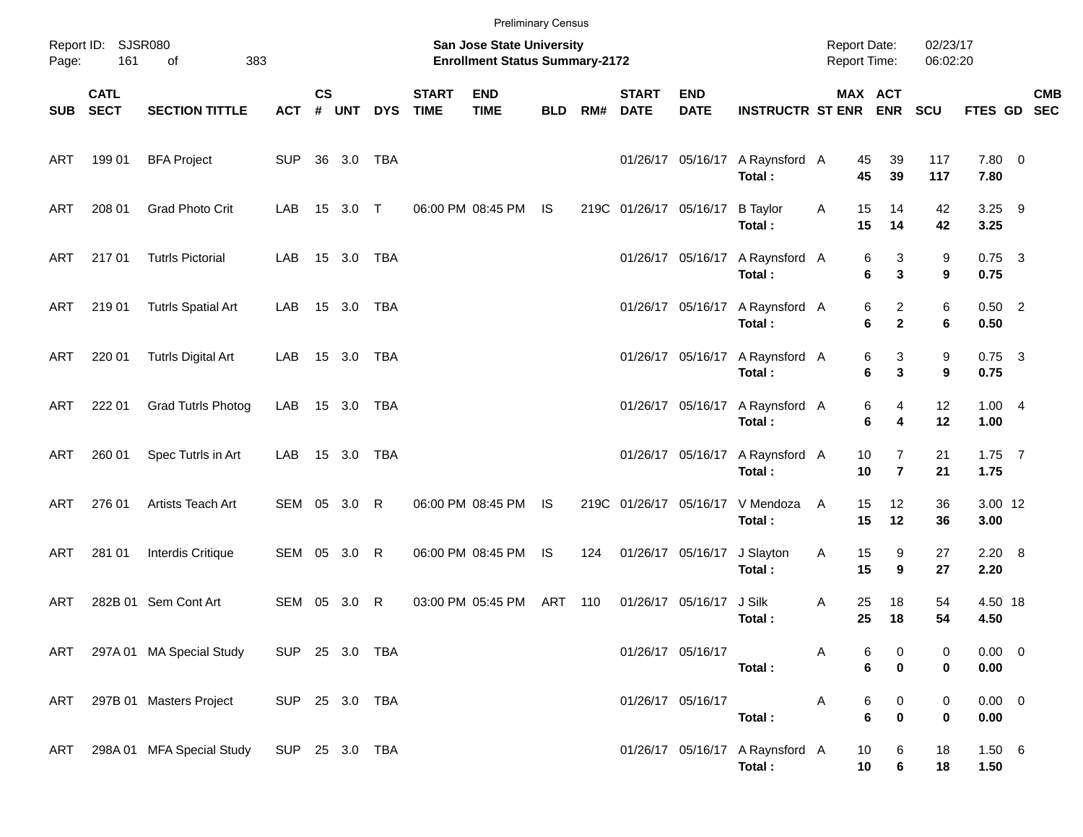| Page:      | Report ID: SJSR080<br>161  | 383<br>of                                |                |                    |            |            |                             | <b>Preliminary Census</b><br>San Jose State University<br><b>Enrollment Status Summary-2172</b> |            |     |                             |                           |                                           | <b>Report Date:</b><br>Report Time: |                                                      | 02/23/17<br>06:02:20 |                     |            |
|------------|----------------------------|------------------------------------------|----------------|--------------------|------------|------------|-----------------------------|-------------------------------------------------------------------------------------------------|------------|-----|-----------------------------|---------------------------|-------------------------------------------|-------------------------------------|------------------------------------------------------|----------------------|---------------------|------------|
| SUB        | <b>CATL</b><br><b>SECT</b> | <b>SECTION TITTLE</b>                    | <b>ACT</b>     | $\mathsf{cs}$<br># | <b>UNT</b> | <b>DYS</b> | <b>START</b><br><b>TIME</b> | <b>END</b><br><b>TIME</b>                                                                       | <b>BLD</b> | RM# | <b>START</b><br><b>DATE</b> | <b>END</b><br><b>DATE</b> | <b>INSTRUCTR ST ENR ENR</b>               |                                     | MAX ACT                                              | SCU                  | FTES GD SEC         | <b>CMB</b> |
| ART        | 199 01                     | <b>BFA Project</b>                       | <b>SUP</b>     |                    | 36 3.0     | TBA        |                             |                                                                                                 |            |     |                             | 01/26/17 05/16/17         | A Raynsford A<br>Total:                   | 45<br>45                            | 39<br>39                                             | 117<br>117           | 7.80 0<br>7.80      |            |
| ART        | 208 01                     | <b>Grad Photo Crit</b>                   | LAB            |                    | 15 3.0 T   |            |                             | 06:00 PM 08:45 PM                                                                               | IS.        |     | 219C 01/26/17 05/16/17      |                           | <b>B</b> Taylor<br>Total:                 | 15<br>Α<br>15                       | 14<br>14                                             | 42<br>42             | $3.25$ 9<br>3.25    |            |
| ART        | 217 01                     | <b>Tutrls Pictorial</b>                  | LAB            |                    | 15 3.0 TBA |            |                             |                                                                                                 |            |     |                             | 01/26/17 05/16/17         | A Raynsford A<br>Total:                   |                                     | 3<br>6<br>$\mathbf{3}$<br>6                          | 9<br>9               | $0.75$ 3<br>0.75    |            |
| ART        | 219 01                     | <b>Tutrls Spatial Art</b>                | LAB            |                    | 15 3.0 TBA |            |                             |                                                                                                 |            |     |                             | 01/26/17 05/16/17         | A Raynsford A<br>Total:                   |                                     | $\overline{2}$<br>6<br>6<br>$\mathbf{2}$             | 6<br>6               | $0.50$ 2<br>0.50    |            |
| ART        | 220 01                     | <b>Tutrls Digital Art</b>                | LAB            |                    | 15 3.0 TBA |            |                             |                                                                                                 |            |     |                             | 01/26/17 05/16/17         | A Raynsford A<br>Total:                   |                                     | 3<br>6<br>$\mathbf{3}$<br>6                          | 9<br>9               | $0.75$ 3<br>0.75    |            |
| ART        | 222 01                     | <b>Grad Tutrls Photog</b>                | LAB            |                    | 15 3.0 TBA |            |                             |                                                                                                 |            |     |                             | 01/26/17 05/16/17         | A Raynsford A<br>Total:                   |                                     | 6<br>4<br>6<br>4                                     | 12<br>12             | 1.004<br>1.00       |            |
| ART        | 260 01                     | Spec Tutrls in Art                       | LAB            |                    | 15 3.0 TBA |            |                             |                                                                                                 |            |     |                             | 01/26/17 05/16/17         | A Raynsford A<br>Total:                   | 10<br>10                            | $\overline{7}$<br>$\overline{7}$                     | 21<br>21             | $1.75$ 7<br>1.75    |            |
| ART        | 276 01                     | Artists Teach Art                        | SEM 05 3.0 R   |                    |            |            |                             | 06:00 PM 08:45 PM                                                                               | <b>IS</b>  |     | 219C 01/26/17 05/16/17      |                           | V Mendoza<br>Total:                       | 15<br>A<br>15                       | 12<br>12                                             | 36<br>36             | 3.00 12<br>3.00     |            |
| ART        | 281 01                     | Interdis Critique                        | SEM 05 3.0 R   |                    |            |            |                             | 06:00 PM 08:45 PM                                                                               | <b>IS</b>  | 124 |                             | 01/26/17 05/16/17         | J Slayton<br>Total:                       | 15<br>Α<br>15                       | 9<br>9                                               | 27<br>27             | $2.20\ 8$<br>2.20   |            |
| <b>ART</b> |                            | 282B 01 Sem Cont Art                     | SEM            |                    | 05 3.0     | R          |                             | 03:00 PM 05:45 PM                                                                               | ART        | 110 |                             | 01/26/17 05/16/17         | J Silk<br>Total:                          | 25<br>A<br>25                       | 18<br>18                                             | 54<br>54             | 4.50 18<br>4.50     |            |
|            |                            | ART 297A 01 MA Special Study             | SUP 25 3.0 TBA |                    |            |            |                             |                                                                                                 |            |     |                             | 01/26/17 05/16/17         | Total:                                    | Α                                   | 6<br>$\boldsymbol{0}$<br>6<br>$\pmb{0}$              | 0<br>0               | $0.00 \t 0$<br>0.00 |            |
| ART        |                            | 297B 01 Masters Project                  | SUP 25 3.0 TBA |                    |            |            |                             |                                                                                                 |            |     |                             | 01/26/17 05/16/17         | Total:                                    | A                                   | 6<br>$\boldsymbol{0}$<br>$6\phantom{1}$<br>$\pmb{0}$ | 0<br>0               | $0.00 \t 0$<br>0.00 |            |
| ART        |                            | 298A 01 MFA Special Study SUP 25 3.0 TBA |                |                    |            |            |                             |                                                                                                 |            |     |                             |                           | 01/26/17 05/16/17 A Raynsford A<br>Total: | 10<br>10                            | 6<br>6                                               | 18<br>18             | 1.50 6<br>1.50      |            |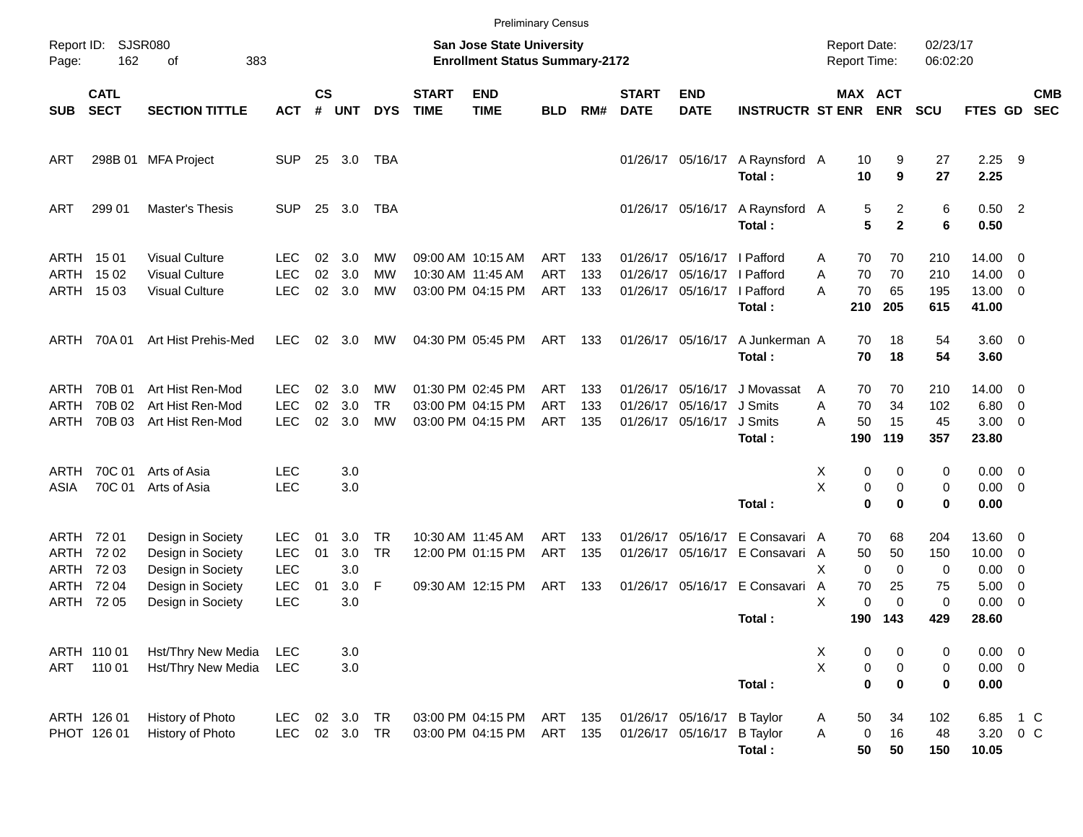|                                      |                                           |                                                                                                       |                                                                    |                |                                 |                      |                             |                                                                           | <b>Preliminary Census</b>       |                   |                             |                                                                         |                                                                                            |                                            |                                                               |                            |                                              |                                                                                                            |                          |
|--------------------------------------|-------------------------------------------|-------------------------------------------------------------------------------------------------------|--------------------------------------------------------------------|----------------|---------------------------------|----------------------|-----------------------------|---------------------------------------------------------------------------|---------------------------------|-------------------|-----------------------------|-------------------------------------------------------------------------|--------------------------------------------------------------------------------------------|--------------------------------------------|---------------------------------------------------------------|----------------------------|----------------------------------------------|------------------------------------------------------------------------------------------------------------|--------------------------|
| Report ID:<br>Page:                  | 162                                       | SJSR080<br>383<br>οf                                                                                  |                                                                    |                |                                 |                      |                             | <b>San Jose State University</b><br><b>Enrollment Status Summary-2172</b> |                                 |                   |                             |                                                                         |                                                                                            | <b>Report Date:</b><br><b>Report Time:</b> |                                                               | 02/23/17<br>06:02:20       |                                              |                                                                                                            |                          |
| <b>SUB</b>                           | <b>CATL</b><br><b>SECT</b>                | <b>SECTION TITTLE</b>                                                                                 | <b>ACT</b>                                                         | <b>CS</b><br># | <b>UNT</b>                      | <b>DYS</b>           | <b>START</b><br><b>TIME</b> | <b>END</b><br><b>TIME</b>                                                 | <b>BLD</b>                      | RM#               | <b>START</b><br><b>DATE</b> | <b>END</b><br><b>DATE</b>                                               | <b>INSTRUCTR ST ENR</b>                                                                    |                                            | MAX ACT<br><b>ENR</b>                                         | <b>SCU</b>                 | FTES GD                                      |                                                                                                            | <b>CMB</b><br><b>SEC</b> |
| ART                                  |                                           | 298B 01 MFA Project                                                                                   | <b>SUP</b>                                                         |                | 25 3.0                          | TBA                  |                             |                                                                           |                                 |                   |                             |                                                                         | 01/26/17 05/16/17 A Raynsford A<br>Total:                                                  | 10<br>10                                   | 9<br>9                                                        | 27<br>27                   | 2.25<br>2.25                                 | - 9                                                                                                        |                          |
| ART                                  | 299 01                                    | <b>Master's Thesis</b>                                                                                | <b>SUP</b>                                                         | 25             | 3.0                             | TBA                  |                             |                                                                           |                                 |                   |                             |                                                                         | 01/26/17 05/16/17 A Raynsford A<br>Total:                                                  |                                            | 2<br>5<br>5<br>$\mathbf{2}$                                   | 6<br>6                     | $0.50$ 2<br>0.50                             |                                                                                                            |                          |
| ARTH<br>ARTH<br>ARTH                 | 15 01<br>15 02<br>15 03                   | <b>Visual Culture</b><br><b>Visual Culture</b><br><b>Visual Culture</b>                               | <b>LEC</b><br><b>LEC</b><br><b>LEC</b>                             | 02<br>02<br>02 | 3.0<br>3.0<br>3.0               | MW<br>МW<br>MW       | 10:30 AM 11:45 AM           | 09:00 AM 10:15 AM<br>03:00 PM 04:15 PM                                    | ART<br><b>ART</b><br>ART        | 133<br>133<br>133 | 01/26/17<br>01/26/17        | 05/16/17   Pafford<br>05/16/17   Pafford<br>01/26/17 05/16/17   Pafford | Total:                                                                                     | 70<br>Α<br>70<br>A<br>70<br>А<br>210       | 70<br>70<br>65<br>205                                         | 210<br>210<br>195<br>615   | $14.00 \quad 0$<br>14.00<br>13.00 0<br>41.00 | $\overline{\phantom{0}}$                                                                                   |                          |
| ARTH                                 | 70A 01                                    | Art Hist Prehis-Med                                                                                   | <b>LEC</b>                                                         | 02             | 3.0                             | MW                   |                             | 04:30 PM 05:45 PM                                                         | ART                             | 133               |                             | 01/26/17 05/16/17                                                       | A Junkerman A<br>Total:                                                                    | 70<br>70                                   | 18<br>18                                                      | 54<br>54                   | 3.60 0<br>3.60                               |                                                                                                            |                          |
| ARTH<br>ARTH<br>ARTH                 | 70B 01<br>70B 02<br>70B 03                | Art Hist Ren-Mod<br>Art Hist Ren-Mod<br>Art Hist Ren-Mod                                              | LEC.<br><b>LEC</b><br><b>LEC</b>                                   | 02<br>02<br>02 | 3.0<br>3.0<br>3.0               | MW<br>TR<br>МW       |                             | 01:30 PM 02:45 PM<br>03:00 PM 04:15 PM<br>03:00 PM 04:15 PM               | ART<br><b>ART</b><br><b>ART</b> | 133<br>133<br>135 | 01/26/17                    | 01/26/17 05/16/17<br>05/16/17<br>01/26/17 05/16/17                      | J Movassat<br>J Smits<br>J Smits<br>Total:                                                 | 70<br>A<br>70<br>A<br>50<br>А<br>190       | 70<br>34<br>15<br>119                                         | 210<br>102<br>45<br>357    | 14.00 0<br>6.80<br>$3.00 \ 0$<br>23.80       | $\overline{\mathbf{0}}$                                                                                    |                          |
| ARTH<br>ASIA                         | 70C 01<br>70C 01                          | Arts of Asia<br>Arts of Asia                                                                          | <b>LEC</b><br><b>LEC</b>                                           |                | 3.0<br>3.0                      |                      |                             |                                                                           |                                 |                   |                             |                                                                         | Total:                                                                                     | Х<br>X                                     | 0<br>0<br>0<br>0<br>0<br>0                                    | 0<br>0<br>0                | $0.00 \quad 0$<br>$0.00 \t 0$<br>0.00        |                                                                                                            |                          |
| ARTH<br>ARTH<br>ARTH<br>ARTH<br>ARTH | 72 01<br>72 02<br>72 03<br>72 04<br>72 05 | Design in Society<br>Design in Society<br>Design in Society<br>Design in Society<br>Design in Society | <b>LEC</b><br><b>LEC</b><br><b>LEC</b><br><b>LEC</b><br><b>LEC</b> | 01<br>01<br>01 | 3.0<br>3.0<br>3.0<br>3.0<br>3.0 | TR<br><b>TR</b><br>F |                             | 10:30 AM 11:45 AM<br>12:00 PM 01:15 PM<br>09:30 AM 12:15 PM               | ART<br><b>ART</b><br>ART        | 133<br>135<br>133 | 01/26/17                    |                                                                         | 05/16/17 E Consavari A<br>01/26/17 05/16/17 E Consavari A<br>01/26/17 05/16/17 E Consavari | 70<br>50<br>Х<br>70<br>A<br>X              | 68<br>50<br>$\mathbf 0$<br>$\mathbf 0$<br>25<br>0<br>$\Omega$ | 204<br>150<br>0<br>75<br>0 | 13.60 0<br>10.00<br>0.00<br>5.00<br>0.00     | $\overline{\mathbf{0}}$<br>$\overline{\phantom{0}}$<br>$\overline{\mathbf{0}}$<br>$\overline{\phantom{0}}$ |                          |
|                                      |                                           |                                                                                                       |                                                                    |                |                                 |                      |                             |                                                                           |                                 |                   |                             |                                                                         | Total :                                                                                    | 190                                        | 143                                                           | 429                        | 28.60                                        |                                                                                                            |                          |
| ART                                  | ARTH 110 01<br>110 01                     | Hst/Thry New Media<br>Hst/Thry New Media                                                              | <b>LEC</b><br><b>LEC</b>                                           |                | 3.0<br>3.0                      |                      |                             |                                                                           |                                 |                   |                             |                                                                         | Total:                                                                                     | X<br>X                                     | 0<br>0<br>$\pmb{0}$<br>$\pmb{0}$<br>$\mathbf 0$<br>0          | 0<br>0<br>0                | $0.00 \t 0$<br>$0.00 \t 0$<br>0.00           |                                                                                                            |                          |
|                                      | ARTH 126 01<br>PHOT 126 01                | History of Photo<br>History of Photo                                                                  | <b>LEC</b><br><b>LEC</b>                                           |                | 02 3.0<br>02 3.0 TR             | TR                   |                             | 03:00 PM 04:15 PM<br>03:00 PM 04:15 PM                                    | ART<br>ART                      | 135<br>135        |                             | 01/26/17 05/16/17<br>01/26/17 05/16/17                                  | <b>B</b> Taylor<br><b>B</b> Taylor<br>Total:                                               | 50<br>A<br>Α<br>50                         | 34<br>16<br>0<br>50                                           | 102<br>48<br>150           | 6.85<br>3.20 0 C<br>10.05                    | 1 C                                                                                                        |                          |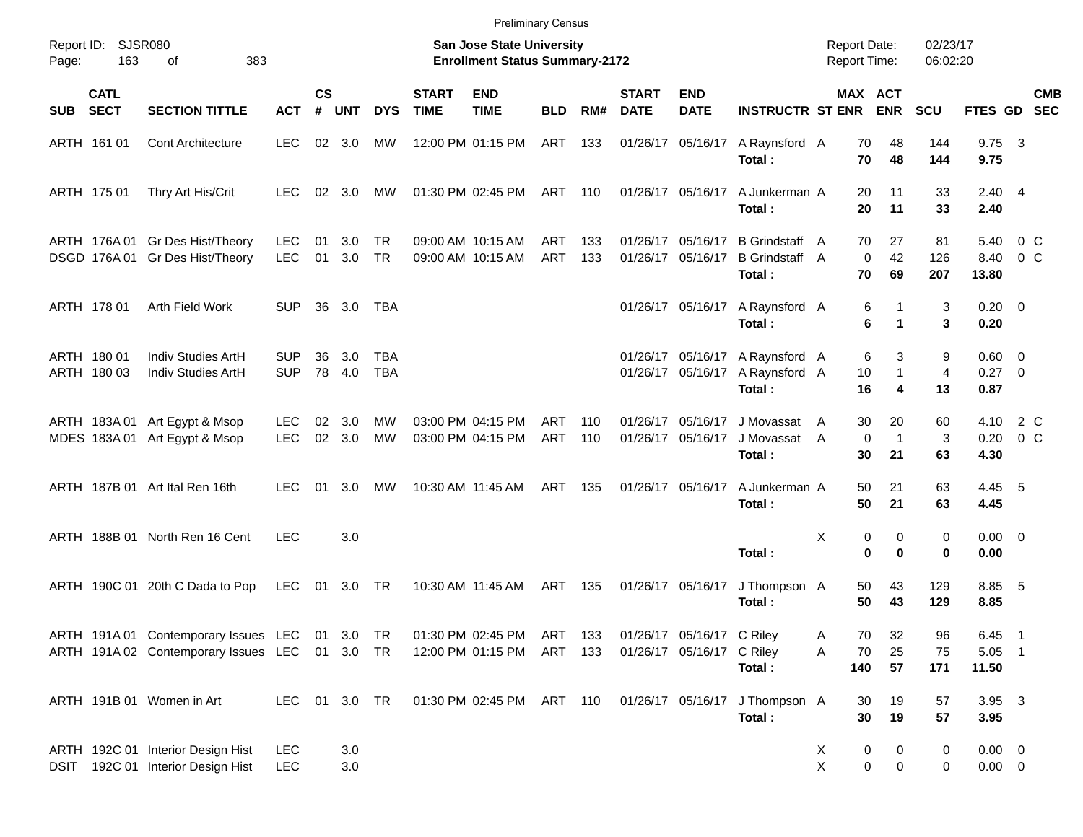|            |                            |                                                                                                  |                          |                    |                |                   |                             | <b>Preliminary Census</b>                                          |            |            |                             |                                                        |                                                                    |                                            |                                         |                           |                                    |                           |
|------------|----------------------------|--------------------------------------------------------------------------------------------------|--------------------------|--------------------|----------------|-------------------|-----------------------------|--------------------------------------------------------------------|------------|------------|-----------------------------|--------------------------------------------------------|--------------------------------------------------------------------|--------------------------------------------|-----------------------------------------|---------------------------|------------------------------------|---------------------------|
| Page:      | Report ID: SJSR080<br>163  | 383<br>of                                                                                        |                          |                    |                |                   |                             | San Jose State University<br><b>Enrollment Status Summary-2172</b> |            |            |                             |                                                        |                                                                    | <b>Report Date:</b><br><b>Report Time:</b> |                                         | 02/23/17<br>06:02:20      |                                    |                           |
| <b>SUB</b> | <b>CATL</b><br><b>SECT</b> | <b>SECTION TITTLE</b>                                                                            | <b>ACT</b>               | $\mathsf{cs}$<br># | <b>UNT</b>     | <b>DYS</b>        | <b>START</b><br><b>TIME</b> | <b>END</b><br><b>TIME</b>                                          | <b>BLD</b> | RM#        | <b>START</b><br><b>DATE</b> | <b>END</b><br><b>DATE</b>                              | <b>INSTRUCTR ST ENR</b>                                            |                                            | MAX ACT<br><b>ENR</b>                   | <b>SCU</b>                |                                    | <b>CMB</b><br>FTES GD SEC |
|            | ARTH 161 01                | <b>Cont Architecture</b>                                                                         | LEC.                     |                    | 02 3.0         | МW                |                             | 12:00 PM 01:15 PM                                                  | ART 133    |            |                             | 01/26/17 05/16/17                                      | A Raynsford A<br>Total:                                            | 70                                         | 48<br>70<br>48                          | 144<br>144                | $9.75 \quad 3$<br>9.75             |                           |
|            | ARTH 175 01                | Thry Art His/Crit                                                                                | LEC.                     |                    | $02 \quad 3.0$ | MW                |                             | 01:30 PM 02:45 PM                                                  | ART 110    |            |                             | 01/26/17 05/16/17                                      | A Junkerman A<br>Total:                                            | 20<br>20                                   | 11<br>11                                | 33<br>33                  | $2.40 \quad 4$<br>2.40             |                           |
|            |                            | ARTH 176A 01 Gr Des Hist/Theory<br>DSGD 176A 01 Gr Des Hist/Theory                               | <b>LEC</b><br><b>LEC</b> | 01<br>01           | 3.0<br>3.0     | TR<br><b>TR</b>   |                             | 09:00 AM 10:15 AM<br>09:00 AM 10:15 AM                             | ART<br>ART | 133<br>133 |                             | 01/26/17 05/16/17<br>01/26/17 05/16/17                 | <b>B</b> Grindstaff<br><b>B</b> Grindstaff<br>Total:               | 70<br>A<br>A<br>70                         | 27<br>42<br>$\mathbf 0$<br>69           | 81<br>126<br>207          | 5.40<br>8.40<br>13.80              | $0\,$ C<br>$0\,C$         |
|            | ARTH 178 01                | Arth Field Work                                                                                  | <b>SUP</b>               | 36                 | 3.0            | TBA               |                             |                                                                    |            |            |                             | 01/26/17 05/16/17                                      | A Raynsford A<br>Total:                                            |                                            | 6<br>1<br>6<br>1                        | 3<br>3                    | $0.20 \ 0$<br>0.20                 |                           |
|            | ARTH 180 01<br>ARTH 180 03 | Indiv Studies ArtH<br>Indiv Studies ArtH                                                         | <b>SUP</b><br><b>SUP</b> | 36<br>78           | 3.0<br>4.0     | TBA<br><b>TBA</b> |                             |                                                                    |            |            |                             | 01/26/17 05/16/17                                      | 01/26/17 05/16/17 A Raynsford A<br>A Raynsford A<br>Total:         | 10<br>16                                   | 6<br>3<br>$\mathbf{1}$<br>4             | 9<br>$\overline{4}$<br>13 | $0.60 \quad 0$<br>$0.27$ 0<br>0.87 |                           |
|            |                            | ARTH 183A 01 Art Egypt & Msop<br>MDES 183A 01 Art Egypt & Msop                                   | <b>LEC</b><br><b>LEC</b> | 02<br>02           | 3.0<br>3.0     | MW<br><b>MW</b>   |                             | 03:00 PM 04:15 PM<br>03:00 PM 04:15 PM                             | ART<br>ART | 110<br>110 |                             | 01/26/17 05/16/17<br>01/26/17 05/16/17                 | J Movassat<br>J Movassat<br>Total:                                 | 30<br>A<br>A<br>30                         | 20<br>$\mathbf 0$<br>$\mathbf{1}$<br>21 | 60<br>3<br>63             | 4.10<br>0.20<br>4.30               | 2 C<br>$0\,$ C            |
|            |                            | ARTH 187B 01 Art Ital Ren 16th                                                                   | LEC.                     | 01                 | 3.0            | МW                |                             | 10:30 AM 11:45 AM                                                  | ART        | 135        |                             | 01/26/17 05/16/17                                      | A Junkerman A<br>Total:                                            | 50<br>50                                   | 21<br>21                                | 63<br>63                  | 4.45 5<br>4.45                     |                           |
|            |                            | ARTH 188B 01 North Ren 16 Cent                                                                   | <b>LEC</b>               |                    | 3.0            |                   |                             |                                                                    |            |            |                             |                                                        | Total:                                                             | X                                          | 0<br>0<br>$\bf{0}$<br>$\bf{0}$          | $\mathbf 0$<br>0          | $0.00 \t 0$<br>0.00                |                           |
|            |                            | ARTH 190C 01 20th C Dada to Pop                                                                  | LEC                      | 01                 | 3.0 TR         |                   |                             | 10:30 AM 11:45 AM                                                  | ART 135    |            |                             | 01/26/17 05/16/17                                      | J Thompson A<br>Total:                                             | 50<br>50                                   | 43<br>43                                | 129<br>129                | 8.85 5<br>8.85                     |                           |
|            |                            | ARTH 191A 01 Contemporary Issues LEC 01 3.0 TR<br>ARTH 191A 02 Contemporary Issues LEC 01 3.0 TR |                          |                    |                |                   |                             | 01:30 PM 02:45 PM ART 133<br>12:00 PM 01:15 PM ART 133             |            |            |                             | 01/26/17 05/16/17 C Riley<br>01/26/17 05/16/17 C Riley | Total:                                                             | 70<br>Α<br>70<br>Α<br>140                  | 32<br>25<br>57                          | 96<br>75<br>171           | 6.45 1<br>$5.05$ 1<br>11.50        |                           |
|            |                            | ARTH 191B 01 Women in Art                                                                        | LEC 01 3.0 TR            |                    |                |                   |                             |                                                                    |            |            |                             |                                                        | 01:30 PM 02:45 PM ART 110 01/26/17 05/16/17 J Thompson A<br>Total: | 30<br>30                                   | 19<br>19                                | 57<br>57                  | 3.95 3<br>3.95                     |                           |
|            |                            | ARTH 192C 01 Interior Design Hist<br>DSIT 192C 01 Interior Design Hist                           | <b>LEC</b><br><b>LEC</b> |                    | 3.0<br>3.0     |                   |                             |                                                                    |            |            |                             |                                                        |                                                                    | X<br>X                                     | 0<br>0<br>$\mathbf 0$<br>$\pmb{0}$      | 0<br>0                    | $0.00 \t 0$<br>$0.00 \t 0$         |                           |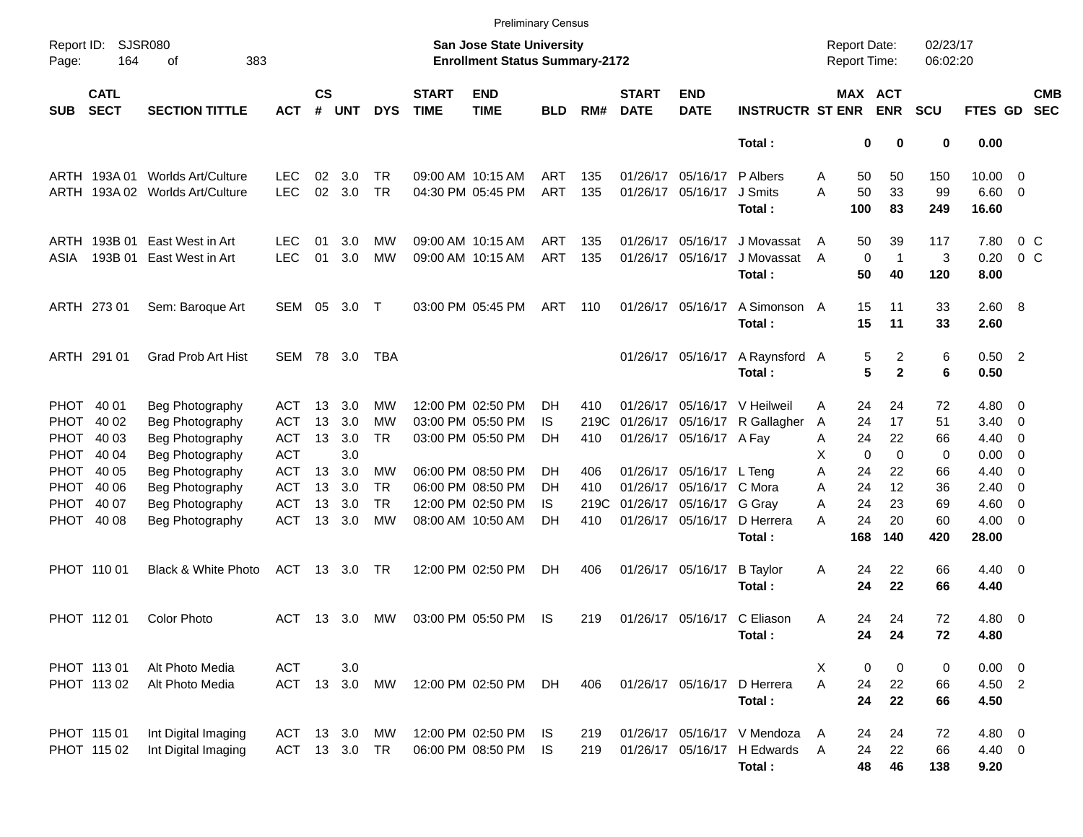|                     |                            |                                 |            |                    |               |            |                             |                                                                           | <b>Preliminary Census</b> |      |                             |                           |                              |                                     |                             |                      |                |                          |                          |
|---------------------|----------------------------|---------------------------------|------------|--------------------|---------------|------------|-----------------------------|---------------------------------------------------------------------------|---------------------------|------|-----------------------------|---------------------------|------------------------------|-------------------------------------|-----------------------------|----------------------|----------------|--------------------------|--------------------------|
| Report ID:<br>Page: | 164                        | <b>SJSR080</b><br>383<br>οf     |            |                    |               |            |                             | <b>San Jose State University</b><br><b>Enrollment Status Summary-2172</b> |                           |      |                             |                           |                              | <b>Report Date:</b><br>Report Time: |                             | 02/23/17<br>06:02:20 |                |                          |                          |
| <b>SUB</b>          | <b>CATL</b><br><b>SECT</b> | <b>SECTION TITTLE</b>           | <b>ACT</b> | $\mathsf{cs}$<br># | <b>UNT</b>    | <b>DYS</b> | <b>START</b><br><b>TIME</b> | <b>END</b><br><b>TIME</b>                                                 | <b>BLD</b>                | RM#  | <b>START</b><br><b>DATE</b> | <b>END</b><br><b>DATE</b> | <b>INSTRUCTR ST ENR</b>      |                                     | MAX ACT<br><b>ENR</b>       | <b>SCU</b>           | FTES GD        |                          | <b>CMB</b><br><b>SEC</b> |
|                     |                            |                                 |            |                    |               |            |                             |                                                                           |                           |      |                             |                           | Total:                       |                                     | 0<br>0                      | 0                    | 0.00           |                          |                          |
|                     | ARTH 193A 01               | Worlds Art/Culture              | <b>LEC</b> | 02                 | 3.0           | TR         |                             | 09:00 AM 10:15 AM                                                         | ART                       | 135  |                             | 01/26/17 05/16/17         | P Albers                     | Α                                   | 50<br>50                    | 150                  | 10.00          | $\overline{\phantom{0}}$ |                          |
|                     |                            | ARTH 193A 02 Worlds Art/Culture | <b>LEC</b> | 02                 | 3.0           | <b>TR</b>  |                             | 04:30 PM 05:45 PM                                                         | <b>ART</b>                | 135  |                             | 01/26/17 05/16/17         | J Smits                      | А                                   | 50<br>33                    | 99                   | $6.60$ 0       |                          |                          |
|                     |                            |                                 |            |                    |               |            |                             |                                                                           |                           |      |                             |                           | Total:                       | 100                                 | 83                          | 249                  | 16.60          |                          |                          |
|                     | ARTH 193B 01               | East West in Art                | <b>LEC</b> | 01                 | 3.0           | MW         |                             | 09:00 AM 10:15 AM                                                         | ART                       | 135  |                             | 01/26/17 05/16/17         | J Movassat                   | A                                   | 39<br>50                    | 117                  | 7.80           | 0 <sup>o</sup>           |                          |
| ASIA                | 193B 01                    | East West in Art                | <b>LEC</b> | 01                 | 3.0           | MW         |                             | 09:00 AM 10:15 AM                                                         | <b>ART</b>                | 135  |                             | 01/26/17 05/16/17         | J Movassat                   | A                                   | $\mathbf 0$<br>$\mathbf{1}$ | 3                    | 0.20           | 0 <sup>o</sup>           |                          |
|                     |                            |                                 |            |                    |               |            |                             |                                                                           |                           |      |                             |                           | Total:                       |                                     | 50<br>40                    | 120                  | 8.00           |                          |                          |
|                     | ARTH 273 01                | Sem: Baroque Art                | SEM 05     |                    | 3.0           | $\top$     |                             | 03:00 PM 05:45 PM                                                         | ART                       | 110  |                             | 01/26/17 05/16/17         | A Simonson A                 |                                     | 15<br>11                    | 33                   | 2.60 8         |                          |                          |
|                     |                            |                                 |            |                    |               |            |                             |                                                                           |                           |      |                             |                           | Total:                       |                                     | 15<br>11                    | 33                   | 2.60           |                          |                          |
|                     | ARTH 291 01                | <b>Grad Prob Art Hist</b>       | SEM 78 3.0 |                    |               | TBA        |                             |                                                                           |                           |      |                             | 01/26/17 05/16/17         | A Raynsford A                |                                     | 5<br>2                      | 6                    | $0.50$ 2       |                          |                          |
|                     |                            |                                 |            |                    |               |            |                             |                                                                           |                           |      |                             |                           | Total:                       |                                     | 5<br>$\mathbf{2}$           | 6                    | 0.50           |                          |                          |
|                     | PHOT 40 01                 | Beg Photography                 | ACT        | 13                 | 3.0           | MW         |                             | 12:00 PM 02:50 PM                                                         | DH.                       | 410  |                             |                           | 01/26/17 05/16/17 V Heilweil | Α                                   | 24<br>24                    | 72                   | $4.80\ 0$      |                          |                          |
| PHOT                | 40 02                      | Beg Photography                 | ACT        | 13                 | 3.0           | MW         |                             | 03:00 PM 05:50 PM                                                         | IS                        | 219C |                             | 01/26/17 05/16/17         | R Gallagher                  | A                                   | 24<br>17                    | 51                   | 3.40           | $\overline{\phantom{0}}$ |                          |
|                     | PHOT 40 03                 | Beg Photography                 | <b>ACT</b> | 13                 | 3.0           | TR         |                             | 03:00 PM 05:50 PM                                                         | DH                        | 410  |                             | 01/26/17 05/16/17 A Fay   |                              | Α                                   | 24<br>22                    | 66                   | 4.40           | $\overline{\phantom{0}}$ |                          |
|                     | PHOT 40 04                 | Beg Photography                 | <b>ACT</b> |                    | 3.0           |            |                             |                                                                           |                           |      |                             |                           |                              | х                                   | 0<br>0                      | 0                    | 0.00           | - 0                      |                          |
|                     | PHOT 40 05                 | Beg Photography                 | <b>ACT</b> | 13                 | 3.0           | MW         |                             | 06:00 PM 08:50 PM                                                         | DН                        | 406  |                             | 01/26/17 05/16/17 L Teng  |                              | Α                                   | 24<br>22                    | 66                   | 4.40           | 0                        |                          |
|                     | PHOT 40 06                 | Beg Photography                 | <b>ACT</b> | 13                 | 3.0           | TR.        |                             | 06:00 PM 08:50 PM                                                         | DН                        | 410  |                             | 01/26/17 05/16/17 C Mora  |                              | A                                   | 12<br>24                    | 36                   | 2.40           | $\overline{\mathbf{0}}$  |                          |
|                     | PHOT 40 07                 | Beg Photography                 | <b>ACT</b> | 13                 | 3.0           | <b>TR</b>  |                             | 12:00 PM 02:50 PM                                                         | IS                        | 219C |                             | 01/26/17 05/16/17 G Gray  |                              | A                                   | 24<br>23                    | 69                   | 4.60           | $\overline{\phantom{0}}$ |                          |
|                     | PHOT 40 08                 | Beg Photography                 | <b>ACT</b> | 13                 | 3.0           | МW         |                             | 08:00 AM 10:50 AM                                                         | DН                        | 410  |                             | 01/26/17 05/16/17         | D Herrera                    | A                                   | 24<br>20                    | 60                   | 4.00           | $\overline{\phantom{0}}$ |                          |
|                     |                            |                                 |            |                    |               |            |                             |                                                                           |                           |      |                             |                           | Total:                       | 168                                 | 140                         | 420                  | 28.00          |                          |                          |
|                     | PHOT 110 01                | Black & White Photo             | <b>ACT</b> |                    | 13 3.0        | <b>TR</b>  |                             | 12:00 PM 02:50 PM                                                         | DH.                       | 406  |                             | 01/26/17 05/16/17         | <b>B</b> Taylor              | Α                                   | 22<br>24                    | 66                   | $4.40 \quad 0$ |                          |                          |
|                     |                            |                                 |            |                    |               |            |                             |                                                                           |                           |      |                             |                           | Total:                       |                                     | 24<br>22                    | 66                   | 4.40           |                          |                          |
|                     | PHOT 11201                 | <b>Color Photo</b>              | ACT        |                    | 13 3.0        | МW         |                             | 03:00 PM 05:50 PM                                                         | IS                        | 219  |                             |                           | 01/26/17 05/16/17 C Eliason  | Α                                   | 24<br>24                    | 72                   | $4.80$ 0       |                          |                          |
|                     |                            |                                 |            |                    |               |            |                             |                                                                           |                           |      |                             |                           | Total:                       |                                     | 24<br>24                    | 72                   | 4.80           |                          |                          |
|                     | PHOT 113 01                | Alt Photo Media                 | <b>ACT</b> |                    | 3.0           |            |                             |                                                                           |                           |      |                             |                           |                              | X                                   | 0<br>0                      | 0                    | $0.00 \t 0$    |                          |                          |
|                     | PHOT 113 02                | Alt Photo Media                 | ACT        |                    | 13 3.0        | MW         |                             | 12:00 PM 02:50 PM                                                         | DH                        | 406  |                             | 01/26/17 05/16/17         | D Herrera                    | Α                                   | 24<br>22                    | 66                   | 4.50 2         |                          |                          |
|                     |                            |                                 |            |                    |               |            |                             |                                                                           |                           |      |                             |                           | Total:                       |                                     | 24<br>22                    | 66                   | 4.50           |                          |                          |
|                     | PHOT 115 01                | Int Digital Imaging             | ACT        |                    | 13 3.0        | МW         |                             | 12:00 PM 02:50 PM                                                         | IS.                       | 219  |                             |                           | 01/26/17 05/16/17 V Mendoza  | A                                   | 24<br>24                    | 72                   | 4.80 0         |                          |                          |
|                     | PHOT 115 02                | Int Digital Imaging             |            |                    | ACT 13 3.0 TR |            |                             | 06:00 PM 08:50 PM                                                         | IS                        | 219  |                             |                           | 01/26/17 05/16/17 H Edwards  | A                                   | 24<br>22                    | 66                   | $4.40 \ 0$     |                          |                          |
|                     |                            |                                 |            |                    |               |            |                             |                                                                           |                           |      |                             |                           | Total:                       |                                     | 48<br>46                    | 138                  | 9.20           |                          |                          |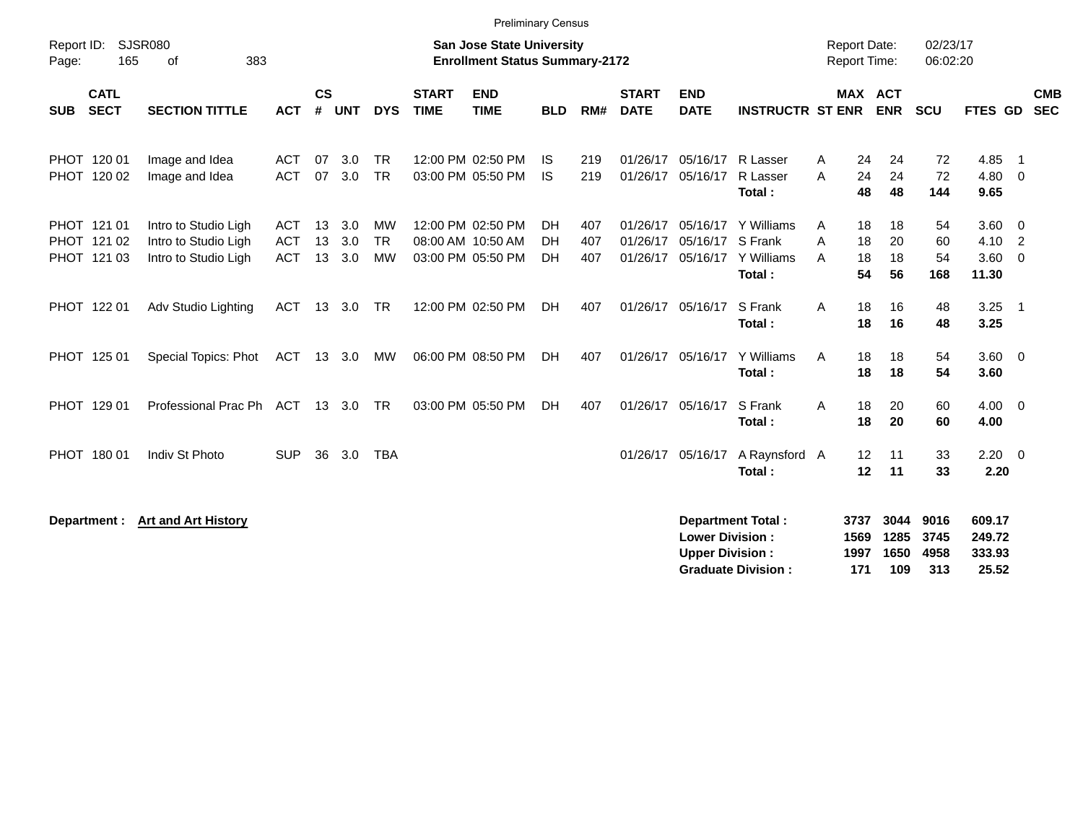|                                           |                                                                      |                                        |                    |                   |                                     |                             |                                                                           | <b>Preliminary Census</b> |                   |                                  |                                                  |                                                                 |                      |                                              |                       |                                               |                            |                          |
|-------------------------------------------|----------------------------------------------------------------------|----------------------------------------|--------------------|-------------------|-------------------------------------|-----------------------------|---------------------------------------------------------------------------|---------------------------|-------------------|----------------------------------|--------------------------------------------------|-----------------------------------------------------------------|----------------------|----------------------------------------------|-----------------------|-----------------------------------------------|----------------------------|--------------------------|
| Report ID:<br>165<br>Page:                | <b>SJSR080</b><br>383<br>οf                                          |                                        |                    |                   |                                     |                             | <b>San Jose State University</b><br><b>Enrollment Status Summary-2172</b> |                           |                   |                                  |                                                  |                                                                 |                      | Report Date:<br><b>Report Time:</b>          | 02/23/17<br>06:02:20  |                                               |                            |                          |
| <b>CATL</b><br><b>SECT</b><br><b>SUB</b>  | <b>SECTION TITTLE</b>                                                | <b>ACT</b>                             | $\mathsf{cs}$<br># | <b>UNT</b>        | <b>DYS</b>                          | <b>START</b><br><b>TIME</b> | <b>END</b><br><b>TIME</b>                                                 | <b>BLD</b>                | RM#               | <b>START</b><br><b>DATE</b>      | <b>END</b><br><b>DATE</b>                        | <b>INSTRUCTR ST ENR</b>                                         |                      | MAX ACT<br><b>ENR</b>                        | <b>SCU</b>            | FTES GD                                       |                            | <b>CMB</b><br><b>SEC</b> |
| PHOT 120 01<br>PHOT 120 02                | Image and Idea<br>Image and Idea                                     | <b>ACT</b><br><b>ACT</b>               | 07<br>07           | 3.0<br>3.0        | <b>TR</b><br><b>TR</b>              |                             | 12:00 PM 02:50 PM<br>03:00 PM 05:50 PM                                    | IS.<br><b>IS</b>          | 219<br>219        | 01/26/17<br>01/26/17             | 05/16/17<br>05/16/17                             | R Lasser<br>R Lasser<br>Total:                                  | Α<br>A               | 24<br>24<br>24<br>24<br>48<br>48             | 72<br>72<br>144       | 4.85<br>4.80<br>9.65                          | - 1<br>- 0                 |                          |
| PHOT 121 01<br>PHOT 121 02<br>PHOT 121 03 | Intro to Studio Ligh<br>Intro to Studio Ligh<br>Intro to Studio Ligh | <b>ACT</b><br><b>ACT</b><br><b>ACT</b> | 13<br>13<br>13     | 3.0<br>3.0<br>3.0 | <b>MW</b><br><b>TR</b><br><b>MW</b> |                             | 12:00 PM 02:50 PM<br>08:00 AM 10:50 AM<br>03:00 PM 05:50 PM               | DH<br>DH<br><b>DH</b>     | 407<br>407<br>407 | 01/26/17<br>01/26/17<br>01/26/17 | 05/16/17                                         | 05/16/17 Y Williams<br>S Frank<br>05/16/17 Y Williams<br>Total: | Α<br>A<br>A          | 18<br>18<br>18<br>20<br>18<br>18<br>54<br>56 | 54<br>60<br>54<br>168 | $3.60 \ 0$<br>4.10<br>$3.60 \quad 0$<br>11.30 | $\overline{2}$             |                          |
| PHOT 122 01                               | Adv Studio Lighting                                                  | <b>ACT</b>                             | 13                 | 3.0               | <b>TR</b>                           |                             | 12:00 PM 02:50 PM                                                         | <b>DH</b>                 | 407               |                                  | 01/26/17 05/16/17                                | S Frank<br>Total:                                               | A                    | 18<br>16<br>18<br>16                         | 48<br>48              | 3.25<br>3.25                                  | $\overline{\phantom{0}}$ 1 |                          |
| PHOT 125 01                               | Special Topics: Phot                                                 | ACT                                    | 13                 | 3.0               | MW                                  |                             | 06:00 PM 08:50 PM                                                         | DH                        | 407               |                                  | 01/26/17 05/16/17                                | Y Williams<br>Total:                                            | A                    | 18<br>18<br>18<br>18                         | 54<br>54              | 3.60 0<br>3.60                                |                            |                          |
| PHOT 129 01                               | Professional Prac Ph ACT                                             |                                        | 13                 | 3.0               | <b>TR</b>                           |                             | 03:00 PM 05:50 PM                                                         | <b>DH</b>                 | 407               | 01/26/17                         | 05/16/17                                         | S Frank<br>Total:                                               | A                    | 20<br>18<br>18<br>20                         | 60<br>60              | $4.00 \ 0$<br>4.00                            |                            |                          |
| PHOT 180 01                               | Indiv St Photo                                                       | <b>SUP</b>                             | 36                 | 3.0               | <b>TBA</b>                          |                             |                                                                           |                           |                   | 01/26/17                         | 05/16/17                                         | A Raynsford A<br>Total:                                         |                      | 12<br>11<br>11<br>12                         | 33<br>33              | $2.20 \t 0$<br>2.20                           |                            |                          |
| Department :                              | <b>Art and Art History</b>                                           |                                        |                    |                   |                                     |                             |                                                                           |                           |                   |                                  | <b>Lower Division:</b><br><b>Upper Division:</b> | Department Total :                                              | 3737<br>1569<br>1997 | 3044<br>1285<br>1650                         | 9016<br>3745<br>4958  | 609.17<br>249.72<br>333.93                    |                            |                          |

**Upper Division : 1997 1650 4958<br>
Graduate Division : 171 109 313** 

**Graduate Division : 171 109 313 25.52**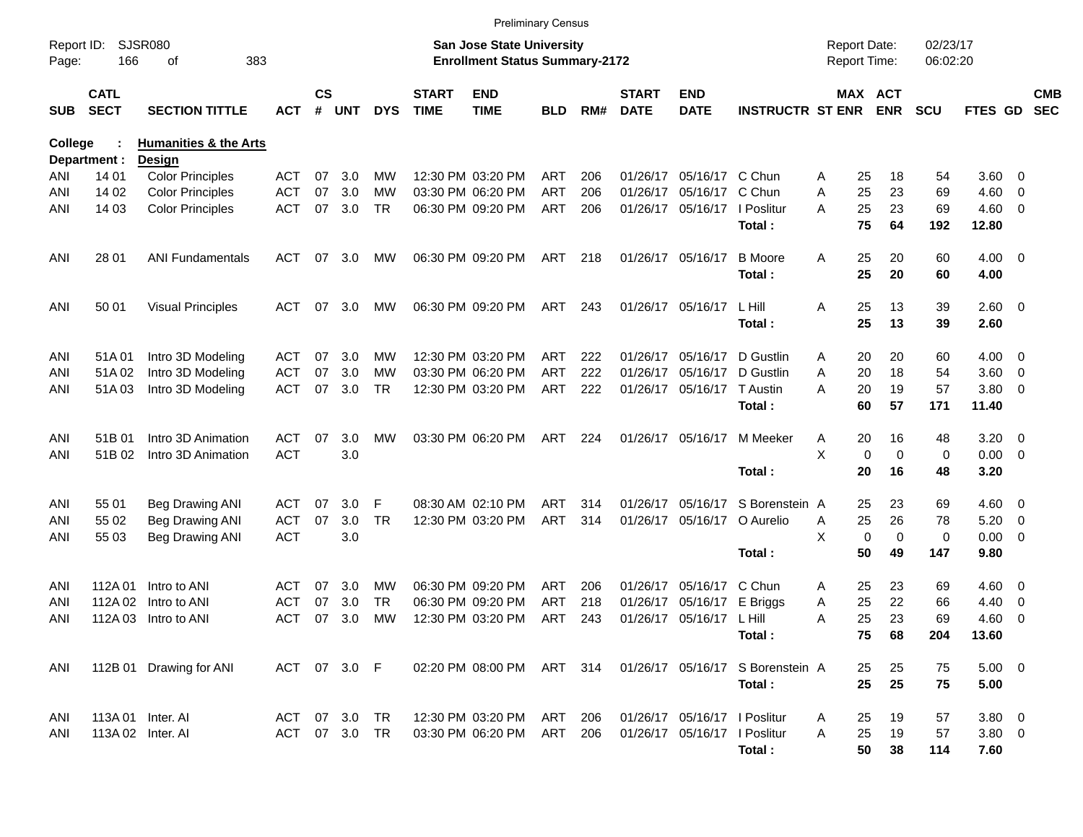|                     |                            |                                  |            |                    |               |            |                             |                                                                    | <b>Preliminary Census</b> |     |                             |                              |                                  |   |                                     |                      |                     |                          |                          |
|---------------------|----------------------------|----------------------------------|------------|--------------------|---------------|------------|-----------------------------|--------------------------------------------------------------------|---------------------------|-----|-----------------------------|------------------------------|----------------------------------|---|-------------------------------------|----------------------|---------------------|--------------------------|--------------------------|
| Report ID:<br>Page: | 166                        | <b>SJSR080</b><br>383<br>οf      |            |                    |               |            |                             | San Jose State University<br><b>Enrollment Status Summary-2172</b> |                           |     |                             |                              |                                  |   | <b>Report Date:</b><br>Report Time: | 02/23/17<br>06:02:20 |                     |                          |                          |
| <b>SUB</b>          | <b>CATL</b><br><b>SECT</b> | <b>SECTION TITTLE</b>            | ACT        | $\mathsf{cs}$<br># | <b>UNT</b>    | <b>DYS</b> | <b>START</b><br><b>TIME</b> | <b>END</b><br><b>TIME</b>                                          | BLD                       | RM# | <b>START</b><br><b>DATE</b> | <b>END</b><br><b>DATE</b>    | <b>INSTRUCTR ST ENR</b>          |   | <b>MAX ACT</b><br><b>ENR</b>        | <b>SCU</b>           | FTES GD             |                          | <b>CMB</b><br><b>SEC</b> |
| College             |                            | <b>Humanities &amp; the Arts</b> |            |                    |               |            |                             |                                                                    |                           |     |                             |                              |                                  |   |                                     |                      |                     |                          |                          |
|                     | Department :               | Design                           |            |                    |               |            |                             |                                                                    |                           |     |                             |                              |                                  |   |                                     |                      |                     |                          |                          |
| ANI                 | 14 01                      | <b>Color Principles</b>          | ACT        | 07                 | 3.0           | мw         |                             | 12:30 PM 03:20 PM                                                  | ART                       | 206 | 01/26/17                    | 05/16/17                     | C Chun                           | Α | 18<br>25                            | 54                   | $3.60 \quad 0$      |                          |                          |
| ANI                 | 14 02                      | <b>Color Principles</b>          | <b>ACT</b> | 07                 | 3.0           | МW         |                             | 03:30 PM 06:20 PM                                                  | <b>ART</b>                | 206 | 01/26/17                    | 05/16/17                     | C Chun                           | Α | 25<br>23                            | 69                   | 4.60                | $\overline{\phantom{0}}$ |                          |
| ANI                 | 14 03                      | <b>Color Principles</b>          | <b>ACT</b> | 07                 | 3.0           | <b>TR</b>  |                             | 06:30 PM 09:20 PM                                                  | ART                       | 206 | 01/26/17                    | 05/16/17                     | I Poslitur<br>Total:             | A | 25<br>23<br>75<br>64                | 69<br>192            | $4.60$ 0<br>12.80   |                          |                          |
| ANI                 | 28 01                      | <b>ANI Fundamentals</b>          | <b>ACT</b> | 07                 | 3.0           | MW         |                             | 06:30 PM 09:20 PM                                                  | ART                       | 218 |                             | 01/26/17 05/16/17            | <b>B</b> Moore<br>Total:         | Α | 25<br>20<br>25<br>20                | 60<br>60             | $4.00 \ 0$<br>4.00  |                          |                          |
| ANI                 | 50 01                      | <b>Visual Principles</b>         | <b>ACT</b> | 07                 | 3.0           | MW         |                             | 06:30 PM 09:20 PM                                                  | ART                       | 243 |                             | 01/26/17 05/16/17            | L Hill<br>Total:                 | Α | 13<br>25<br>25<br>13                | 39<br>39             | $2.60 \t 0$<br>2.60 |                          |                          |
| ANI                 | 51A 01                     | Intro 3D Modeling                | ACT        | 07                 | 3.0           | MW         |                             | 12:30 PM 03:20 PM                                                  | ART                       | 222 | 01/26/17                    | 05/16/17                     | D Gustlin                        | A | 20<br>20                            | 60                   | $4.00 \ 0$          |                          |                          |
| ANI                 | 51A02                      | Intro 3D Modeling                | <b>ACT</b> | 07                 | 3.0           | МW         |                             | 03:30 PM 06:20 PM                                                  | <b>ART</b>                | 222 | 01/26/17                    | 05/16/17                     | D Gustlin                        | Α | 20<br>18                            | 54                   | 3.60                | $\overline{\phantom{0}}$ |                          |
| ANI                 | 51A03                      | Intro 3D Modeling                | <b>ACT</b> | 07                 | 3.0           | <b>TR</b>  |                             | 12:30 PM 03:20 PM                                                  | ART                       | 222 |                             | 01/26/17 05/16/17 T Austin   |                                  | Α | 20<br>19                            | 57                   | 3.80                | $\overline{\phantom{0}}$ |                          |
|                     |                            |                                  |            |                    |               |            |                             |                                                                    |                           |     |                             |                              | Total:                           |   | 60<br>57                            | 171                  | 11.40               |                          |                          |
| ANI                 | 51B 01                     | Intro 3D Animation               | ACT        | 07                 | 3.0           | <b>MW</b>  |                             | 03:30 PM 06:20 PM                                                  | ART                       | 224 |                             | 01/26/17 05/16/17            | M Meeker                         | A | 20<br>16                            | 48                   | 3.20                | $\overline{\phantom{0}}$ |                          |
| ANI                 | 51B 02                     | Intro 3D Animation               | <b>ACT</b> |                    | 3.0           |            |                             |                                                                    |                           |     |                             |                              |                                  | X | 0<br>$\mathbf 0$                    | 0                    | $0.00 \t 0$         |                          |                          |
|                     |                            |                                  |            |                    |               |            |                             |                                                                    |                           |     |                             |                              | Total:                           |   | 20<br>16                            | 48                   | 3.20                |                          |                          |
| ANI                 | 55 01                      | <b>Beg Drawing ANI</b>           | ACT        | 07                 | 3.0           | F          |                             | 08:30 AM 02:10 PM                                                  | ART                       | 314 | 01/26/17                    | 05/16/17                     | S Borenstein A                   |   | 25<br>23                            | 69                   | $4.60$ 0            |                          |                          |
| ANI                 | 55 02                      | Beg Drawing ANI                  | ACT        | 07                 | 3.0           | <b>TR</b>  |                             | 12:30 PM 03:20 PM                                                  | ART                       | 314 |                             | 01/26/17 05/16/17            | O Aurelio                        | Α | 25<br>26                            | 78                   | 5.20                | $\overline{\mathbf{0}}$  |                          |
| ANI                 | 55 03                      | Beg Drawing ANI                  | <b>ACT</b> |                    | 3.0           |            |                             |                                                                    |                           |     |                             |                              |                                  | X | $\mathbf 0$<br>$\mathbf 0$          | 0                    | 0.00                | $\overline{\phantom{0}}$ |                          |
|                     |                            |                                  |            |                    |               |            |                             |                                                                    |                           |     |                             |                              | Total:                           |   | 50<br>49                            | 147                  | 9.80                |                          |                          |
| ANI                 | 112A 01                    | Intro to ANI                     | ACT        | 07                 | 3.0           | MW         |                             | 06:30 PM 09:20 PM                                                  | ART                       | 206 | 01/26/17                    | 05/16/17                     | C Chun                           | A | 25<br>23                            | 69                   | $4.60 \ 0$          |                          |                          |
| ANI                 | 112A 02                    | Intro to ANI                     | <b>ACT</b> | 07                 | 3.0           | <b>TR</b>  |                             | 06:30 PM 09:20 PM                                                  | ART                       | 218 | 01/26/17                    | 05/16/17                     | E Briggs                         | Α | 25<br>22                            | 66                   | 4.40                | $\overline{\mathbf{0}}$  |                          |
| ANI                 | 112A 03                    | Intro to ANI                     | <b>ACT</b> | 07                 | 3.0           | МW         |                             | 12:30 PM 03:20 PM                                                  | ART                       | 243 |                             | 01/26/17 05/16/17 L Hill     |                                  | A | 25<br>23                            | 69                   | 4.60                | - 0                      |                          |
|                     |                            |                                  |            |                    |               |            |                             |                                                                    |                           |     |                             |                              | Total:                           |   | 75<br>68                            | 204                  | 13.60               |                          |                          |
| ANI                 |                            | 112B 01 Drawing for ANI          |            |                    | ACT 07 3.0 F  |            |                             | 02:20 PM 08:00 PM ART 314                                          |                           |     |                             |                              | 01/26/17 05/16/17 S Borenstein A |   | 25<br>25                            | 75                   | $5.00 \t 0$         |                          |                          |
|                     |                            |                                  |            |                    |               |            |                             |                                                                    |                           |     |                             |                              | Total:                           |   | 25<br>25                            | 75                   | 5.00                |                          |                          |
| ANI                 |                            | 113A 01 Inter. AI                | ACT 07 3.0 |                    |               | TR         |                             | 12:30 PM 03:20 PM                                                  | ART 206                   |     |                             | 01/26/17 05/16/17   Poslitur |                                  | A | 25<br>19                            | 57                   | $3.80\ 0$           |                          |                          |
| ANI                 |                            | 113A 02 Inter. AI                |            |                    | ACT 07 3.0 TR |            |                             | 03:30 PM 06:20 PM                                                  | ART 206                   |     |                             | 01/26/17 05/16/17   Poslitur |                                  | Α | 25<br>19                            | 57                   | $3.80\ 0$           |                          |                          |
|                     |                            |                                  |            |                    |               |            |                             |                                                                    |                           |     |                             |                              | Total:                           |   | 50<br>38                            | 114                  | 7.60                |                          |                          |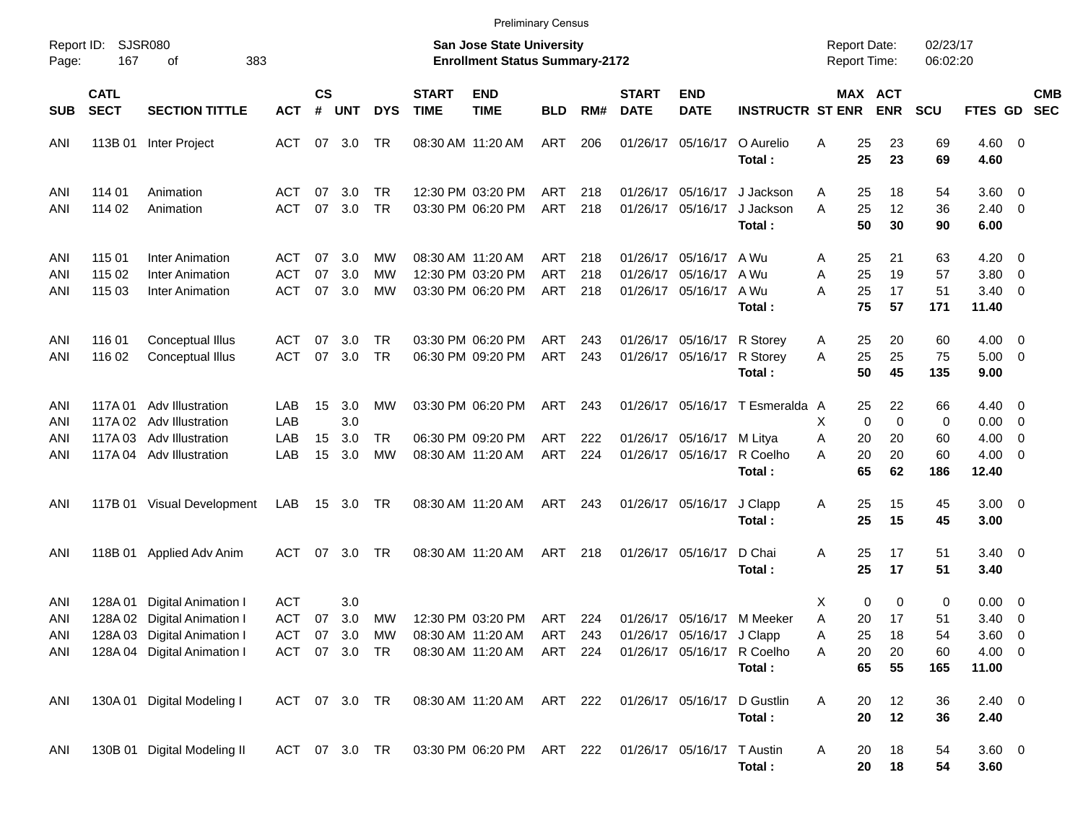|                          |                            |                                                                                                                  |                          |                    |                                              |                        |                             | <b>Preliminary Census</b>                                           |                          |                   |                             |                                                    |                                                                    |                                                         |                                     |                            |                                                              |                                                      |            |
|--------------------------|----------------------------|------------------------------------------------------------------------------------------------------------------|--------------------------|--------------------|----------------------------------------------|------------------------|-----------------------------|---------------------------------------------------------------------|--------------------------|-------------------|-----------------------------|----------------------------------------------------|--------------------------------------------------------------------|---------------------------------------------------------|-------------------------------------|----------------------------|--------------------------------------------------------------|------------------------------------------------------|------------|
| Report ID:<br>Page:      | 167                        | <b>SJSR080</b><br>383<br>οf                                                                                      |                          |                    |                                              |                        |                             | San Jose State University<br><b>Enrollment Status Summary-2172</b>  |                          |                   |                             |                                                    |                                                                    | <b>Report Date:</b><br>Report Time:                     |                                     | 02/23/17<br>06:02:20       |                                                              |                                                      |            |
| <b>SUB</b>               | <b>CATL</b><br><b>SECT</b> | <b>SECTION TITTLE</b>                                                                                            | <b>ACT</b>               | $\mathsf{cs}$<br># | <b>UNT</b>                                   | <b>DYS</b>             | <b>START</b><br><b>TIME</b> | <b>END</b><br><b>TIME</b>                                           | <b>BLD</b>               | RM#               | <b>START</b><br><b>DATE</b> | <b>END</b><br><b>DATE</b>                          | <b>INSTRUCTR ST ENR</b>                                            | MAX ACT                                                 | <b>ENR</b>                          | <b>SCU</b>                 | FTES GD SEC                                                  |                                                      | <b>CMB</b> |
| ANI                      | 113B 01                    | Inter Project                                                                                                    | ACT                      |                    | 07 3.0                                       | TR                     |                             | 08:30 AM 11:20 AM                                                   | ART                      | 206               |                             | 01/26/17 05/16/17                                  | O Aurelio<br>Total:                                                | 25<br>Α<br>25                                           | 23<br>23                            | 69<br>69                   | $4.60 \ 0$<br>4.60                                           |                                                      |            |
| ANI<br>ANI               | 114 01<br>114 02           | Animation<br>Animation                                                                                           | ACT<br><b>ACT</b>        | 07<br>07           | 3.0<br>3.0                                   | TR.<br><b>TR</b>       |                             | 12:30 PM 03:20 PM<br>03:30 PM 06:20 PM                              | ART<br>ART               | 218<br>218        |                             | 01/26/17 05/16/17<br>01/26/17 05/16/17             | J Jackson<br>J Jackson<br>Total:                                   | 25<br>Α<br>A<br>25<br>50                                | 18<br>12<br>30                      | 54<br>36<br>90             | $3.60 \ 0$<br>$2.40 \quad 0$<br>6.00                         |                                                      |            |
| ANI<br>ANI<br>ANI        | 115 01<br>115 02<br>115 03 | <b>Inter Animation</b><br><b>Inter Animation</b><br>Inter Animation                                              | ACT<br>ACT<br><b>ACT</b> | 07<br>07<br>07     | 3.0<br>3.0<br>3.0                            | MW<br>MW<br><b>MW</b>  |                             | 08:30 AM 11:20 AM<br>12:30 PM 03:20 PM<br>03:30 PM 06:20 PM         | ART<br><b>ART</b><br>ART | 218<br>218<br>218 | 01/26/17                    | 01/26/17 05/16/17<br>05/16/17<br>01/26/17 05/16/17 | A Wu<br>A Wu<br>A Wu<br>Total:                                     | 25<br>Α<br>25<br>A<br>25<br>A<br>75                     | 21<br>19<br>17<br>57                | 63<br>57<br>51<br>171      | 4.20<br>3.80<br>$3.40 \ 0$<br>11.40                          | $\overline{\phantom{0}}$<br>$\overline{\phantom{0}}$ |            |
| ANI<br>ANI               | 116 01<br>116 02           | Conceptual Illus<br>Conceptual Illus                                                                             | ACT<br><b>ACT</b>        | 07<br>07           | 3.0<br>3.0                                   | TR.<br><b>TR</b>       |                             | 03:30 PM 06:20 PM<br>06:30 PM 09:20 PM                              | ART<br>ART               | 243<br>243        |                             | 01/26/17 05/16/17<br>01/26/17 05/16/17             | R Storey<br>R Storey<br>Total:                                     | 25<br>A<br>A<br>25<br>50                                | 20<br>25<br>45                      | 60<br>75<br>135            | $4.00 \ 0$<br>$5.00 \t 0$<br>9.00                            |                                                      |            |
| ANI<br>ANI<br>ANI<br>ANI | 117A 01                    | <b>Adv Illustration</b><br>117A 02 Adv Illustration<br>117A 03 Adv Illustration<br>117A 04 Adv Illustration      | LAB<br>LAB<br>LAB<br>LAB | 15<br>15<br>15     | 3.0<br>3.0<br>3.0<br>3.0                     | МW<br>TR.<br><b>MW</b> |                             | 03:30 PM 06:20 PM<br>06:30 PM 09:20 PM<br>08:30 AM 11:20 AM         | ART<br>ART<br>ART        | 243<br>222<br>224 |                             | 01/26/17 05/16/17 M Litya<br>01/26/17 05/16/17     | 01/26/17 05/16/17 T Esmeralda A<br>R Coelho<br>Total:              | 25<br>$\mathbf 0$<br>X<br>20<br>Α<br>20<br>А<br>65      | 22<br>$\mathbf 0$<br>20<br>20<br>62 | 66<br>0<br>60<br>60<br>186 | $4.40 \quad 0$<br>$0.00 \t 0$<br>4.00<br>$4.00 \ 0$<br>12.40 | $\overline{\phantom{0}}$                             |            |
| ANI                      |                            | 117B 01 Visual Development                                                                                       | LAB                      |                    | 15 3.0 TR                                    |                        |                             | 08:30 AM 11:20 AM                                                   | ART                      | 243               |                             | 01/26/17 05/16/17                                  | J Clapp<br>Total:                                                  | Α<br>25<br>25                                           | 15<br>15                            | 45<br>45                   | $3.00 \ 0$<br>3.00                                           |                                                      |            |
| ANI                      | 118B 01                    | Applied Adv Anim                                                                                                 | ACT                      | 07                 | 3.0                                          | TR.                    |                             | 08:30 AM 11:20 AM                                                   | ART                      | 218               |                             | 01/26/17 05/16/17                                  | D Chai<br>Total:                                                   | A<br>25<br>25                                           | 17<br>17                            | 51<br>51                   | $3.40 \ 0$<br>3.40                                           |                                                      |            |
| ANI<br>ANI<br>ANI<br>ANI | 128A 01                    | Digital Animation I<br>128A 02 Digital Animation I<br>128A 03 Digital Animation I<br>128A 04 Digital Animation I | <b>ACT</b><br><b>ACT</b> | 07                 | 3.0<br>3.0<br>ACT 07 3.0 MW<br>ACT 07 3.0 TR | МW                     |                             | 12:30 PM 03:20 PM<br>08:30 AM 11:20 AM ART 243<br>08:30 AM 11:20 AM | ART 224<br>ART 224       |                   |                             | 01/26/17 05/16/17 J Clapp                          | 01/26/17 05/16/17 M Meeker<br>01/26/17 05/16/17 R Coelho<br>Total: | $\mathbf 0$<br>X<br>A<br>20<br>25<br>Α<br>Α<br>20<br>65 | 0<br>17<br>18<br>20<br>55           | 0<br>51<br>54<br>60<br>165 | $0.00 \t 0$<br>3.40<br>$3.60 \ 0$<br>$4.00 \ 0$<br>11.00     | $\overline{\phantom{0}}$                             |            |
| ANI                      |                            | 130A 01 Digital Modeling I                                                                                       | ACT 07 3.0 TR            |                    |                                              |                        |                             | 08:30 AM 11:20 AM ART 222                                           |                          |                   |                             | 01/26/17 05/16/17                                  | D Gustlin<br>Total:                                                | 20<br>A<br>20                                           | 12<br>12                            | 36<br>36                   | $2.40 \ 0$<br>2.40                                           |                                                      |            |
| ANI                      |                            | 130B 01 Digital Modeling II                                                                                      | ACT 07 3.0 TR            |                    |                                              |                        |                             | 03:30 PM 06:20 PM ART 222                                           |                          |                   |                             | 01/26/17 05/16/17 T Austin                         | Total:                                                             | A<br>20<br>20                                           | 18<br>18                            | 54<br>54                   | 3.60 0<br>3.60                                               |                                                      |            |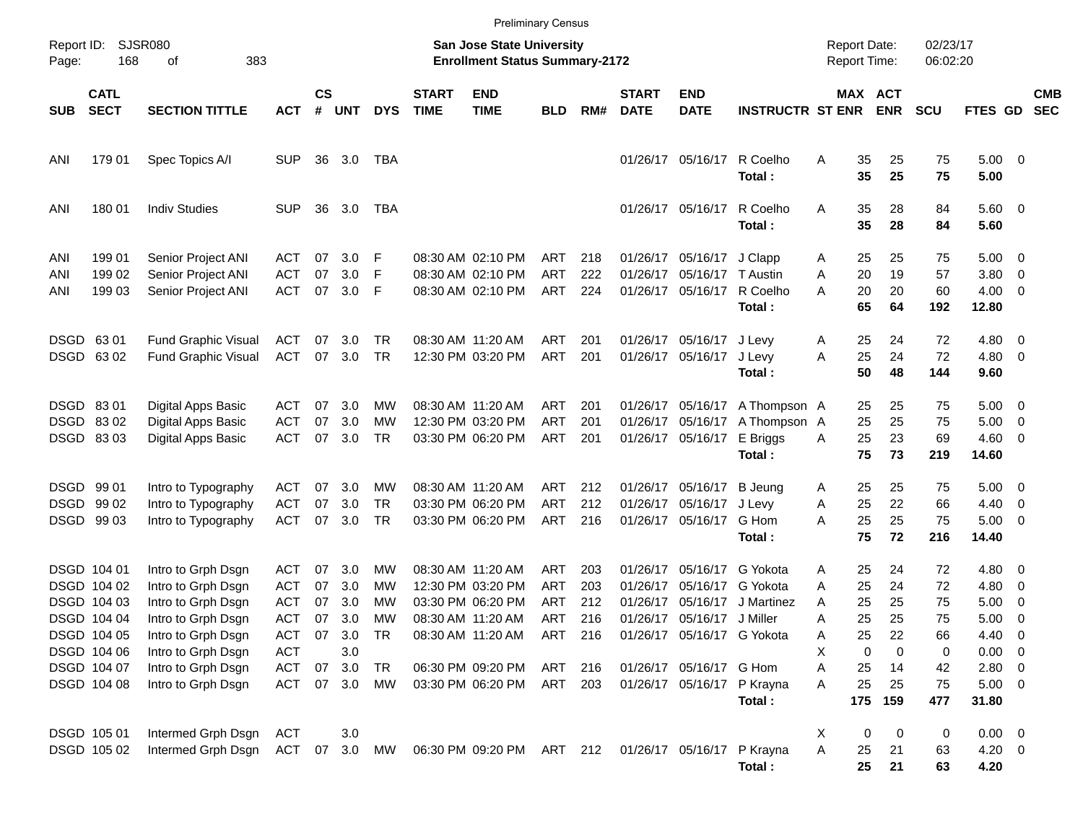|                     |                                                          |                                                                                      |                                        |                      |                                    |                              |                             |                                                                                  | <b>Preliminary Census</b>       |                          |                                  |                                                                |                                                                      |                                            |                                 |                            |                                                       |                                                                                 |                          |
|---------------------|----------------------------------------------------------|--------------------------------------------------------------------------------------|----------------------------------------|----------------------|------------------------------------|------------------------------|-----------------------------|----------------------------------------------------------------------------------|---------------------------------|--------------------------|----------------------------------|----------------------------------------------------------------|----------------------------------------------------------------------|--------------------------------------------|---------------------------------|----------------------------|-------------------------------------------------------|---------------------------------------------------------------------------------|--------------------------|
| Report ID:<br>Page: | 168                                                      | <b>SJSR080</b><br>383<br>οf                                                          |                                        |                      |                                    |                              |                             | San Jose State University<br><b>Enrollment Status Summary-2172</b>               |                                 |                          |                                  |                                                                |                                                                      | <b>Report Date:</b><br><b>Report Time:</b> |                                 | 02/23/17<br>06:02:20       |                                                       |                                                                                 |                          |
| <b>SUB</b>          | <b>CATL</b><br><b>SECT</b>                               | <b>SECTION TITTLE</b>                                                                | <b>ACT</b>                             | $\mathsf{cs}$<br>#   | <b>UNT</b>                         | <b>DYS</b>                   | <b>START</b><br><b>TIME</b> | <b>END</b><br><b>TIME</b>                                                        | <b>BLD</b>                      | RM#                      | <b>START</b><br><b>DATE</b>      | <b>END</b><br><b>DATE</b>                                      | <b>INSTRUCTR ST ENR</b>                                              |                                            | MAX ACT<br><b>ENR</b>           | <b>SCU</b>                 | <b>FTES GD</b>                                        |                                                                                 | <b>CMB</b><br><b>SEC</b> |
| ANI                 | 179 01                                                   | Spec Topics A/I                                                                      | <b>SUP</b>                             | 36                   | 3.0                                | TBA                          |                             |                                                                                  |                                 |                          |                                  | 01/26/17 05/16/17                                              | R Coelho<br>Total:                                                   | Α<br>35<br>35                              | 25<br>25                        | 75<br>75                   | $5.00 \t 0$<br>5.00                                   |                                                                                 |                          |
| ANI                 | 180 01                                                   | <b>Indiv Studies</b>                                                                 | <b>SUP</b>                             | 36                   | 3.0                                | TBA                          |                             |                                                                                  |                                 |                          |                                  | 01/26/17 05/16/17                                              | R Coelho<br>Total:                                                   | 35<br>Α<br>35                              | 28<br>28                        | 84<br>84                   | $5.60$ 0<br>5.60                                      |                                                                                 |                          |
| ANI<br>ANI<br>ANI   | 199 01<br>199 02<br>199 03                               | Senior Project ANI<br>Senior Project ANI<br>Senior Project ANI                       | ACT<br>ACT<br><b>ACT</b>               | 07<br>07<br>07       | 3.0<br>3.0<br>3.0                  | F<br>F<br>F                  |                             | 08:30 AM 02:10 PM<br>08:30 AM 02:10 PM<br>08:30 AM 02:10 PM                      | ART<br>ART<br>ART               | 218<br>222<br>224        | 01/26/17                         | 01/26/17 05/16/17<br>05/16/17<br>01/26/17 05/16/17             | J Clapp<br>T Austin<br>R Coelho<br>Total:                            | 25<br>A<br>20<br>A<br>20<br>А<br>65        | 25<br>19<br>20<br>64            | 75<br>57<br>60<br>192      | $5.00 \quad 0$<br>3.80<br>$4.00 \ 0$<br>12.80         | $\overline{\phantom{0}}$                                                        |                          |
|                     | DSGD 63 01<br>DSGD 6302                                  | <b>Fund Graphic Visual</b><br><b>Fund Graphic Visual</b>                             | ACT<br><b>ACT</b>                      | 07<br>07             | 3.0<br>3.0                         | TR<br>TR                     |                             | 08:30 AM 11:20 AM<br>12:30 PM 03:20 PM                                           | ART<br>ART                      | 201<br>201               |                                  | 01/26/17 05/16/17<br>01/26/17 05/16/17                         | J Levy<br>J Levy<br>Total:                                           | 25<br>A<br>25<br>Α<br>50                   | 24<br>24<br>48                  | 72<br>72<br>144            | 4.80 0<br>$4.80\ 0$<br>9.60                           |                                                                                 |                          |
|                     | DSGD 8301<br>DSGD 8302<br>DSGD 8303                      | Digital Apps Basic<br>Digital Apps Basic<br>Digital Apps Basic                       | ACT<br>ACT<br><b>ACT</b>               | 07<br>07<br>07       | 3.0<br>3.0<br>3.0                  | МW<br>МW<br>TR               |                             | 08:30 AM 11:20 AM<br>12:30 PM 03:20 PM<br>03:30 PM 06:20 PM                      | ART<br><b>ART</b><br>ART        | 201<br>201<br>201        | 01/26/17                         | 05/16/17<br>01/26/17 05/16/17                                  | 01/26/17 05/16/17 A Thompson A<br>A Thompson A<br>E Briggs<br>Total: | 25<br>25<br>25<br>A<br>75                  | 25<br>25<br>23<br>73            | 75<br>75<br>69<br>219      | $5.00 \t 0$<br>5.00<br>$4.60$ 0<br>14.60              | $\overline{\phantom{0}}$                                                        |                          |
|                     | DSGD 99 01<br>DSGD 99 02<br>DSGD 99 03                   | Intro to Typography<br>Intro to Typography<br>Intro to Typography                    | ACT<br><b>ACT</b><br><b>ACT</b>        | 07<br>07<br>07       | 3.0<br>3.0<br>3.0                  | МW<br><b>TR</b><br><b>TR</b> |                             | 08:30 AM 11:20 AM<br>03:30 PM 06:20 PM<br>03:30 PM 06:20 PM                      | ART<br>ART<br>ART               | 212<br>212<br>216        | 01/26/17                         | 01/26/17 05/16/17<br>05/16/17<br>01/26/17 05/16/17             | <b>B</b> Jeung<br>J Levy<br>G Hom<br>Total:                          | 25<br>A<br>25<br>Α<br>25<br>А<br>75        | 25<br>22<br>25<br>72            | 75<br>66<br>75<br>216      | $5.00 \t 0$<br>4.40<br>$5.00 \t 0$<br>14.40           | $\overline{\phantom{0}}$                                                        |                          |
|                     | DSGD 104 01<br>DSGD 104 02<br>DSGD 104 03<br>DSGD 104 04 | Intro to Grph Dsgn<br>Intro to Grph Dsgn<br>Intro to Grph Dsgn<br>Intro to Grph Dsgn | ACT<br>ACT<br><b>ACT</b><br><b>ACT</b> | 07<br>07<br>07<br>07 | 3.0<br>3.0<br>3.0<br>3.0           | <b>MW</b><br>МW<br>МW<br>MW  |                             | 08:30 AM 11:20 AM<br>12:30 PM 03:20 PM<br>03:30 PM 06:20 PM<br>08:30 AM 11:20 AM | ART<br><b>ART</b><br>ART<br>ART | 203<br>203<br>212<br>216 | 01/26/17<br>01/26/17<br>01/26/17 | 05/16/17<br>05/16/17<br>05/16/17<br>01/26/17 05/16/17 J Miller | G Yokota<br>G Yokota<br>J Martinez                                   | 25<br>Α<br>25<br>A<br>25<br>A<br>25<br>Α   | 24<br>24<br>25<br>25            | 72<br>72<br>75<br>75       | 4.80 0<br>4.80<br>5.00<br>5.00                        | $\overline{\phantom{0}}$<br>$\overline{\mathbf{0}}$<br>$\overline{\phantom{0}}$ |                          |
|                     | DSGD 104 05<br>DSGD 104 06<br>DSGD 104 07<br>DSGD 104 08 | Intro to Grph Dsgn<br>Intro to Grph Dsgn<br>Intro to Grph Dsgn<br>Intro to Grph Dsgn | <b>ACT</b><br><b>ACT</b><br>ACT        | 07<br>07             | 3.0 TR<br>3.0<br>3.0<br>ACT 07 3.0 | TR<br>MW                     |                             | 08:30 AM 11:20 AM ART 216<br>06:30 PM 09:20 PM<br>03:30 PM 06:20 PM              | ART 216<br>ART 203              |                          |                                  | 01/26/17 05/16/17 G Yokota<br>01/26/17 05/16/17 G Hom          | 01/26/17 05/16/17 P Krayna<br>Total:                                 | 25<br>A<br>Х<br>Α<br>25<br>25<br>Α<br>175  | 22<br>0<br>0<br>14<br>25<br>159 | 66<br>0<br>42<br>75<br>477 | 4.40<br>$0.00 \t 0$<br>2.80 0<br>$5.00 \t 0$<br>31.80 | $\overline{\phantom{0}}$                                                        |                          |
|                     | DSGD 105 01<br>DSGD 105 02                               | Intermed Grph Dsgn<br>Intermed Grph Dsgn                                             | ACT<br>ACT 07 3.0 MW                   |                      | 3.0                                |                              |                             | 06:30 PM 09:20 PM ART 212                                                        |                                 |                          |                                  |                                                                | 01/26/17 05/16/17 P Krayna<br>Total:                                 | X<br>Α<br>25<br>25                         | 0<br>0<br>21<br>21              | 0<br>63<br>63              | $0.00 \t 0$<br>$4.20 \ 0$<br>4.20                     |                                                                                 |                          |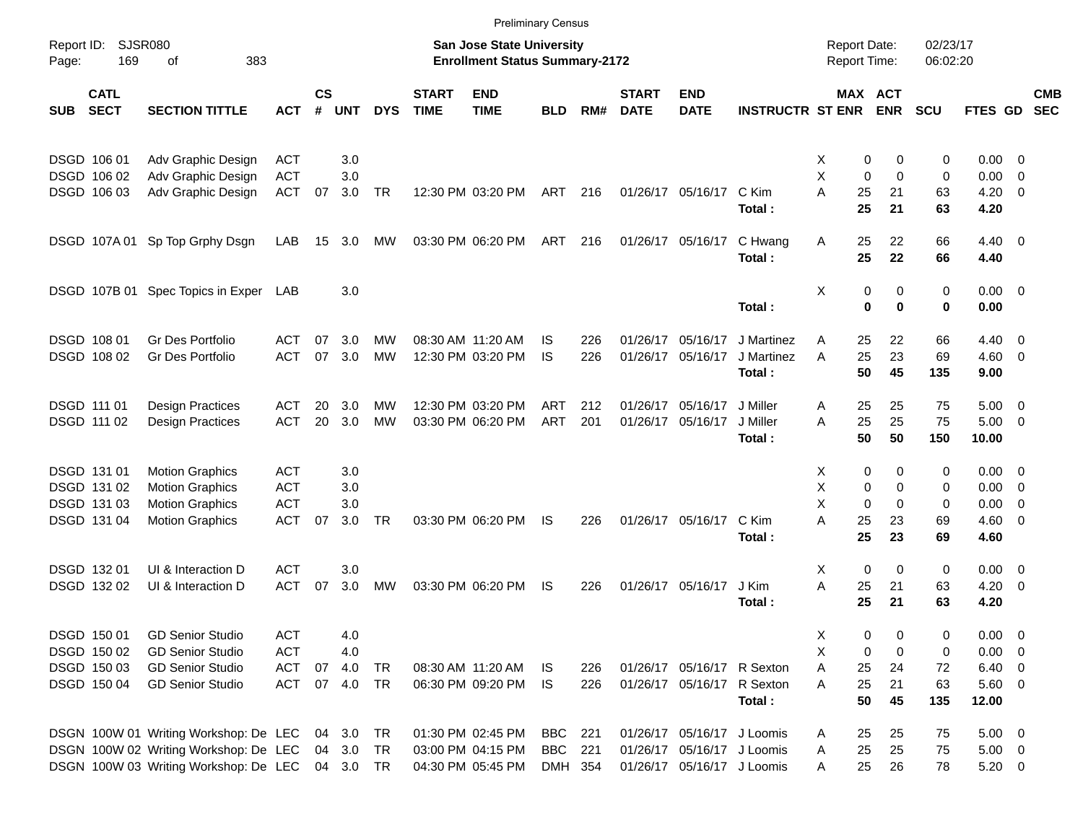|                     |                            |                                                 |            |                    |            |            |                             |                                                                    | <b>Preliminary Census</b> |     |                             |                            |                         |                                     |               |                      |                        |                          |                          |
|---------------------|----------------------------|-------------------------------------------------|------------|--------------------|------------|------------|-----------------------------|--------------------------------------------------------------------|---------------------------|-----|-----------------------------|----------------------------|-------------------------|-------------------------------------|---------------|----------------------|------------------------|--------------------------|--------------------------|
| Report ID:<br>Page: | <b>SJSR080</b><br>169      | 383<br>οf                                       |            |                    |            |            |                             | San Jose State University<br><b>Enrollment Status Summary-2172</b> |                           |     |                             |                            |                         | <b>Report Date:</b><br>Report Time: |               | 02/23/17<br>06:02:20 |                        |                          |                          |
| <b>SUB</b>          | <b>CATL</b><br><b>SECT</b> | <b>SECTION TITTLE</b>                           | ACT        | $\mathsf{cs}$<br># | <b>UNT</b> | <b>DYS</b> | <b>START</b><br><b>TIME</b> | <b>END</b><br><b>TIME</b>                                          | <b>BLD</b>                | RM# | <b>START</b><br><b>DATE</b> | <b>END</b><br><b>DATE</b>  | <b>INSTRUCTR ST ENR</b> | MAX ACT                             | <b>ENR</b>    | <b>SCU</b>           | FTES GD                |                          | <b>CMB</b><br><b>SEC</b> |
| DSGD 106 01         |                            | Adv Graphic Design                              | <b>ACT</b> |                    | 3.0        |            |                             |                                                                    |                           |     |                             |                            |                         | 0<br>Χ                              | 0             | 0                    | $0.00 \ 0$             |                          |                          |
|                     | DSGD 106 02                | Adv Graphic Design                              | <b>ACT</b> |                    | 3.0        |            |                             |                                                                    |                           |     |                             |                            |                         | X<br>$\mathbf 0$                    | $\Omega$      | 0                    | 0.00                   | - 0                      |                          |
|                     | DSGD 106 03                | Adv Graphic Design                              | <b>ACT</b> | 07                 | 3.0        | <b>TR</b>  |                             | 12:30 PM 03:20 PM                                                  | ART                       | 216 |                             | 01/26/17 05/16/17          | C Kim<br>Total:         | A<br>25<br>25                       | 21<br>21      | 63<br>63             | 4.20<br>4.20           | $\overline{\phantom{0}}$ |                          |
|                     | DSGD 107A01                | Sp Top Grphy Dsgn                               | LAB        | 15                 | 3.0        | МW         |                             | 03:30 PM 06:20 PM                                                  | ART                       | 216 |                             | 01/26/17 05/16/17          | C Hwang<br>Total:       | 25<br>Α<br>25                       | 22<br>22      | 66<br>66             | $4.40 \quad 0$<br>4.40 |                          |                          |
|                     |                            | DSGD 107B 01 Spec Topics in Exper LAB           |            |                    | 3.0        |            |                             |                                                                    |                           |     |                             |                            | Total:                  | Χ<br>0<br>$\bf{0}$                  | 0<br>$\bf{0}$ | 0<br>0               | $0.00 \t 0$<br>0.00    |                          |                          |
|                     |                            |                                                 |            |                    |            |            |                             |                                                                    |                           |     |                             |                            |                         |                                     |               |                      |                        |                          |                          |
| <b>DSGD 108 01</b>  |                            | <b>Gr Des Portfolio</b>                         | ACT        | 07                 | 3.0        | <b>MW</b>  |                             | 08:30 AM 11:20 AM                                                  | IS                        | 226 | 01/26/17                    | 05/16/17                   | J Martinez              | 25<br>Α                             | 22            | 66                   | 4.40                   | $\overline{\phantom{0}}$ |                          |
|                     | DSGD 108 02                | Gr Des Portfolio                                | <b>ACT</b> | 07                 | 3.0        | <b>MW</b>  |                             | 12:30 PM 03:20 PM                                                  | IS                        | 226 | 01/26/17                    | 05/16/17                   | J Martinez              | 25<br>A                             | 23            | 69                   | $4.60$ 0               |                          |                          |
|                     |                            |                                                 |            |                    |            |            |                             |                                                                    |                           |     |                             |                            | Total:                  | 50                                  | 45            | 135                  | 9.00                   |                          |                          |
| DSGD 111 01         |                            | <b>Design Practices</b>                         | ACT        | 20                 | 3.0        | MW         |                             | 12:30 PM 03:20 PM                                                  | ART                       | 212 | 01/26/17                    | 05/16/17                   | J Miller                | 25<br>A                             | 25            | 75                   | $5.00 \t 0$            |                          |                          |
| DSGD 111 02         |                            | <b>Design Practices</b>                         | <b>ACT</b> | 20                 | 3.0        | MW         |                             | 03:30 PM 06:20 PM                                                  | ART                       | 201 | 01/26/17                    | 05/16/17                   | J Miller                | 25<br>A                             | 25            | 75                   | $5.00 \t 0$            |                          |                          |
|                     |                            |                                                 |            |                    |            |            |                             |                                                                    |                           |     |                             |                            | Total:                  | 50                                  | 50            | 150                  | 10.00                  |                          |                          |
| DSGD 131 01         |                            | <b>Motion Graphics</b>                          | <b>ACT</b> |                    | 3.0        |            |                             |                                                                    |                           |     |                             |                            |                         | X<br>0                              | 0             | 0                    | $0.00 \t 0$            |                          |                          |
|                     | DSGD 131 02                | <b>Motion Graphics</b>                          | <b>ACT</b> |                    | 3.0        |            |                             |                                                                    |                           |     |                             |                            |                         | Χ<br>0                              | 0             | 0                    | 0.00                   | $\overline{\phantom{0}}$ |                          |
|                     | DSGD 131 03                | <b>Motion Graphics</b>                          | <b>ACT</b> |                    | 3.0        |            |                             |                                                                    |                           |     |                             |                            |                         | X<br>$\Omega$                       | $\Omega$      | 0                    | 0.00                   | $\overline{\mathbf{0}}$  |                          |
|                     | DSGD 131 04                | <b>Motion Graphics</b>                          | <b>ACT</b> | 07                 | 3.0        | <b>TR</b>  |                             | 03:30 PM 06:20 PM                                                  | <b>IS</b>                 | 226 |                             | 01/26/17 05/16/17          | C Kim                   | A<br>25                             | 23            | 69                   | $4.60$ 0               |                          |                          |
|                     |                            |                                                 |            |                    |            |            |                             |                                                                    |                           |     |                             |                            | Total:                  | 25                                  | 23            | 69                   | 4.60                   |                          |                          |
| DSGD 132 01         |                            | UI & Interaction D                              | <b>ACT</b> |                    | 3.0        |            |                             |                                                                    |                           |     |                             |                            |                         | $\mathbf 0$<br>Χ                    | 0             | 0                    | $0.00 \t 0$            |                          |                          |
|                     | DSGD 132 02                | UI & Interaction D                              | <b>ACT</b> | 07                 | 3.0        | MW         |                             | 03:30 PM 06:20 PM                                                  | IS                        | 226 |                             | 01/26/17 05/16/17          | J Kim                   | A<br>25                             | 21            | 63                   | 4.20                   | $\overline{\phantom{0}}$ |                          |
|                     |                            |                                                 |            |                    |            |            |                             |                                                                    |                           |     |                             |                            | Total:                  | 25                                  | 21            | 63                   | 4.20                   |                          |                          |
| DSGD 150 01         |                            | <b>GD Senior Studio</b>                         | <b>ACT</b> |                    | 4.0        |            |                             |                                                                    |                           |     |                             |                            |                         | X<br>0                              | 0             | 0                    | $0.00 \t 0$            |                          |                          |
|                     | DSGD 150 02                | <b>GD Senior Studio</b>                         | <b>ACT</b> |                    | 4.0        |            |                             |                                                                    |                           |     |                             |                            |                         | х<br>0                              | 0             | 0                    | $0.00 \t 0$            |                          |                          |
|                     | DSGD 150 03                | <b>GD Senior Studio</b>                         | <b>ACT</b> | 07                 | 4.0        | <b>TR</b>  |                             | 08:30 AM 11:20 AM                                                  | IS                        | 226 |                             | 01/26/17 05/16/17 R Sexton |                         | Α<br>25                             | 24            | 72                   | $6.40\quad 0$          |                          |                          |
|                     | DSGD 150 04                | <b>GD Senior Studio</b>                         | <b>ACT</b> |                    | 07 4.0     | TR         |                             | 06:30 PM 09:20 PM                                                  | IS                        | 226 |                             | 01/26/17 05/16/17 R Sexton |                         | 25<br>Α                             | 21            | 63                   | $5.60$ 0               |                          |                          |
|                     |                            |                                                 |            |                    |            |            |                             |                                                                    |                           |     |                             |                            | Total:                  | 50                                  | 45            | 135                  | 12.00                  |                          |                          |
|                     |                            | DSGN 100W 01 Writing Workshop: De LEC           |            |                    | 04 3.0     | TR         |                             | 01:30 PM 02:45 PM                                                  | BBC                       | 221 |                             | 01/26/17 05/16/17 J Loomis |                         | 25<br>A                             | 25            | 75                   | $5.00 \t 0$            |                          |                          |
|                     |                            | DSGN 100W 02 Writing Workshop: De LEC 04 3.0    |            |                    |            | TR         |                             | 03:00 PM 04:15 PM                                                  | <b>BBC</b> 221            |     |                             | 01/26/17 05/16/17 J Loomis |                         | 25<br>Α                             | 25            | 75                   | $5.00 \t 0$            |                          |                          |
|                     |                            | DSGN 100W 03 Writing Workshop: De LEC 04 3.0 TR |            |                    |            |            |                             | 04:30 PM 05:45 PM                                                  | DMH 354                   |     |                             | 01/26/17 05/16/17 J Loomis |                         | 25<br>Α                             | 26            | 78                   | $5.20 \t 0$            |                          |                          |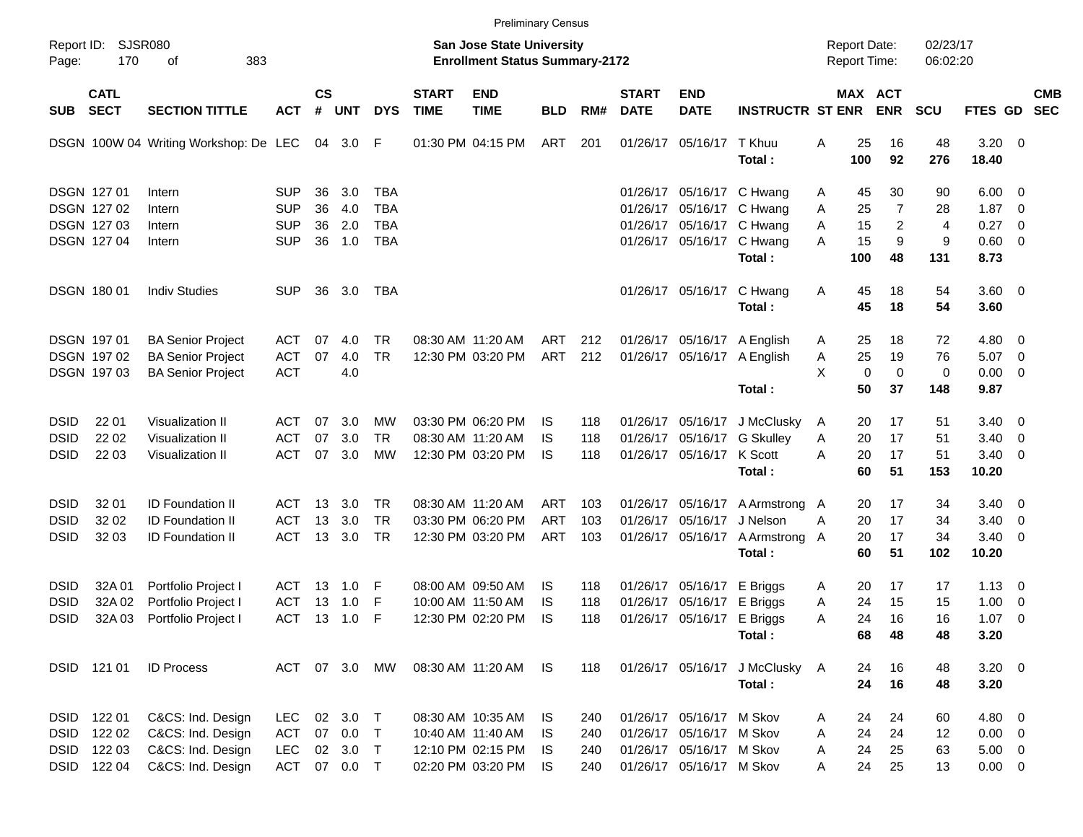|                     |                            |                                       |               |                    |            |            |                             | <b>Preliminary Census</b>                                          |            |     |                             |                             |                                          |                                     |                            |                      |                     |                          |                          |
|---------------------|----------------------------|---------------------------------------|---------------|--------------------|------------|------------|-----------------------------|--------------------------------------------------------------------|------------|-----|-----------------------------|-----------------------------|------------------------------------------|-------------------------------------|----------------------------|----------------------|---------------------|--------------------------|--------------------------|
| Report ID:<br>Page: | <b>SJSR080</b><br>170      | 383<br>οf                             |               |                    |            |            |                             | San Jose State University<br><b>Enrollment Status Summary-2172</b> |            |     |                             |                             |                                          | <b>Report Date:</b><br>Report Time: |                            | 02/23/17<br>06:02:20 |                     |                          |                          |
| <b>SUB</b>          | <b>CATL</b><br><b>SECT</b> | <b>SECTION TITTLE</b>                 | <b>ACT</b>    | $\mathsf{cs}$<br># | <b>UNT</b> | <b>DYS</b> | <b>START</b><br><b>TIME</b> | <b>END</b><br><b>TIME</b>                                          | <b>BLD</b> | RM# | <b>START</b><br><b>DATE</b> | <b>END</b><br><b>DATE</b>   | <b>INSTRUCTR ST ENR</b>                  |                                     | MAX ACT<br><b>ENR</b>      | <b>SCU</b>           | <b>FTES GD</b>      |                          | <b>CMB</b><br><b>SEC</b> |
|                     |                            | DSGN 100W 04 Writing Workshop: De LEC |               |                    | 04 3.0 F   |            |                             | 01:30 PM 04:15 PM                                                  | ART        | 201 | 01/26/17                    | 05/16/17                    | T Khuu<br>Total:                         | Α<br>100                            | 25<br>16<br>92             | 48<br>276            | $3.20 \ 0$<br>18.40 |                          |                          |
| <b>DSGN 12701</b>   |                            | Intern                                | <b>SUP</b>    | 36                 | 3.0        | <b>TBA</b> |                             |                                                                    |            |     | 01/26/17                    | 05/16/17                    | C Hwang                                  | A                                   | 30<br>45                   | 90                   | $6.00 \quad 0$      |                          |                          |
|                     | <b>DSGN 12702</b>          | Intern                                | <b>SUP</b>    | 36                 | 4.0        | TBA        |                             |                                                                    |            |     | 01/26/17                    | 05/16/17                    | C Hwang                                  | Α                                   | 7<br>25                    | 28                   | 1.87                | $\overline{\phantom{0}}$ |                          |
| <b>DSGN 12703</b>   |                            | Intern                                | <b>SUP</b>    | 36                 | 2.0        | <b>TBA</b> |                             |                                                                    |            |     | 01/26/17                    |                             | 05/16/17 C Hwang                         | Α                                   | 15<br>2                    | $\overline{4}$       | 0.27                | $\overline{\mathbf{0}}$  |                          |
|                     | <b>DSGN 12704</b>          | Intern                                | <b>SUP</b>    | 36                 | 1.0        | <b>TBA</b> |                             |                                                                    |            |     |                             | 01/26/17 05/16/17           | C Hwang                                  | A                                   | 15<br>9                    | 9                    | 0.60 0              |                          |                          |
|                     |                            |                                       |               |                    |            |            |                             |                                                                    |            |     |                             |                             | Total:                                   | 100                                 | 48                         | 131                  | 8.73                |                          |                          |
| <b>DSGN 18001</b>   |                            | <b>Indiv Studies</b>                  | <b>SUP</b>    | 36                 | 3.0        | TBA        |                             |                                                                    |            |     |                             | 01/26/17 05/16/17           | C Hwang<br>Total:                        | A                                   | 45<br>18<br>45<br>18       | 54<br>54             | 3.60 0<br>3.60      |                          |                          |
| DSGN 197 01         |                            | <b>BA Senior Project</b>              | ACT           | 07                 | 4.0        | TR.        |                             | 08:30 AM 11:20 AM                                                  | ART        | 212 |                             | 01/26/17 05/16/17 A English |                                          | A                                   | 25<br>18                   | 72                   | $4.80\ 0$           |                          |                          |
|                     | DSGN 197 02                | <b>BA Senior Project</b>              | ACT           | 07                 | 4.0        | <b>TR</b>  |                             | 12:30 PM 03:20 PM                                                  | ART        | 212 |                             | 01/26/17 05/16/17           | A English                                | A                                   | 25<br>19                   | 76                   | 5.07                | $\overline{\phantom{0}}$ |                          |
|                     | DSGN 197 03                | <b>BA Senior Project</b>              | <b>ACT</b>    |                    | 4.0        |            |                             |                                                                    |            |     |                             |                             |                                          | X                                   | $\mathbf 0$<br>$\mathbf 0$ | 0                    | $0.00 \t 0$         |                          |                          |
|                     |                            |                                       |               |                    |            |            |                             |                                                                    |            |     |                             |                             | Total:                                   |                                     | 50<br>37                   | 148                  | 9.87                |                          |                          |
| <b>DSID</b>         | 22 01                      | Visualization II                      | ACT           | 07                 | 3.0        | MW         |                             | 03:30 PM 06:20 PM                                                  | IS.        | 118 |                             | 01/26/17 05/16/17           | J McClusky                               | A                                   | 17<br>20                   | 51                   | $3.40 \quad 0$      |                          |                          |
| <b>DSID</b>         | 22 02                      | Visualization II                      | <b>ACT</b>    | 07                 | 3.0        | <b>TR</b>  |                             | 08:30 AM 11:20 AM                                                  | IS         | 118 | 01/26/17                    | 05/16/17                    | <b>G</b> Skulley                         | Α                                   | 17<br>20                   | 51                   | 3.40                | $\overline{\phantom{0}}$ |                          |
| <b>DSID</b>         | 22 03                      | Visualization II                      | ACT           | 07                 | 3.0        | МW         |                             | 12:30 PM 03:20 PM                                                  | IS         | 118 |                             | 01/26/17 05/16/17 K Scott   |                                          | Α                                   | 20<br>17                   | 51                   | $3.40 \ 0$          |                          |                          |
|                     |                            |                                       |               |                    |            |            |                             |                                                                    |            |     |                             |                             | Total:                                   |                                     | 60<br>51                   | 153                  | 10.20               |                          |                          |
| <b>DSID</b>         | 32 01                      | <b>ID Foundation II</b>               | ACT           | 13                 | 3.0        | TR.        |                             | 08:30 AM 11:20 AM                                                  | ART        | 103 |                             | 01/26/17 05/16/17           | A Armstrong A                            |                                     | 17<br>20                   | 34                   | $3.40 \ 0$          |                          |                          |
| <b>DSID</b>         | 32 02                      | ID Foundation II                      | <b>ACT</b>    | 13                 | 3.0        | <b>TR</b>  |                             | 03:30 PM 06:20 PM                                                  | ART        | 103 | 01/26/17                    | 05/16/17                    | J Nelson                                 | A                                   | 20<br>17                   | 34                   | 3.40                | $\overline{\phantom{0}}$ |                          |
| <b>DSID</b>         | 32 03                      | <b>ID Foundation II</b>               | ACT           |                    | 13 3.0     | <b>TR</b>  |                             | 12:30 PM 03:20 PM                                                  | ART        | 103 |                             | 01/26/17 05/16/17           | A Armstrong A                            |                                     | 17<br>20                   | 34                   | $3.40 \ 0$          |                          |                          |
|                     |                            |                                       |               |                    |            |            |                             |                                                                    |            |     |                             |                             | Total:                                   |                                     | 60<br>51                   | 102                  | 10.20               |                          |                          |
| <b>DSID</b>         | 32A 01                     | Portfolio Project I                   | ACT           | 13                 | 1.0        | F          |                             | 08:00 AM 09:50 AM                                                  | IS.        | 118 | 01/26/17                    | 05/16/17                    | E Briggs                                 | A                                   | 20<br>17                   | 17                   | $1.13 \ 0$          |                          |                          |
| <b>DSID</b>         | 32A 02                     | Portfolio Project I                   | ACT           | 13                 | 1.0        | F          |                             | 10:00 AM 11:50 AM                                                  | IS         | 118 | 01/26/17                    |                             | 05/16/17 E Briggs                        | Α                                   | 24<br>15                   | 15                   | 1.00                | $\overline{\phantom{0}}$ |                          |
| <b>DSID</b>         | 32A 03                     | Portfolio Project I                   | ACT           |                    | 13 1.0     | F          |                             | 12:30 PM 02:20 PM                                                  | IS         | 118 |                             | 01/26/17 05/16/17 E Briggs  |                                          | A                                   | 24<br>16                   | 16                   | 1.07                | $\overline{\phantom{0}}$ |                          |
|                     |                            |                                       |               |                    |            |            |                             |                                                                    |            |     |                             |                             | Total:                                   |                                     | 68<br>48                   | 48                   | 3.20                |                          |                          |
|                     | DSID 121 01                | <b>ID Process</b>                     | ACT 07 3.0 MW |                    |            |            |                             | 08:30 AM 11:20 AM IS                                               |            | 118 |                             |                             | 01/26/17 05/16/17 J McClusky A<br>Total: |                                     | 16<br>24<br>24<br>16       | 48<br>48             | $3.20 \ 0$<br>3.20  |                          |                          |
| DSID 122 01         |                            | C&CS: Ind. Design                     | <b>LEC</b>    |                    | 02 3.0     | $\top$     |                             | 08:30 AM 10:35 AM                                                  | IS.        | 240 |                             | 01/26/17 05/16/17 M Skov    |                                          | Α                                   | 24<br>24                   | 60                   | 4.80 0              |                          |                          |
|                     | DSID 122 02                | C&CS: Ind. Design                     | ACT           |                    | 07 0.0     | $\top$     |                             | 10:40 AM 11:40 AM                                                  | IS.        | 240 |                             | 01/26/17 05/16/17 M Skov    |                                          | A                                   | 24<br>24                   | 12                   | $0.00 \t 0$         |                          |                          |
|                     | DSID 122 03                | C&CS: Ind. Design                     | <b>LEC</b>    |                    | 02 3.0     | $\top$     |                             | 12:10 PM 02:15 PM                                                  | IS.        | 240 |                             | 01/26/17 05/16/17 M Skov    |                                          | A                                   | 24<br>25                   | 63                   | $5.00 \t 0$         |                          |                          |
|                     | DSID 122 04                | C&CS: Ind. Design                     | ACT           |                    | 07 0.0 T   |            |                             | 02:20 PM 03:20 PM                                                  | IS.        | 240 |                             | 01/26/17 05/16/17 M Skov    |                                          | A                                   | 24<br>25                   | 13                   | $0.00 \t 0$         |                          |                          |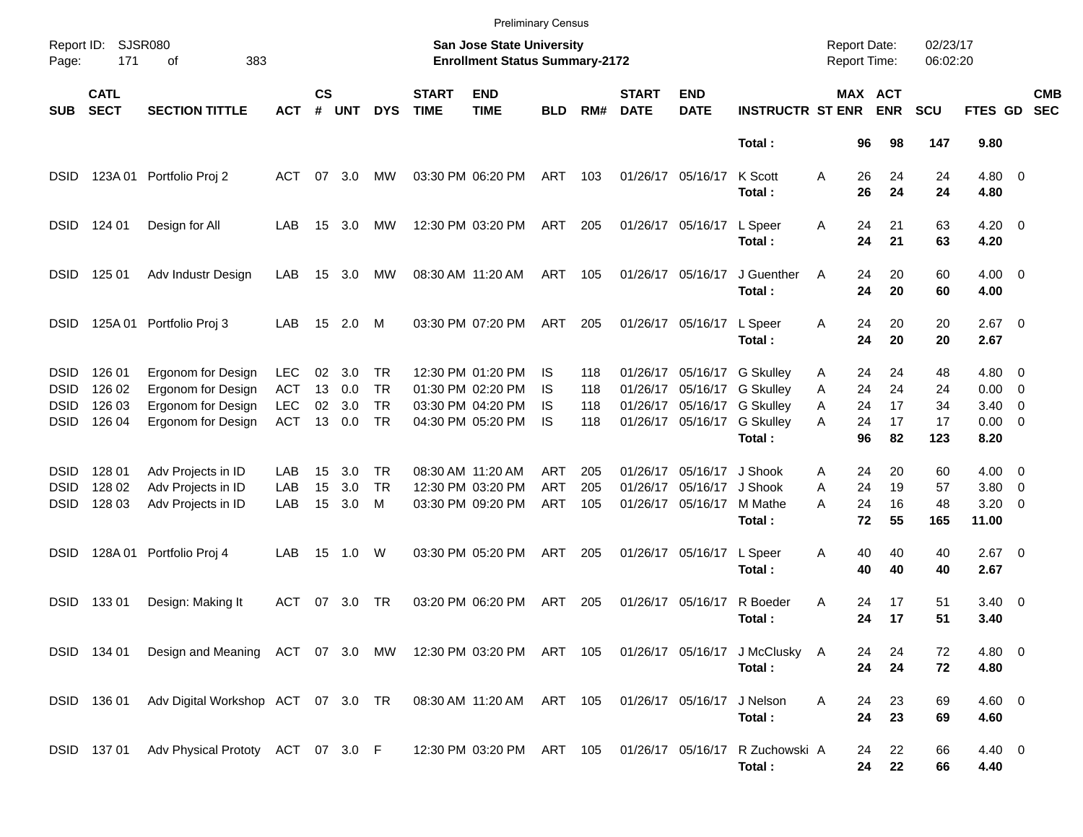|                     |                            |                                                                                           |            |                    |            |            |                             | <b>Preliminary Census</b>                                                 |            |     |                             |                           |                             |                                     |                              |                      |                    |                          |                          |
|---------------------|----------------------------|-------------------------------------------------------------------------------------------|------------|--------------------|------------|------------|-----------------------------|---------------------------------------------------------------------------|------------|-----|-----------------------------|---------------------------|-----------------------------|-------------------------------------|------------------------------|----------------------|--------------------|--------------------------|--------------------------|
| Report ID:<br>Page: | 171                        | <b>SJSR080</b><br>383<br>οf                                                               |            |                    |            |            |                             | <b>San Jose State University</b><br><b>Enrollment Status Summary-2172</b> |            |     |                             |                           |                             | <b>Report Date:</b><br>Report Time: |                              | 02/23/17<br>06:02:20 |                    |                          |                          |
| <b>SUB</b>          | <b>CATL</b><br><b>SECT</b> | <b>SECTION TITTLE</b>                                                                     | <b>ACT</b> | $\mathsf{cs}$<br># | <b>UNT</b> | <b>DYS</b> | <b>START</b><br><b>TIME</b> | <b>END</b><br><b>TIME</b>                                                 | <b>BLD</b> | RM# | <b>START</b><br><b>DATE</b> | <b>END</b><br><b>DATE</b> | <b>INSTRUCTR ST ENR</b>     |                                     | <b>MAX ACT</b><br><b>ENR</b> | <b>SCU</b>           | FTES GD            |                          | <b>CMB</b><br><b>SEC</b> |
|                     |                            |                                                                                           |            |                    |            |            |                             |                                                                           |            |     |                             |                           | Total:                      | 96                                  | 98                           | 147                  | 9.80               |                          |                          |
| <b>DSID</b>         | 123A 01                    | Portfolio Proj 2                                                                          | ACT        | 07                 | 3.0        | MW         |                             | 03:30 PM 06:20 PM                                                         | ART        | 103 |                             | 01/26/17 05/16/17         | K Scott<br>Total:           | Α<br>26<br>26                       | 24<br>24                     | 24<br>24             | $4.80\ 0$<br>4.80  |                          |                          |
| <b>DSID</b>         | 124 01                     | Design for All                                                                            | LAB        | 15                 | 3.0        | MW         |                             | 12:30 PM 03:20 PM                                                         | ART        | 205 |                             | 01/26/17 05/16/17         | L Speer<br>Total:           | Α<br>24<br>24                       | 21<br>21                     | 63<br>63             | $4.20 \ 0$<br>4.20 |                          |                          |
| <b>DSID</b>         | 125 01                     | Adv Industr Design                                                                        | LAB        | 15                 | 3.0        | MW         |                             | 08:30 AM 11:20 AM                                                         | ART        | 105 |                             | 01/26/17 05/16/17         | J Guenther<br>Total:        | A<br>24<br>24                       | 20<br>20                     | 60<br>60             | $4.00 \ 0$<br>4.00 |                          |                          |
| <b>DSID</b>         | 125A 01                    | Portfolio Proj 3                                                                          | LAB        | 15                 | 2.0        | M          |                             | 03:30 PM 07:20 PM                                                         | ART        | 205 |                             | 01/26/17 05/16/17         | L Speer<br>Total:           | 24<br>Α<br>24                       | 20<br>20                     | 20<br>20             | $2.67$ 0<br>2.67   |                          |                          |
| <b>DSID</b>         | 126 01                     | Ergonom for Design                                                                        | <b>LEC</b> | 02                 | 3.0        | <b>TR</b>  |                             | 12:30 PM 01:20 PM                                                         | IS         | 118 |                             |                           | 01/26/17 05/16/17 G Skulley | 24<br>Α                             | 24                           | 48                   | $4.80\ 0$          |                          |                          |
| <b>DSID</b>         | 126 02                     | Ergonom for Design                                                                        | <b>ACT</b> | 13                 | 0.0        | TR         |                             | 01:30 PM 02:20 PM                                                         | IS         | 118 |                             |                           | 01/26/17 05/16/17 G Skullev | 24<br>Α                             | 24                           | 24                   | 0.00               | $\overline{\phantom{0}}$ |                          |
| <b>DSID</b>         | 126 03                     | Ergonom for Design                                                                        | <b>LEC</b> | 02                 | 3.0        | <b>TR</b>  |                             | 03:30 PM 04:20 PM                                                         | IS         | 118 |                             |                           | 01/26/17 05/16/17 G Skulley | 24<br>A                             | 17                           | 34                   | 3.40               | $\overline{\phantom{0}}$ |                          |
| <b>DSID</b>         | 126 04                     | Ergonom for Design                                                                        | <b>ACT</b> | 13                 | 0.0        | <b>TR</b>  |                             | 04:30 PM 05:20 PM                                                         | IS         | 118 |                             | 01/26/17 05/16/17         | <b>G Skulley</b>            | А<br>24                             | 17                           | 17                   | $0.00 \quad 0$     |                          |                          |
|                     |                            |                                                                                           |            |                    |            |            |                             |                                                                           |            |     |                             |                           | Total:                      | 96                                  | 82                           | 123                  | 8.20               |                          |                          |
| <b>DSID</b>         | 128 01                     | Adv Projects in ID                                                                        | LAB        | 15                 | 3.0        | TR         |                             | 08:30 AM 11:20 AM                                                         | ART        | 205 |                             | 01/26/17 05/16/17         | J Shook                     | 24<br>Α                             | 20                           | 60                   | $4.00 \ 0$         |                          |                          |
| <b>DSID</b>         | 128 02                     | Adv Projects in ID                                                                        | LAB        | 15                 | 3.0        | <b>TR</b>  |                             | 12:30 PM 03:20 PM                                                         | <b>ART</b> | 205 |                             | 01/26/17 05/16/17         | J Shook                     | 24<br>A                             | 19                           | 57                   | 3.80               | $\overline{\phantom{0}}$ |                          |
| <b>DSID</b>         | 128 03                     | Adv Projects in ID                                                                        | LAB        | 15                 | 3.0        | M          |                             | 03:30 PM 09:20 PM                                                         | <b>ART</b> | 105 |                             | 01/26/17 05/16/17         | M Mathe                     | 24<br>А                             | 16                           | 48                   | 3.20               | $\overline{\mathbf{0}}$  |                          |
|                     |                            |                                                                                           |            |                    |            |            |                             |                                                                           |            |     |                             |                           | Total:                      | 72                                  | 55                           | 165                  | 11.00              |                          |                          |
| DSID                | 128A 01                    | Portfolio Proj 4                                                                          | LAB        | 15                 | 1.0        | W          |                             | 03:30 PM 05:20 PM                                                         | ART        | 205 |                             | 01/26/17 05/16/17         | L Speer                     | 40<br>Α                             | 40                           | 40                   | $2.67$ 0           |                          |                          |
|                     |                            |                                                                                           |            |                    |            |            |                             |                                                                           |            |     |                             |                           | Total:                      | 40                                  | 40                           | 40                   | 2.67               |                          |                          |
| <b>DSID</b>         | 13301                      | Design: Making It                                                                         | ACT        | 07                 | 3.0        | TR         |                             | 03:20 PM 06:20 PM                                                         | ART        | 205 |                             | 01/26/17 05/16/17         | R Boeder                    | Α<br>24                             | 17                           | 51                   | $3.40 \ 0$         |                          |                          |
|                     |                            |                                                                                           |            |                    |            |            |                             |                                                                           |            |     |                             |                           | Total:                      | 24                                  | 17                           | 51                   | 3.40               |                          |                          |
|                     | DSID 134 01                | Design and Meaning ACT 07 3.0 MW 12:30 PM 03:20 PM ART 105 01/26/17 05/16/17 J McClusky A |            |                    |            |            |                             |                                                                           |            |     |                             |                           |                             | 24                                  | 24                           | 72                   | $4.80\ 0$          |                          |                          |
|                     |                            |                                                                                           |            |                    |            |            |                             |                                                                           |            |     |                             |                           | Total:                      | 24                                  | 24                           | 72                   | 4.80               |                          |                          |
|                     | DSID 136 01                | Adv Digital Workshop ACT 07 3.0 TR                                                        |            |                    |            |            |                             | 08:30 AM 11:20 AM ART 105                                                 |            |     |                             | 01/26/17 05/16/17         | J Nelson                    | Α<br>24                             | 23                           | 69                   | $4.60$ 0           |                          |                          |
|                     |                            |                                                                                           |            |                    |            |            |                             |                                                                           |            |     |                             |                           | Total:                      | 24                                  | 23                           | 69                   | 4.60               |                          |                          |
|                     |                            | DSID 137 01 Adv Physical Prototy ACT 07 3.0 F                                             |            |                    |            |            |                             | 12:30 PM 03:20 PM ART 105                                                 |            |     |                             | 01/26/17 05/16/17         | R Zuchowski A               | 24                                  | 22                           | 66                   | 4.40 0             |                          |                          |
|                     |                            |                                                                                           |            |                    |            |            |                             |                                                                           |            |     |                             |                           | Total:                      |                                     | 22<br>24                     | 66                   | 4.40               |                          |                          |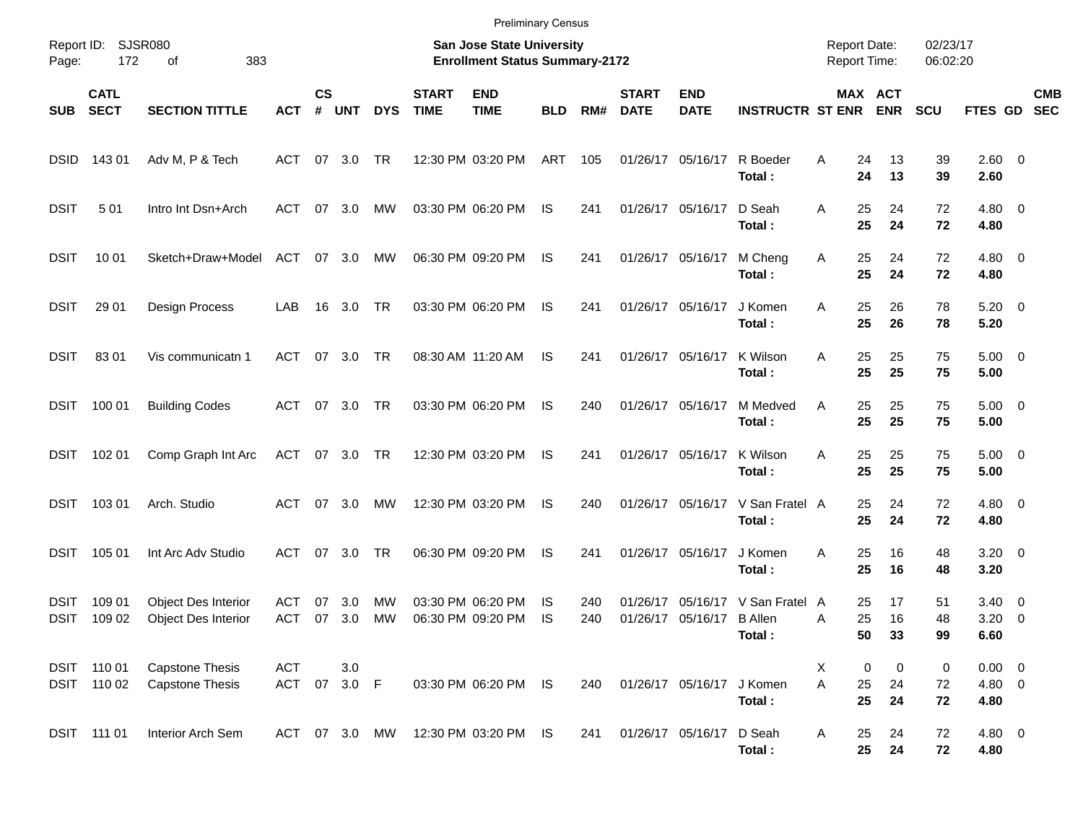|                     |                            |                                                   |                     |                    |            |            |                             | <b>Preliminary Census</b>                                          |            |            |                             |                                       |                          |                                     |                |                              |                      |                                      |                          |
|---------------------|----------------------------|---------------------------------------------------|---------------------|--------------------|------------|------------|-----------------------------|--------------------------------------------------------------------|------------|------------|-----------------------------|---------------------------------------|--------------------------|-------------------------------------|----------------|------------------------------|----------------------|--------------------------------------|--------------------------|
| Page:               | Report ID: SJSR080<br>172  | 383<br>of                                         |                     |                    |            |            |                             | San Jose State University<br><b>Enrollment Status Summary-2172</b> |            |            |                             |                                       |                          | <b>Report Date:</b><br>Report Time: |                |                              | 02/23/17<br>06:02:20 |                                      |                          |
| <b>SUB</b>          | <b>CATL</b><br><b>SECT</b> | <b>SECTION TITTLE</b>                             | <b>ACT</b>          | $\mathsf{cs}$<br># | <b>UNT</b> | <b>DYS</b> | <b>START</b><br><b>TIME</b> | <b>END</b><br><b>TIME</b>                                          | <b>BLD</b> | RM#        | <b>START</b><br><b>DATE</b> | <b>END</b><br><b>DATE</b>             | <b>INSTRUCTR ST ENR</b>  |                                     |                | <b>MAX ACT</b><br><b>ENR</b> | <b>SCU</b>           | <b>FTES GD</b>                       | <b>CMB</b><br><b>SEC</b> |
| <b>DSID</b>         | 143 01                     | Adv M, P & Tech                                   | ACT                 |                    | 07 3.0     | TR         |                             | 12:30 PM 03:20 PM                                                  | ART        | 105        |                             | 01/26/17 05/16/17                     | R Boeder<br>Total:       | A                                   | 24<br>24       | 13<br>13                     | 39<br>39             | 2.60 0<br>2.60                       |                          |
| <b>DSIT</b>         | 501                        | Intro Int Dsn+Arch                                | ACT                 | 07                 | 3.0        | МW         |                             | 03:30 PM 06:20 PM                                                  | IS         | 241        |                             | 01/26/17 05/16/17                     | D Seah<br>Total:         | A                                   | 25<br>25       | 24<br>24                     | 72<br>72             | $4.80\ 0$<br>4.80                    |                          |
| <b>DSIT</b>         | 10 01                      | Sketch+Draw+Model                                 | ACT                 |                    | 07 3.0     | МW         |                             | 06:30 PM 09:20 PM                                                  | IS         | 241        |                             | 01/26/17 05/16/17                     | M Cheng<br>Total:        | Α                                   | 25<br>25       | 24<br>24                     | 72<br>72             | $4.80\ 0$<br>4.80                    |                          |
| <b>DSIT</b>         | 29 01                      | Design Process                                    | LAB                 |                    | 16 3.0     | TR         |                             | 03:30 PM 06:20 PM                                                  | IS         | 241        |                             | 01/26/17 05/16/17                     | J Komen<br>Total:        | A                                   | 25<br>25       | 26<br>26                     | 78<br>78             | $5.20 \ 0$<br>5.20                   |                          |
| <b>DSIT</b>         | 8301                       | Vis communicatn 1                                 | ACT                 | 07                 | 3.0        | TR         |                             | 08:30 AM 11:20 AM                                                  | IS         | 241        |                             | 01/26/17 05/16/17                     | K Wilson<br>Total:       | A                                   | 25<br>25       | 25<br>25                     | 75<br>75             | $5.00 \t 0$<br>5.00                  |                          |
| DSIT                | 100 01                     | <b>Building Codes</b>                             | ACT                 |                    | 07 3.0     | TR         |                             | 03:30 PM 06:20 PM                                                  | IS         | 240        |                             | 01/26/17 05/16/17                     | M Medved<br>Total:       | A                                   | 25<br>25       | 25<br>25                     | 75<br>75             | $5.00 \t 0$<br>5.00                  |                          |
| DSIT                | 102 01                     | Comp Graph Int Arc                                | ACT 07 3.0 TR       |                    |            |            |                             | 12:30 PM 03:20 PM                                                  | IS         | 241        |                             | 01/26/17 05/16/17                     | K Wilson<br>Total:       | A                                   | 25<br>25       | 25<br>25                     | 75<br>75             | $5.00 \t 0$<br>5.00                  |                          |
| DSIT                | 103 01                     | Arch. Studio                                      | ACT                 | 07                 | 3.0        | MW         |                             | 12:30 PM 03:20 PM                                                  | IS         | 240        |                             | 01/26/17 05/16/17                     | V San Fratel A<br>Total: |                                     | 25<br>25       | 24<br>24                     | 72<br>72             | $4.80\ 0$<br>4.80                    |                          |
| DSIT                | 105 01                     | Int Arc Adv Studio                                | ACT                 | 07                 | 3.0        | <b>TR</b>  |                             | 06:30 PM 09:20 PM                                                  | IS         | 241        |                             | 01/26/17 05/16/17                     | J Komen<br>Total:        | A                                   | 25<br>25       | 16<br>16                     | 48<br>48             | $3.20 \ 0$<br>3.20                   |                          |
| <b>DSIT</b><br>DSIT | 109 01<br>109 02           | Object Des Interior<br><b>Object Des Interior</b> | ACT<br>ACT          | 07<br>07           | 3.0<br>3.0 | MW<br>MW   |                             | 03:30 PM 06:20 PM<br>06:30 PM 09:20 PM                             | IS<br>IS   | 240<br>240 | 01/26/17                    | 05/16/17<br>01/26/17 05/16/17 B Allen | V San Fratel A<br>Total: | A                                   | 25<br>25<br>50 | 17<br>16<br>33               | 51<br>48<br>99       | $3.40 \quad 0$<br>$3.20 \ 0$<br>6.60 |                          |
|                     | DSIT 110 01<br>DSIT 110 02 | <b>Capstone Thesis</b><br><b>Capstone Thesis</b>  | ACT<br>ACT 07 3.0 F |                    | 3.0        |            |                             | 03:30 PM 06:20 PM IS                                               |            | 240        |                             | 01/26/17 05/16/17                     | J Komen<br>Total:        | X<br>A                              | 0<br>25<br>25  | 0<br>24<br>24                | 0<br>72<br>72        | $0.00 \t 0$<br>4.80 0<br>4.80        |                          |
|                     | DSIT 111 01                | Interior Arch Sem                                 | ACT 07 3.0 MW       |                    |            |            |                             | 12:30 PM 03:20 PM IS                                               |            | 241        |                             | 01/26/17 05/16/17                     | D Seah<br>Total:         | A                                   | 25<br>25       | 24<br>24                     | 72<br>72             | 4.80 0<br>4.80                       |                          |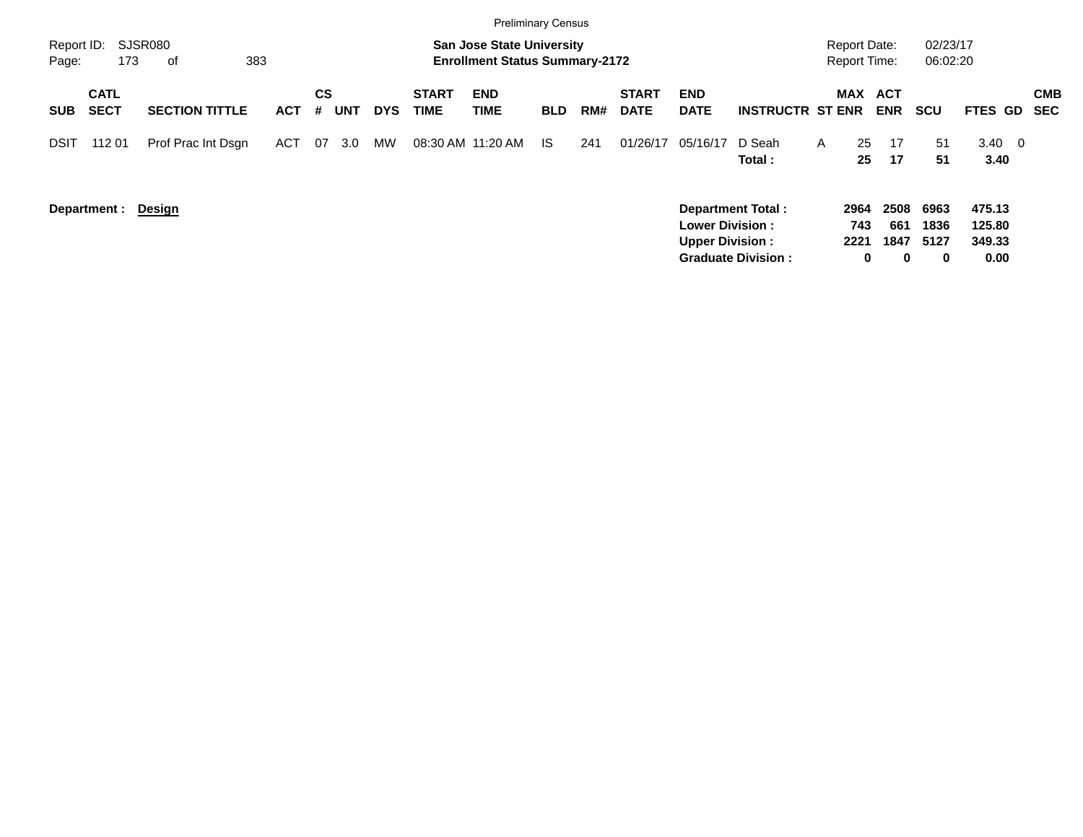|                     |                            |                       |            |                |                  |                             | <b>Preliminary Census</b>                                                 |            |     |                             |                                                  |                                                       |                                            |                               |                           |                                    |                          |
|---------------------|----------------------------|-----------------------|------------|----------------|------------------|-----------------------------|---------------------------------------------------------------------------|------------|-----|-----------------------------|--------------------------------------------------|-------------------------------------------------------|--------------------------------------------|-------------------------------|---------------------------|------------------------------------|--------------------------|
| Report ID:<br>Page: | 173                        | SJSR080<br>383<br>оf  |            |                |                  |                             | <b>San Jose State University</b><br><b>Enrollment Status Summary-2172</b> |            |     |                             |                                                  |                                                       | <b>Report Date:</b><br><b>Report Time:</b> |                               | 02/23/17<br>06:02:20      |                                    |                          |
| <b>SUB</b>          | <b>CATL</b><br><b>SECT</b> | <b>SECTION TITTLE</b> | <b>ACT</b> | CS<br>UNT<br># | <b>DYS</b>       | <b>START</b><br><b>TIME</b> | <b>END</b><br>TIME                                                        | <b>BLD</b> | RM# | <b>START</b><br><b>DATE</b> | <b>END</b><br><b>DATE</b>                        | <b>INSTRUCTR ST ENR</b>                               |                                            | MAX ACT<br><b>ENR</b>         | <b>SCU</b>                | <b>FTES GD</b>                     | <b>CMB</b><br><b>SEC</b> |
| DSIT                | 112 01                     | Prof Prac Int Dsgn    | ACT        | 07             | <b>MW</b><br>3.0 |                             | 08:30 AM 11:20 AM                                                         | IS         | 241 | 01/26/17                    | 05/16/17                                         | D Seah<br>Total:                                      | 25<br>$\mathsf{A}$<br>25                   | 17<br>17                      | 51<br>51                  | $3.40 \quad 0$<br>3.40             |                          |
|                     | Department :               | <u>Design</u>         |            |                |                  |                             |                                                                           |            |     |                             | <b>Lower Division:</b><br><b>Upper Division:</b> | <b>Department Total:</b><br><b>Graduate Division:</b> | 2964<br>743<br>2221                        | 2508<br>661<br>1847<br>0<br>0 | 6963<br>1836<br>5127<br>0 | 475.13<br>125.80<br>349.33<br>0.00 |                          |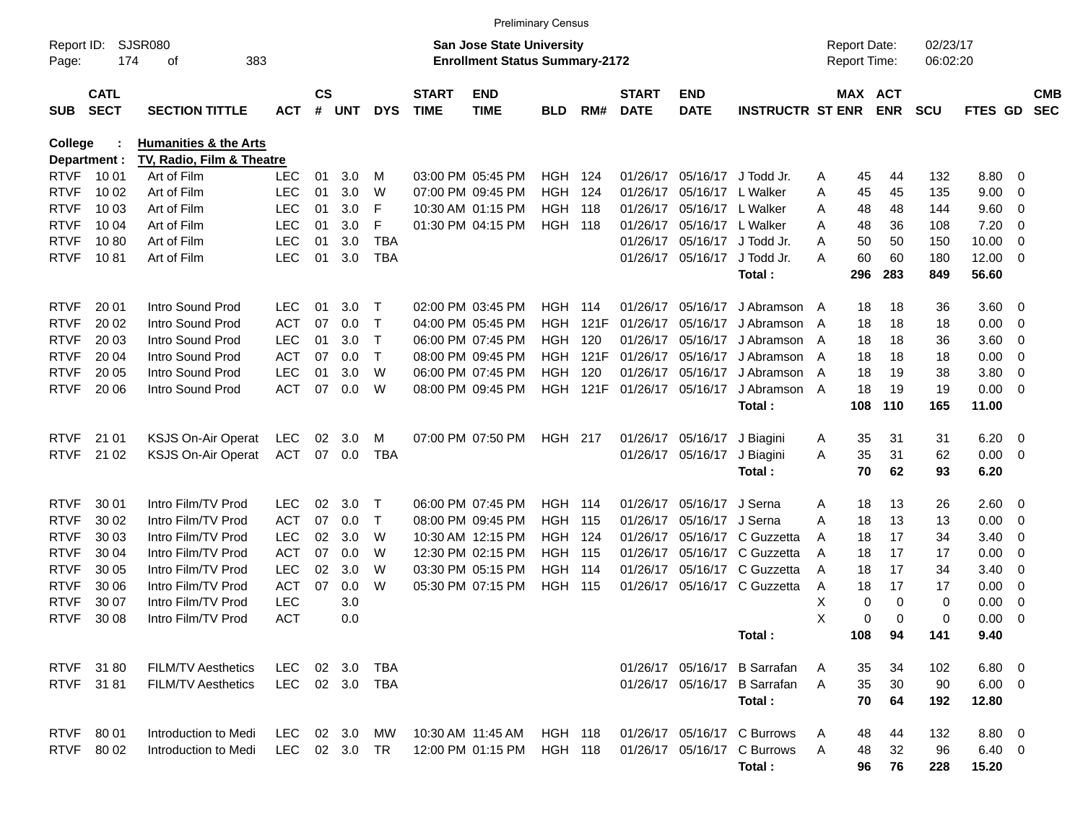|                     |                            |                                  |               |                    |        |            |                             |                                                                           | <b>Preliminary Census</b> |                 |                             |                           |                              |                                            |                              |                      |                |                          |                          |
|---------------------|----------------------------|----------------------------------|---------------|--------------------|--------|------------|-----------------------------|---------------------------------------------------------------------------|---------------------------|-----------------|-----------------------------|---------------------------|------------------------------|--------------------------------------------|------------------------------|----------------------|----------------|--------------------------|--------------------------|
| Report ID:<br>Page: | 174                        | <b>SJSR080</b><br>383<br>οf      |               |                    |        |            |                             | <b>San Jose State University</b><br><b>Enrollment Status Summary-2172</b> |                           |                 |                             |                           |                              | <b>Report Date:</b><br><b>Report Time:</b> |                              | 02/23/17<br>06:02:20 |                |                          |                          |
| <b>SUB</b>          | <b>CATL</b><br><b>SECT</b> | <b>SECTION TITTLE</b>            | <b>ACT</b>    | $\mathsf{cs}$<br># | UNT    | <b>DYS</b> | <b>START</b><br><b>TIME</b> | <b>END</b><br><b>TIME</b>                                                 | <b>BLD</b>                | RM#             | <b>START</b><br><b>DATE</b> | <b>END</b><br><b>DATE</b> | <b>INSTRUCTR ST ENR</b>      |                                            | <b>MAX ACT</b><br><b>ENR</b> | <b>SCU</b>           | <b>FTES GD</b> |                          | <b>CMB</b><br><b>SEC</b> |
| <b>College</b>      |                            | <b>Humanities &amp; the Arts</b> |               |                    |        |            |                             |                                                                           |                           |                 |                             |                           |                              |                                            |                              |                      |                |                          |                          |
|                     | Department :               | TV, Radio, Film & Theatre        |               |                    |        |            |                             |                                                                           |                           |                 |                             |                           |                              |                                            |                              |                      |                |                          |                          |
| <b>RTVF</b>         | 10 01                      | Art of Film                      | LEC           | 01                 | 3.0    | м          |                             | 03:00 PM 05:45 PM                                                         | <b>HGH 124</b>            |                 | 01/26/17                    | 05/16/17                  | J Todd Jr.                   | A                                          | 45<br>44                     | 132                  | 8.80           | $\overline{\phantom{0}}$ |                          |
| <b>RTVF</b>         | 10 02                      | Art of Film                      | <b>LEC</b>    | 01                 | 3.0    | W          |                             | 07:00 PM 09:45 PM                                                         | <b>HGH</b>                | 124             | 01/26/17                    |                           | 05/16/17 L Walker            | A                                          | 45<br>45                     | 135                  | 9.00           | $\overline{\mathbf{0}}$  |                          |
| <b>RTVF</b>         | 10 03                      | Art of Film                      | <b>LEC</b>    | 01                 | 3.0    | F          |                             | 10:30 AM 01:15 PM                                                         | <b>HGH 118</b>            |                 | 01/26/17                    | 05/16/17                  | L Walker                     | A                                          | 48<br>48                     | 144                  | 9.60           | $\overline{\mathbf{0}}$  |                          |
| <b>RTVF</b>         | 10 04                      | Art of Film                      | <b>LEC</b>    | 01                 | 3.0    | F          |                             | 01:30 PM 04:15 PM                                                         | <b>HGH 118</b>            |                 | 01/26/17                    | 05/16/17 L Walker         |                              | A                                          | 48<br>36                     | 108                  | 7.20           | 0                        |                          |
| <b>RTVF</b>         | 1080                       | Art of Film                      | <b>LEC</b>    | 01                 | 3.0    | <b>TBA</b> |                             |                                                                           |                           |                 | 01/26/17                    | 05/16/17                  | J Todd Jr.                   | A                                          | 50<br>50                     | 150                  | 10.00          | $\overline{0}$           |                          |
| <b>RTVF</b>         | 1081                       | Art of Film                      | <b>LEC</b>    | 01                 | 3.0    | <b>TBA</b> |                             |                                                                           |                           |                 |                             | 01/26/17 05/16/17         | J Todd Jr.<br>Total:         | Α<br>296                                   | 60<br>60<br>283              | 180<br>849           | 12.00<br>56.60 | $\overline{\phantom{0}}$ |                          |
| <b>RTVF</b>         | 20 01                      | Intro Sound Prod                 | LEC           | 01                 | 3.0    | Т          |                             | 02:00 PM 03:45 PM                                                         | <b>HGH 114</b>            |                 | 01/26/17                    | 05/16/17                  | J Abramson A                 |                                            | 18<br>18                     | 36                   | 3.60 0         |                          |                          |
| <b>RTVF</b>         | 20 02                      | Intro Sound Prod                 | <b>ACT</b>    | 07                 | 0.0    | Т          |                             | 04:00 PM 05:45 PM                                                         | HGH                       | 121F            | 01/26/17                    | 05/16/17                  | J Abramson                   | A                                          | 18<br>18                     | 18                   | 0.00           | $\overline{\mathbf{0}}$  |                          |
| <b>RTVF</b>         | 20 03                      | Intro Sound Prod                 | <b>LEC</b>    | 01                 | 3.0    | Т          |                             | 06:00 PM 07:45 PM                                                         | HGH.                      | 120             | 01/26/17                    | 05/16/17                  | J Abramson                   | A                                          | 18<br>18                     | 36                   | 3.60           | $\overline{\mathbf{0}}$  |                          |
| <b>RTVF</b>         | 20 04                      | Intro Sound Prod                 | <b>ACT</b>    | 07                 | 0.0    | Т          |                             | 08:00 PM 09:45 PM                                                         |                           | <b>HGH 121F</b> | 01/26/17                    | 05/16/17                  | J Abramson                   | A                                          | 18<br>18                     | 18                   | 0.00           | $\overline{\mathbf{0}}$  |                          |
| <b>RTVF</b>         | 20 05                      | Intro Sound Prod                 | <b>LEC</b>    | 01                 | 3.0    | W          |                             | 06:00 PM 07:45 PM                                                         | HGH.                      | 120             | 01/26/17                    | 05/16/17                  | J Abramson                   | A                                          | 18<br>19                     | 38                   | 3.80           | $\overline{\mathbf{0}}$  |                          |
| <b>RTVF</b>         | 20 06                      | Intro Sound Prod                 | <b>ACT</b>    | 07                 | 0.0    | W          |                             | 08:00 PM 09:45 PM                                                         |                           | <b>HGH 121F</b> |                             | 01/26/17 05/16/17         | J Abramson                   | A                                          | 18<br>19                     | 19                   | 0.00           | $\overline{\phantom{0}}$ |                          |
|                     |                            |                                  |               |                    |        |            |                             |                                                                           |                           |                 |                             |                           | Total:                       | 108                                        | 110                          | 165                  | 11.00          |                          |                          |
| <b>RTVF</b>         | 21 01                      | <b>KSJS On-Air Operat</b>        | <b>LEC</b>    | 02                 | 3.0    | м          |                             | 07:00 PM 07:50 PM                                                         | HGH 217                   |                 |                             | 01/26/17 05/16/17         | J Biagini                    | A                                          | 35<br>31                     | 31                   | 6.20           | $\overline{\phantom{0}}$ |                          |
| <b>RTVF</b>         | 21 02                      | <b>KSJS On-Air Operat</b>        | <b>ACT</b>    |                    | 07 0.0 | <b>TBA</b> |                             |                                                                           |                           |                 |                             | 01/26/17 05/16/17         | J Biagini                    | Α                                          | 35<br>31                     | 62                   | 0.00           | $\overline{\phantom{0}}$ |                          |
|                     |                            |                                  |               |                    |        |            |                             |                                                                           |                           |                 |                             |                           | Total:                       |                                            | 70<br>62                     | 93                   | 6.20           |                          |                          |
| <b>RTVF</b>         | 30 01                      | Intro Film/TV Prod               | LEC           | 02                 | 3.0    | Т          |                             | 06:00 PM 07:45 PM                                                         | <b>HGH 114</b>            |                 | 01/26/17                    | 05/16/17                  | J Serna                      | Α                                          | 18<br>13                     | 26                   | $2.60 \t 0$    |                          |                          |
| <b>RTVF</b>         | 30 02                      | Intro Film/TV Prod               | <b>ACT</b>    | 07                 | 0.0    | Т          |                             | 08:00 PM 09:45 PM                                                         | <b>HGH 115</b>            |                 | 01/26/17                    | 05/16/17                  | J Serna                      | A                                          | 13<br>18                     | 13                   | 0.00           | $\overline{\mathbf{0}}$  |                          |
| <b>RTVF</b>         | 30 03                      | Intro Film/TV Prod               | <b>LEC</b>    | 02                 | 3.0    | W          |                             | 10:30 AM 12:15 PM                                                         | HGH                       | 124             | 01/26/17                    | 05/16/17                  | C Guzzetta                   | A                                          | 17<br>18                     | 34                   | 3.40           | 0                        |                          |
| <b>RTVF</b>         | 30 04                      | Intro Film/TV Prod               | <b>ACT</b>    | 07                 | 0.0    | W          |                             | 12:30 PM 02:15 PM                                                         | <b>HGH 115</b>            |                 | 01/26/17                    |                           | 05/16/17 C Guzzetta          | A                                          | 18<br>17                     | 17                   | 0.00           | 0                        |                          |
| <b>RTVF</b>         | 30 05                      | Intro Film/TV Prod               | <b>LEC</b>    | 02                 | 3.0    | W          |                             | 03:30 PM 05:15 PM                                                         | HGH                       | 114             | 01/26/17                    |                           | 05/16/17 C Guzzetta          | A                                          | 18<br>17                     | 34                   | 3.40           | 0                        |                          |
| <b>RTVF</b>         | 30 06                      | Intro Film/TV Prod               | <b>ACT</b>    | 07                 | 0.0    | W          |                             | 05:30 PM 07:15 PM                                                         | <b>HGH 115</b>            |                 |                             |                           | 01/26/17 05/16/17 C Guzzetta | A                                          | 18<br>17                     | 17                   | 0.00           | 0                        |                          |
| <b>RTVF</b>         | 30 07                      | Intro Film/TV Prod               | <b>LEC</b>    |                    | 3.0    |            |                             |                                                                           |                           |                 |                             |                           |                              | х                                          | 0<br>0                       | 0                    | 0.00           | 0                        |                          |
| <b>RTVF</b>         | 30 08                      | Intro Film/TV Prod               | <b>ACT</b>    |                    | 0.0    |            |                             |                                                                           |                           |                 |                             |                           |                              | X                                          | 0<br>$\Omega$                | 0                    | 0.00           | - 0                      |                          |
|                     |                            |                                  |               |                    |        |            |                             |                                                                           |                           |                 |                             |                           | Total:                       | 108                                        | 94                           | 141                  | 9.40           |                          |                          |
|                     | RTVF 31 80                 | <b>FILM/TV Aesthetics</b>        | LEC           |                    | 02 3.0 | TBA        |                             |                                                                           |                           |                 |                             |                           | 01/26/17 05/16/17 B Sarrafan | A                                          | 35<br>34                     | 102                  | $6.80$ 0       |                          |                          |
|                     | RTVF 3181                  | <b>FILM/TV Aesthetics</b>        | LEC           |                    |        | 02 3.0 TBA |                             |                                                                           |                           |                 |                             | 01/26/17 05/16/17         | <b>B</b> Sarrafan            | A                                          | 35<br>30                     | 90                   | $6.00 \t 0$    |                          |                          |
|                     |                            |                                  |               |                    |        |            |                             |                                                                           |                           |                 |                             |                           | Total:                       |                                            | 70<br>64                     | 192                  | 12.80          |                          |                          |
| <b>RTVF</b>         | 80 01                      | Introduction to Medi             | LEC           |                    | 02 3.0 | MW         |                             | 10:30 AM 11:45 AM                                                         | <b>HGH 118</b>            |                 |                             |                           | 01/26/17 05/16/17 C Burrows  | A                                          | 48<br>44                     | 132                  | 8.80 0         |                          |                          |
| <b>RTVF</b>         | 80 02                      | Introduction to Medi             | LEC 02 3.0 TR |                    |        |            |                             | 12:00 PM 01:15 PM                                                         | <b>HGH 118</b>            |                 |                             |                           | 01/26/17 05/16/17 C Burrows  | A                                          | 32<br>48                     | 96                   | $6.40\ 0$      |                          |                          |
|                     |                            |                                  |               |                    |        |            |                             |                                                                           |                           |                 |                             |                           | Total:                       |                                            | 76<br>96                     | 228                  | 15.20          |                          |                          |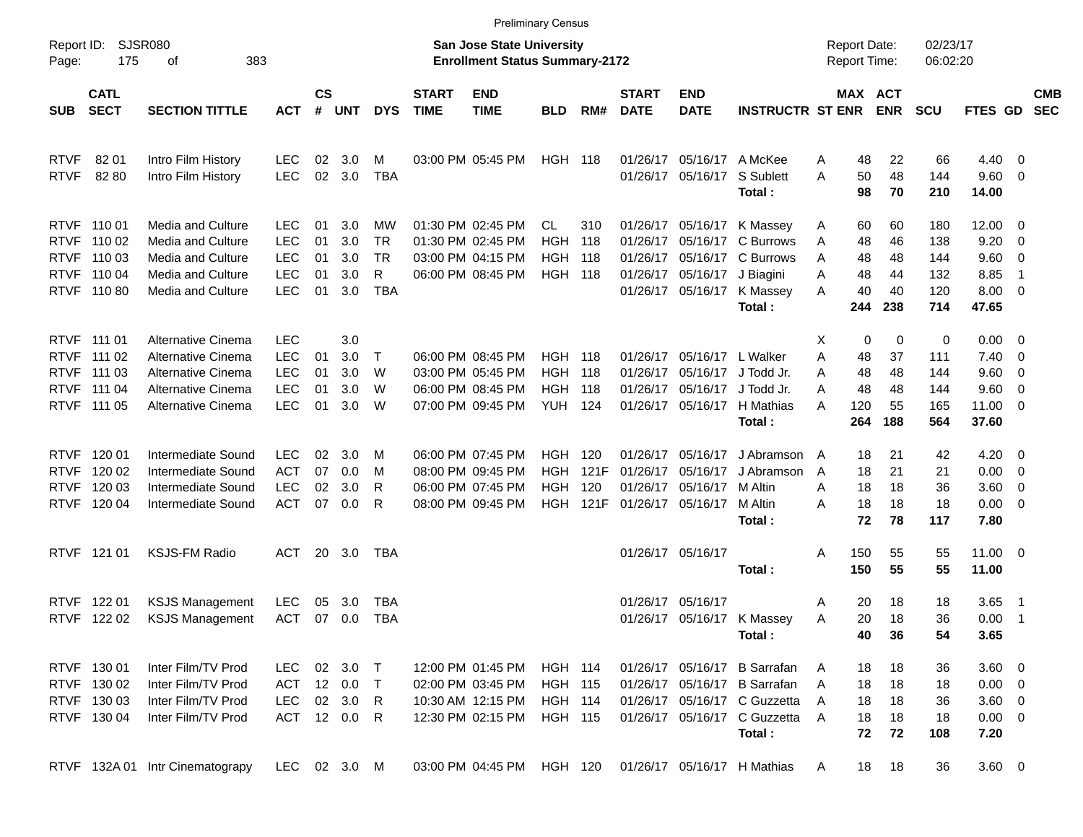|                     |                            |                                 |              |                    |            |              |                             |                                                                    | <b>Preliminary Census</b> |       |                             |                           |                              |                |                                     |                              |                      |                      |                          |                          |
|---------------------|----------------------------|---------------------------------|--------------|--------------------|------------|--------------|-----------------------------|--------------------------------------------------------------------|---------------------------|-------|-----------------------------|---------------------------|------------------------------|----------------|-------------------------------------|------------------------------|----------------------|----------------------|--------------------------|--------------------------|
| Report ID:<br>Page: | 175                        | <b>SJSR080</b><br>383<br>οf     |              |                    |            |              |                             | San Jose State University<br><b>Enrollment Status Summary-2172</b> |                           |       |                             |                           |                              |                | <b>Report Date:</b><br>Report Time: |                              | 02/23/17<br>06:02:20 |                      |                          |                          |
| <b>SUB</b>          | <b>CATL</b><br><b>SECT</b> | <b>SECTION TITTLE</b>           | <b>ACT</b>   | $\mathsf{cs}$<br># | <b>UNT</b> | <b>DYS</b>   | <b>START</b><br><b>TIME</b> | <b>END</b><br><b>TIME</b>                                          | <b>BLD</b>                | RM#   | <b>START</b><br><b>DATE</b> | <b>END</b><br><b>DATE</b> | <b>INSTRUCTR ST ENR</b>      |                |                                     | <b>MAX ACT</b><br><b>ENR</b> | <b>SCU</b>           | <b>FTES GD</b>       |                          | <b>CMB</b><br><b>SEC</b> |
| <b>RTVF</b>         | 82 01                      | Intro Film History              | <b>LEC</b>   | 02                 | 3.0        | м            |                             | 03:00 PM 05:45 PM                                                  | <b>HGH 118</b>            |       |                             | 01/26/17 05/16/17         | A McKee                      | Α              | 48                                  | 22                           | 66                   | 4.40                 | $\overline{\phantom{0}}$ |                          |
| <b>RTVF</b>         | 82 80                      | Intro Film History              | <b>LEC</b>   | 02                 | 3.0        | <b>TBA</b>   |                             |                                                                    |                           |       |                             | 01/26/17 05/16/17         | S Sublett<br>Total:          | A              | 50<br>98                            | 48<br>70                     | 144<br>210           | 9.60 0<br>14.00      |                          |                          |
|                     | RTVF 110 01                | Media and Culture               | <b>LEC</b>   | 01                 | 3.0        | MW           |                             | 01:30 PM 02:45 PM                                                  | CL                        | 310   |                             | 01/26/17 05/16/17         | K Massey                     | Α              | 60                                  | 60                           | 180                  | 12.00                | $\overline{\phantom{0}}$ |                          |
| <b>RTVF</b>         | 110 02                     | Media and Culture               | <b>LEC</b>   | 01                 | 3.0        | TR.          |                             | 01:30 PM 02:45 PM                                                  | <b>HGH</b>                | 118   |                             | 01/26/17 05/16/17         | C Burrows                    | Α              | 48                                  | 46                           | 138                  | 9.20                 | - 0                      |                          |
| <b>RTVF</b>         | 110 03                     | Media and Culture               | <b>LEC</b>   | 01                 | 3.0        | <b>TR</b>    |                             | 03:00 PM 04:15 PM                                                  | HGH                       | 118   |                             | 01/26/17 05/16/17         | C Burrows                    | A              | 48                                  | 48                           | 144                  | 9.60                 | $\overline{\mathbf{0}}$  |                          |
|                     | RTVF 110 04                | Media and Culture               | <b>LEC</b>   | 01                 | 3.0        | R            |                             | 06:00 PM 08:45 PM                                                  | HGH                       | 118   |                             | 01/26/17 05/16/17         | J Biagini                    | A              | 48                                  | 44                           | 132                  | 8.85                 | -1                       |                          |
|                     | RTVF 110 80                | Media and Culture               | <b>LEC</b>   | 01                 | 3.0        | <b>TBA</b>   |                             |                                                                    |                           |       |                             | 01/26/17 05/16/17         | K Massey<br>Total:           | A              | 40<br>244                           | 40<br>238                    | 120<br>714           | $8.00 \t 0$<br>47.65 |                          |                          |
|                     | RTVF 111 01                | Alternative Cinema              | <b>LEC</b>   |                    | 3.0        |              |                             |                                                                    |                           |       |                             |                           |                              | х              | 0                                   | 0                            | 0                    | $0.00 \t 0$          |                          |                          |
| <b>RTVF</b>         | 111 02                     | Alternative Cinema              | <b>LEC</b>   | 01                 | 3.0        | $\mathsf{T}$ |                             | 06:00 PM 08:45 PM                                                  | HGH.                      | - 118 |                             | 01/26/17 05/16/17         | L Walker                     | Α              | 48                                  | 37                           | 111                  | 7.40                 | $\overline{\phantom{0}}$ |                          |
| <b>RTVF</b>         | 111 03                     | Alternative Cinema              | <b>LEC</b>   | 01                 | 3.0        | W            |                             | 03:00 PM 05:45 PM                                                  | <b>HGH</b>                | 118   |                             | 01/26/17 05/16/17         | J Todd Jr.                   | Α              | 48                                  | 48                           | 144                  | 9.60                 | $\overline{\phantom{0}}$ |                          |
|                     | RTVF 111 04                | Alternative Cinema              | <b>LEC</b>   | 01                 | 3.0        | W            |                             | 06:00 PM 08:45 PM                                                  | HGH                       | 118   |                             | 01/26/17 05/16/17         | J Todd Jr.                   | Α              | 48                                  | 48                           | 144                  | 9.60                 | $\overline{\mathbf{0}}$  |                          |
|                     | RTVF 111 05                | Alternative Cinema              | <b>LEC</b>   | 01                 | 3.0        | W            |                             | 07:00 PM 09:45 PM                                                  | <b>YUH 124</b>            |       |                             | 01/26/17 05/16/17         | H Mathias                    | A              | 120                                 | 55                           | 165                  | 11.00 0              |                          |                          |
|                     |                            |                                 |              |                    |            |              |                             |                                                                    |                           |       |                             |                           | Total:                       |                | 264                                 | 188                          | 564                  | 37.60                |                          |                          |
| <b>RTVF</b>         | 120 01                     | Intermediate Sound              | <b>LEC</b>   | 02                 | 3.0        | M            |                             | 06:00 PM 07:45 PM                                                  | HGH.                      | 120   |                             | 01/26/17 05/16/17         | J Abramson                   | $\overline{A}$ | 18                                  | 21                           | 42                   | 4.20                 | $\overline{\phantom{0}}$ |                          |
| <b>RTVF</b>         | 120 02                     | Intermediate Sound              | <b>ACT</b>   | 07                 | 0.0        | M            |                             | 08:00 PM 09:45 PM                                                  | HGH                       | 121F  | 01/26/17                    | 05/16/17                  | J Abramson                   | A              | 18                                  | 21                           | 21                   | 0.00                 | $\overline{\phantom{0}}$ |                          |
| <b>RTVF</b>         | 120 03                     | Intermediate Sound              | <b>LEC</b>   | 02                 | 3.0        | R            |                             | 06:00 PM 07:45 PM                                                  | HGH                       | 120   | 01/26/17                    | 05/16/17                  | M Altin                      | A              | 18                                  | 18                           | 36                   | 3.60 0               |                          |                          |
|                     | RTVF 120 04                | Intermediate Sound              | <b>ACT</b>   | 07                 | 0.0        | R            |                             | 08:00 PM 09:45 PM                                                  | HGH                       | 121F  |                             | 01/26/17 05/16/17         | M Altin                      | Α              | 18                                  | 18                           | 18                   | $0.00 \t 0$          |                          |                          |
|                     |                            |                                 |              |                    |            |              |                             |                                                                    |                           |       |                             |                           | Total:                       |                | 72                                  | 78                           | 117                  | 7.80                 |                          |                          |
|                     | RTVF 121 01                | <b>KSJS-FM Radio</b>            | ACT          |                    | 20 3.0     | TBA          |                             |                                                                    |                           |       |                             | 01/26/17 05/16/17         |                              | Α              | 150                                 | 55                           | 55                   | $11.00 \t 0$         |                          |                          |
|                     |                            |                                 |              |                    |            |              |                             |                                                                    |                           |       |                             |                           | Total:                       |                | 150                                 | 55                           | 55                   | 11.00                |                          |                          |
| <b>RTVF</b>         | 122 01                     | <b>KSJS Management</b>          | <b>LEC</b>   | 05                 | 3.0        | TBA          |                             |                                                                    |                           |       |                             | 01/26/17 05/16/17         |                              | Α              | 20                                  | 18                           | 18                   | $3.65$ 1             |                          |                          |
|                     | RTVF 122 02                | <b>KSJS Management</b>          | ACT          |                    | 07 0.0     | TBA          |                             |                                                                    |                           |       |                             |                           | 01/26/17 05/16/17 K Massey   | Α              | 20                                  | 18                           | 36                   | 0.00                 | $\overline{\phantom{0}}$ |                          |
|                     |                            |                                 |              |                    |            |              |                             |                                                                    |                           |       |                             |                           | Total:                       |                | 40                                  | 36                           | 54                   | 3.65                 |                          |                          |
|                     | RTVF 130 01                | Inter Film/TV Prod              | <b>LEC</b>   |                    | 02 3.0 T   |              |                             | 12:00 PM 01:45 PM                                                  | <b>HGH 114</b>            |       |                             |                           | 01/26/17 05/16/17 B Sarrafan | A              | 18                                  | 18                           | 36                   | 3.60 0               |                          |                          |
|                     | RTVF 130 02                | Inter Film/TV Prod              | ACT          |                    | 12 0.0     | $\top$       |                             | 02:00 PM 03:45 PM                                                  | <b>HGH 115</b>            |       |                             |                           | 01/26/17 05/16/17 B Sarrafan | A              | 18                                  | 18                           | 18                   | $0.00 \t 0$          |                          |                          |
|                     | RTVF 130 03                | Inter Film/TV Prod              | <b>LEC</b>   |                    | 02 3.0 R   |              |                             | 10:30 AM 12:15 PM                                                  | <b>HGH 114</b>            |       |                             |                           | 01/26/17 05/16/17 C Guzzetta | A              | 18                                  | 18                           | 36                   | 3.60 0               |                          |                          |
|                     | RTVF 130 04                | Inter Film/TV Prod              | ACT 12 0.0 R |                    |            |              |                             | 12:30 PM 02:15 PM                                                  | <b>HGH 115</b>            |       |                             |                           | 01/26/17 05/16/17 C Guzzetta | A              | 18                                  | 18                           | 18                   | $0.00 \t 0$          |                          |                          |
|                     |                            |                                 |              |                    |            |              |                             |                                                                    |                           |       |                             |                           | Total:                       |                | 72                                  | 72                           | 108                  | 7.20                 |                          |                          |
|                     |                            | RTVF 132A 01 Intr Cinematograpy | LEC 02 3.0 M |                    |            |              |                             | 03:00 PM 04:45 PM HGH 120                                          |                           |       |                             |                           | 01/26/17 05/16/17 H Mathias  | A              | 18                                  | 18                           | 36                   | 3.60 0               |                          |                          |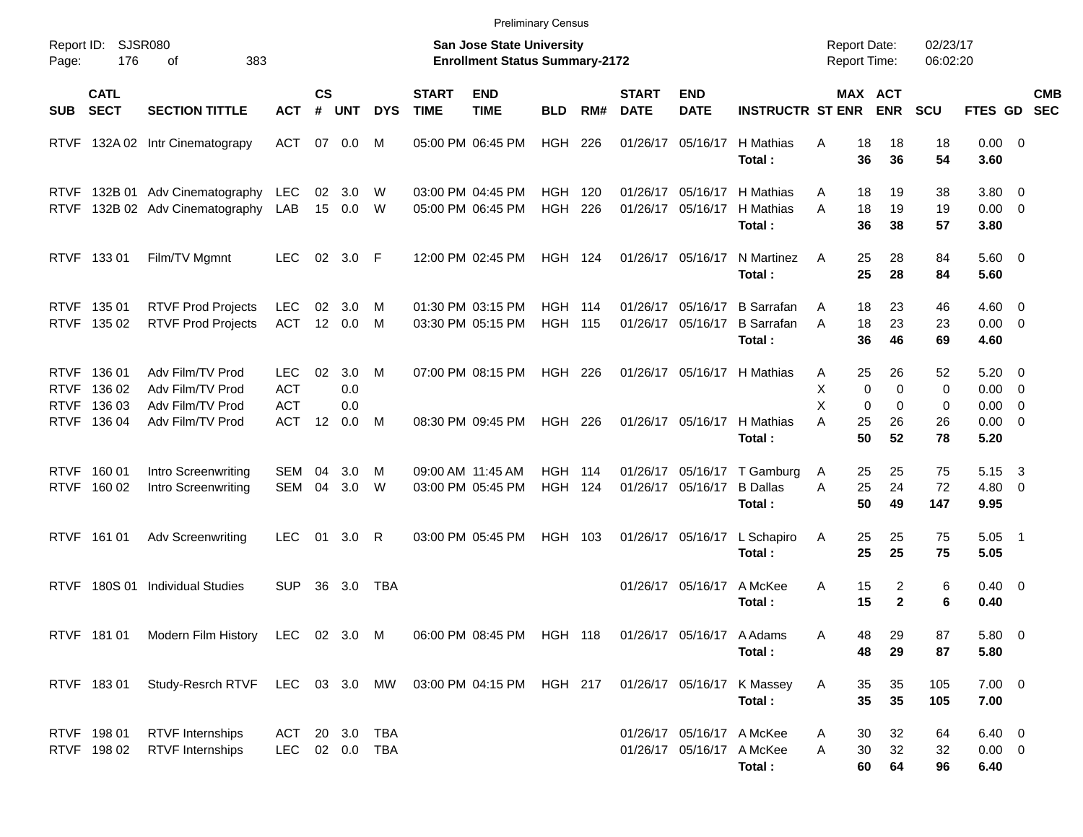|                     |                                 |                                                                    |                                        |                    |                   |            |                             | <b>Preliminary Census</b>                                                 |                                  |     |                             |                           |                                                  |                                     |                                            |                        |                                |                                                                      |            |
|---------------------|---------------------------------|--------------------------------------------------------------------|----------------------------------------|--------------------|-------------------|------------|-----------------------------|---------------------------------------------------------------------------|----------------------------------|-----|-----------------------------|---------------------------|--------------------------------------------------|-------------------------------------|--------------------------------------------|------------------------|--------------------------------|----------------------------------------------------------------------|------------|
| Report ID:<br>Page: | 176                             | <b>SJSR080</b><br>of<br>383                                        |                                        |                    |                   |            |                             | <b>San Jose State University</b><br><b>Enrollment Status Summary-2172</b> |                                  |     |                             |                           |                                                  | <b>Report Date:</b><br>Report Time: |                                            | 02/23/17<br>06:02:20   |                                |                                                                      |            |
| <b>SUB</b>          | <b>CATL</b><br><b>SECT</b>      | <b>SECTION TITTLE</b>                                              | <b>ACT</b>                             | $\mathsf{cs}$<br># | <b>UNT</b>        | <b>DYS</b> | <b>START</b><br><b>TIME</b> | <b>END</b><br><b>TIME</b>                                                 | <b>BLD</b>                       | RM# | <b>START</b><br><b>DATE</b> | <b>END</b><br><b>DATE</b> | <b>INSTRUCTR ST ENR</b>                          |                                     | <b>MAX ACT</b><br><b>ENR</b>               | <b>SCU</b>             | FTES GD SEC                    |                                                                      | <b>CMB</b> |
|                     |                                 | RTVF 132A 02 Intr Cinematograpy                                    | <b>ACT</b>                             | 07                 | 0.0               | M          |                             | 05:00 PM 06:45 PM                                                         | HGH                              | 226 | 01/26/17                    | 05/16/17                  | H Mathias<br>Total:                              | 18<br>A<br>36                       | 18<br>36                                   | 18<br>54               | 0.00 0<br>3.60                 |                                                                      |            |
|                     |                                 | RTVF 132B 01 Adv Cinematography<br>RTVF 132B 02 Adv Cinematography | <b>LEC</b><br>LAB                      | 02<br>15           | 3.0<br>0.0        | W<br>W     |                             | 03:00 PM 04:45 PM<br>05:00 PM 06:45 PM                                    | <b>HGH 120</b><br><b>HGH 226</b> |     | 01/26/17<br>01/26/17        | 05/16/17                  | H Mathias<br>05/16/17 H Mathias<br>Total:        | Α<br>18<br>A<br>18<br>36            | 19<br>19<br>38                             | 38<br>19<br>57         | 3.80<br>$0.00 \quad 0$<br>3.80 | $\overline{\mathbf{0}}$                                              |            |
|                     | RTVF 13301                      | Film/TV Mgmnt                                                      | LEC                                    | 02                 | 3.0 F             |            |                             | 12:00 PM 02:45 PM                                                         | <b>HGH 124</b>                   |     |                             | 01/26/17 05/16/17         | N Martinez<br>Total:                             | 25<br>A<br>25                       | 28<br>28                                   | 84<br>84               | $5.60 \quad 0$<br>5.60         |                                                                      |            |
|                     | RTVF 13501<br>RTVF 135 02       | <b>RTVF Prod Projects</b><br><b>RTVF Prod Projects</b>             | LEC.<br><b>ACT</b>                     | 02                 | 3.0<br>12 0.0     | M<br>M     |                             | 01:30 PM 03:15 PM<br>03:30 PM 05:15 PM                                    | <b>HGH 114</b><br><b>HGH 115</b> |     | 01/26/17<br>01/26/17        | 05/16/17<br>05/16/17      | <b>B</b> Sarrafan<br><b>B</b> Sarrafan<br>Total: | 18<br>A<br>18<br>A<br>36            | 23<br>23<br>46                             | 46<br>23<br>69         | 4.60<br>$0.00 \t 0$<br>4.60    | - 0                                                                  |            |
| RTVF<br>RTVF        | 136 01<br>RTVF 136 02<br>136 03 | Adv Film/TV Prod<br>Adv Film/TV Prod<br>Adv Film/TV Prod           | <b>LEC</b><br><b>ACT</b><br><b>ACT</b> | 02                 | 3.0<br>0.0<br>0.0 | M          |                             | 07:00 PM 08:15 PM                                                         | HGH 226                          |     | 01/26/17                    |                           | 05/16/17 H Mathias                               | 25<br>A<br>X<br>X                   | 26<br>$\mathbf 0$<br>$\mathbf 0$<br>0<br>0 | 52<br>$\mathbf 0$<br>0 | 5.20<br>0.00<br>0.00           | $\overline{0}$<br>$\overline{\mathbf{0}}$<br>$\overline{\mathbf{0}}$ |            |
|                     | RTVF 136 04                     | Adv Film/TV Prod                                                   | <b>ACT</b>                             | $12 \overline{ }$  | 0.0               | M          |                             | 08:30 PM 09:45 PM                                                         | HGH 226                          |     | 01/26/17                    | 05/16/17                  | H Mathias<br>Total:                              | A<br>25<br>50                       | 26<br>52                                   | 26<br>78               | 0.00<br>5.20                   | $\overline{0}$                                                       |            |
|                     | RTVF 160 01<br>RTVF 160 02      | Intro Screenwriting<br>Intro Screenwriting                         | SEM 04<br>SEM 04                       |                    | 3.0<br>3.0        | M<br>W     |                             | 09:00 AM 11:45 AM<br>03:00 PM 05:45 PM                                    | <b>HGH 114</b><br><b>HGH 124</b> |     | 01/26/17                    | 05/16/17 B Dallas         | 01/26/17 05/16/17 T Gamburg<br>Total:            | 25<br>A<br>25<br>A<br>50            | 25<br>24<br>49                             | 75<br>72<br>147        | 5.15<br>4.80<br>9.95           | - 3<br>$\overline{\phantom{0}}$                                      |            |
|                     | RTVF 16101                      | <b>Adv Screenwriting</b>                                           | LEC.                                   | 01                 | $3.0 \quad R$     |            |                             | 03:00 PM 05:45 PM                                                         | HGH 103                          |     |                             | 01/26/17 05/16/17         | L Schapiro<br>Total:                             | Α<br>25<br>25                       | 25<br>25                                   | 75<br>75               | 5.05<br>5.05                   | $\overline{\phantom{1}}$                                             |            |
|                     |                                 | RTVF 180S 01 Individual Studies                                    | SUP.                                   | 36                 | 3.0               | TBA        |                             |                                                                           |                                  |     | 01/26/17                    | 05/16/17                  | A McKee<br>Total:                                | 15<br>A<br>15                       | 2<br>$\mathbf 2$                           | 6<br>6                 | 0.40<br>0.40                   | $\overline{\phantom{0}}$                                             |            |
|                     | RTVF 181 01                     | Modern Film History                                                | <b>LEC</b>                             |                    | 02 3.0 M          |            |                             | 06:00 PM 08:45 PM                                                         | <b>HGH 118</b>                   |     | 01/26/17                    | 05/16/17                  | A Adams<br>Total:                                | 48<br>A<br>48                       | 29<br>29                                   | 87<br>87               | 5.80 0<br>5.80                 |                                                                      |            |
|                     | RTVF 18301                      | Study-Resrch RTVF                                                  | <b>LEC</b>                             | 03                 | 3.0               | МW         |                             | 03:00 PM 04:15 PM                                                         | <b>HGH 217</b>                   |     |                             | 01/26/17 05/16/17         | K Massey<br>Total :                              | Α<br>35<br>35                       | 35<br>35                                   | 105<br>105             | $7.00 \t 0$<br>7.00            |                                                                      |            |

RTVF 198 01 RTVF Internships ACT 20 3.0 TBA 01/26/17 05/16/17 A McKee A 30 32 64 6.40 0 RTVF 198 02 RTVF Internships LEC 02 0.0 TBA 01/26/17 05/16/17 A McKee A 30 32 32 0.00 0 **Total : 60 64 96 6.40**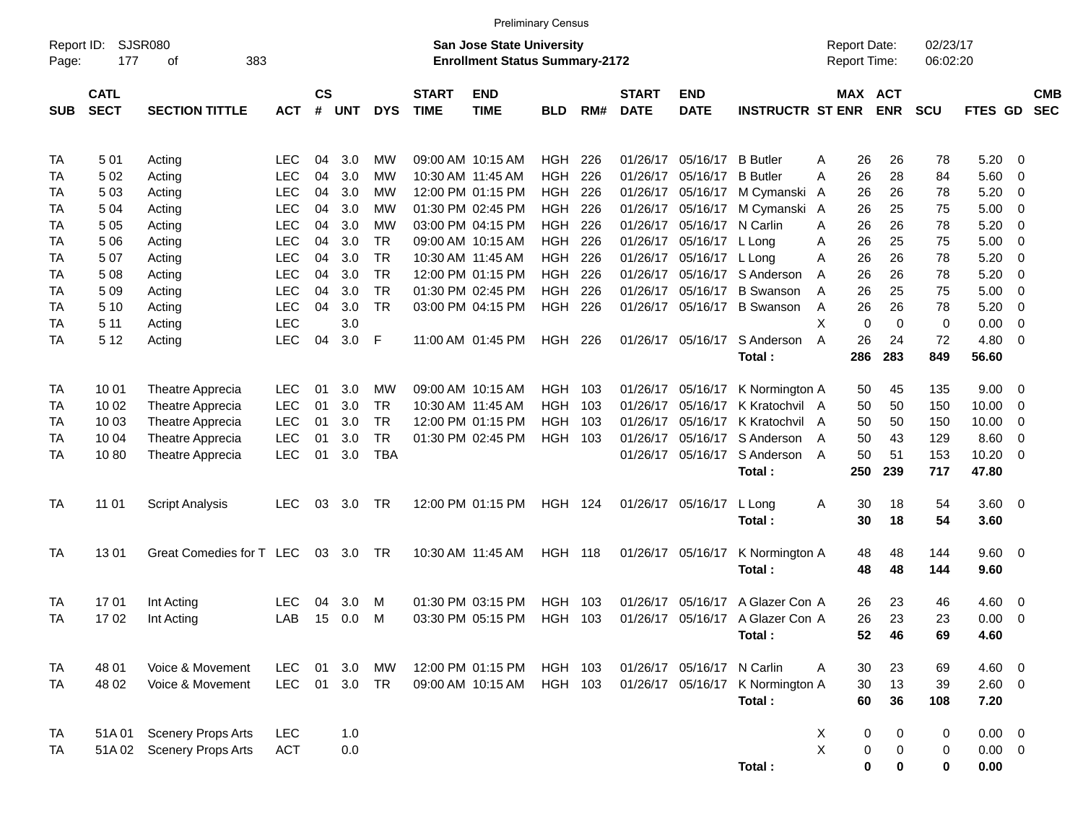|                     |                            |                           |                          |                |            |                        |                             |                                                                           | <b>Preliminary Census</b> |            |                             |                            |                                  |                                            |                       |                      |                |                                |                          |
|---------------------|----------------------------|---------------------------|--------------------------|----------------|------------|------------------------|-----------------------------|---------------------------------------------------------------------------|---------------------------|------------|-----------------------------|----------------------------|----------------------------------|--------------------------------------------|-----------------------|----------------------|----------------|--------------------------------|--------------------------|
| Report ID:<br>Page: | 177                        | SJSR080<br>383<br>οf      |                          |                |            |                        |                             | <b>San Jose State University</b><br><b>Enrollment Status Summary-2172</b> |                           |            |                             |                            |                                  | <b>Report Date:</b><br><b>Report Time:</b> |                       | 02/23/17<br>06:02:20 |                |                                |                          |
| <b>SUB</b>          | <b>CATL</b><br><b>SECT</b> | <b>SECTION TITTLE</b>     | <b>ACT</b>               | <b>CS</b><br># | <b>UNT</b> | <b>DYS</b>             | <b>START</b><br><b>TIME</b> | <b>END</b><br><b>TIME</b>                                                 | <b>BLD</b>                | RM#        | <b>START</b><br><b>DATE</b> | <b>END</b><br><b>DATE</b>  | <b>INSTRUCTR ST ENR</b>          |                                            | MAX ACT<br><b>ENR</b> | <b>SCU</b>           | <b>FTES GD</b> |                                | <b>CMB</b><br><b>SEC</b> |
| TA                  | 501                        | Acting                    | <b>LEC</b>               | 04             | 3.0        | МW                     |                             | 09:00 AM 10:15 AM                                                         | HGH                       | 226        | 01/26/17                    | 05/16/17 B Butler          |                                  | 26<br>Α                                    | 26                    | 78                   | 5.20           | $\overline{\phantom{0}}$       |                          |
| TA                  | 502                        | Acting                    | <b>LEC</b>               | 04             | 3.0        | МW                     |                             | 10:30 AM 11:45 AM                                                         | <b>HGH</b>                | 226        | 01/26/17                    | 05/16/17 B Butler          |                                  | 26<br>A                                    | 28                    | 84                   | 5.60           | $\overline{\phantom{0}}$       |                          |
| TA                  | 503                        | Acting                    | <b>LEC</b>               | 04             | 3.0        | МW                     |                             | 12:00 PM 01:15 PM                                                         | HGH                       | 226        | 01/26/17                    | 05/16/17                   | M Cymanski                       | 26<br>A                                    | 26                    | 78                   | 5.20           | $\overline{\mathbf{0}}$        |                          |
| TA                  | 504                        | Acting                    | <b>LEC</b>               | 04             | 3.0        | МW                     |                             | 01:30 PM 02:45 PM                                                         | HGH                       | 226        | 01/26/17                    |                            | 05/16/17 M Cymanski              | 26<br>A                                    | 25                    | 75                   | 5.00           | $\overline{\phantom{0}}$       |                          |
| TA                  | 5 05                       | Acting                    | <b>LEC</b>               | 04             | 3.0        | МW                     |                             | 03:00 PM 04:15 PM                                                         | <b>HGH</b>                | 226        | 01/26/17                    | 05/16/17 N Carlin          |                                  | 26<br>A                                    | 26                    | 78                   | 5.20           | - 0                            |                          |
| TA                  | 5 0 6                      | Acting                    | <b>LEC</b>               | 04             | 3.0        | <b>TR</b><br><b>TR</b> |                             | 09:00 AM 10:15 AM                                                         | HGH                       | 226        | 01/26/17                    | 05/16/17 L Long            |                                  | 26<br>A                                    | 25                    | 75                   | 5.00           | $\overline{\mathbf{0}}$        |                          |
| TA<br>TA            | 507                        | Acting                    | <b>LEC</b><br><b>LEC</b> | 04<br>04       | 3.0<br>3.0 | <b>TR</b>              |                             | 10:30 AM 11:45 AM<br>12:00 PM 01:15 PM                                    | HGH<br><b>HGH</b>         | 226<br>226 | 01/26/17<br>01/26/17        | 05/16/17 L Long            | 05/16/17 S Anderson              | 26<br>A<br>26                              | 26<br>26              | 78<br>78             | 5.20<br>5.20   | $\overline{\mathbf{0}}$<br>- 0 |                          |
| TA                  | 5 08<br>5 0 9              | Acting<br>Acting          | <b>LEC</b>               | 04             | 3.0        | <b>TR</b>              |                             | 01:30 PM 02:45 PM                                                         | <b>HGH</b>                | 226        | 01/26/17                    |                            | 05/16/17 B Swanson               | A<br>26<br>A                               | 25                    | 75                   | 5.00           | $\overline{\mathbf{0}}$        |                          |
| TA                  | 5 10                       | Acting                    | <b>LEC</b>               | 04             | 3.0        | <b>TR</b>              |                             | 03:00 PM 04:15 PM                                                         | <b>HGH</b>                | 226        |                             |                            | 01/26/17 05/16/17 B Swanson      | 26<br>Α                                    | 26                    | 78                   | 5.20           | $\overline{\mathbf{0}}$        |                          |
| TA                  | 5 11                       | Acting                    | <b>LEC</b>               |                | 3.0        |                        |                             |                                                                           |                           |            |                             |                            |                                  | X<br>$\mathbf 0$                           | $\Omega$              | 0                    | 0.00           | $\overline{0}$                 |                          |
| TA                  | 5 1 2                      | Acting                    | <b>LEC</b>               | 04             | 3.0        | -F                     |                             | 11:00 AM 01:45 PM                                                         | HGH 226                   |            |                             | 01/26/17 05/16/17          | S Anderson                       | A<br>26                                    | 24                    | 72                   | 4.80           | $\overline{\phantom{0}}$       |                          |
|                     |                            |                           |                          |                |            |                        |                             |                                                                           |                           |            |                             |                            | Total:                           | 286                                        | 283                   | 849                  | 56.60          |                                |                          |
|                     |                            |                           |                          |                |            |                        |                             |                                                                           |                           |            |                             |                            |                                  |                                            |                       |                      |                |                                |                          |
| TA                  | 10 01                      | Theatre Apprecia          | <b>LEC</b>               | 01             | 3.0        | МW                     |                             | 09:00 AM 10:15 AM                                                         | HGH                       | 103        | 01/26/17                    | 05/16/17                   | K Normington A                   | 50                                         | 45                    | 135                  | $9.00 \t 0$    |                                |                          |
| TA                  | 10 02                      | Theatre Apprecia          | <b>LEC</b>               | 01             | 3.0        | <b>TR</b>              |                             | 10:30 AM 11:45 AM                                                         | <b>HGH</b>                | 103        | 01/26/17                    | 05/16/17                   | K Kratochvil A                   | 50                                         | 50                    | 150                  | 10.00          | 0                              |                          |
| TA                  | 10 03                      | Theatre Apprecia          | <b>LEC</b>               | 01             | 3.0        | <b>TR</b>              |                             | 12:00 PM 01:15 PM                                                         | <b>HGH</b>                | 103        | 01/26/17                    |                            | 05/16/17 K Kratochvil            | 50<br>A                                    | 50                    | 150                  | 10.00          | $\overline{\mathbf{0}}$        |                          |
| TA                  | 10 04                      | Theatre Apprecia          | <b>LEC</b>               | 01             | 3.0        | <b>TR</b>              |                             | 01:30 PM 02:45 PM                                                         | <b>HGH</b>                | 103        | 01/26/17                    |                            | 05/16/17 S Anderson              | 50<br>A                                    | 43                    | 129                  | 8.60           | - 0                            |                          |
| TA                  | 1080                       | Theatre Apprecia          | <b>LEC</b>               | 01             | 3.0        | <b>TBA</b>             |                             |                                                                           |                           |            |                             |                            | 01/26/17 05/16/17 S Anderson     | 50<br>A                                    | 51                    | 153                  | $10.20 \t 0$   |                                |                          |
|                     |                            |                           |                          |                |            |                        |                             |                                                                           |                           |            |                             |                            | Total:                           | 250                                        | 239                   | 717                  | 47.80          |                                |                          |
| TA                  | 11 01                      | <b>Script Analysis</b>    | <b>LEC</b>               | 03             | 3.0        | TR                     |                             | 12:00 PM 01:15 PM                                                         | <b>HGH 124</b>            |            |                             | 01/26/17 05/16/17          | L Long                           | 30<br>Α                                    | 18                    | 54                   | 3.60 0         |                                |                          |
|                     |                            |                           |                          |                |            |                        |                             |                                                                           |                           |            |                             |                            | Total:                           | 30                                         | 18                    | 54                   | 3.60           |                                |                          |
|                     |                            |                           |                          |                |            |                        |                             |                                                                           |                           |            |                             |                            |                                  |                                            |                       |                      |                |                                |                          |
| TA                  | 1301                       | Great Comedies for T LEC  |                          |                | 03 3.0     | TR                     |                             | 10:30 AM 11:45 AM                                                         | <b>HGH 118</b>            |            |                             | 01/26/17 05/16/17          | K Normington A                   | 48                                         | 48                    | 144                  | $9.60 \quad 0$ |                                |                          |
|                     |                            |                           |                          |                |            |                        |                             |                                                                           |                           |            |                             |                            | Total:                           | 48                                         | 48                    | 144                  | 9.60           |                                |                          |
| TA                  | 1701                       | Int Acting                | <b>LEC</b>               | 04             | 3.0        | M                      |                             | 01:30 PM 03:15 PM                                                         | HGH                       | 103        | 01/26/17                    | 05/16/17                   | A Glazer Con A                   | 26                                         | 23                    | 46                   | $4.60 \quad 0$ |                                |                          |
| TA                  | 1702                       | Int Acting                | LAB                      | 15             | 0.0        | M                      |                             | 03:30 PM 05:15 PM                                                         | HGH                       | 103        |                             |                            | 01/26/17 05/16/17 A Glazer Con A | 26                                         | 23                    | 23                   | $0.00 \t 0$    |                                |                          |
|                     |                            |                           |                          |                |            |                        |                             |                                                                           |                           |            |                             |                            | Total:                           | 52                                         | 46                    | 69                   | 4.60           |                                |                          |
|                     |                            |                           |                          |                |            |                        |                             |                                                                           |                           |            |                             |                            |                                  |                                            |                       |                      |                |                                |                          |
| TA                  | 48 01                      | Voice & Movement          | LEC                      |                | 01 3.0     | MW                     |                             | 12:00 PM 01:15 PM                                                         | HGH 103                   |            |                             | 01/26/17 05/16/17 N Carlin |                                  | 30<br>A                                    | 23                    | 69                   | 4.60 0         |                                |                          |
| TA                  | 48 02                      | Voice & Movement          | <b>LEC</b>               |                | 01 3.0 TR  |                        |                             | 09:00 AM 10:15 AM                                                         | HGH 103                   |            |                             | 01/26/17 05/16/17          | K Normington A                   | 30                                         | 13                    | 39                   | 2.60 0         |                                |                          |
|                     |                            |                           |                          |                |            |                        |                             |                                                                           |                           |            |                             |                            | Total:                           | 60                                         | 36                    | 108                  | 7.20           |                                |                          |
| TA                  | 51A01                      | <b>Scenery Props Arts</b> | <b>LEC</b>               |                | 1.0        |                        |                             |                                                                           |                           |            |                             |                            |                                  | X<br>0                                     | 0                     | 0                    | $0.00 \t 0$    |                                |                          |
| TA                  |                            | 51A 02 Scenery Props Arts | <b>ACT</b>               |                | 0.0        |                        |                             |                                                                           |                           |            |                             |                            |                                  | X<br>$\pmb{0}$                             | 0                     | 0                    | $0.00 \t 0$    |                                |                          |
|                     |                            |                           |                          |                |            |                        |                             |                                                                           |                           |            |                             |                            | Total:                           | $\bf{0}$                                   | 0                     | 0                    | 0.00           |                                |                          |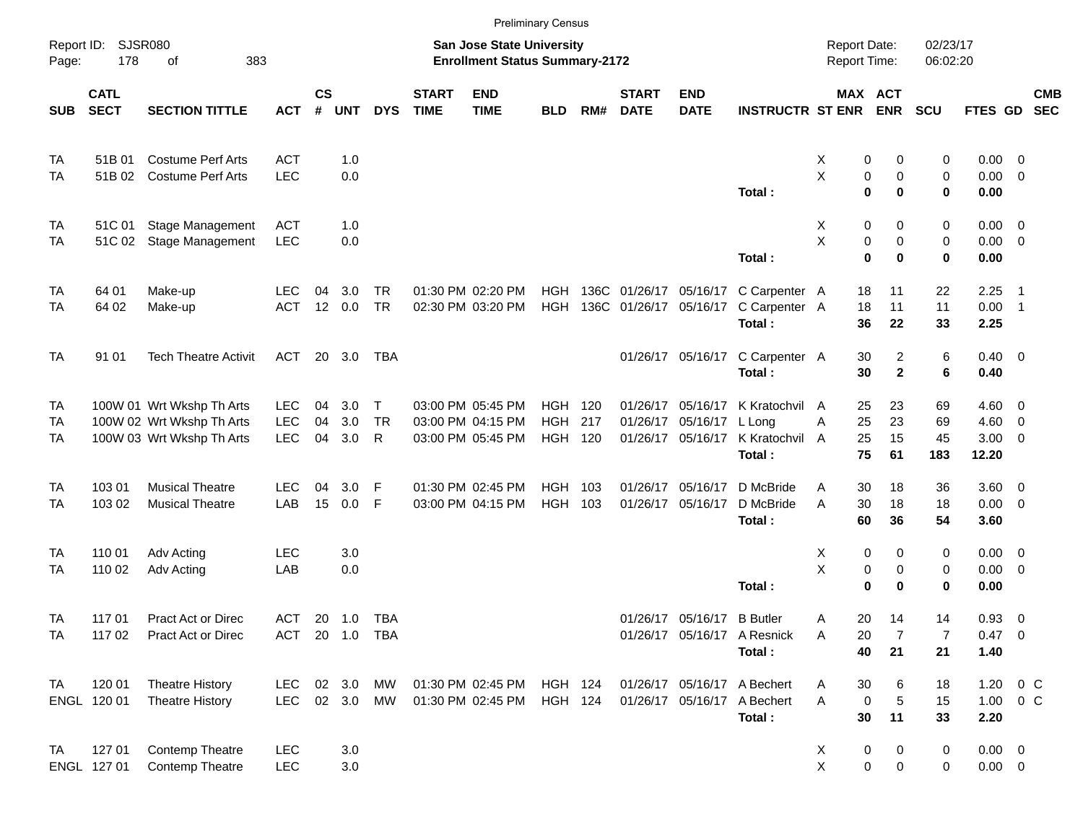|            |                            |                                    |                          |                |                |                 |                             |                                                                           | <b>Preliminary Census</b> |     |                             |                            |                                                       |                                            |                         |                         |                            |                          |            |
|------------|----------------------------|------------------------------------|--------------------------|----------------|----------------|-----------------|-----------------------------|---------------------------------------------------------------------------|---------------------------|-----|-----------------------------|----------------------------|-------------------------------------------------------|--------------------------------------------|-------------------------|-------------------------|----------------------------|--------------------------|------------|
| Page:      | Report ID: SJSR080<br>178  | 383<br>οf                          |                          |                |                |                 |                             | <b>San Jose State University</b><br><b>Enrollment Status Summary-2172</b> |                           |     |                             |                            |                                                       | <b>Report Date:</b><br><b>Report Time:</b> |                         | 02/23/17<br>06:02:20    |                            |                          |            |
| <b>SUB</b> | <b>CATL</b><br><b>SECT</b> | <b>SECTION TITTLE</b>              | <b>ACT</b>               | <b>CS</b><br># | <b>UNT</b>     | <b>DYS</b>      | <b>START</b><br><b>TIME</b> | <b>END</b><br><b>TIME</b>                                                 | <b>BLD</b>                | RM# | <b>START</b><br><b>DATE</b> | <b>END</b><br><b>DATE</b>  | <b>INSTRUCTR ST ENR</b>                               |                                            | MAX ACT<br><b>ENR</b>   | <b>SCU</b>              | FTES GD SEC                |                          | <b>CMB</b> |
| TA         | 51B 01                     | <b>Costume Perf Arts</b>           | <b>ACT</b>               |                | 1.0            |                 |                             |                                                                           |                           |     |                             |                            |                                                       | Х                                          | 0                       | 0<br>0                  | $0.00 \t 0$                |                          |            |
| TA         | 51B 02                     | <b>Costume Perf Arts</b>           | <b>LEC</b>               |                | 0.0            |                 |                             |                                                                           |                           |     |                             |                            | Total:                                                | X                                          | 0<br>$\mathbf 0$        | 0<br>0<br>0<br>0        | $0.00 \t 0$<br>0.00        |                          |            |
| TA         | 51C 01                     | Stage Management                   | ACT                      |                | 1.0            |                 |                             |                                                                           |                           |     |                             |                            |                                                       | X                                          | 0                       | 0<br>0                  | $0.00 \t 0$                |                          |            |
| TA         | 51C 02                     | Stage Management                   | <b>LEC</b>               |                | 0.0            |                 |                             |                                                                           |                           |     |                             |                            | Total:                                                | X                                          | 0<br>$\mathbf 0$        | 0<br>0<br>$\bf{0}$<br>0 | $0.00 \t 0$<br>0.00        |                          |            |
| TA<br>TA   | 64 01<br>64 02             | Make-up<br>Make-up                 | <b>LEC</b><br>ACT        | 04             | 3.0<br>12 0.0  | TR<br><b>TR</b> |                             | 01:30 PM 02:20 PM<br>02:30 PM 03:20 PM                                    | HGH<br>HGH                |     |                             | 136C 01/26/17 05/16/17     | 136C 01/26/17 05/16/17 C Carpenter A<br>C Carpenter A |                                            | 18<br>11<br>18<br>11    | 22<br>11                | 2.25<br>$0.00$ 1           | $\overline{\phantom{1}}$ |            |
| <b>TA</b>  | 91 01                      | <b>Tech Theatre Activit</b>        | ACT                      |                | 20 3.0         | TBA             |                             |                                                                           |                           |     |                             |                            | Total:<br>01/26/17 05/16/17 C Carpenter A             |                                            | 36<br>22<br>30          | 33<br>2<br>6            | 2.25<br>$0.40 \quad 0$     |                          |            |
| TA         |                            | 100W 01 Wrt Wkshp Th Arts          | <b>LEC</b>               | 04             | 3.0            | $\mathsf{T}$    |                             | 03:00 PM 05:45 PM                                                         | HGH                       | 120 |                             | 01/26/17 05/16/17          | Total:<br>K Kratochvil                                | A                                          | 30<br>25<br>23          | $\mathbf{2}$<br>6<br>69 | 0.40<br>$4.60$ 0           |                          |            |
| TA         |                            | 100W 02 Wrt Wkshp Th Arts          | <b>LEC</b>               | 04             | 3.0            | TR              |                             | 03:00 PM 04:15 PM                                                         | <b>HGH</b>                | 217 | 01/26/17                    | 05/16/17                   | L Long                                                | A                                          | 25<br>23                | 69                      | $4.60$ 0                   |                          |            |
| TA         |                            | 100W 03 Wrt Wkshp Th Arts          | <b>LEC</b>               | 04             | 3.0            | R               |                             | 03:00 PM 05:45 PM                                                         | <b>HGH 120</b>            |     |                             | 01/26/17 05/16/17          | K Kratochvil<br>Total:                                | A                                          | 25<br>15<br>75<br>61    | 45<br>183               | $3.00 \ 0$<br>12.20        |                          |            |
| TA         | 103 01                     | <b>Musical Theatre</b>             | <b>LEC</b>               | 04             | 3.0            | F               |                             | 01:30 PM 02:45 PM                                                         | HGH                       | 103 |                             | 01/26/17 05/16/17          | D McBride                                             | A                                          | 30<br>18                | 36                      | 3.60 0                     |                          |            |
| TA         | 103 02                     | <b>Musical Theatre</b>             | LAB                      | 15             | 0.0            | F               |                             | 03:00 PM 04:15 PM                                                         | HGH 103                   |     |                             | 01/26/17 05/16/17          | D McBride<br>Total:                                   | A                                          | 30<br>18<br>60<br>36    | 18<br>54                | $0.00 \t 0$<br>3.60        |                          |            |
| TA         | 110 01                     | Adv Acting                         | <b>LEC</b>               |                | 3.0            |                 |                             |                                                                           |                           |     |                             |                            |                                                       | Х                                          | 0                       | 0<br>0                  | $0.00 \t 0$                |                          |            |
| TA         | 110 02                     | Adv Acting                         | LAB                      |                | 0.0            |                 |                             |                                                                           |                           |     |                             |                            | Total:                                                | Χ                                          | 0<br>$\bf{0}$           | 0<br>0<br>$\bf{0}$<br>0 | $0.00 \t 0$<br>0.00        |                          |            |
| TA         | 117 01                     | <b>Pract Act or Direc</b>          | ACT                      |                | 20 1.0 TBA     |                 |                             |                                                                           |                           |     |                             | 01/26/17 05/16/17 B Butler |                                                       | A                                          | 20<br>14                | 14                      | 0.93 0                     |                          |            |
| TA         | 117 02                     | Pract Act or Direc                 | ACT 20 1.0 TBA           |                |                |                 |                             |                                                                           |                           |     |                             |                            | 01/26/17 05/16/17 A Resnick<br>Total:                 | Α                                          | 20<br>40<br>21          | 7<br>7<br>21            | 0.47 0<br>1.40             |                          |            |
| TA         | 120 01                     | <b>Theatre History</b>             | <b>LEC</b>               |                | 02 3.0         | МW              |                             | 01:30 PM 02:45 PM                                                         | HGH 124                   |     |                             |                            | 01/26/17 05/16/17 A Bechert                           | A                                          | 30                      | 6<br>18                 | $1.20 \t 0 C$              |                          |            |
|            | ENGL 120 01                | <b>Theatre History</b>             | <b>LEC</b>               |                | $02 \quad 3.0$ | MW              |                             | 01:30 PM 02:45 PM                                                         | <b>HGH 124</b>            |     |                             |                            | 01/26/17 05/16/17 A Bechert<br>Total:                 | A                                          | $\mathbf 0$<br>11<br>30 | 5<br>15<br>33           | $1.00 \t 0 C$<br>2.20      |                          |            |
| TA         | 127 01<br>ENGL 127 01      | Contemp Theatre<br>Contemp Theatre | <b>LEC</b><br><b>LEC</b> |                | 3.0<br>3.0     |                 |                             |                                                                           |                           |     |                             |                            |                                                       | X<br>X                                     | 0<br>0                  | 0<br>0<br>0<br>0        | $0.00 \t 0$<br>$0.00 \t 0$ |                          |            |
|            |                            |                                    |                          |                |                |                 |                             |                                                                           |                           |     |                             |                            |                                                       |                                            |                         |                         |                            |                          |            |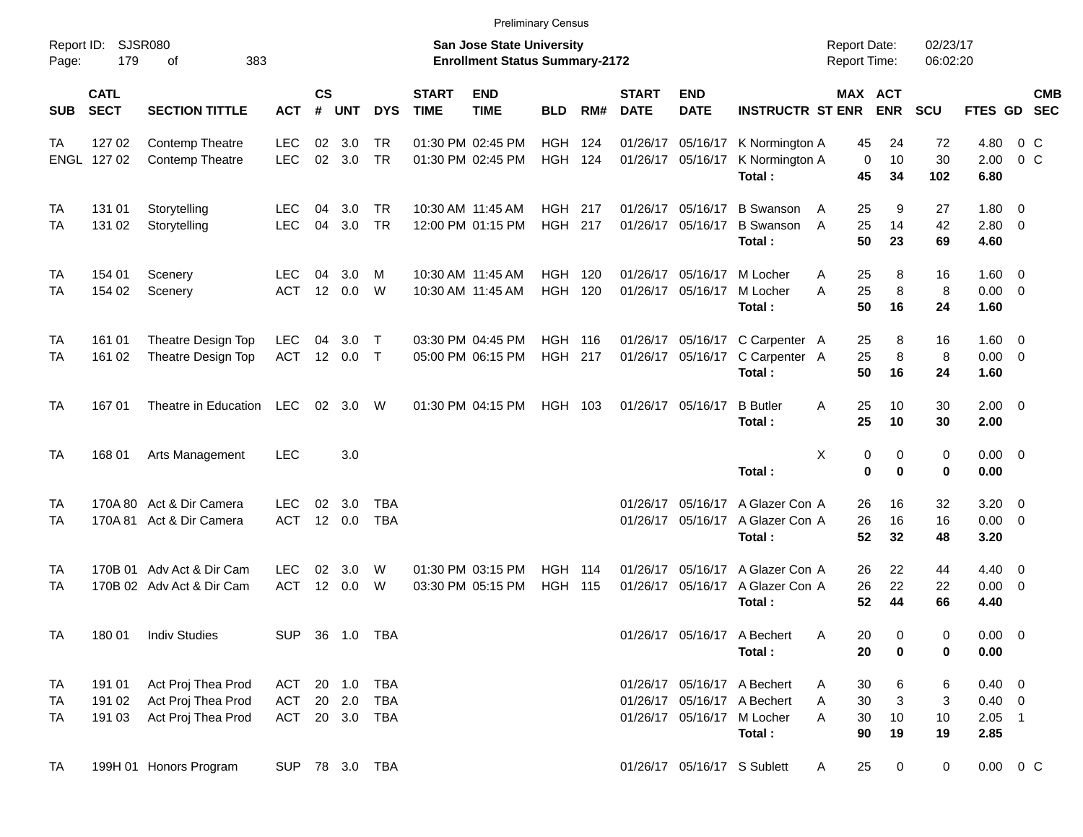|                     |                            |                           |            |                    |            |                |                             |                                                                           | <b>Preliminary Census</b> |     |                             |                           |                                      |                                            |                         |                      |                     |                |            |
|---------------------|----------------------------|---------------------------|------------|--------------------|------------|----------------|-----------------------------|---------------------------------------------------------------------------|---------------------------|-----|-----------------------------|---------------------------|--------------------------------------|--------------------------------------------|-------------------------|----------------------|---------------------|----------------|------------|
| Report ID:<br>Page: | 179                        | SJSR080<br>383<br>οf      |            |                    |            |                |                             | <b>San Jose State University</b><br><b>Enrollment Status Summary-2172</b> |                           |     |                             |                           |                                      | <b>Report Date:</b><br><b>Report Time:</b> |                         | 02/23/17<br>06:02:20 |                     |                |            |
| SUB                 | <b>CATL</b><br><b>SECT</b> | <b>SECTION TITTLE</b>     | <b>ACT</b> | $\mathsf{cs}$<br># | <b>UNT</b> | <b>DYS</b>     | <b>START</b><br><b>TIME</b> | <b>END</b><br><b>TIME</b>                                                 | <b>BLD</b>                | RM# | <b>START</b><br><b>DATE</b> | <b>END</b><br><b>DATE</b> | <b>INSTRUCTR ST ENR</b>              |                                            | MAX ACT<br><b>ENR</b>   | <b>SCU</b>           | FTES GD SEC         |                | <b>CMB</b> |
| TA                  | 127 02                     | Contemp Theatre           | <b>LEC</b> | 02                 | 3.0        | TR             |                             | 01:30 PM 02:45 PM                                                         | HGH                       | 124 |                             |                           | 01/26/17 05/16/17 K Normington A     | 45                                         | 24                      | 72                   | 4.80                | $0\,$ C        |            |
| ENGL                | 127 02                     | Contemp Theatre           | <b>LEC</b> | $02\,$             | 3.0        | <b>TR</b>      |                             | 01:30 PM 02:45 PM                                                         | <b>HGH 124</b>            |     |                             | 01/26/17 05/16/17         | K Normington A<br>Total:             | $\mathbf 0$<br>45                          | 10<br>34                | 30<br>102            | 2.00<br>6.80        | 0 <sup>o</sup> |            |
| ТA                  | 131 01                     | Storytelling              | <b>LEC</b> | 04                 | 3.0        | TR             |                             | 10:30 AM 11:45 AM                                                         | <b>HGH 217</b>            |     |                             | 01/26/17 05/16/17         | <b>B</b> Swanson                     | 25<br>A                                    | 9                       | 27                   | $1.80 \ 0$          |                |            |
| ТA                  | 131 02                     | Storytelling              | <b>LEC</b> | 04                 | 3.0        | <b>TR</b>      |                             | 12:00 PM 01:15 PM                                                         | <b>HGH 217</b>            |     |                             | 01/26/17 05/16/17         | <b>B</b> Swanson<br>Total:           | 25<br>A<br>50                              | 14<br>23                | 42<br>69             | 2.80 0<br>4.60      |                |            |
| ТA                  | 154 01                     | Scenery                   | LEC.       | 04                 | 3.0        | M              |                             | 10:30 AM 11:45 AM                                                         | HGH                       | 120 |                             | 01/26/17 05/16/17         | M Locher                             | 25<br>A                                    | 8                       | 16                   | $1.60 \t 0$         |                |            |
| ТA                  | 154 02                     | Scenery                   | <b>ACT</b> | 12                 | 0.0        | W              |                             | 10:30 AM 11:45 AM                                                         | <b>HGH</b>                | 120 |                             | 01/26/17 05/16/17         | M Locher<br>Total:                   | 25<br>A<br>50                              | 8<br>16                 | 8<br>24              | $0.00 \t 0$<br>1.60 |                |            |
| ТA                  | 161 01                     | Theatre Design Top        | <b>LEC</b> | 04                 | 3.0        | $\top$         |                             | 03:30 PM 04:45 PM                                                         | <b>HGH 116</b>            |     |                             |                           | 01/26/17 05/16/17 C Carpenter A      | 25                                         | 8                       | 16                   | $1.60 \t 0$         |                |            |
| ТA                  | 161 02                     | Theatre Design Top        | <b>ACT</b> | 12                 | 0.0        | $\top$         |                             | 05:00 PM 06:15 PM                                                         | <b>HGH 217</b>            |     |                             | 01/26/17 05/16/17         | C Carpenter A<br>Total:              | 25<br>50                                   | $\,8\,$<br>16           | 8<br>24              | $0.00 \t 0$<br>1.60 |                |            |
| TA                  | 16701                      | Theatre in Education      | <b>LEC</b> | 02 <sub>2</sub>    | 3.0        | W              |                             | 01:30 PM 04:15 PM                                                         | HGH 103                   |     |                             | 01/26/17 05/16/17         | <b>B</b> Butler<br>Total:            | A<br>25<br>25                              | 10<br>10                | 30<br>30             | $2.00 \t 0$<br>2.00 |                |            |
| TA                  | 168 01                     | Arts Management           | <b>LEC</b> |                    | 3.0        |                |                             |                                                                           |                           |     |                             |                           |                                      | X                                          | 0<br>0                  | $\mathbf 0$          | $0.00 \t 0$         |                |            |
|                     |                            |                           |            |                    |            |                |                             |                                                                           |                           |     |                             |                           | Total:                               |                                            | $\mathbf 0$<br>$\bf{0}$ | $\bf{0}$             | 0.00                |                |            |
| ТA                  |                            | 170A 80 Act & Dir Camera  | <b>LEC</b> | 02                 | 3.0        | <b>TBA</b>     |                             |                                                                           |                           |     | 01/26/17                    |                           | 05/16/17 A Glazer Con A              | 26                                         | 16                      | 32                   | $3.20 \ 0$          |                |            |
| ТA                  |                            | 170A 81 Act & Dir Camera  | <b>ACT</b> |                    | 12 0.0     | <b>TBA</b>     |                             |                                                                           |                           |     |                             | 01/26/17 05/16/17         | A Glazer Con A<br>Total:             | 26<br>52                                   | 16<br>32                | 16<br>48             | $0.00 \t 0$<br>3.20 |                |            |
| ТA                  |                            | 170B 01 Adv Act & Dir Cam | <b>LEC</b> | 02                 | 3.0        | W              |                             | 01:30 PM 03:15 PM                                                         | <b>HGH 114</b>            |     | 01/26/17                    | 05/16/17                  | A Glazer Con A                       | 26                                         | 22                      | 44                   | $4.40 \ 0$          |                |            |
| ТA                  |                            | 170B 02 Adv Act & Dir Cam | <b>ACT</b> | 12                 | 0.0        | W              |                             | 03:30 PM 05:15 PM                                                         | HGH                       | 115 |                             | 01/26/17 05/16/17         | A Glazer Con A<br>Total:             | 26<br>52                                   | 22<br>44                | 22<br>66             | $0.00 \t 0$<br>4.40 |                |            |
| TA                  | 180 01                     | <b>Indiv Studies</b>      | <b>SUP</b> |                    | 36 1.0 TBA |                |                             |                                                                           |                           |     |                             |                           | 01/26/17 05/16/17 A Bechert          | 20<br>A                                    | 0                       | 0                    | $0.00 \t 0$         |                |            |
|                     |                            |                           |            |                    |            |                |                             |                                                                           |                           |     |                             |                           | Total:                               | 20                                         | 0                       | 0                    | 0.00                |                |            |
| TA                  | 191 01                     | Act Proj Thea Prod        | ACT        |                    | 20 1.0     | TBA            |                             |                                                                           |                           |     |                             |                           | 01/26/17 05/16/17 A Bechert          | 30<br>A                                    | 6                       | 6                    | $0.40 \ 0$          |                |            |
| TA                  | 191 02                     | Act Proj Thea Prod        | ACT        |                    | 20 2.0     | <b>TBA</b>     |                             |                                                                           |                           |     |                             |                           | 01/26/17 05/16/17 A Bechert          | 30<br>A                                    | 3                       | 3                    | $0.40 \ 0$          |                |            |
| TA                  | 191 03                     | Act Proj Thea Prod        |            |                    |            | ACT 20 3.0 TBA |                             |                                                                           |                           |     |                             |                           | 01/26/17 05/16/17 M Locher<br>Total: | 30<br>A<br>90                              | 10<br>19                | 10<br>19             | $2.05$ 1<br>2.85    |                |            |
| TA                  |                            | 199H 01 Honors Program    |            |                    |            | SUP 78 3.0 TBA |                             |                                                                           |                           |     |                             |                           | 01/26/17 05/16/17 S Sublett          | 25<br>A                                    | $\overline{0}$          | $\overline{0}$       | $0.00 \t 0 C$       |                |            |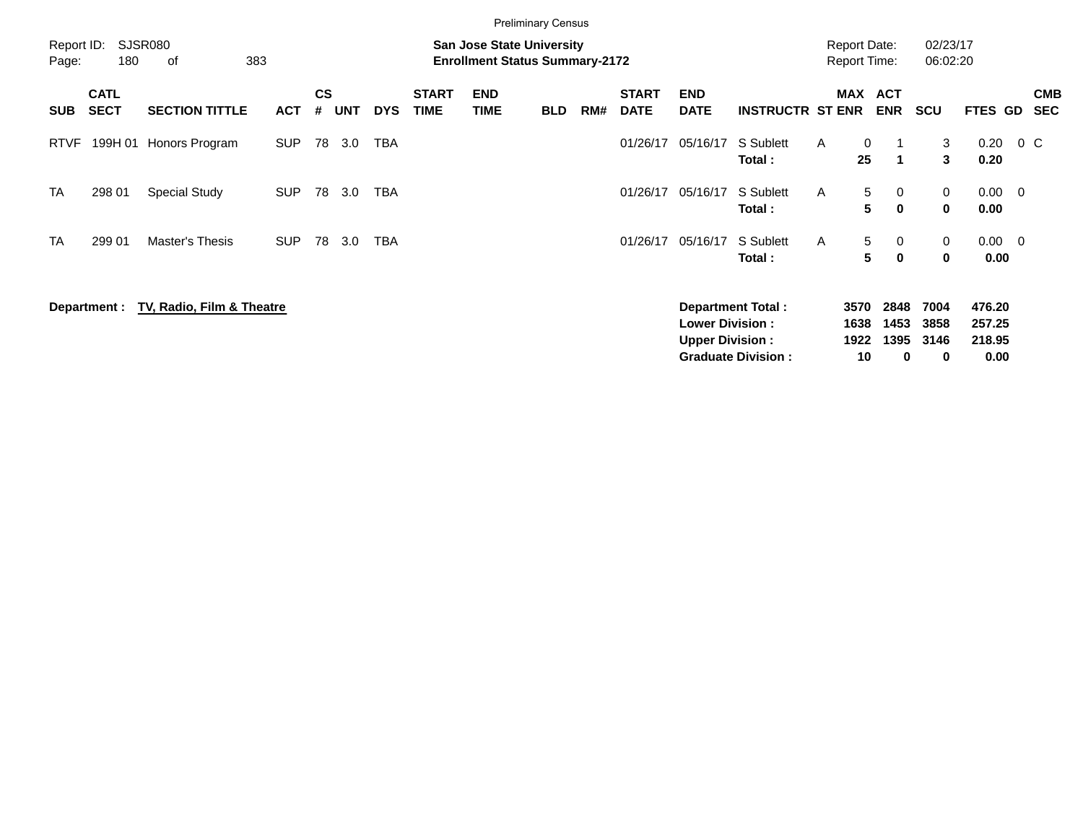|                     |                            |                             |            |                    |            |            |                             |                                                                           | <b>Preliminary Census</b> |     |                                                  |                           |                           |                                            |                      |                              |                            |                     |        |                          |
|---------------------|----------------------------|-----------------------------|------------|--------------------|------------|------------|-----------------------------|---------------------------------------------------------------------------|---------------------------|-----|--------------------------------------------------|---------------------------|---------------------------|--------------------------------------------|----------------------|------------------------------|----------------------------|---------------------|--------|--------------------------|
| Report ID:<br>Page: | 180                        | <b>SJSR080</b><br>383<br>of |            |                    |            |            |                             | <b>San Jose State University</b><br><b>Enrollment Status Summary-2172</b> |                           |     |                                                  |                           |                           | <b>Report Date:</b><br><b>Report Time:</b> |                      |                              | 02/23/17<br>06:02:20       |                     |        |                          |
| <b>SUB</b>          | <b>CATL</b><br><b>SECT</b> | <b>SECTION TITTLE</b>       | <b>ACT</b> | $\mathsf{cs}$<br># | <b>UNT</b> | <b>DYS</b> | <b>START</b><br><b>TIME</b> | <b>END</b><br><b>TIME</b>                                                 | <b>BLD</b>                | RM# | <b>START</b><br><b>DATE</b>                      | <b>END</b><br><b>DATE</b> | <b>INSTRUCTR ST ENR</b>   | <b>MAX</b>                                 |                      | <b>ACT</b><br><b>ENR</b>     | <b>SCU</b>                 | <b>FTES GD</b>      |        | <b>CMB</b><br><b>SEC</b> |
| <b>RTVF</b>         | 199H 01                    | Honors Program              | <b>SUP</b> | 78                 | 3.0        | <b>TBA</b> |                             |                                                                           |                           |     | 01/26/17                                         | 05/16/17                  | S Sublett<br>Total:       | A                                          | 0<br>25              | $\blacktriangleleft$         | 3<br>$\mathbf{3}$          | 0.20<br>0.20        | $0\,C$ |                          |
| <b>TA</b>           | 298 01                     | <b>Special Study</b>        | <b>SUP</b> | 78                 | 3.0        | <b>TBA</b> |                             |                                                                           |                           |     | 01/26/17                                         | 05/16/17                  | S Sublett<br>Total:       | A                                          | 5<br>5               | 0<br>$\mathbf 0$             | 0<br>0                     | $0.00 \t 0$<br>0.00 |        |                          |
| <b>TA</b>           | 299 01                     | Master's Thesis             | <b>SUP</b> | 78                 | 3.0        | <b>TBA</b> |                             |                                                                           |                           |     | 01/26/17                                         | 05/16/17                  | S Sublett<br>Total:       | A                                          | 5<br>5               | $\mathbf{0}$<br>$\mathbf{0}$ | 0<br>$\mathbf 0$           | $0.00 \t 0$<br>0.00 |        |                          |
|                     | Department :               | TV, Radio, Film & Theatre   |            |                    |            |            |                             |                                                                           |                           |     | <b>Lower Division:</b><br><b>Upper Division:</b> | <b>Department Total:</b>  |                           | 3570<br>1638<br>1922                       | 2848<br>1453<br>1395 | 7004<br>3858<br>3146         | 476.20<br>257.25<br>218.95 |                     |        |                          |
|                     |                            |                             |            |                    |            |            |                             |                                                                           |                           |     |                                                  |                           | <b>Graduate Division:</b> |                                            | 10                   | 0                            | 0                          | 0.00                |        |                          |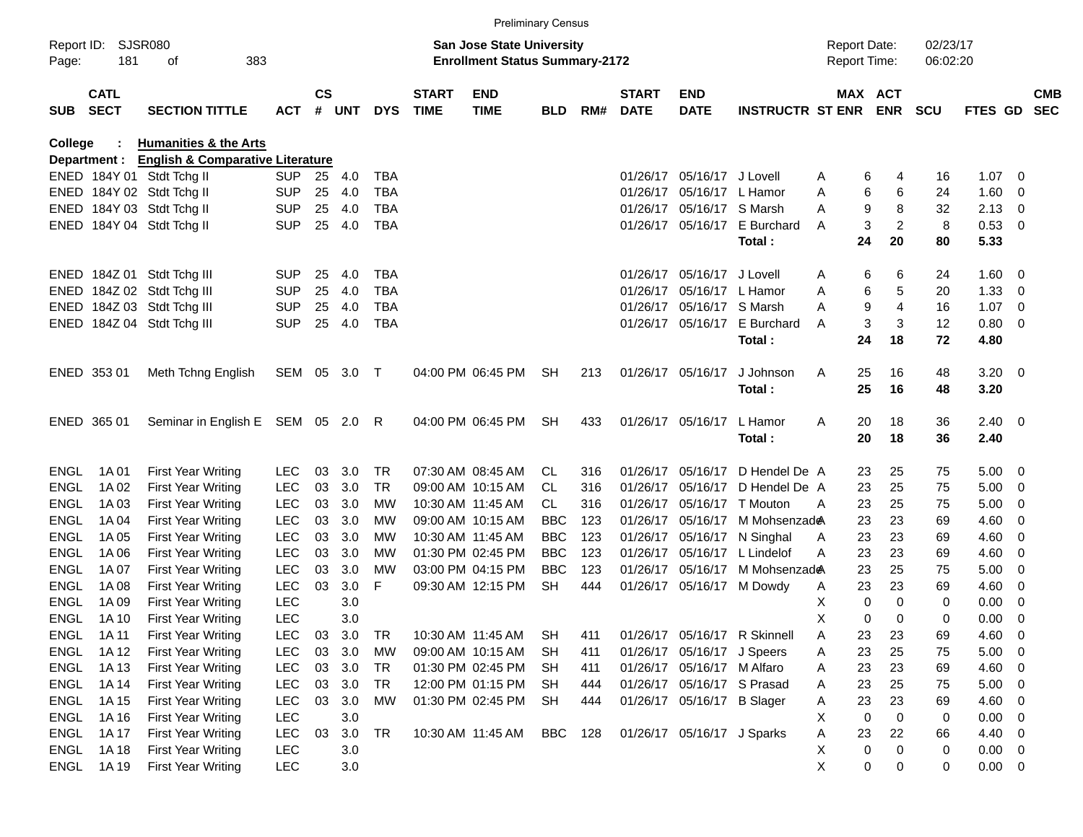|             | Report ID: SJSR080         | <b>Preliminary Census</b><br><b>San Jose State University</b><br>383<br><b>Enrollment Status Summary-2172</b><br>181<br>оf |            |                    |            |            |                             |                           |            |     |                             |                            |                              | <b>Report Date:</b> |    |                | 02/23/17    |             |                          |            |
|-------------|----------------------------|----------------------------------------------------------------------------------------------------------------------------|------------|--------------------|------------|------------|-----------------------------|---------------------------|------------|-----|-----------------------------|----------------------------|------------------------------|---------------------|----|----------------|-------------|-------------|--------------------------|------------|
| Page:       |                            |                                                                                                                            |            |                    |            |            |                             |                           |            |     |                             |                            |                              | <b>Report Time:</b> |    |                | 06:02:20    |             |                          |            |
| <b>SUB</b>  | <b>CATL</b><br><b>SECT</b> | <b>SECTION TITTLE</b>                                                                                                      | <b>ACT</b> | $\mathsf{cs}$<br># | <b>UNT</b> | <b>DYS</b> | <b>START</b><br><b>TIME</b> | <b>END</b><br><b>TIME</b> | <b>BLD</b> | RM# | <b>START</b><br><b>DATE</b> | <b>END</b><br><b>DATE</b>  | <b>INSTRUCTR ST ENR</b>      | MAX ACT             |    | <b>ENR</b>     | <b>SCU</b>  | FTES GD SEC |                          | <b>CMB</b> |
| College     |                            | <b>Humanities &amp; the Arts</b>                                                                                           |            |                    |            |            |                             |                           |            |     |                             |                            |                              |                     |    |                |             |             |                          |            |
|             | Department :               | <b>English &amp; Comparative Literature</b>                                                                                |            |                    |            |            |                             |                           |            |     |                             |                            |                              |                     |    |                |             |             |                          |            |
|             |                            | ENED 184Y 01 Stdt Tchg II                                                                                                  | <b>SUP</b> | 25                 | 4.0        | <b>TBA</b> |                             |                           |            |     | 01/26/17                    | 05/16/17 J Lovell          |                              | A                   | 6  | 4              | 16          | 1.07        | - 0                      |            |
|             |                            | ENED 184Y 02 Stdt Tchg II                                                                                                  | <b>SUP</b> | 25                 | 4.0        | <b>TBA</b> |                             |                           |            |     | 01/26/17                    | 05/16/17 L Hamor           |                              | A                   | 6  | 6              | 24          | 1.60        | - 0                      |            |
|             |                            | ENED 184Y 03 Stdt Tchg II                                                                                                  | <b>SUP</b> | 25                 | 4.0        | <b>TBA</b> |                             |                           |            |     | 01/26/17                    | 05/16/17 S Marsh           |                              | A                   | 9  | 8              | 32          | 2.13        | - 0                      |            |
|             |                            | ENED 184Y 04 Stdt Tchg II                                                                                                  | <b>SUP</b> | 25                 | 4.0        | <b>TBA</b> |                             |                           |            |     |                             |                            | 01/26/17 05/16/17 E Burchard | A                   | 3  | $\overline{c}$ | 8           | 0.53        | $\overline{\phantom{0}}$ |            |
|             |                            |                                                                                                                            |            |                    |            |            |                             |                           |            |     |                             |                            | Total:                       |                     | 24 | 20             | 80          | 5.33        |                          |            |
|             |                            | ENED 184Z 01 Stdt Tchg III                                                                                                 | <b>SUP</b> | 25                 | 4.0        | TBA        |                             |                           |            |     | 01/26/17                    | 05/16/17 J Lovell          |                              | A                   | 6  | 6              | 24          | 1.60        | $\overline{\phantom{0}}$ |            |
|             |                            | ENED 184Z 02 Stdt Tchg III                                                                                                 | <b>SUP</b> | 25                 | 4.0        | <b>TBA</b> |                             |                           |            |     | 01/26/17                    | 05/16/17 L Hamor           |                              | A                   | 6  | 5              | 20          | 1.33        | $\mathbf 0$              |            |
|             |                            | ENED 184Z 03 Stdt Tchg III                                                                                                 | <b>SUP</b> | 25                 | 4.0        | <b>TBA</b> |                             |                           |            |     | 01/26/17                    | 05/16/17 S Marsh           |                              | A                   | 9  | 4              | 16          | 1.07        | $\overline{0}$           |            |
|             |                            | ENED 184Z 04 Stdt Tchg III                                                                                                 | <b>SUP</b> | 25                 | 4.0        | <b>TBA</b> |                             |                           |            |     |                             |                            | 01/26/17 05/16/17 E Burchard | A                   | 3  | 3              | 12          | 0.80        | - 0                      |            |
|             |                            |                                                                                                                            |            |                    |            |            |                             |                           |            |     |                             |                            | Total:                       |                     | 24 | 18             | 72          | 4.80        |                          |            |
|             | ENED 353 01                | Meth Tchng English                                                                                                         | SEM 05 3.0 |                    |            | $\top$     |                             | 04:00 PM 06:45 PM         | <b>SH</b>  | 213 |                             | 01/26/17 05/16/17          | J Johnson                    | Α                   | 25 | 16             | 48          | $3.20 \ 0$  |                          |            |
|             |                            |                                                                                                                            |            |                    |            |            |                             |                           |            |     |                             |                            | Total:                       |                     | 25 | 16             | 48          | 3.20        |                          |            |
|             | ENED 365 01                | Seminar in English E SEM 05 2.0 R                                                                                          |            |                    |            |            |                             | 04:00 PM 06:45 PM         | <b>SH</b>  | 433 |                             | 01/26/17 05/16/17          | L Hamor                      | Α                   | 20 | 18             | 36          | $2.40 \ 0$  |                          |            |
|             |                            |                                                                                                                            |            |                    |            |            |                             |                           |            |     |                             |                            | Total:                       |                     | 20 | 18             | 36          | 2.40        |                          |            |
| ENGL        | 1A 01                      | <b>First Year Writing</b>                                                                                                  | <b>LEC</b> | 03                 | 3.0        | TR.        |                             | 07:30 AM 08:45 AM         | CL.        | 316 | 01/26/17                    | 05/16/17                   | D Hendel De A                |                     | 23 | 25             | 75          | 5.00        | $\overline{\mathbf{0}}$  |            |
| <b>ENGL</b> | 1A 02                      | <b>First Year Writing</b>                                                                                                  | <b>LEC</b> | 03                 | 3.0        | <b>TR</b>  |                             | 09:00 AM 10:15 AM         | CL.        | 316 | 01/26/17                    | 05/16/17                   | D Hendel De A                |                     | 23 | 25             | 75          | 5.00        | - 0                      |            |
| <b>ENGL</b> | 1A 03                      | <b>First Year Writing</b>                                                                                                  | <b>LEC</b> | 03                 | 3.0        | МW         |                             | 10:30 AM 11:45 AM         | CL.        | 316 | 01/26/17                    |                            | 05/16/17 T Mouton            | A                   | 23 | 25             | 75          | 5.00        | 0                        |            |
| <b>ENGL</b> | 1A 04                      | <b>First Year Writing</b>                                                                                                  | <b>LEC</b> | 03                 | 3.0        | МW         |                             | 09:00 AM 10:15 AM         | <b>BBC</b> | 123 | 01/26/17                    | 05/16/17                   | M Mohsenzad <del>@</del>     |                     | 23 | 23             | 69          | 4.60        | 0                        |            |
| <b>ENGL</b> | 1A 05                      | <b>First Year Writing</b>                                                                                                  | <b>LEC</b> | 03                 | 3.0        | МW         |                             | 10:30 AM 11:45 AM         | <b>BBC</b> | 123 | 01/26/17                    |                            | 05/16/17 N Singhal           | A                   | 23 | 23             | 69          | 4.60        | 0                        |            |
| <b>ENGL</b> | 1A 06                      | <b>First Year Writing</b>                                                                                                  | <b>LEC</b> | 03                 | 3.0        | МW         |                             | 01:30 PM 02:45 PM         | <b>BBC</b> | 123 | 01/26/17                    | 05/16/17                   | L Lindelof                   | A                   | 23 | 23             | 69          | 4.60        | 0                        |            |
| <b>ENGL</b> | 1A 07                      | <b>First Year Writing</b>                                                                                                  | <b>LEC</b> | 03                 | 3.0        | МW         |                             | 03:00 PM 04:15 PM         | <b>BBC</b> | 123 | 01/26/17                    | 05/16/17                   | M Mohsenzade                 |                     | 23 | 25             | 75          | 5.00        | 0                        |            |
| <b>ENGL</b> | 1A 08                      | <b>First Year Writing</b>                                                                                                  | <b>LEC</b> | 03                 | 3.0        | F          |                             | 09:30 AM 12:15 PM         | <b>SH</b>  | 444 |                             | 01/26/17 05/16/17 M Dowdy  |                              | A                   | 23 | 23             | 69          | 4.60        | 0                        |            |
| <b>ENGL</b> | 1A 09                      | <b>First Year Writing</b>                                                                                                  | <b>LEC</b> |                    | 3.0        |            |                             |                           |            |     |                             |                            |                              | X                   | 0  | 0              | 0           | 0.00        | 0                        |            |
| ENGL        | 1A 10                      | <b>First Year Writing</b>                                                                                                  | <b>LEC</b> |                    | 3.0        |            |                             |                           |            |     |                             |                            |                              | Χ                   | 0  | 0              | $\mathbf 0$ | 0.00        | 0                        |            |
| ENGL        | 1A 11                      | <b>First Year Writing</b>                                                                                                  | <b>LEC</b> | 03                 | 3.0        | <b>TR</b>  |                             | 10:30 AM 11:45 AM         | SH         | 411 |                             |                            | 01/26/17 05/16/17 R Skinnell | A                   | 23 | 23             | 69          | 4.60        | 0                        |            |
| <b>ENGL</b> | 1A 12                      | <b>First Year Writing</b>                                                                                                  | <b>LEC</b> | 03                 | 3.0        | МW         |                             | 09:00 AM 10:15 AM         | SH         | 411 |                             | 01/26/17 05/16/17 J Speers |                              | A                   | 23 | 25             | 75          | 5.00        | $\overline{\phantom{0}}$ |            |
| <b>ENGL</b> | 1A 13                      | <b>First Year Writing</b>                                                                                                  | <b>LEC</b> |                    | 03 3.0     | TR         |                             | 01:30 PM 02:45 PM         | SH.        | 411 |                             | 01/26/17 05/16/17 M Alfaro |                              | A                   | 23 | 23             | 69          | 4.60        | $\overline{\phantom{0}}$ |            |
| <b>ENGL</b> | 1A 14                      | First Year Writing                                                                                                         | <b>LEC</b> | 03                 | 3.0        | <b>TR</b>  |                             | 12:00 PM 01:15 PM         | SH.        | 444 |                             | 01/26/17 05/16/17 S Prasad |                              | A                   | 23 | 25             | 75          | 5.00        | $\overline{\phantom{0}}$ |            |
| <b>ENGL</b> | 1A 15                      | First Year Writing                                                                                                         | <b>LEC</b> | 03                 | 3.0        | MW         |                             | 01:30 PM 02:45 PM         | <b>SH</b>  | 444 |                             | 01/26/17 05/16/17 B Slager |                              | A                   | 23 | 23             | 69          | 4.60        | $\overline{\mathbf{0}}$  |            |
| <b>ENGL</b> | 1A 16                      | <b>First Year Writing</b>                                                                                                  | <b>LEC</b> |                    | 3.0        |            |                             |                           |            |     |                             |                            |                              | Х                   | 0  | 0              | 0           | 0.00        | - 0                      |            |
| <b>ENGL</b> | 1A 17                      | First Year Writing                                                                                                         | <b>LEC</b> | 03                 | 3.0        | TR         |                             | 10:30 AM 11:45 AM         | BBC        | 128 |                             | 01/26/17 05/16/17 J Sparks |                              | Α                   | 23 | 22             | 66          | 4.40        | $\overline{\mathbf{0}}$  |            |
| <b>ENGL</b> | 1A 18                      | First Year Writing                                                                                                         | <b>LEC</b> |                    | 3.0        |            |                             |                           |            |     |                             |                            |                              | х                   | 0  | 0              | 0           | $0.00 \t 0$ |                          |            |
| ENGL        | 1A 19                      | First Year Writing                                                                                                         | <b>LEC</b> |                    | 3.0        |            |                             |                           |            |     |                             |                            |                              | X                   | 0  | 0              | 0           | $0.00 \t 0$ |                          |            |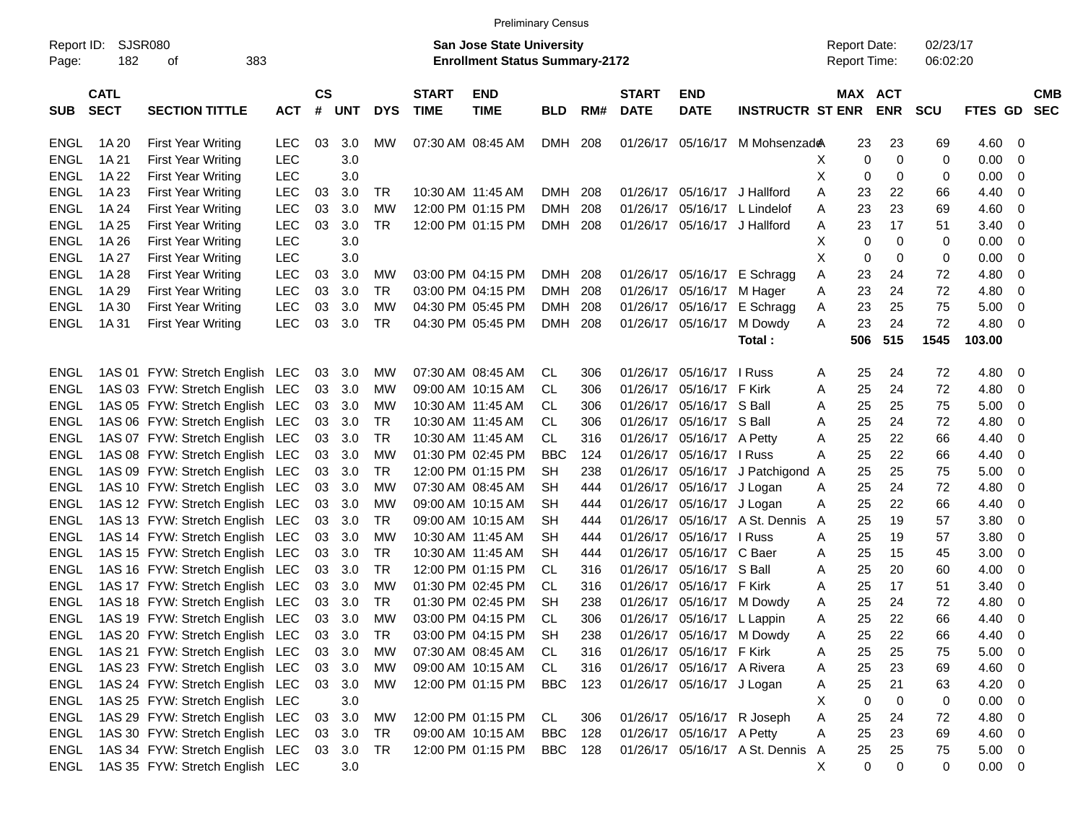|  | <b>Preliminary Census</b> |
|--|---------------------------|
|  |                           |

|             |                                                    |                                             |            |               |        |            |              |                                       | <b>FIGILIBRITY COISUS</b> |     |              |                            |                                  |                     |     |             |            |             |                          |            |
|-------------|----------------------------------------------------|---------------------------------------------|------------|---------------|--------|------------|--------------|---------------------------------------|---------------------------|-----|--------------|----------------------------|----------------------------------|---------------------|-----|-------------|------------|-------------|--------------------------|------------|
| Report ID:  | SJSR080                                            |                                             |            |               |        |            |              | San Jose State University             |                           |     |              |                            |                                  | <b>Report Date:</b> |     |             | 02/23/17   |             |                          |            |
| Page:       | 182                                                | 383<br>οf                                   |            |               |        |            |              | <b>Enrollment Status Summary-2172</b> |                           |     |              |                            |                                  | <b>Report Time:</b> |     |             | 06:02:20   |             |                          |            |
|             | <b>CATL</b>                                        |                                             |            | $\mathsf{cs}$ |        |            | <b>START</b> | <b>END</b>                            |                           |     | <b>START</b> | <b>END</b>                 |                                  |                     |     | MAX ACT     |            |             |                          | <b>CMB</b> |
| <b>SUB</b>  | <b>SECT</b><br><b>SECTION TITTLE</b><br><b>ACT</b> |                                             |            |               | # UNT  | <b>DYS</b> | <b>TIME</b>  | <b>TIME</b>                           | <b>BLD</b>                | RM# | <b>DATE</b>  | <b>DATE</b>                | <b>INSTRUCTR ST ENR</b>          |                     |     | <b>ENR</b>  | <b>SCU</b> | FTES GD SEC |                          |            |
| <b>ENGL</b> | 1A 20                                              | <b>First Year Writing</b>                   | <b>LEC</b> | 03            | 3.0    | <b>MW</b>  |              | 07:30 AM 08:45 AM                     | <b>DMH</b>                | 208 |              | 01/26/17 05/16/17          | M Mohsenzad <b>e</b> A           |                     | 23  | 23          | 69         | $4.60 \ 0$  |                          |            |
| <b>ENGL</b> | 1A 21                                              | <b>First Year Writing</b>                   | <b>LEC</b> |               | 3.0    |            |              |                                       |                           |     |              |                            |                                  | X                   | 0   | $\mathbf 0$ | 0          | 0.00        | $\overline{\phantom{0}}$ |            |
| <b>ENGL</b> | 1A 22                                              | <b>First Year Writing</b>                   | <b>LEC</b> |               | 3.0    |            |              |                                       |                           |     |              |                            |                                  | X                   | 0   | 0           | 0          | 0.00        | $\overline{\phantom{0}}$ |            |
| <b>ENGL</b> | 1A 23                                              | <b>First Year Writing</b>                   | <b>LEC</b> | 03            | 3.0    | TR         |              | 10:30 AM 11:45 AM                     | <b>DMH</b>                | 208 |              |                            | 01/26/17 05/16/17 J Hallford     | A                   | 23  | 22          | 66         | 4.40        | $\overline{\phantom{0}}$ |            |
| <b>ENGL</b> | 1A 24                                              | <b>First Year Writing</b>                   | <b>LEC</b> | 03            | 3.0    | MW         |              | 12:00 PM 01:15 PM                     | <b>DMH</b>                | 208 |              |                            | 01/26/17 05/16/17 L Lindelof     | A                   | 23  | 23          | 69         | 4.60        | $\overline{\phantom{0}}$ |            |
| <b>ENGL</b> | 1A 25                                              | <b>First Year Writing</b>                   | <b>LEC</b> | 03            | 3.0    | TR         |              | 12:00 PM 01:15 PM                     | <b>DMH</b>                | 208 |              |                            | 01/26/17 05/16/17 J Hallford     | Α                   | 23  | 17          | 51         | 3.40        | $\overline{\phantom{0}}$ |            |
| <b>ENGL</b> | 1A 26                                              | <b>First Year Writing</b>                   | <b>LEC</b> |               | 3.0    |            |              |                                       |                           |     |              |                            |                                  | X                   | 0   | 0           | 0          | 0.00        | $\overline{\phantom{0}}$ |            |
| <b>ENGL</b> | 1A 27                                              | <b>First Year Writing</b>                   | <b>LEC</b> |               | 3.0    |            |              |                                       |                           |     |              |                            |                                  | X                   | 0   | 0           | 0          | 0.00        | $\overline{\phantom{0}}$ |            |
| <b>ENGL</b> | 1A 28                                              | <b>First Year Writing</b>                   | <b>LEC</b> | 03            | 3.0    | MW         |              | 03:00 PM 04:15 PM                     | <b>DMH</b>                | 208 |              | 01/26/17 05/16/17          | E Schragg                        | Α                   | 23  | 24          | 72         | 4.80        | $\overline{\phantom{0}}$ |            |
| <b>ENGL</b> | 1A 29                                              | <b>First Year Writing</b>                   | <b>LEC</b> | 03            | 3.0    | TR         |              | 03:00 PM 04:15 PM                     | <b>DMH</b>                | 208 |              | 01/26/17 05/16/17          | M Hager                          | Α                   | 23  | 24          | 72         | 4.80        | $\overline{\phantom{0}}$ |            |
| <b>ENGL</b> | 1A 30                                              | <b>First Year Writing</b>                   | <b>LEC</b> | 03            | 3.0    | MW         |              | 04:30 PM 05:45 PM                     | <b>DMH</b>                | 208 |              | 01/26/17 05/16/17          | E Schragg                        | A                   | 23  | 25          | 75         | 5.00        | $\overline{\phantom{0}}$ |            |
| <b>ENGL</b> | 1A 31                                              | <b>First Year Writing</b>                   | <b>LEC</b> | 03            | 3.0    | TR.        |              | 04:30 PM 05:45 PM                     | <b>DMH</b>                | 208 |              | 01/26/17 05/16/17          | M Dowdy                          | A                   | 23  | 24          | 72         | 4.80        | $\overline{\phantom{0}}$ |            |
|             |                                                    |                                             |            |               |        |            |              |                                       |                           |     |              |                            | Total:                           |                     | 506 | 515         | 1545       | 103.00      |                          |            |
| <b>ENGL</b> |                                                    | 1AS 01 FYW: Stretch English LEC             |            | 03            | 3.0    | MW         |              | 07:30 AM 08:45 AM                     | CL.                       | 306 |              | 01/26/17 05/16/17 I Russ   |                                  | Α                   | 25  | 24          | 72         | 4.80        | $\overline{\phantom{0}}$ |            |
| <b>ENGL</b> |                                                    | 1AS 03 FYW: Stretch English LEC             |            | 03            | 3.0    | <b>MW</b>  |              | 09:00 AM 10:15 AM                     | CL                        | 306 |              | 01/26/17 05/16/17 F Kirk   |                                  | Α                   | 25  | 24          | 72         | 4.80        | $\overline{\phantom{0}}$ |            |
| <b>ENGL</b> |                                                    | 1AS 05 FYW: Stretch English LEC             |            | 03            | 3.0    | MW         |              | 10:30 AM 11:45 AM                     | CL                        | 306 |              | 01/26/17 05/16/17 S Ball   |                                  | A                   | 25  | 25          | 75         | 5.00        | $\overline{\phantom{0}}$ |            |
| <b>ENGL</b> |                                                    | 1AS 06 FYW: Stretch English                 | <b>LEC</b> | 03            | 3.0    | TR         |              | 10:30 AM 11:45 AM                     | CL                        | 306 |              | 01/26/17 05/16/17 S Ball   |                                  | Α                   | 25  | 24          | 72         | 4.80        | $\overline{\phantom{0}}$ |            |
| <b>ENGL</b> |                                                    | 1AS 07 FYW: Stretch English                 | LEC        | 03            | 3.0    | <b>TR</b>  |              | 10:30 AM 11:45 AM                     | CL                        | 316 |              | 01/26/17 05/16/17 A Petty  |                                  | Α                   | 25  | 22          | 66         | 4.40        | $\overline{\phantom{0}}$ |            |
| <b>ENGL</b> |                                                    | 1AS 08 FYW: Stretch English                 | <b>LEC</b> | 03            | 3.0    | <b>MW</b>  |              | 01:30 PM 02:45 PM                     | <b>BBC</b>                | 124 |              | 01/26/17 05/16/17 I Russ   |                                  | A                   | 25  | 22          | 66         | 4.40        | $\overline{\phantom{0}}$ |            |
| <b>ENGL</b> |                                                    | 1AS 09 FYW: Stretch English                 | <b>LEC</b> | 03            | 3.0    | TR         |              | 12:00 PM 01:15 PM                     | <b>SH</b>                 | 238 |              |                            | 01/26/17 05/16/17 J Patchigond   | A                   | 25  | 25          | 75         | 5.00        | $\overline{\phantom{0}}$ |            |
| <b>ENGL</b> |                                                    | 1AS 10 FYW: Stretch English                 | <b>LEC</b> | 03            | 3.0    | <b>MW</b>  |              | 07:30 AM 08:45 AM                     | SН                        | 444 |              | 01/26/17 05/16/17 J Logan  |                                  | Α                   | 25  | 24          | 72         | 4.80        | $\overline{\phantom{0}}$ |            |
| <b>ENGL</b> |                                                    | 1AS 12 FYW: Stretch English                 | <b>LEC</b> | 03            | 3.0    | MW         |              | 09:00 AM 10:15 AM                     | SН                        | 444 |              | 01/26/17 05/16/17 J Logan  |                                  | Α                   | 25  | 22          | 66         | 4.40        | $\overline{\phantom{0}}$ |            |
| <b>ENGL</b> |                                                    | 1AS 13 FYW: Stretch English                 | <b>LEC</b> | 03            | 3.0    | TR         |              | 09:00 AM 10:15 AM                     | SН                        | 444 |              |                            | 01/26/17 05/16/17 A St. Dennis   | A                   | 25  | 19          | 57         | 3.80        | $\overline{\phantom{0}}$ |            |
| <b>ENGL</b> |                                                    | 1AS 14 FYW: Stretch English                 | LEC        | 03            | 3.0    | <b>MW</b>  |              | 10:30 AM 11:45 AM                     | SН                        | 444 |              | 01/26/17 05/16/17 I Russ   |                                  | A                   | 25  | 19          | 57         | 3.80        | $\overline{\phantom{0}}$ |            |
| <b>ENGL</b> |                                                    | 1AS 15 FYW: Stretch English                 | <b>LEC</b> | 03            | 3.0    | TR         |              | 10:30 AM 11:45 AM                     | SН                        | 444 |              | 01/26/17 05/16/17 C Baer   |                                  | Α                   | 25  | 15          | 45         | 3.00        | $\overline{\phantom{0}}$ |            |
| <b>ENGL</b> |                                                    | 1AS 16 FYW: Stretch English                 | LEC        | 03            | 3.0    | TR         |              | 12:00 PM 01:15 PM                     | CL                        | 316 |              | 01/26/17 05/16/17 S Ball   |                                  | Α                   | 25  | 20          | 60         | 4.00        | $\overline{\phantom{0}}$ |            |
| <b>ENGL</b> |                                                    | 1AS 17 FYW: Stretch English                 | LEC        | 03            | 3.0    | <b>MW</b>  |              | 01:30 PM 02:45 PM                     | CL                        | 316 |              | 01/26/17 05/16/17 F Kirk   |                                  | Α                   | 25  | 17          | 51         | 3.40        | $\overline{\phantom{0}}$ |            |
| <b>ENGL</b> |                                                    | 1AS 18 FYW: Stretch English                 | <b>LEC</b> | 03            | 3.0    | TR         |              | 01:30 PM 02:45 PM                     | SН                        | 238 |              |                            | 01/26/17 05/16/17 M Dowdy        | Α                   | 25  | 24          | 72         | 4.80        | $\overline{\phantom{0}}$ |            |
| <b>ENGL</b> |                                                    | 1AS 19 FYW: Stretch English LEC             |            | 03            | 3.0    | MW         |              | 03:00 PM 04:15 PM                     | CL                        | 306 |              | 01/26/17 05/16/17 L Lappin |                                  | Α                   | 25  | 22          | 66         | 4.40        | $\overline{\phantom{0}}$ |            |
| <b>ENGL</b> |                                                    | 1AS 20 FYW: Stretch English LEC 03 3.0      |            |               |        | <b>TR</b>  |              | 03:00 PM 04:15 PM                     | <b>SH</b>                 | 238 |              |                            | 01/26/17 05/16/17 M Dowdy        | А                   | 25  | 22          | 66         | 4.40        | - 0                      |            |
|             |                                                    | ENGL 1AS 21 FYW: Stretch English LEC 03 3.0 |            |               |        | МW         |              | 07:30 AM 08:45 AM CL                  |                           | 316 |              | 01/26/17 05/16/17 F Kirk   |                                  | Α                   | 25  | 25          | 75         | $5.00 \t 0$ |                          |            |
| ENGL        |                                                    | 1AS 23 FYW: Stretch English LEC             |            |               | 03 3.0 | MW         |              | 09:00 AM 10:15 AM                     | CL.                       | 316 |              | 01/26/17 05/16/17 A Rivera |                                  | A                   | 25  | 23          | 69         | 4.60 0      |                          |            |
| ENGL        |                                                    | 1AS 24 FYW: Stretch English LEC             |            |               | 03 3.0 | MW         |              | 12:00 PM 01:15 PM                     | BBC 123                   |     |              | 01/26/17 05/16/17 J Logan  |                                  | A                   | 25  | 21          | 63         | $4.20 \ 0$  |                          |            |
| ENGL        |                                                    | 1AS 25 FYW: Stretch English LEC             |            |               | 3.0    |            |              |                                       |                           |     |              |                            |                                  | X.                  | 0   | 0           | 0          | $0.00 \t 0$ |                          |            |
| ENGL        |                                                    | 1AS 29 FYW: Stretch English LEC             |            |               | 03 3.0 | MW         |              | 12:00 PM 01:15 PM                     | CL.                       | 306 |              |                            | 01/26/17 05/16/17 R Joseph       | A                   | 25  | 24          | 72         | $4.80$ 0    |                          |            |
| ENGL        |                                                    | 1AS 30 FYW: Stretch English LEC             |            |               | 03 3.0 | TR         |              | 09:00 AM 10:15 AM                     | <b>BBC</b> 128            |     |              | 01/26/17 05/16/17 A Petty  |                                  | A                   | 25  | 23          | 69         | 4.60 0      |                          |            |
| ENGL        |                                                    | 1AS 34 FYW: Stretch English LEC             |            |               | 03 3.0 | TR         |              | 12:00 PM 01:15 PM                     | <b>BBC</b> 128            |     |              |                            | 01/26/17 05/16/17 A St. Dennis A |                     | 25  | 25          | 75         | $5.00 \t 0$ |                          |            |
| ENGL        |                                                    | 1AS 35 FYW: Stretch English LEC             |            |               | 3.0    |            |              |                                       |                           |     |              |                            |                                  | X.                  | 0   | 0           | 0          | $0.00 \t 0$ |                          |            |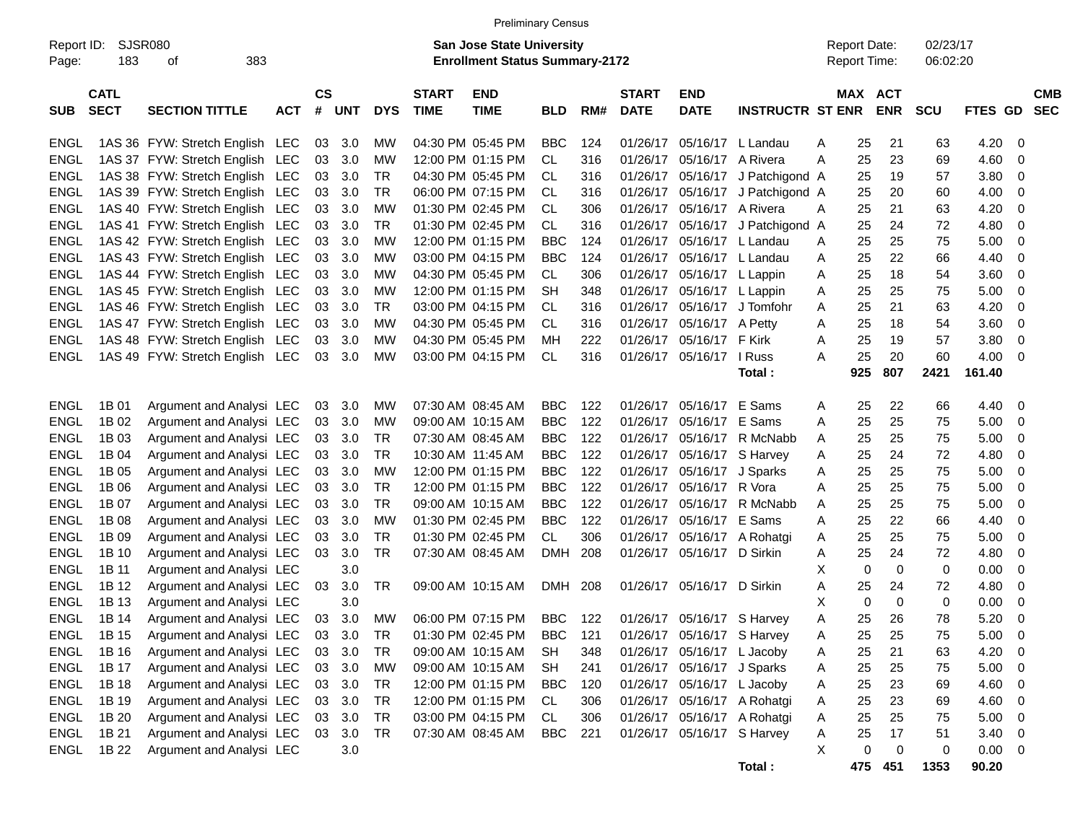|                     |                            |                                    |            |                |            |            |                             |                                                                           | <b>Preliminary Census</b> |     |                             |                             |                         |   |                                            |                          |                      |         |                          |  |
|---------------------|----------------------------|------------------------------------|------------|----------------|------------|------------|-----------------------------|---------------------------------------------------------------------------|---------------------------|-----|-----------------------------|-----------------------------|-------------------------|---|--------------------------------------------|--------------------------|----------------------|---------|--------------------------|--|
| Report ID:<br>Page: | SJSR080<br>183             | 383<br>οf                          |            |                |            |            |                             | <b>San Jose State University</b><br><b>Enrollment Status Summary-2172</b> |                           |     |                             |                             |                         |   | <b>Report Date:</b><br><b>Report Time:</b> |                          | 02/23/17<br>06:02:20 |         |                          |  |
| <b>SUB</b>          | <b>CATL</b><br><b>SECT</b> | <b>SECTION TITTLE</b>              | <b>ACT</b> | <b>CS</b><br># | <b>UNT</b> | <b>DYS</b> | <b>START</b><br><b>TIME</b> | <b>END</b><br><b>TIME</b>                                                 | <b>BLD</b>                | RM# | <b>START</b><br><b>DATE</b> | <b>END</b><br><b>DATE</b>   | <b>INSTRUCTR ST ENR</b> |   | MAX                                        | <b>ACT</b><br><b>ENR</b> | SCU                  | FTES GD | <b>CMB</b><br><b>SEC</b> |  |
| ENGL                |                            | 1AS 36 FYW: Stretch English LEC    |            | 03             | 3.0        | МW         |                             | 04:30 PM 05:45 PM                                                         | <b>BBC</b>                | 124 | 01/26/17                    | 05/16/17 L Landau           |                         | Α | 25                                         | 21                       | 63                   | 4.20    | 0                        |  |
| <b>ENGL</b>         |                            | 1AS 37 FYW: Stretch English LEC    |            | 03             | 3.0        | <b>MW</b>  |                             | 12:00 PM 01:15 PM                                                         | CL.                       | 316 | 01/26/17                    | 05/16/17 A Rivera           |                         | A | 25                                         | 23                       | 69                   | 4.60    | 0                        |  |
| <b>ENGL</b>         |                            | 1AS 38 FYW: Stretch English LEC    |            | 03             | 3.0        | TR         |                             | 04:30 PM 05:45 PM                                                         | CL                        | 316 | 01/26/17                    | 05/16/17                    | J Patchigond A          |   | 25                                         | 19                       | 57                   | 3.80    | 0                        |  |
| <b>ENGL</b>         |                            | 1AS 39 FYW: Stretch English LEC    |            | 03             | 3.0        | TR         |                             | 06:00 PM 07:15 PM                                                         | CL                        | 316 | 01/26/17                    |                             | 05/16/17 J Patchigond A |   | 25                                         | 20                       | 60                   | 4.00    | 0                        |  |
| <b>ENGL</b>         |                            | 1AS 40 FYW: Stretch English LEC    |            | 03             | 3.0        | MW         |                             | 01:30 PM 02:45 PM                                                         | CL                        | 306 | 01/26/17                    | 05/16/17 A Rivera           |                         | A | 25                                         | 21                       | 63                   | 4.20    | 0                        |  |
| <b>ENGL</b>         |                            | 1AS 41 FYW: Stretch English LEC    |            | 03             | 3.0        | TR         |                             | 01:30 PM 02:45 PM                                                         | CL                        | 316 | 01/26/17                    | 05/16/17                    | J Patchigond A          |   | 25                                         | 24                       | 72                   | 4.80    | 0                        |  |
| <b>ENGL</b>         |                            | 1AS 42 FYW: Stretch English LEC    |            | 03             | 3.0        | <b>MW</b>  |                             | 12:00 PM 01:15 PM                                                         | <b>BBC</b>                | 124 | 01/26/17                    | 05/16/17 L Landau           |                         | Α | 25                                         | 25                       | 75                   | 5.00    | 0                        |  |
| <b>ENGL</b>         |                            | 1AS 43 FYW: Stretch English LEC    |            | 03             | 3.0        | <b>MW</b>  |                             | 03:00 PM 04:15 PM                                                         | <b>BBC</b>                | 124 | 01/26/17                    | 05/16/17 L Landau           |                         | Α | 25                                         | 22                       | 66                   | 4.40    | 0                        |  |
| <b>ENGL</b>         |                            | 1AS 44 FYW: Stretch English LEC    |            | 03             | 3.0        | <b>MW</b>  |                             | 04:30 PM 05:45 PM                                                         | CL                        | 306 | 01/26/17                    | 05/16/17 L Lappin           |                         | Α | 25                                         | 18                       | 54                   | 3.60    | 0                        |  |
| <b>ENGL</b>         |                            | 1AS 45 FYW: Stretch English LEC    |            | 03             | 3.0        | <b>MW</b>  |                             | 12:00 PM 01:15 PM                                                         | <b>SH</b>                 | 348 | 01/26/17                    | 05/16/17 L Lappin           |                         | A | 25                                         | 25                       | 75                   | 5.00    | 0                        |  |
| <b>ENGL</b>         |                            | 1AS 46 FYW: Stretch English LEC    |            | 03             | 3.0        | TR         |                             | 03:00 PM 04:15 PM                                                         | CL                        | 316 | 01/26/17                    | 05/16/17                    | J Tomfohr               | Α | 25                                         | 21                       | 63                   | 4.20    | 0                        |  |
| <b>ENGL</b>         |                            | 1AS 47 FYW: Stretch English LEC    |            | 03             | 3.0        | <b>MW</b>  |                             | 04:30 PM 05:45 PM                                                         | CL                        | 316 | 01/26/17                    | 05/16/17                    | A Petty                 | Α | 25                                         | 18                       | 54                   | 3.60    | 0                        |  |
| <b>ENGL</b>         |                            | 1AS 48 FYW: Stretch English LEC    |            | 03             | 3.0        | <b>MW</b>  |                             | 04:30 PM 05:45 PM                                                         | МH                        | 222 | 01/26/17                    | 05/16/17                    | F Kirk                  | Α | 25                                         | 19                       | 57                   | 3.80    | 0                        |  |
| ENGL                |                            | 1AS 49 FYW: Stretch English LEC    |            | 03             | 3.0        | <b>MW</b>  |                             | 03:00 PM 04:15 PM                                                         | CL                        | 316 | 01/26/17                    | 05/16/17                    | I Russ                  | A | 25                                         | 20                       | 60                   | 4.00    | 0                        |  |
|                     |                            |                                    |            |                |            |            |                             |                                                                           |                           |     |                             |                             | Total:                  |   | 925                                        | 807                      | 2421                 | 161.40  |                          |  |
|                     |                            |                                    |            |                |            |            |                             |                                                                           |                           |     |                             |                             |                         |   |                                            |                          |                      |         |                          |  |
| <b>ENGL</b>         | 1B 01                      | Argument and Analysi LEC           |            | 03             | 3.0        | <b>MW</b>  |                             | 07:30 AM 08:45 AM                                                         | <b>BBC</b>                | 122 | 01/26/17                    | 05/16/17                    | E Sams                  | A | 25                                         | 22                       | 66                   | 4.40    | 0                        |  |
| <b>ENGL</b>         | 1B 02                      | Argument and Analysi LEC           |            | 03             | 3.0        | <b>MW</b>  |                             | 09:00 AM 10:15 AM                                                         | <b>BBC</b>                | 122 | 01/26/17                    | 05/16/17                    | E Sams                  | A | 25                                         | 25                       | 75                   | 5.00    | 0                        |  |
| <b>ENGL</b>         | 1B 03                      | Argument and Analysi LEC           |            | 03             | 3.0        | TR         |                             | 07:30 AM 08:45 AM                                                         | <b>BBC</b>                | 122 | 01/26/17                    | 05/16/17                    | R McNabb                | A | 25                                         | 25                       | 75                   | 5.00    | 0                        |  |
| <b>ENGL</b>         | 1B 04                      | Argument and Analysi LEC           |            | 03             | 3.0        | TR         |                             | 10:30 AM 11:45 AM                                                         | <b>BBC</b>                | 122 | 01/26/17                    | 05/16/17                    | S Harvey                | A | 25                                         | 24                       | 72                   | 4.80    | 0                        |  |
| <b>ENGL</b>         | 1B 05                      | Argument and Analysi LEC           |            | 03             | 3.0        | MW         |                             | 12:00 PM 01:15 PM                                                         | <b>BBC</b>                | 122 | 01/26/17                    | 05/16/17                    | J Sparks                | Α | 25                                         | 25                       | 75                   | 5.00    | 0                        |  |
| <b>ENGL</b>         | 1B 06                      | Argument and Analysi LEC           |            | 03             | 3.0        | TR         |                             | 12:00 PM 01:15 PM                                                         | <b>BBC</b>                | 122 | 01/26/17                    | 05/16/17                    | R Vora                  | A | 25                                         | 25                       | 75                   | 5.00    | 0                        |  |
| <b>ENGL</b>         | 1B 07                      | Argument and Analysi LEC           |            | 03             | 3.0        | TR         |                             | 09:00 AM 10:15 AM                                                         | <b>BBC</b>                | 122 | 01/26/17                    | 05/16/17                    | R McNabb                | Α | 25                                         | 25                       | 75                   | 5.00    | 0                        |  |
| <b>ENGL</b>         | 1B 08                      | Argument and Analysi LEC           |            | 03             | 3.0        | MW         |                             | 01:30 PM 02:45 PM                                                         | <b>BBC</b>                | 122 | 01/26/17                    | 05/16/17                    | E Sams                  | Α | 25                                         | 22                       | 66                   | 4.40    | 0                        |  |
| <b>ENGL</b>         | 1B 09                      | Argument and Analysi LEC           |            | 03             | 3.0        | TR         |                             | 01:30 PM 02:45 PM                                                         | CL                        | 306 | 01/26/17                    | 05/16/17                    | A Rohatgi               | A | 25                                         | 25                       | 75                   | 5.00    | 0                        |  |
| <b>ENGL</b>         | 1B 10                      | Argument and Analysi LEC           |            | 03             | 3.0        | TR         |                             | 07:30 AM 08:45 AM                                                         | DMH                       | 208 | 01/26/17                    | 05/16/17                    | D Sirkin                | Α | 25                                         | 24                       | 72                   | 4.80    | 0                        |  |
| <b>ENGL</b>         | 1B 11                      | Argument and Analysi LEC           |            |                | 3.0        |            |                             |                                                                           |                           |     |                             |                             |                         | х | 0                                          | $\mathbf 0$              | 0                    | 0.00    | 0                        |  |
| <b>ENGL</b>         | 1B 12                      | Argument and Analysi LEC           |            | 03             | 3.0        | TR         |                             | 09:00 AM 10:15 AM                                                         | DMH 208                   |     |                             | 01/26/17 05/16/17 D Sirkin  |                         | Α | 25                                         | 24                       | 72                   | 4.80    | 0                        |  |
| <b>ENGL</b>         | 1B 13                      | Argument and Analysi LEC           |            |                | 3.0        |            |                             |                                                                           |                           |     |                             |                             |                         | X | 0                                          | $\mathbf 0$              | 0                    | 0.00    | 0                        |  |
| <b>ENGL</b>         | 1B 14                      | Argument and Analysi LEC           |            | 03             | 3.0        | MW         |                             | 06:00 PM 07:15 PM                                                         | BBC                       | 122 |                             | 01/26/17 05/16/17 S Harvey  |                         | Α | 25                                         | 26                       | 78                   | 5.20    | 0                        |  |
| ENGL                | 1B 15                      | Argument and Analysi LEC 03 3.0 TR |            |                |            |            |                             | 01:30 PM 02:45 PM BBC 121 01/26/17 05/16/17 S Harvey                      |                           |     |                             |                             |                         | A | 25                                         | 25                       | 75                   | 5.00    | $\mathbf 0$              |  |
| ENGL                | 1B 16                      | Argument and Analysi LEC           |            | 03             | 3.0        | TR         |                             | 09:00 AM 10:15 AM                                                         | SH                        | 348 |                             | 01/26/17 05/16/17 L Jacoby  |                         | Α | 25                                         | 21                       | 63                   | 4.20    | 0                        |  |
| ENGL                | 1B 17                      | Argument and Analysi LEC           |            |                | 03 3.0     | <b>MW</b>  |                             | 09:00 AM 10:15 AM                                                         | SH                        | 241 |                             | 01/26/17 05/16/17 J Sparks  |                         | Α | 25                                         | 25                       | 75                   | 5.00    | 0                        |  |
| ENGL                | 1B 18                      | Argument and Analysi LEC           |            |                | 03 3.0     | TR         |                             | 12:00 PM 01:15 PM                                                         | <b>BBC</b>                | 120 |                             | 01/26/17 05/16/17 L Jacoby  |                         | Α | 25                                         | 23                       | 69                   | 4.60    | 0                        |  |
| ENGL                | 1B 19                      | Argument and Analysi LEC           |            | 03             | 3.0        | <b>TR</b>  |                             | 12:00 PM 01:15 PM                                                         | CL                        | 306 |                             | 01/26/17 05/16/17 A Rohatgi |                         | Α | 25                                         | 23                       | 69                   | 4.60    | 0                        |  |
| ENGL                | 1B 20                      | Argument and Analysi LEC           |            | 03             | 3.0        | <b>TR</b>  |                             | 03:00 PM 04:15 PM                                                         | CL                        | 306 |                             | 01/26/17 05/16/17 A Rohatgi |                         | Α | 25                                         | 25                       | 75                   | 5.00    | 0                        |  |
| ENGL                | 1B 21                      | Argument and Analysi LEC 03        |            |                | 3.0        | TR         |                             | 07:30 AM 08:45 AM                                                         | <b>BBC</b>                | 221 |                             | 01/26/17 05/16/17 S Harvey  |                         | Α | 25                                         | 17                       | 51                   | 3.40    | 0                        |  |
| ENGL                | 1B 22                      | Argument and Analysi LEC           |            |                | 3.0        |            |                             |                                                                           |                           |     |                             |                             |                         | X | 0                                          | $\mathbf 0$              | 0                    | 0.00    | 0                        |  |
|                     |                            |                                    |            |                |            |            |                             |                                                                           |                           |     |                             |                             | Total:                  |   |                                            | 475 451                  | 1353                 | 90.20   |                          |  |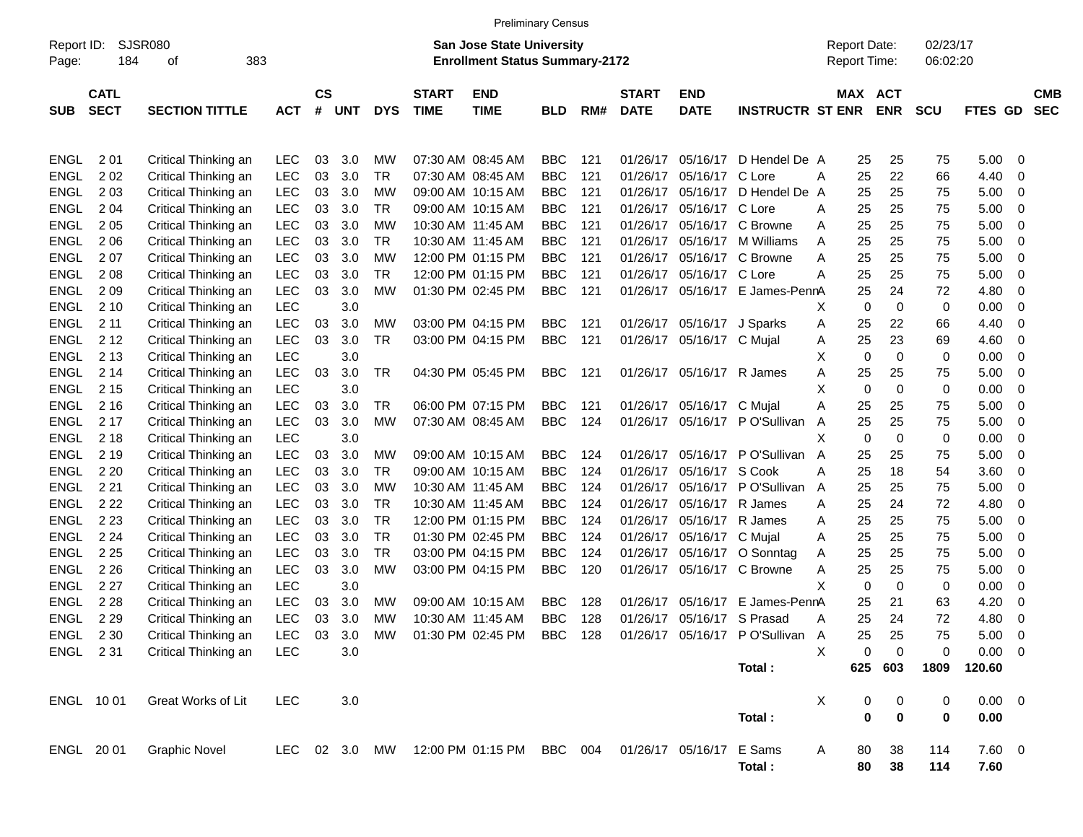|                     |             |                       |            |    |            |              |             | <b>Preliminary Census</b>                                                 |            |              |             |                          |                                                                          |                                     |          |             |                      |                |            |            |
|---------------------|-------------|-----------------------|------------|----|------------|--------------|-------------|---------------------------------------------------------------------------|------------|--------------|-------------|--------------------------|--------------------------------------------------------------------------|-------------------------------------|----------|-------------|----------------------|----------------|------------|------------|
| Report ID:<br>Page: | 184         | SJSR080<br>383<br>οf  |            |    |            |              |             | <b>San Jose State University</b><br><b>Enrollment Status Summary-2172</b> |            |              |             |                          |                                                                          | <b>Report Date:</b><br>Report Time: |          |             | 02/23/17<br>06:02:20 |                |            |            |
|                     | <b>CATL</b> |                       | <b>CS</b>  |    |            | <b>START</b> | <b>END</b>  |                                                                           |            | <b>START</b> | <b>END</b>  |                          | MAX ACT                                                                  |                                     |          |             |                      |                | <b>CMB</b> |            |
| <b>SUB</b>          | <b>SECT</b> | <b>SECTION TITTLE</b> | <b>ACT</b> | #  | <b>UNT</b> | <b>DYS</b>   | <b>TIME</b> | <b>TIME</b>                                                               | <b>BLD</b> | RM#          | <b>DATE</b> | <b>DATE</b>              | <b>INSTRUCTR ST ENR</b>                                                  |                                     |          | <b>ENR</b>  | <b>SCU</b>           | <b>FTES GD</b> |            | <b>SEC</b> |
|                     |             |                       |            |    |            |              |             |                                                                           |            |              |             |                          |                                                                          |                                     |          |             |                      |                |            |            |
| <b>ENGL</b>         | 201         | Critical Thinking an  | LEC        | 03 | 3.0        | МW           |             | 07:30 AM 08:45 AM                                                         | <b>BBC</b> | 121          | 01/26/17    | 05/16/17                 | D Hendel De A                                                            |                                     | 25       | 25          | 75                   | 5.00           | - 0        |            |
| <b>ENGL</b>         | 202         | Critical Thinking an  | <b>LEC</b> | 03 | 3.0        | TR           |             | 07:30 AM 08:45 AM                                                         | <b>BBC</b> | 121          | 01/26/17    | 05/16/17                 | C Lore                                                                   | A                                   | 25       | 22          | 66                   | 4.40           | 0          |            |
| <b>ENGL</b>         | 2 0 3       | Critical Thinking an  | <b>LEC</b> | 03 | 3.0        | MW           |             | 09:00 AM 10:15 AM                                                         | <b>BBC</b> | 121          | 01/26/17    | 05/16/17                 | D Hendel De A                                                            |                                     | 25       | 25          | 75                   | 5.00           | 0          |            |
| <b>ENGL</b>         | 2 0 4       | Critical Thinking an  | <b>LEC</b> | 03 | 3.0        | TR           |             | 09:00 AM 10:15 AM                                                         | <b>BBC</b> | 121          | 01/26/17    | 05/16/17                 | C Lore                                                                   | A                                   | 25       | 25          | 75                   | 5.00           | 0          |            |
| <b>ENGL</b>         | 2 0 5       | Critical Thinking an  | <b>LEC</b> | 03 | 3.0        | МW           |             | 10:30 AM 11:45 AM                                                         | <b>BBC</b> | 121          | 01/26/17    | 05/16/17                 | C Browne                                                                 | A                                   | 25       | 25          | 75                   | 5.00           | 0          |            |
| <b>ENGL</b>         | 2 0 6       | Critical Thinking an  | <b>LEC</b> | 03 | 3.0        | TR           |             | 10:30 AM 11:45 AM                                                         | <b>BBC</b> | 121          | 01/26/17    | 05/16/17                 | M Williams                                                               | A                                   | 25       | 25          | 75                   | 5.00           | 0          |            |
| <b>ENGL</b>         | 207         | Critical Thinking an  | <b>LEC</b> | 03 | 3.0        | МW           |             | 12:00 PM 01:15 PM                                                         | <b>BBC</b> | 121          | 01/26/17    | 05/16/17                 | C Browne                                                                 | A                                   | 25       | 25          | 75                   | 5.00           | 0          |            |
| <b>ENGL</b>         | 2 0 8       | Critical Thinking an  | <b>LEC</b> | 03 | 3.0        | TR           |             | 12:00 PM 01:15 PM                                                         | <b>BBC</b> | 121          | 01/26/17    | 05/16/17                 | C Lore                                                                   | A                                   | 25       | 25          | 75                   | 5.00           | 0          |            |
| <b>ENGL</b>         | 209         | Critical Thinking an  | <b>LEC</b> | 03 | 3.0        | MW           |             | 01:30 PM 02:45 PM                                                         | <b>BBC</b> | 121          | 01/26/17    |                          | 05/16/17 E James-PennA                                                   |                                     | 25       | 24          | 72                   | 4.80           | 0          |            |
| <b>ENGL</b>         | 2 10        | Critical Thinking an  | <b>LEC</b> |    | 3.0        |              |             |                                                                           |            |              |             |                          |                                                                          | х                                   | 0        | $\mathbf 0$ | 0                    | 0.00           | 0          |            |
| <b>ENGL</b>         | 2 1 1       | Critical Thinking an  | <b>LEC</b> | 03 | 3.0        | MW           |             | 03:00 PM 04:15 PM                                                         | BBC        | 121          | 01/26/17    | 05/16/17 J Sparks        |                                                                          | A                                   | 25       | 22          | 66                   | 4.40           | 0          |            |
| <b>ENGL</b>         | 2 1 2       | Critical Thinking an  | <b>LEC</b> | 03 | 3.0        | TR           |             | 03:00 PM 04:15 PM                                                         | <b>BBC</b> | 121          | 01/26/17    | 05/16/17 C Mujal         |                                                                          | A                                   | 25       | 23          | 69                   | 4.60           | 0          |            |
| <b>ENGL</b>         | 2 1 3       | Critical Thinking an  | <b>LEC</b> |    | 3.0        |              |             |                                                                           |            |              |             |                          |                                                                          | X                                   | 0        | $\mathbf 0$ | 0                    | 0.00           | 0          |            |
| <b>ENGL</b>         | 2 14        | Critical Thinking an  | <b>LEC</b> | 03 | 3.0        | TR           |             | 04:30 PM 05:45 PM                                                         | <b>BBC</b> | 121          | 01/26/17    | 05/16/17 R James         |                                                                          | A                                   | 25       | 25          | 75                   | 5.00           | 0          |            |
| <b>ENGL</b>         | 2 1 5       | Critical Thinking an  | <b>LEC</b> |    | 3.0        |              |             |                                                                           |            |              |             |                          |                                                                          | X                                   | 0        | $\mathbf 0$ | 0                    | 0.00           | 0          |            |
| <b>ENGL</b>         | 2 1 6       | Critical Thinking an  | <b>LEC</b> | 03 | 3.0        | TR           |             | 06:00 PM 07:15 PM                                                         | <b>BBC</b> | 121          | 01/26/17    | 05/16/17 C Mujal         |                                                                          | Α                                   | 25       | 25          | 75                   | 5.00           | 0          |            |
| <b>ENGL</b>         | 2 1 7       | Critical Thinking an  | LEC        | 03 | 3.0        | MW           |             | 07:30 AM 08:45 AM                                                         | <b>BBC</b> | 124          | 01/26/17    |                          | 05/16/17 PO'Sullivan                                                     | A                                   | 25       | 25          | 75                   | 5.00           | 0          |            |
| <b>ENGL</b>         | 2 1 8       | Critical Thinking an  | <b>LEC</b> |    | 3.0        |              |             |                                                                           |            |              |             |                          |                                                                          | X                                   | 0        | $\mathbf 0$ | 0                    | 0.00           | 0          |            |
| <b>ENGL</b>         | 2 1 9       | Critical Thinking an  | LEC        | 03 | 3.0        | MW           |             | 09:00 AM 10:15 AM                                                         | <b>BBC</b> | 124          | 01/26/17    |                          | 05/16/17 PO'Sullivan                                                     | A                                   | 25       | 25          | 75                   | 5.00           | 0          |            |
| <b>ENGL</b>         | 2 2 0       | Critical Thinking an  | LEC        | 03 | 3.0        | TR           |             | 09:00 AM 10:15 AM                                                         | <b>BBC</b> | 124          | 01/26/17    | 05/16/17 S Cook          |                                                                          | Α                                   | 25       | 18          | 54                   | 3.60           | 0          |            |
| <b>ENGL</b>         | 2 2 1       | Critical Thinking an  | LEC        | 03 | 3.0        | МW           |             | 10:30 AM 11:45 AM                                                         | <b>BBC</b> | 124          | 01/26/17    |                          | 05/16/17 PO'Sullivan                                                     | A                                   | 25       | 25          | 75                   | 5.00           | 0          |            |
| <b>ENGL</b>         | 2 2 2       | Critical Thinking an  | LEC        | 03 | 3.0        | TR           |             | 10:30 AM 11:45 AM                                                         | <b>BBC</b> | 124          | 01/26/17    | 05/16/17 R James         |                                                                          | A                                   | 25       | 24          | 72                   | 4.80           | 0          |            |
| <b>ENGL</b>         | 2 2 3       | Critical Thinking an  | LEC        | 03 | 3.0        | TR           |             | 12:00 PM 01:15 PM                                                         | <b>BBC</b> | 124          | 01/26/17    | 05/16/17 R James         |                                                                          | A                                   | 25       | 25          | 75                   | 5.00           | 0          |            |
| <b>ENGL</b>         | 2 2 4       | Critical Thinking an  | LEC        | 03 | 3.0        | TR           |             | 01:30 PM 02:45 PM                                                         | <b>BBC</b> | 124          | 01/26/17    | 05/16/17                 | C Mujal                                                                  | A                                   | 25       | 25          | 75                   | 5.00           | 0          |            |
| <b>ENGL</b>         | 2 2 5       | Critical Thinking an  | <b>LEC</b> | 03 | 3.0        | TR           |             | 03:00 PM 04:15 PM                                                         | <b>BBC</b> | 124          | 01/26/17    | 05/16/17                 | O Sonntag                                                                | A                                   | 25       | 25          | 75                   | 5.00           | 0          |            |
| <b>ENGL</b>         | 2 2 6       | Critical Thinking an  | LEC        | 03 | 3.0        | MW           |             | 03:00 PM 04:15 PM                                                         | <b>BBC</b> | 120          | 01/26/17    |                          | 05/16/17 C Browne                                                        | Α                                   | 25       | 25          | 75                   | 5.00           | 0          |            |
| <b>ENGL</b>         | 2 2 7       | Critical Thinking an  | <b>LEC</b> |    | 3.0        |              |             |                                                                           |            |              |             |                          |                                                                          | X                                   | 0        | 0           | 0                    | 0.00           | 0          |            |
| <b>ENGL</b>         | 2 2 8       | Critical Thinking an  | <b>LEC</b> | 03 | 3.0        | <b>MW</b>    |             | 09:00 AM 10:15 AM                                                         | <b>BBC</b> | 128          | 01/26/17    | 05/16/17                 | E James-PennA                                                            |                                     | 25       | 21          | 63                   | 4.20           | 0          |            |
| ENGL                | 2 2 9       | Critical Thinking an  | LEC        | 03 | 3.0        | МW           |             | 10:30 AM 11:45 AM                                                         | <b>BBC</b> | 128          | 01/26/17    | 05/16/17 S Prasad        |                                                                          | Α                                   | 25       | 24          | 72                   | 4.80           | 0          |            |
| ENGL 230            |             | Critical Thinking an  | LEC 03     |    |            |              |             |                                                                           |            |              |             |                          | 3.0 MW  01:30 PM  02:45 PM  BBC  128  01/26/17  05/16/17  PO'Sullivan  A |                                     | 25       | 25          | 75                   | $5.00 \t 0$    |            |            |
| ENGL 231            |             | Critical Thinking an  | LEC        |    | 3.0        |              |             |                                                                           |            |              |             |                          |                                                                          | X                                   | 0        | $\pmb{0}$   | $\boldsymbol{0}$     | $0.00 \t 0$    |            |            |
|                     |             |                       |            |    |            |              |             |                                                                           |            |              |             |                          | Total:                                                                   |                                     |          | 625 603     | 1809                 | 120.60         |            |            |
|                     | ENGL 1001   | Great Works of Lit    | LEC        |    | 3.0        |              |             |                                                                           |            |              |             |                          |                                                                          | X                                   | 0        | 0           | 0                    | $0.00 \t 0$    |            |            |
|                     |             |                       |            |    |            |              |             |                                                                           |            |              |             |                          | Total:                                                                   |                                     | 0        | $\pmb{0}$   | 0                    | 0.00           |            |            |
|                     | ENGL 2001   | <b>Graphic Novel</b>  |            |    |            |              |             | LEC 02 3.0 MW 12:00 PM 01:15 PM BBC 004                                   |            |              |             | 01/26/17 05/16/17 E Sams |                                                                          |                                     |          |             | 114                  | 7.60 0         |            |            |
|                     |             |                       |            |    |            |              |             |                                                                           |            |              |             |                          | Total:                                                                   | A                                   | 80<br>80 | 38<br>38    | 114                  | 7.60           |            |            |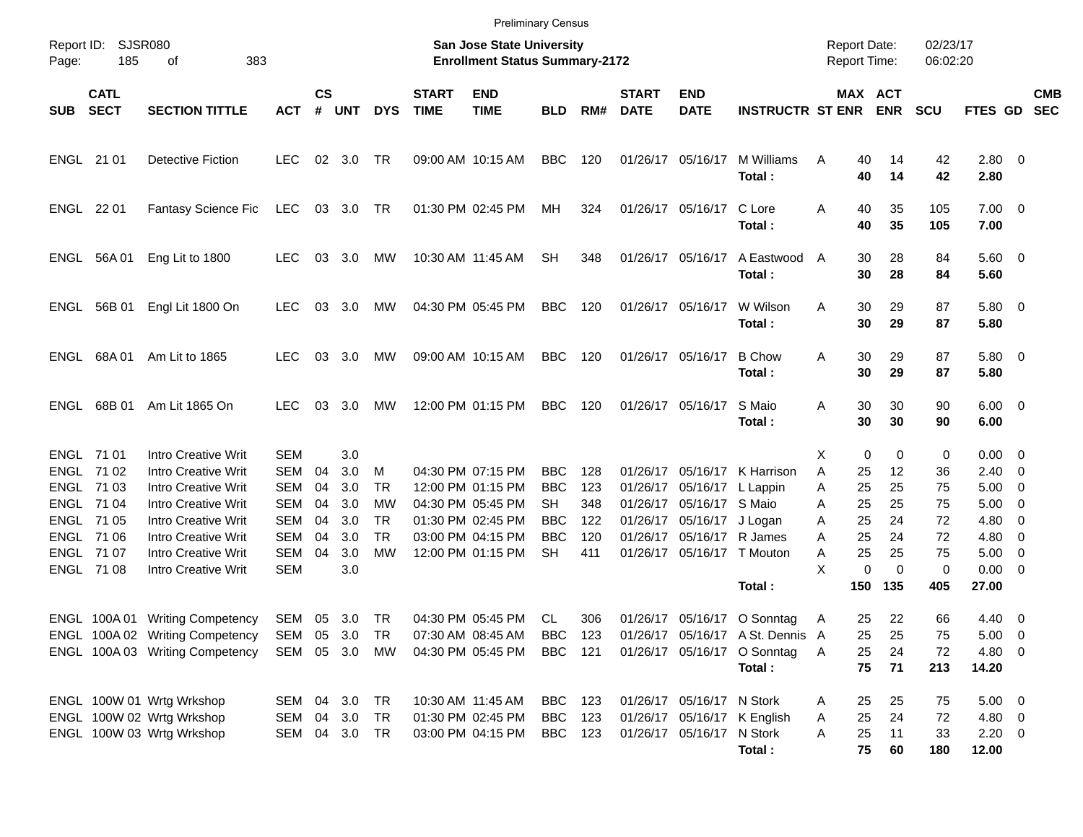|            |                            |                                 |               |                    |            |            |                             | <b>Preliminary Census</b>                                          |                   |            |                             |                           |                                  |                                            |             |                       |                      |                        |                          |                          |
|------------|----------------------------|---------------------------------|---------------|--------------------|------------|------------|-----------------------------|--------------------------------------------------------------------|-------------------|------------|-----------------------------|---------------------------|----------------------------------|--------------------------------------------|-------------|-----------------------|----------------------|------------------------|--------------------------|--------------------------|
| Page:      | Report ID: SJSR080<br>185  | 383<br>of                       |               |                    |            |            |                             | San Jose State University<br><b>Enrollment Status Summary-2172</b> |                   |            |                             |                           |                                  | <b>Report Date:</b><br><b>Report Time:</b> |             |                       | 02/23/17<br>06:02:20 |                        |                          |                          |
| <b>SUB</b> | <b>CATL</b><br><b>SECT</b> | <b>SECTION TITTLE</b>           | <b>ACT</b>    | $\mathsf{cs}$<br># | <b>UNT</b> | <b>DYS</b> | <b>START</b><br><b>TIME</b> | <b>END</b><br><b>TIME</b>                                          | <b>BLD</b>        | RM#        | <b>START</b><br><b>DATE</b> | <b>END</b><br><b>DATE</b> | <b>INSTRUCTR ST ENR</b>          |                                            |             | MAX ACT<br><b>ENR</b> | <b>SCU</b>           | FTES GD                |                          | <b>CMB</b><br><b>SEC</b> |
| ENGL 21 01 |                            | <b>Detective Fiction</b>        | <b>LEC</b>    |                    | 02 3.0     | <b>TR</b>  |                             | 09:00 AM 10:15 AM                                                  | <b>BBC</b>        | 120        | 01/26/17 05/16/17           |                           | M Williams<br>Total:             | A                                          | 40<br>40    | 14<br>14              | 42<br>42             | 2.80 0<br>2.80         |                          |                          |
| ENGL 22 01 |                            | <b>Fantasy Science Fic</b>      | LEC 03 3.0 TR |                    |            |            |                             | 01:30 PM 02:45 PM                                                  | МH                | 324        |                             | 01/26/17 05/16/17         | C Lore<br>Total:                 | A                                          | 40<br>40    | 35<br>35              | 105<br>105           | $7.00 \t 0$<br>7.00    |                          |                          |
|            | ENGL 56A 01                | Eng Lit to 1800                 | <b>LEC</b>    | 03                 | 3.0        | МW         |                             | 10:30 AM 11:45 AM                                                  | <b>SH</b>         | 348        |                             | 01/26/17 05/16/17         | A Eastwood<br>Total:             | A                                          | 30<br>30    | 28<br>28              | 84<br>84             | $5.60$ 0<br>5.60       |                          |                          |
|            | ENGL 56B 01                | Engl Lit 1800 On                | <b>LEC</b>    | 03                 | 3.0        | МW         |                             | 04:30 PM 05:45 PM                                                  | <b>BBC</b>        | 120        |                             | 01/26/17 05/16/17         | W Wilson<br>Total:               | A                                          | 30<br>30    | 29<br>29              | 87<br>87             | 5.80 0<br>5.80         |                          |                          |
|            | ENGL 68A01                 | Am Lit to 1865                  | <b>LEC</b>    |                    | 03 3.0     | МW         |                             | 09:00 AM 10:15 AM                                                  | <b>BBC</b>        | 120        | 01/26/17 05/16/17           |                           | <b>B</b> Chow<br>Total:          | A                                          | 30<br>30    | 29<br>29              | 87<br>87             | 5.80 0<br>5.80         |                          |                          |
|            | ENGL 68B 01                | Am Lit 1865 On                  | <b>LEC</b>    | 03                 | 3.0        | МW         |                             | 12:00 PM 01:15 PM                                                  | <b>BBC</b>        | 120        |                             | 01/26/17 05/16/17         | S Maio<br>Total:                 | A                                          | 30<br>30    | 30<br>30              | 90<br>90             | $6.00 \quad 0$<br>6.00 |                          |                          |
| ENGL 71 01 |                            | <b>Intro Creative Writ</b>      | <b>SEM</b>    |                    | 3.0        |            |                             |                                                                    |                   |            |                             |                           |                                  | Х                                          | $\mathbf 0$ | 0                     | 0                    | $0.00 \t 0$            |                          |                          |
|            | ENGL 71 02                 | <b>Intro Creative Writ</b>      | <b>SEM</b>    | 04                 | 3.0        | M          |                             | 04:30 PM 07:15 PM                                                  | <b>BBC</b>        | 128        | 01/26/17                    | 05/16/17                  | K Harrison                       | A                                          | 25          | 12                    | 36                   | $2.40 \quad 0$         |                          |                          |
|            | ENGL 71 03                 | <b>Intro Creative Writ</b>      | <b>SEM</b>    | 04                 | 3.0        | <b>TR</b>  |                             | 12:00 PM 01:15 PM                                                  | <b>BBC</b>        | 123        | 01/26/17                    | 05/16/17                  | L Lappin                         | Α                                          | 25          | 25                    | 75                   | $5.00 \t 0$            |                          |                          |
| ENGL 71 04 |                            | <b>Intro Creative Writ</b>      | <b>SEM</b>    | 04                 | 3.0        | <b>MW</b>  |                             | 04:30 PM 05:45 PM                                                  | SН                | 348        | 01/26/17                    | 05/16/17 S Maio           |                                  | Α                                          | 25          | 25                    | 75                   | $5.00 \t 0$            |                          |                          |
| ENGL 71 05 |                            | <b>Intro Creative Writ</b>      | <b>SEM</b>    | 04                 | 3.0        | <b>TR</b>  |                             | 01:30 PM 02:45 PM                                                  | <b>BBC</b>        | 122        |                             | 01/26/17 05/16/17         | J Logan                          | A                                          | 25          | 24                    | 72                   | 4.80                   | $\overline{\phantom{0}}$ |                          |
|            | ENGL 71 06                 | <b>Intro Creative Writ</b>      | <b>SEM</b>    | 04                 | 3.0        | <b>TR</b>  |                             | 03:00 PM 04:15 PM                                                  | <b>BBC</b>        | 120        |                             | 01/26/17 05/16/17 R James |                                  | Α                                          | 25          | 24                    | 72                   | $4.80\ 0$              |                          |                          |
| ENGL 71 07 |                            | <b>Intro Creative Writ</b>      | <b>SEM</b>    | 04                 | 3.0        | <b>MW</b>  |                             | 12:00 PM 01:15 PM                                                  | <b>SH</b>         | 411        |                             |                           | 01/26/17 05/16/17 T Mouton       | A                                          | 25          | 25                    | 75                   | $5.00 \t 0$            |                          |                          |
|            | ENGL 71 08                 | Intro Creative Writ             | <b>SEM</b>    |                    | 3.0        |            |                             |                                                                    |                   |            |                             |                           |                                  | X                                          | $\pmb{0}$   | $\Omega$              | 0                    | $0.00 \t 0$            |                          |                          |
|            |                            |                                 |               |                    |            |            |                             |                                                                    |                   |            |                             |                           | Total:                           |                                            | 150         | 135                   | 405                  | 27.00                  |                          |                          |
|            |                            | ENGL 100A 01 Writing Competency | SEM 05 3.0 TR |                    |            |            |                             | 04:30 PM 05:45 PM                                                  | CL                | 306        |                             |                           | 01/26/17 05/16/17 O Sonntag      | A                                          | 25          | 22                    | 66                   | $4.40 \quad 0$         |                          |                          |
|            |                            | ENGL 100A 02 Writing Competency | SEM 05 3.0    |                    |            | TR         |                             | 07:30 AM 08:45 AM                                                  | BBC               | 123        |                             |                           | 01/26/17 05/16/17 A St. Dennis A |                                            | 25          | 25                    | 75                   | $5.00 \t 0$            |                          |                          |
|            |                            | ENGL 100A 03 Writing Competency | SEM 05 3.0 MW |                    |            |            |                             | 04:30 PM 05:45 PM                                                  | <b>BBC</b> 121    |            |                             |                           | 01/26/17 05/16/17 O Sonntag      | A                                          | 25          | 24                    | 72                   | 4.80 0                 |                          |                          |
|            |                            |                                 |               |                    |            |            |                             |                                                                    |                   |            |                             |                           | Total:                           |                                            | 75          | 71                    | 213                  | 14.20                  |                          |                          |
|            |                            | ENGL 100W 01 Wrtg Wrkshop       | SEM 04 3.0 TR |                    |            |            |                             |                                                                    |                   |            |                             | 01/26/17 05/16/17 N Stork |                                  |                                            |             |                       |                      | $5.00 \t 0$            |                          |                          |
|            |                            | ENGL 100W 02 Wrtg Wrkshop       | SEM           |                    | 04 3.0 TR  |            |                             | 10:30 AM 11:45 AM<br>01:30 PM 02:45 PM                             | BBC<br><b>BBC</b> | 123<br>123 |                             |                           | 01/26/17 05/16/17 K English      | A<br>A                                     | 25<br>25    | 25<br>24              | 75<br>72             | 4.80 0                 |                          |                          |
|            |                            | ENGL 100W 03 Wrtg Wrkshop       | SEM 04 3.0 TR |                    |            |            |                             | 03:00 PM 04:15 PM                                                  | BBC 123           |            |                             | 01/26/17 05/16/17 N Stork |                                  | Α                                          | 25          | 11                    | 33                   | $2.20 \t 0$            |                          |                          |
|            |                            |                                 |               |                    |            |            |                             |                                                                    |                   |            |                             |                           | Total:                           |                                            | 75          | 60                    | 180                  | 12.00                  |                          |                          |
|            |                            |                                 |               |                    |            |            |                             |                                                                    |                   |            |                             |                           |                                  |                                            |             |                       |                      |                        |                          |                          |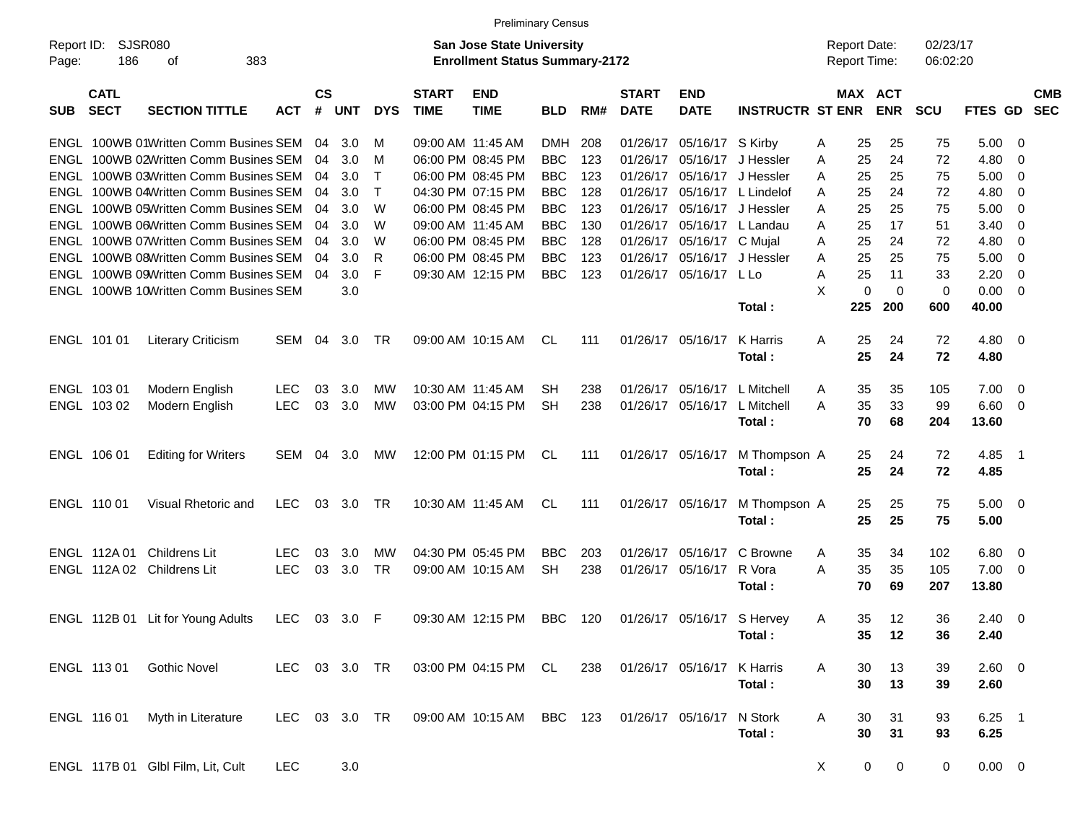|                     |                            |                                       |               |                |            |             |                             |                                                                    | <b>Preliminary Census</b> |     |                             |                             |                         |                                     |             |                      |                |                          |                          |
|---------------------|----------------------------|---------------------------------------|---------------|----------------|------------|-------------|-----------------------------|--------------------------------------------------------------------|---------------------------|-----|-----------------------------|-----------------------------|-------------------------|-------------------------------------|-------------|----------------------|----------------|--------------------------|--------------------------|
| Report ID:<br>Page: | 186                        | <b>SJSR080</b><br>383<br>оf           |               |                |            |             |                             | San Jose State University<br><b>Enrollment Status Summary-2172</b> |                           |     |                             |                             |                         | <b>Report Date:</b><br>Report Time: |             | 02/23/17<br>06:02:20 |                |                          |                          |
| <b>SUB</b>          | <b>CATL</b><br><b>SECT</b> | <b>SECTION TITTLE</b>                 | <b>ACT</b>    | <b>CS</b><br># | <b>UNT</b> | <b>DYS</b>  | <b>START</b><br><b>TIME</b> | <b>END</b><br><b>TIME</b>                                          | <b>BLD</b>                | RM# | <b>START</b><br><b>DATE</b> | <b>END</b><br><b>DATE</b>   | <b>INSTRUCTR ST ENR</b> | MAX ACT                             | <b>ENR</b>  | <b>SCU</b>           | <b>FTES GD</b> |                          | <b>CMB</b><br><b>SEC</b> |
|                     |                            | ENGL 100WB 01Written Comm Busines SEM |               | 04             | 3.0        | м           |                             | 09:00 AM 11:45 AM                                                  | <b>DMH</b>                | 208 | 01/26/17                    | 05/16/17 S Kirby            |                         | 25<br>A                             | 25          | 75                   | 5.00           | - 0                      |                          |
|                     |                            | ENGL 100WB 02Written Comm Busines SEM |               | 04             | 3.0        | м           |                             | 06:00 PM 08:45 PM                                                  | <b>BBC</b>                | 123 | 01/26/17                    | 05/16/17                    | J Hessler               | 25<br>Α                             | 24          | 72                   | 4.80           | 0                        |                          |
|                     |                            | ENGL 100WB 03Written Comm Busines SEM |               | 04             | 3.0        | Т           |                             | 06:00 PM 08:45 PM                                                  | <b>BBC</b>                | 123 | 01/26/17                    |                             | 05/16/17 J Hessler      | 25<br>A                             | 25          | 75                   | 5.00           | $\overline{0}$           |                          |
|                     |                            | ENGL 100WB 04Written Comm Busines SEM |               | 04             | 3.0        | $\mathsf T$ |                             | 04:30 PM 07:15 PM                                                  | <b>BBC</b>                | 128 | 01/26/17                    |                             | 05/16/17 L Lindelof     | 25<br>A                             | 24          | 72                   | 4.80           | 0                        |                          |
|                     |                            | ENGL 100WB 05Written Comm Busines SEM |               | 04             | 3.0        | W           |                             | 06:00 PM 08:45 PM                                                  | <b>BBC</b>                | 123 | 01/26/17                    |                             | 05/16/17 J Hessler      | 25<br>A                             | 25          | 75                   | 5.00           | 0                        |                          |
|                     |                            | ENGL 100WB 06Written Comm Busines SEM |               | 04             | 3.0        | W           |                             | 09:00 AM 11:45 AM                                                  | <b>BBC</b>                | 130 | 01/26/17                    |                             | 05/16/17 L Landau       | 25<br>A                             | 17          | 51                   | 3.40           | 0                        |                          |
|                     |                            | ENGL 100WB 07Written Comm Busines SEM |               | 04             | 3.0        | W           |                             | 06:00 PM 08:45 PM                                                  | <b>BBC</b>                | 128 |                             | 01/26/17 05/16/17 C Mujal   |                         | 25<br>A                             | 24          | 72                   | 4.80           | 0                        |                          |
|                     |                            | ENGL 100WB 08Written Comm Busines SEM |               | 04             | 3.0        | R           |                             | 06:00 PM 08:45 PM                                                  | <b>BBC</b>                | 123 |                             | 01/26/17 05/16/17 J Hessler |                         | 25<br>A                             | 25          | 75                   | 5.00           | $\overline{0}$           |                          |
|                     |                            | ENGL 100WB 09Written Comm Busines SEM |               | 04             | 3.0        | F           |                             | 09:30 AM 12:15 PM                                                  | <b>BBC</b>                | 123 |                             | 01/26/17 05/16/17 L Lo      |                         | 25<br>A                             | 11          | 33                   | 2.20           | 0                        |                          |
|                     |                            | ENGL 100WB 10Written Comm Busines SEM |               |                | 3.0        |             |                             |                                                                    |                           |     |                             |                             |                         | X<br>$\mathbf 0$                    | $\mathbf 0$ | 0                    | 0.00           | - 0                      |                          |
|                     |                            |                                       |               |                |            |             |                             |                                                                    |                           |     |                             |                             | Total :                 | 225                                 | 200         | 600                  | 40.00          |                          |                          |
|                     | ENGL 101 01                | <b>Literary Criticism</b>             | SEM           | 04             | 3.0        | TR          |                             | 09:00 AM 10:15 AM                                                  | CL.                       | 111 |                             | 01/26/17 05/16/17           | K Harris                | 25<br>A                             | 24          | 72                   | $4.80\ 0$      |                          |                          |
|                     |                            |                                       |               |                |            |             |                             |                                                                    |                           |     |                             |                             | Total:                  | 25                                  | 24          | 72                   | 4.80           |                          |                          |
|                     | ENGL 103 01                | Modern English                        | <b>LEC</b>    | 03             | 3.0        | MW          |                             | 10:30 AM 11:45 AM                                                  | SН                        | 238 |                             | 01/26/17 05/16/17           | L Mitchell              | 35<br>A                             | 35          | 105                  | 7.00           | $\overline{\phantom{0}}$ |                          |
|                     | ENGL 103 02                | Modern English                        | <b>LEC</b>    | 03             | 3.0        | MW          |                             | 03:00 PM 04:15 PM                                                  | <b>SH</b>                 | 238 |                             | 01/26/17 05/16/17           | L Mitchell              | 35<br>A                             | 33          | 99                   | 6.60           | $\overline{\mathbf{0}}$  |                          |
|                     |                            |                                       |               |                |            |             |                             |                                                                    |                           |     |                             |                             | Total :                 | 70                                  | 68          | 204                  | 13.60          |                          |                          |
|                     | ENGL 106 01                | <b>Editing for Writers</b>            | SEM           | 04             | 3.0        | МW          |                             | 12:00 PM 01:15 PM                                                  | CL                        | 111 |                             | 01/26/17 05/16/17           | M Thompson A            | 25                                  | 24          | 72                   | 4.85           | - 1                      |                          |
|                     |                            |                                       |               |                |            |             |                             |                                                                    |                           |     |                             |                             | Total:                  | 25                                  | 24          | 72                   | 4.85           |                          |                          |
|                     | ENGL 110 01                | Visual Rhetoric and                   | <b>LEC</b>    | 03             | 3.0        | TR          |                             | 10:30 AM 11:45 AM                                                  | CL                        | 111 |                             | 01/26/17 05/16/17           | M Thompson A            | 25                                  | 25          | 75                   | $5.00 \quad 0$ |                          |                          |
|                     |                            |                                       |               |                |            |             |                             |                                                                    |                           |     |                             |                             | Total:                  | 25                                  | 25          | 75                   | 5.00           |                          |                          |
|                     | ENGL 112A 01               | Childrens Lit                         | <b>LEC</b>    | 03             | 3.0        | MW          |                             | 04:30 PM 05:45 PM                                                  | <b>BBC</b>                | 203 |                             | 01/26/17 05/16/17           | C Browne                | 35<br>A                             | 34          | 102                  | 6.80           | - 0                      |                          |
|                     |                            | ENGL 112A 02 Childrens Lit            | <b>LEC</b>    | 03             | 3.0        | <b>TR</b>   |                             | 09:00 AM 10:15 AM                                                  | <b>SH</b>                 | 238 |                             | 01/26/17 05/16/17           | R Vora                  | 35<br>Α                             | 35          | 105                  | 7.00           | - 0                      |                          |
|                     |                            |                                       |               |                |            |             |                             |                                                                    |                           |     |                             |                             | Total :                 | 70                                  | 69          | 207                  | 13.80          |                          |                          |
|                     |                            | ENGL 112B 01 Lit for Young Adults     | <b>LEC</b>    |                | 03 3.0 F   |             |                             | 09:30 AM 12:15 PM                                                  | BBC                       | 120 |                             | 01/26/17 05/16/17 S Hervey  |                         | 35<br>A                             | 12          | 36                   | $2.40 \quad 0$ |                          |                          |
|                     |                            |                                       |               |                |            |             |                             |                                                                    |                           |     |                             |                             | Total:                  | 35                                  | 12          | 36                   | 2.40           |                          |                          |
|                     | ENGL 11301                 | <b>Gothic Novel</b>                   | LEC 03 3.0 TR |                |            |             |                             | 03:00 PM 04:15 PM CL                                               |                           | 238 |                             | 01/26/17 05/16/17           | K Harris                | Α<br>30                             | 13          | 39                   | 2.60 0         |                          |                          |
|                     |                            |                                       |               |                |            |             |                             |                                                                    |                           |     |                             |                             | Total:                  | 30                                  | 13          | 39                   | 2.60           |                          |                          |
|                     | ENGL 116 01                | Myth in Literature                    | LEC 03 3.0 TR |                |            |             |                             | 09:00 AM 10:15 AM                                                  | BBC 123                   |     |                             | 01/26/17 05/16/17           | N Stork                 | 30<br>A                             | 31          | 93                   | $6.25$ 1       |                          |                          |
|                     |                            |                                       |               |                |            |             |                             |                                                                    |                           |     |                             |                             | Total:                  | 30                                  | 31          | 93                   | 6.25           |                          |                          |
|                     |                            | ENGL 117B 01 Glbl Film, Lit, Cult     | <b>LEC</b>    |                | 3.0        |             |                             |                                                                    |                           |     |                             |                             |                         | 0<br>X                              | 0           | 0                    | $0.00 \t 0$    |                          |                          |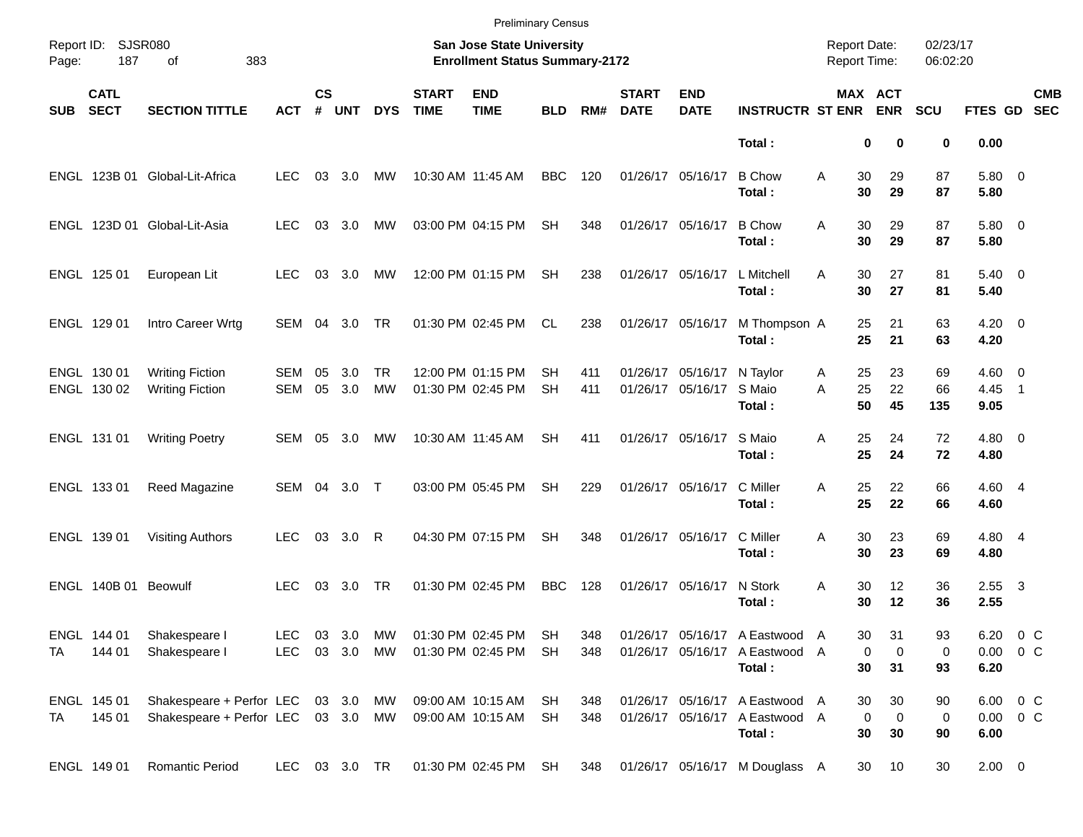|            |                            |                                                                          |                    |                    |                     |                 |                             | <b>Preliminary Census</b>                                          |                 |            |                             |                                        |                                                                            |                                            |                                           |                      |                            |                           |
|------------|----------------------------|--------------------------------------------------------------------------|--------------------|--------------------|---------------------|-----------------|-----------------------------|--------------------------------------------------------------------|-----------------|------------|-----------------------------|----------------------------------------|----------------------------------------------------------------------------|--------------------------------------------|-------------------------------------------|----------------------|----------------------------|---------------------------|
| Page:      | Report ID: SJSR080<br>187  | 383<br>of                                                                |                    |                    |                     |                 |                             | San Jose State University<br><b>Enrollment Status Summary-2172</b> |                 |            |                             |                                        |                                                                            | <b>Report Date:</b><br><b>Report Time:</b> |                                           | 02/23/17<br>06:02:20 |                            |                           |
| <b>SUB</b> | <b>CATL</b><br><b>SECT</b> | <b>SECTION TITTLE</b>                                                    | <b>ACT</b>         | $\mathsf{cs}$<br># | <b>UNT</b>          | <b>DYS</b>      | <b>START</b><br><b>TIME</b> | <b>END</b><br><b>TIME</b>                                          | <b>BLD</b>      | RM#        | <b>START</b><br><b>DATE</b> | <b>END</b><br><b>DATE</b>              | <b>INSTRUCTR ST ENR</b>                                                    |                                            | <b>MAX ACT</b><br><b>ENR</b>              | <b>SCU</b>           | <b>FTES GD</b>             | <b>CMB</b><br><b>SEC</b>  |
|            |                            |                                                                          |                    |                    |                     |                 |                             |                                                                    |                 |            |                             |                                        | Total:                                                                     |                                            | 0<br>0                                    | 0                    | 0.00                       |                           |
|            |                            | ENGL 123B 01 Global-Lit-Africa                                           | LEC.               | 03                 | 3.0                 | МW              |                             | 10:30 AM 11:45 AM                                                  | <b>BBC</b>      | 120        |                             | 01/26/17 05/16/17                      | <b>B</b> Chow<br>Total:                                                    | 30<br>A<br>30                              | 29<br>29                                  | 87<br>87             | 5.80 0<br>5.80             |                           |
|            |                            | ENGL 123D 01 Global-Lit-Asia                                             | <b>LEC</b>         | 03                 | 3.0                 | MW              |                             | 03:00 PM 04:15 PM                                                  | <b>SH</b>       | 348        |                             | 01/26/17 05/16/17                      | <b>B</b> Chow<br>Total:                                                    | 30<br>A<br>30                              | 29<br>29                                  | 87<br>87             | 5.80 0<br>5.80             |                           |
|            | ENGL 125 01                | European Lit                                                             | <b>LEC</b>         |                    | 03 3.0              | МW              |                             | 12:00 PM 01:15 PM                                                  | <b>SH</b>       | 238        |                             | 01/26/17 05/16/17                      | L Mitchell<br>Total:                                                       | 30<br>A<br>30                              | 27<br>27                                  | 81<br>81             | $5.40 \ 0$<br>5.40         |                           |
|            | ENGL 129 01                | Intro Career Wrtg                                                        | SEM                | 04                 | 3.0                 | TR              |                             | 01:30 PM 02:45 PM                                                  | CL              | 238        |                             | 01/26/17 05/16/17                      | M Thompson A<br>Total:                                                     | 25<br>25                                   | 21<br>21                                  | 63<br>63             | $4.20 \ 0$<br>4.20         |                           |
|            | ENGL 130 01<br>ENGL 130 02 | <b>Writing Fiction</b><br><b>Writing Fiction</b>                         | SEM<br><b>SEM</b>  | 05<br>05           | 3.0<br>3.0          | <b>TR</b><br>MW |                             | 12:00 PM 01:15 PM<br>01:30 PM 02:45 PM                             | SН<br><b>SH</b> | 411<br>411 |                             | 01/26/17 05/16/17<br>01/26/17 05/16/17 | N Taylor<br>S Maio<br>Total:                                               | 25<br>A<br>25<br>A<br>50                   | 23<br>22<br>45                            | 69<br>66<br>135      | $4.60 \ 0$<br>4.45<br>9.05 | $\overline{\phantom{1}}$  |
|            | ENGL 131 01                | <b>Writing Poetry</b>                                                    | SEM                | 05                 | 3.0                 | МW              |                             | 10:30 AM 11:45 AM                                                  | SН              | 411        |                             | 01/26/17 05/16/17                      | S Maio<br>Total:                                                           | 25<br>Α<br>25                              | 24<br>24                                  | 72<br>72             | $4.80$ 0<br>4.80           |                           |
|            | ENGL 133 01                | Reed Magazine                                                            | SEM 04 3.0 T       |                    |                     |                 |                             | 03:00 PM 05:45 PM                                                  | <b>SH</b>       | 229        |                             | 01/26/17 05/16/17                      | C Miller<br>Total:                                                         | 25<br>A<br>25                              | 22<br>22                                  | 66<br>66             | 4.60 4<br>4.60             |                           |
|            | ENGL 139 01                | <b>Visiting Authors</b>                                                  | <b>LEC</b>         |                    | 03 3.0 R            |                 |                             | 04:30 PM 07:15 PM                                                  | <b>SH</b>       | 348        |                             | 01/26/17 05/16/17                      | C Miller<br>Total:                                                         | 30<br>A<br>30                              | 23<br>23                                  | 69<br>69             | 4.80 4<br>4.80             |                           |
|            | ENGL 140B 01 Beowulf       |                                                                          | <b>LEC</b>         | 03                 | 3.0                 | TR              |                             | 01:30 PM 02:45 PM                                                  | <b>BBC</b>      | 128        |                             | 01/26/17 05/16/17                      | N Stork<br>Total:                                                          | A<br>30<br>30                              | 12<br>12                                  | 36<br>36             | $2.55 \quad 3$<br>2.55     |                           |
| TA         | ENGL 144 01<br>144 01      | Shakespeare I<br>Shakespeare I                                           | LEC.<br><b>LEC</b> |                    | 03 3.0<br>03 3.0 MW | MW              |                             | 01:30 PM 02:45 PM<br>01:30 PM 02:45 PM                             | SH<br>-SH       | 348<br>348 |                             |                                        | 01/26/17 05/16/17 A Eastwood A<br>01/26/17 05/16/17 A Eastwood A<br>Total: | 30<br>30                                   | 31<br>0<br>0<br>31                        | 93<br>0<br>93        | 6.20                       | 6.20 0 C<br>$0.00 \t 0 C$ |
| TA         | ENGL 145 01<br>145 01      | Shakespeare + Perfor LEC 03 3.0 MW<br>Shakespeare + Perfor LEC 03 3.0 MW |                    |                    |                     |                 |                             | 09:00 AM 10:15 AM<br>09:00 AM 10:15 AM                             | SH<br>SH        | 348<br>348 |                             |                                        | 01/26/17 05/16/17 A Eastwood A<br>01/26/17 05/16/17 A Eastwood A<br>Total: | 30<br>30                                   | 30<br>$\mathbf 0$<br>$\overline{0}$<br>30 | 90<br>0<br>90        | 6.00                       | 6.00 0 C<br>$0.00 \t 0 C$ |
|            | ENGL 149 01                | Romantic Period                                                          | LEC                |                    | 03 3.0 TR           |                 |                             | 01:30 PM 02:45 PM                                                  | SH              | 348        |                             |                                        | 01/26/17 05/16/17 M Douglass A                                             | 30                                         | 10                                        | 30                   | $2.00 \t 0$                |                           |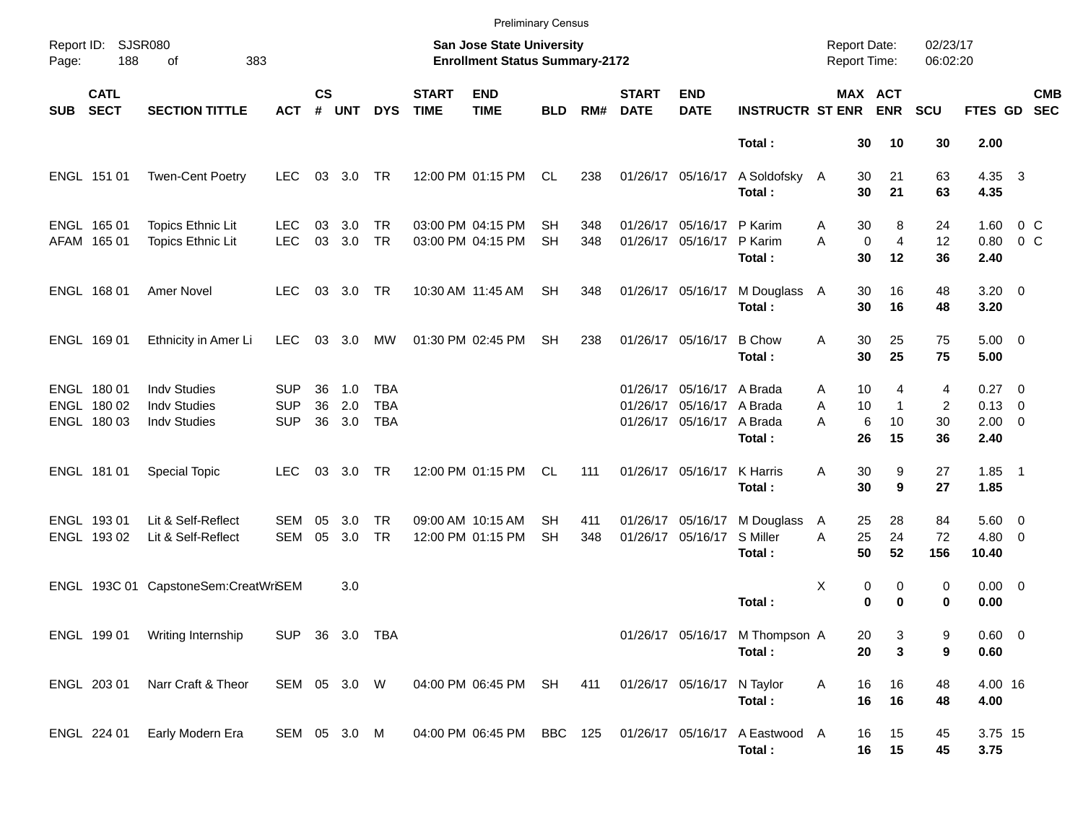|            |                                           |                                                                   |                                        |                    |                   |                                 |                             | <b>Preliminary Census</b>                                          |                        |            |                             |                                                                             |                                          |                     |                                                      |                                 |                                                      |                           |                          |
|------------|-------------------------------------------|-------------------------------------------------------------------|----------------------------------------|--------------------|-------------------|---------------------------------|-----------------------------|--------------------------------------------------------------------|------------------------|------------|-----------------------------|-----------------------------------------------------------------------------|------------------------------------------|---------------------|------------------------------------------------------|---------------------------------|------------------------------------------------------|---------------------------|--------------------------|
| Page:      | Report ID: SJSR080<br>188                 | 383<br>of                                                         |                                        |                    |                   |                                 |                             | San Jose State University<br><b>Enrollment Status Summary-2172</b> |                        |            |                             |                                                                             |                                          | <b>Report Date:</b> | <b>Report Time:</b>                                  | 02/23/17<br>06:02:20            |                                                      |                           |                          |
| <b>SUB</b> | <b>CATL</b><br><b>SECT</b>                | <b>SECTION TITTLE</b>                                             | <b>ACT</b>                             | $\mathsf{cs}$<br># | <b>UNT</b>        | <b>DYS</b>                      | <b>START</b><br><b>TIME</b> | <b>END</b><br><b>TIME</b>                                          | <b>BLD</b>             | RM#        | <b>START</b><br><b>DATE</b> | <b>END</b><br><b>DATE</b>                                                   | <b>INSTRUCTR ST ENR</b>                  |                     | MAX ACT<br><b>ENR</b>                                | <b>SCU</b>                      | FTES GD                                              |                           | <b>CMB</b><br><b>SEC</b> |
|            |                                           |                                                                   |                                        |                    |                   |                                 |                             |                                                                    |                        |            |                             |                                                                             | Total:                                   |                     | 30<br>10                                             | 30                              | 2.00                                                 |                           |                          |
|            | ENGL 151 01                               | <b>Twen-Cent Poetry</b>                                           | LEC.                                   | 03                 | 3.0               | TR                              |                             | 12:00 PM 01:15 PM                                                  | CL                     | 238        |                             | 01/26/17 05/16/17                                                           | A Soldofsky A<br>Total:                  |                     | 30<br>21<br>30<br>21                                 | 63<br>63                        | 4.35 3<br>4.35                                       |                           |                          |
|            | ENGL 165 01<br>AFAM 165 01                | <b>Topics Ethnic Lit</b><br><b>Topics Ethnic Lit</b>              | <b>LEC</b><br><b>LEC</b>               | 03<br>03           | 3.0<br>3.0        | <b>TR</b><br><b>TR</b>          |                             | 03:00 PM 04:15 PM<br>03:00 PM 04:15 PM                             | SН<br><b>SH</b>        | 348<br>348 |                             | 01/26/17 05/16/17<br>01/26/17 05/16/17                                      | P Karim<br>P Karim<br>Total:             | Α<br>A              | 8<br>30<br>$\overline{4}$<br>$\mathbf 0$<br>30<br>12 | 24<br>12<br>36                  | 1.60<br>0.80<br>2.40                                 | $0\,$ C<br>0 <sup>o</sup> |                          |
|            | ENGL 168 01                               | <b>Amer Novel</b>                                                 | LEC.                                   |                    | 03 3.0 TR         |                                 |                             | 10:30 AM 11:45 AM                                                  | <b>SH</b>              | 348        |                             | 01/26/17 05/16/17                                                           | M Douglass A<br>Total:                   |                     | 30<br>16<br>30<br>16                                 | 48<br>48                        | $3.20 \ 0$<br>3.20                                   |                           |                          |
|            | ENGL 169 01                               | Ethnicity in Amer Li                                              | <b>LEC</b>                             | 03                 | 3.0               | МW                              |                             | 01:30 PM 02:45 PM                                                  | <b>SH</b>              | 238        |                             | 01/26/17 05/16/17                                                           | <b>B</b> Chow<br>Total:                  | Α                   | 30<br>25<br>30<br>25                                 | 75<br>75                        | $5.00 \t 0$<br>5.00                                  |                           |                          |
|            | ENGL 180 01<br>ENGL 180 02<br>ENGL 180 03 | <b>Indv Studies</b><br><b>Indv Studies</b><br><b>Indv Studies</b> | <b>SUP</b><br><b>SUP</b><br><b>SUP</b> | 36<br>36<br>36     | 1.0<br>2.0<br>3.0 | TBA<br><b>TBA</b><br><b>TBA</b> |                             |                                                                    |                        |            |                             | 01/26/17 05/16/17 A Brada<br>01/26/17 05/16/17 A Brada<br>01/26/17 05/16/17 | A Brada<br>Total:                        | Α<br>A<br>A         | 10<br>4<br>10<br>$\mathbf{1}$<br>6<br>10<br>15<br>26 | 4<br>$\overline{2}$<br>30<br>36 | $0.27 \t 0$<br>$0.13 \quad 0$<br>$2.00 \t 0$<br>2.40 |                           |                          |
|            | ENGL 181 01                               | <b>Special Topic</b>                                              | <b>LEC</b>                             | 03                 | 3.0               | TR                              |                             | 12:00 PM 01:15 PM                                                  | CL                     | 111        |                             | 01/26/17 05/16/17                                                           | K Harris<br>Total:                       | Α                   | 9<br>30<br>30<br>9                                   | 27<br>27                        | $1.85$ 1<br>1.85                                     |                           |                          |
|            | ENGL 193 01<br>ENGL 19302                 | Lit & Self-Reflect<br>Lit & Self-Reflect                          | SEM<br><b>SEM</b>                      | 05<br>05           | 3.0<br>3.0        | <b>TR</b><br><b>TR</b>          |                             | 09:00 AM 10:15 AM<br>12:00 PM 01:15 PM                             | <b>SH</b><br><b>SH</b> | 411<br>348 |                             | 01/26/17 05/16/17<br>01/26/17 05/16/17                                      | M Douglass<br>S Miller<br>Total:         | A<br>A              | 28<br>25<br>25<br>24<br>50<br>52                     | 84<br>72<br>156                 | $5.60$ 0<br>$4.80\ 0$<br>10.40                       |                           |                          |
|            |                                           | ENGL 193C 01 CapstoneSem:CreatWriSEM                              |                                        |                    | 3.0               |                                 |                             |                                                                    |                        |            |                             |                                                                             | Total:                                   | х                   | 0<br>0<br>0<br>$\bf{0}$                              | 0<br>0                          | $0.00 \t 0$<br>0.00                                  |                           |                          |
|            |                                           | ENGL 199 01 Writing Internship                                    | SUP 36 3.0 TBA                         |                    |                   |                                 |                             |                                                                    |                        |            |                             |                                                                             | 01/26/17 05/16/17 M Thompson A<br>Total: |                     | 20<br>3<br>20<br>3                                   | 9<br>9                          | $0.60 \quad 0$<br>0.60                               |                           |                          |
|            | ENGL 203 01                               | Narr Craft & Theor                                                | SEM 05 3.0 W                           |                    |                   |                                 |                             | 04:00 PM 06:45 PM SH                                               |                        | 411        |                             | 01/26/17 05/16/17 N Taylor                                                  | Total:                                   | Α                   | 16<br>16<br>16<br>16                                 | 48<br>48                        | 4.00 16<br>4.00                                      |                           |                          |
|            | ENGL 224 01                               | Early Modern Era                                                  | SEM 05 3.0 M                           |                    |                   |                                 |                             | 04:00 PM 06:45 PM BBC 125                                          |                        |            |                             | 01/26/17 05/16/17                                                           | A Eastwood A<br>Total:                   |                     | 16<br>15<br>16 15                                    | 45<br>45                        | 3.75 15<br>3.75                                      |                           |                          |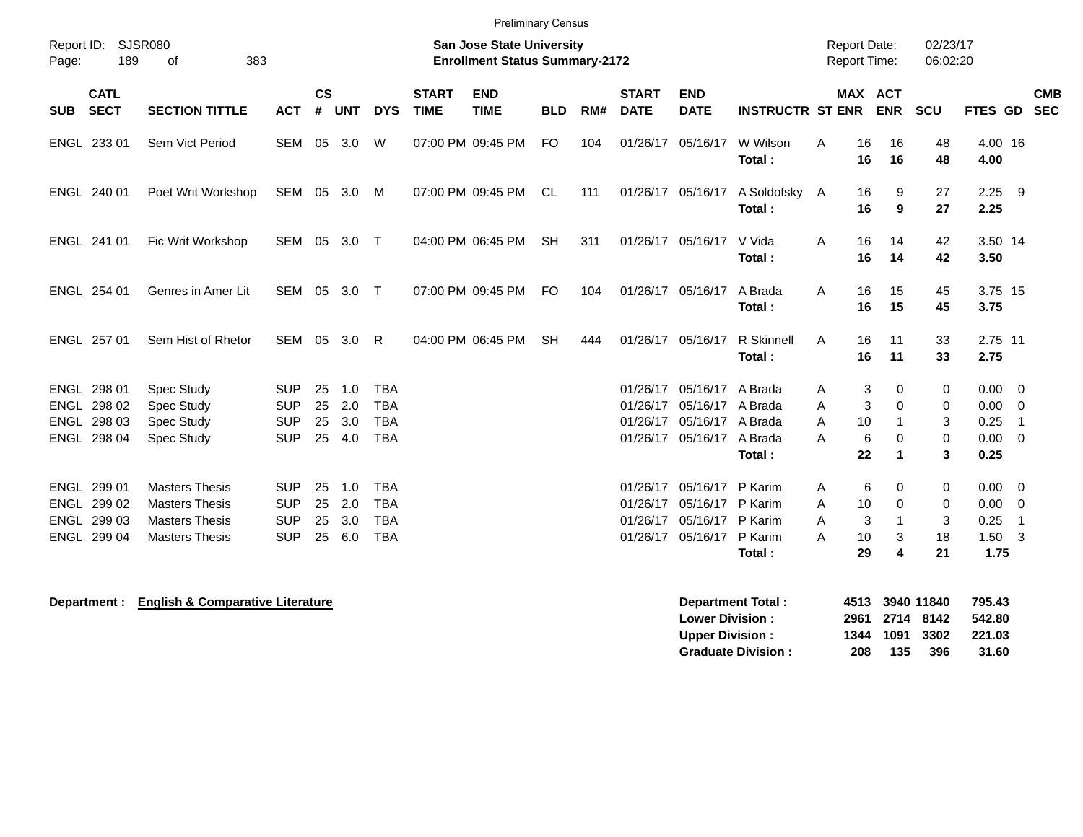| Page:      | Report ID:<br><b>SJSR080</b><br>189<br>383<br>οf |                       |              |                    |            |            |                             | <b>San Jose State University</b><br><b>Enrollment Status Summary-2172</b> |            |     |                             |                           |                                      | <b>Report Date:</b><br>Report Time: |                       | 02/23/17<br>06:02:20 |                     |            |
|------------|--------------------------------------------------|-----------------------|--------------|--------------------|------------|------------|-----------------------------|---------------------------------------------------------------------------|------------|-----|-----------------------------|---------------------------|--------------------------------------|-------------------------------------|-----------------------|----------------------|---------------------|------------|
| <b>SUB</b> | <b>CATL</b><br><b>SECT</b>                       | <b>SECTION TITTLE</b> | <b>ACT</b>   | $\mathsf{cs}$<br># | <b>UNT</b> | <b>DYS</b> | <b>START</b><br><b>TIME</b> | <b>END</b><br><b>TIME</b>                                                 | <b>BLD</b> | RM# | <b>START</b><br><b>DATE</b> | <b>END</b><br><b>DATE</b> | <b>INSTRUCTR ST ENR</b>              |                                     | MAX ACT<br><b>ENR</b> | <b>SCU</b>           | FTES GD SEC         | <b>CMB</b> |
|            | ENGL 233 01                                      | Sem Vict Period       | SEM 05 3.0   |                    |            | W          |                             | 07:00 PM 09:45 PM                                                         | <b>FO</b>  | 104 |                             |                           | 01/26/17 05/16/17 W Wilson<br>Total: | 16<br>A<br>16                       | 16<br>16              | 48<br>48             | 4.00 16<br>4.00     |            |
|            | ENGL 240 01                                      | Poet Writ Workshop    | SEM 05 3.0 M |                    |            |            |                             | 07:00 PM 09:45 PM                                                         | CL         | 111 |                             | 01/26/17 05/16/17         | A Soldofsky A<br>Total:              | 16<br>16                            | 9<br>$\boldsymbol{9}$ | 27<br>27             | $2.25$ 9<br>2.25    |            |
|            | ENGL 241 01                                      | Fic Writ Workshop     | SEM 05 3.0 T |                    |            |            |                             | 04:00 PM 06:45 PM                                                         | <b>SH</b>  | 311 |                             | 01/26/17 05/16/17         | V Vida<br>Total:                     | 16<br>A<br>16                       | 14<br>14              | 42<br>42             | 3.50 14<br>3.50     |            |
|            | ENGL 254 01                                      | Genres in Amer Lit    | SEM 05 3.0 T |                    |            |            |                             | 07:00 PM 09:45 PM                                                         | FO.        | 104 |                             | 01/26/17 05/16/17         | A Brada<br>Total:                    | Α<br>16<br>16                       | 15<br>15              | 45<br>45             | 3.75 15<br>3.75     |            |
|            | ENGL 257 01                                      | Sem Hist of Rhetor    | SEM 05 3.0   |                    |            | R          |                             | 04:00 PM 06:45 PM                                                         | SH         | 444 |                             | 01/26/17 05/16/17         | R Skinnell<br>Total:                 | A<br>16<br>16                       | 11<br>11              | 33<br>33             | 2.75 11<br>2.75     |            |
|            | ENGL 298 01                                      | <b>Spec Study</b>     | <b>SUP</b>   | 25                 | 1.0        | <b>TBA</b> |                             |                                                                           |            |     | 01/26/17                    | 05/16/17 A Brada          |                                      | A<br>3                              | 0                     | 0                    | $0.00 \t 0$         |            |
|            | ENGL 298 02                                      | <b>Spec Study</b>     | <b>SUP</b>   | 25                 | 2.0        | <b>TBA</b> |                             |                                                                           |            |     | 01/26/17                    | 05/16/17 A Brada          |                                      | 3<br>A                              | $\Omega$              | 0                    | $0.00 \t 0$         |            |
|            | ENGL 298 03                                      | <b>Spec Study</b>     | <b>SUP</b>   | 25                 | 3.0        | <b>TBA</b> |                             |                                                                           |            |     | 01/26/17                    | 05/16/17 A Brada          |                                      | 10<br>A                             |                       | 3                    | $0.25$ 1            |            |
|            | ENGL 298 04                                      | Spec Study            | <b>SUP</b>   |                    | 25 4.0     | <b>TBA</b> |                             |                                                                           |            |     |                             | 01/26/17 05/16/17 A Brada | Total:                               | 6<br>A<br>22                        | $\Omega$              | $\Omega$<br>3        | $0.00 \t 0$<br>0.25 |            |
|            | ENGL 299 01                                      | <b>Masters Thesis</b> | <b>SUP</b>   | 25                 | 1.0        | <b>TBA</b> |                             |                                                                           |            |     |                             | 01/26/17 05/16/17         | P Karim                              | 6<br>A                              | 0                     | 0                    | $0.00 \t 0$         |            |
|            | ENGL 299 02                                      | <b>Masters Thesis</b> | <b>SUP</b>   | 25                 | 2.0        | <b>TBA</b> |                             |                                                                           |            |     | 01/26/17                    | 05/16/17                  | P Karim                              | 10<br>Α                             | 0                     | 0                    | $0.00 \t 0$         |            |
|            | ENGL 299 03                                      | <b>Masters Thesis</b> | <b>SUP</b>   | 25                 | 3.0        | <b>TBA</b> |                             |                                                                           |            |     | 01/26/17                    | 05/16/17 P Karim          |                                      | 3<br>A                              |                       | 3                    | $0.25$ 1            |            |
|            | ENGL 299 04                                      | <b>Masters Thesis</b> | <b>SUP</b>   |                    | 25 6.0     | <b>TBA</b> |                             |                                                                           |            |     |                             | 01/26/17 05/16/17 P Karim |                                      | 10<br>A                             | 3                     | 18                   | $1.50$ 3            |            |
|            |                                                  |                       |              |                    |            |            |                             |                                                                           |            |     |                             |                           | Total:                               | 29                                  | 4                     | 21                   | 1.75                |            |
|            |                                                  |                       |              |                    |            |            |                             |                                                                           |            |     |                             |                           |                                      |                                     |                       |                      |                     |            |

**Department : English & Comparative Literature Department Total : 4513 3940 11840 795.43 Lower Division : 2961 2714 8142 542.80 Upper Division : 1344 1091 3302 221.03<br>
Graduate Division : 208 135 396 31.60 Graduate Division : 208 135 396 31.60**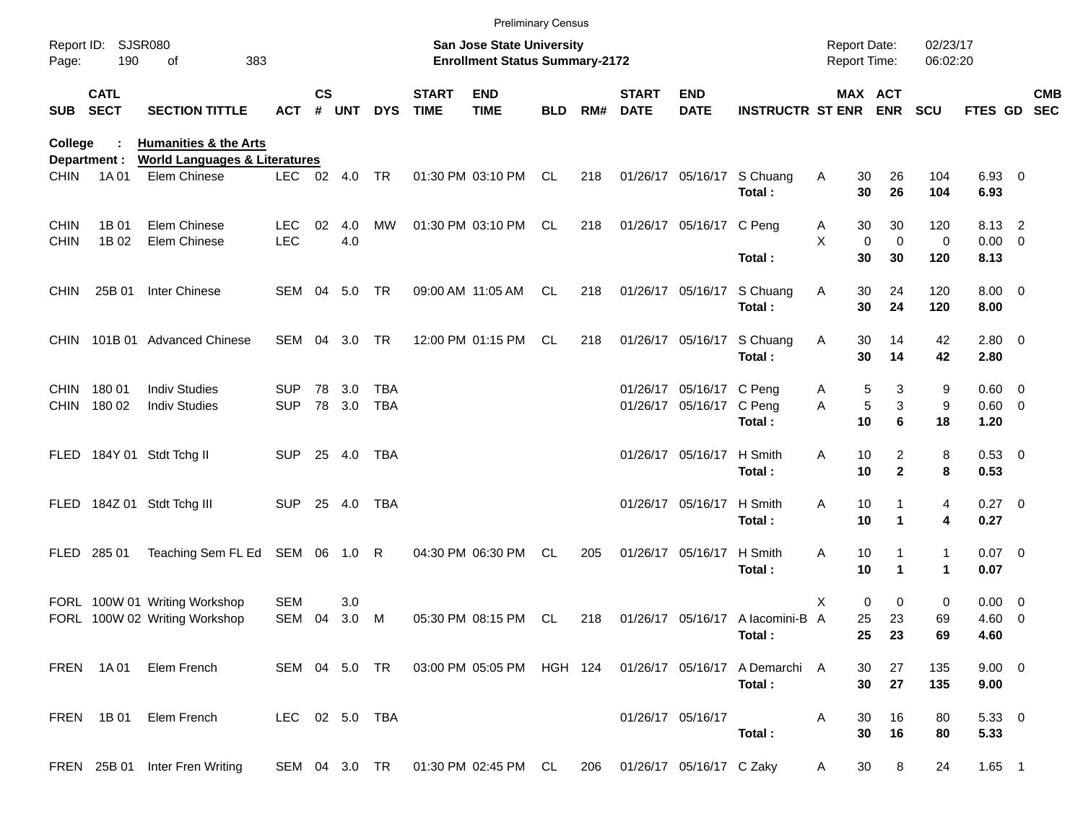| <b>Preliminary Census</b> |                            |                                                          |                |                                                                    |        |            |                             |                                                                      |            |     |                             |                           |                                                                                  |                       |                         |                                      |                     |  |            |
|---------------------------|----------------------------|----------------------------------------------------------|----------------|--------------------------------------------------------------------|--------|------------|-----------------------------|----------------------------------------------------------------------|------------|-----|-----------------------------|---------------------------|----------------------------------------------------------------------------------|-----------------------|-------------------------|--------------------------------------|---------------------|--|------------|
| Page:                     | Report ID: SJSR080<br>190  | 383<br>οf                                                |                | San Jose State University<br><b>Enrollment Status Summary-2172</b> |        |            |                             |                                                                      |            |     |                             |                           | <b>Report Date:</b><br>Report Time:                                              |                       | 02/23/17<br>06:02:20    |                                      |                     |  |            |
| <b>SUB</b>                | <b>CATL</b><br><b>SECT</b> | <b>SECTION TITTLE</b>                                    | <b>ACT</b>     | $\mathsf{cs}$<br>#                                                 | UNT    | <b>DYS</b> | <b>START</b><br><b>TIME</b> | <b>END</b><br><b>TIME</b>                                            | <b>BLD</b> | RM# | <b>START</b><br><b>DATE</b> | <b>END</b><br><b>DATE</b> | <b>INSTRUCTR ST ENR ENR</b>                                                      |                       | MAX ACT                 | <b>SCU</b>                           | FTES GD SEC         |  | <b>CMB</b> |
| College                   |                            | <b>Humanities &amp; the Arts</b>                         |                |                                                                    |        |            |                             |                                                                      |            |     |                             |                           |                                                                                  |                       |                         |                                      |                     |  |            |
| <b>CHIN</b>               | Department :<br>1A 01      | <b>World Languages &amp; Literatures</b><br>Elem Chinese | LEC 02 4.0     |                                                                    |        | <b>TR</b>  |                             | 01:30 PM 03:10 PM                                                    | CL         | 218 |                             |                           | 01/26/17 05/16/17 S Chuang<br>Total:                                             | 30<br>A<br>30         | 26<br>26                | 104<br>104                           | 6.93 0<br>6.93      |  |            |
| <b>CHIN</b>               | 1B 01                      | Elem Chinese                                             | LEC.           | 02                                                                 | 4.0    | MW         |                             | 01:30 PM 03:10 PM                                                    | CL.        | 218 |                             | 01/26/17 05/16/17 C Peng  |                                                                                  | 30<br>A               | 30                      | 120                                  | 8.13 2              |  |            |
| <b>CHIN</b>               | 1B 02                      | Elem Chinese                                             | <b>LEC</b>     |                                                                    | 4.0    |            |                             |                                                                      |            |     |                             |                           | Total:                                                                           | X<br>30               | $\mathbf 0$<br>0<br>30  | 0<br>120                             | $0.00 \t 0$<br>8.13 |  |            |
| <b>CHIN</b>               | 25B 01                     | <b>Inter Chinese</b>                                     | SEM 04 5.0     |                                                                    |        | <b>TR</b>  |                             | 09:00 AM 11:05 AM                                                    | CL         | 218 |                             | 01/26/17 05/16/17         | S Chuang<br>Total:                                                               | Α<br>30<br>30         | 24<br>24                | 120<br>120                           | $8.00 \t 0$<br>8.00 |  |            |
|                           |                            | CHIN 101B 01 Advanced Chinese                            | SEM 04         |                                                                    | 3.0    | <b>TR</b>  |                             | 12:00 PM 01:15 PM                                                    | CL.        | 218 |                             | 01/26/17 05/16/17         | S Chuang<br>Total:                                                               | Α<br>30<br>30         | 14<br>14                | 42<br>42                             | 2.80 0<br>2.80      |  |            |
| <b>CHIN</b>               | 18001                      | <b>Indiv Studies</b>                                     | SUP.           | 78                                                                 | 3.0    | TBA        |                             |                                                                      |            |     |                             | 01/26/17 05/16/17 C Peng  |                                                                                  | A                     | 5<br>3                  | 9                                    | 0.60 0              |  |            |
|                           | CHIN 180 02                | <b>Indiv Studies</b>                                     | <b>SUP</b>     |                                                                    | 78 3.0 | <b>TBA</b> |                             |                                                                      |            |     |                             | 01/26/17 05/16/17 C Peng  | Total:                                                                           | Α<br>10               | $\sqrt{5}$<br>3<br>6    | 9<br>18                              | 0.60 0<br>1.20      |  |            |
|                           |                            | FLED 184Y 01 Stdt Tchg II                                | <b>SUP</b>     |                                                                    | 25 4.0 | TBA        |                             |                                                                      |            |     |                             | 01/26/17 05/16/17 H Smith | Total:                                                                           | 10<br>Α<br>10         | 2<br>$\mathbf{2}$       | 8<br>8                               | 0.53 0<br>0.53      |  |            |
|                           |                            | FLED 184Z 01 Stdt Tchg III                               | <b>SUP</b>     |                                                                    | 25 4.0 | TBA        |                             |                                                                      |            |     |                             | 01/26/17 05/16/17 H Smith | Total:                                                                           | Α<br>10<br>10         | 1                       | 4<br>4                               | 0.27 0<br>0.27      |  |            |
|                           | FLED 285 01                | Teaching Sem FL Ed SEM 06 1.0 R                          |                |                                                                    |        |            |                             | 04:30 PM 06:30 PM                                                    | CL         | 205 |                             | 01/26/17 05/16/17         | H Smith<br>Total:                                                                | Α<br>10<br>10         | 1                       | $\mathbf{1}$<br>$\blacktriangleleft$ | $0.07$ 0<br>0.07    |  |            |
|                           |                            | FORL 100W 01 Writing Workshop                            | <b>SEM</b>     |                                                                    | 3.0    |            |                             |                                                                      |            |     |                             |                           |                                                                                  | X                     | $\Omega$<br>$\mathbf 0$ | 0                                    | $0.00 \t 0$         |  |            |
|                           |                            | FORL 100W 02 Writing Workshop                            | SEM 04         |                                                                    | 3.0    | M          |                             | 05:30 PM 08:15 PM                                                    | CL         | 218 |                             |                           | 01/26/17 05/16/17 A lacomini-B A<br>Total:                                       | 25                    | 23<br>25 23             | 69<br>69                             | $4.60$ 0<br>4.60    |  |            |
|                           |                            | FREN 1A01 Elem French                                    |                |                                                                    |        |            |                             |                                                                      |            |     |                             |                           | SEM 04 5.0 TR 03:00 PM 05:05 PM HGH 124 01/26/17 05/16/17 A Demarchi A<br>Total: | 30<br>30 <sub>o</sub> | 27<br>27                | 135<br>135                           | $9.00 \t 0$<br>9.00 |  |            |
|                           |                            | FREN 1B01 Elem French                                    | LEC 02 5.0 TBA |                                                                    |        |            |                             |                                                                      |            |     |                             | 01/26/17 05/16/17         | Total:                                                                           | 30<br>A<br>30         | 16<br>16                | 80<br>80                             | 5.3300<br>5.33      |  |            |
|                           |                            | FREN 25B 01 Inter Fren Writing                           |                |                                                                    |        |            |                             | SEM 04 3.0 TR  01:30 PM 02:45 PM CL  206  01/26/17  05/16/17  C Zaky |            |     |                             |                           |                                                                                  | 30<br>A               | 8                       | 24                                   | $1.65$ 1            |  |            |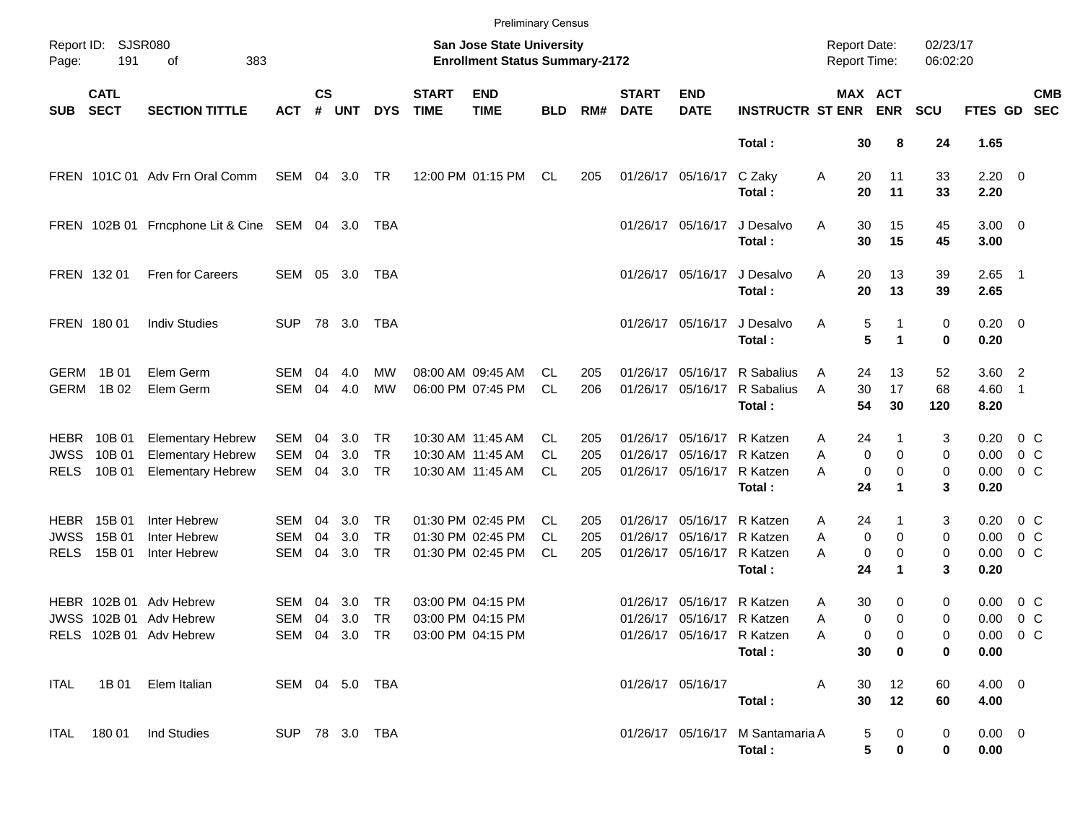|                                                           |                                        |                                                                                  |                                 |                                                                           |                   |                                     |                                 | <b>Preliminary Census</b>                                   |                        |                   |                             |                                                             |                                                  |                                     |                                           |                      |                              |                                            |  |  |
|-----------------------------------------------------------|----------------------------------------|----------------------------------------------------------------------------------|---------------------------------|---------------------------------------------------------------------------|-------------------|-------------------------------------|---------------------------------|-------------------------------------------------------------|------------------------|-------------------|-----------------------------|-------------------------------------------------------------|--------------------------------------------------|-------------------------------------|-------------------------------------------|----------------------|------------------------------|--------------------------------------------|--|--|
| <b>SJSR080</b><br>Report ID:<br>383<br>Page:<br>191<br>оf |                                        |                                                                                  |                                 | <b>San Jose State University</b><br><b>Enrollment Status Summary-2172</b> |                   |                                     |                                 |                                                             |                        |                   |                             |                                                             |                                                  | <b>Report Date:</b><br>Report Time: |                                           | 02/23/17<br>06:02:20 |                              |                                            |  |  |
| <b>SUB</b>                                                | <b>CATL</b><br><b>SECT</b>             | <b>SECTION TITTLE</b>                                                            | <b>ACT</b>                      | $\mathsf{cs}$<br>#                                                        | <b>UNT</b>        | <b>DYS</b>                          | <b>START</b><br><b>TIME</b>     | <b>END</b><br><b>TIME</b>                                   | <b>BLD</b>             | RM#               | <b>START</b><br><b>DATE</b> | <b>END</b><br><b>DATE</b>                                   | <b>INSTRUCTR ST ENR</b>                          |                                     | <b>MAX ACT</b><br><b>ENR</b>              | <b>SCU</b>           | FTES GD                      | <b>CMB</b><br><b>SEC</b>                   |  |  |
|                                                           |                                        |                                                                                  |                                 |                                                                           |                   |                                     |                                 |                                                             |                        |                   |                             |                                                             | Total:                                           | 30                                  | 8                                         | 24                   | 1.65                         |                                            |  |  |
|                                                           |                                        | FREN 101C 01 Adv Frn Oral Comm                                                   | SEM 04 3.0                      |                                                                           |                   | TR                                  |                                 | 12:00 PM 01:15 PM                                           | CL                     | 205               |                             | 01/26/17 05/16/17                                           | C Zaky<br>Total:                                 | Α<br>20<br>20                       | 11<br>11                                  | 33<br>33             | $2.20 \t 0$<br>2.20          |                                            |  |  |
|                                                           |                                        | FREN 102B 01 Frncphone Lit & Cine SEM 04 3.0                                     |                                 |                                                                           |                   | TBA                                 |                                 |                                                             |                        |                   |                             | 01/26/17 05/16/17                                           | J Desalvo<br>Total:                              | Α<br>30<br>30                       | 15<br>15                                  | 45<br>45             | $3.00 \ 0$<br>3.00           |                                            |  |  |
| FREN 132 01                                               |                                        | Fren for Careers                                                                 | SEM                             |                                                                           | 05 3.0            | TBA                                 |                                 |                                                             |                        |                   |                             | 01/26/17 05/16/17                                           | J Desalvo<br>Total:                              | Α<br>20<br>20                       | 13<br>13                                  | 39<br>39             | $2.65$ 1<br>2.65             |                                            |  |  |
| FREN 180 01                                               |                                        | <b>Indiv Studies</b>                                                             | SUP.                            |                                                                           | 78 3.0            | TBA                                 |                                 |                                                             |                        |                   |                             | 01/26/17 05/16/17                                           | J Desalvo<br>Total:                              | Α                                   | 5<br>1<br>5<br>1                          | 0<br>0               | $0.20 \ 0$<br>0.20           |                                            |  |  |
| GERM 1B 01                                                | GERM 1B 02                             | Elem Germ<br>Elem Germ                                                           | SEM<br><b>SEM</b>               | 04<br>04                                                                  | 4.0<br>4.0        | MW<br><b>MW</b>                     |                                 | 08:00 AM 09:45 AM<br>06:00 PM 07:45 PM                      | CL.<br><b>CL</b>       | 205<br>206        |                             | 01/26/17 05/16/17<br>01/26/17 05/16/17                      | R Sabalius<br>R Sabalius<br>Total:               | 24<br>A<br>A<br>30<br>54            | 13<br>17<br>30                            | 52<br>68<br>120      | $3.60$ 2<br>$4.60$ 1<br>8.20 |                                            |  |  |
| <b>JWSS</b><br><b>RELS</b>                                | <b>HEBR 10B01</b><br>10B 01<br>10B 01  | <b>Elementary Hebrew</b><br><b>Elementary Hebrew</b><br><b>Elementary Hebrew</b> | SEM<br><b>SEM</b><br>SEM        | 04<br>04<br>04                                                            | 3.0<br>3.0<br>3.0 | TR<br><b>TR</b><br><b>TR</b>        |                                 | 10:30 AM 11:45 AM<br>10:30 AM 11:45 AM<br>10:30 AM 11:45 AM | CL.<br><b>CL</b><br>CL | 205<br>205<br>205 |                             | 01/26/17 05/16/17<br>01/26/17 05/16/17<br>01/26/17 05/16/17 | R Katzen<br>R Katzen<br>R Katzen<br>Total:       | 24<br>Α<br>A<br>Α<br>24             | $\mathbf 0$<br>$\mathbf 0$<br>0<br>0<br>1 | 3<br>0<br>0<br>3     | 0.20<br>0.00<br>0.00<br>0.20 | $0\,$ C<br>$0\,$ C<br>0 <sup>o</sup>       |  |  |
| <b>JWSS</b><br><b>RELS</b>                                | <b>HEBR</b> 15B 01<br>15B 01<br>15B 01 | Inter Hebrew<br>Inter Hebrew<br>Inter Hebrew                                     | SEM<br><b>SEM</b><br><b>SEM</b> | 04<br>04<br>04                                                            | 3.0<br>3.0<br>3.0 | <b>TR</b><br><b>TR</b><br><b>TR</b> |                                 | 01:30 PM 02:45 PM<br>01:30 PM 02:45 PM<br>01:30 PM 02:45 PM | CL.<br>CL.<br>CL       | 205<br>205<br>205 |                             | 01/26/17 05/16/17<br>01/26/17 05/16/17<br>01/26/17 05/16/17 | R Katzen<br>R Katzen<br>R Katzen<br>Total:       | 24<br>Α<br>Α<br>А<br>24             | $\mathbf 0$<br>$\mathbf 0$<br>0<br>0<br>1 | 3<br>0<br>0<br>3     | 0.20<br>0.00<br>0.00<br>0.20 | $0\,$ C<br>$0\,$ C<br>0 <sup>o</sup>       |  |  |
|                                                           |                                        | HEBR 102B 01 Adv Hebrew<br>JWSS 102B 01 Adv Hebrew<br>RELS 102B 01 Adv Hebrew    | <b>SEM</b><br>SEM               | 04<br>04                                                                  | 3.0<br>3.0        | TR<br>TR                            | SEM 04 3.0 TR 03:00 PM 04:15 PM | 03:00 PM 04:15 PM<br>03:00 PM 04:15 PM                      |                        |                   |                             | 01/26/17 05/16/17<br>01/26/17 05/16/17 R Katzen             | R Katzen<br>01/26/17 05/16/17 R Katzen<br>Total: | 30<br>Α<br>A<br>A                   | 0<br>0<br>0<br>0<br>30<br>$\mathbf 0$     | 0<br>0<br>0<br>0     | 0.00<br>0.00<br>0.00         | $0\,$ C<br>0 <sup>o</sup><br>$0.00 \t 0 C$ |  |  |
|                                                           |                                        | ITAL 1B 01 Elem Italian                                                          | SEM 04 5.0 TBA                  |                                                                           |                   |                                     |                                 |                                                             |                        |                   |                             | 01/26/17 05/16/17                                           | Total :                                          | 30<br>A<br>30                       | 12<br>12                                  | 60<br>60             | $4.00 \ 0$<br>4.00           |                                            |  |  |
|                                                           |                                        | ITAL 180 01 Ind Studies                                                          | SUP 78 3.0 TBA                  |                                                                           |                   |                                     |                                 |                                                             |                        |                   |                             |                                                             | 01/26/17 05/16/17 M Santamaria A<br>Total:       |                                     | 5<br>0<br>5<br>0                          | 0<br>0               | $0.00 \t 0$<br>0.00          |                                            |  |  |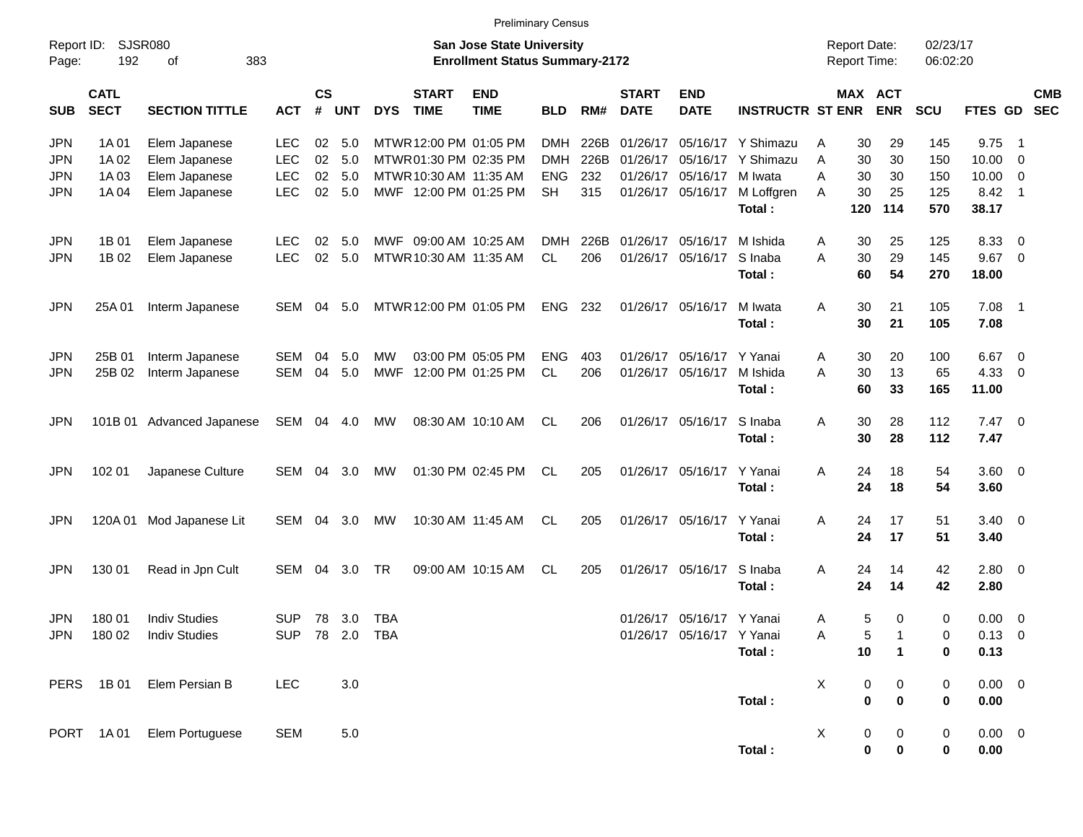Preliminary Census

| Report ID:<br>Page:                                  | 192                              | <b>SJSR080</b><br>383<br>оf                                      |                                                      |                             |                          |                          |                                                                                                     | <b>San Jose State University</b><br><b>Enrollment Status Summary-2172</b> |                                                     |                            |                                  |                                       |                                                                            | <b>Report Date:</b><br>Report Time: |                       |                             | 02/23/17<br>06:02:20       |                                |                                                                                         |            |
|------------------------------------------------------|----------------------------------|------------------------------------------------------------------|------------------------------------------------------|-----------------------------|--------------------------|--------------------------|-----------------------------------------------------------------------------------------------------|---------------------------------------------------------------------------|-----------------------------------------------------|----------------------------|----------------------------------|---------------------------------------|----------------------------------------------------------------------------|-------------------------------------|-----------------------|-----------------------------|----------------------------|--------------------------------|-----------------------------------------------------------------------------------------|------------|
| <b>SUB</b>                                           | <b>CATL</b><br><b>SECT</b>       | <b>SECTION TITTLE</b>                                            | <b>ACT</b>                                           | $\mathsf{cs}$<br>$\pmb{\#}$ | UNT                      | <b>DYS</b>               | <b>START</b><br><b>TIME</b>                                                                         | <b>END</b><br><b>TIME</b>                                                 | <b>BLD</b>                                          | RM#                        | <b>START</b><br><b>DATE</b>      | <b>END</b><br><b>DATE</b>             | <b>INSTRUCTR ST ENR</b>                                                    |                                     |                       | MAX ACT<br><b>ENR</b>       | <b>SCU</b>                 | FTES GD SEC                    |                                                                                         | <b>CMB</b> |
| <b>JPN</b><br><b>JPN</b><br><b>JPN</b><br><b>JPN</b> | 1A 01<br>1A 02<br>1A 03<br>1A 04 | Elem Japanese<br>Elem Japanese<br>Elem Japanese<br>Elem Japanese | <b>LEC</b><br><b>LEC</b><br><b>LEC</b><br><b>LEC</b> | 02<br>02<br>02<br>02        | 5.0<br>5.0<br>5.0<br>5.0 |                          | MTWR 12:00 PM 01:05 PM<br>MTWR 01:30 PM 02:35 PM<br>MTWR 10:30 AM 11:35 AM<br>MWF 12:00 PM 01:25 PM |                                                                           | <b>DMH</b><br><b>DMH</b><br><b>ENG</b><br><b>SH</b> | 226B<br>226B<br>232<br>315 | 01/26/17<br>01/26/17<br>01/26/17 | 05/16/17<br>05/16/17                  | 05/16/17 Y Shimazu<br>Y Shimazu<br>M Iwata<br>01/26/17 05/16/17 M Loffgren | A<br>Α<br>A<br>A                    | 30<br>30<br>30<br>30  | 29<br>30<br>30<br>25        | 145<br>150<br>150<br>125   | 9.75<br>10.00<br>10.00<br>8.42 | - 1<br>$\overline{\mathbf{0}}$<br>$\overline{\mathbf{0}}$<br>$\overline{\phantom{0}}$ 1 |            |
| <b>JPN</b><br><b>JPN</b>                             | 1B 01<br>1B 02                   | Elem Japanese<br>Elem Japanese                                   | <b>LEC</b><br><b>LEC</b>                             | 02<br>02                    | 5.0<br>5.0               |                          | MWF 09:00 AM 10:25 AM<br>MTWR 10:30 AM 11:35 AM                                                     |                                                                           | <b>DMH</b><br>CL.                                   | 226B<br>206                | 01/26/17                         | 01/26/17 05/16/17<br>05/16/17         | Total:<br>M Ishida<br>S Inaba<br>Total:                                    | Α<br>A                              | 120<br>30<br>30<br>60 | 114<br>25<br>29<br>54       | 570<br>125<br>145<br>270   | 38.17<br>8.33<br>9.67<br>18.00 | $\overline{\mathbf{0}}$<br>$\overline{\mathbf{0}}$                                      |            |
| <b>JPN</b>                                           | 25A 01                           | Interm Japanese                                                  | SEM                                                  | 04                          | 5.0                      |                          | MTWR 12:00 PM 01:05 PM                                                                              |                                                                           | <b>ENG</b>                                          | 232                        |                                  | 01/26/17 05/16/17                     | M Iwata<br>Total:                                                          | Α                                   | 30<br>30              | 21<br>21                    | 105<br>105                 | 7.08<br>7.08                   | $\overline{1}$                                                                          |            |
| <b>JPN</b><br><b>JPN</b>                             | 25B 01<br>25B 02                 | Interm Japanese<br>Interm Japanese                               | SEM<br>SEM                                           | 04<br>04                    | 5.0<br>5.0               | МW<br>MWF                |                                                                                                     | 03:00 PM 05:05 PM<br>12:00 PM 01:25 PM                                    | <b>ENG</b><br>CL                                    | 403<br>206                 | 01/26/17<br>01/26/17             | 05/16/17<br>05/16/17                  | Y Yanai<br>M Ishida<br>Total:                                              | Α<br>A                              | 30<br>30<br>60        | 20<br>13<br>33              | 100<br>65<br>165           | 6.67<br>4.33<br>11.00          | $\overline{\mathbf{0}}$<br>$\overline{\mathbf{0}}$                                      |            |
| <b>JPN</b>                                           |                                  | 101B 01 Advanced Japanese                                        | SEM                                                  | 04                          | 4.0                      | MW                       |                                                                                                     | 08:30 AM 10:10 AM                                                         | CL.                                                 | 206                        |                                  | 01/26/17 05/16/17                     | S Inaba<br>Total:                                                          | Α                                   | 30<br>30              | 28<br>28                    | 112<br>112                 | 7.47<br>7.47                   | $\overline{\phantom{0}}$                                                                |            |
| <b>JPN</b>                                           | 102 01                           | Japanese Culture                                                 | SEM                                                  | 04                          | 3.0                      | МW                       |                                                                                                     | 01:30 PM 02:45 PM                                                         | CL.                                                 | 205                        |                                  | 01/26/17 05/16/17                     | Y Yanai<br>Total:                                                          | Α                                   | 24<br>24              | 18<br>18                    | 54<br>54                   | 3.60 0<br>3.60                 |                                                                                         |            |
| <b>JPN</b>                                           | 120A01                           | Mod Japanese Lit                                                 | SEM                                                  | 04                          | 3.0                      | МW                       |                                                                                                     | 10:30 AM 11:45 AM                                                         | CL.                                                 | 205                        |                                  | 01/26/17 05/16/17                     | Y Yanai<br>Total:                                                          | A                                   | 24<br>24              | 17<br>17                    | 51<br>51                   | $3.40 \ 0$<br>3.40             |                                                                                         |            |
| <b>JPN</b>                                           | 130 01                           | Read in Jpn Cult                                                 | SEM                                                  | 04                          | 3.0                      | <b>TR</b>                |                                                                                                     | 09:00 AM 10:15 AM                                                         | CL                                                  | 205                        |                                  | 01/26/17 05/16/17                     | S Inaba<br>Total:                                                          | Α                                   | 24<br>24              | 14<br>14                    | 42<br>42                   | 2.80<br>2.80                   | $\overline{\mathbf{0}}$                                                                 |            |
| <b>JPN</b><br><b>JPN</b>                             | 180 01<br>180 02                 | <b>Indiv Studies</b><br><b>Indiv Studies</b>                     | SUP<br><b>SUP</b>                                    | 78<br>78                    | 3.0<br>2.0               | <b>TBA</b><br><b>TBA</b> |                                                                                                     |                                                                           |                                                     |                            | 01/26/17                         | 05/16/17<br>01/26/17 05/16/17 Y Yanai | Y Yanai<br>Total:                                                          | Α<br>A                              | 5<br>5<br>10          | 0<br>1<br>$\mathbf{1}$      | 0<br>$\mathbf 0$<br>0      | 0.00<br>0.13<br>0.13           | $\overline{\mathbf{0}}$<br>- 0                                                          |            |
|                                                      | PERS 1B01                        | Elem Persian B                                                   | LEC                                                  |                             | $3.0\,$                  |                          |                                                                                                     |                                                                           |                                                     |                            |                                  |                                       | Total:                                                                     | $\mathsf{X}$                        | 0<br>$\pmb{0}$        | $\mathbf 0$<br>$\pmb{0}$    | $\mathbf 0$<br>0           | 0.00 0<br>$0.00\,$             |                                                                                         |            |
|                                                      | PORT 1A01                        | Elem Portuguese                                                  | <b>SEM</b>                                           |                             | $5.0\,$                  |                          |                                                                                                     |                                                                           |                                                     |                            |                                  |                                       | Total:                                                                     | X                                   | 0<br>$\pmb{0}$        | $\overline{0}$<br>$\pmb{0}$ | $\mathbf 0$<br>$\mathbf 0$ | $0.00 \t 0$<br>$0.00\,$        |                                                                                         |            |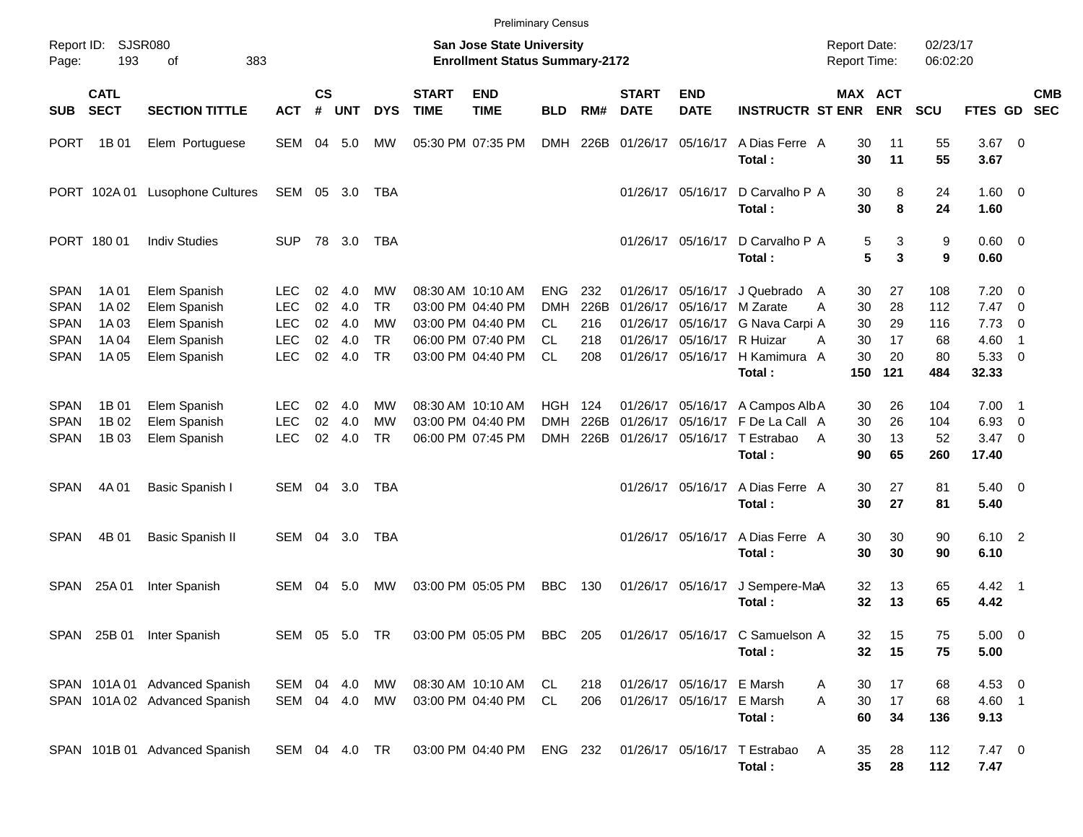|                                                                         |                                           |                                                                              |                                                              |                            |                                 |                                                 |                             | <b>Preliminary Census</b>                                                                             |                                                    |                                  |                             |                                                                                                       |                                                                            |                                                        |                            |                               |                                             |                                                                       |            |
|-------------------------------------------------------------------------|-------------------------------------------|------------------------------------------------------------------------------|--------------------------------------------------------------|----------------------------|---------------------------------|-------------------------------------------------|-----------------------------|-------------------------------------------------------------------------------------------------------|----------------------------------------------------|----------------------------------|-----------------------------|-------------------------------------------------------------------------------------------------------|----------------------------------------------------------------------------|--------------------------------------------------------|----------------------------|-------------------------------|---------------------------------------------|-----------------------------------------------------------------------|------------|
| Page:                                                                   | Report ID: SJSR080<br>193                 | 383<br>of                                                                    |                                                              |                            |                                 |                                                 |                             | <b>San Jose State University</b><br><b>Enrollment Status Summary-2172</b>                             |                                                    |                                  |                             |                                                                                                       |                                                                            | <b>Report Date:</b><br>Report Time:                    |                            | 02/23/17<br>06:02:20          |                                             |                                                                       |            |
| <b>SUB</b>                                                              | <b>CATL</b><br><b>SECT</b>                | <b>SECTION TITTLE</b>                                                        | <b>ACT</b>                                                   | $\mathsf{cs}$<br>#         | <b>UNT</b>                      | <b>DYS</b>                                      | <b>START</b><br><b>TIME</b> | <b>END</b><br><b>TIME</b>                                                                             | <b>BLD</b>                                         | RM#                              | <b>START</b><br><b>DATE</b> | <b>END</b><br><b>DATE</b>                                                                             | <b>INSTRUCTR ST ENR</b>                                                    | MAX ACT                                                | <b>ENR</b>                 | <b>SCU</b>                    | FTES GD SEC                                 |                                                                       | <b>CMB</b> |
| <b>PORT</b>                                                             | 1B 01                                     | Elem Portuguese                                                              | SEM                                                          |                            | 04 5.0                          | MW                                              |                             | 05:30 PM 07:35 PM                                                                                     | DMH                                                | 226B                             |                             | 01/26/17 05/16/17                                                                                     | A Dias Ferre A<br>Total:                                                   | 30<br>30                                               | 11<br>11                   | 55<br>55                      | $3.67$ 0<br>3.67                            |                                                                       |            |
|                                                                         | PORT 102A01                               | <b>Lusophone Cultures</b>                                                    | SEM 05 3.0                                                   |                            |                                 | TBA                                             |                             |                                                                                                       |                                                    |                                  |                             | 01/26/17 05/16/17                                                                                     | D Carvalho P A<br>Total:                                                   | 30<br>30                                               | 8<br>8                     | 24<br>24                      | $1.60 \t 0$<br>1.60                         |                                                                       |            |
|                                                                         | PORT 180 01                               | <b>Indiv Studies</b>                                                         | <b>SUP</b>                                                   |                            | 78 3.0                          | TBA                                             |                             |                                                                                                       |                                                    |                                  |                             | 01/26/17 05/16/17                                                                                     | D Carvalho P A<br>Total:                                                   | 5<br>5                                                 | 3<br>3                     | 9<br>9                        | $0.60 \quad 0$<br>0.60                      |                                                                       |            |
| <b>SPAN</b><br><b>SPAN</b><br><b>SPAN</b><br><b>SPAN</b><br><b>SPAN</b> | 1A 01<br>1A 02<br>1A 03<br>1A 04<br>1A 05 | Elem Spanish<br>Elem Spanish<br>Elem Spanish<br>Elem Spanish<br>Elem Spanish | LEC.<br><b>LEC</b><br><b>LEC</b><br><b>LEC</b><br><b>LEC</b> | 02<br>02<br>02<br>02<br>02 | 4.0<br>4.0<br>4.0<br>4.0<br>4.0 | MW<br><b>TR</b><br>MW<br><b>TR</b><br><b>TR</b> |                             | 08:30 AM 10:10 AM<br>03:00 PM 04:40 PM<br>03:00 PM 04:40 PM<br>06:00 PM 07:40 PM<br>03:00 PM 04:40 PM | ENG.<br><b>DMH</b><br>CL<br><b>CL</b><br><b>CL</b> | 232<br>226B<br>216<br>218<br>208 |                             | 01/26/17 05/16/17<br>01/26/17 05/16/17<br>01/26/17 05/16/17<br>01/26/17 05/16/17<br>01/26/17 05/16/17 | J Quebrado<br>M Zarate<br>G Nava Carpi A<br>R Huizar<br>H Kamimura A       | 30<br>$\overline{A}$<br>30<br>Α<br>30<br>30<br>A<br>30 | 27<br>28<br>29<br>17<br>20 | 108<br>112<br>116<br>68<br>80 | 7.20<br>$7.47\ 0$<br>7.73<br>4.60<br>5.3300 | $\overline{\phantom{0}}$<br>$\overline{\mathbf{0}}$<br>$\overline{1}$ |            |
| <b>SPAN</b>                                                             | 1B 01                                     | Elem Spanish                                                                 | LEC.                                                         | 02                         | 4.0                             | MW                                              |                             | 08:30 AM 10:10 AM                                                                                     | <b>HGH 124</b>                                     |                                  |                             |                                                                                                       | Total:<br>01/26/17 05/16/17 A Campos Alb A                                 | 150<br>30                                              | 121<br>26                  | 484<br>104                    | 32.33<br>$7.00$ 1                           |                                                                       |            |
| <b>SPAN</b><br><b>SPAN</b>                                              | 1B 02<br>1B 03                            | Elem Spanish<br>Elem Spanish                                                 | <b>LEC</b><br><b>LEC</b>                                     | 02<br>02                   | 4.0<br>4.0                      | <b>MW</b><br><b>TR</b>                          |                             | 03:00 PM 04:40 PM<br>06:00 PM 07:45 PM                                                                | DMH<br>DMH                                         | 226B<br>226B                     |                             |                                                                                                       | 01/26/17 05/16/17 F De La Call A<br>01/26/17 05/16/17 T Estrabao<br>Total: | 30<br>30<br>A<br>90                                    | 26<br>13<br>65             | 104<br>52<br>260              | 6.93<br>$3.47 \quad 0$<br>17.40             | $\overline{\mathbf{0}}$                                               |            |
| <b>SPAN</b>                                                             | 4A 01                                     | Basic Spanish I                                                              | SEM 04 3.0                                                   |                            |                                 | TBA                                             |                             |                                                                                                       |                                                    |                                  |                             | 01/26/17 05/16/17                                                                                     | A Dias Ferre A<br>Total:                                                   | 30<br>30                                               | 27<br>27                   | 81<br>81                      | $5.40 \ 0$<br>5.40                          |                                                                       |            |
| <b>SPAN</b>                                                             | 4B 01                                     | Basic Spanish II                                                             | SEM                                                          |                            | 04 3.0                          | TBA                                             |                             |                                                                                                       |                                                    |                                  |                             | 01/26/17 05/16/17                                                                                     | A Dias Ferre A<br>Total:                                                   | 30<br>30                                               | 30<br>30                   | 90<br>90                      | 6.10 2<br>6.10                              |                                                                       |            |
| SPAN                                                                    | 25A 01                                    | Inter Spanish                                                                | SEM                                                          | 04                         | 5.0                             | МW                                              |                             | 03:00 PM 05:05 PM                                                                                     | <b>BBC</b>                                         | 130                              |                             | 01/26/17 05/16/17                                                                                     | J Sempere-MaA<br>Total:                                                    | 32<br>32                                               | 13<br>13                   | 65<br>65                      | $4.42$ 1<br>4.42                            |                                                                       |            |
|                                                                         |                                           | SPAN 25B 01 Inter Spanish                                                    | SEM 05 5.0 TR                                                |                            |                                 |                                                 |                             | 03:00 PM 05:05 PM BBC 205                                                                             |                                                    |                                  |                             |                                                                                                       | 01/26/17 05/16/17 C Samuelson A<br>Total:                                  | 32<br>32                                               | 15<br>15                   | 75<br>75                      | $5.00 \t 0$<br>5.00                         |                                                                       |            |
|                                                                         |                                           | SPAN 101A 01 Advanced Spanish<br>SPAN 101A 02 Advanced Spanish               | SEM 04 4.0<br>SEM 04 4.0                                     |                            |                                 | МW<br>MW                                        |                             | 08:30 AM 10:10 AM<br>03:00 PM 04:40 PM                                                                | CL<br>CL                                           | 218<br>206                       |                             | 01/26/17 05/16/17 E Marsh<br>01/26/17 05/16/17 E Marsh                                                | Total:                                                                     | 30<br>Α<br>A<br>30<br>60                               | 17<br>17<br>34             | 68<br>68<br>136               | $4.53$ 0<br>4.60 1<br>9.13                  |                                                                       |            |
|                                                                         |                                           | SPAN 101B 01 Advanced Spanish                                                | SEM 04 4.0 TR                                                |                            |                                 |                                                 |                             | 03:00 PM 04:40 PM ENG 232                                                                             |                                                    |                                  |                             |                                                                                                       | 01/26/17 05/16/17 T Estrabao<br>Total:                                     | 35<br>A<br>35                                          | 28<br>28                   | 112<br>112                    | $7.47$ 0<br>7.47                            |                                                                       |            |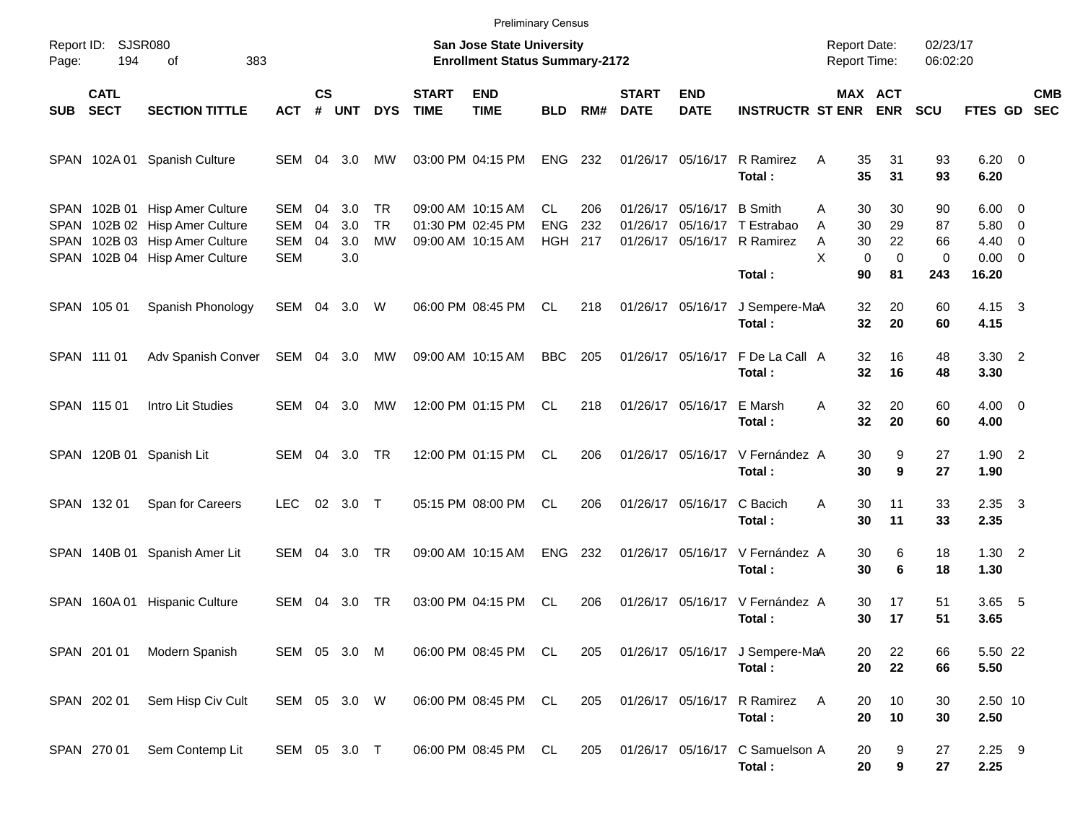|                                            |                            |                                                                                                                  |                                               |                |                          |                              |                             | <b>Preliminary Census</b>                                          |                                       |                   |                             |                           |                                                              |                                                         |                                     |                                      |                                                        |                                                      |                          |
|--------------------------------------------|----------------------------|------------------------------------------------------------------------------------------------------------------|-----------------------------------------------|----------------|--------------------------|------------------------------|-----------------------------|--------------------------------------------------------------------|---------------------------------------|-------------------|-----------------------------|---------------------------|--------------------------------------------------------------|---------------------------------------------------------|-------------------------------------|--------------------------------------|--------------------------------------------------------|------------------------------------------------------|--------------------------|
| Page:                                      | Report ID: SJSR080<br>194  | 383<br>οf                                                                                                        |                                               |                |                          |                              |                             | San Jose State University<br><b>Enrollment Status Summary-2172</b> |                                       |                   |                             |                           |                                                              | <b>Report Date:</b><br><b>Report Time:</b>              |                                     | 02/23/17<br>06:02:20                 |                                                        |                                                      |                          |
| <b>SUB</b>                                 | <b>CATL</b><br><b>SECT</b> | <b>SECTION TITTLE</b>                                                                                            | <b>ACT</b>                                    | <b>CS</b><br># | <b>UNT</b>               | <b>DYS</b>                   | <b>START</b><br><b>TIME</b> | <b>END</b><br><b>TIME</b>                                          | <b>BLD</b>                            | RM#               | <b>START</b><br><b>DATE</b> | <b>END</b><br><b>DATE</b> | <b>INSTRUCTR ST ENR</b>                                      |                                                         | <b>MAX ACT</b><br><b>ENR</b>        | <b>SCU</b>                           | FTES GD                                                |                                                      | <b>CMB</b><br><b>SEC</b> |
| SPAN                                       |                            | 102A 01 Spanish Culture                                                                                          | SEM 04                                        |                | 3.0                      | MW                           |                             | 03:00 PM 04:15 PM                                                  | <b>ENG</b>                            | 232               |                             | 01/26/17 05/16/17         | R Ramirez<br>Total:                                          | A<br>35<br>35                                           | 31<br>31                            | 93<br>93                             | $6.20 \quad 0$<br>6.20                                 |                                                      |                          |
| <b>SPAN</b><br>SPAN<br><b>SPAN</b><br>SPAN |                            | 102B 01 Hisp Amer Culture<br>102B 02 Hisp Amer Culture<br>102B 03 Hisp Amer Culture<br>102B 04 Hisp Amer Culture | SEM<br><b>SEM</b><br><b>SEM</b><br><b>SEM</b> | 04<br>04<br>04 | 3.0<br>3.0<br>3.0<br>3.0 | TR<br><b>TR</b><br><b>MW</b> |                             | 09:00 AM 10:15 AM<br>01:30 PM 02:45 PM<br>09:00 AM 10:15 AM        | <b>CL</b><br><b>ENG</b><br><b>HGH</b> | 206<br>232<br>217 | 01/26/17                    | 01/26/17 05/16/17 B Smith | 05/16/17 T Estrabao<br>01/26/17 05/16/17 R Ramirez<br>Total: | 30<br>A<br>30<br>A<br>30<br>Α<br>X<br>$\mathbf 0$<br>90 | 30<br>29<br>22<br>$\mathbf 0$<br>81 | 90<br>87<br>66<br>$\mathbf 0$<br>243 | $6.00 \quad 0$<br>5.80<br>4.40<br>$0.00 \t 0$<br>16.20 | $\overline{\phantom{0}}$<br>$\overline{\phantom{0}}$ |                          |
|                                            | SPAN 105 01                | Spanish Phonology                                                                                                | SEM 04 3.0 W                                  |                |                          |                              |                             | 06:00 PM 08:45 PM                                                  | CL.                                   | 218               |                             | 01/26/17 05/16/17         | J Sempere-MaA<br>Total:                                      | 32<br>32                                                | 20<br>20                            | 60<br>60                             | $4.15 \quad 3$<br>4.15                                 |                                                      |                          |
|                                            | SPAN 111 01                | Adv Spanish Conver                                                                                               | SEM 04 3.0                                    |                |                          | МW                           |                             | 09:00 AM 10:15 AM                                                  | <b>BBC</b>                            | 205               |                             | 01/26/17 05/16/17         | F De La Call A<br>Total:                                     | 32<br>32                                                | 16<br>16                            | 48<br>48                             | $3.30$ 2<br>3.30                                       |                                                      |                          |
|                                            | SPAN 115 01                | Intro Lit Studies                                                                                                | SEM                                           | 04             | 3.0                      | MW                           |                             | 12:00 PM 01:15 PM                                                  | CL.                                   | 218               |                             | 01/26/17 05/16/17         | E Marsh<br>Total:                                            | 32<br>A<br>32                                           | 20<br>20                            | 60<br>60                             | $4.00 \ 0$<br>4.00                                     |                                                      |                          |
|                                            |                            | SPAN 120B 01 Spanish Lit                                                                                         | SEM 04                                        |                | 3.0                      | TR                           |                             | 12:00 PM 01:15 PM                                                  | CL.                                   | 206               |                             |                           | 01/26/17 05/16/17 V Fernández A<br>Total:                    | 30<br>30                                                | 9<br>9                              | 27<br>27                             | $1.90$ 2<br>1.90                                       |                                                      |                          |
|                                            | SPAN 132 01                | Span for Careers                                                                                                 | <b>LEC</b>                                    |                | 02 3.0 T                 |                              |                             | 05:15 PM 08:00 PM                                                  | CL.                                   | 206               |                             | 01/26/17 05/16/17         | C Bacich<br>Total:                                           | 30<br>A<br>30                                           | 11<br>11                            | 33<br>33                             | $2.35 \quad 3$<br>2.35                                 |                                                      |                          |
| SPAN                                       | 140B 01                    | Spanish Amer Lit                                                                                                 | SEM 04                                        |                | 3.0                      | TR                           |                             | 09:00 AM 10:15 AM                                                  | ENG                                   | 232               |                             |                           | 01/26/17 05/16/17 V Fernández A<br>Total:                    | 30<br>30                                                | 6<br>6                              | 18<br>18                             | $1.30$ 2<br>1.30                                       |                                                      |                          |
| SPAN                                       |                            | 160A 01 Hispanic Culture                                                                                         | SEM                                           | 04             | 3.0                      | TR                           |                             | 03:00 PM 04:15 PM                                                  | <b>CL</b>                             | 206               |                             | 01/26/17 05/16/17         | V Fernández A<br>Total:                                      | 30<br>30                                                | 17<br>17                            | 51<br>51                             | 3.65<br>3.65                                           | - 5                                                  |                          |
|                                            | SPAN 201 01                | Modern Spanish                                                                                                   | SEM 05 3.0 M                                  |                |                          |                              |                             | 06:00 PM 08:45 PM CL                                               |                                       | 205               |                             |                           | 01/26/17 05/16/17 J Sempere-MaA<br>Total:                    | 20<br>20                                                | 22<br>22                            | 66<br>66                             | 5.50 22<br>5.50                                        |                                                      |                          |
|                                            | SPAN 202 01                | Sem Hisp Civ Cult                                                                                                | SEM 05 3.0 W                                  |                |                          |                              |                             | 06:00 PM 08:45 PM CL                                               |                                       | 205               |                             |                           | 01/26/17 05/16/17 R Ramirez<br>Total:                        | Α<br>20<br>20                                           | 10<br>10                            | 30<br>30                             | 2.50 10<br>2.50                                        |                                                      |                          |
|                                            | SPAN 270 01                | Sem Contemp Lit                                                                                                  | SEM 05 3.0 T                                  |                |                          |                              |                             | 06:00 PM 08:45 PM CL                                               |                                       | 205               |                             | 01/26/17 05/16/17         | C Samuelson A<br>Total:                                      | 20<br>20                                                | 9<br>9                              | 27<br>27                             | $2.25$ 9<br>2.25                                       |                                                      |                          |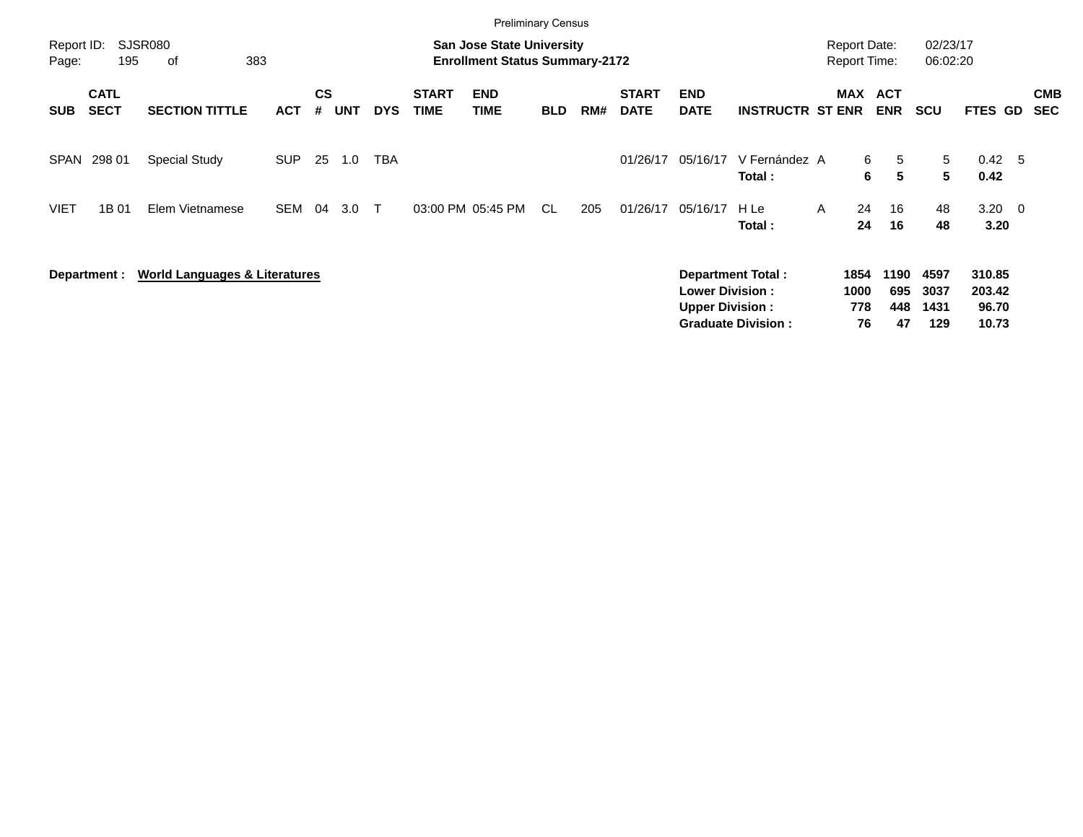|                     |                            |                                          |            |                    |            |            |                             |                                                                           | <b>Preliminary Census</b> |     |                             |                                                  |                                                       |   |                                            |                          |                             |                                    |                          |
|---------------------|----------------------------|------------------------------------------|------------|--------------------|------------|------------|-----------------------------|---------------------------------------------------------------------------|---------------------------|-----|-----------------------------|--------------------------------------------------|-------------------------------------------------------|---|--------------------------------------------|--------------------------|-----------------------------|------------------------------------|--------------------------|
| Report ID:<br>Page: | 195                        | <b>SJSR080</b><br>383<br>0f              |            |                    |            |            |                             | <b>San Jose State University</b><br><b>Enrollment Status Summary-2172</b> |                           |     |                             |                                                  |                                                       |   | <b>Report Date:</b><br><b>Report Time:</b> |                          | 02/23/17<br>06:02:20        |                                    |                          |
| <b>SUB</b>          | <b>CATL</b><br><b>SECT</b> | <b>SECTION TITTLE</b>                    | <b>ACT</b> | $\mathsf{cs}$<br># | <b>UNT</b> | <b>DYS</b> | <b>START</b><br><b>TIME</b> | <b>END</b><br><b>TIME</b>                                                 | <b>BLD</b>                | RM# | <b>START</b><br><b>DATE</b> | <b>END</b><br><b>DATE</b>                        | <b>INSTRUCTR ST ENR</b>                               |   | <b>MAX</b>                                 | ACT<br><b>ENR</b>        | <b>SCU</b>                  | <b>FTES GD</b>                     | <b>CMB</b><br><b>SEC</b> |
| <b>SPAN</b>         | 298 01                     | <b>Special Study</b>                     | <b>SUP</b> | 25                 | 1.0        | <b>TBA</b> |                             |                                                                           |                           |     | 01/26/17                    | 05/16/17                                         | V Fernández A<br>Total:                               |   | 6<br>6                                     | 5<br>5                   | 5<br>$5^{\circ}$            | $0.42 \quad 5$<br>0.42             |                          |
| <b>VIET</b>         | 1B 01                      | Elem Vietnamese                          | SEM        | 04                 | 3.0        | $\top$     |                             | 03:00 PM 05:45 PM                                                         | CL.                       | 205 | 01/26/17                    | 05/16/17                                         | H Le<br>Total:                                        | A | 24<br>24                                   | 16<br>16                 | 48<br>48                    | $3.20 \ 0$<br>3.20                 |                          |
|                     | Department :               | <b>World Languages &amp; Literatures</b> |            |                    |            |            |                             |                                                                           |                           |     |                             | <b>Lower Division:</b><br><b>Upper Division:</b> | <b>Department Total:</b><br><b>Graduate Division:</b> |   | 1854<br>1000<br>778<br>76                  | 1190<br>695<br>448<br>47 | 4597<br>3037<br>1431<br>129 | 310.85<br>203.42<br>96.70<br>10.73 |                          |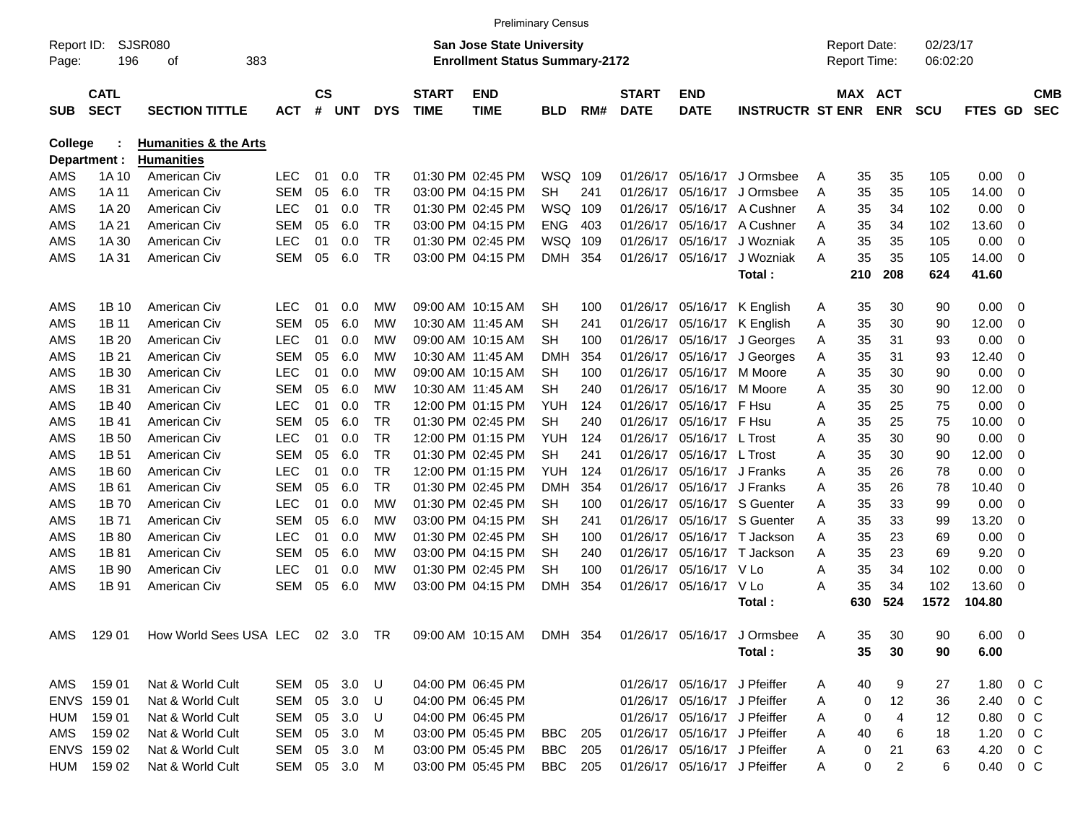|                     |                            |                                  |              |                    |     |            |                             | <b>Preliminary Census</b>                                                 |            |      |                             |                              |                                                       |   |                                     |            |                      |                |                |                          |
|---------------------|----------------------------|----------------------------------|--------------|--------------------|-----|------------|-----------------------------|---------------------------------------------------------------------------|------------|------|-----------------------------|------------------------------|-------------------------------------------------------|---|-------------------------------------|------------|----------------------|----------------|----------------|--------------------------|
| Report ID:<br>Page: | 196                        | <b>SJSR080</b><br>383<br>οf      |              |                    |     |            |                             | <b>San Jose State University</b><br><b>Enrollment Status Summary-2172</b> |            |      |                             |                              |                                                       |   | <b>Report Date:</b><br>Report Time: |            | 02/23/17<br>06:02:20 |                |                |                          |
| <b>SUB</b>          | <b>CATL</b><br><b>SECT</b> | <b>SECTION TITTLE</b>            | <b>ACT</b>   | $\mathsf{cs}$<br># | UNT | <b>DYS</b> | <b>START</b><br><b>TIME</b> | <b>END</b><br><b>TIME</b>                                                 | <b>BLD</b> | RM#  | <b>START</b><br><b>DATE</b> | <b>END</b><br><b>DATE</b>    | <b>INSTRUCTR ST ENR</b>                               |   | MAX ACT                             | <b>ENR</b> | <b>SCU</b>           | <b>FTES GD</b> |                | <b>CMB</b><br><b>SEC</b> |
| <b>College</b>      |                            | <b>Humanities &amp; the Arts</b> |              |                    |     |            |                             |                                                                           |            |      |                             |                              |                                                       |   |                                     |            |                      |                |                |                          |
|                     | Department :               | <b>Humanities</b>                |              |                    |     |            |                             |                                                                           |            |      |                             |                              |                                                       |   |                                     |            |                      |                |                |                          |
| AMS                 | 1A 10                      | American Civ                     | <b>LEC</b>   | 01                 | 0.0 | TR.        |                             | 01:30 PM 02:45 PM                                                         | WSQ 109    |      | 01/26/17                    | 05/16/17                     | J Ormsbee                                             | Α | 35                                  | 35         | 105                  | 0.00           | 0              |                          |
| AMS                 | 1A 11                      | American Civ                     | <b>SEM</b>   | 05                 | 6.0 | <b>TR</b>  |                             | 03:00 PM 04:15 PM                                                         | <b>SH</b>  | 241  | 01/26/17                    | 05/16/17                     | J Ormsbee                                             | Α | 35                                  | 35         | 105                  | 14.00          | 0              |                          |
| AMS                 | 1A 20                      | American Civ                     | <b>LEC</b>   | 01                 | 0.0 | <b>TR</b>  |                             | 01:30 PM 02:45 PM                                                         | <b>WSQ</b> | 109  | 01/26/17                    | 05/16/17                     | A Cushner                                             | A | 35                                  | 34         | 102                  | 0.00           | 0              |                          |
| AMS                 | 1A 21                      | American Civ                     | <b>SEM</b>   | 05                 | 6.0 | TR         |                             | 03:00 PM 04:15 PM                                                         | <b>ENG</b> | 403  | 01/26/17                    | 05/16/17                     | A Cushner                                             | A | 35                                  | 34         | 102                  | 13.60          | 0              |                          |
| AMS                 | 1A 30                      | American Civ                     | <b>LEC</b>   | 01                 | 0.0 | <b>TR</b>  |                             | 01:30 PM 02:45 PM                                                         | WSQ        | 109  | 01/26/17                    | 05/16/17                     | J Wozniak                                             | A | 35                                  | 35         | 105                  | 0.00           | 0              |                          |
| AMS                 | 1A 31                      | American Civ                     | <b>SEM</b>   | 05                 | 6.0 | <b>TR</b>  |                             | 03:00 PM 04:15 PM                                                         | <b>DMH</b> | 354  | 01/26/17                    | 05/16/17                     | J Wozniak                                             | A | 35                                  | 35         | 105                  | 14.00          | $\overline{0}$ |                          |
|                     |                            |                                  |              |                    |     |            |                             |                                                                           |            |      |                             |                              | Total:                                                |   | 210                                 | 208        | 624                  | 41.60          |                |                          |
| AMS                 | 1B 10                      | American Civ                     | <b>LEC</b>   | 01                 | 0.0 | <b>MW</b>  |                             | 09:00 AM 10:15 AM                                                         | <b>SH</b>  | 100  |                             | 01/26/17 05/16/17            | K English                                             | A | 35                                  | 30         | 90                   | 0.00           | $\overline{0}$ |                          |
| AMS                 | 1B 11                      | American Civ                     | <b>SEM</b>   | 05                 | 6.0 | МW         |                             | 10:30 AM 11:45 AM                                                         | SН         | 241  | 01/26/17                    |                              | 05/16/17 K English                                    | Α | 35                                  | 30         | 90                   | 12.00          | 0              |                          |
| AMS                 | 1B 20                      | American Civ                     | <b>LEC</b>   | 01                 | 0.0 | МW         |                             | 09:00 AM 10:15 AM                                                         | SН         | 100  | 01/26/17                    | 05/16/17                     | J Georges                                             | Α | 35                                  | 31         | 93                   | 0.00           | 0              |                          |
| AMS                 | 1B 21                      | American Civ                     | <b>SEM</b>   | 05                 | 6.0 | МW         |                             | 10:30 AM 11:45 AM                                                         | <b>DMH</b> | 354  | 01/26/17                    | 05/16/17                     | J Georges                                             | Α | 35                                  | 31         | 93                   | 12.40          | 0              |                          |
| AMS                 | 1B 30                      | American Civ                     | <b>LEC</b>   | 01                 | 0.0 | МW         |                             | 09:00 AM 10:15 AM                                                         | SН         | 100  | 01/26/17                    | 05/16/17                     | M Moore                                               | A | 35                                  | 30         | 90                   | 0.00           | 0              |                          |
| AMS                 | 1B 31                      | American Civ                     | <b>SEM</b>   | 05                 | 6.0 | МW         |                             | 10:30 AM 11:45 AM                                                         | <b>SH</b>  | 240  | 01/26/17                    | 05/16/17                     | M Moore                                               | Α | 35                                  | 30         | 90                   | 12.00          | 0              |                          |
| AMS                 | 1B 40                      | American Civ                     | <b>LEC</b>   | 01                 | 0.0 | TR         |                             | 12:00 PM 01:15 PM                                                         | YUH        | 124  | 01/26/17                    | 05/16/17                     | F Hsu                                                 | A | 35                                  | 25         | 75                   | 0.00           | 0              |                          |
| AMS                 | 1B 41                      | American Civ                     | <b>SEM</b>   | 05                 | 6.0 | TR         |                             | 01:30 PM 02:45 PM                                                         | <b>SH</b>  | 240  | 01/26/17                    | 05/16/17 F Hsu               |                                                       | A | 35                                  | 25         | 75                   | 10.00          | 0              |                          |
| AMS                 | 1B 50                      | American Civ                     | <b>LEC</b>   | 01                 | 0.0 | TR         |                             | 12:00 PM 01:15 PM                                                         | YUH        | 124  | 01/26/17                    | 05/16/17 L Trost             |                                                       | A | 35                                  | 30         | 90                   | 0.00           | 0              |                          |
| AMS                 | 1B 51                      | American Civ                     | <b>SEM</b>   | 05                 | 6.0 | <b>TR</b>  |                             | 01:30 PM 02:45 PM                                                         | <b>SH</b>  | 241  | 01/26/17                    | 05/16/17 L Trost             |                                                       | A | 35                                  | 30         | 90                   | 12.00          | 0              |                          |
| AMS                 | 1B <sub>60</sub>           | American Civ                     | <b>LEC</b>   | 01                 | 0.0 | TR         |                             | 12:00 PM 01:15 PM                                                         | YUH        | 124  | 01/26/17                    |                              | 05/16/17 J Franks                                     | Α | 35                                  | 26         | 78                   | 0.00           | 0              |                          |
| AMS                 | 1B 61                      | American Civ                     | <b>SEM</b>   | 05                 | 6.0 | TR         |                             | 01:30 PM 02:45 PM                                                         | <b>DMH</b> | 354  | 01/26/17                    |                              | 05/16/17 J Franks                                     | A | 35                                  | 26         | 78                   | 10.40          | 0              |                          |
| AMS                 | 1B 70                      | American Civ                     | <b>LEC</b>   | 01                 | 0.0 | МW         |                             | 01:30 PM 02:45 PM                                                         | SН         | 100  | 01/26/17                    |                              | 05/16/17 S Guenter                                    | A | 35                                  | 33         | 99                   | 0.00           | 0              |                          |
| AMS                 | 1B 71                      | American Civ                     | <b>SEM</b>   | 05                 | 6.0 | МW         |                             | 03:00 PM 04:15 PM                                                         | SН         | 241  | 01/26/17                    |                              | 05/16/17 S Guenter                                    | A | 35                                  | 33         | 99                   | 13.20          | 0              |                          |
| AMS                 | 1B 80                      | American Civ                     | <b>LEC</b>   | 01                 | 0.0 | МW         |                             | 01:30 PM 02:45 PM                                                         | SН         | 100  | 01/26/17                    |                              | 05/16/17 T Jackson                                    | А | 35                                  | 23         | 69                   | 0.00           | 0              |                          |
| AMS                 | 1B 81                      | American Civ                     | <b>SEM</b>   | 05                 | 6.0 | МW         |                             | 03:00 PM 04:15 PM                                                         | SН         | 240  | 01/26/17                    |                              | 05/16/17 T Jackson                                    | A | 35                                  | 23         | 69                   | 9.20           | 0              |                          |
| AMS                 | 1B 90                      | American Civ                     | <b>LEC</b>   | 01                 | 0.0 | МW         |                             | 01:30 PM 02:45 PM                                                         | <b>SH</b>  | 100  | 01/26/17                    | 05/16/17                     | V Lo                                                  | A | 35                                  | 34         | 102                  | 0.00           | 0              |                          |
| AMS                 | 1B 91                      | American Civ                     | <b>SEM</b>   | 05                 | 6.0 | МW         |                             | 03:00 PM 04:15 PM                                                         | <b>DMH</b> | 354  | 01/26/17                    | 05/16/17                     | V Lo                                                  | A | 35                                  | 34         | 102                  | 13.60          | $\overline{0}$ |                          |
|                     |                            |                                  |              |                    |     |            |                             |                                                                           |            |      |                             |                              | Total:                                                |   | 630                                 | 524        | 1572                 | 104.80         |                |                          |
|                     | AMS 129 01                 | How World Sees USA LEC 02 3.0 TR |              |                    |     |            |                             |                                                                           |            |      |                             |                              | 09:00 AM 10:15 AM DMH 354 01/26/17 05/16/17 J Ormsbee | A | 35                                  | 30         | 90                   | $6.00 \quad 0$ |                |                          |
|                     |                            |                                  |              |                    |     |            |                             |                                                                           |            |      |                             |                              | Total:                                                |   | 35                                  | 30         | 90                   | 6.00           |                |                          |
|                     |                            |                                  |              |                    |     |            |                             |                                                                           |            |      |                             |                              |                                                       |   |                                     |            |                      |                |                |                          |
|                     | AMS 159 01                 | Nat & World Cult                 | SEM 05 3.0 U |                    |     |            |                             | 04:00 PM 06:45 PM                                                         |            |      |                             | 01/26/17 05/16/17 J Pfeiffer |                                                       | A | 40                                  | 9          | 27                   | 1.80 0 C       |                |                          |
|                     | ENVS 159 01                | Nat & World Cult                 | SEM 05 3.0 U |                    |     |            |                             | 04:00 PM 06:45 PM                                                         |            |      |                             | 01/26/17 05/16/17 J Pfeiffer |                                                       | A | 0                                   | 12         | 36                   | 2.40 0 C       |                |                          |
|                     | HUM 159 01                 | Nat & World Cult                 | SEM 05 3.0   |                    |     | U          |                             | 04:00 PM 06:45 PM                                                         |            |      |                             | 01/26/17 05/16/17 J Pfeiffer |                                                       | A | 0                                   | 4          | 12                   | 0.80           | $0\,$ C        |                          |
| AMS                 | 159 02                     | Nat & World Cult                 | SEM 05 3.0   |                    |     | M          |                             | 03:00 PM 05:45 PM                                                         | BBC        | -205 |                             | 01/26/17 05/16/17 J Pfeiffer |                                                       | A | 40                                  | 6          | 18                   | 1.20           | $0\,$ C        |                          |
|                     | ENVS 159 02                | Nat & World Cult                 | SEM 05 3.0   |                    |     | M          |                             | 03:00 PM 05:45 PM                                                         | BBC        | -205 |                             | 01/26/17 05/16/17 J Pfeiffer |                                                       | A | 0                                   | 21         | 63                   | 4.20           | $0\,$ C        |                          |
|                     | HUM 159 02                 | Nat & World Cult                 | SEM 05 3.0   |                    |     | M          |                             | 03:00 PM 05:45 PM                                                         | BBC        | 205  |                             | 01/26/17 05/16/17 J Pfeiffer |                                                       | A | 0                                   | 2          | 6                    | 0.40 0 C       |                |                          |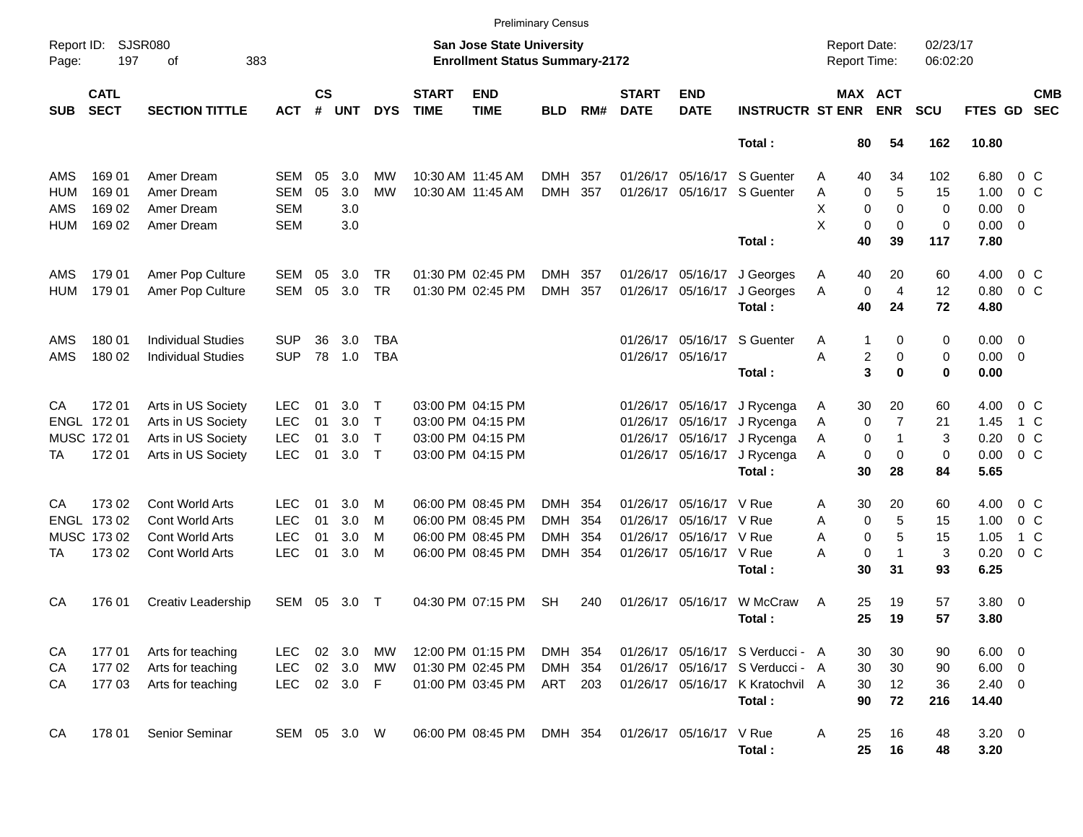|                     |                            |                             |              |                    |            |              |                             | <b>Preliminary Census</b>                                          |            |     |                             |                           |                                  |                                     |             |                       |                      |                |                |                          |
|---------------------|----------------------------|-----------------------------|--------------|--------------------|------------|--------------|-----------------------------|--------------------------------------------------------------------|------------|-----|-----------------------------|---------------------------|----------------------------------|-------------------------------------|-------------|-----------------------|----------------------|----------------|----------------|--------------------------|
| Report ID:<br>Page: | 197                        | <b>SJSR080</b><br>383<br>οf |              |                    |            |              |                             | San Jose State University<br><b>Enrollment Status Summary-2172</b> |            |     |                             |                           |                                  | <b>Report Date:</b><br>Report Time: |             |                       | 02/23/17<br>06:02:20 |                |                |                          |
| <b>SUB</b>          | <b>CATL</b><br><b>SECT</b> | <b>SECTION TITTLE</b>       | <b>ACT</b>   | $\mathsf{cs}$<br># | <b>UNT</b> | <b>DYS</b>   | <b>START</b><br><b>TIME</b> | <b>END</b><br><b>TIME</b>                                          | <b>BLD</b> | RM# | <b>START</b><br><b>DATE</b> | <b>END</b><br><b>DATE</b> | <b>INSTRUCTR ST ENR</b>          |                                     |             | MAX ACT<br><b>ENR</b> | <b>SCU</b>           | <b>FTES GD</b> |                | <b>CMB</b><br><b>SEC</b> |
|                     |                            |                             |              |                    |            |              |                             |                                                                    |            |     |                             |                           | Total:                           |                                     | 80          | 54                    | 162                  | 10.80          |                |                          |
| AMS                 | 169 01                     | Amer Dream                  | SEM          | 05                 | 3.0        | <b>MW</b>    |                             | 10:30 AM 11:45 AM                                                  | DMH        | 357 |                             | 01/26/17 05/16/17         | S Guenter                        | Α                                   | 40          | 34                    | 102                  | 6.80           | $0\,$ C        |                          |
| HUM                 | 169 01                     | Amer Dream                  | <b>SEM</b>   | 05                 | 3.0        | <b>MW</b>    |                             | 10:30 AM 11:45 AM                                                  | <b>DMH</b> | 357 |                             |                           | 01/26/17 05/16/17 S Guenter      | Α                                   | 0           | 5                     | 15                   | 1.00           | 0 C            |                          |
| AMS                 | 169 02                     | Amer Dream                  | <b>SEM</b>   |                    | 3.0        |              |                             |                                                                    |            |     |                             |                           |                                  | X                                   | 0           | $\Omega$              | 0                    | 0.00           | 0              |                          |
| <b>HUM</b>          | 169 02                     | Amer Dream                  | <b>SEM</b>   |                    | 3.0        |              |                             |                                                                    |            |     |                             |                           |                                  | X                                   | $\mathbf 0$ | $\mathbf 0$           | 0                    | $0.00 \t 0$    |                |                          |
|                     |                            |                             |              |                    |            |              |                             |                                                                    |            |     |                             |                           | Total:                           |                                     | 40          | 39                    | 117                  | 7.80           |                |                          |
| AMS                 | 179 01                     | Amer Pop Culture            | SEM          | 05                 | 3.0        | TR.          |                             | 01:30 PM 02:45 PM                                                  | DMH        | 357 |                             | 01/26/17 05/16/17         | J Georges                        | Α                                   | 40          | 20                    | 60                   | 4.00           | 0 <sup>o</sup> |                          |
| <b>HUM</b>          | 179 01                     | Amer Pop Culture            | <b>SEM</b>   | 05                 | 3.0        | <b>TR</b>    |                             | 01:30 PM 02:45 PM                                                  | DMH 357    |     |                             | 01/26/17 05/16/17         | J Georges                        | A                                   | $\mathbf 0$ | $\overline{4}$        | 12                   | 0.80           | 0 <sup>o</sup> |                          |
|                     |                            |                             |              |                    |            |              |                             |                                                                    |            |     |                             |                           | Total:                           |                                     | 40          | 24                    | 72                   | 4.80           |                |                          |
| AMS                 | 180 01                     | <b>Individual Studies</b>   | <b>SUP</b>   | 36                 | 3.0        | TBA          |                             |                                                                    |            |     |                             | 01/26/17 05/16/17         | S Guenter                        | Α                                   | 1           | 0                     | 0                    | $0.00 \t 0$    |                |                          |
| AMS                 | 180 02                     | <b>Individual Studies</b>   | <b>SUP</b>   | 78                 | 1.0        | <b>TBA</b>   |                             |                                                                    |            |     |                             | 01/26/17 05/16/17         |                                  | Α                                   | 2           | 0                     | 0                    | $0.00 \t 0$    |                |                          |
|                     |                            |                             |              |                    |            |              |                             |                                                                    |            |     |                             |                           | Total:                           |                                     | 3           | $\bf{0}$              | 0                    | 0.00           |                |                          |
| CA                  | 17201                      | Arts in US Society          | <b>LEC</b>   | 01                 | 3.0        | Т            |                             | 03:00 PM 04:15 PM                                                  |            |     |                             | 01/26/17 05/16/17         | J Rycenga                        | Α                                   | 30          | 20                    | 60                   | 4.00           | 0 C            |                          |
|                     | ENGL 172 01                | Arts in US Society          | <b>LEC</b>   | 01                 | 3.0        | $\mathsf{T}$ |                             | 03:00 PM 04:15 PM                                                  |            |     |                             | 01/26/17 05/16/17         | J Rycenga                        | Α                                   | 0           | $\overline{7}$        | 21                   | 1.45           | 1 C            |                          |
|                     | MUSC 172 01                | Arts in US Society          | <b>LEC</b>   | 01                 | 3.0        | $\mathsf{T}$ |                             | 03:00 PM 04:15 PM                                                  |            |     |                             | 01/26/17 05/16/17         | J Rycenga                        | Α                                   | 0           | $\mathbf{1}$          | 3                    | 0.20           | $0\,C$         |                          |
| TA                  | 172 01                     | Arts in US Society          | <b>LEC</b>   | 01                 | 3.0        | $\top$       |                             | 03:00 PM 04:15 PM                                                  |            |     |                             | 01/26/17 05/16/17         | J Rycenga                        | A                                   | 0           | $\mathbf 0$           | 0                    | 0.00           | 0 <sup>o</sup> |                          |
|                     |                            |                             |              |                    |            |              |                             |                                                                    |            |     |                             |                           | Total:                           |                                     | 30          | 28                    | 84                   | 5.65           |                |                          |
| CA                  | 173 02                     | Cont World Arts             | LEC          | 01                 | 3.0        | M            |                             | 06:00 PM 08:45 PM                                                  | DMH        | 354 |                             | 01/26/17 05/16/17 V Rue   |                                  | Α                                   | 30          | 20                    | 60                   | 4.00           | 0 C            |                          |
|                     | ENGL 173 02                | Cont World Arts             | <b>LEC</b>   | 01                 | 3.0        | M            |                             | 06:00 PM 08:45 PM                                                  | DMH        | 354 |                             | 01/26/17 05/16/17 V Rue   |                                  | Α                                   | 0           | 5                     | 15                   | 1.00           | 0 <sup>o</sup> |                          |
|                     | MUSC 173 02                | Cont World Arts             | <b>LEC</b>   | 01                 | 3.0        | M            |                             | 06:00 PM 08:45 PM                                                  | DMH        | 354 |                             | 01/26/17 05/16/17 V Rue   |                                  | Α                                   | 0           | 5                     | 15                   | 1.05           | 1 C            |                          |
| TA                  | 173 02                     | Cont World Arts             | <b>LEC</b>   | 01                 | 3.0        | M            |                             | 06:00 PM 08:45 PM                                                  | DMH        | 354 |                             | 01/26/17 05/16/17 V Rue   |                                  | А                                   | $\mathbf 0$ | $\mathbf{1}$          | 3                    | 0.20           | 0 <sup>o</sup> |                          |
|                     |                            |                             |              |                    |            |              |                             |                                                                    |            |     |                             |                           | Total:                           |                                     | 30          | 31                    | 93                   | 6.25           |                |                          |
| CA                  | 176 01                     | Creativ Leadership          | SEM          | 05                 | 3.0        | $\top$       |                             | 04:30 PM 07:15 PM                                                  | <b>SH</b>  | 240 |                             | 01/26/17 05/16/17         | W McCraw                         | Α                                   | 25          | 19                    | 57                   | 3.80 0         |                |                          |
|                     |                            |                             |              |                    |            |              |                             |                                                                    |            |     |                             |                           | Total:                           |                                     | 25          | 19                    | 57                   | 3.80           |                |                          |
| CA                  | 17701                      | Arts for teaching           | <b>LEC</b>   |                    | 02 3.0     | МW           |                             | 12:00 PM 01:15 PM                                                  | DMH 354    |     |                             |                           | 01/26/17 05/16/17 S Verducci - A |                                     | 30          | 30                    | 90                   | $6.00 \quad 0$ |                |                          |
| CA                  | 17702                      | Arts for teaching           | <b>LEC</b>   | 02                 | 3.0        | МW           |                             | 01:30 PM 02:45 PM                                                  | DMH 354    |     |                             |                           | 01/26/17 05/16/17 S Verducci - A |                                     | 30          | 30                    | 90                   | $6.00 \t 0$    |                |                          |
| CA                  | 17703                      | Arts for teaching           | <b>LEC</b>   |                    | 02 3.0 F   |              |                             | 01:00 PM 03:45 PM                                                  | ART 203    |     |                             | 01/26/17 05/16/17         | K Kratochvil A                   |                                     | 30          | 12                    | 36                   | $2.40 \ 0$     |                |                          |
|                     |                            |                             |              |                    |            |              |                             |                                                                    |            |     |                             |                           | Total:                           |                                     | 90          | 72                    | 216                  | 14.40          |                |                          |
| CA                  | 178 01                     | Senior Seminar              | SEM 05 3.0 W |                    |            |              |                             | 06:00 PM 08:45 PM                                                  | DMH 354    |     |                             | 01/26/17 05/16/17 V Rue   |                                  | Α                                   | 25          | 16                    | 48                   | $3.20 \ 0$     |                |                          |
|                     |                            |                             |              |                    |            |              |                             |                                                                    |            |     |                             |                           | Total:                           |                                     | 25          | 16                    | 48                   | 3.20           |                |                          |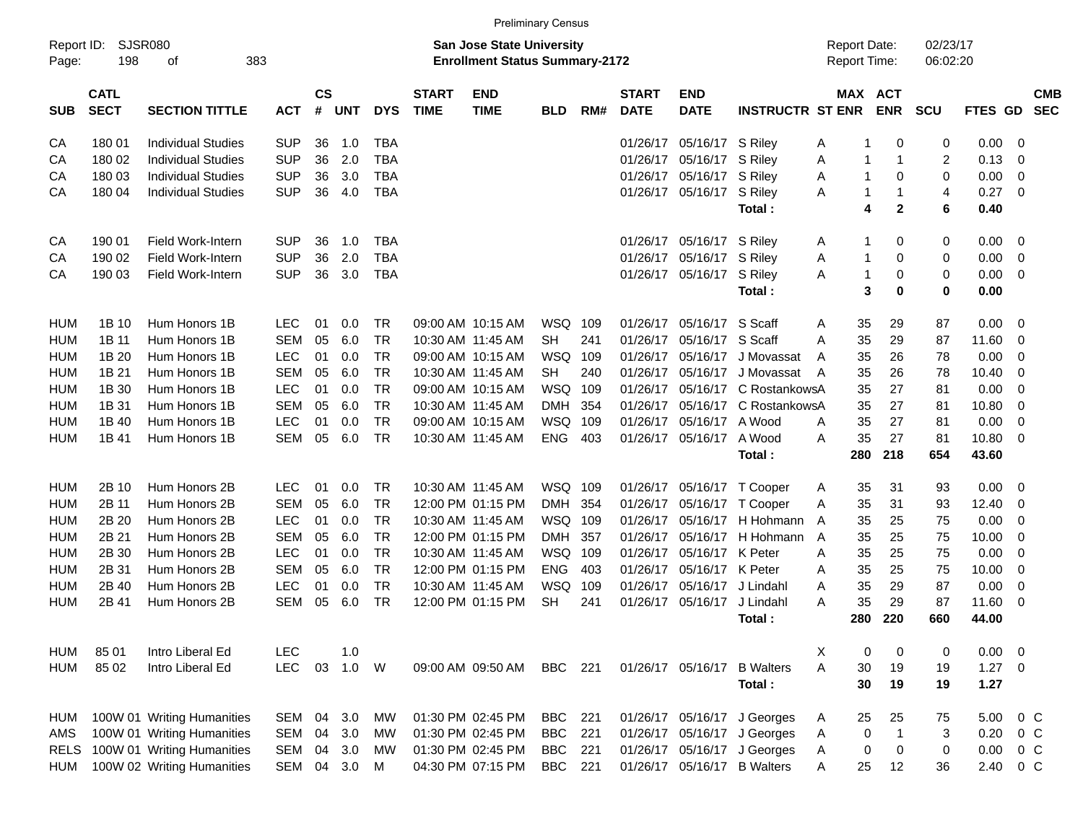|                     |                            |                                 |            |                |         |            |                             |                                                                    | <b>Preliminary Census</b> |     |                             |                           |                             |                                     |                       |                      |             |                          |                          |
|---------------------|----------------------------|---------------------------------|------------|----------------|---------|------------|-----------------------------|--------------------------------------------------------------------|---------------------------|-----|-----------------------------|---------------------------|-----------------------------|-------------------------------------|-----------------------|----------------------|-------------|--------------------------|--------------------------|
| Report ID:<br>Page: | 198                        | <b>SJSR080</b><br>383<br>οf     |            |                |         |            |                             | San Jose State University<br><b>Enrollment Status Summary-2172</b> |                           |     |                             |                           |                             | <b>Report Date:</b><br>Report Time: |                       | 02/23/17<br>06:02:20 |             |                          |                          |
| <b>SUB</b>          | <b>CATL</b><br><b>SECT</b> | <b>SECTION TITTLE</b>           | <b>ACT</b> | <b>CS</b><br># | UNT     | <b>DYS</b> | <b>START</b><br><b>TIME</b> | <b>END</b><br><b>TIME</b>                                          | <b>BLD</b>                | RM# | <b>START</b><br><b>DATE</b> | <b>END</b><br><b>DATE</b> | <b>INSTRUCTR ST ENR</b>     |                                     | MAX ACT<br><b>ENR</b> | <b>SCU</b>           | FTES GD     |                          | <b>CMB</b><br><b>SEC</b> |
| CA                  | 180 01                     | Individual Studies              | <b>SUP</b> | 36             | 1.0     | <b>TBA</b> |                             |                                                                    |                           |     | 01/26/17                    | 05/16/17 S Riley          |                             | Α<br>-1                             | 0                     | 0                    | 0.00        | 0                        |                          |
| CА                  | 180 02                     | <b>Individual Studies</b>       | <b>SUP</b> | 36             | 2.0     | <b>TBA</b> |                             |                                                                    |                           |     |                             | 01/26/17 05/16/17 S Riley |                             | Α<br>-1                             | -1                    | $\overline{c}$       | 0.13        | 0                        |                          |
| CА                  | 180 03                     | <b>Individual Studies</b>       | <b>SUP</b> | 36             | 3.0     | <b>TBA</b> |                             |                                                                    |                           |     |                             | 01/26/17 05/16/17 S Riley |                             | $\mathbf{1}$<br>Α                   | $\mathbf 0$           | 0                    | 0.00        | 0                        |                          |
| СA                  | 180 04                     | <b>Individual Studies</b>       | <b>SUP</b> | 36             | 4.0     | <b>TBA</b> |                             |                                                                    |                           |     |                             | 01/26/17 05/16/17 S Riley |                             | A<br>-1                             | -1                    | $\overline{4}$       | 0.27        | 0                        |                          |
|                     |                            |                                 |            |                |         |            |                             |                                                                    |                           |     |                             |                           | Total:                      |                                     | 4<br>$\mathbf{2}$     | 6                    | 0.40        |                          |                          |
| CA                  | 190 01                     | Field Work-Intern               | <b>SUP</b> | 36             | 1.0     | <b>TBA</b> |                             |                                                                    |                           |     |                             | 01/26/17 05/16/17 S Riley |                             | A<br>-1                             | 0                     | 0                    | 0.00        | 0                        |                          |
| CА                  | 190 02                     | Field Work-Intern               | <b>SUP</b> | 36             | 2.0     | <b>TBA</b> |                             |                                                                    |                           |     |                             | 01/26/17 05/16/17 S Riley |                             | Α<br>-1                             | 0                     | 0                    | 0.00        | 0                        |                          |
| СA                  | 190 03                     | <b>Field Work-Intern</b>        | <b>SUP</b> | 36             | 3.0     | <b>TBA</b> |                             |                                                                    |                           |     |                             | 01/26/17 05/16/17 S Riley |                             | $\mathbf{1}$<br>A                   | $\mathbf 0$           | 0                    | 0.00        | 0                        |                          |
|                     |                            |                                 |            |                |         |            |                             |                                                                    |                           |     |                             |                           | Total:                      |                                     | 3<br>$\bf{0}$         | $\mathbf 0$          | 0.00        |                          |                          |
| HUM                 | 1B 10                      | Hum Honors 1B                   | <b>LEC</b> | 01             | 0.0     | TR         |                             | 09:00 AM 10:15 AM                                                  | WSQ                       | 109 | 01/26/17                    | 05/16/17 S Scaff          |                             | 35<br>A                             | 29                    | 87                   | 0.00        | 0                        |                          |
| HUM                 | 1B 11                      | Hum Honors 1B                   | <b>SEM</b> | 05             | 6.0     | <b>TR</b>  |                             | 10:30 AM 11:45 AM                                                  | <b>SH</b>                 | 241 | 01/26/17                    | 05/16/17 S Scaff          |                             | 35<br>A                             | 29                    | 87                   | 11.60       | 0                        |                          |
| HUM                 | 1B 20                      | Hum Honors 1B                   | <b>LEC</b> | 01             | 0.0     | <b>TR</b>  |                             | 09:00 AM 10:15 AM                                                  | <b>WSQ</b>                | 109 | 01/26/17                    | 05/16/17                  | J Movassat                  | 35<br>A                             | 26                    | 78                   | 0.00        | 0                        |                          |
| HUM                 | 1B 21                      | Hum Honors 1B                   | <b>SEM</b> | 05             | 6.0     | <b>TR</b>  |                             | 10:30 AM 11:45 AM                                                  | <b>SH</b>                 | 240 | 01/26/17                    |                           | 05/16/17 J Movassat         | 35<br>A                             | 26                    | 78                   | 10.40       | 0                        |                          |
| HUM                 | 1B 30                      | Hum Honors 1B                   | <b>LEC</b> | 01             | 0.0     | <b>TR</b>  |                             | 09:00 AM 10:15 AM                                                  | <b>WSQ</b>                | 109 | 01/26/17                    |                           | 05/16/17 C RostankowsA      | 35                                  | 27                    | 81                   | 0.00        | 0                        |                          |
| HUM                 | 1B 31                      | Hum Honors 1B                   | <b>SEM</b> | 05             | 6.0     | <b>TR</b>  |                             | 10:30 AM 11:45 AM                                                  | <b>DMH</b>                | 354 | 01/26/17                    |                           | 05/16/17 C RostankowsA      | 35                                  | 27                    | 81                   | 10.80       | 0                        |                          |
| <b>HUM</b>          | 1B 40                      | Hum Honors 1B                   | <b>LEC</b> | 01             | 0.0     | <b>TR</b>  |                             | 09:00 AM 10:15 AM                                                  | <b>WSQ</b>                | 109 | 01/26/17                    | 05/16/17 A Wood           |                             | 35<br>A                             | 27                    | 81                   | 0.00        | 0                        |                          |
| <b>HUM</b>          | 1B 41                      | Hum Honors 1B                   | <b>SEM</b> | 05             | 6.0     | <b>TR</b>  |                             | 10:30 AM 11:45 AM                                                  | <b>ENG</b>                | 403 |                             | 01/26/17 05/16/17 A Wood  |                             | 35<br>A                             | 27                    | 81                   | 10.80       | 0                        |                          |
|                     |                            |                                 |            |                |         |            |                             |                                                                    |                           |     |                             |                           | Total:                      | 280                                 | 218                   | 654                  | 43.60       |                          |                          |
| HUM                 | 2B 10                      | Hum Honors 2B                   | <b>LEC</b> | 01             | 0.0     | TR         |                             | 10:30 AM 11:45 AM                                                  | WSQ 109                   |     |                             |                           | 01/26/17 05/16/17 T Cooper  | 35<br>Α                             | 31                    | 93                   | 0.00        | 0                        |                          |
| HUM                 | 2B 11                      | Hum Honors 2B                   | <b>SEM</b> | 05             | 6.0     | <b>TR</b>  |                             | 12:00 PM 01:15 PM                                                  | <b>DMH</b>                | 354 | 01/26/17                    | 05/16/17                  | T Cooper                    | 35<br>Α                             | 31                    | 93                   | 12.40       | 0                        |                          |
| HUM                 | 2B 20                      | Hum Honors 2B                   | <b>LEC</b> | 01             | 0.0     | <b>TR</b>  |                             | 10:30 AM 11:45 AM                                                  | <b>WSQ</b>                | 109 | 01/26/17                    |                           | 05/16/17 H Hohmann          | 35<br>A                             | 25                    | 75                   | 0.00        | 0                        |                          |
| HUM                 | 2B 21                      | Hum Honors 2B                   | <b>SEM</b> | 05             | 6.0     | <b>TR</b>  |                             | 12:00 PM 01:15 PM                                                  | <b>DMH</b>                | 357 | 01/26/17                    | 05/16/17                  | H Hohmann                   | 35<br>A                             | 25                    | 75                   | 10.00       | 0                        |                          |
| <b>HUM</b>          | 2B 30                      | Hum Honors 2B                   | <b>LEC</b> | 01             | 0.0     | <b>TR</b>  |                             | 10:30 AM 11:45 AM                                                  | WSQ                       | 109 | 01/26/17                    | 05/16/17 K Peter          |                             | 35<br>A                             | 25                    | 75                   | 0.00        | 0                        |                          |
| <b>HUM</b>          | 2B 31                      | Hum Honors 2B                   | <b>SEM</b> | 05             | 6.0     | <b>TR</b>  |                             | 12:00 PM 01:15 PM                                                  | <b>ENG</b>                | 403 | 01/26/17                    | 05/16/17 K Peter          |                             | 35<br>A                             | 25                    | 75                   | 10.00       | 0                        |                          |
| HUM                 | 2B 40                      | Hum Honors 2B                   | <b>LEC</b> | 01             | 0.0     | <b>TR</b>  |                             | 10:30 AM 11:45 AM                                                  | WSQ                       | 109 | 01/26/17                    | 05/16/17 J Lindahl        |                             | 35<br>A                             | 29                    | 87                   | 0.00        | 0                        |                          |
| <b>HUM</b>          | 2B 41                      | Hum Honors 2B                   | <b>SEM</b> | 05             | 6.0     | <b>TR</b>  |                             | 12:00 PM 01:15 PM                                                  | <b>SH</b>                 | 241 | 01/26/17                    | 05/16/17                  | J Lindahl                   | 35<br>A                             | 29                    | 87                   | 11.60       | 0                        |                          |
|                     |                            |                                 |            |                |         |            |                             |                                                                    |                           |     |                             |                           | Total :                     | 280                                 | 220                   | 660                  | 44.00       |                          |                          |
| HUM                 | 85 01                      | Intro Liberal Ed                | <b>LEC</b> |                | 1.0     |            |                             |                                                                    |                           |     |                             |                           |                             | X<br>0                              | 0                     | 0                    | 0.00        | $\overline{\phantom{0}}$ |                          |
| HUM                 | 85 02                      | Intro Liberal Ed                | <b>LEC</b> | 03             | $1.0$ W |            |                             | 09:00 AM 09:50 AM                                                  | BBC 221                   |     |                             |                           | 01/26/17 05/16/17 B Walters | A<br>30                             | 19                    | 19                   | $1.27 \t 0$ |                          |                          |
|                     |                            |                                 |            |                |         |            |                             |                                                                    |                           |     |                             |                           | Total:                      | 30                                  | 19                    | 19                   | 1.27        |                          |                          |
| HUM                 |                            | 100W 01 Writing Humanities      | SEM        |                | 04 3.0  | MW         |                             | 01:30 PM 02:45 PM                                                  | <b>BBC</b>                | 221 |                             |                           | 01/26/17 05/16/17 J Georges | 25<br>A                             | 25                    | 75                   | 5.00        | $0\,$ C                  |                          |
| AMS                 |                            | 100W 01 Writing Humanities      | <b>SEM</b> |                | 04 3.0  | MW         |                             | 01:30 PM 02:45 PM                                                  | <b>BBC</b>                | 221 |                             |                           | 01/26/17 05/16/17 J Georges | $\pmb{0}$<br>A                      | -1                    | 3                    | 0.20        | $0\,$ C                  |                          |
|                     |                            | RELS 100W 01 Writing Humanities | <b>SEM</b> |                | 04 3.0  | <b>MW</b>  |                             | 01:30 PM 02:45 PM                                                  | <b>BBC</b>                | 221 |                             |                           | 01/26/17 05/16/17 J Georges | 0<br>A                              | 0                     | 0                    | 0.00        | $0\,C$                   |                          |
| <b>HUM</b>          |                            | 100W 02 Writing Humanities      | SEM        |                | 04 3.0  | M          |                             | 04:30 PM 07:15 PM                                                  | <b>BBC</b>                | 221 |                             |                           | 01/26/17 05/16/17 B Walters | 25<br>A                             | 12                    | 36                   | 2.40        | $0\,C$                   |                          |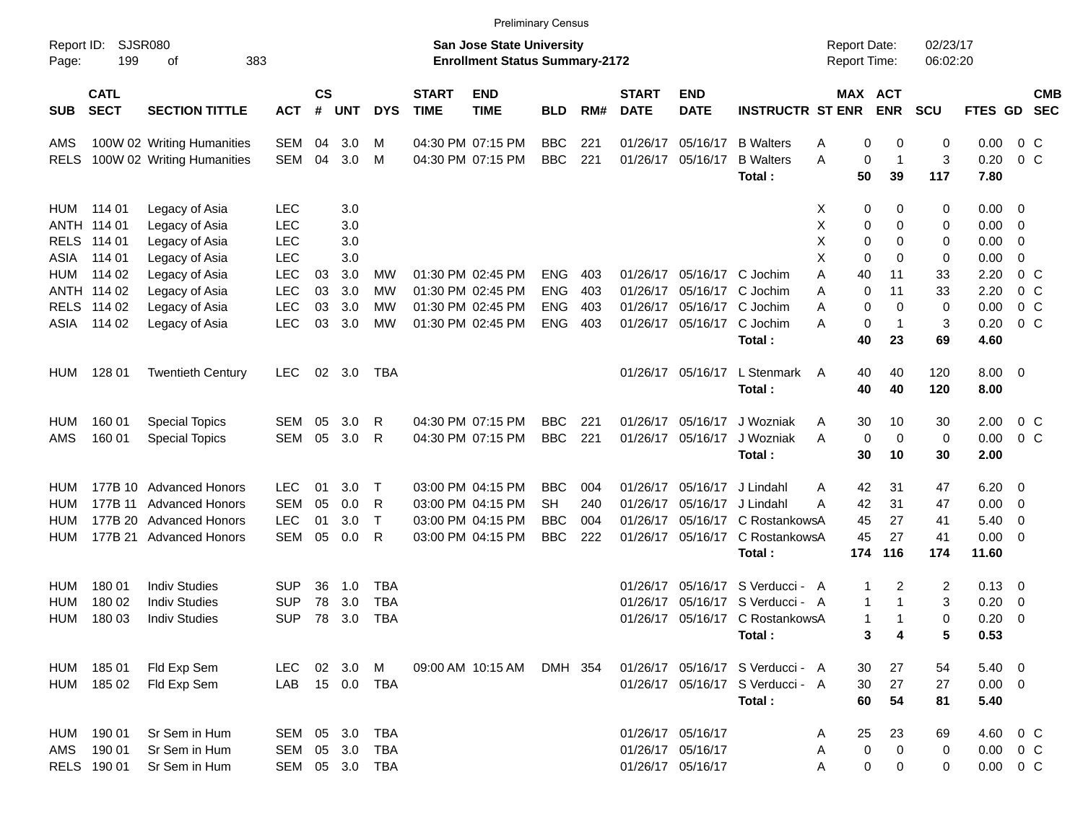|                     |                            |                            |            |                |            |                |                             | <b>Preliminary Census</b>                                                 |            |     |                             |                           |                                  |                                     |                       |                      |                |                          |                          |
|---------------------|----------------------------|----------------------------|------------|----------------|------------|----------------|-----------------------------|---------------------------------------------------------------------------|------------|-----|-----------------------------|---------------------------|----------------------------------|-------------------------------------|-----------------------|----------------------|----------------|--------------------------|--------------------------|
| Report ID:<br>Page: | 199                        | SJSR080<br>383<br>οf       |            |                |            |                |                             | <b>San Jose State University</b><br><b>Enrollment Status Summary-2172</b> |            |     |                             |                           |                                  | <b>Report Date:</b><br>Report Time: |                       | 02/23/17<br>06:02:20 |                |                          |                          |
| <b>SUB</b>          | <b>CATL</b><br><b>SECT</b> | <b>SECTION TITTLE</b>      | <b>ACT</b> | <b>CS</b><br># | <b>UNT</b> | <b>DYS</b>     | <b>START</b><br><b>TIME</b> | <b>END</b><br><b>TIME</b>                                                 | <b>BLD</b> | RM# | <b>START</b><br><b>DATE</b> | <b>END</b><br><b>DATE</b> | <b>INSTRUCTR ST ENR</b>          |                                     | MAX ACT<br><b>ENR</b> | <b>SCU</b>           | <b>FTES GD</b> |                          | <b>CMB</b><br><b>SEC</b> |
| AMS                 |                            | 100W 02 Writing Humanities | SEM        | 04             | 3.0        | м              |                             | 04:30 PM 07:15 PM                                                         | <b>BBC</b> | 221 | 01/26/17                    | 05/16/17                  | <b>B</b> Walters                 | 0<br>Α                              | 0                     | 0                    | 0.00           | 0 <sup>o</sup>           |                          |
| RELS                |                            | 100W 02 Writing Humanities | SEM        | 04             | 3.0        | м              |                             | 04:30 PM 07:15 PM                                                         | <b>BBC</b> | 221 | 01/26/17                    | 05/16/17                  | <b>B</b> Walters                 | A<br>0                              | $\mathbf{1}$          | 3                    | 0.20           | $0\,$ C                  |                          |
|                     |                            |                            |            |                |            |                |                             |                                                                           |            |     |                             |                           | Total:                           | 50                                  | 39                    | 117                  | 7.80           |                          |                          |
| HUM                 | 114 01                     | Legacy of Asia             | <b>LEC</b> |                | 3.0        |                |                             |                                                                           |            |     |                             |                           |                                  | 0<br>X                              | 0                     | 0                    | $0.00 \t 0$    |                          |                          |
|                     | ANTH 114 01                | Legacy of Asia             | <b>LEC</b> |                | 3.0        |                |                             |                                                                           |            |     |                             |                           |                                  | X<br>0                              | 0                     | 0                    | 0.00           | $\overline{\phantom{0}}$ |                          |
| <b>RELS</b>         | 114 01                     | Legacy of Asia             | <b>LEC</b> |                | 3.0        |                |                             |                                                                           |            |     |                             |                           |                                  | X<br>0                              | 0                     | 0                    | 0.00           | - 0                      |                          |
| ASIA                | 114 01                     | Legacy of Asia             | <b>LEC</b> |                | 3.0        |                |                             |                                                                           |            |     |                             |                           |                                  | X<br>0                              | 0                     | 0                    | 0.00           | 0                        |                          |
| HUM                 | 114 02                     | Legacy of Asia             | <b>LEC</b> | 03             | 3.0        | МW             |                             | 01:30 PM 02:45 PM                                                         | <b>ENG</b> | 403 |                             |                           | 01/26/17 05/16/17 C Jochim       | Α<br>40                             | 11                    | 33                   | 2.20           | 0 <sup>o</sup>           |                          |
|                     | ANTH 114 02                | Legacy of Asia             | <b>LEC</b> | 03             | 3.0        | MW             |                             | 01:30 PM 02:45 PM                                                         | <b>ENG</b> | 403 | 01/26/17                    |                           | 05/16/17 C Jochim                | 0<br>Α                              | 11                    | 33                   | 2.20           | 0 <sup>o</sup>           |                          |
|                     | RELS 114 02                | Legacy of Asia             | <b>LEC</b> | 03             | 3.0        | MW             |                             | 01:30 PM 02:45 PM                                                         | <b>ENG</b> | 403 | 01/26/17                    |                           | 05/16/17 C Jochim                | 0<br>Α                              | 0                     | 0                    | 0.00           | $0\,$ C                  |                          |
| ASIA                | 114 02                     | Legacy of Asia             | <b>LEC</b> | 03             | 3.0        | <b>MW</b>      |                             | 01:30 PM 02:45 PM                                                         | <b>ENG</b> | 403 |                             |                           | 01/26/17 05/16/17 C Jochim       | 0<br>Α                              | $\mathbf 1$           | 3                    | 0.20           | 0 <sup>o</sup>           |                          |
|                     |                            |                            |            |                |            |                |                             |                                                                           |            |     |                             |                           | Total:                           | 40                                  | 23                    | 69                   | 4.60           |                          |                          |
| <b>HUM</b>          | 128 01                     | <b>Twentieth Century</b>   | <b>LEC</b> | 02             | 3.0        | TBA            |                             |                                                                           |            |     |                             | 01/26/17 05/16/17         | L Stenmark                       | 40<br>A                             | 40                    | 120                  | $8.00 \t 0$    |                          |                          |
|                     |                            |                            |            |                |            |                |                             |                                                                           |            |     |                             |                           | Total:                           | 40                                  | 40                    | 120                  | 8.00           |                          |                          |
| HUM                 | 160 01                     | <b>Special Topics</b>      | SEM        | 05             | 3.0        | R              |                             | 04:30 PM 07:15 PM                                                         | <b>BBC</b> | 221 | 01/26/17                    | 05/16/17                  | J Wozniak                        | 30<br>A                             | 10                    | 30                   | 2.00           | $0\,$ C                  |                          |
| AMS                 | 160 01                     | <b>Special Topics</b>      | SEM        | 05             | 3.0        | R              |                             | 04:30 PM 07:15 PM                                                         | <b>BBC</b> | 221 |                             | 01/26/17 05/16/17         | J Wozniak                        | 0<br>A                              | 0                     | 0                    | 0.00           | 0 <sup>o</sup>           |                          |
|                     |                            |                            |            |                |            |                |                             |                                                                           |            |     |                             |                           | Total:                           | 30                                  | 10                    | 30                   | 2.00           |                          |                          |
| HUM                 |                            | 177B 10 Advanced Honors    | LEC.       | 01             | 3.0        | Т              |                             | 03:00 PM 04:15 PM                                                         | <b>BBC</b> | 004 | 01/26/17                    | 05/16/17                  | J Lindahl                        | 42<br>Α                             | 31                    | 47                   | 6.20           | $\overline{\phantom{0}}$ |                          |
| HUM                 |                            | 177B 11 Advanced Honors    | <b>SEM</b> | 05             | 0.0        | R              |                             | 03:00 PM 04:15 PM                                                         | SН         | 240 | 01/26/17                    |                           | 05/16/17 J Lindahl               | 42<br>А                             | 31                    | 47                   | 0.00           | $\overline{\phantom{0}}$ |                          |
| <b>HUM</b>          |                            | 177B 20 Advanced Honors    | <b>LEC</b> | 01             | 3.0        | $\mathsf T$    |                             | 03:00 PM 04:15 PM                                                         | <b>BBC</b> | 004 | 01/26/17                    |                           | 05/16/17 C RostankowsA           | 45                                  | 27                    | 41                   | 5.40           | $\overline{\mathbf{0}}$  |                          |
| HUM                 |                            | 177B 21 Advanced Honors    | <b>SEM</b> | 05             | 0.0        | R              |                             | 03:00 PM 04:15 PM                                                         | <b>BBC</b> | 222 |                             |                           | 01/26/17 05/16/17 C RostankowsA  | 45                                  | 27                    | 41                   | 0.00           | $\overline{\phantom{0}}$ |                          |
|                     |                            |                            |            |                |            |                |                             |                                                                           |            |     |                             |                           | Total:                           | 174                                 | 116                   | 174                  | 11.60          |                          |                          |
| HUM                 | 180 01                     | <b>Indiv Studies</b>       | SUP        | 36             | 1.0        | TBA            |                             |                                                                           |            |     | 01/26/17                    |                           | 05/16/17 S Verducci - A          | 1                                   | 2                     | 2                    | $0.13 \quad 0$ |                          |                          |
| <b>HUM</b>          | 180 02                     | <b>Indiv Studies</b>       | SUP        | 78             | 3.0        | <b>TBA</b>     |                             |                                                                           |            |     | 01/26/17                    |                           | 05/16/17 S Verducci - A          | 1                                   | 1                     | 3                    | 0.20           | $\overline{\mathbf{0}}$  |                          |
| HUM                 | 180 03                     | <b>Indiv Studies</b>       | SUP        | 78             | 3.0        | <b>TBA</b>     |                             |                                                                           |            |     |                             |                           | 01/26/17 05/16/17 C RostankowsA  | 1                                   | 1                     | 0                    | 0.20           | - 0                      |                          |
|                     |                            |                            |            |                |            |                |                             |                                                                           |            |     |                             |                           | Total:                           |                                     | 3<br>4                | 5                    | 0.53           |                          |                          |
| HUM                 | 185 01                     | Fld Exp Sem                | <b>LEC</b> |                | 02 3.0 M   |                |                             | 09:00 AM 10:15 AM                                                         | DMH 354    |     |                             |                           | 01/26/17 05/16/17 S Verducci - A | 30                                  | 27                    | 54                   | $5.40 \ 0$     |                          |                          |
| HUM                 | 185 02                     | Fld Exp Sem                | LAB        |                |            | 15  0.0  TBA   |                             |                                                                           |            |     |                             |                           | 01/26/17 05/16/17 S Verducci - A | 30                                  | 27                    | 27                   | $0.00 \t 0$    |                          |                          |
|                     |                            |                            |            |                |            |                |                             |                                                                           |            |     |                             |                           | Total:                           | 60                                  | 54                    | 81                   | 5.40           |                          |                          |
| HUM                 | 190 01                     | Sr Sem in Hum              | SEM 05 3.0 |                |            | <b>TBA</b>     |                             |                                                                           |            |     |                             | 01/26/17 05/16/17         |                                  | 25<br>A                             | 23                    | 69                   | 4.60 0 C       |                          |                          |
| AMS                 | 190 01                     | Sr Sem in Hum              | SEM 05 3.0 |                |            | TBA            |                             |                                                                           |            |     |                             | 01/26/17 05/16/17         |                                  | 0<br>A                              | 0                     | 0                    | $0.00 \t 0 C$  |                          |                          |
|                     | RELS 190 01                | Sr Sem in Hum              |            |                |            | SEM 05 3.0 TBA |                             |                                                                           |            |     |                             | 01/26/17 05/16/17         |                                  | 0<br>Α                              | 0                     | 0                    | $0.00 \t 0 C$  |                          |                          |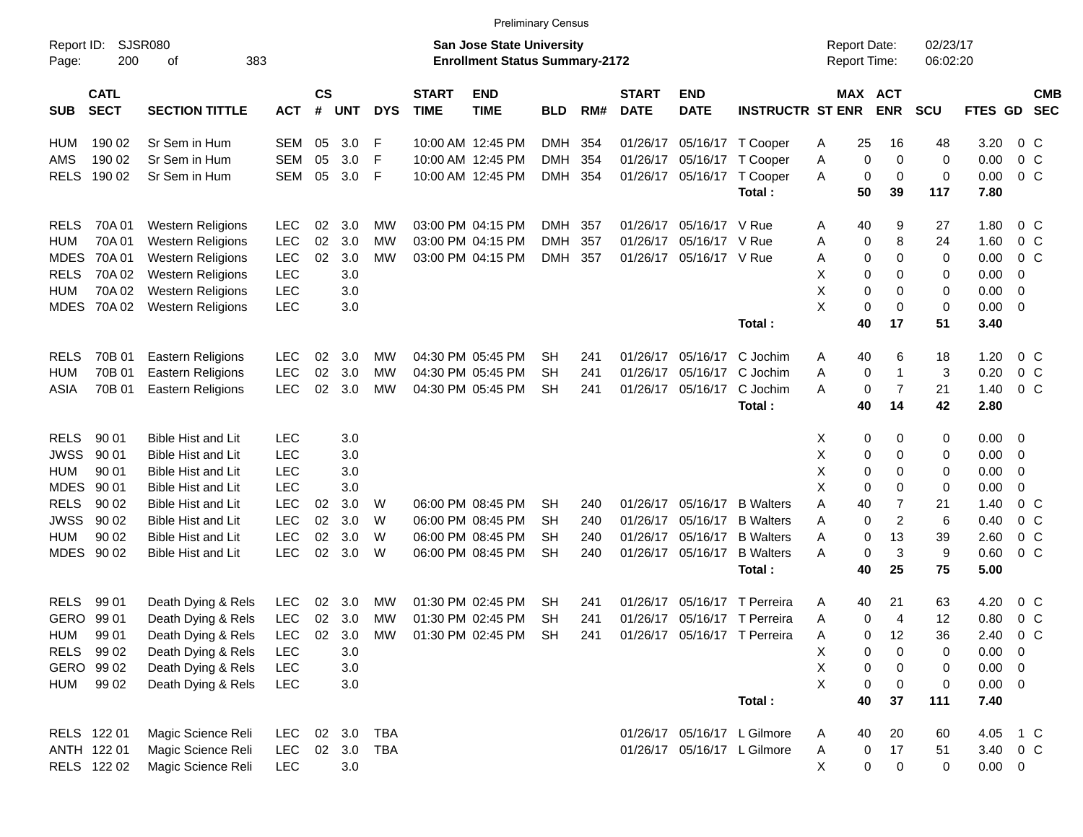|                     |                            |                             |            |                |            |            |                             | <b>Preliminary Census</b>                                                 |            |     |                             |                           |                              |                                     |                       |                      |                |                          |                          |
|---------------------|----------------------------|-----------------------------|------------|----------------|------------|------------|-----------------------------|---------------------------------------------------------------------------|------------|-----|-----------------------------|---------------------------|------------------------------|-------------------------------------|-----------------------|----------------------|----------------|--------------------------|--------------------------|
| Report ID:<br>Page: | 200                        | <b>SJSR080</b><br>383<br>оf |            |                |            |            |                             | <b>San Jose State University</b><br><b>Enrollment Status Summary-2172</b> |            |     |                             |                           |                              | <b>Report Date:</b><br>Report Time: |                       | 02/23/17<br>06:02:20 |                |                          |                          |
| <b>SUB</b>          | <b>CATL</b><br><b>SECT</b> | <b>SECTION TITTLE</b>       | <b>ACT</b> | <b>CS</b><br># | <b>UNT</b> | <b>DYS</b> | <b>START</b><br><b>TIME</b> | <b>END</b><br><b>TIME</b>                                                 | <b>BLD</b> | RM# | <b>START</b><br><b>DATE</b> | <b>END</b><br><b>DATE</b> | <b>INSTRUCTR ST ENR</b>      |                                     | MAX ACT<br><b>ENR</b> | <b>SCU</b>           | <b>FTES GD</b> |                          | <b>CMB</b><br><b>SEC</b> |
| HUM                 | 190 02                     | Sr Sem in Hum               | SEM        | 05             | 3.0        | F          |                             | 10:00 AM 12:45 PM                                                         | <b>DMH</b> | 354 | 01/26/17                    |                           | 05/16/17 T Cooper            | 25<br>Α                             | 16                    | 48                   | 3.20           | 0 C                      |                          |
| AMS                 | 190 02                     | Sr Sem in Hum               | <b>SEM</b> | 05             | 3.0        | -F         |                             | 10:00 AM 12:45 PM                                                         | <b>DMH</b> | 354 | 01/26/17                    |                           | 05/16/17 T Cooper            | 0<br>Α                              | 0                     | 0                    | 0.00           | 0 <sup>o</sup>           |                          |
| <b>RELS</b>         | 190 02                     | Sr Sem in Hum               | <b>SEM</b> | 05             | 3.0        | -F         |                             | 10:00 AM 12:45 PM                                                         | DMH        | 354 | 01/26/17                    |                           | 05/16/17 T Cooper            | 0<br>Α                              | 0                     | 0                    | 0.00           | 0 <sup>o</sup>           |                          |
|                     |                            |                             |            |                |            |            |                             |                                                                           |            |     |                             |                           | Total:                       | 50                                  | 39                    | 117                  | 7.80           |                          |                          |
| <b>RELS</b>         | 70A 01                     | <b>Western Religions</b>    | <b>LEC</b> | 02             | 3.0        | МW         |                             | 03:00 PM 04:15 PM                                                         | <b>DMH</b> | 357 | 01/26/17                    | 05/16/17 V Rue            |                              | 40<br>Α                             | 9                     | 27                   | 1.80           | $0\,$ C                  |                          |
| <b>HUM</b>          | 70A01                      | <b>Western Religions</b>    | <b>LEC</b> | 02             | 3.0        | МW         |                             | 03:00 PM 04:15 PM                                                         | <b>DMH</b> | 357 | 01/26/17                    | 05/16/17 V Rue            |                              | Α<br>0                              | 8                     | 24                   | 1.60           | 0 <sup>o</sup>           |                          |
| <b>MDES</b>         | 70A 01                     | <b>Western Religions</b>    | <b>LEC</b> | 02             | 3.0        | МW         |                             | 03:00 PM 04:15 PM                                                         | <b>DMH</b> | 357 | 01/26/17                    | 05/16/17 V Rue            |                              | 0<br>Α                              | 0                     | 0                    | 0.00           | $0\,$ C                  |                          |
| <b>RELS</b>         | 70A 02                     | <b>Western Religions</b>    | <b>LEC</b> |                | 3.0        |            |                             |                                                                           |            |     |                             |                           |                              | Χ<br>0                              | 0                     | 0                    | 0.00           | -0                       |                          |
| <b>HUM</b>          | 70A 02                     | <b>Western Religions</b>    | <b>LEC</b> |                | 3.0        |            |                             |                                                                           |            |     |                             |                           |                              | X                                   | 0<br>0                | 0                    | 0.00           | - 0                      |                          |
| <b>MDES</b>         | 70A 02                     | Western Religions           | <b>LEC</b> |                | 3.0        |            |                             |                                                                           |            |     |                             |                           |                              | X<br>0                              | 0                     | 0                    | 0.00           | $\overline{\phantom{0}}$ |                          |
|                     |                            |                             |            |                |            |            |                             |                                                                           |            |     |                             |                           | Total:                       | 40                                  | 17                    | 51                   | 3.40           |                          |                          |
| <b>RELS</b>         | 70B 01                     | <b>Eastern Religions</b>    | <b>LEC</b> | 02             | 3.0        | МW         |                             | 04:30 PM 05:45 PM                                                         | <b>SH</b>  | 241 | 01/26/17                    | 05/16/17                  | C Jochim                     | 40<br>Α                             | 6                     | 18                   | 1.20           | 0 <sup>o</sup>           |                          |
| <b>HUM</b>          | 70B 01                     | <b>Eastern Religions</b>    | <b>LEC</b> | 02             | 3.0        | МW         |                             | 04:30 PM 05:45 PM                                                         | SН         | 241 | 01/26/17                    |                           | 05/16/17 C Jochim            | Α                                   | 0<br>1                | 3                    | 0.20           | 0 <sup>o</sup>           |                          |
| ASIA                | 70B 01                     | <b>Eastern Religions</b>    | LEC        | 02             | 3.0        | МW         |                             | 04:30 PM 05:45 PM                                                         | <b>SH</b>  | 241 |                             | 01/26/17 05/16/17         | C Jochim                     | Α                                   | $\overline{7}$<br>0   | 21                   | 1.40           | 0 <sup>o</sup>           |                          |
|                     |                            |                             |            |                |            |            |                             |                                                                           |            |     |                             |                           | Total:                       | 40                                  | 14                    | 42                   | 2.80           |                          |                          |
| <b>RELS</b>         | 90 01                      | Bible Hist and Lit          | <b>LEC</b> |                | 3.0        |            |                             |                                                                           |            |     |                             |                           |                              | X                                   | 0<br>0                | 0                    | $0.00 \t 0$    |                          |                          |
| <b>JWSS</b>         | 90 01                      | Bible Hist and Lit          | <b>LEC</b> |                | 3.0        |            |                             |                                                                           |            |     |                             |                           |                              | Χ<br>0                              | 0                     | 0                    | 0.00           | $\overline{\mathbf{0}}$  |                          |
| <b>HUM</b>          | 90 01                      | <b>Bible Hist and Lit</b>   | <b>LEC</b> |                | 3.0        |            |                             |                                                                           |            |     |                             |                           |                              | X<br>0                              | 0                     | 0                    | 0.00           | 0                        |                          |
| <b>MDES</b>         | 90 01                      | <b>Bible Hist and Lit</b>   | <b>LEC</b> |                | 3.0        |            |                             |                                                                           |            |     |                             |                           |                              | Χ<br>0                              | 0                     | 0                    | 0.00           | 0                        |                          |
| <b>RELS</b>         | 90 02                      | <b>Bible Hist and Lit</b>   | <b>LEC</b> | 02             | 3.0        | W          |                             | 06:00 PM 08:45 PM                                                         | <b>SH</b>  | 240 | 01/26/17                    |                           | 05/16/17 B Walters           | Α<br>40                             | $\overline{7}$        | 21                   | 1.40           | 0 <sup>o</sup>           |                          |
| <b>JWSS</b>         | 90 02                      | <b>Bible Hist and Lit</b>   | LEC        | 02             | 3.0        | W          |                             | 06:00 PM 08:45 PM                                                         | SН         | 240 | 01/26/17                    |                           | 05/16/17 B Walters           | Α                                   | $\overline{c}$<br>0   | 6                    | 0.40           | 0 <sup>o</sup>           |                          |
| <b>HUM</b>          | 90 02                      | <b>Bible Hist and Lit</b>   | <b>LEC</b> | 02             | 3.0        | W          |                             | 06:00 PM 08:45 PM                                                         | SН         | 240 | 01/26/17                    |                           | 05/16/17 B Walters           | 0<br>Α                              | 13                    | 39                   | 2.60           | 0 <sup>o</sup>           |                          |
| <b>MDES</b>         | 90 02                      | <b>Bible Hist and Lit</b>   | LEC        | 02             | 3.0        | W          |                             | 06:00 PM 08:45 PM                                                         | <b>SH</b>  | 240 |                             | 01/26/17 05/16/17         | <b>B</b> Walters             | 0<br>Α                              | 3                     | 9                    | 0.60           | 0 <sup>o</sup>           |                          |
|                     |                            |                             |            |                |            |            |                             |                                                                           |            |     |                             |                           | Total:                       | 40                                  | 25                    | 75                   | 5.00           |                          |                          |
| <b>RELS</b>         | 99 01                      | Death Dying & Rels          | LEC        | 02             | 3.0        | МW         |                             | 01:30 PM 02:45 PM                                                         | <b>SH</b>  | 241 | 01/26/17                    |                           | 05/16/17 T Perreira          | 40<br>Α                             | 21                    | 63                   | 4.20           | 0 <sup>o</sup>           |                          |
| GERO                | 99 01                      | Death Dying & Rels          | <b>LEC</b> | 02             | 3.0        | MW         |                             | 01:30 PM 02:45 PM                                                         | <b>SH</b>  | 241 | 01/26/17                    |                           | 05/16/17 T Perreira          | 0<br>Α                              | 4                     | 12                   | 0.80           | 0 <sup>o</sup>           |                          |
| HUM                 | 99 01                      | Death Dying & Rels          | <b>LEC</b> | 02             | 3.0        | MW         |                             | 01:30 PM 02:45 PM SH                                                      |            | 241 |                             |                           | 01/26/17 05/16/17 T Perreira | Α                                   | 0<br>12               | 36                   | 2.40 0 C       |                          |                          |
| <b>RELS</b>         | 99 02                      | Death Dying & Rels          | <b>LEC</b> |                | 3.0        |            |                             |                                                                           |            |     |                             |                           |                              | Χ<br>0                              | 0                     | 0                    | $0.00 \t 0$    |                          |                          |
| GERO 99 02          |                            | Death Dying & Rels          | <b>LEC</b> |                | 3.0        |            |                             |                                                                           |            |     |                             |                           |                              | X                                   | 0<br>0                | 0                    | $0.00 \t 0$    |                          |                          |
| <b>HUM</b>          | 99 02                      | Death Dying & Rels          | LEC        |                | 3.0        |            |                             |                                                                           |            |     |                             |                           |                              | X<br>0                              | 0                     | 0                    | $0.00 \t 0$    |                          |                          |
|                     |                            |                             |            |                |            |            |                             |                                                                           |            |     |                             |                           | Total:                       | 40                                  | 37                    | 111                  | 7.40           |                          |                          |
| RELS 122 01         |                            | Magic Science Reli          | LEC        |                | 02 3.0     | <b>TBA</b> |                             |                                                                           |            |     |                             |                           | 01/26/17 05/16/17 L Gilmore  | 40<br>A                             | 20                    | 60                   | 4.05           | 1 C                      |                          |
| ANTH 122 01         |                            | Magic Science Reli          | LEC        |                | 02 3.0     | <b>TBA</b> |                             |                                                                           |            |     |                             |                           | 01/26/17 05/16/17 L Gilmore  | 0<br>Α                              | 17                    | 51                   | 3.40 0 C       |                          |                          |
| RELS 122 02         |                            | Magic Science Reli          | <b>LEC</b> |                | 3.0        |            |                             |                                                                           |            |     |                             |                           |                              | X<br>$\pmb{0}$                      | 0                     | $\mathbf 0$          | $0.00 \t 0$    |                          |                          |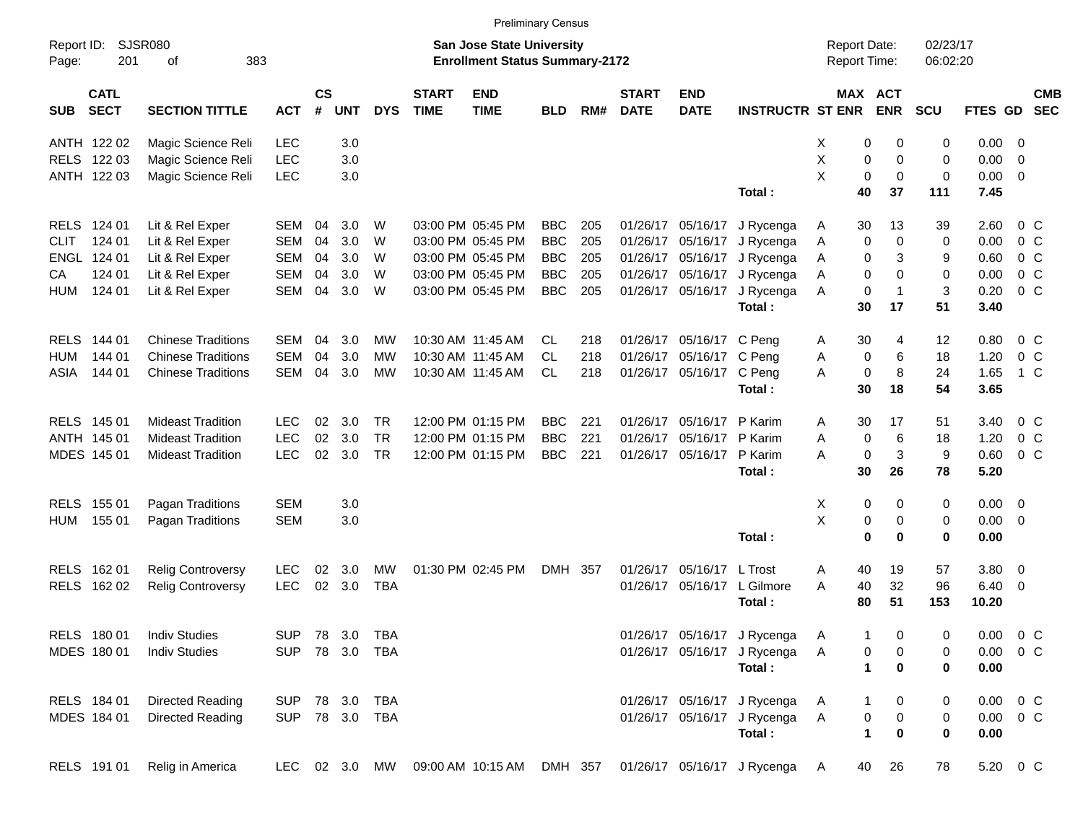|                     |                            |                           |            |                |            |                |                             |                                                                           | <b>Preliminary Census</b> |     |                             |                           |                                                                 |                                            |                             |                      |                |                         |            |
|---------------------|----------------------------|---------------------------|------------|----------------|------------|----------------|-----------------------------|---------------------------------------------------------------------------|---------------------------|-----|-----------------------------|---------------------------|-----------------------------------------------------------------|--------------------------------------------|-----------------------------|----------------------|----------------|-------------------------|------------|
| Report ID:<br>Page: | 201                        | SJSR080<br>383<br>οf      |            |                |            |                |                             | <b>San Jose State University</b><br><b>Enrollment Status Summary-2172</b> |                           |     |                             |                           |                                                                 | <b>Report Date:</b><br><b>Report Time:</b> |                             | 02/23/17<br>06:02:20 |                |                         |            |
| <b>SUB</b>          | <b>CATL</b><br><b>SECT</b> | <b>SECTION TITTLE</b>     | <b>ACT</b> | <b>CS</b><br># | <b>UNT</b> | <b>DYS</b>     | <b>START</b><br><b>TIME</b> | <b>END</b><br><b>TIME</b>                                                 | <b>BLD</b>                | RM# | <b>START</b><br><b>DATE</b> | <b>END</b><br><b>DATE</b> | <b>INSTRUCTR ST ENR</b>                                         |                                            | MAX ACT<br><b>ENR</b>       | <b>SCU</b>           | FTES GD SEC    |                         | <b>CMB</b> |
| ANTH 122 02         |                            | Magic Science Reli        | <b>LEC</b> |                | 3.0        |                |                             |                                                                           |                           |     |                             |                           |                                                                 | х                                          | 0<br>0                      | 0                    | $0.00 \t 0$    |                         |            |
| RELS 122 03         |                            | Magic Science Reli        | <b>LEC</b> |                | 3.0        |                |                             |                                                                           |                           |     |                             |                           |                                                                 | X                                          | 0<br>0                      | $\mathbf 0$          | 0.00           | $\overline{\mathbf{0}}$ |            |
| ANTH 122 03         |                            | Magic Science Reli        | <b>LEC</b> |                | 3.0        |                |                             |                                                                           |                           |     |                             |                           |                                                                 | X<br>0                                     | 0                           | $\mathbf 0$          | $0.00 \t 0$    |                         |            |
|                     |                            |                           |            |                |            |                |                             |                                                                           |                           |     |                             |                           | Total:                                                          | 40                                         | 37                          | 111                  | 7.45           |                         |            |
| RELS 124 01         |                            | Lit & Rel Exper           | SEM        | 04             | 3.0        | W              |                             | 03:00 PM 05:45 PM                                                         | <b>BBC</b>                | 205 | 01/26/17                    |                           | 05/16/17 J Rycenga                                              | 30<br>Α                                    | 13                          | 39                   | 2.60           | $0\,$ C                 |            |
| <b>CLIT</b>         | 124 01                     | Lit & Rel Exper           | <b>SEM</b> | 04             | 3.0        | W              |                             | 03:00 PM 05:45 PM                                                         | <b>BBC</b>                | 205 | 01/26/17                    | 05/16/17                  | J Rycenga                                                       | A                                          | 0<br>0                      | 0                    | 0.00           | $0\,$ C                 |            |
| ENGL 124 01         |                            | Lit & Rel Exper           | <b>SEM</b> | 04             | 3.0        | W              |                             | 03:00 PM 05:45 PM                                                         | <b>BBC</b>                | 205 | 01/26/17                    |                           | 05/16/17 J Rycenga                                              | A                                          | 3<br>0                      | 9                    | 0.60           | $0\,$ C                 |            |
| CA                  | 124 01                     | Lit & Rel Exper           | <b>SEM</b> | 04             | 3.0        | W              |                             | 03:00 PM 05:45 PM                                                         | <b>BBC</b>                | 205 | 01/26/17                    | 05/16/17                  | J Rycenga                                                       | Α                                          | 0<br>$\Omega$               | 0                    | 0.00           | $0\,$ C                 |            |
| <b>HUM</b>          | 124 01                     | Lit & Rel Exper           | <b>SEM</b> | 04             | 3.0        | W              |                             | 03:00 PM 05:45 PM                                                         | <b>BBC</b>                | 205 |                             | 01/26/17 05/16/17         | J Rycenga                                                       | Α                                          | $\mathbf 0$<br>$\mathbf 1$  | 3                    | 0.20           | $0\,$ C                 |            |
|                     |                            |                           |            |                |            |                |                             |                                                                           |                           |     |                             |                           | Total:                                                          | 30                                         | 17                          | 51                   | 3.40           |                         |            |
| <b>RELS</b>         | 144 01                     | <b>Chinese Traditions</b> | SEM        | 04             | 3.0        | МW             |                             | 10:30 AM 11:45 AM                                                         | CL.                       | 218 | 01/26/17                    | 05/16/17 C Peng           |                                                                 | 30<br>A                                    | 4                           | 12                   | 0.80           | $0\,$ C                 |            |
| HUM                 | 144 01                     | <b>Chinese Traditions</b> | <b>SEM</b> | 04             | 3.0        | МW             |                             | 10:30 AM 11:45 AM                                                         | <b>CL</b>                 | 218 | 01/26/17                    | 05/16/17 C Peng           |                                                                 | Α                                          | 6<br>0                      | 18                   | 1.20           | $0\,C$                  |            |
| ASIA                | 144 01                     | <b>Chinese Traditions</b> | <b>SEM</b> | 04             | 3.0        | MW             |                             | 10:30 AM 11:45 AM                                                         | <b>CL</b>                 | 218 |                             | 01/26/17 05/16/17 C Peng  |                                                                 | A                                          | 8<br>$\mathbf 0$            | 24                   | 1.65           | $1\,C$                  |            |
|                     |                            |                           |            |                |            |                |                             |                                                                           |                           |     |                             |                           | Total:                                                          | 30                                         | 18                          | 54                   | 3.65           |                         |            |
| RELS 145 01         |                            | <b>Mideast Tradition</b>  | <b>LEC</b> | 02             | 3.0        | <b>TR</b>      |                             | 12:00 PM 01:15 PM                                                         | <b>BBC</b>                | 221 | 01/26/17                    | 05/16/17 P Karim          |                                                                 | 30<br>A                                    | 17                          | 51                   | 3.40           | $0\,$ C                 |            |
| ANTH 145 01         |                            | <b>Mideast Tradition</b>  | <b>LEC</b> | 02             | 3.0        | <b>TR</b>      |                             | 12:00 PM 01:15 PM                                                         | <b>BBC</b>                | 221 | 01/26/17                    | 05/16/17 P Karim          |                                                                 | A                                          | 0<br>6                      | 18                   | 1.20           | $0\,$ C                 |            |
| MDES 145 01         |                            | <b>Mideast Tradition</b>  | <b>LEC</b> | 02             | 3.0        | <b>TR</b>      |                             | 12:00 PM 01:15 PM                                                         | <b>BBC</b>                | 221 |                             | 01/26/17 05/16/17 P Karim |                                                                 | Α                                          | $\mathbf{3}$<br>$\mathbf 0$ | 9                    | 0.60           | 0 <sup>o</sup>          |            |
|                     |                            |                           |            |                |            |                |                             |                                                                           |                           |     |                             |                           | Total:                                                          | 30                                         | 26                          | 78                   | 5.20           |                         |            |
| RELS 155 01         |                            | Pagan Traditions          | <b>SEM</b> |                | 3.0        |                |                             |                                                                           |                           |     |                             |                           |                                                                 | Х                                          | 0<br>0                      | 0                    | $0.00 \t 0$    |                         |            |
| <b>HUM</b>          | 155 01                     | Pagan Traditions          | <b>SEM</b> |                | 3.0        |                |                             |                                                                           |                           |     |                             |                           |                                                                 | X                                          | 0<br>0                      | 0                    | $0.00 \t 0$    |                         |            |
|                     |                            |                           |            |                |            |                |                             |                                                                           |                           |     |                             |                           | Total:                                                          | $\bf{0}$                                   | $\bf{0}$                    | 0                    | 0.00           |                         |            |
| RELS 162 01         |                            | <b>Relig Controversy</b>  | LEC        | 02             | 3.0        | MW             |                             | 01:30 PM 02:45 PM                                                         | DMH 357                   |     | 01/26/17                    | 05/16/17 L Trost          |                                                                 | 40<br>Α                                    | 19                          | 57                   | 3.80 0         |                         |            |
| RELS 162 02         |                            | <b>Relig Controversy</b>  | <b>LEC</b> | 02             | 3.0        | <b>TBA</b>     |                             |                                                                           |                           |     | 01/26/17                    |                           | 05/16/17 L Gilmore                                              | 40<br>A                                    | 32                          | 96                   | $6.40 \quad 0$ |                         |            |
|                     |                            |                           |            |                |            |                |                             |                                                                           |                           |     |                             |                           | Total:                                                          | 80                                         | 51                          | 153                  | 10.20          |                         |            |
| RELS 180 01         |                            | <b>Indiv Studies</b>      |            |                |            | SUP 78 3.0 TBA |                             |                                                                           |                           |     |                             |                           | 01/26/17 05/16/17 J Rycenga                                     | A                                          | $\mathbf{1}$<br>0           | 0                    | $0.00 \t 0 C$  |                         |            |
| MDES 180 01         |                            | <b>Indiv Studies</b>      |            |                |            | SUP 78 3.0 TBA |                             |                                                                           |                           |     |                             |                           | 01/26/17 05/16/17 J Rycenga                                     | Α                                          | 0<br>$\pmb{0}$              | 0                    | $0.00 \t 0 C$  |                         |            |
|                     |                            |                           |            |                |            |                |                             |                                                                           |                           |     |                             |                           | Total:                                                          |                                            | 1<br>0                      | 0                    | 0.00           |                         |            |
| RELS 184 01         |                            | <b>Directed Reading</b>   | SUP        |                |            | 78 3.0 TBA     |                             |                                                                           |                           |     |                             |                           | 01/26/17 05/16/17 J Rycenga                                     | A                                          | 1<br>0                      | 0                    | $0.00 \t 0 C$  |                         |            |
| MDES 184 01         |                            | <b>Directed Reading</b>   |            |                |            | SUP 78 3.0 TBA |                             |                                                                           |                           |     |                             |                           | 01/26/17 05/16/17 J Rycenga                                     | Α                                          | 0<br>$\pmb{0}$              | 0                    | $0.00 \t 0 C$  |                         |            |
|                     |                            |                           |            |                |            |                |                             |                                                                           |                           |     |                             |                           | Total:                                                          | $\mathbf{1}$                               | 0                           | 0                    | 0.00           |                         |            |
| RELS 191 01         |                            | Relig in America          | LEC        |                |            |                |                             |                                                                           |                           |     |                             |                           | 02 3.0 MW 09:00 AM 10:15 AM DMH 357 01/26/17 05/16/17 J Rycenga | 40<br>A                                    | 26                          | 78                   | 5.20 0 C       |                         |            |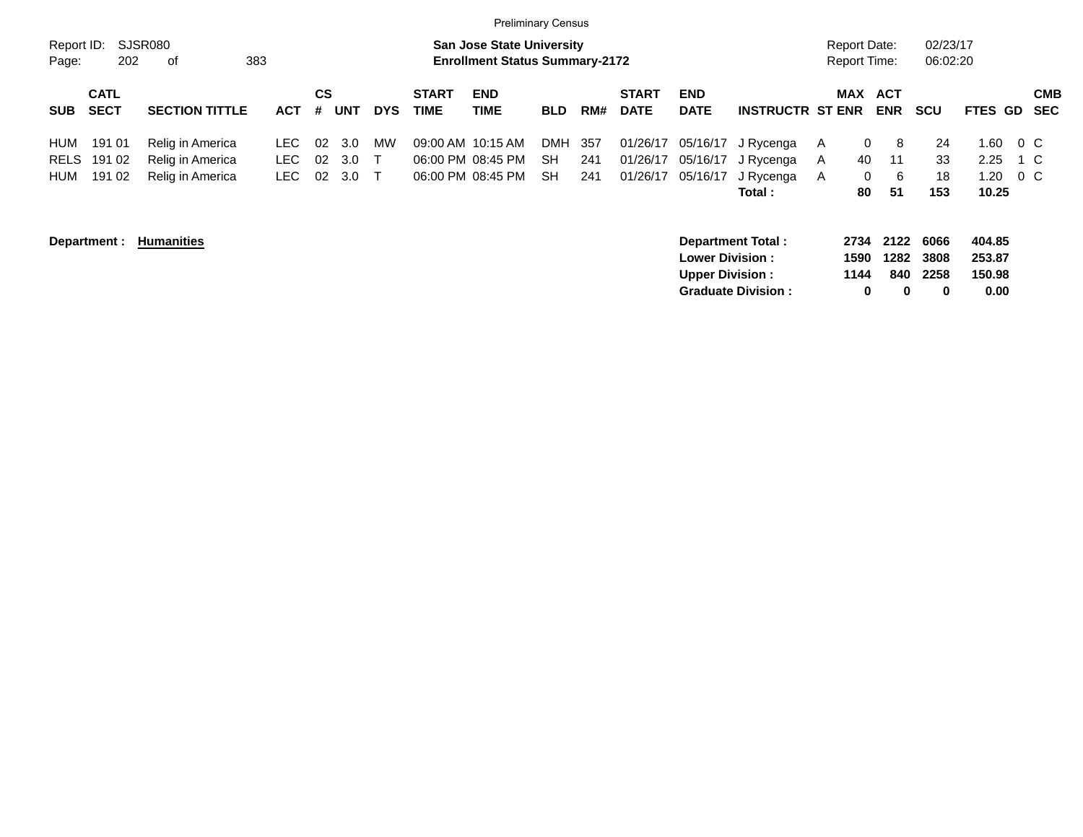|                                  |                            |                                                          |                      |                |                   |              |                             | <b>Preliminary Census</b>                                                 |                               |                   |                                  |                                                  |                                                       |                      |                                            |                           |                                    |                   |                          |
|----------------------------------|----------------------------|----------------------------------------------------------|----------------------|----------------|-------------------|--------------|-----------------------------|---------------------------------------------------------------------------|-------------------------------|-------------------|----------------------------------|--------------------------------------------------|-------------------------------------------------------|----------------------|--------------------------------------------|---------------------------|------------------------------------|-------------------|--------------------------|
| Report ID:<br>Page:              | 202                        | <b>SJSR080</b><br>0f                                     | 383                  |                |                   |              |                             | <b>San Jose State University</b><br><b>Enrollment Status Summary-2172</b> |                               |                   |                                  |                                                  |                                                       |                      | <b>Report Date:</b><br><b>Report Time:</b> | 02/23/17<br>06:02:20      |                                    |                   |                          |
| <b>SUB</b>                       | <b>CATL</b><br><b>SECT</b> | <b>SECTION TITTLE</b>                                    | <b>ACT</b>           | <b>CS</b><br># | <b>UNT</b>        | <b>DYS</b>   | <b>START</b><br><b>TIME</b> | <b>END</b><br><b>TIME</b>                                                 | <b>BLD</b>                    | RM#               | <b>START</b><br><b>DATE</b>      | <b>END</b><br><b>DATE</b>                        | <b>INSTRUCTR ST ENR</b>                               | <b>MAX</b>           | <b>ACT</b><br><b>ENR</b>                   | <b>SCU</b>                | FTES GD                            |                   | <b>CMB</b><br><b>SEC</b> |
| HUM<br><b>RELS</b><br><b>HUM</b> | 191 01<br>191 02<br>191 02 | Relig in America<br>Relig in America<br>Relig in America | LEC.<br>LEC.<br>LEC. | 02<br>02<br>02 | 3.0<br>3.0<br>3.0 | MW<br>$\top$ |                             | 09:00 AM 10:15 AM<br>06:00 PM 08:45 PM<br>06:00 PM 08:45 PM               | <b>DMH</b><br>SH<br><b>SH</b> | 357<br>241<br>241 | 01/26/17<br>01/26/17<br>01/26/17 | 05/16/17<br>05/16/17<br>05/16/17                 | J Rycenga<br>J Rycenga<br>J Rycenga<br>Total :        | A<br>A<br>A          | 0<br>8<br>11<br>40<br>0<br>- 6<br>51<br>80 | 24<br>33<br>18<br>153     | 1.60<br>2.25<br>1.20<br>10.25      | $0\,$ C<br>$0\,C$ | 1 C                      |
|                                  | Department :               | <b>Humanities</b>                                        |                      |                |                   |              |                             |                                                                           |                               |                   |                                  | <b>Lower Division:</b><br><b>Upper Division:</b> | <b>Department Total:</b><br><b>Graduate Division:</b> | 2734<br>1590<br>1144 | 2122<br>1282<br>840<br>0<br>0              | 6066<br>3808<br>2258<br>0 | 404.85<br>253.87<br>150.98<br>0.00 |                   |                          |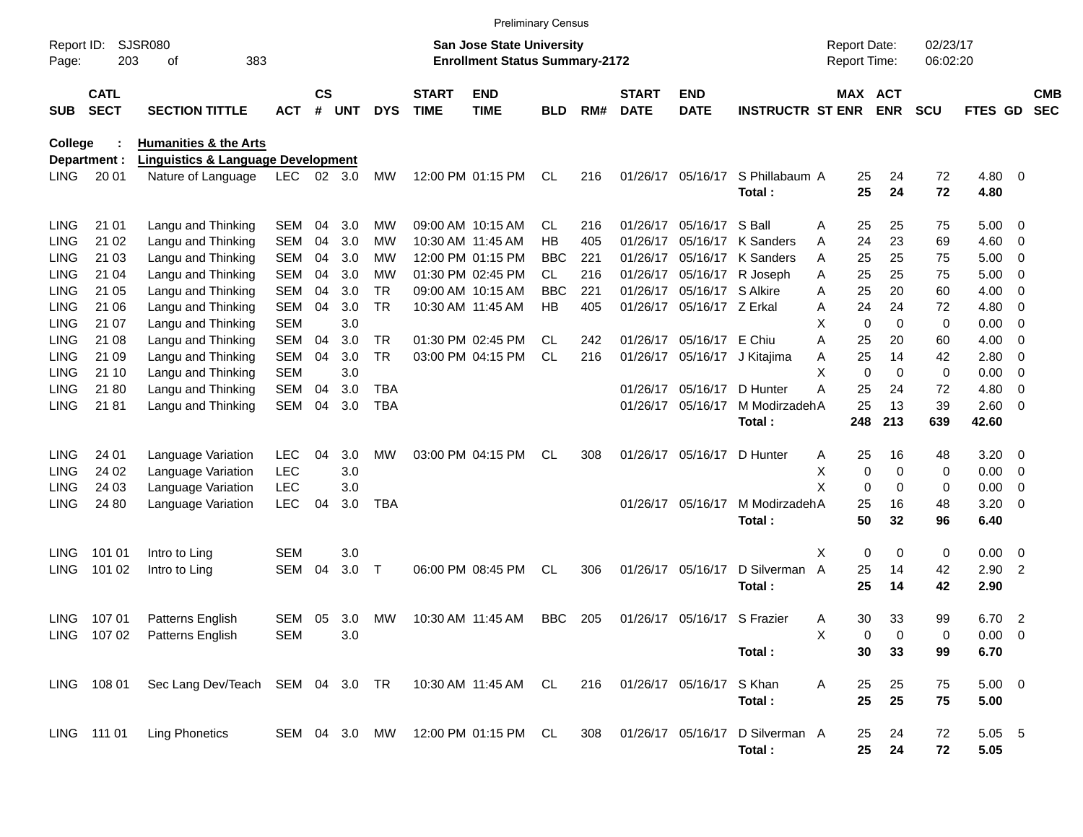|                     |                            |                                                       |            |                    |            |               |                             | <b>Preliminary Census</b>                                                 |            |     |                             |                             |                          |                                     |                            |                      |                  |                          |                          |
|---------------------|----------------------------|-------------------------------------------------------|------------|--------------------|------------|---------------|-----------------------------|---------------------------------------------------------------------------|------------|-----|-----------------------------|-----------------------------|--------------------------|-------------------------------------|----------------------------|----------------------|------------------|--------------------------|--------------------------|
| Report ID:<br>Page: | 203                        | <b>SJSR080</b><br>383<br>οf                           |            |                    |            |               |                             | <b>San Jose State University</b><br><b>Enrollment Status Summary-2172</b> |            |     |                             |                             |                          | <b>Report Date:</b><br>Report Time: |                            | 02/23/17<br>06:02:20 |                  |                          |                          |
| <b>SUB</b>          | <b>CATL</b><br><b>SECT</b> | <b>SECTION TITTLE</b>                                 | <b>ACT</b> | $\mathsf{cs}$<br># | <b>UNT</b> | <b>DYS</b>    | <b>START</b><br><b>TIME</b> | <b>END</b><br><b>TIME</b>                                                 | BLD        | RM# | <b>START</b><br><b>DATE</b> | <b>END</b><br><b>DATE</b>   | <b>INSTRUCTR ST ENR</b>  |                                     | MAX ACT<br><b>ENR</b>      | <b>SCU</b>           | <b>FTES GD</b>   |                          | <b>CMB</b><br><b>SEC</b> |
| College             |                            | <b>Humanities &amp; the Arts</b>                      |            |                    |            |               |                             |                                                                           |            |     |                             |                             |                          |                                     |                            |                      |                  |                          |                          |
|                     | Department :               | <b>Linguistics &amp; Language Development</b>         |            |                    |            |               |                             |                                                                           |            |     |                             |                             |                          |                                     |                            |                      |                  |                          |                          |
| <b>LING</b>         | 20 01                      | Nature of Language                                    | <b>LEC</b> |                    | 02 3.0     | <b>MW</b>     |                             | 12:00 PM 01:15 PM                                                         | CL         | 216 |                             | 01/26/17 05/16/17           | S Phillabaum A<br>Total: | 25<br>25                            | 24<br>24                   | 72<br>72             | $4.80$ 0<br>4.80 |                          |                          |
| <b>LING</b>         | 21 01                      | Langu and Thinking                                    | SEM        | 04                 | 3.0        | MW            |                             | 09:00 AM 10:15 AM                                                         | CL.        | 216 | 01/26/17                    | 05/16/17                    | S Ball                   | 25<br>Α                             | 25                         | 75                   | 5.00             | $\overline{\phantom{0}}$ |                          |
| <b>LING</b>         | 21 02                      | Langu and Thinking                                    | <b>SEM</b> | 04                 | 3.0        | МW            |                             | 10:30 AM 11:45 AM                                                         | HB         | 405 | 01/26/17                    | 05/16/17                    | K Sanders                | 24<br>Α                             | 23                         | 69                   | 4.60             | $\overline{\mathbf{0}}$  |                          |
| <b>LING</b>         | 21 03                      | Langu and Thinking                                    | <b>SEM</b> | 04                 | 3.0        | МW            |                             | 12:00 PM 01:15 PM                                                         | <b>BBC</b> | 221 | 01/26/17                    | 05/16/17                    | K Sanders                | 25<br>Α                             | 25                         | 75                   | 5.00             | $\overline{\phantom{0}}$ |                          |
| <b>LING</b>         | 21 04                      | Langu and Thinking                                    | <b>SEM</b> | 04                 | 3.0        | МW            |                             | 01:30 PM 02:45 PM                                                         | CL         | 216 | 01/26/17                    | 05/16/17                    | R Joseph                 | 25<br>A                             | 25                         | 75                   | 5.00             | $\overline{\mathbf{0}}$  |                          |
| <b>LING</b>         | 21 05                      | Langu and Thinking                                    | <b>SEM</b> | 04                 | 3.0        | <b>TR</b>     |                             | 09:00 AM 10:15 AM                                                         | <b>BBC</b> | 221 | 01/26/17                    | 05/16/17                    | S Alkire                 | 25<br>Α                             | 20                         | 60                   | 4.00             | 0                        |                          |
| <b>LING</b>         | 21 06                      | Langu and Thinking                                    | SEM        | 04                 | 3.0        | <b>TR</b>     |                             | 10:30 AM 11:45 AM                                                         | HB         | 405 |                             | 01/26/17 05/16/17 Z Erkal   |                          | 24<br>Α                             | 24                         | 72                   | 4.80             | 0                        |                          |
| <b>LING</b>         | 21 07                      | Langu and Thinking                                    | <b>SEM</b> |                    | 3.0        |               |                             |                                                                           |            |     |                             |                             |                          | X                                   | $\mathbf 0$<br>$\Omega$    | 0                    | 0.00             | $\overline{0}$           |                          |
| <b>LING</b>         | 21 08                      | Langu and Thinking                                    | <b>SEM</b> | 04                 | 3.0        | TR.           |                             | 01:30 PM 02:45 PM                                                         | CL         | 242 |                             | 01/26/17 05/16/17 E Chiu    |                          | 25<br>Α                             | 20                         | 60                   | 4.00             | 0                        |                          |
| <b>LING</b>         | 21 09                      | Langu and Thinking                                    | SEM        | 04                 | 3.0        | <b>TR</b>     |                             | 03:00 PM 04:15 PM                                                         | <b>CL</b>  | 216 |                             | 01/26/17 05/16/17           | J Kitajima               | 25<br>Α                             | 14                         | 42                   | 2.80             | $\overline{0}$           |                          |
| <b>LING</b>         | 21 10                      | Langu and Thinking                                    | <b>SEM</b> |                    | 3.0        |               |                             |                                                                           |            |     |                             |                             |                          | X                                   | $\mathbf 0$<br>$\mathbf 0$ | 0                    | 0.00             | $\overline{0}$           |                          |
| <b>LING</b>         | 2180                       | Langu and Thinking                                    | <b>SEM</b> | 04                 | 3.0        | <b>TBA</b>    |                             |                                                                           |            |     | 01/26/17                    | 05/16/17                    | D Hunter                 | 25<br>А                             | 24                         | 72                   | 4.80             | $\overline{0}$           |                          |
| <b>LING</b>         | 2181                       | Langu and Thinking                                    | SEM        | 04                 | 3.0        | <b>TBA</b>    |                             |                                                                           |            |     |                             | 01/26/17 05/16/17           | M ModirzadehA            | 25                                  | 13                         | 39                   | 2.60 0           |                          |                          |
|                     |                            |                                                       |            |                    |            |               |                             |                                                                           |            |     |                             |                             | Total:                   | 248                                 | 213                        | 639                  | 42.60            |                          |                          |
| <b>LING</b>         | 24 01                      | Language Variation                                    | <b>LEC</b> | 04                 | 3.0        | MW            |                             | 03:00 PM 04:15 PM                                                         | CL         | 308 |                             | 01/26/17 05/16/17           | D Hunter                 | 25<br>Α                             | 16                         | 48                   | 3.20             | $\overline{\phantom{0}}$ |                          |
| <b>LING</b>         | 24 02                      | Language Variation                                    | <b>LEC</b> |                    | 3.0        |               |                             |                                                                           |            |     |                             |                             |                          | х                                   | 0<br>$\mathbf 0$           | 0                    | 0.00             | $\overline{\phantom{0}}$ |                          |
| <b>LING</b>         | 24 03                      | Language Variation                                    | <b>LEC</b> |                    | 3.0        |               |                             |                                                                           |            |     |                             |                             |                          | X                                   | 0<br>$\mathbf 0$           | 0                    | 0.00             | 0                        |                          |
| <b>LING</b>         | 24 80                      | Language Variation                                    | <b>LEC</b> | 04                 | 3.0        | <b>TBA</b>    |                             |                                                                           |            |     |                             | 01/26/17 05/16/17           | M ModirzadehA            | 25                                  | 16                         | 48                   | 3.20             | $\overline{0}$           |                          |
|                     |                            |                                                       |            |                    |            |               |                             |                                                                           |            |     |                             |                             | Total:                   | 50                                  | 32                         | 96                   | 6.40             |                          |                          |
| <b>LING</b>         | 101 01                     | Intro to Ling                                         | <b>SEM</b> |                    | 3.0        |               |                             |                                                                           |            |     |                             |                             |                          | Χ                                   | 0<br>0                     | 0                    | $0.00 \t 0$      |                          |                          |
| <b>LING</b>         | 101 02                     | Intro to Ling                                         | SEM        | 04                 | 3.0        | $\mathsf T$   |                             | 06:00 PM 08:45 PM                                                         | CL         | 306 |                             | 01/26/17 05/16/17           | D Silverman              | 25<br>$\overline{A}$                | 14                         | 42                   | 2.90             | $\overline{2}$           |                          |
|                     |                            |                                                       |            |                    |            |               |                             |                                                                           |            |     |                             |                             | Total:                   | 25                                  | 14                         | 42                   | 2.90             |                          |                          |
|                     |                            |                                                       |            |                    |            |               |                             |                                                                           |            |     |                             |                             |                          |                                     |                            |                      |                  |                          |                          |
| <b>LING</b>         | 10701                      | Patterns English                                      | <b>SEM</b> | 05                 | 3.0        | <b>MW</b>     |                             | 10:30 AM 11:45 AM                                                         | <b>BBC</b> | 205 |                             | 01/26/17 05/16/17 S Frazier |                          | 30<br>Α                             | 33                         | 99                   | 6.70 2           |                          |                          |
|                     |                            | LING 107 02 Patterns English                          | SEM        |                    | 3.0        |               |                             |                                                                           |            |     |                             |                             |                          |                                     | 0<br>0                     | 0                    | 0.00 0           |                          |                          |
|                     |                            |                                                       |            |                    |            |               |                             |                                                                           |            |     |                             |                             | Total:                   | 30                                  | 33                         | 99                   | 6.70             |                          |                          |
|                     | LING 108 01                | Sec Lang Dev/Teach SEM 04 3.0 TR 10:30 AM 11:45 AM CL |            |                    |            |               |                             |                                                                           |            | 216 |                             | 01/26/17 05/16/17 S Khan    |                          | 25<br>Α                             | 25                         | 75                   | $5.00 \t 0$      |                          |                          |
|                     |                            |                                                       |            |                    |            |               |                             |                                                                           |            |     |                             |                             | Total:                   | 25                                  | 25                         | 75                   | 5.00             |                          |                          |
|                     |                            |                                                       |            |                    |            |               |                             |                                                                           |            |     |                             |                             |                          |                                     |                            |                      |                  |                          |                          |
|                     | LING 111 01                | <b>Ling Phonetics</b>                                 |            |                    |            | SEM 04 3.0 MW |                             | 12:00 PM 01:15 PM CL                                                      |            | 308 |                             | 01/26/17 05/16/17           | D Silverman A            | 25                                  | 24                         | 72                   | 5.05 5           |                          |                          |
|                     |                            |                                                       |            |                    |            |               |                             |                                                                           |            |     |                             |                             | Total:                   | 25                                  | 24                         | 72                   | 5.05             |                          |                          |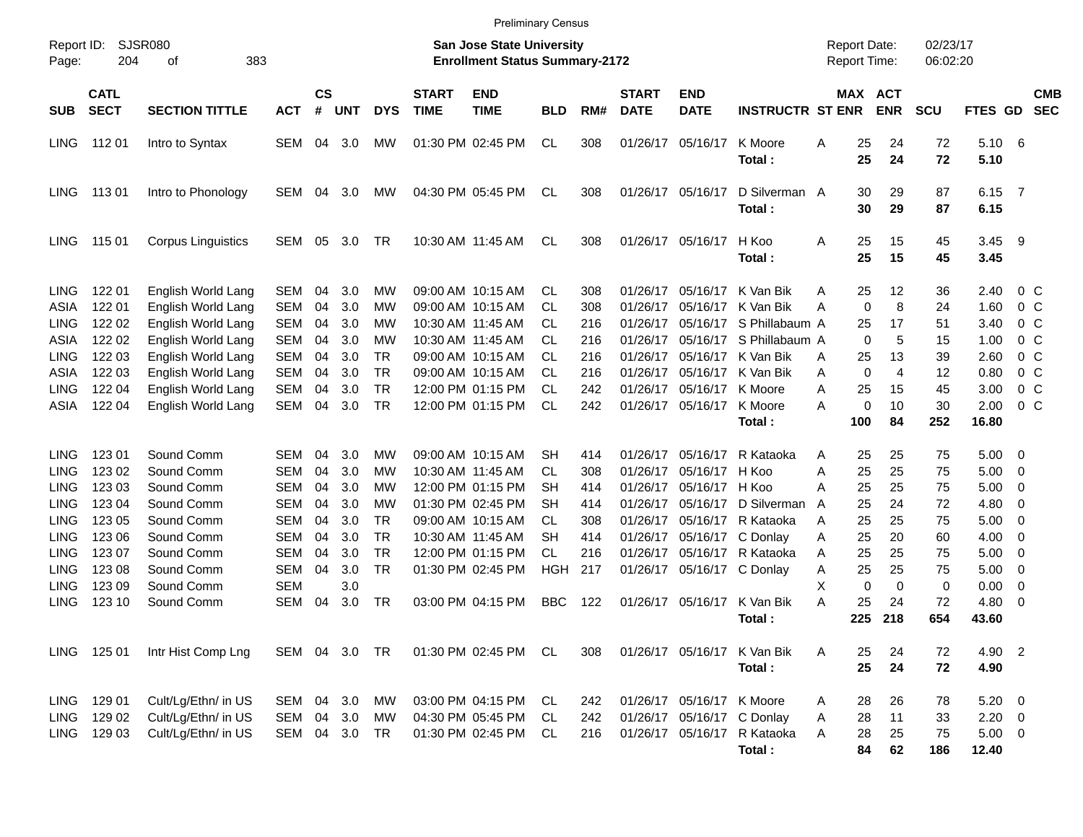| <b>Preliminary Census</b> |  |
|---------------------------|--|
|---------------------------|--|

| Report ID:<br>Page: | 204         | SJSR080<br>383<br>οf      |               |               |            |            |              | <b>San Jose State University</b><br><b>Enrollment Status Summary-2172</b> |            |     |              |                            |                                       |   |           | <b>Report Date:</b><br><b>Report Time:</b> | 02/23/17<br>06:02:20 |                |                          |            |
|---------------------|-------------|---------------------------|---------------|---------------|------------|------------|--------------|---------------------------------------------------------------------------|------------|-----|--------------|----------------------------|---------------------------------------|---|-----------|--------------------------------------------|----------------------|----------------|--------------------------|------------|
|                     | <b>CATL</b> |                           |               | $\mathsf{cs}$ |            |            | <b>START</b> | <b>END</b>                                                                |            |     | <b>START</b> | <b>END</b>                 |                                       |   |           | MAX ACT                                    |                      |                |                          | <b>CMB</b> |
| <b>SUB</b>          | <b>SECT</b> | <b>SECTION TITTLE</b>     | <b>ACT</b>    | #             | <b>UNT</b> | <b>DYS</b> | <b>TIME</b>  | <b>TIME</b>                                                               | <b>BLD</b> | RM# | <b>DATE</b>  | <b>DATE</b>                | <b>INSTRUCTR ST ENR</b>               |   |           | <b>ENR</b>                                 | <b>SCU</b>           | FTES GD        |                          | <b>SEC</b> |
| <b>LING</b>         | 11201       | Intro to Syntax           | <b>SEM</b>    | 04            | 3.0        | MW         |              | 01:30 PM 02:45 PM                                                         | CL         | 308 |              | 01/26/17 05/16/17          | K Moore<br>Total:                     | A | 25<br>25  | 24<br>24                                   | 72<br>72             | 5.10<br>5.10   | - 6                      |            |
| <b>LING</b>         | 113 01      | Intro to Phonology        | SEM           | 04            | 3.0        | МW         |              | 04:30 PM 05:45 PM                                                         | CL.        | 308 |              | 01/26/17 05/16/17          | D Silverman A<br>Total:               |   | 30<br>30  | 29<br>29                                   | 87<br>87             | 6.15<br>6.15   | $\overline{7}$           |            |
| <b>LING</b>         | 115 01      | <b>Corpus Linguistics</b> | SEM           | 05            | 3.0        | TR         |              | 10:30 AM 11:45 AM                                                         | CL.        | 308 |              | 01/26/17 05/16/17          | H Koo<br>Total:                       | A | 25<br>25  | 15<br>15                                   | 45<br>45             | 3.45<br>3.45   | - 9                      |            |
| <b>LING</b>         | 122 01      | English World Lang        | <b>SEM</b>    | 04            | 3.0        | МW         |              | 09:00 AM 10:15 AM                                                         | CL.        | 308 |              |                            | 01/26/17 05/16/17 K Van Bik           | Α | 25        | 12                                         | 36                   | 2.40           |                          | $0\,C$     |
| ASIA                | 122 01      | English World Lang        | <b>SEM</b>    | 04            | 3.0        | MW         |              | 09:00 AM 10:15 AM                                                         | <b>CL</b>  | 308 | 01/26/17     |                            | 05/16/17 K Van Bik                    | A | $\pmb{0}$ | 8                                          | 24                   | 1.60           |                          | $0\,$ C    |
| <b>LING</b>         | 122 02      | English World Lang        | <b>SEM</b>    | 04            | 3.0        | MW         |              | 10:30 AM 11:45 AM                                                         | CL.        | 216 | 01/26/17     |                            | 05/16/17 S Phillabaum A               |   | 25        | 17                                         | 51                   | 3.40           |                          | $0\,C$     |
| ASIA                | 122 02      | English World Lang        | <b>SEM</b>    | 04            | 3.0        | MW         |              | 10:30 AM 11:45 AM                                                         | CL.        | 216 | 01/26/17     |                            | 05/16/17 S Phillabaum A               |   | 0         | 5                                          | 15                   | 1.00           |                          | $0\,C$     |
| <b>LING</b>         | 122 03      | English World Lang        | <b>SEM</b>    | 04            | 3.0        | TR         |              | 09:00 AM 10:15 AM                                                         | CL.        | 216 | 01/26/17     |                            | 05/16/17 K Van Bik                    | Α | 25        | 13                                         | 39                   | 2.60           |                          | $0\,C$     |
| ASIA                | 122 03      | English World Lang        | <b>SEM</b>    | 04            | 3.0        | <b>TR</b>  |              | 09:00 AM 10:15 AM                                                         | CL         | 216 | 01/26/17     | 05/16/17                   | K Van Bik                             | Α | $\pmb{0}$ | $\overline{4}$                             | 12                   | 0.80           |                          | $0\,C$     |
| <b>LING</b>         | 122 04      | English World Lang        | <b>SEM</b>    | 04            | 3.0        | <b>TR</b>  |              | 12:00 PM 01:15 PM                                                         | CL.        | 242 | 01/26/17     | 05/16/17                   | K Moore                               | A | 25        | 15                                         | 45                   | 3.00           |                          | 0 C        |
| <b>ASIA</b>         | 122 04      | English World Lang        | <b>SEM</b>    | 04            | 3.0        | <b>TR</b>  |              | 12:00 PM 01:15 PM                                                         | <b>CL</b>  | 242 |              | 01/26/17 05/16/17          | K Moore                               | A | $\pmb{0}$ | 10                                         | 30                   | 2.00           |                          | $0\,C$     |
|                     |             |                           |               |               |            |            |              |                                                                           |            |     |              |                            | Total:                                |   | 100       | 84                                         | 252                  | 16.80          |                          |            |
| <b>LING</b>         | 123 01      | Sound Comm                | SEM           | 04            | 3.0        | MW         |              | 09:00 AM 10:15 AM                                                         | SН         | 414 |              | 01/26/17 05/16/17          | R Kataoka                             | Α | 25        | 25                                         | 75                   | 5.00 0         |                          |            |
| <b>LING</b>         | 123 02      | Sound Comm                | <b>SEM</b>    | 04            | 3.0        | MW         |              | 10:30 AM 11:45 AM                                                         | CL         | 308 | 01/26/17     | 05/16/17 H Koo             |                                       | A | 25        | 25                                         | 75                   | $5.00 \t 0$    |                          |            |
| <b>LING</b>         | 123 03      | Sound Comm                | <b>SEM</b>    | 04            | 3.0        | MW         |              | 12:00 PM 01:15 PM                                                         | <b>SH</b>  | 414 | 01/26/17     | 05/16/17 H Koo             |                                       | A | 25        | 25                                         | 75                   | 5.00           | $\overline{\phantom{0}}$ |            |
| <b>LING</b>         | 123 04      | Sound Comm                | <b>SEM</b>    | 04            | 3.0        | MW         |              | 01:30 PM 02:45 PM                                                         | <b>SH</b>  | 414 | 01/26/17     |                            | 05/16/17 D Silverman                  | A | 25        | 24                                         | 72                   | 4.80           | $\overline{\phantom{0}}$ |            |
| <b>LING</b>         | 123 05      | Sound Comm                | <b>SEM</b>    | 04            | 3.0        | TR         |              | 09:00 AM 10:15 AM                                                         | CL         | 308 | 01/26/17     | 05/16/17                   | R Kataoka                             | Α | 25        | 25                                         | 75                   | 5.00           | $\overline{0}$           |            |
| <b>LING</b>         | 123 06      | Sound Comm                | <b>SEM</b>    | 04            | 3.0        | <b>TR</b>  |              | 10:30 AM 11:45 AM                                                         | <b>SH</b>  | 414 |              | 01/26/17 05/16/17 C Donlay |                                       | Α | 25        | 20                                         | 60                   | 4.00           | $\overline{0}$           |            |
| <b>LING</b>         | 123 07      | Sound Comm                | <b>SEM</b>    | 04            | 3.0        | <b>TR</b>  |              | 12:00 PM 01:15 PM                                                         | CL         | 216 | 01/26/17     | 05/16/17                   | R Kataoka                             | A | 25        | 25                                         | 75                   | 5.00           | $\overline{\phantom{0}}$ |            |
| <b>LING</b>         | 123 08      | Sound Comm                | <b>SEM</b>    | 04            | 3.0        | TR         |              | 01:30 PM 02:45 PM                                                         | <b>HGH</b> | 217 | 01/26/17     |                            | 05/16/17 C Donlay                     | Α | 25        | 25                                         | 75                   | 5.00           | $\overline{\mathbf{0}}$  |            |
| <b>LING</b>         | 123 09      | Sound Comm                | <b>SEM</b>    |               | 3.0        |            |              |                                                                           |            |     |              |                            |                                       | X | 0         | $\mathbf 0$                                | 0                    | 0.00           | $\overline{\mathbf{0}}$  |            |
| <b>LING</b>         | 123 10      | Sound Comm                | <b>SEM</b>    | 04            | 3.0        | <b>TR</b>  |              | 03:00 PM 04:15 PM                                                         | <b>BBC</b> | 122 | 01/26/17     | 05/16/17                   | K Van Bik                             | A | 25        | 24                                         | 72                   | 4.80           | $\overline{\mathbf{0}}$  |            |
|                     |             |                           |               |               |            |            |              |                                                                           |            |     |              |                            | Total:                                |   | 225       | 218                                        | 654                  | 43.60          |                          |            |
|                     | LING 125 01 | Intr Hist Comp Lng        | SEM 04 3.0 TR |               |            |            |              | 01:30 PM 02:45 PM CL                                                      |            | 308 |              |                            | 01/26/17 05/16/17 K Van Bik<br>Total: | A | 25<br>25  | 24<br>24                                   | 72<br>72             | 4.90 2<br>4.90 |                          |            |
|                     | LING 129 01 | Cult/Lg/Ethn/ in US       | SEM           |               | 04 3.0     | МW         |              | 03:00 PM 04:15 PM                                                         | CL         | 242 |              | 01/26/17 05/16/17 K Moore  |                                       | A | 28        | 26                                         | 78                   | $5.20 \ 0$     |                          |            |
|                     | LING 129 02 | Cult/Lg/Ethn/ in US       | SEM           |               | 04 3.0     | MW         |              | 04:30 PM 05:45 PM                                                         | CL.        | 242 |              |                            | 01/26/17 05/16/17 C Donlay            | A | 28        | 11                                         | 33                   | $2.20 \t 0$    |                          |            |
|                     | LING 129 03 | Cult/Lg/Ethn/ in US       | SEM           |               | 04 3.0     | TR         |              | 01:30 PM 02:45 PM                                                         | CL.        | 216 |              |                            | 01/26/17 05/16/17 R Kataoka           | A | 28        | 25                                         | 75                   | $5.00 \t 0$    |                          |            |
|                     |             |                           |               |               |            |            |              |                                                                           |            |     |              |                            | Total:                                |   | 84        | 62                                         | 186                  | 12.40          |                          |            |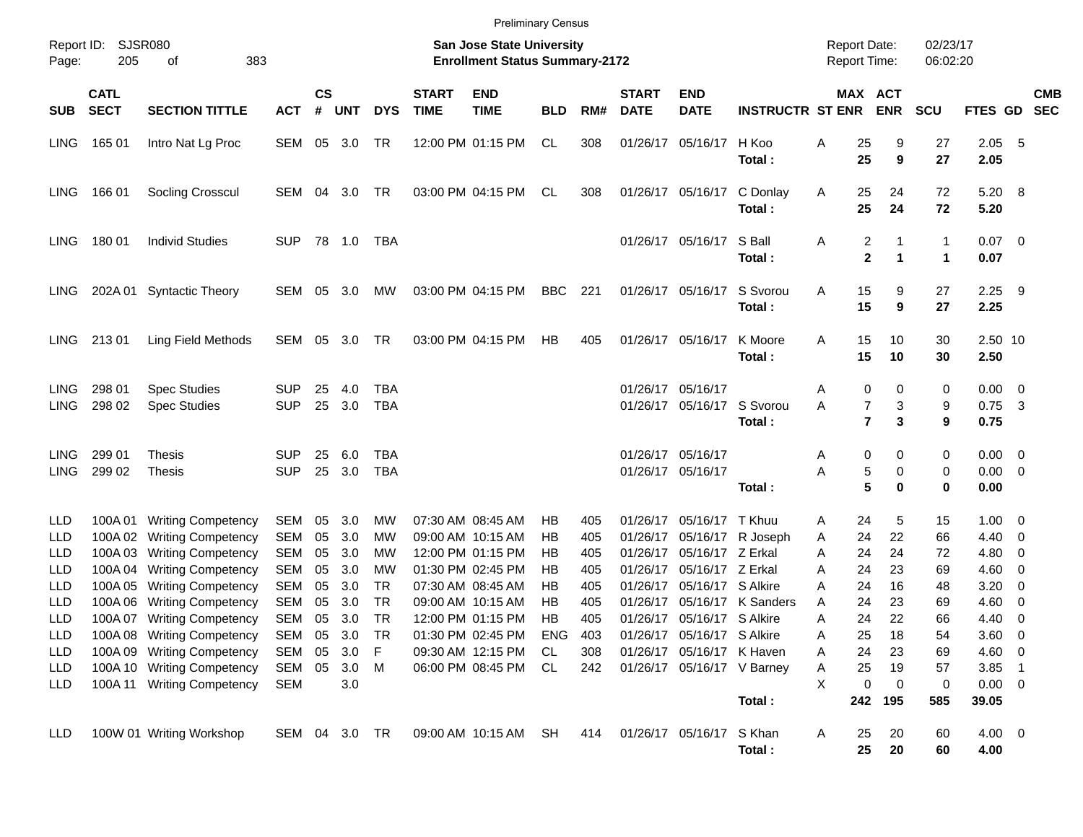|                                                      |                            | <b>Preliminary Census</b><br><b>San Jose State University</b>                                                                                                                    |                                               |                                  |                                        |                                         |                             |                                                                                                                            |                                  |                                        |                                                                      |                                                                                       |                                         |                                            |                                  |                                  |                                  |                                                          |                                                                                                                   |            |
|------------------------------------------------------|----------------------------|----------------------------------------------------------------------------------------------------------------------------------------------------------------------------------|-----------------------------------------------|----------------------------------|----------------------------------------|-----------------------------------------|-----------------------------|----------------------------------------------------------------------------------------------------------------------------|----------------------------------|----------------------------------------|----------------------------------------------------------------------|---------------------------------------------------------------------------------------|-----------------------------------------|--------------------------------------------|----------------------------------|----------------------------------|----------------------------------|----------------------------------------------------------|-------------------------------------------------------------------------------------------------------------------|------------|
| Report ID:<br>Page:                                  | 205                        | SJSR080<br>383<br>οf                                                                                                                                                             |                                               |                                  |                                        |                                         |                             | <b>Enrollment Status Summary-2172</b>                                                                                      |                                  |                                        |                                                                      |                                                                                       |                                         | <b>Report Date:</b><br><b>Report Time:</b> |                                  |                                  | 02/23/17<br>06:02:20             |                                                          |                                                                                                                   |            |
| <b>SUB</b>                                           | <b>CATL</b><br><b>SECT</b> | <b>SECTION TITTLE</b>                                                                                                                                                            | <b>ACT</b>                                    | <b>CS</b><br>#                   | <b>UNT</b>                             | <b>DYS</b>                              | <b>START</b><br><b>TIME</b> | <b>END</b><br><b>TIME</b>                                                                                                  | <b>BLD</b>                       | RM#                                    | <b>START</b><br><b>DATE</b>                                          | <b>END</b><br><b>DATE</b>                                                             | <b>INSTRUCTR ST ENR</b>                 |                                            |                                  | <b>MAX ACT</b><br><b>ENR</b>     | <b>SCU</b>                       | FTES GD SEC                                              |                                                                                                                   | <b>CMB</b> |
| <b>LING</b>                                          | 165 01                     | Intro Nat Lg Proc                                                                                                                                                                | SEM 05 3.0                                    |                                  |                                        | TR                                      |                             | 12:00 PM 01:15 PM                                                                                                          | CL                               | 308                                    |                                                                      | 01/26/17 05/16/17                                                                     | H Koo<br>Total:                         | Α                                          | 25<br>25                         | 9<br>9                           | 27<br>27                         | 2.05<br>2.05                                             | $-5$                                                                                                              |            |
| <b>LING</b>                                          | 166 01                     | Socling Crosscul                                                                                                                                                                 | SEM 04                                        |                                  | 3.0                                    | TR                                      |                             | 03:00 PM 04:15 PM                                                                                                          | CL                               | 308                                    |                                                                      | 01/26/17 05/16/17                                                                     | C Donlay<br>Total:                      | A                                          | 25<br>25                         | 24<br>24                         | 72<br>72                         | 5.20 8<br>5.20                                           |                                                                                                                   |            |
| <b>LING</b>                                          | 18001                      | <b>Individ Studies</b>                                                                                                                                                           | <b>SUP</b>                                    |                                  | 78 1.0                                 | TBA                                     |                             |                                                                                                                            |                                  |                                        |                                                                      | 01/26/17 05/16/17                                                                     | S Ball<br>Total:                        | A                                          | 2<br>$\overline{\mathbf{2}}$     | 1<br>1                           | 1<br>1                           | $0.07$ 0<br>0.07                                         |                                                                                                                   |            |
| LING                                                 |                            | 202A 01 Syntactic Theory                                                                                                                                                         | SEM 05                                        |                                  | 3.0                                    | MW                                      |                             | 03:00 PM 04:15 PM                                                                                                          | BBC                              | 221                                    |                                                                      | 01/26/17 05/16/17                                                                     | S Svorou<br>Total:                      | Α                                          | 15<br>15                         | 9<br>9                           | 27<br>27                         | 2.25<br>2.25                                             | - 9                                                                                                               |            |
| LING.                                                | 21301                      | Ling Field Methods                                                                                                                                                               | SEM 05 3.0                                    |                                  |                                        | TR                                      |                             | 03:00 PM 04:15 PM                                                                                                          | HB                               | 405                                    |                                                                      | 01/26/17 05/16/17                                                                     | K Moore<br>Total:                       | A                                          | 15<br>15                         | 10<br>10                         | 30<br>30                         | 2.50 10<br>2.50                                          |                                                                                                                   |            |
| LING<br><b>LING</b>                                  | 298 01<br>298 02           | <b>Spec Studies</b><br><b>Spec Studies</b>                                                                                                                                       | SUP<br><b>SUP</b>                             | 25<br>25                         | 4.0<br>3.0                             | <b>TBA</b><br>TBA                       |                             |                                                                                                                            |                                  |                                        | 01/26/17 05/16/17                                                    | 01/26/17 05/16/17 S Svorou                                                            | Total:                                  | Α<br>A                                     | 0<br>7<br>$\overline{7}$         | 0<br>3<br>3                      | 0<br>9<br>9                      | $0.00 \quad 0$<br>0.75<br>0.75                           | $\overline{\mathbf{3}}$                                                                                           |            |
| LING<br><b>LING</b>                                  | 299 01<br>299 02           | <b>Thesis</b><br><b>Thesis</b>                                                                                                                                                   | SUP<br><b>SUP</b>                             | 25<br>25                         | 6.0<br>3.0                             | <b>TBA</b><br><b>TBA</b>                |                             |                                                                                                                            |                                  |                                        |                                                                      | 01/26/17 05/16/17<br>01/26/17 05/16/17                                                | Total:                                  | Α<br>Α                                     | 0<br>5<br>5                      | 0<br>0<br>$\bf{0}$               | 0<br>0<br>0                      | $0.00 \t 0$<br>$0.00 \t 0$<br>0.00                       |                                                                                                                   |            |
| LLD<br>LLD<br>LLD<br>LLD<br>LLD<br>LLD               |                            | 100A 01 Writing Competency<br>100A 02 Writing Competency<br>100A 03 Writing Competency<br>100A 04 Writing Competency<br>100A 05 Writing Competency<br>100A 06 Writing Competency | SEM<br>SEM<br>SEM<br>SEM<br>SEM<br><b>SEM</b> | 05<br>05<br>05<br>05<br>05<br>05 | 3.0<br>3.0<br>3.0<br>3.0<br>3.0<br>3.0 | <b>MW</b><br>MW<br>МW<br>МW<br>TR<br>TR |                             | 07:30 AM 08:45 AM<br>09:00 AM 10:15 AM<br>12:00 PM 01:15 PM<br>01:30 PM 02:45 PM<br>07:30 AM 08:45 AM<br>09:00 AM 10:15 AM | НB<br>НB<br>НB<br>НB<br>НB<br>НB | 405<br>405<br>405<br>405<br>405<br>405 | 01/26/17<br>01/26/17<br>01/26/17<br>01/26/17<br>01/26/17<br>01/26/17 | 05/16/17 T Khuu<br>05/16/17 Z Erkal<br>05/16/17 Z Erkal<br>05/16/17 S Alkire          | 05/16/17 R Joseph<br>05/16/17 K Sanders | Α<br>Α<br>A<br>Α<br>A<br>A                 | 24<br>24<br>24<br>24<br>24<br>24 | 5<br>22<br>24<br>23<br>16<br>23  | 15<br>66<br>72<br>69<br>48<br>69 | $1.00 \t 0$<br>4.40<br>4.80<br>4.60<br>3.20<br>4.60      | $\overline{\phantom{0}}$<br>- 0<br>$\overline{\phantom{0}}$<br>$\overline{\mathbf{0}}$<br>$\overline{\mathbf{0}}$ |            |
| <b>LLD</b><br>LLD<br>LLD<br><b>LLD</b><br><b>LLD</b> |                            | 100A 07 Writing Competency<br>100A 08 Writing Competency<br>100A 09 Writing Competency<br>100A 10 Writing Competency<br>100A 11 Writing Competency                               | SEM<br>SEM 05<br>SEM<br>SEM<br>SEM            | 05<br>05<br>05                   | 3.0<br>3.0<br>3.0<br>3.0 M<br>3.0      | <b>TR</b><br>-TR<br>F                   |                             | 12:00 PM 01:15 PM<br>01:30 PM 02:45 PM<br>09:30 AM 12:15 PM<br>06:00 PM 08:45 PM                                           | НB<br><b>ENG</b><br>CL<br>CL     | 405<br>403<br>308<br>242               |                                                                      | 01/26/17 05/16/17 S Alkire<br>01/26/17 05/16/17 S Alkire<br>01/26/17 05/16/17 K Haven | 01/26/17 05/16/17 V Barney<br>Total:    | A<br>A<br>Α<br>A<br>X                      | 24<br>25<br>24<br>25<br>0<br>242 | 22<br>18<br>23<br>19<br>0<br>195 | 66<br>54<br>69<br>57<br>0<br>585 | 4.40<br>3.60 0<br>4.60 0<br>3.85<br>$0.00 \t 0$<br>39.05 | - 0<br>$\overline{\phantom{0}}$                                                                                   |            |
| LLD                                                  |                            | 100W 01 Writing Workshop                                                                                                                                                         | SEM 04 3.0 TR                                 |                                  |                                        |                                         |                             | 09:00 AM 10:15 AM SH                                                                                                       |                                  | 414                                    |                                                                      | 01/26/17 05/16/17 S Khan                                                              | Total:                                  | A                                          | 25<br>25                         | 20<br>20                         | 60<br>60                         | $4.00 \ 0$<br>4.00                                       |                                                                                                                   |            |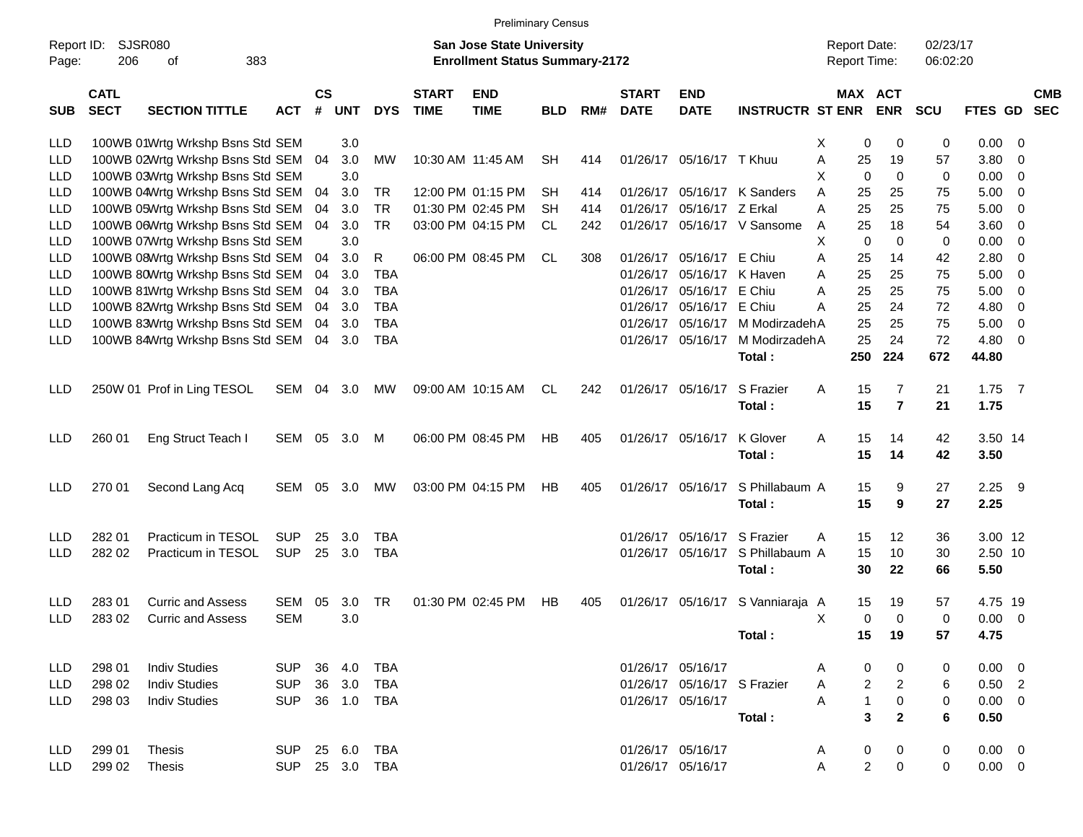|                     |                            |                                  |                |                    |            |            |                             |                                                                           | <b>Preliminary Census</b> |     |                             |                             |                                  |                                     |                |                      |                |                         |                          |
|---------------------|----------------------------|----------------------------------|----------------|--------------------|------------|------------|-----------------------------|---------------------------------------------------------------------------|---------------------------|-----|-----------------------------|-----------------------------|----------------------------------|-------------------------------------|----------------|----------------------|----------------|-------------------------|--------------------------|
| Report ID:<br>Page: | 206                        | SJSR080<br>of<br>383             |                |                    |            |            |                             | <b>San Jose State University</b><br><b>Enrollment Status Summary-2172</b> |                           |     |                             |                             |                                  | <b>Report Date:</b><br>Report Time: |                | 02/23/17<br>06:02:20 |                |                         |                          |
| <b>SUB</b>          | <b>CATL</b><br><b>SECT</b> | <b>SECTION TITTLE</b>            | ACT            | $\mathsf{cs}$<br># | <b>UNT</b> | <b>DYS</b> | <b>START</b><br><b>TIME</b> | <b>END</b><br><b>TIME</b>                                                 | <b>BLD</b>                | RM# | <b>START</b><br><b>DATE</b> | <b>END</b><br><b>DATE</b>   | <b>INSTRUCTR ST ENR</b>          | <b>MAX ACT</b>                      | <b>ENR</b>     | <b>SCU</b>           | <b>FTES GD</b> |                         | <b>CMB</b><br><b>SEC</b> |
| LLD                 |                            | 100WB 01Wrtg Wrkshp Bsns Std SEM |                |                    | 3.0        |            |                             |                                                                           |                           |     |                             |                             |                                  | X<br>0                              | 0              | 0                    | 0.00           | - 0                     |                          |
| <b>LLD</b>          |                            | 100WB 02Wrtg Wrkshp Bsns Std SEM |                | 04                 | 3.0        | MW         |                             | 10:30 AM 11:45 AM                                                         | <b>SH</b>                 | 414 |                             | 01/26/17 05/16/17 T Khuu    |                                  | Α<br>25                             | 19             | 57                   | 3.80           | $\overline{\mathbf{0}}$ |                          |
| LLD                 |                            | 100WB 03Wrtg Wrkshp Bsns Std SEM |                |                    | 3.0        |            |                             |                                                                           |                           |     |                             |                             |                                  | $\mathbf 0$<br>X                    | $\mathbf 0$    | 0                    | 0.00           | $\overline{\mathbf{0}}$ |                          |
| LLD                 |                            | 100WB 04Wrtg Wrkshp Bsns Std SEM |                | 04                 | 3.0        | TR         |                             | 12:00 PM 01:15 PM                                                         | SН                        | 414 |                             |                             | 01/26/17 05/16/17 K Sanders      | A<br>25                             | 25             | 75                   | 5.00           | $\overline{\mathbf{0}}$ |                          |
| <b>LLD</b>          |                            | 100WB 05Wrtg Wrkshp Bsns Std SEM |                | 04                 | 3.0        | <b>TR</b>  |                             | 01:30 PM 02:45 PM                                                         | SН                        | 414 |                             | 01/26/17 05/16/17 Z Erkal   |                                  | 25<br>A                             | 25             | 75                   | 5.00           | 0                       |                          |
| LLD                 |                            | 100WB 06Wrtg Wrkshp Bsns Std SEM |                | 04                 | 3.0        | <b>TR</b>  |                             | 03:00 PM 04:15 PM                                                         | CL                        | 242 |                             |                             | 01/26/17 05/16/17 V Sansome      | 25<br>A                             | 18             | 54                   | 3.60           | 0                       |                          |
| LLD                 |                            | 100WB 07Wrtg Wrkshp Bsns Std SEM |                |                    | 3.0        |            |                             |                                                                           |                           |     |                             |                             |                                  | X<br>0                              | 0              | 0                    | 0.00           | 0                       |                          |
| <b>LLD</b>          |                            | 100WB 08Wrtg Wrkshp Bsns Std SEM |                | 04                 | 3.0        | R          |                             | 06:00 PM 08:45 PM                                                         | CL                        | 308 |                             | 01/26/17 05/16/17 E Chiu    |                                  | Α<br>25                             | 14             | 42                   | 2.80           | 0                       |                          |
| LLD                 |                            | 100WB 80Wrtg Wrkshp Bsns Std SEM |                | 04                 | 3.0        | TBA        |                             |                                                                           |                           |     | 01/26/17                    | 05/16/17                    | K Haven                          | 25<br>Α                             | 25             | 75                   | 5.00           | 0                       |                          |
| LLD                 |                            | 100WB 81Wrtg Wrkshp Bsns Std SEM |                | 04                 | 3.0        | <b>TBA</b> |                             |                                                                           |                           |     | 01/26/17                    | 05/16/17                    | E Chiu                           | A<br>25                             | 25             | 75                   | 5.00           | 0                       |                          |
| <b>LLD</b>          |                            | 100WB 82Wrtg Wrkshp Bsns Std SEM |                | 04                 | 3.0        | <b>TBA</b> |                             |                                                                           |                           |     | 01/26/17                    | 05/16/17 E Chiu             |                                  | Α<br>25                             | 24             | 72                   | 4.80           | 0                       |                          |
| LLD                 |                            | 100WB 83Wrtg Wrkshp Bsns Std SEM |                | 04                 | 3.0        | <b>TBA</b> |                             |                                                                           |                           |     | 01/26/17                    | 05/16/17                    | M ModirzadehA                    | 25                                  | 25             | 75                   | 5.00           | 0                       |                          |
| LLD                 |                            | 100WB 84Wrtg Wrkshp Bsns Std SEM |                |                    | 04 3.0     | <b>TBA</b> |                             |                                                                           |                           |     |                             | 01/26/17 05/16/17           | M ModirzadehA                    | 25                                  | 24             | 72                   | 4.80           | $\overline{0}$          |                          |
|                     |                            |                                  |                |                    |            |            |                             |                                                                           |                           |     |                             |                             | Total:                           | 250                                 | 224            | 672                  | 44.80          |                         |                          |
| LLD                 |                            | 250W 01 Prof in Ling TESOL       | SEM            | 04                 | 3.0        | МW         |                             | 09:00 AM 10:15 AM                                                         | CL.                       | 242 |                             | 01/26/17 05/16/17           | S Frazier                        | Α<br>15                             | 7              | 21                   | 1.75           | $\overline{7}$          |                          |
|                     |                            |                                  |                |                    |            |            |                             |                                                                           |                           |     |                             |                             | Total:                           | 15                                  | $\overline{7}$ | 21                   | 1.75           |                         |                          |
| <b>LLD</b>          | 260 01                     | Eng Struct Teach I               | SEM            |                    | 05 3.0     | M          |                             | 06:00 PM 08:45 PM                                                         | НB                        | 405 |                             | 01/26/17 05/16/17           | K Glover                         | A<br>15                             | 14             | 42                   | 3.50 14        |                         |                          |
|                     |                            |                                  |                |                    |            |            |                             |                                                                           |                           |     |                             |                             | Total:                           | 15                                  | 14             | 42                   | 3.50           |                         |                          |
| <b>LLD</b>          | 270 01                     | Second Lang Acq                  | SEM            | 05                 | 3.0        | MW         |                             | 03:00 PM 04:15 PM                                                         | НB                        | 405 |                             | 01/26/17 05/16/17           | S Phillabaum A                   | 15                                  | 9              | 27                   | 2.25           | - 9                     |                          |
|                     |                            |                                  |                |                    |            |            |                             |                                                                           |                           |     |                             |                             | Total:                           | 15                                  | 9              | 27                   | 2.25           |                         |                          |
|                     |                            |                                  |                |                    |            |            |                             |                                                                           |                           |     |                             |                             |                                  |                                     |                |                      |                |                         |                          |
| <b>LLD</b>          | 282 01                     | Practicum in TESOL               | <b>SUP</b>     | 25                 | 3.0        | TBA        |                             |                                                                           |                           |     | 01/26/17                    | 05/16/17                    | S Frazier                        | A<br>15                             | 12             | 36                   | 3.00 12        |                         |                          |
| <b>LLD</b>          | 282 02                     | Practicum in TESOL               | <b>SUP</b>     |                    | 25 3.0     | <b>TBA</b> |                             |                                                                           |                           |     |                             | 01/26/17 05/16/17           | S Phillabaum A                   | 15                                  | 10             | 30                   | 2.50 10        |                         |                          |
|                     |                            |                                  |                |                    |            |            |                             |                                                                           |                           |     |                             |                             | Total:                           | 30                                  | 22             | 66                   | 5.50           |                         |                          |
| LLD                 | 28301                      | <b>Curric and Assess</b>         | <b>SEM</b>     | 05                 | 3.0        | <b>TR</b>  |                             | 01:30 PM 02:45 PM                                                         | HВ                        | 405 |                             |                             | 01/26/17 05/16/17 S Vanniaraja A | 15                                  | 19             | 57                   | 4.75 19        |                         |                          |
| LLD                 | 283 02                     | <b>Curric and Assess</b>         | <b>SEM</b>     |                    | 3.0        |            |                             |                                                                           |                           |     |                             |                             |                                  | 0<br>Χ                              | $\mathbf 0$    | 0                    | $0.00 \t 0$    |                         |                          |
|                     |                            |                                  |                |                    |            |            |                             |                                                                           |                           |     |                             |                             | Total:                           | 15                                  | 19             | 57                   | 4.75           |                         |                          |
| LLD.                | 298 01                     | <b>Indiv Studies</b>             | SUP 36 4.0     |                    |            | TBA        |                             |                                                                           |                           |     |                             | 01/26/17 05/16/17           |                                  | 0<br>A                              | 0              | 0                    | $0.00 \t 0$    |                         |                          |
| <b>LLD</b>          | 298 02                     | <b>Indiv Studies</b>             | <b>SUP</b>     |                    | 36 3.0     | TBA        |                             |                                                                           |                           |     |                             | 01/26/17 05/16/17 S Frazier |                                  | $\overline{\mathbf{c}}$<br>A        | $\overline{c}$ | 6                    | $0.50$ 2       |                         |                          |
| LLD.                | 298 03                     | <b>Indiv Studies</b>             | <b>SUP</b>     |                    | 36 1.0     | TBA        |                             |                                                                           |                           |     |                             | 01/26/17 05/16/17           |                                  | $\mathbf{1}$<br>A                   | $\pmb{0}$      | 0                    | $0.00 \t 0$    |                         |                          |
|                     |                            |                                  |                |                    |            |            |                             |                                                                           |                           |     |                             |                             | Total:                           | 3                                   | $\overline{2}$ | 6                    | 0.50           |                         |                          |
| LLD                 | 299 01                     | Thesis                           | SUP 25 6.0     |                    |            | TBA        |                             |                                                                           |                           |     |                             | 01/26/17 05/16/17           |                                  | 0<br>A                              | 0              | 0                    | $0.00 \quad 0$ |                         |                          |
| LLD                 | 299 02                     | Thesis                           | SUP 25 3.0 TBA |                    |            |            |                             |                                                                           |                           |     |                             | 01/26/17 05/16/17           |                                  | $\overline{c}$<br>Α                 | 0              | 0                    | $0.00 \t 0$    |                         |                          |
|                     |                            |                                  |                |                    |            |            |                             |                                                                           |                           |     |                             |                             |                                  |                                     |                |                      |                |                         |                          |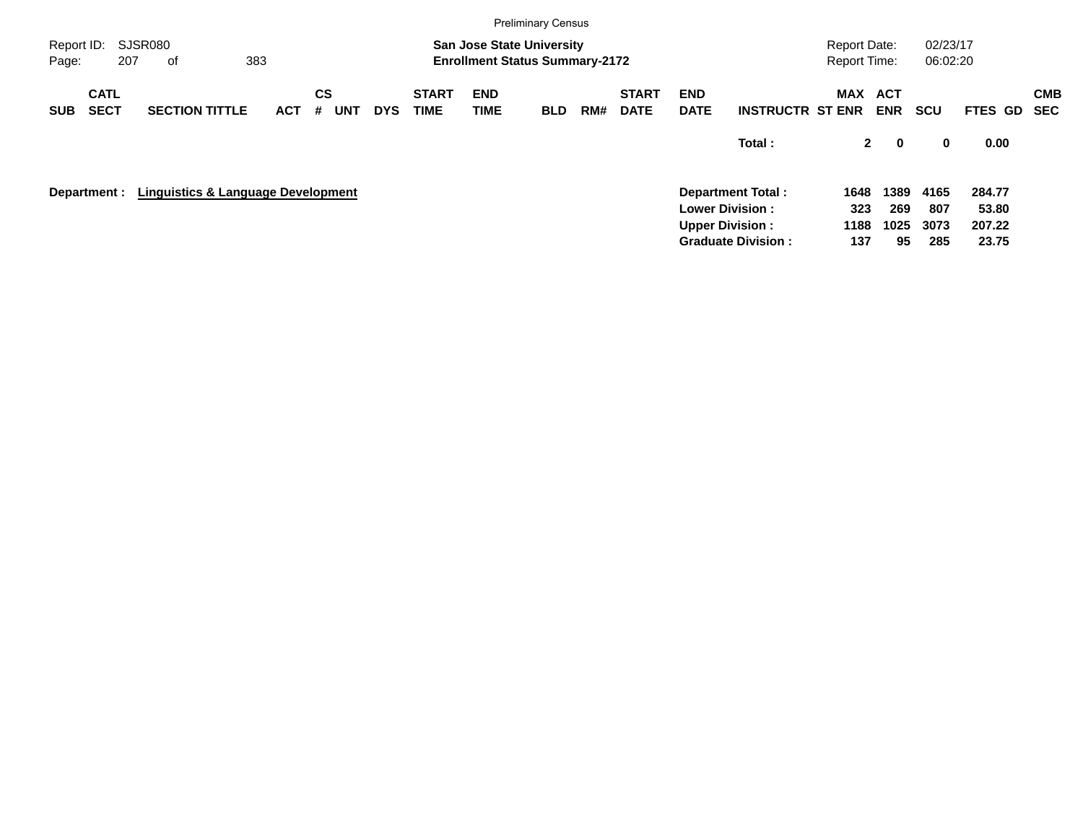|                     |                            |     |                                               |     |            |                |            |            |                             |                           | <b>Preliminary Census</b>                                                 |     |                             |                           |                                                  |                                     |                            |                      |                 |            |
|---------------------|----------------------------|-----|-----------------------------------------------|-----|------------|----------------|------------|------------|-----------------------------|---------------------------|---------------------------------------------------------------------------|-----|-----------------------------|---------------------------|--------------------------------------------------|-------------------------------------|----------------------------|----------------------|-----------------|------------|
| Report ID:<br>Page: |                            | 207 | <b>SJSR080</b><br>оf                          | 383 |            |                |            |            |                             |                           | <b>San Jose State University</b><br><b>Enrollment Status Summary-2172</b> |     |                             |                           |                                                  | Report Date:<br><b>Report Time:</b> |                            | 02/23/17<br>06:02:20 |                 |            |
| <b>SUB</b>          | <b>CATL</b><br><b>SECT</b> |     | <b>SECTION TITTLE</b>                         |     | <b>ACT</b> | <b>CS</b><br># | <b>UNT</b> | <b>DYS</b> | <b>START</b><br><b>TIME</b> | <b>END</b><br><b>TIME</b> | <b>BLD</b>                                                                | RM# | <b>START</b><br><b>DATE</b> | <b>END</b><br><b>DATE</b> | <b>INSTRUCTR ST ENR</b>                          | MAX                                 | <b>ACT</b><br><b>ENR</b>   | <b>SCU</b>           | FTES GD SEC     | <b>CMB</b> |
|                     |                            |     |                                               |     |            |                |            |            |                             |                           |                                                                           |     |                             |                           | Total:                                           |                                     | $2^{\circ}$<br>$\mathbf 0$ | 0                    | 0.00            |            |
|                     | Department :               |     | <b>Linguistics &amp; Language Development</b> |     |            |                |            |            |                             |                           |                                                                           |     |                             |                           | <b>Department Total:</b>                         | 1648                                | 1389                       | 4165                 | 284.77          |            |
|                     |                            |     |                                               |     |            |                |            |            |                             |                           |                                                                           |     |                             |                           | <b>Lower Division:</b><br><b>Upper Division:</b> | 323<br>1188                         | 269<br>1025                | 807<br>3073          | 53.80<br>207.22 |            |
|                     |                            |     |                                               |     |            |                |            |            |                             |                           |                                                                           |     |                             |                           | <b>Graduate Division:</b>                        | 137                                 | 95                         | 285                  | 23.75           |            |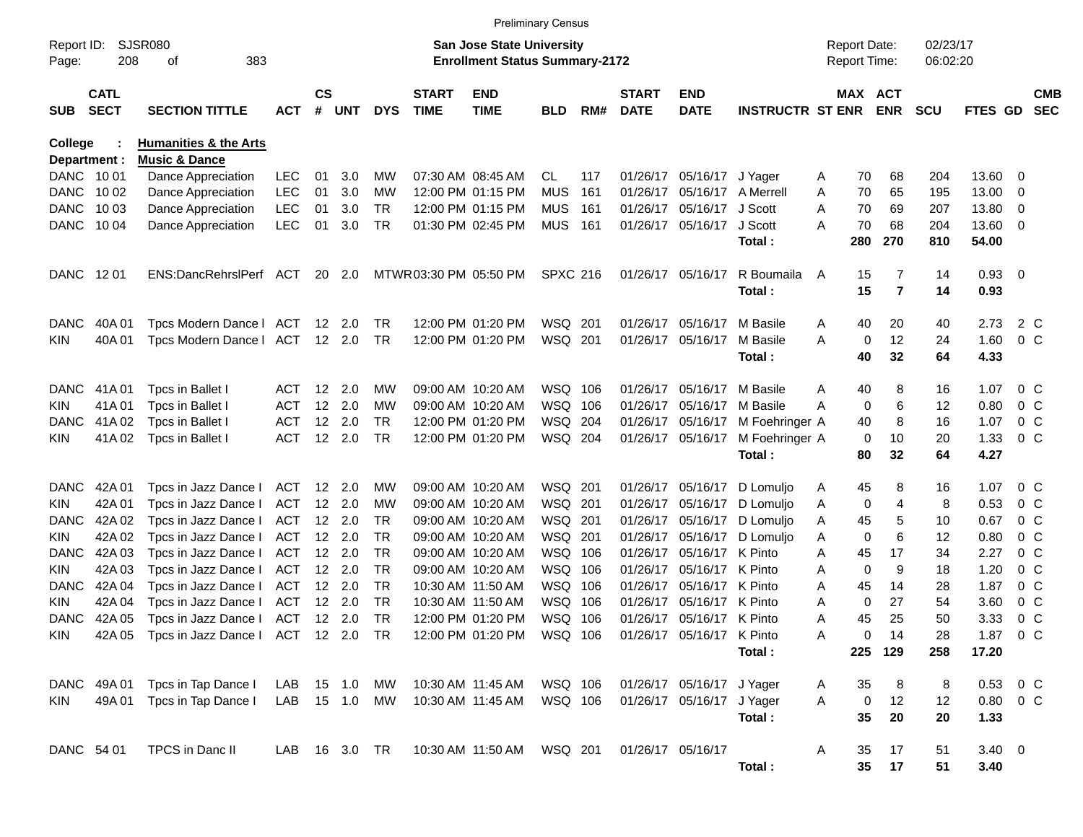|                         |                            |                                                                     |                   |                    |                          |                        |                             |                                                                    | <b>Preliminary Census</b> |       |                             |                                               |                         |        |         |                                     |                      |                |                          |                          |
|-------------------------|----------------------------|---------------------------------------------------------------------|-------------------|--------------------|--------------------------|------------------------|-----------------------------|--------------------------------------------------------------------|---------------------------|-------|-----------------------------|-----------------------------------------------|-------------------------|--------|---------|-------------------------------------|----------------------|----------------|--------------------------|--------------------------|
| Report ID:<br>Page:     | 208                        | SJSR080<br>383<br>оf                                                |                   |                    |                          |                        |                             | San Jose State University<br><b>Enrollment Status Summary-2172</b> |                           |       |                             |                                               |                         |        |         | <b>Report Date:</b><br>Report Time: | 02/23/17<br>06:02:20 |                |                          |                          |
| <b>SUB</b>              | <b>CATL</b><br><b>SECT</b> | <b>SECTION TITTLE</b>                                               | <b>ACT</b>        | $\mathsf{cs}$<br># | <b>UNT</b>               | <b>DYS</b>             | <b>START</b><br><b>TIME</b> | <b>END</b><br><b>TIME</b>                                          | <b>BLD</b>                | RM#   | <b>START</b><br><b>DATE</b> | <b>END</b><br><b>DATE</b>                     | <b>INSTRUCTR ST ENR</b> |        |         | <b>MAX ACT</b><br><b>ENR</b>        | <b>SCU</b>           | <b>FTES GD</b> |                          | <b>CMB</b><br><b>SEC</b> |
| College<br>Department : |                            | <b>Humanities &amp; the Arts</b><br><b>Music &amp; Dance</b>        |                   |                    |                          |                        |                             |                                                                    |                           |       |                             |                                               |                         |        |         |                                     |                      |                |                          |                          |
| DANC 1001               |                            | Dance Appreciation                                                  | <b>LEC</b>        | 01                 | 3.0                      | МW                     |                             | 07:30 AM 08:45 AM                                                  | CL.                       | 117   |                             | 01/26/17 05/16/17                             | J Yager                 | A      | 70      | 68                                  | 204                  | 13.60          | 0                        |                          |
|                         | DANC 1002                  | Dance Appreciation                                                  | <b>LEC</b>        | 01                 | 3.0                      | МW                     |                             | 12:00 PM 01:15 PM                                                  | <b>MUS</b>                | 161   |                             | 01/26/17 05/16/17                             | A Merrell               | Α      | 70      | 65                                  | 195                  | 13.00          | 0                        |                          |
| DANC                    | 10 03                      | Dance Appreciation                                                  | <b>LEC</b>        | 01                 | 3.0                      | <b>TR</b>              |                             | 12:00 PM 01:15 PM                                                  | <b>MUS</b>                | -161  | 01/26/17                    | 05/16/17                                      | J Scott                 | A      | 70      | 69                                  | 207                  | 13.80          | 0                        |                          |
| DANC                    | 10 04                      | Dance Appreciation                                                  | <b>LEC</b>        | 01                 | 3.0                      | <b>TR</b>              |                             | 01:30 PM 02:45 PM                                                  | <b>MUS</b>                | - 161 |                             | 01/26/17 05/16/17                             | J Scott                 | A      | 70      | 68                                  | 204                  | 13.60          | - 0                      |                          |
|                         |                            |                                                                     |                   |                    |                          |                        |                             |                                                                    |                           |       |                             |                                               | Total:                  |        | 280     | 270                                 | 810                  | 54.00          |                          |                          |
| DANC                    | 1201                       | ENS:DancRehrslPerf ACT                                              |                   |                    | 20 2.0                   |                        | MTWR 03:30 PM 05:50 PM      |                                                                    | <b>SPXC 216</b>           |       |                             | 01/26/17 05/16/17                             | R Boumaila              | A      | 15      | 7                                   | 14                   | 0.93           | $\overline{\phantom{0}}$ |                          |
|                         |                            |                                                                     |                   |                    |                          |                        |                             |                                                                    |                           |       |                             |                                               | Total:                  |        | 15      | $\overline{7}$                      | 14                   | 0.93           |                          |                          |
| <b>DANC</b>             | 40A 01                     | Tpcs Modern Dance   ACT                                             |                   |                    | 12 2.0                   | TR.                    |                             | 12:00 PM 01:20 PM                                                  | WSQ 201                   |       |                             | 01/26/17 05/16/17                             | M Basile                | A      | 40      | 20                                  | 40                   | 2.73           | 2 C                      |                          |
| KIN.                    | 40A 01                     | Tpcs Modern Dance   ACT                                             |                   |                    | 12 2.0                   | TR                     |                             | 12:00 PM 01:20 PM                                                  | WSQ 201                   |       |                             | 01/26/17 05/16/17                             | M Basile                | A      | 0       | 12                                  | 24                   | 1.60           | 0 <sup>o</sup>           |                          |
|                         |                            |                                                                     |                   |                    |                          |                        |                             |                                                                    |                           |       |                             |                                               | Total:                  |        | 40      | 32                                  | 64                   | 4.33           |                          |                          |
| DANC.                   | 41A 01                     | Tpcs in Ballet I                                                    | ACT               | 12 <sup>12</sup>   | 2.0                      | МW                     |                             | 09:00 AM 10:20 AM                                                  | WSQ 106                   |       |                             | 01/26/17 05/16/17                             | M Basile                | Α      | 40      | 8                                   | 16                   | 1.07           | $0\,$ C                  |                          |
| KIN                     | 41A01                      | Tpcs in Ballet I                                                    | <b>ACT</b>        | 12 <sup>2</sup>    | 2.0                      | МW                     |                             | 09:00 AM 10:20 AM                                                  | WSQ 106                   |       |                             | 01/26/17 05/16/17                             | M Basile                | A      | 0       | 6                                   | 12                   | 0.80           | $0\,$ C                  |                          |
| <b>DANC</b>             | 41A 02                     | Tpcs in Ballet I                                                    | <b>ACT</b>        | $12 \overline{ }$  | 2.0                      | TR.                    |                             | 12:00 PM 01:20 PM                                                  | WSQ 204                   |       |                             | 01/26/17 05/16/17                             | M Foehringer A          |        | 40      | 8                                   | 16                   | 1.07           | $0\,$ C                  |                          |
| KIN                     | 41A 02                     | Tpcs in Ballet I                                                    | <b>ACT</b>        |                    | 12 2.0                   | <b>TR</b>              |                             | 12:00 PM 01:20 PM                                                  | WSQ 204                   |       |                             | 01/26/17 05/16/17                             | M Foehringer A          |        | 0       | 10                                  | 20                   | 1.33           | $0\,$ C                  |                          |
|                         |                            |                                                                     |                   |                    |                          |                        |                             |                                                                    |                           |       |                             |                                               | Total:                  |        | 80      | 32                                  | 64                   | 4.27           |                          |                          |
| DANC                    | 42A 01                     | Tpcs in Jazz Dance I                                                | ACT               |                    | 12 2.0                   | МW                     |                             | 09:00 AM 10:20 AM                                                  | WSQ 201                   |       |                             | 01/26/17 05/16/17                             | D Lomuljo               | Α      | 45      | 8                                   | 16                   | 1.07           | $0\,$ C                  |                          |
| KIN                     | 42A 01                     | Tpcs in Jazz Dance I                                                | <b>ACT</b>        |                    | 12 2.0                   | МW                     |                             | 09:00 AM 10:20 AM                                                  | WSQ 201                   |       |                             | 01/26/17 05/16/17                             | D Lomulio               | A      | 0       | 4                                   | 8                    | 0.53           | $0\,$ C                  |                          |
| DANC                    | 42A 02                     | Tpcs in Jazz Dance I                                                | <b>ACT</b>        |                    | $12 \quad 2.0$           | TR.                    |                             | 09:00 AM 10:20 AM                                                  | WSQ 201                   |       |                             | 01/26/17 05/16/17                             | D Lomuljo               | A      | 45      | 5                                   | 10                   | 0.67           | $0\,$ C                  |                          |
| KIN                     | 42A 02                     | Tpcs in Jazz Dance I                                                | ACT               |                    | 12 2.0                   | TR.                    |                             | 09:00 AM 10:20 AM                                                  | WSQ 201                   |       |                             | 01/26/17 05/16/17                             | D Lomuljo               | Α      | 0       | 6                                   | 12                   | 0.80           | $0\,$ C                  |                          |
| <b>DANC</b>             | 42A 03                     | Tpcs in Jazz Dance I                                                | <b>ACT</b>        |                    | 12 2.0                   | <b>TR</b><br><b>TR</b> |                             | 09:00 AM 10:20 AM                                                  | WSQ 106                   |       |                             | 01/26/17 05/16/17 K Pinto<br>05/16/17 K Pinto |                         | A      | 45      | 17                                  | 34                   | 2.27           | $0\,$ C                  |                          |
| KIN                     | 42A 03                     | Tpcs in Jazz Dance I                                                | <b>ACT</b><br>ACT |                    | $12 \quad 2.0$<br>12 2.0 | <b>TR</b>              |                             | 09:00 AM 10:20 AM<br>10:30 AM 11:50 AM                             | WSQ 106                   |       | 01/26/17<br>01/26/17        | 05/16/17 K Pinto                              |                         | Α      | 0<br>45 | 9<br>14                             | 18<br>28             | 1.20<br>1.87   | $0\,$ C<br>$0\,$ C       |                          |
| DANC<br>KIN             | 42A 04<br>42A 04           | Tpcs in Jazz Dance I<br>Tpcs in Jazz Dance I                        | <b>ACT</b>        |                    | 12 2.0                   | <b>TR</b>              |                             | 10:30 AM 11:50 AM                                                  | WSQ 106<br>WSQ 106        |       | 01/26/17                    | 05/16/17 K Pinto                              |                         | Α<br>A | 0       | 27                                  | 54                   | 3.60           | $0\,$ C                  |                          |
| DANC.                   | 42A 05                     | Tpcs in Jazz Dance I                                                | ACT               |                    | $12 \quad 2.0$           | TR                     |                             | 12:00 PM 01:20 PM                                                  | WSQ 106                   |       |                             | 01/26/17 05/16/17 K Pinto                     |                         | A      | 45      | 25                                  | 50                   | 3.33           | $0\,C$                   |                          |
| KIN                     |                            | 42A 05 Tpcs in Jazz Dance I ACT 12 2.0 TR 12:00 PM 01:20 PM WSQ 106 |                   |                    |                          |                        |                             |                                                                    |                           |       |                             | 01/26/17 05/16/17 K Pinto                     |                         | Α      | 0       | -14                                 | 28                   | 1.87 0 C       |                          |                          |
|                         |                            |                                                                     |                   |                    |                          |                        |                             |                                                                    |                           |       |                             |                                               | Total:                  |        |         | 225 129                             | 258                  | 17.20          |                          |                          |
|                         | DANC 49A 01                | Tpcs in Tap Dance I                                                 | LAB 15 1.0 MW     |                    |                          |                        |                             | 10:30 AM 11:45 AM                                                  | WSQ 106                   |       |                             | 01/26/17 05/16/17 J Yager                     |                         | A      | 35      | 8                                   | 8                    | $0.53$ 0 C     |                          |                          |
| KIN.                    | 49A 01                     | Tpcs in Tap Dance I                                                 | LAB 15 1.0 MW     |                    |                          |                        |                             | 10:30 AM 11:45 AM                                                  | WSQ 106                   |       |                             | 01/26/17 05/16/17 J Yager                     |                         | A      | 0       | 12                                  | 12                   | $0.80 \t 0 C$  |                          |                          |
|                         |                            |                                                                     |                   |                    |                          |                        |                             |                                                                    |                           |       |                             |                                               | Total:                  |        | 35      | 20                                  | 20                   | 1.33           |                          |                          |
| DANC 54 01              |                            | TPCS in Danc II                                                     | LAB 16 3.0 TR     |                    |                          |                        |                             | 10:30 AM 11:50 AM   WSQ   201                                      |                           |       |                             | 01/26/17 05/16/17                             |                         | A      | 35      | 17                                  | 51                   | $3.40 \ 0$     |                          |                          |
|                         |                            |                                                                     |                   |                    |                          |                        |                             |                                                                    |                           |       |                             |                                               | Total:                  |        | 35      | 17                                  | 51                   | 3.40           |                          |                          |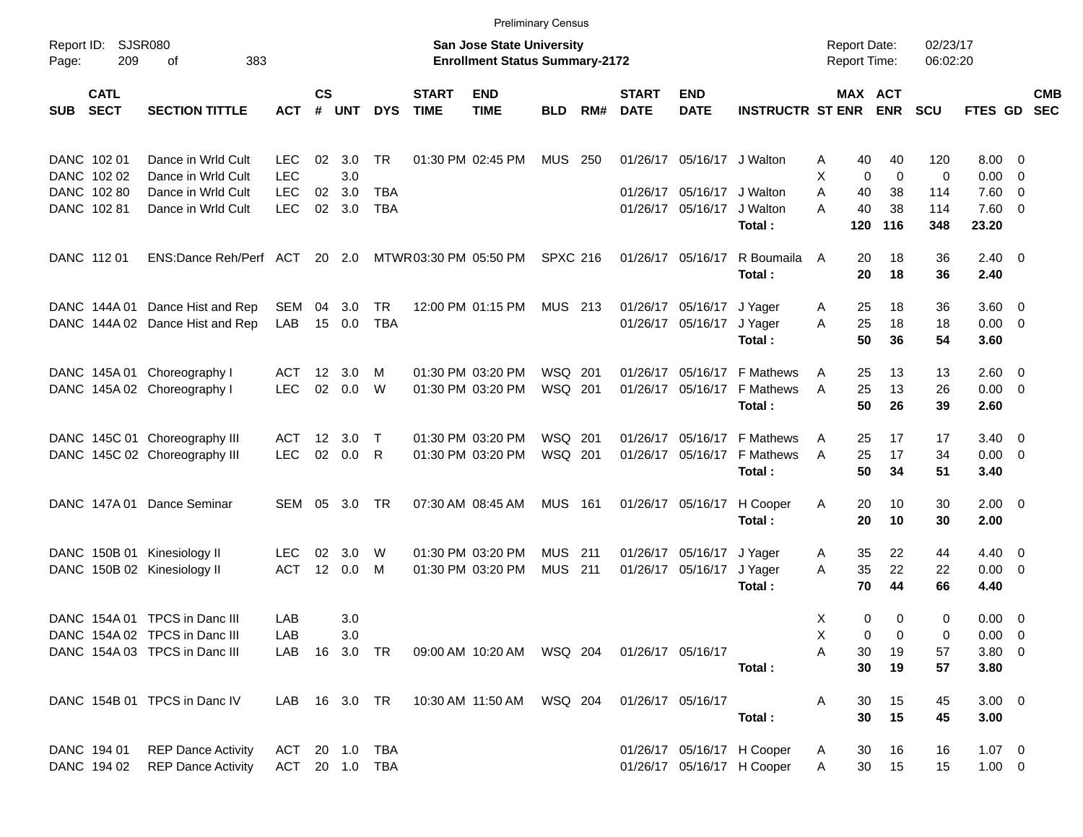|                     |                            |                                 |                |                    |            |            |                             |                                                                           | <b>Preliminary Census</b> |       |                             |                            |                             |                                     |             |                      |                    |                          |                          |
|---------------------|----------------------------|---------------------------------|----------------|--------------------|------------|------------|-----------------------------|---------------------------------------------------------------------------|---------------------------|-------|-----------------------------|----------------------------|-----------------------------|-------------------------------------|-------------|----------------------|--------------------|--------------------------|--------------------------|
| Report ID:<br>Page: | <b>SJSR080</b><br>209      | 383<br>οf                       |                |                    |            |            |                             | <b>San Jose State University</b><br><b>Enrollment Status Summary-2172</b> |                           |       |                             |                            |                             | <b>Report Date:</b><br>Report Time: |             | 02/23/17<br>06:02:20 |                    |                          |                          |
| <b>SUB</b>          | <b>CATL</b><br><b>SECT</b> | <b>SECTION TITTLE</b>           | <b>ACT</b>     | $\mathsf{cs}$<br># | <b>UNT</b> | <b>DYS</b> | <b>START</b><br><b>TIME</b> | <b>END</b><br><b>TIME</b>                                                 | <b>BLD</b>                | RM#   | <b>START</b><br><b>DATE</b> | <b>END</b><br><b>DATE</b>  | <b>INSTRUCTR ST ENR ENR</b> |                                     | MAX ACT     | <b>SCU</b>           | FTES GD            |                          | <b>CMB</b><br><b>SEC</b> |
| DANC 102 01         |                            | Dance in Wrld Cult              | LEC.           | 02                 | 3.0        | <b>TR</b>  |                             | 01:30 PM 02:45 PM                                                         | MUS                       | - 250 |                             | 01/26/17 05/16/17 J Walton |                             | 40<br>A                             | 40          | 120                  | $8.00 \ 0$         |                          |                          |
|                     | DANC 102 02                | Dance in Wrld Cult              | <b>LEC</b>     |                    | 3.0        |            |                             |                                                                           |                           |       |                             |                            |                             | X<br>$\mathbf 0$                    | $\mathbf 0$ | 0                    | 0.00               | $\overline{\phantom{0}}$ |                          |
|                     | DANC 102 80                | Dance in Wrld Cult              | <b>LEC</b>     | 02                 | 3.0        | TBA        |                             |                                                                           |                           |       | 01/26/17                    | 05/16/17                   | J Walton                    | A<br>40                             | 38          | 114                  | 7.60 0             |                          |                          |
|                     | DANC 102 81                | Dance in Wrld Cult              | <b>LEC</b>     |                    | 02 3.0     | TBA        |                             |                                                                           |                           |       |                             | 01/26/17 05/16/17          | J Walton<br>Total:          | 40<br>A<br>120                      | 38<br>116   | 114<br>348           | 7.60 0<br>23.20    |                          |                          |
| DANC 112 01         |                            | ENS:Dance Reh/Perf ACT          |                |                    | 20 2.0     |            | MTWR03:30 PM 05:50 PM       |                                                                           | <b>SPXC 216</b>           |       |                             | 01/26/17 05/16/17          | R Boumaila<br>Total:        | 20<br>A<br>20                       | 18<br>18    | 36<br>36             | $2.40 \ 0$<br>2.40 |                          |                          |
|                     | DANC 144A 01               | Dance Hist and Rep              | SEM            | 04                 | 3.0        | <b>TR</b>  |                             | 12:00 PM 01:15 PM                                                         | MUS 213                   |       |                             | 01/26/17 05/16/17          | J Yager                     | 25<br>A                             | 18          | 36                   | $3.60 \ 0$         |                          |                          |
|                     |                            | DANC 144A 02 Dance Hist and Rep | LAB            |                    | 15 0.0     | <b>TBA</b> |                             |                                                                           |                           |       |                             | 01/26/17 05/16/17          | J Yager                     | 25<br>A                             | 18          | 18                   | $0.00 \t 0$        |                          |                          |
|                     |                            |                                 |                |                    |            |            |                             |                                                                           |                           |       |                             |                            | Total:                      | 50                                  | 36          | 54                   | 3.60               |                          |                          |
|                     |                            | DANC 145A 01 Choreography I     | ACT            | 12 <sup>12</sup>   | 3.0        | м          |                             | 01:30 PM 03:20 PM                                                         | WSQ 201                   |       | 01/26/17                    |                            | 05/16/17 F Mathews          | A<br>25                             | 13          | 13                   | $2.60 \quad 0$     |                          |                          |
|                     |                            | DANC 145A 02 Choreography I     | <b>LEC</b>     |                    | 02 0.0     | W          |                             | 01:30 PM 03:20 PM                                                         | WSQ 201                   |       |                             |                            | 01/26/17 05/16/17 F Mathews | 25<br>A                             | 13          | 26                   | $0.00 \t 0$        |                          |                          |
|                     |                            |                                 |                |                    |            |            |                             |                                                                           |                           |       |                             |                            | Total:                      | 50                                  | 26          | 39                   | 2.60               |                          |                          |
|                     |                            | DANC 145C 01 Choreography III   | ACT            | 12 <sup>12</sup>   | 3.0        | Т          |                             | 01:30 PM 03:20 PM                                                         | WSQ 201                   |       | 01/26/17                    |                            | 05/16/17 F Mathews          | 25<br>A                             | 17          | 17                   | $3.40 \ 0$         |                          |                          |
|                     |                            | DANC 145C 02 Choreography III   | <b>LEC</b>     |                    | 02 0.0     | R          |                             | 01:30 PM 03:20 PM                                                         | WSQ 201                   |       |                             |                            | 01/26/17 05/16/17 F Mathews | 25<br>A                             | 17          | 34                   | $0.00 \t 0$        |                          |                          |
|                     |                            |                                 |                |                    |            |            |                             |                                                                           |                           |       |                             |                            | Total:                      | 50                                  | 34          | 51                   | 3.40               |                          |                          |
|                     |                            | DANC 147A 01 Dance Seminar      | SEM 05         |                    | 3.0        | TR         |                             | 07:30 AM 08:45 AM                                                         | <b>MUS 161</b>            |       |                             | 01/26/17 05/16/17          | H Cooper                    | 20<br>A                             | 10          | 30                   | $2.00 \t 0$        |                          |                          |
|                     |                            |                                 |                |                    |            |            |                             |                                                                           |                           |       |                             |                            | Total:                      | 20                                  | 10          | 30                   | 2.00               |                          |                          |
|                     |                            | DANC 150B 01 Kinesiology II     | <b>LEC</b>     | 02                 | 3.0        | W          |                             | 01:30 PM 03:20 PM                                                         | <b>MUS</b> 211            |       |                             | 01/26/17 05/16/17          | J Yager                     | 35<br>A                             | 22          | 44                   | $4.40 \quad 0$     |                          |                          |
|                     |                            | DANC 150B 02 Kinesiology II     | <b>ACT</b>     |                    | 12 0.0     | M          |                             | 01:30 PM 03:20 PM                                                         | <b>MUS 211</b>            |       |                             | 01/26/17 05/16/17          | J Yager                     | 35<br>A                             | 22          | 22                   | $0.00 \t 0$        |                          |                          |
|                     |                            |                                 |                |                    |            |            |                             |                                                                           |                           |       |                             |                            | Total:                      | 70                                  | 44          | 66                   | 4.40               |                          |                          |
|                     |                            | DANC 154A 01 TPCS in Danc III   | LAB            |                    | 3.0        |            |                             |                                                                           |                           |       |                             |                            |                             | 0<br>X                              | 0           | 0                    | $0.00 \t 0$        |                          |                          |
|                     |                            | DANC 154A 02 TPCS in Danc III   | LAB            |                    | 3.0        |            |                             |                                                                           |                           |       |                             |                            |                             | 0<br>х                              | 0           | 0                    | $0.00 \t 0$        |                          |                          |
|                     |                            | DANC 154A 03 TPCS in Danc III   | LAB            |                    | 16 3.0 TR  |            |                             | 09:00 AM 10:20 AM  WSQ 204                                                |                           |       |                             | 01/26/17 05/16/17          |                             | Α<br>30                             | 19          | 57                   | 3.80 0             |                          |                          |
|                     |                            |                                 |                |                    |            |            |                             |                                                                           |                           |       |                             |                            | Total:                      | 30                                  | 19          | 57                   | 3.80               |                          |                          |
|                     |                            | DANC 154B 01 TPCS in Danc IV    |                |                    |            |            |                             |                                                                           |                           |       |                             | 01/26/17 05/16/17          |                             | 30<br>A                             | 15          | 45                   | $3.00 \ 0$         |                          |                          |
|                     |                            |                                 |                |                    |            |            |                             |                                                                           |                           |       |                             |                            | Total:                      | 30                                  | 15          | 45                   | 3.00               |                          |                          |
|                     | DANC 194 01                | <b>REP Dance Activity</b>       | ACT 20 1.0 TBA |                    |            |            |                             |                                                                           |                           |       |                             |                            | 01/26/17 05/16/17 H Cooper  | 30<br>A                             | 16          | 16                   | $1.07 \t 0$        |                          |                          |
|                     |                            | DANC 194 02 REP Dance Activity  | ACT 20 1.0 TBA |                    |            |            |                             |                                                                           |                           |       |                             |                            | 01/26/17 05/16/17 H Cooper  | 30<br>A                             | 15          | 15                   | $1.00 \t 0$        |                          |                          |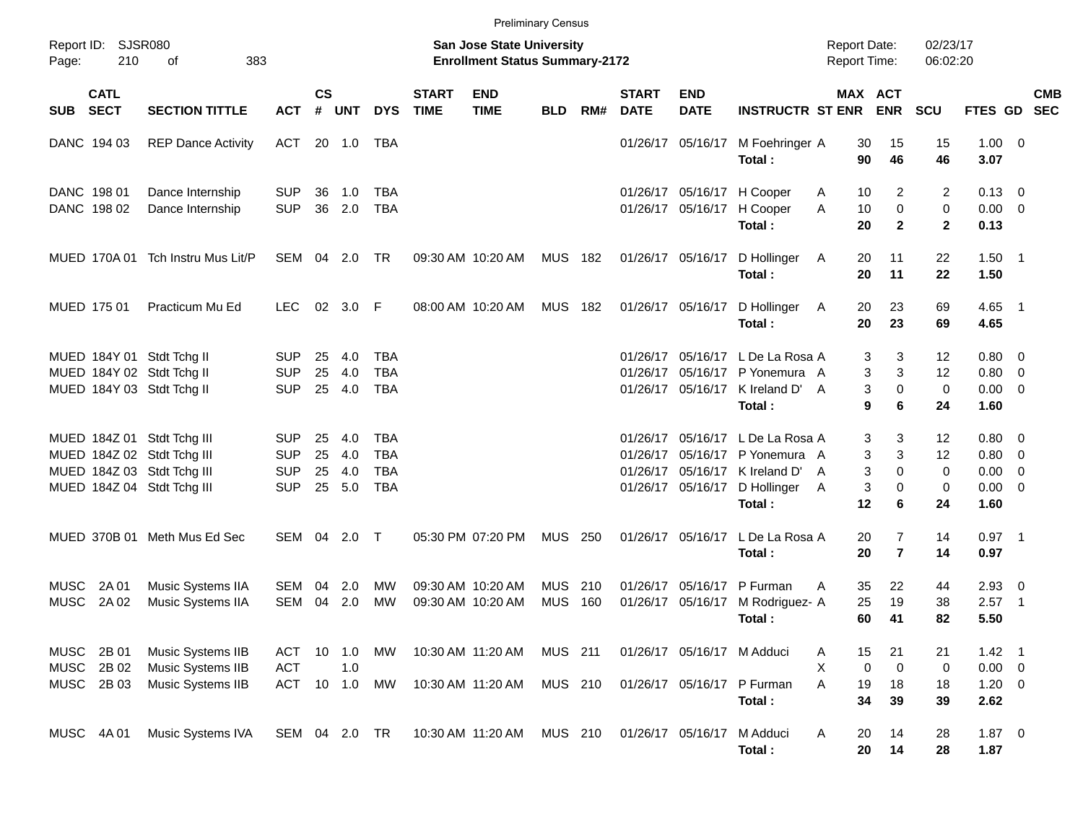|                     |                                   |                                                                                                                      |                                                      |                |                             |                                               |                             |                                                                           | <b>Preliminary Census</b> |     |                             |                            |                                                                                                                                                 |                                     |                                  |                          |                                                                |                  |            |
|---------------------|-----------------------------------|----------------------------------------------------------------------------------------------------------------------|------------------------------------------------------|----------------|-----------------------------|-----------------------------------------------|-----------------------------|---------------------------------------------------------------------------|---------------------------|-----|-----------------------------|----------------------------|-------------------------------------------------------------------------------------------------------------------------------------------------|-------------------------------------|----------------------------------|--------------------------|----------------------------------------------------------------|------------------|------------|
| Page:               | Report ID: SJSR080<br>210         | 383<br>οf                                                                                                            |                                                      |                |                             |                                               |                             | <b>San Jose State University</b><br><b>Enrollment Status Summary-2172</b> |                           |     |                             |                            |                                                                                                                                                 | <b>Report Date:</b><br>Report Time: |                                  | 02/23/17<br>06:02:20     |                                                                |                  |            |
| SUB                 | <b>CATL</b><br><b>SECT</b>        | <b>SECTION TITTLE</b>                                                                                                | <b>ACT</b>                                           | $\mathsf{cs}$  | # UNT                       | <b>DYS</b>                                    | <b>START</b><br><b>TIME</b> | <b>END</b><br><b>TIME</b>                                                 | <b>BLD</b>                | RM# | <b>START</b><br><b>DATE</b> | <b>END</b><br><b>DATE</b>  | <b>INSTRUCTR ST ENR ENR</b>                                                                                                                     |                                     | MAX ACT                          | <b>SCU</b>               | FTES GD SEC                                                    |                  | <b>CMB</b> |
|                     | DANC 194 03                       | <b>REP Dance Activity</b>                                                                                            | ACT                                                  |                | 20 1.0                      | TBA                                           |                             |                                                                           |                           |     |                             |                            | 01/26/17 05/16/17 M Foehringer A<br>Total:                                                                                                      | 30<br>90                            | 15<br>46                         | 15<br>46                 | $1.00 \t 0$<br>3.07                                            |                  |            |
|                     | DANC 198 01<br>DANC 198 02        | Dance Internship<br>Dance Internship                                                                                 | <b>SUP</b><br><b>SUP</b>                             | 36             | 1.0<br>36 2.0               | TBA<br><b>TBA</b>                             |                             |                                                                           |                           |     |                             | 01/26/17 05/16/17          | 01/26/17 05/16/17 H Cooper<br>H Cooper<br>Total:                                                                                                | 10<br>Α<br>A<br>10<br>20            | 2<br>$\mathbf 0$<br>$\mathbf{2}$ | 2<br>0<br>$\mathbf{2}$   | $0.13 \quad 0$<br>$0.00 \t 0$<br>0.13                          |                  |            |
|                     | MUED 170A 01                      | Tch Instru Mus Lit/P                                                                                                 | SEM 04 2.0                                           |                |                             | TR                                            |                             | 09:30 AM 10:20 AM                                                         | <b>MUS 182</b>            |     |                             | 01/26/17 05/16/17          | D Hollinger<br>Total:                                                                                                                           | 20<br>A<br>20                       | 11<br>11                         | 22<br>22                 | $1.50$ 1<br>1.50                                               |                  |            |
|                     | MUED 175 01                       | Practicum Mu Ed                                                                                                      | <b>LEC</b>                                           |                | 02 3.0 F                    |                                               |                             | 08:00 AM 10:20 AM                                                         | <b>MUS 182</b>            |     |                             | 01/26/17 05/16/17          | D Hollinger<br>Total:                                                                                                                           | 20<br>A<br>20                       | 23<br>23                         | 69<br>69                 | $4.65$ 1<br>4.65                                               |                  |            |
|                     |                                   | MUED 184Y 01 Stdt Tchg II<br>MUED 184Y 02 Stdt Tchg II<br>MUED 184Y 03 Stdt Tchg II                                  | <b>SUP</b><br><b>SUP</b><br><b>SUP</b>               | 25<br>25       | 4.0<br>4.0<br>25 4.0        | TBA<br><b>TBA</b><br><b>TBA</b>               |                             |                                                                           |                           |     |                             |                            | 01/26/17 05/16/17 L De La Rosa A<br>01/26/17 05/16/17 P Yonemura A<br>01/26/17 05/16/17 K Ireland D'<br>Total:                                  | 3<br>3<br>3<br>A<br>9               | 3<br>3<br>$\mathbf 0$<br>6       | 12<br>12<br>0<br>24      | $0.80 \ 0$<br>$0.80 \ 0$<br>$0.00 \t 0$<br>1.60                |                  |            |
|                     |                                   | MUED 184Z 01 Stdt Tchg III<br>MUED 184Z 02 Stdt Tchg III<br>MUED 184Z 03 Stdt Tchg III<br>MUED 184Z 04 Stdt Tchg III | <b>SUP</b><br><b>SUP</b><br><b>SUP</b><br><b>SUP</b> | 25<br>25<br>25 | 4.0<br>4.0<br>4.0<br>25 5.0 | TBA<br><b>TBA</b><br><b>TBA</b><br><b>TBA</b> |                             |                                                                           |                           |     |                             |                            | 01/26/17 05/16/17 L De La Rosa A<br>01/26/17 05/16/17 P Yonemura A<br>01/26/17 05/16/17 K Ireland D'<br>01/26/17 05/16/17 D Hollinger<br>Total: | 3<br>3<br>3<br>A<br>3<br>A<br>12    | 3<br>3<br>$\Omega$<br>0<br>6     | 12<br>12<br>0<br>0<br>24 | $0.80 \ 0$<br>$0.80 \ 0$<br>$0.00 \t 0$<br>$0.00 \t 0$<br>1.60 |                  |            |
|                     |                                   | MUED 370B 01 Meth Mus Ed Sec                                                                                         | SEM 04                                               |                | 2.0                         | $\top$                                        |                             | 05:30 PM 07:20 PM                                                         | <b>MUS 250</b>            |     |                             | 01/26/17 05/16/17          | L De La Rosa A<br>Total:                                                                                                                        | 20<br>20                            | $\overline{7}$<br>$\overline{7}$ | 14<br>14                 | $0.97$ 1<br>0.97                                               |                  |            |
| MUSC<br><b>MUSC</b> | 2A 01<br>2A 02                    | Music Systems IIA<br>Music Systems IIA                                                                               | SEM<br>SEM                                           | 04<br>04       | 2.0<br>2.0                  | MW<br>MW                                      |                             | 09:30 AM 10:20 AM<br>09:30 AM 10:20 AM                                    | MUS 210<br><b>MUS</b>     | 160 |                             | 01/26/17 05/16/17          | 01/26/17 05/16/17 P Furman<br>M Rodriguez- A<br>Total:                                                                                          | 35<br>A<br>25<br>60                 | 22<br>19<br>41                   | 44<br>38<br>82           | $2.93$ 0<br>2.57<br>5.50                                       | $\blacksquare$ 1 |            |
| <b>MUSC</b>         | MUSC 2B 01<br>2B 02<br>MUSC 2B 03 | Music Systems IIB<br>Music Systems IIB<br>Music Systems IIB                                                          | ACT<br><b>ACT</b><br>ACT 10 1.0                      |                | 10 1.0<br>1.0               | MW<br>MW                                      |                             | 10:30 AM 11:20 AM MUS 211<br>10:30 AM 11:20 AM                            | MUS 210                   |     |                             | 01/26/17 05/16/17 M Adduci | 01/26/17 05/16/17 P Furman<br>Total:                                                                                                            | 15<br>Α<br>Χ<br>0<br>A<br>19<br>34  | 21<br>0<br>18<br>39              | 21<br>0<br>18<br>39      | $1.42$ 1<br>$0.00 \t 0$<br>$1.20 \t 0$<br>2.62                 |                  |            |
|                     | MUSC 4A 01                        | Music Systems IVA                                                                                                    |                                                      |                | SEM 04 2.0 TR               |                                               |                             | 10:30 AM 11:20 AM                                                         | MUS 210                   |     |                             | 01/26/17 05/16/17          | M Adduci<br>Total:                                                                                                                              | 20<br>Α<br>20                       | 14<br>14                         | 28<br>28                 | $1.87 \t 0$<br>1.87                                            |                  |            |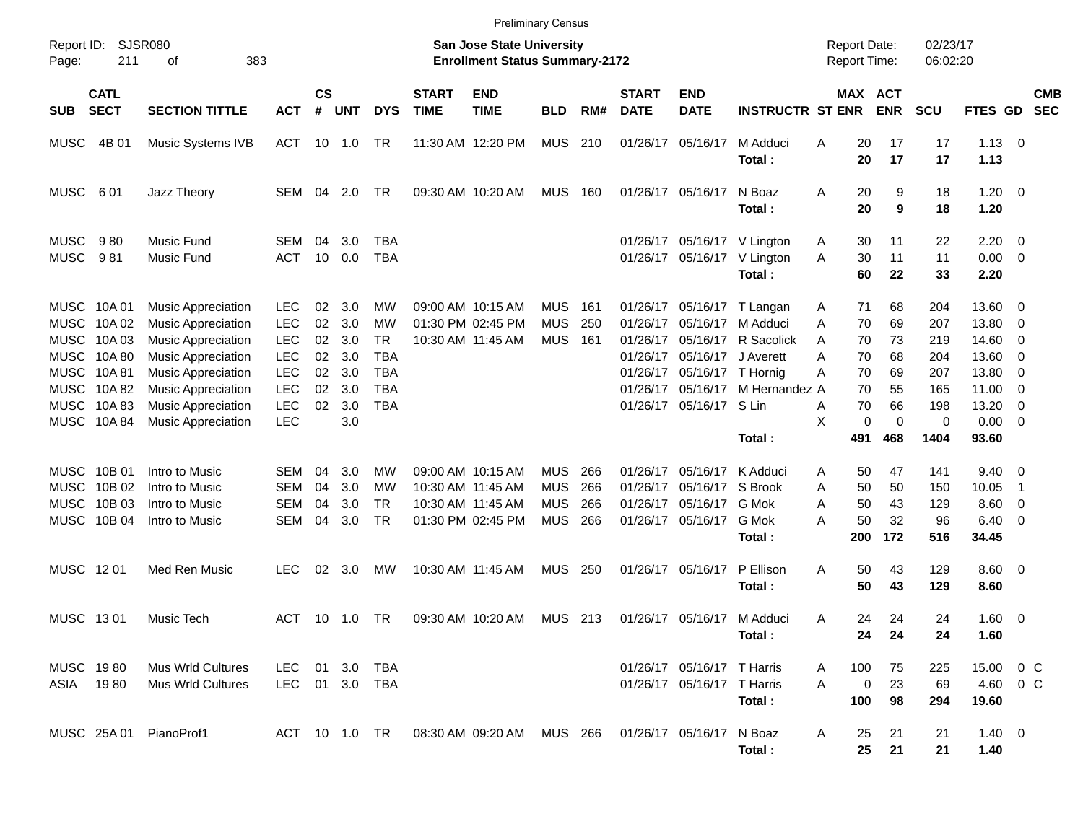|                                                                         |                                               |                                                                                                                                               |                                                                    |                            |                                 |                                                   |                             | <b>Preliminary Census</b>                                                        |                                                      |                          |                                                          |                                                          |                                                             |                                                     |                             |                                   |                                           |                                                                                       |  |
|-------------------------------------------------------------------------|-----------------------------------------------|-----------------------------------------------------------------------------------------------------------------------------------------------|--------------------------------------------------------------------|----------------------------|---------------------------------|---------------------------------------------------|-----------------------------|----------------------------------------------------------------------------------|------------------------------------------------------|--------------------------|----------------------------------------------------------|----------------------------------------------------------|-------------------------------------------------------------|-----------------------------------------------------|-----------------------------|-----------------------------------|-------------------------------------------|---------------------------------------------------------------------------------------|--|
| Report ID:<br>Page:                                                     | 211                                           | SJSR080<br>383<br>οf                                                                                                                          |                                                                    |                            |                                 |                                                   |                             | <b>San Jose State University</b><br><b>Enrollment Status Summary-2172</b>        |                                                      |                          |                                                          |                                                          |                                                             | <b>Report Date:</b><br><b>Report Time:</b>          |                             | 02/23/17<br>06:02:20              |                                           |                                                                                       |  |
| <b>SUB</b>                                                              | <b>CATL</b><br><b>SECT</b>                    | <b>SECTION TITTLE</b>                                                                                                                         | <b>ACT</b>                                                         | $\mathsf{cs}$<br>#         | <b>UNT</b>                      | <b>DYS</b>                                        | <b>START</b><br><b>TIME</b> | <b>END</b><br><b>TIME</b>                                                        | <b>BLD</b>                                           | RM#                      | <b>START</b><br><b>DATE</b>                              | <b>END</b><br><b>DATE</b>                                | <b>INSTRUCTR ST ENR</b>                                     |                                                     | MAX ACT<br><b>ENR</b>       | <b>SCU</b>                        | FTES GD                                   | <b>CMB</b><br><b>SEC</b>                                                              |  |
| <b>MUSC</b>                                                             | 4B 01                                         | Music Systems IVB                                                                                                                             | ACT                                                                | 10                         | 1.0                             | TR                                                |                             | 11:30 AM 12:20 PM                                                                | <b>MUS</b>                                           | 210                      | 01/26/17                                                 | 05/16/17                                                 | M Adduci<br>Total:                                          | 20<br>Α<br>20                                       | 17<br>17                    | 17<br>17                          | $1.13 \ 0$<br>1.13                        |                                                                                       |  |
| <b>MUSC</b>                                                             | 601                                           | Jazz Theory                                                                                                                                   | SEM                                                                | 04                         | 2.0                             | <b>TR</b>                                         |                             | 09:30 AM 10:20 AM                                                                | <b>MUS</b>                                           | 160                      |                                                          | 01/26/17 05/16/17                                        | N Boaz<br>Total:                                            | Α<br>20<br>20                                       | 9<br>9                      | 18<br>18                          | $1.20 \ 0$<br>1.20                        |                                                                                       |  |
| <b>MUSC</b><br><b>MUSC</b>                                              | 980<br>981                                    | Music Fund<br>Music Fund                                                                                                                      | SEM<br><b>ACT</b>                                                  | 04<br>10                   | 3.0<br>0.0                      | <b>TBA</b><br><b>TBA</b>                          |                             |                                                                                  |                                                      |                          | 01/26/17                                                 |                                                          | 01/26/17 05/16/17 V Lington<br>05/16/17 V Lington<br>Total: | 30<br>A<br>30<br>Α<br>60                            | 11<br>11<br>22              | 22<br>11<br>33                    | 2.20<br>0.00<br>2.20                      | $\overline{\mathbf{0}}$<br>$\overline{\mathbf{0}}$                                    |  |
| <b>MUSC</b><br><b>MUSC</b><br><b>MUSC</b><br><b>MUSC</b><br><b>MUSC</b> | 10A 01<br>10A 02<br>10A03<br>10A 80<br>10A 81 | <b>Music Appreciation</b><br><b>Music Appreciation</b><br><b>Music Appreciation</b><br><b>Music Appreciation</b><br><b>Music Appreciation</b> | <b>LEC</b><br><b>LEC</b><br><b>LEC</b><br><b>LEC</b><br><b>LEC</b> | 02<br>02<br>02<br>02<br>02 | 3.0<br>3.0<br>3.0<br>3.0<br>3.0 | МW<br>MW<br><b>TR</b><br><b>TBA</b><br><b>TBA</b> |                             | 09:00 AM 10:15 AM<br>01:30 PM 02:45 PM<br>10:30 AM 11:45 AM                      | <b>MUS</b><br><b>MUS</b><br><b>MUS</b>               | 161<br>250<br>161        | 01/26/17<br>01/26/17<br>01/26/17<br>01/26/17<br>01/26/17 | 05/16/17<br>05/16/17<br>05/16/17<br>05/16/17 T Hornig    | 05/16/17 T Langan<br>M Adduci<br>R Sacolick<br>J Averett    | 71<br>Α<br>70<br>Α<br>70<br>A<br>Α<br>70<br>70<br>Α | 68<br>69<br>73<br>68<br>69  | 204<br>207<br>219<br>204<br>207   | 13.60<br>13.80<br>14.60<br>13.60<br>13.80 | - 0<br>$\overline{0}$<br>- 0<br>- 0<br>- 0                                            |  |
| <b>MUSC</b><br><b>MUSC</b><br><b>MUSC</b>                               | 10A82<br>10A83<br>10A 84                      | <b>Music Appreciation</b><br><b>Music Appreciation</b><br><b>Music Appreciation</b>                                                           | <b>LEC</b><br><b>LEC</b><br><b>LEC</b>                             | 02<br>02                   | 3.0<br>3.0<br>3.0               | <b>TBA</b><br><b>TBA</b>                          |                             |                                                                                  |                                                      |                          | 01/26/17<br>01/26/17                                     | 05/16/17<br>05/16/17 S Lin                               | M Hernandez A<br>Total:                                     | 70<br>70<br>Α<br>X<br>0<br>491                      | 55<br>66<br>0<br>468        | 165<br>198<br>$\mathbf 0$<br>1404 | 11.00<br>13.20<br>0.00<br>93.60           | $\overline{\mathbf{0}}$<br>$\overline{\mathbf{0}}$<br>$\overline{0}$                  |  |
| <b>MUSC</b><br><b>MUSC</b><br><b>MUSC</b><br><b>MUSC</b>                | 10B 01<br>10B 02<br>10B 03<br>10B 04          | Intro to Music<br>Intro to Music<br>Intro to Music<br>Intro to Music                                                                          | SEM<br><b>SEM</b><br><b>SEM</b><br>SEM                             | 04<br>04<br>04<br>04       | 3.0<br>3.0<br>3.0<br>3.0        | МW<br>МW<br><b>TR</b><br><b>TR</b>                |                             | 09:00 AM 10:15 AM<br>10:30 AM 11:45 AM<br>10:30 AM 11:45 AM<br>01:30 PM 02:45 PM | <b>MUS</b><br><b>MUS</b><br><b>MUS</b><br><b>MUS</b> | 266<br>266<br>266<br>266 | 01/26/17<br>01/26/17<br>01/26/17<br>01/26/17             | 05/16/17<br>05/16/17<br>05/16/17<br>05/16/17             | K Adduci<br>S Brook<br>G Mok<br>G Mok<br>Total:             | 50<br>A<br>50<br>Α<br>50<br>Α<br>50<br>Α<br>200     | 47<br>50<br>43<br>32<br>172 | 141<br>150<br>129<br>96<br>516    | 9.40<br>10.05<br>8.60<br>6.40<br>34.45    | $\overline{\phantom{0}}$<br>$\overline{\mathbf{1}}$<br>$\overline{\mathbf{0}}$<br>- 0 |  |
| MUSC 1201                                                               |                                               | Med Ren Music                                                                                                                                 | <b>LEC</b>                                                         | 02                         | 3.0                             | МW                                                |                             | 10:30 AM 11:45 AM                                                                | <b>MUS</b>                                           | 250                      |                                                          | 01/26/17 05/16/17                                        | P Ellison<br>Total:                                         | Α<br>50<br>50                                       | 43<br>43                    | 129<br>129                        | $8.60 \ 0$<br>8.60                        |                                                                                       |  |
| MUSC 1301                                                               |                                               | Music Tech                                                                                                                                    | ACT                                                                | 10                         | 1.0                             | <b>TR</b>                                         |                             | 09:30 AM 10:20 AM                                                                | MUS 213                                              |                          |                                                          | 01/26/17 05/16/17                                        | M Adduci<br>Total:                                          | Α<br>24<br>24                                       | 24<br>24                    | 24<br>24                          | $1.60 \t 0$<br>1.60                       |                                                                                       |  |
| MUSC 1980<br>ASIA 1980                                                  |                                               | <b>Mus Wrld Cultures</b><br><b>Mus Wrld Cultures</b>                                                                                          | <b>LEC</b><br>LEC 01 3.0 TBA                                       |                            | 01 3.0                          | TBA                                               |                             |                                                                                  |                                                      |                          |                                                          | 01/26/17 05/16/17 T Harris<br>01/26/17 05/16/17 T Harris | Total:                                                      | 100<br>A<br>A<br>0<br>100                           | 75<br>23<br>98              | 225<br>69<br>294                  | 15.00 0 C<br>4.60 0 C<br>19.60            |                                                                                       |  |
|                                                                         |                                               | MUSC 25A 01 PianoProf1                                                                                                                        |                                                                    |                            |                                 | ACT 10 1.0 TR                                     |                             | 08:30 AM 09:20 AM MUS 266                                                        |                                                      |                          |                                                          | 01/26/17 05/16/17 N Boaz                                 | Total:                                                      | 25<br>A<br>25                                       | 21<br>21                    | 21<br>21                          | $1.40 \ 0$<br>1.40                        |                                                                                       |  |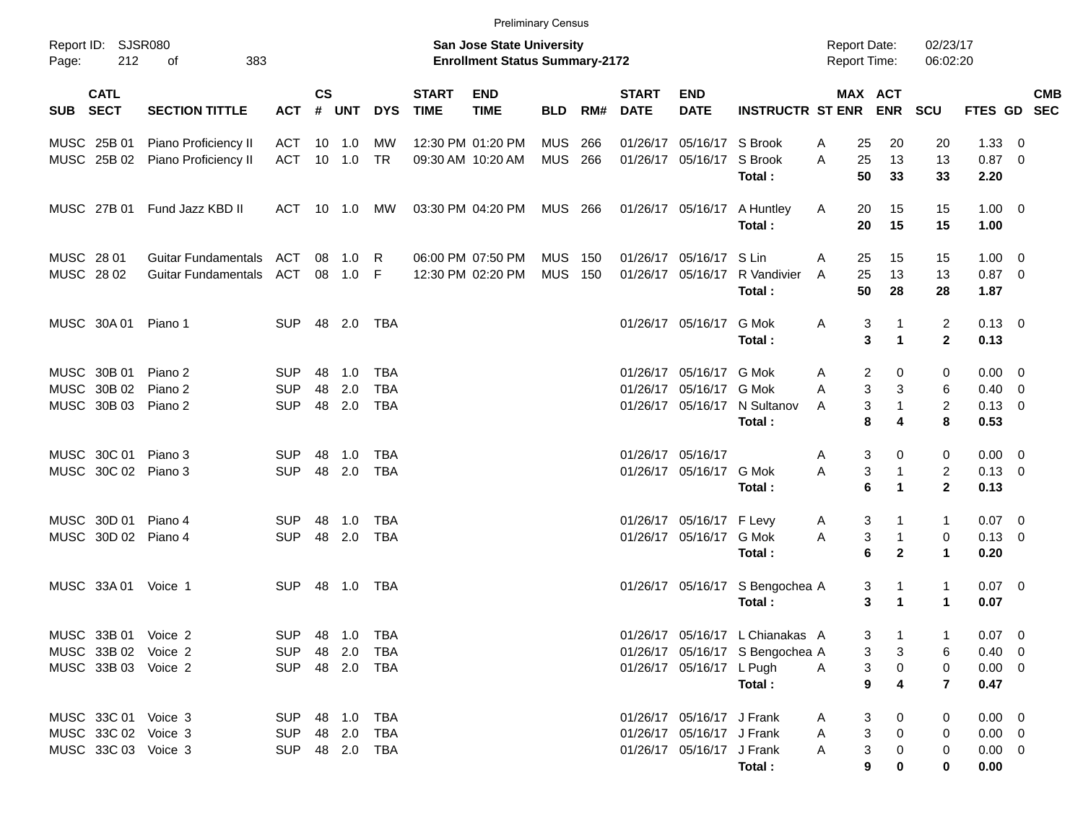|                                          |                            |            |                    |                |                |                             |                                                                    | <b>Preliminary Census</b> |     |                             |                           |                                 |                                            |                           |                                |                        |     |            |
|------------------------------------------|----------------------------|------------|--------------------|----------------|----------------|-----------------------------|--------------------------------------------------------------------|---------------------------|-----|-----------------------------|---------------------------|---------------------------------|--------------------------------------------|---------------------------|--------------------------------|------------------------|-----|------------|
| Report ID: SJSR080<br>212<br>Page:       | 383<br>оf                  |            |                    |                |                |                             | San Jose State University<br><b>Enrollment Status Summary-2172</b> |                           |     |                             |                           |                                 | <b>Report Date:</b><br><b>Report Time:</b> |                           | 02/23/17<br>06:02:20           |                        |     |            |
| <b>CATL</b><br><b>SECT</b><br><b>SUB</b> | <b>SECTION TITTLE</b>      | <b>ACT</b> | $\mathsf{cs}$<br># | UNT            | <b>DYS</b>     | <b>START</b><br><b>TIME</b> | <b>END</b><br><b>TIME</b>                                          | <b>BLD</b>                | RM# | <b>START</b><br><b>DATE</b> | <b>END</b><br><b>DATE</b> | <b>INSTRUCTR ST ENR</b>         | MAX ACT                                    | <b>ENR</b>                | <b>SCU</b>                     | FTES GD SEC            |     | <b>CMB</b> |
| MUSC 25B 01                              | Piano Proficiency II       | ACT        |                    | $10 \quad 1.0$ | МW             |                             | 12:30 PM 01:20 PM                                                  | MUS                       | 266 |                             | 01/26/17 05/16/17 S Brook |                                 | 25<br>A                                    | 20                        | 20                             | 1.33                   | - 0 |            |
| MUSC 25B 02                              | Piano Proficiency II       | ACT        |                    | 10 1.0         | <b>TR</b>      |                             | 09:30 AM 10:20 AM                                                  | MUS 266                   |     |                             | 01/26/17 05/16/17         | S Brook<br>Total:               | A<br>25<br>50                              | 13<br>33                  | 13<br>33                       | $0.87$ 0<br>2.20       |     |            |
| MUSC 27B 01                              | Fund Jazz KBD II           | ACT 10 1.0 |                    |                | MW             |                             | 03:30 PM 04:20 PM                                                  | MUS 266                   |     |                             | 01/26/17 05/16/17         | A Huntley<br>Total:             | Α<br>20<br>20                              | 15<br>15                  | 15<br>15                       | $1.00 \t 0$<br>1.00    |     |            |
| MUSC 28 01                               | <b>Guitar Fundamentals</b> | ACT        | 08                 | 1.0            | - R            |                             | 06:00 PM 07:50 PM                                                  | <b>MUS 150</b>            |     |                             | 01/26/17 05/16/17 S Lin   |                                 | 25<br>A                                    | 15                        | 15                             | $1.00 \t 0$            |     |            |
| MUSC 28 02                               | <b>Guitar Fundamentals</b> | ACT        |                    | 08 1.0 F       |                |                             | 12:30 PM 02:20 PM                                                  | <b>MUS</b>                | 150 |                             | 01/26/17 05/16/17         | R Vandivier<br>Total:           | 25<br>A<br>50                              | 13<br>28                  | 13<br>28                       | $0.87$ 0<br>1.87       |     |            |
| MUSC 30A 01                              | Piano 1                    | <b>SUP</b> |                    | 48 2.0         | TBA            |                             |                                                                    |                           |     |                             | 01/26/17 05/16/17         | G Mok<br>Total:                 | Α<br>3<br>3                                | 1<br>$\blacktriangleleft$ | $\overline{2}$<br>$\mathbf{2}$ | $0.13 \quad 0$<br>0.13 |     |            |
| MUSC 30B 01                              | Piano 2                    | <b>SUP</b> | 48                 | 1.0            | <b>TBA</b>     |                             |                                                                    |                           |     |                             | 01/26/17 05/16/17 G Mok   |                                 | 2<br>A                                     | 0                         | 0                              | $0.00 \quad 0$         |     |            |
| MUSC 30B 02                              | Piano 2                    | <b>SUP</b> | 48                 | 2.0            | <b>TBA</b>     |                             |                                                                    |                           |     |                             | 01/26/17 05/16/17 G Mok   |                                 | $\mathbf{3}$<br>A                          | 3                         | 6                              | $0.40 \quad 0$         |     |            |
| MUSC 30B 03 Piano 2                      |                            | <b>SUP</b> | 48                 | 2.0            | TBA            |                             |                                                                    |                           |     |                             |                           | 01/26/17 05/16/17 N Sultanov    | 3<br>A                                     | $\mathbf{1}$              | $\overline{c}$                 | $0.13 \ 0$             |     |            |
|                                          |                            |            |                    |                |                |                             |                                                                    |                           |     |                             |                           | Total:                          | 8                                          | 4                         | 8                              | 0.53                   |     |            |
| MUSC 30C 01 Piano 3                      |                            | <b>SUP</b> | 48                 | 1.0            | TBA            |                             |                                                                    |                           |     |                             | 01/26/17 05/16/17         |                                 | 3<br>Α                                     | 0                         | 0                              | $0.00 \t 0$            |     |            |
| MUSC 30C 02 Piano 3                      |                            | <b>SUP</b> | 48                 | 2.0            | TBA            |                             |                                                                    |                           |     |                             | 01/26/17 05/16/17 G Mok   |                                 | 3<br>A                                     | $\mathbf{1}$              | $\overline{2}$                 | $0.13 \quad 0$         |     |            |
|                                          |                            |            |                    |                |                |                             |                                                                    |                           |     |                             |                           | Total:                          | 6                                          | $\blacktriangleleft$      | $\mathbf{2}$                   | 0.13                   |     |            |
| MUSC 30D 01 Piano 4                      |                            | <b>SUP</b> | 48                 | 1.0            | TBA            |                             |                                                                    |                           |     |                             | 01/26/17 05/16/17 F Levy  |                                 | 3<br>A                                     |                           | $\mathbf{1}$                   | $0.07 \ 0$             |     |            |
| MUSC 30D 02 Piano 4                      |                            | <b>SUP</b> | 48                 | 2.0            | TBA            |                             |                                                                    |                           |     |                             | 01/26/17 05/16/17 G Mok   |                                 | 3<br>A                                     | $\mathbf{1}$              | $\mathbf 0$                    | $0.13 \ 0$             |     |            |
|                                          |                            |            |                    |                |                |                             |                                                                    |                           |     |                             |                           | Total:                          | 6                                          | $\mathbf{2}$              | $\mathbf{1}$                   | 0.20                   |     |            |
| MUSC 33A 01 Voice 1                      |                            | <b>SUP</b> |                    | 48 1.0         | TBA            |                             |                                                                    |                           |     |                             |                           | 01/26/17 05/16/17 S Bengochea A | 3                                          | 1                         | $\mathbf{1}$                   | $0.07 \ 0$             |     |            |
|                                          |                            |            |                    |                |                |                             |                                                                    |                           |     |                             |                           | Total:                          | 3                                          | $\blacktriangleleft$      | $\blacktriangleleft$           | 0.07                   |     |            |
| MUSC 33B 01 Voice 2                      |                            |            |                    |                | SUP 48 1.0 TBA |                             |                                                                    |                           |     |                             |                           | 01/26/17 05/16/17 L Chianakas A | 3                                          |                           |                                | $0.07 \quad 0$         |     |            |
| MUSC 33B 02 Voice 2                      |                            | <b>SUP</b> |                    | 48 2.0         | TBA            |                             |                                                                    |                           |     |                             |                           | 01/26/17 05/16/17 S Bengochea A |                                            | 3<br>3                    | 6                              | $0.40 \quad 0$         |     |            |
| MUSC 33B 03 Voice 2                      |                            | <b>SUP</b> |                    |                | 48 2.0 TBA     |                             |                                                                    |                           |     |                             | 01/26/17 05/16/17 L Pugh  |                                 | 3<br>A                                     | 0                         | 0                              | $0.00 \t 0$            |     |            |
|                                          |                            |            |                    |                |                |                             |                                                                    |                           |     |                             |                           | Total:                          | $\overline{9}$                             | 4                         | $\overline{7}$                 | 0.47                   |     |            |
| MUSC 33C 01 Voice 3                      |                            |            |                    |                | SUP 48 1.0 TBA |                             |                                                                    |                           |     |                             | 01/26/17 05/16/17 J Frank |                                 | 3<br>A                                     | 0                         | 0                              | $0.00 \t 0$            |     |            |
| MUSC 33C 02 Voice 3                      |                            | <b>SUP</b> |                    |                | 48  2.0  TBA   |                             |                                                                    |                           |     |                             | 01/26/17 05/16/17 J Frank |                                 | 3<br>A                                     | $\Omega$                  | 0                              | $0.00 \t 0$            |     |            |
| MUSC 33C 03 Voice 3                      |                            | <b>SUP</b> |                    |                | 48  2.0  TBA   |                             |                                                                    |                           |     |                             | 01/26/17 05/16/17 J Frank |                                 | 3<br>A                                     |                           | 0                              | $0.00 \t 0$            |     |            |
|                                          |                            |            |                    |                |                |                             |                                                                    |                           |     |                             |                           | Total:                          | 9                                          |                           | 0                              | 0.00                   |     |            |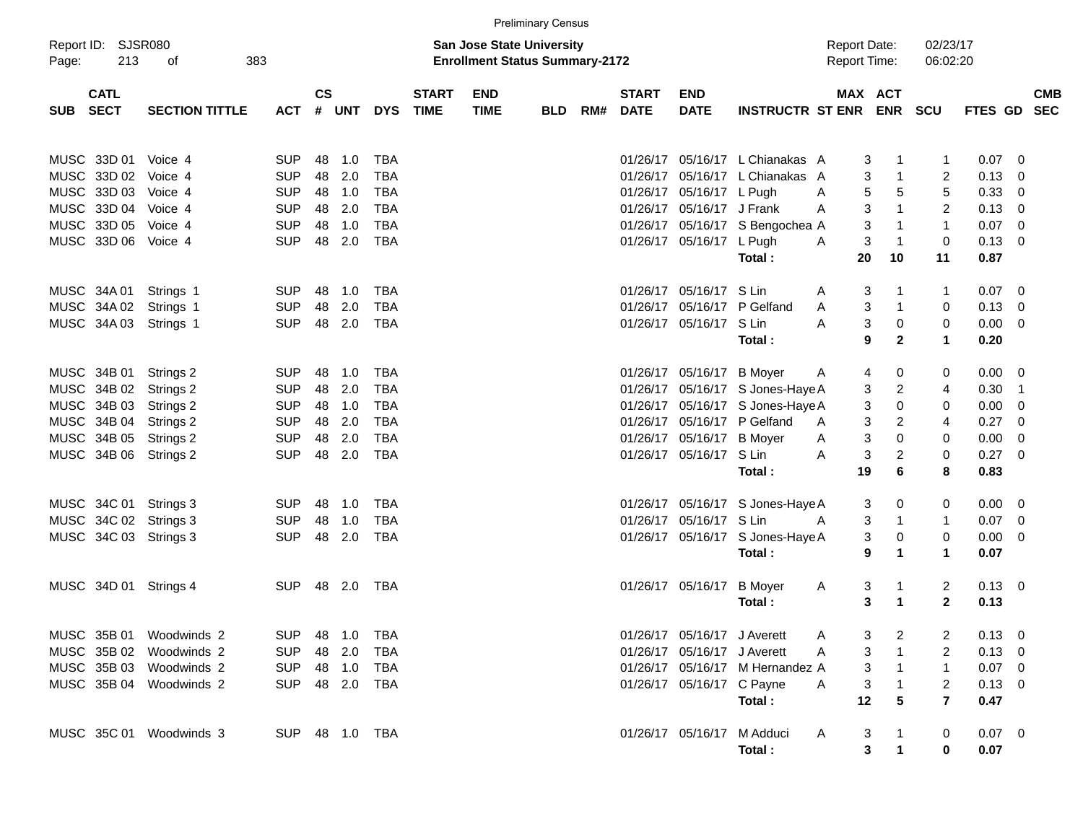|                                      |                       |                          |               |            |                   |              |                                                                           | <b>Preliminary Census</b> |     |                             |                             |                                  |                                            |                   |                      |                           |            |
|--------------------------------------|-----------------------|--------------------------|---------------|------------|-------------------|--------------|---------------------------------------------------------------------------|---------------------------|-----|-----------------------------|-----------------------------|----------------------------------|--------------------------------------------|-------------------|----------------------|---------------------------|------------|
| Report ID: SJSR080<br>213<br>Page:   | 383<br>οf             |                          |               |            |                   |              | <b>San Jose State University</b><br><b>Enrollment Status Summary-2172</b> |                           |     |                             |                             |                                  | <b>Report Date:</b><br><b>Report Time:</b> |                   | 02/23/17<br>06:02:20 |                           |            |
| <b>CATL</b><br>SUB SECT              | <b>SECTION TITTLE</b> | <b>ACT</b>               | $\mathsf{cs}$ | # UNT      | <b>DYS TIME</b>   | <b>START</b> | <b>END</b><br><b>TIME</b>                                                 | <b>BLD</b>                | RM# | <b>START</b><br><b>DATE</b> | <b>END</b><br><b>DATE</b>   | INSTRUCTR ST ENR ENR             | MAX ACT                                    |                   | <b>SCU</b>           | FTES GD SEC               | <b>CMB</b> |
| MUSC 33D 01 Voice 4                  |                       | <b>SUP</b>               | 48            | 1.0        | TBA               |              |                                                                           |                           |     |                             |                             | 01/26/17 05/16/17 L Chianakas A  | 3                                          |                   | 1                    | $0.07$ 0                  |            |
| MUSC 33D 02 Voice 4                  |                       | <b>SUP</b>               | 48            | 2.0        | <b>TBA</b>        |              |                                                                           |                           |     | 01/26/17                    |                             | 05/16/17 L Chianakas             | 3<br>A                                     | $\mathbf{1}$      | 2                    | $0.13 \quad 0$            |            |
| MUSC 33D 03 Voice 4                  |                       | <b>SUP</b>               | 48            | 1.0        | <b>TBA</b>        |              |                                                                           |                           |     |                             | 01/26/17 05/16/17 L Pugh    |                                  | 5<br>A                                     | 5                 | 5                    | 0.33 0                    |            |
| MUSC 33D 04 Voice 4                  |                       | <b>SUP</b>               | 48            | 2.0        | <b>TBA</b>        |              |                                                                           |                           |     |                             | 01/26/17 05/16/17 J Frank   |                                  | 3<br>A                                     | $\mathbf{1}$      | $\overline{c}$       | $0.13 \quad 0$            |            |
| MUSC 33D 05 Voice 4                  |                       | <b>SUP</b>               | 48            | 1.0        | <b>TBA</b>        |              |                                                                           |                           |     |                             |                             | 01/26/17 05/16/17 S Bengochea A  | 3                                          |                   | $\mathbf{1}$         | $0.07$ 0                  |            |
| MUSC 33D 06 Voice 4                  |                       | <b>SUP</b>               | 48            | 2.0        | <b>TBA</b>        |              |                                                                           |                           |     |                             | 01/26/17 05/16/17 L Pugh    |                                  | 3<br>A                                     | $\mathbf{1}$      | $\mathbf 0$          | $0.13 \quad 0$            |            |
|                                      |                       |                          |               |            |                   |              |                                                                           |                           |     |                             |                             | Total:                           | 20                                         | 10                | 11                   | 0.87                      |            |
| MUSC 34A 01                          | Strings 1             | <b>SUP</b>               | 48            | 1.0        | TBA               |              |                                                                           |                           |     |                             | 01/26/17 05/16/17 S Lin     |                                  | 3<br>A                                     |                   | $\mathbf{1}$         | $0.07$ 0                  |            |
| MUSC 34A 02                          | Strings 1             | <b>SUP</b>               | 48            | 2.0        | <b>TBA</b>        |              |                                                                           |                           |     |                             |                             | 01/26/17 05/16/17 P Gelfand      | 3<br>A                                     | $\mathbf{1}$      | 0                    | $0.13 \quad 0$            |            |
| MUSC 34A 03                          | Strings 1             | <b>SUP</b>               | 48            | 2.0        | <b>TBA</b>        |              |                                                                           |                           |     |                             | 01/26/17 05/16/17 S Lin     |                                  | 3<br>A                                     | 0                 | $\mathbf 0$          | $0.00 \t 0$               |            |
|                                      |                       |                          |               |            |                   |              |                                                                           |                           |     |                             |                             | Total:                           | 9                                          | $\mathbf{2}$      | $\mathbf{1}$         | 0.20                      |            |
| MUSC 34B 01                          | Strings 2             | <b>SUP</b>               | 48            | 1.0        | TBA               |              |                                                                           |                           |     |                             | 01/26/17 05/16/17 B Moyer   |                                  | 4                                          | 0                 | 0                    | $0.00 \t 0$               |            |
| MUSC 34B 02                          | Strings 2             | <b>SUP</b>               | 48            | 2.0        | <b>TBA</b>        |              |                                                                           |                           |     |                             |                             | 01/26/17 05/16/17 S Jones-Haye A | A<br>3                                     | $\overline{c}$    | 4                    | $0.30$ 1                  |            |
| MUSC 34B 03                          | Strings 2             | <b>SUP</b>               | 48            | 1.0        | <b>TBA</b>        |              |                                                                           |                           |     |                             |                             | 01/26/17 05/16/17 S Jones-Haye A | 3                                          | $\mathbf 0$       | 0                    | $0.00 \ 0$                |            |
| MUSC 34B 04                          | Strings 2             | <b>SUP</b>               | 48            | 2.0        | <b>TBA</b>        |              |                                                                           |                           |     |                             |                             | 01/26/17 05/16/17 P Gelfand      | 3<br>A                                     | $\overline{2}$    | 4                    | $0.27 \t 0$               |            |
| MUSC 34B 05                          | Strings 2             | <b>SUP</b>               | 48            | 2.0        | <b>TBA</b>        |              |                                                                           |                           |     |                             | 01/26/17 05/16/17 B Moyer   |                                  | 3<br>A                                     | $\mathbf 0$       | 0                    | $0.00 \t 0$               |            |
| MUSC 34B 06 Strings 2                |                       | <b>SUP</b>               | 48            | 2.0        | <b>TBA</b>        |              |                                                                           |                           |     |                             | 01/26/17 05/16/17 S Lin     |                                  | 3<br>Α                                     | $\overline{c}$    | $\mathbf 0$          | $0.27 \t 0$               |            |
|                                      |                       |                          |               |            |                   |              |                                                                           |                           |     |                             |                             | Total:                           | 19                                         | 6                 | 8                    | 0.83                      |            |
|                                      |                       |                          |               |            |                   |              |                                                                           |                           |     |                             |                             |                                  |                                            |                   |                      |                           |            |
| MUSC 34C 01<br>MUSC 34C 02 Strings 3 | Strings 3             | <b>SUP</b><br><b>SUP</b> | 48<br>48      | 1.0<br>1.0 | TBA<br><b>TBA</b> |              |                                                                           |                           |     |                             | 01/26/17 05/16/17 S Lin     | 01/26/17 05/16/17 S Jones-Haye A | 3<br>A                                     | 0<br>$\mathbf{1}$ | 0<br>$\mathbf{1}$    | $0.00 \t 0$<br>$0.07 \ 0$ |            |
| MUSC 34C 03 Strings 3                |                       | <b>SUP</b>               | 48            | 2.0        | <b>TBA</b>        |              |                                                                           |                           |     |                             |                             | 01/26/17 05/16/17 S Jones-Haye A | 3<br>3                                     | 0                 | $\mathbf 0$          | $0.00 \t 0$               |            |
|                                      |                       |                          |               |            |                   |              |                                                                           |                           |     |                             |                             | Total:                           | 9                                          | $\mathbf 1$       | $\mathbf 1$          | 0.07                      |            |
|                                      |                       |                          |               |            |                   |              |                                                                           |                           |     |                             |                             |                                  |                                            |                   |                      |                           |            |
| MUSC 34D 01 Strings 4                |                       | SUP                      |               | 48 2.0     | TBA               |              |                                                                           |                           |     |                             | 01/26/17 05/16/17 B Moyer   |                                  | 3<br>A                                     |                   | 2                    | $0.13 \ 0$                |            |
|                                      |                       |                          |               |            |                   |              |                                                                           |                           |     |                             |                             | Total:                           | 3                                          | 1                 | $\mathbf{2}$         | 0.13                      |            |
| MUSC 35B 01 Woodwinds 2              |                       | <b>SUP</b>               |               | 48 1.0     | TBA               |              |                                                                           |                           |     |                             | 01/26/17 05/16/17 J Averett |                                  | 3                                          | 2                 | 2                    | $0.13 \ 0$                |            |
| MUSC 35B 02 Woodwinds 2              |                       | <b>SUP</b>               |               | 48 2.0     | TBA               |              |                                                                           |                           |     |                             | 01/26/17 05/16/17 J Averett |                                  | 3<br>Α                                     |                   | 2                    | $0.13 \ 0$                |            |
| MUSC 35B 03 Woodwinds 2              |                       | <b>SUP</b>               |               | 48 1.0     | TBA               |              |                                                                           |                           |     |                             |                             | 01/26/17 05/16/17 M Hernandez A  | 3                                          |                   | 1                    | $0.07$ 0                  |            |
| MUSC 35B 04 Woodwinds 2              |                       | <b>SUP</b>               |               | 48 2.0     | TBA               |              |                                                                           |                           |     |                             | 01/26/17 05/16/17 C Payne   |                                  | 3<br>A                                     |                   | 2                    | $0.13 \ 0$                |            |
|                                      |                       |                          |               |            |                   |              |                                                                           |                           |     |                             |                             | Total:                           | 12                                         | 5                 | $\overline{7}$       | 0.47                      |            |
| MUSC 35C 01 Woodwinds 3              |                       |                          |               |            | SUP 48 1.0 TBA    |              |                                                                           |                           |     |                             |                             | 01/26/17 05/16/17 M Adduci       | 3<br>A                                     |                   | 0                    | $0.07$ 0                  |            |
|                                      |                       |                          |               |            |                   |              |                                                                           |                           |     |                             |                             | Total:                           | 3                                          |                   | 0                    | 0.07                      |            |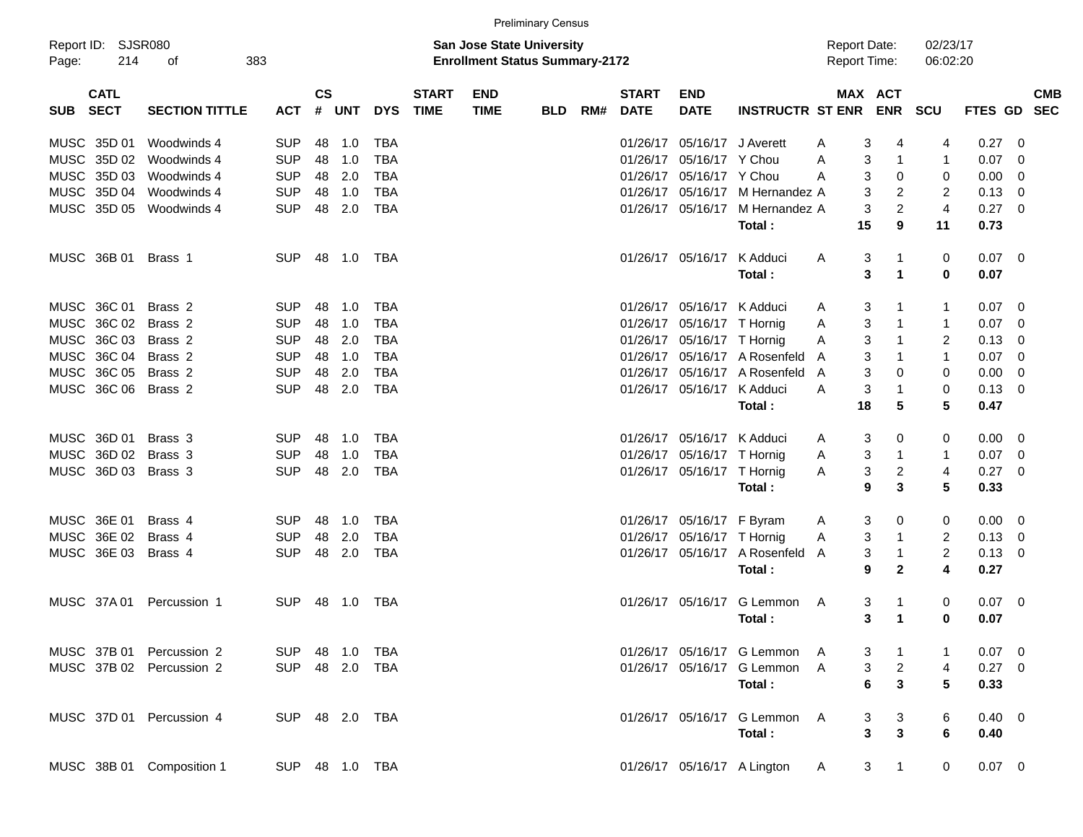|       |                            |                           |            |                    |            |                |                             |                                                                    | <b>Preliminary Census</b> |     |                             |                             |                                 |                                            |                                |                      |                  |     |            |
|-------|----------------------------|---------------------------|------------|--------------------|------------|----------------|-----------------------------|--------------------------------------------------------------------|---------------------------|-----|-----------------------------|-----------------------------|---------------------------------|--------------------------------------------|--------------------------------|----------------------|------------------|-----|------------|
| Page: | Report ID: SJSR080<br>214  | 383<br>оf                 |            |                    |            |                |                             | San Jose State University<br><b>Enrollment Status Summary-2172</b> |                           |     |                             |                             |                                 | <b>Report Date:</b><br><b>Report Time:</b> |                                | 02/23/17<br>06:02:20 |                  |     |            |
| SUB   | <b>CATL</b><br><b>SECT</b> | <b>SECTION TITTLE</b>     | <b>ACT</b> | $\mathsf{cs}$<br># | <b>UNT</b> | <b>DYS</b>     | <b>START</b><br><b>TIME</b> | <b>END</b><br><b>TIME</b>                                          | <b>BLD</b>                | RM# | <b>START</b><br><b>DATE</b> | <b>END</b><br><b>DATE</b>   | <b>INSTRUCTR ST ENR ENR</b>     |                                            | MAX ACT                        | <b>SCU</b>           | FTES GD SEC      |     | <b>CMB</b> |
|       | MUSC 35D 01                | Woodwinds 4               | <b>SUP</b> | 48                 | 1.0        | TBA            |                             |                                                                    |                           |     |                             | 01/26/17 05/16/17 J Averett |                                 | 3<br>Α                                     | 4                              | 4                    | 0.27             | - 0 |            |
|       | MUSC 35D 02                | Woodwinds 4               | <b>SUP</b> | 48                 | 1.0        | <b>TBA</b>     |                             |                                                                    |                           |     |                             | 01/26/17 05/16/17 Y Chou    |                                 | 3<br>A                                     | 1                              | 1                    | $0.07 \quad 0$   |     |            |
|       | MUSC 35D 03                | Woodwinds 4               | <b>SUP</b> | 48                 | 2.0        | <b>TBA</b>     |                             |                                                                    |                           |     |                             | 01/26/17 05/16/17 Y Chou    |                                 | 3<br>A                                     | 0                              | 0                    | $0.00 \quad 0$   |     |            |
|       | MUSC 35D 04                | Woodwinds 4               | <b>SUP</b> | 48                 | 1.0        | <b>TBA</b>     |                             |                                                                    |                           |     |                             |                             | 01/26/17 05/16/17 M Hernandez A |                                            | 3<br>2                         | 2                    | $0.13 \quad 0$   |     |            |
|       |                            | MUSC 35D 05 Woodwinds 4   | <b>SUP</b> | 48                 | 2.0        | <b>TBA</b>     |                             |                                                                    |                           |     |                             |                             | 01/26/17 05/16/17 M Hernandez A |                                            | $\overline{2}$<br>3            | $\overline{4}$       | $0.27 \ 0$       |     |            |
|       |                            |                           |            |                    |            |                |                             |                                                                    |                           |     |                             |                             | Total:                          | 15                                         | 9                              | 11                   | 0.73             |     |            |
|       | MUSC 36B 01                | Brass 1                   | <b>SUP</b> |                    | 48 1.0     | TBA            |                             |                                                                    |                           |     |                             | 01/26/17 05/16/17           | K Adduci<br>Total:              | A                                          | 3<br>1<br>3<br>$\mathbf 1$     | 0<br>0               | $0.07$ 0<br>0.07 |     |            |
|       | MUSC 36C 01                | Brass <sub>2</sub>        | <b>SUP</b> | 48                 | 1.0        | TBA            |                             |                                                                    |                           |     |                             | 01/26/17 05/16/17 K Adduci  |                                 | 3<br>A                                     |                                | 1                    | $0.07 \quad 0$   |     |            |
|       | MUSC 36C 02                | Brass 2                   | <b>SUP</b> | 48                 | 1.0        | <b>TBA</b>     |                             |                                                                    |                           |     |                             | 01/26/17 05/16/17 T Hornig  |                                 | 3<br>Α                                     | 1                              | 1                    | $0.07 \quad 0$   |     |            |
|       | MUSC 36C 03                | Brass 2                   | <b>SUP</b> | 48                 | 2.0        | <b>TBA</b>     |                             |                                                                    |                           |     |                             | 01/26/17 05/16/17 T Hornig  |                                 | 3<br>Α                                     | 1                              | 2                    | $0.13 \quad 0$   |     |            |
|       | MUSC 36C 04                | Brass 2                   | <b>SUP</b> | 48                 | 1.0        | <b>TBA</b>     |                             |                                                                    |                           |     |                             |                             | 01/26/17 05/16/17 A Rosenfeld   | A                                          | 3<br>1                         | 1                    | $0.07 \quad 0$   |     |            |
|       | MUSC 36C 05                | Brass 2                   | <b>SUP</b> | 48                 | 2.0        | <b>TBA</b>     |                             |                                                                    |                           |     |                             |                             | 01/26/17 05/16/17 A Rosenfeld   | 3<br>A                                     | 0                              | 0                    | $0.00 \ 0$       |     |            |
|       |                            | MUSC 36C 06 Brass 2       | <b>SUP</b> | 48                 | 2.0        | <b>TBA</b>     |                             |                                                                    |                           |     |                             | 01/26/17 05/16/17 K Adduci  |                                 | 3<br>Α                                     | 1                              | 0                    | $0.13 \ 0$       |     |            |
|       |                            |                           |            |                    |            |                |                             |                                                                    |                           |     |                             |                             | Total:                          | 18                                         | 5                              | 5                    | 0.47             |     |            |
|       | MUSC 36D 01                | Brass 3                   | <b>SUP</b> | 48                 | 1.0        | TBA            |                             |                                                                    |                           |     |                             | 01/26/17 05/16/17 K Adduci  |                                 | 3<br>A                                     | 0                              | 0                    | $0.00 \quad 0$   |     |            |
|       |                            | MUSC 36D 02 Brass 3       | <b>SUP</b> | 48                 | 1.0        | <b>TBA</b>     |                             |                                                                    |                           |     |                             | 01/26/17 05/16/17 T Hornig  |                                 | A                                          | 3<br>$\mathbf{1}$              | 1                    | $0.07 \quad 0$   |     |            |
|       |                            | MUSC 36D 03 Brass 3       | <b>SUP</b> | 48                 | 2.0        | TBA            |                             |                                                                    |                           |     |                             | 01/26/17 05/16/17 T Hornig  |                                 | A                                          | 3<br>2                         | 4                    | $0.27$ 0         |     |            |
|       |                            |                           |            |                    |            |                |                             |                                                                    |                           |     |                             |                             | Total:                          | 9                                          | 3                              | 5                    | 0.33             |     |            |
|       | MUSC 36E 01                | Brass 4                   | <b>SUP</b> | 48                 | 1.0        | TBA            |                             |                                                                    |                           |     |                             | 01/26/17 05/16/17 F Byram   |                                 | 3<br>A                                     | 0                              | 0                    | $0.00 \t 0$      |     |            |
|       | MUSC 36E 02                | Brass 4                   | <b>SUP</b> | 48                 | 2.0        | <b>TBA</b>     |                             |                                                                    |                           |     |                             | 01/26/17 05/16/17 T Hornig  |                                 | Α                                          | 3<br>1                         | 2                    | $0.13 \ 0$       |     |            |
|       | MUSC 36E 03                | Brass 4                   | <b>SUP</b> | 48                 | 2.0        | <b>TBA</b>     |                             |                                                                    |                           |     |                             |                             | 01/26/17 05/16/17 A Rosenfeld   | A                                          | 3<br>1                         | 2                    | $0.13 \ 0$       |     |            |
|       |                            |                           |            |                    |            |                |                             |                                                                    |                           |     |                             |                             | Total:                          | 9                                          | $\mathbf{2}$                   | 4                    | 0.27             |     |            |
|       | MUSC 37A 01                | Percussion 1              | <b>SUP</b> | 48                 | 1.0        | TBA            |                             |                                                                    |                           |     |                             | 01/26/17 05/16/17           | G Lemmon                        | 3<br>A                                     | 1                              | 0                    | $0.07$ 0         |     |            |
|       |                            |                           |            |                    |            |                |                             |                                                                    |                           |     |                             |                             | Total:                          | 3                                          | $\mathbf 1$                    | 0                    | 0.07             |     |            |
|       |                            | MUSC 37B 01 Percussion 2  | <b>SUP</b> |                    |            | 48  1.0  TBA   |                             |                                                                    |                           |     |                             |                             | 01/26/17 05/16/17 G Lemmon      | 3<br>A                                     | 1                              | 1                    | $0.07$ 0         |     |            |
|       |                            | MUSC 37B 02 Percussion 2  |            |                    |            | SUP 48 2.0 TBA |                             |                                                                    |                           |     |                             |                             | 01/26/17 05/16/17 G Lemmon      | $\mathsf{A}$                               | $\overline{a}$<br>3            | 4                    | $0.27$ 0         |     |            |
|       |                            |                           |            |                    |            |                |                             |                                                                    |                           |     |                             |                             | Total:                          | 6                                          | $\overline{\mathbf{3}}$        | 5                    | 0.33             |     |            |
|       |                            | MUSC 37D 01 Percussion 4  |            |                    |            | SUP 48 2.0 TBA |                             |                                                                    |                           |     |                             |                             | 01/26/17 05/16/17 G Lemmon      | $\overline{A}$<br>3                        | 3                              | 6                    | $0.40 \ 0$       |     |            |
|       |                            |                           |            |                    |            |                |                             |                                                                    |                           |     |                             |                             | Total:                          | $\overline{\mathbf{3}}$                    | $\overline{\mathbf{3}}$        | 6                    | 0.40             |     |            |
|       |                            | MUSC 38B 01 Composition 1 |            |                    |            | SUP 48 1.0 TBA |                             |                                                                    |                           |     |                             |                             | 01/26/17 05/16/17 A Lington     | A                                          | 3 <sup>1</sup><br>$\mathbf{1}$ | 0                    | $0.07 \t 0$      |     |            |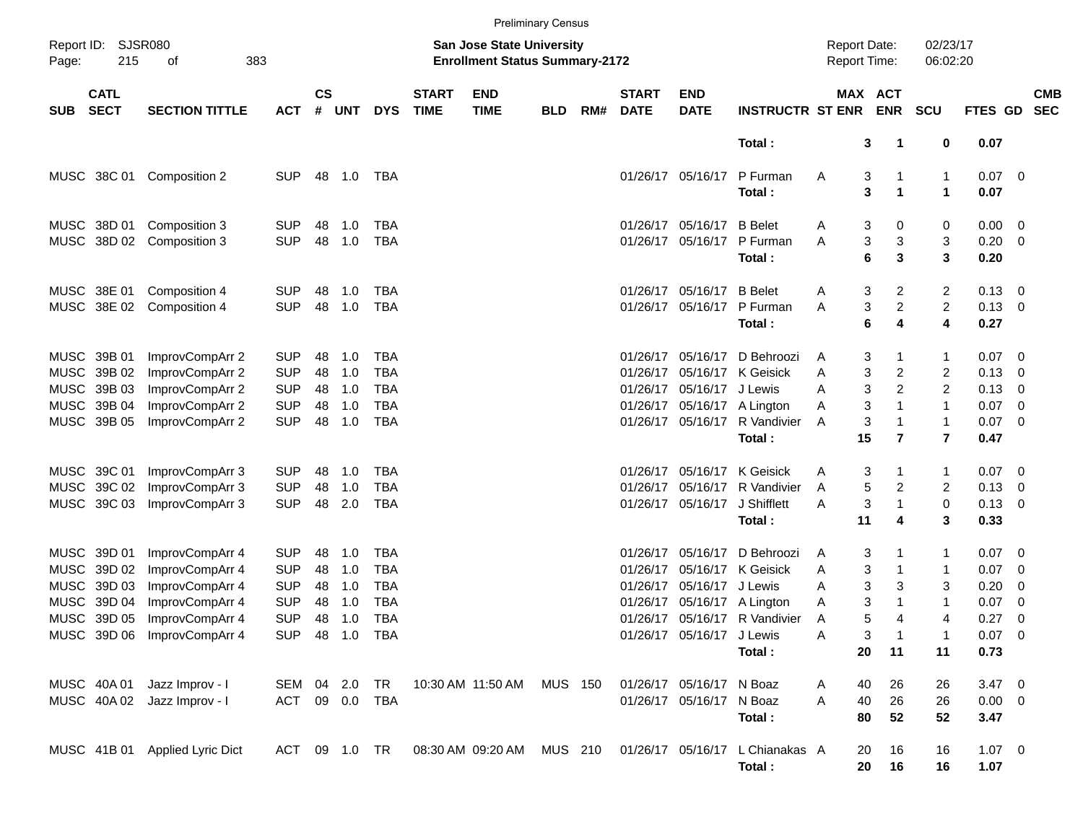|            |                            |                                |                |                    |            |                |                             |                                                                           | <b>Preliminary Census</b> |     |                             |                           |                                 |                                     |                       |                         |                |                          |                          |
|------------|----------------------------|--------------------------------|----------------|--------------------|------------|----------------|-----------------------------|---------------------------------------------------------------------------|---------------------------|-----|-----------------------------|---------------------------|---------------------------------|-------------------------------------|-----------------------|-------------------------|----------------|--------------------------|--------------------------|
| Page:      | Report ID: SJSR080<br>215  | 383<br>οf                      |                |                    |            |                |                             | <b>San Jose State University</b><br><b>Enrollment Status Summary-2172</b> |                           |     |                             |                           |                                 | <b>Report Date:</b><br>Report Time: |                       | 02/23/17<br>06:02:20    |                |                          |                          |
| <b>SUB</b> | <b>CATL</b><br><b>SECT</b> | <b>SECTION TITTLE</b>          | <b>ACT</b>     | $\mathsf{cs}$<br># | <b>UNT</b> | <b>DYS</b>     | <b>START</b><br><b>TIME</b> | <b>END</b><br><b>TIME</b>                                                 | <b>BLD</b>                | RM# | <b>START</b><br><b>DATE</b> | <b>END</b><br><b>DATE</b> | <b>INSTRUCTR ST ENR</b>         |                                     | MAX ACT<br><b>ENR</b> | <b>SCU</b>              | FTES GD        |                          | <b>CMB</b><br><b>SEC</b> |
|            |                            |                                |                |                    |            |                |                             |                                                                           |                           |     |                             |                           | Total:                          |                                     | 3<br>1                | 0                       | 0.07           |                          |                          |
|            | MUSC 38C 01                | Composition 2                  | <b>SUP</b>     |                    | 48 1.0     | TBA            |                             |                                                                           |                           |     |                             | 01/26/17 05/16/17         | P Furman                        | Α                                   | 3                     | 1                       | $0.07$ 0       |                          |                          |
|            |                            |                                |                |                    |            |                |                             |                                                                           |                           |     |                             |                           | Total:                          |                                     | 3<br>1                | $\blacktriangleleft$    | 0.07           |                          |                          |
|            | MUSC 38D 01                | Composition 3                  | <b>SUP</b>     | 48                 | 1.0        | TBA            |                             |                                                                           |                           |     |                             | 01/26/17 05/16/17         | <b>B</b> Belet                  | Α                                   | 3<br>0                | 0                       | $0.00 \t 0$    |                          |                          |
|            |                            | MUSC 38D 02 Composition 3      | <b>SUP</b>     | 48                 | 1.0        | <b>TBA</b>     |                             |                                                                           |                           |     |                             | 01/26/17 05/16/17         | P Furman                        | Α                                   | 3<br>3                | 3                       | $0.20 \ 0$     |                          |                          |
|            |                            |                                |                |                    |            |                |                             |                                                                           |                           |     |                             |                           | Total:                          |                                     | 6<br>3                | 3                       | 0.20           |                          |                          |
|            | MUSC 38E 01                | Composition 4                  | <b>SUP</b>     | 48                 | 1.0        | TBA            |                             |                                                                           |                           |     |                             | 01/26/17 05/16/17 B Belet |                                 | Α                                   | 3<br>2                | 2                       | $0.13 \ 0$     |                          |                          |
|            | MUSC 38E 02                | Composition 4                  | <b>SUP</b>     | 48                 | 1.0        | <b>TBA</b>     |                             |                                                                           |                           |     |                             |                           | 01/26/17 05/16/17 P Furman      | A                                   | $\overline{a}$<br>3   | 2                       | $0.13 \ 0$     |                          |                          |
|            |                            |                                |                |                    |            |                |                             |                                                                           |                           |     |                             |                           | Total:                          |                                     | 6<br>4                | 4                       | 0.27           |                          |                          |
|            | MUSC 39B 01                | ImprovCompArr 2                | <b>SUP</b>     | 48                 | 1.0        | TBA            |                             |                                                                           |                           |     |                             | 01/26/17 05/16/17         | D Behroozi                      | A                                   | 3                     | 1                       | $0.07 \quad 0$ |                          |                          |
|            | MUSC 39B 02                | ImprovCompArr 2                | <b>SUP</b>     | 48                 | 1.0        | <b>TBA</b>     |                             |                                                                           |                           |     |                             |                           | 01/26/17 05/16/17 K Geisick     | Α                                   | 3<br>2                | 2                       | $0.13 \ 0$     |                          |                          |
|            | MUSC 39B 03                | ImprovCompArr 2                | <b>SUP</b>     | 48                 | 1.0        | TBA            |                             |                                                                           |                           |     |                             | 01/26/17 05/16/17 J Lewis |                                 | Α                                   | 2<br>3                | 2                       | $0.13 \quad 0$ |                          |                          |
|            | MUSC 39B 04                | ImprovCompArr 2                | <b>SUP</b>     | 48                 | 1.0        | <b>TBA</b>     |                             |                                                                           |                           |     |                             |                           | 01/26/17 05/16/17 A Lington     | Α                                   | 3<br>$\mathbf 1$      | $\mathbf{1}$            | $0.07$ 0       |                          |                          |
|            | MUSC 39B 05                | ImprovCompArr 2                | <b>SUP</b>     | 48                 | 1.0        | <b>TBA</b>     |                             |                                                                           |                           |     |                             |                           | 01/26/17 05/16/17 R Vandivier   | Α                                   | 3<br>1                | $\mathbf{1}$            | $0.07$ 0       |                          |                          |
|            |                            |                                |                |                    |            |                |                             |                                                                           |                           |     |                             |                           | Total:                          | 15                                  | $\overline{7}$        | $\overline{\mathbf{r}}$ | 0.47           |                          |                          |
|            | MUSC 39C 01                | ImprovCompArr 3                | <b>SUP</b>     | 48                 | 1.0        | TBA            |                             |                                                                           |                           |     |                             |                           | 01/26/17 05/16/17 K Geisick     | Α                                   | 3                     | 1                       | $0.07$ 0       |                          |                          |
|            | MUSC 39C 02                | ImprovCompArr 3                | <b>SUP</b>     | 48                 | 1.0        | <b>TBA</b>     |                             |                                                                           |                           |     |                             | 01/26/17 05/16/17         | R Vandivier                     | Α                                   | 5<br>2                | 2                       | $0.13 \ 0$     |                          |                          |
|            | MUSC 39C 03                | ImprovCompArr 3                | <b>SUP</b>     | 48                 | 2.0        | TBA            |                             |                                                                           |                           |     |                             | 01/26/17 05/16/17         | J Shifflett                     | Α                                   | 3<br>1                | 0                       | $0.13 \quad 0$ |                          |                          |
|            |                            |                                |                |                    |            |                |                             |                                                                           |                           |     |                             |                           | Total:                          | 11                                  | 4                     | 3                       | 0.33           |                          |                          |
|            | MUSC 39D 01                | ImprovCompArr 4                | <b>SUP</b>     | 48                 | 1.0        | TBA            |                             |                                                                           |                           |     |                             | 01/26/17 05/16/17         | D Behroozi                      | A                                   | 3                     | 1                       | $0.07$ 0       |                          |                          |
|            | MUSC 39D 02                | ImprovCompArr 4                | <b>SUP</b>     | 48                 | 1.0        | <b>TBA</b>     |                             |                                                                           |                           |     |                             |                           | 01/26/17 05/16/17 K Geisick     | Α                                   | 3                     | 1                       | 0.07           | $\overline{\phantom{0}}$ |                          |
|            | MUSC 39D 03                | ImprovCompArr 4                | <b>SUP</b>     | 48                 | 1.0        | <b>TBA</b>     |                             |                                                                           |                           |     |                             | 01/26/17 05/16/17 J Lewis |                                 | Α                                   | 3<br>3                | 3                       | 0.20           | $\overline{\mathbf{0}}$  |                          |
|            | MUSC 39D 04                | ImprovCompArr 4                | <b>SUP</b>     | 48                 | 1.0        | <b>TBA</b>     |                             |                                                                           |                           |     |                             |                           | 01/26/17 05/16/17 A Lington     | Α                                   | 3<br>1                | $\mathbf{1}$            | 0.07           | $\overline{\mathbf{0}}$  |                          |
|            | MUSC 39D 05                | ImprovCompArr 4                | <b>SUP</b>     | 48                 | 1.0        | <b>TBA</b>     |                             |                                                                           |                           |     |                             |                           | 01/26/17 05/16/17 R Vandivier   | Α                                   | 5<br>4                | 4                       | 0.27           | $\overline{\phantom{0}}$ |                          |
|            |                            | MUSC 39D 06 ImprovCompArr 4    |                |                    |            | SUP 48 1.0 TBA |                             |                                                                           |                           |     |                             | 01/26/17 05/16/17 J Lewis |                                 | Α                                   | 3                     | 1                       | $0.07$ 0       |                          |                          |
|            |                            |                                |                |                    |            |                |                             |                                                                           |                           |     |                             |                           | Total:                          | 20                                  | 11                    | 11                      | 0.73           |                          |                          |
|            | MUSC 40A 01                | Jazz Improv - I                | SEM 04 2.0     |                    |            | TR             |                             | 10:30 AM 11:50 AM                                                         | MUS 150                   |     |                             | 01/26/17 05/16/17 N Boaz  |                                 | 40<br>Α                             | 26                    | 26                      | $3.47 \ 0$     |                          |                          |
|            |                            | MUSC 40A 02 Jazz Improv - I    | ACT 09 0.0 TBA |                    |            |                |                             |                                                                           |                           |     |                             | 01/26/17 05/16/17 N Boaz  |                                 | A<br>40                             | 26                    | 26                      | $0.00 \t 0$    |                          |                          |
|            |                            |                                |                |                    |            |                |                             |                                                                           |                           |     |                             |                           | Total:                          | 80                                  | 52                    | 52                      | 3.47           |                          |                          |
|            |                            | MUSC 41B 01 Applied Lyric Dict |                |                    |            |                |                             | ACT 09 1.0 TR  08:30 AM  09:20 AM  MUS  210                               |                           |     |                             |                           | 01/26/17 05/16/17 L Chianakas A | 20                                  | 16                    | 16                      | $1.07 \t 0$    |                          |                          |
|            |                            |                                |                |                    |            |                |                             |                                                                           |                           |     |                             |                           | Total:                          | 20                                  | 16                    | 16                      | 1.07           |                          |                          |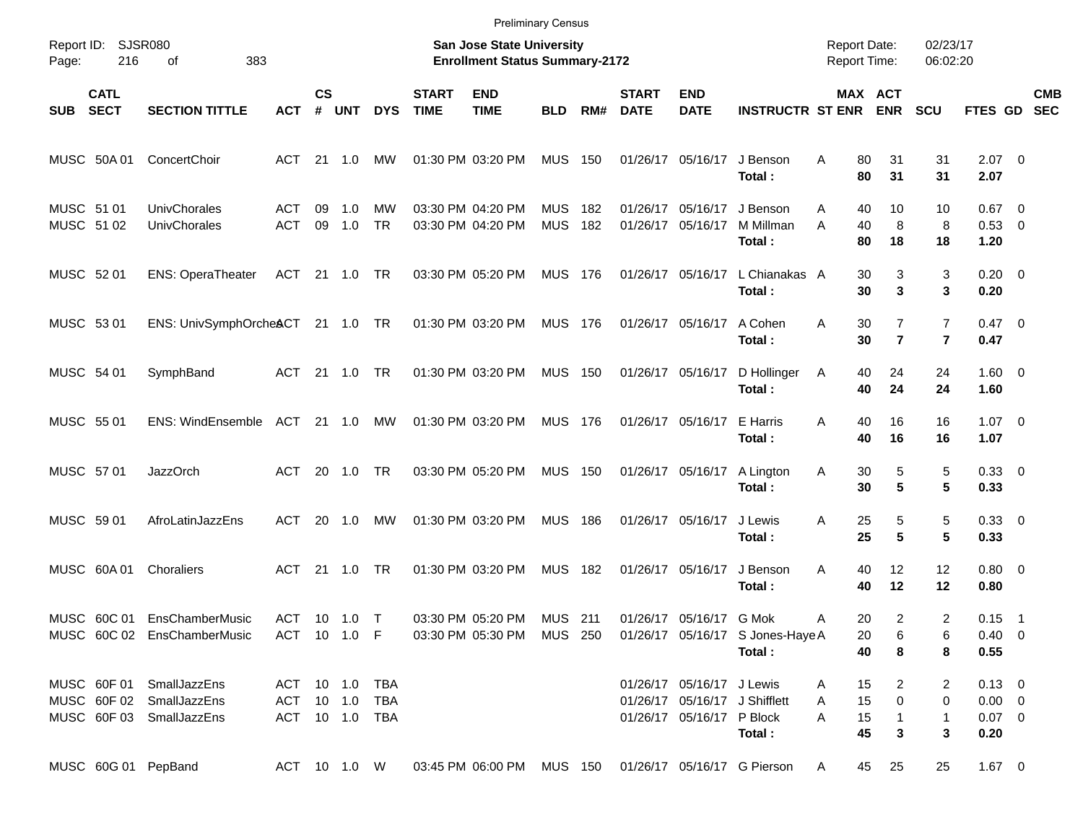|                          |                            |                                                                                  |                                                    |                    |                |                 |                             | <b>Preliminary Census</b>                                                 |                          |            |                             |                                                        |                                                                      |                                            |                                           |                                  |                                                  |                          |
|--------------------------|----------------------------|----------------------------------------------------------------------------------|----------------------------------------------------|--------------------|----------------|-----------------|-----------------------------|---------------------------------------------------------------------------|--------------------------|------------|-----------------------------|--------------------------------------------------------|----------------------------------------------------------------------|--------------------------------------------|-------------------------------------------|----------------------------------|--------------------------------------------------|--------------------------|
| Report ID:<br>Page:      | 216                        | <b>SJSR080</b><br>383<br>οf                                                      |                                                    |                    |                |                 |                             | <b>San Jose State University</b><br><b>Enrollment Status Summary-2172</b> |                          |            |                             |                                                        |                                                                      | <b>Report Date:</b><br><b>Report Time:</b> |                                           | 02/23/17<br>06:02:20             |                                                  |                          |
| <b>SUB</b>               | <b>CATL</b><br><b>SECT</b> | <b>SECTION TITTLE</b>                                                            | АСТ                                                | $\mathsf{cs}$<br># | <b>UNT</b>     | <b>DYS</b>      | <b>START</b><br><b>TIME</b> | <b>END</b><br><b>TIME</b>                                                 | <b>BLD</b>               | RM#        | <b>START</b><br><b>DATE</b> | <b>END</b><br><b>DATE</b>                              | <b>INSTRUCTR ST ENR</b>                                              |                                            | MAX ACT<br><b>ENR</b>                     | <b>SCU</b>                       | <b>FTES GD</b>                                   | <b>CMB</b><br><b>SEC</b> |
|                          | MUSC 50A 01                | ConcertChoir                                                                     | ACT                                                |                    | $21 \quad 1.0$ | МW              |                             | 01:30 PM 03:20 PM                                                         | <b>MUS 150</b>           |            |                             | 01/26/17 05/16/17                                      | J Benson<br>Total:                                                   | 80<br>Α<br>80                              | 31<br>31                                  | 31<br>31                         | $2.07$ 0<br>2.07                                 |                          |
| MUSC 51 01<br>MUSC 51 02 |                            | <b>UnivChorales</b><br><b>UnivChorales</b>                                       | ACT<br><b>ACT</b>                                  | 09<br>09           | 1.0<br>1.0     | МW<br><b>TR</b> |                             | 03:30 PM 04:20 PM<br>03:30 PM 04:20 PM                                    | <b>MUS</b><br><b>MUS</b> | 182<br>182 | 01/26/17                    | 05/16/17<br>01/26/17 05/16/17                          | J Benson<br>M Millman<br>Total:                                      | 40<br>A<br>A<br>40<br>80                   | 10<br>8<br>18                             | 10<br>8<br>18                    | $0.67$ 0<br>0.53 0<br>1.20                       |                          |
| MUSC 52 01               |                            | <b>ENS: OperaTheater</b>                                                         | ACT 21 1.0 TR                                      |                    |                |                 |                             | 03:30 PM 05:20 PM                                                         | <b>MUS 176</b>           |            |                             |                                                        | 01/26/17 05/16/17 L Chianakas A<br>Total:                            | 30<br>30                                   | 3<br>3                                    | 3<br>3                           | $0.20 \ 0$<br>0.20                               |                          |
| MUSC 53 01               |                            | ENS: UnivSymphOrcheACT 21 1.0 TR                                                 |                                                    |                    |                |                 |                             | 01:30 PM 03:20 PM                                                         | MUS 176                  |            |                             | 01/26/17 05/16/17                                      | A Cohen<br>Total:                                                    | 30<br>Α<br>30                              | $\overline{7}$<br>$\overline{\mathbf{r}}$ | $\overline{7}$<br>$\overline{7}$ | $0.47 \quad 0$<br>0.47                           |                          |
| MUSC 54 01               |                            | SymphBand                                                                        | ACT 21 1.0                                         |                    |                | TR              |                             | 01:30 PM 03:20 PM                                                         | <b>MUS 150</b>           |            |                             |                                                        | 01/26/17 05/16/17 D Hollinger<br>Total:                              | 40<br>A<br>40                              | 24<br>24                                  | 24<br>24                         | $1.60 \t 0$<br>1.60                              |                          |
| MUSC 55 01               |                            | ENS: WindEnsemble ACT 21 1.0                                                     |                                                    |                    |                | MW              |                             | 01:30 PM 03:20 PM                                                         | MUS 176                  |            |                             | 01/26/17 05/16/17 E Harris                             | Total:                                                               | 40<br>Α<br>40                              | 16<br>16                                  | 16<br>16                         | $1.07 \t 0$<br>1.07                              |                          |
| MUSC 57 01               |                            | <b>JazzOrch</b>                                                                  | ACT                                                |                    | 20 1.0         | <b>TR</b>       |                             | 03:30 PM 05:20 PM                                                         | <b>MUS 150</b>           |            |                             | 01/26/17 05/16/17                                      | A Lington<br>Total:                                                  | 30<br>Α<br>30                              | 5<br>5                                    | 5<br>5                           | 0.33 0<br>0.33                                   |                          |
| MUSC 59 01               |                            | AfroLatinJazzEns                                                                 | ACT                                                | 20                 | 1.0            | МW              |                             | 01:30 PM 03:20 PM                                                         | <b>MUS 186</b>           |            |                             | 01/26/17 05/16/17                                      | J Lewis<br>Total:                                                    | 25<br>Α<br>25                              | 5<br>$5\phantom{.0}$                      | 5<br>5                           | 0.33 0<br>0.33                                   |                          |
|                          | MUSC 60A 01                | Choraliers                                                                       | ACT 21 1.0                                         |                    |                | <b>TR</b>       |                             | 01:30 PM 03:20 PM                                                         | <b>MUS 182</b>           |            |                             | 01/26/17 05/16/17                                      | J Benson<br>Total:                                                   | 40<br>Α<br>40                              | 12<br>12                                  | 12<br>12                         | $0.80 \ 0$<br>0.80                               |                          |
|                          |                            | MUSC 60C 01 EnsChamberMusic<br>MUSC 60C 02 EnsChamberMusic                       | ACT 10 1.0 T                                       |                    |                | ACT 10 1.0 F    |                             | 03:30 PM 05:20 PM                                                         | <b>MUS</b> 211           |            |                             | 01/26/17 05/16/17 G Mok                                | 03:30 PM 05:30 PM MUS 250 01/26/17 05/16/17 S Jones-Haye A<br>Total: | 20<br>A<br>20<br>40                        | $\overline{2}$<br>6<br>8                  | 2<br>6<br>8                      | $0.15$ 1<br>$0.40 \quad 0$<br>0.55               |                          |
|                          |                            | MUSC 60F 01 SmallJazzEns<br>MUSC 60F 02 SmallJazzEns<br>MUSC 60F 03 SmallJazzEns | ACT 10 1.0 TBA<br>ACT 10 1.0 TBA<br>ACT 10 1.0 TBA |                    |                |                 |                             |                                                                           |                          |            |                             | 01/26/17 05/16/17 J Lewis<br>01/26/17 05/16/17 P Block | 01/26/17 05/16/17 J Shifflett<br>Total:                              | 15<br>A<br>15<br>A<br>15<br>A<br>45        | $\overline{2}$<br>0<br>$\mathbf{1}$<br>3  | 2<br>0<br>$\mathbf{1}$<br>3      | $0.13 \ 0$<br>$0.00 \quad 0$<br>$0.07$ 0<br>0.20 |                          |
|                          |                            | MUSC 60G 01 PepBand                                                              | ACT 10 1.0 W                                       |                    |                |                 |                             |                                                                           |                          |            |                             |                                                        | 03:45 PM 06:00 PM MUS 150 01/26/17 05/16/17 G Pierson                | 45<br>A                                    | 25                                        | 25                               | $1.67$ 0                                         |                          |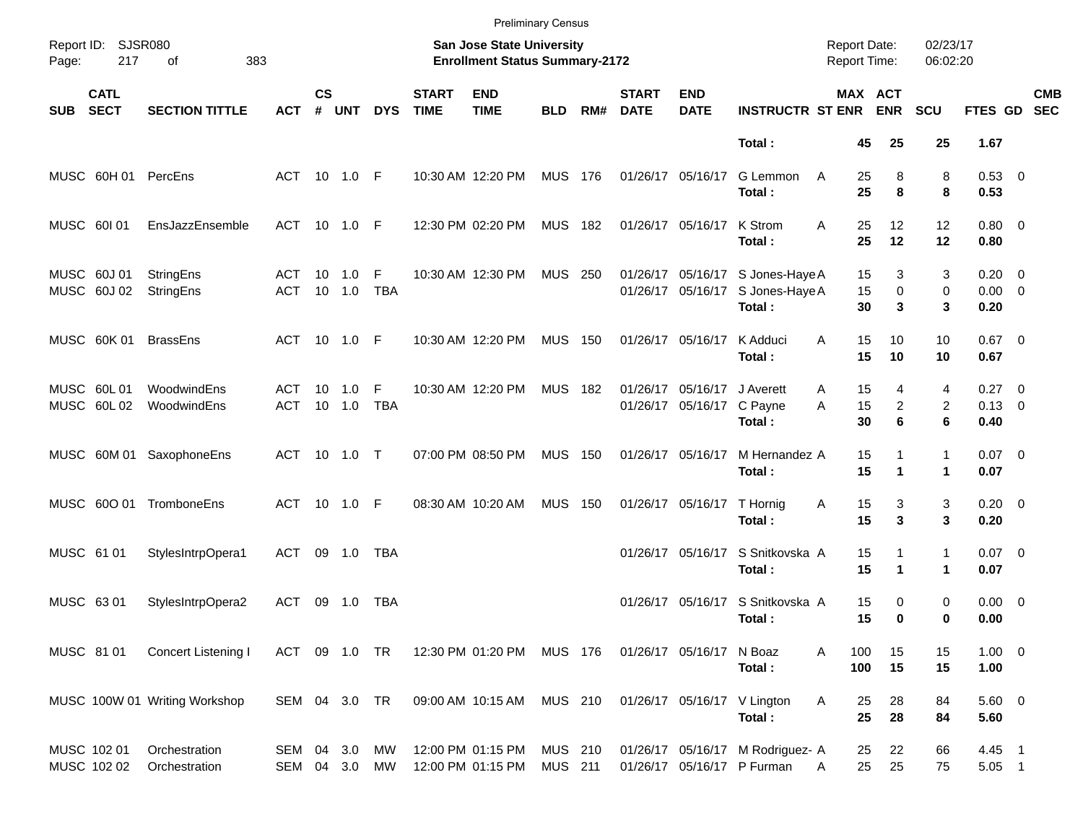|                                          |                                |                             |                    |               |                 |                             | <b>Preliminary Census</b>                                          |                           |     |                             |                                        |                                                                |                                            |                          |                      |                                       |                          |
|------------------------------------------|--------------------------------|-----------------------------|--------------------|---------------|-----------------|-----------------------------|--------------------------------------------------------------------|---------------------------|-----|-----------------------------|----------------------------------------|----------------------------------------------------------------|--------------------------------------------|--------------------------|----------------------|---------------------------------------|--------------------------|
| Report ID: SJSR080<br>Page:<br>217       | 383<br>of                      |                             |                    |               |                 |                             | San Jose State University<br><b>Enrollment Status Summary-2172</b> |                           |     |                             |                                        |                                                                | <b>Report Date:</b><br><b>Report Time:</b> |                          | 02/23/17<br>06:02:20 |                                       |                          |
| <b>CATL</b><br><b>SECT</b><br><b>SUB</b> | <b>SECTION TITTLE</b>          | <b>ACT</b>                  | $\mathsf{cs}$<br># | <b>UNT</b>    | <b>DYS</b>      | <b>START</b><br><b>TIME</b> | <b>END</b><br><b>TIME</b>                                          | <b>BLD</b>                | RM# | <b>START</b><br><b>DATE</b> | <b>END</b><br><b>DATE</b>              | <b>INSTRUCTR ST ENR</b>                                        | MAX ACT                                    | <b>ENR</b>               | <b>SCU</b>           | FTES GD                               | <b>CMB</b><br><b>SEC</b> |
|                                          |                                |                             |                    |               |                 |                             |                                                                    |                           |     |                             |                                        | Total:                                                         | 45                                         | 25                       | 25                   | 1.67                                  |                          |
| MUSC 60H 01                              | PercEns                        | ACT 10 1.0 F                |                    |               |                 |                             | 10:30 AM 12:20 PM                                                  | <b>MUS 176</b>            |     |                             | 01/26/17 05/16/17                      | G Lemmon<br>Total:                                             | A<br>25<br>25                              | 8<br>8                   | 8<br>8               | 0.53 0<br>0.53                        |                          |
| MUSC 60101                               | EnsJazzEnsemble                | ACT 10 1.0 F                |                    |               |                 |                             | 12:30 PM 02:20 PM                                                  | <b>MUS 182</b>            |     |                             | 01/26/17 05/16/17                      | K Strom<br>Total:                                              | 25<br>A<br>25                              | 12<br>12                 | 12<br>12             | $0.80 \ 0$<br>0.80                    |                          |
| MUSC 60J 01<br>MUSC 60J 02               | StringEns<br>StringEns         | ACT<br>ACT                  | 10                 | 1.0<br>10 1.0 | F<br><b>TBA</b> |                             | 10:30 AM 12:30 PM                                                  | <b>MUS 250</b>            |     |                             | 01/26/17 05/16/17<br>01/26/17 05/16/17 | S Jones-Haye A<br>S Jones-Haye A<br>Total:                     | 15<br>15<br>30                             | 3<br>$\mathbf 0$<br>3    | 3<br>0<br>3          | $0.20 \ 0$<br>$0.00 \ 0$<br>0.20      |                          |
| MUSC 60K 01                              | <b>BrassEns</b>                | ACT 10 1.0 F                |                    |               |                 |                             | 10:30 AM 12:20 PM                                                  | <b>MUS 150</b>            |     |                             | 01/26/17 05/16/17                      | K Adduci<br>Total:                                             | 15<br>A<br>15                              | 10<br>10                 | 10<br>10             | $0.67$ 0<br>0.67                      |                          |
| MUSC 60L01<br>MUSC 60L02                 | WoodwindEns<br>WoodwindEns     | ACT<br>ACT                  | 10                 | 1.0<br>10 1.0 | F<br><b>TBA</b> |                             | 10:30 AM 12:20 PM                                                  | <b>MUS 182</b>            |     |                             | 01/26/17 05/16/17<br>01/26/17 05/16/17 | J Averett<br>C Payne<br>Total:                                 | 15<br>Α<br>15<br>A<br>30                   | 4<br>$\overline{2}$<br>6 | 4<br>2<br>6          | $0.27 \t 0$<br>$0.13 \quad 0$<br>0.40 |                          |
|                                          | MUSC 60M 01 SaxophoneEns       | ACT 10 1.0 T                |                    |               |                 |                             | 07:00 PM 08:50 PM                                                  | <b>MUS 150</b>            |     |                             | 01/26/17 05/16/17                      | M Hernandez A<br>Total:                                        | 15<br>15                                   | 1<br>1                   | $\mathbf{1}$<br>1    | $0.07$ 0<br>0.07                      |                          |
| MUSC 600 01                              | TromboneEns                    | ACT 10 1.0 F                |                    |               |                 |                             | 08:30 AM 10:20 AM                                                  | <b>MUS</b>                | 150 |                             | 01/26/17 05/16/17                      | T Hornig<br>Total:                                             | 15<br>Α<br>15                              | 3<br>3                   | 3<br>3               | $0.20 \ 0$<br>0.20                    |                          |
| MUSC 61 01                               | StylesIntrpOpera1              | ACT                         |                    | 09 1.0        | TBA             |                             |                                                                    |                           |     |                             | 01/26/17 05/16/17                      | S Snitkovska A<br>Total:                                       | 15<br>15                                   | 1<br>1                   | $\mathbf{1}$<br>1    | $0.07$ 0<br>0.07                      |                          |
| MUSC 63 01                               | StylesIntrpOpera2              | ACT                         | 09                 | 1.0           | TBA             |                             |                                                                    |                           |     |                             | 01/26/17 05/16/17                      | S Snitkovska A<br>Total:                                       | 15<br>15                                   | 0<br>$\bf{0}$            | 0<br>0               | $0.00 \t 0$<br>0.00                   |                          |
| MUSC 81 01                               | Concert Listening I            | ACT 09 1.0 TR               |                    |               |                 |                             | 12:30 PM 01:20 PM MUS 176                                          |                           |     |                             | 01/26/17 05/16/17 N Boaz               | Total:                                                         | 100<br>Α<br>100                            | 15<br>15                 | 15<br>15             | $1.00 \t 0$<br>1.00                   |                          |
|                                          | MUSC 100W 01 Writing Workshop  | SEM 04 3.0 TR               |                    |               |                 |                             | 09:00 AM 10:15 AM MUS 210                                          |                           |     |                             |                                        | 01/26/17 05/16/17 V Lington<br>Total:                          | Α<br>25<br>25                              | 28<br>28                 | 84<br>84             | 5.60 0<br>5.60                        |                          |
| MUSC 102 01<br>MUSC 102 02               | Orchestration<br>Orchestration | SEM 04 3.0<br>SEM 04 3.0 MW |                    |               | МW              |                             | 12:00 PM 01:15 PM<br>12:00 PM 01:15 PM                             | MUS 210<br><b>MUS 211</b> |     |                             |                                        | 01/26/17 05/16/17 M Rodriguez- A<br>01/26/17 05/16/17 P Furman | 25<br>25<br>A                              | 22<br>25                 | 66<br>75             | 4.45 1<br>5.05 1                      |                          |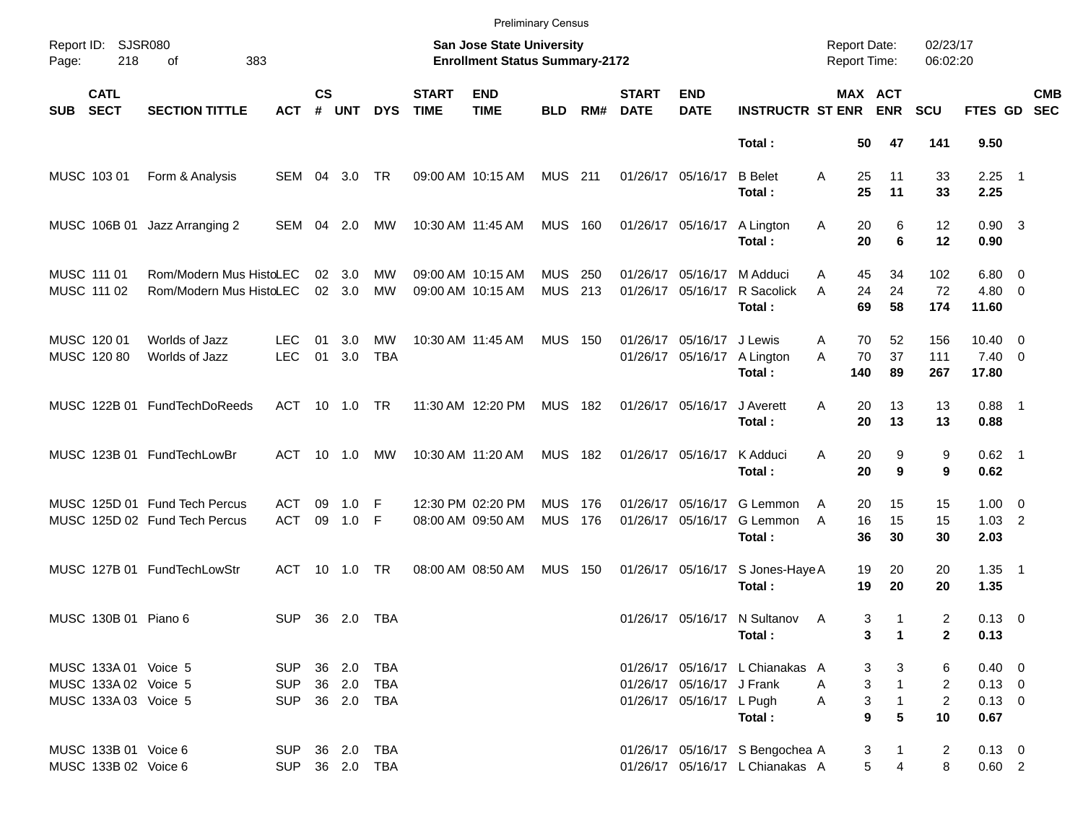|                                                                      |                                                                |                                            |                    |               |                            |                             |                                                                    | <b>Preliminary Census</b> |            |                             |                                                       |                                                                    |                                            |                                                                          |                                             |                                                |                          |
|----------------------------------------------------------------------|----------------------------------------------------------------|--------------------------------------------|--------------------|---------------|----------------------------|-----------------------------|--------------------------------------------------------------------|---------------------------|------------|-----------------------------|-------------------------------------------------------|--------------------------------------------------------------------|--------------------------------------------|--------------------------------------------------------------------------|---------------------------------------------|------------------------------------------------|--------------------------|
| Report ID: SJSR080<br>Page:<br>218                                   | 383<br>οf                                                      |                                            |                    |               |                            |                             | San Jose State University<br><b>Enrollment Status Summary-2172</b> |                           |            |                             |                                                       |                                                                    | <b>Report Date:</b><br><b>Report Time:</b> |                                                                          | 02/23/17<br>06:02:20                        |                                                |                          |
| <b>CATL</b><br><b>SECT</b><br><b>SUB</b>                             | <b>SECTION TITTLE</b>                                          | <b>ACT</b>                                 | $\mathsf{cs}$<br># | <b>UNT</b>    | <b>DYS</b>                 | <b>START</b><br><b>TIME</b> | <b>END</b><br><b>TIME</b>                                          | <b>BLD</b>                | RM#        | <b>START</b><br><b>DATE</b> | <b>END</b><br><b>DATE</b>                             | <b>INSTRUCTR ST ENR</b>                                            |                                            | MAX ACT<br><b>ENR</b>                                                    | <b>SCU</b>                                  | FTES GD                                        | <b>CMB</b><br><b>SEC</b> |
|                                                                      |                                                                |                                            |                    |               |                            |                             |                                                                    |                           |            |                             |                                                       | Total:                                                             | 50                                         | 47                                                                       | 141                                         | 9.50                                           |                          |
| MUSC 103 01                                                          | Form & Analysis                                                | SEM                                        | 04                 | 3.0           | TR                         |                             | 09:00 AM 10:15 AM                                                  | <b>MUS 211</b>            |            |                             | 01/26/17 05/16/17                                     | <b>B</b> Belet<br>Total:                                           | Α<br>25<br>25                              | 11<br>11                                                                 | 33<br>33                                    | $2.25$ 1<br>2.25                               |                          |
| MUSC 106B 01                                                         | Jazz Arranging 2                                               | SEM                                        | 04                 | 2.0           | МW                         |                             | 10:30 AM 11:45 AM                                                  | <b>MUS 160</b>            |            |                             | 01/26/17 05/16/17                                     | A Lington<br>Total:                                                | Α<br>20<br>20                              | 6<br>6                                                                   | 12<br>12                                    | 0.90 3<br>0.90                                 |                          |
| MUSC 111 01<br>MUSC 111 02                                           | Rom/Modern Mus HistoLEC<br>Rom/Modern Mus HistoLEC             |                                            | 02                 | 3.0<br>02 3.0 | MW<br><b>MW</b>            |                             | 09:00 AM 10:15 AM<br>09:00 AM 10:15 AM                             | <b>MUS</b><br><b>MUS</b>  | 250<br>213 |                             | 01/26/17 05/16/17<br>01/26/17 05/16/17                | M Adduci<br>R Sacolick<br>Total:                                   | 45<br>Α<br>A<br>24<br>69                   | 34<br>24<br>58                                                           | 102<br>72<br>174                            | $6.80$ 0<br>$4.80$ 0<br>11.60                  |                          |
| MUSC 120 01<br>MUSC 120 80                                           | Worlds of Jazz<br>Worlds of Jazz                               | LEC<br><b>LEC</b>                          | 01<br>01           | 3.0<br>3.0    | МW<br><b>TBA</b>           |                             | 10:30 AM 11:45 AM                                                  | MUS                       | - 150      |                             | 01/26/17 05/16/17<br>01/26/17 05/16/17                | J Lewis<br>A Lington<br>Total:                                     | 70<br>Α<br>70<br>Α<br>140                  | 52<br>37<br>89                                                           | 156<br>111<br>267                           | $10.40 \quad 0$<br>$7.40 \quad 0$<br>17.80     |                          |
|                                                                      | MUSC 122B 01 FundTechDoReeds                                   | ACT                                        |                    |               | <b>TR</b>                  |                             | 11:30 AM 12:20 PM                                                  | MUS                       | 182        |                             | 01/26/17 05/16/17                                     | J Averett<br>Total:                                                | A<br>20<br>20                              | 13<br>13                                                                 | 13<br>13                                    | $0.88$ 1<br>0.88                               |                          |
|                                                                      | MUSC 123B 01 FundTechLowBr                                     | ACT                                        |                    | 10 1.0        | MW                         |                             | 10:30 AM 11:20 AM                                                  | <b>MUS 182</b>            |            |                             | 01/26/17 05/16/17                                     | K Adduci<br>Total:                                                 | A<br>20<br>20                              | 9<br>9                                                                   | 9<br>9                                      | $0.62$ 1<br>0.62                               |                          |
|                                                                      | MUSC 125D 01 Fund Tech Percus<br>MUSC 125D 02 Fund Tech Percus | ACT<br>ACT                                 | 09<br>09           | 1.0<br>1.0    | -F<br>-F                   |                             | 12:30 PM 02:20 PM<br>08:00 AM 09:50 AM                             | <b>MUS</b><br><b>MUS</b>  | 176<br>176 |                             | 01/26/17 05/16/17<br>01/26/17 05/16/17                | G Lemmon<br>G Lemmon<br>Total:                                     | 20<br>A<br>16<br>A<br>36                   | 15<br>15<br>30                                                           | 15<br>15<br>30                              | $1.00 \t 0$<br>$1.03$ 2<br>2.03                |                          |
|                                                                      | MUSC 127B 01 FundTechLowStr                                    | ACT                                        |                    | 10 1.0        | TR.                        |                             | 08:00 AM 08:50 AM                                                  | <b>MUS</b>                | 150        |                             | 01/26/17 05/16/17                                     | S Jones-Haye A<br>Total:                                           | 19<br>19                                   | 20<br>20                                                                 | 20<br>20                                    | $1.35$ 1<br>1.35                               |                          |
| MUSC 130B 01 Piano 6                                                 |                                                                | <b>SUP</b>                                 |                    | 36 2.0        | TBA                        |                             |                                                                    |                           |            |                             |                                                       | 01/26/17 05/16/17 N Sultanov<br>Total :                            | A                                          | 3<br>-1<br>3<br>$\blacksquare$                                           | 2<br>$\mathbf{2}$                           | $0.13 \ 0$<br>0.13                             |                          |
| MUSC 133A 01 Voice 5<br>MUSC 133A 02 Voice 5<br>MUSC 133A 03 Voice 5 |                                                                | SUP 36 2.0 TBA<br><b>SUP</b><br><b>SUP</b> |                    | 36 2.0        | TBA<br>36 2.0 TBA          |                             |                                                                    |                           |            |                             | 01/26/17 05/16/17 J Frank<br>01/26/17 05/16/17 L Pugh | 01/26/17 05/16/17 L Chianakas A<br>Total:                          | A<br>A                                     | 3<br>3<br>$\mathbf{1}$<br>3<br>3<br>$\mathbf{1}$<br>9<br>$5\phantom{.0}$ | 6<br>$\overline{2}$<br>$\overline{2}$<br>10 | $0.40 \ 0$<br>$0.13 \ 0$<br>$0.13 \ 0$<br>0.67 |                          |
| MUSC 133B 01 Voice 6<br>MUSC 133B 02 Voice 6                         |                                                                | SUP<br>SUP                                 |                    |               | 36  2.0  TBA<br>36 2.0 TBA |                             |                                                                    |                           |            |                             |                                                       | 01/26/17 05/16/17 S Bengochea A<br>01/26/17 05/16/17 L Chianakas A |                                            | 3<br>$\mathbf{1}$<br>5<br>$\overline{4}$                                 | $\overline{2}$<br>8                         | $0.13 \ 0$<br>$0.60\quad2$                     |                          |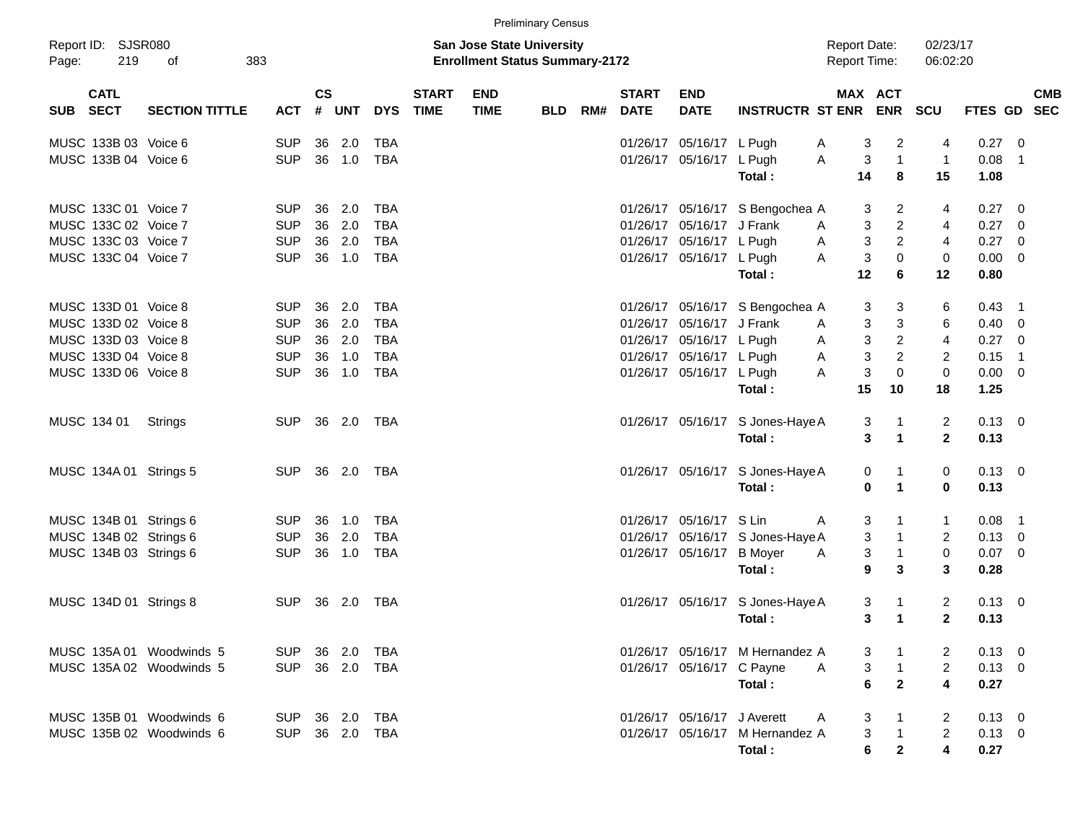|       |                            |                          |            |                    |              |            |                             |                                                                           | <b>Preliminary Census</b> |     |                             |                             |                                  |                                            |                           |                         |                         |             |                          |            |
|-------|----------------------------|--------------------------|------------|--------------------|--------------|------------|-----------------------------|---------------------------------------------------------------------------|---------------------------|-----|-----------------------------|-----------------------------|----------------------------------|--------------------------------------------|---------------------------|-------------------------|-------------------------|-------------|--------------------------|------------|
| Page: | Report ID: SJSR080<br>219  | of<br>383                |            |                    |              |            |                             | <b>San Jose State University</b><br><b>Enrollment Status Summary-2172</b> |                           |     |                             |                             |                                  | <b>Report Date:</b><br><b>Report Time:</b> |                           |                         | 02/23/17<br>06:02:20    |             |                          |            |
| SUB   | <b>CATL</b><br><b>SECT</b> | <b>SECTION TITTLE</b>    | <b>ACT</b> | $\mathsf{cs}$<br># | <b>UNT</b>   | <b>DYS</b> | <b>START</b><br><b>TIME</b> | <b>END</b><br><b>TIME</b>                                                 | <b>BLD</b>                | RM# | <b>START</b><br><b>DATE</b> | <b>END</b><br><b>DATE</b>   | <b>INSTRUCTR ST ENR</b>          |                                            | MAX ACT                   | <b>ENR</b>              | <b>SCU</b>              | FTES GD SEC |                          | <b>CMB</b> |
|       | MUSC 133B 03 Voice 6       |                          | <b>SUP</b> | 36                 | 2.0          | <b>TBA</b> |                             |                                                                           |                           |     | 01/26/17                    | 05/16/17 L Pugh             |                                  | A                                          | 3                         | $\overline{c}$          | 4                       | 0.27        | - 0                      |            |
|       | MUSC 133B 04 Voice 6       |                          | <b>SUP</b> | 36                 | 1.0          | <b>TBA</b> |                             |                                                                           |                           |     |                             | 01/26/17 05/16/17 L Pugh    |                                  | Α                                          | 3                         | $\overline{1}$          | $\mathbf{1}$            | 0.08        | $\overline{1}$           |            |
|       |                            |                          |            |                    |              |            |                             |                                                                           |                           |     |                             |                             | Total:                           |                                            | 14                        | 8                       | 15                      | 1.08        |                          |            |
|       | MUSC 133C 01 Voice 7       |                          | <b>SUP</b> | 36                 | 2.0          | <b>TBA</b> |                             |                                                                           |                           |     |                             |                             | 01/26/17 05/16/17 S Bengochea A  |                                            | 3                         | 2                       | 4                       | 0.27        | - 0                      |            |
|       | MUSC 133C 02 Voice 7       |                          | <b>SUP</b> | 36                 | 2.0          | <b>TBA</b> |                             |                                                                           |                           |     | 01/26/17                    | 05/16/17 J Frank            |                                  | A                                          | 3                         | $\overline{c}$          | 4                       | 0.27        | - 0                      |            |
|       | MUSC 133C 03 Voice 7       |                          | <b>SUP</b> | 36                 | 2.0          | <b>TBA</b> |                             |                                                                           |                           |     | 01/26/17                    | 05/16/17 L Pugh             |                                  | Α                                          | 3                         | $\overline{2}$          | 4                       | 0.27        | - 0                      |            |
|       | MUSC 133C 04 Voice 7       |                          | <b>SUP</b> | 36                 | 1.0          | <b>TBA</b> |                             |                                                                           |                           |     |                             | 01/26/17 05/16/17 L Pugh    |                                  | A                                          | $\mathbf{3}$              | $\pmb{0}$               | 0                       | 0.00        | - 0                      |            |
|       |                            |                          |            |                    |              |            |                             |                                                                           |                           |     |                             |                             | Total:                           |                                            | 12                        | 6                       | 12                      | 0.80        |                          |            |
|       | MUSC 133D 01 Voice 8       |                          | <b>SUP</b> | 36                 | 2.0          | <b>TBA</b> |                             |                                                                           |                           |     |                             |                             | 01/26/17 05/16/17 S Bengochea A  |                                            | 3                         | 3                       | 6                       | 0.43        | $\overline{\phantom{1}}$ |            |
|       | MUSC 133D 02 Voice 8       |                          | <b>SUP</b> | 36                 | 2.0          | <b>TBA</b> |                             |                                                                           |                           |     | 01/26/17                    | 05/16/17 J Frank            |                                  | A                                          | 3                         | 3                       | 6                       | 0.40        | - 0                      |            |
|       | MUSC 133D 03 Voice 8       |                          | <b>SUP</b> | 36                 | 2.0          | <b>TBA</b> |                             |                                                                           |                           |     | 01/26/17                    | 05/16/17 L Pugh             |                                  | Α                                          | $\ensuremath{\mathsf{3}}$ | $\sqrt{2}$              | $\overline{\mathbf{4}}$ | 0.27        | $\overline{0}$           |            |
|       | MUSC 133D 04 Voice 8       |                          | <b>SUP</b> | 36                 | 1.0          | <b>TBA</b> |                             |                                                                           |                           |     | 01/26/17                    | 05/16/17 L Pugh             |                                  | A                                          | $\mathbf{3}$              | $\sqrt{2}$              | 2                       | 0.15        | $\overline{1}$           |            |
|       | MUSC 133D 06 Voice 8       |                          | <b>SUP</b> | 36                 | 1.0          | <b>TBA</b> |                             |                                                                           |                           |     |                             | 01/26/17 05/16/17 L Pugh    |                                  | A                                          | 3                         | $\pmb{0}$               | $\mathbf 0$             | 0.00        | - 0                      |            |
|       |                            |                          |            |                    |              |            |                             |                                                                           |                           |     |                             |                             | Total:                           |                                            | 15                        | 10                      | 18                      | 1.25        |                          |            |
|       | MUSC 134 01                | Strings                  | <b>SUP</b> |                    | 36 2.0       | TBA        |                             |                                                                           |                           |     |                             |                             | 01/26/17 05/16/17 S Jones-Haye A |                                            | 3                         | $\overline{1}$          | 2                       | $0.13 \ 0$  |                          |            |
|       |                            |                          |            |                    |              |            |                             |                                                                           |                           |     |                             |                             | Total:                           |                                            | 3                         | $\mathbf{1}$            | $\mathbf{2}$            | 0.13        |                          |            |
|       | MUSC 134A 01 Strings 5     |                          | <b>SUP</b> |                    | 36 2.0       | TBA        |                             |                                                                           |                           |     |                             |                             | 01/26/17 05/16/17 S Jones-Haye A |                                            | 0                         | $\mathbf 1$             | 0                       | $0.13 \ 0$  |                          |            |
|       |                            |                          |            |                    |              |            |                             |                                                                           |                           |     |                             |                             | Total:                           |                                            | 0                         | $\mathbf{1}$            | 0                       | 0.13        |                          |            |
|       | MUSC 134B 01 Strings 6     |                          | <b>SUP</b> | 36                 | 1.0          | <b>TBA</b> |                             |                                                                           |                           |     | 01/26/17                    | 05/16/17 S Lin              |                                  | A                                          | 3                         | $\mathbf{1}$            | 1                       | 0.08        | $\overline{\phantom{1}}$ |            |
|       | MUSC 134B 02 Strings 6     |                          | <b>SUP</b> | 36                 | 2.0          | <b>TBA</b> |                             |                                                                           |                           |     | 01/26/17                    |                             | 05/16/17 S Jones-Haye A          |                                            | 3                         | $\overline{1}$          | $\overline{2}$          | 0.13        | $\overline{0}$           |            |
|       | MUSC 134B 03 Strings 6     |                          | <b>SUP</b> | 36                 | 1.0          | <b>TBA</b> |                             |                                                                           |                           |     |                             | 01/26/17 05/16/17           | <b>B</b> Moyer                   | A                                          | 3                         | $\overline{1}$          | $\pmb{0}$               | 0.07        | $\overline{\phantom{0}}$ |            |
|       |                            |                          |            |                    |              |            |                             |                                                                           |                           |     |                             |                             | Total:                           |                                            | 9                         | 3                       | 3                       | 0.28        |                          |            |
|       | MUSC 134D 01 Strings 8     |                          | <b>SUP</b> |                    | 36 2.0       | TBA        |                             |                                                                           |                           |     |                             |                             | 01/26/17 05/16/17 S Jones-Haye A |                                            | 3                         | $\mathbf 1$             | 2                       | 0.13        | $\overline{\phantom{0}}$ |            |
|       |                            |                          |            |                    |              |            |                             |                                                                           |                           |     |                             |                             | Total:                           |                                            | 3                         | $\mathbf 1$             | $\mathbf{2}$            | 0.13        |                          |            |
|       |                            | MUSC 135A 01 Woodwinds 5 | <b>SUP</b> |                    | 36 2.0       | TBA        |                             |                                                                           |                           |     |                             |                             | 01/26/17 05/16/17 M Hernandez A  |                                            | 3                         | $\blacksquare$          | 2                       | $0.13 \ 0$  |                          |            |
|       |                            | MUSC 135A 02 Woodwinds 5 | <b>SUP</b> |                    | 36 2.0       | TBA        |                             |                                                                           |                           |     |                             | 01/26/17 05/16/17 C Payne   |                                  | A                                          | 3                         | $\overline{\mathbf{1}}$ | $\overline{2}$          | $0.13 \ 0$  |                          |            |
|       |                            |                          |            |                    |              |            |                             |                                                                           |                           |     |                             |                             | Total:                           |                                            | 6                         | $\overline{2}$          | 4                       | 0.27        |                          |            |
|       |                            | MUSC 135B 01 Woodwinds 6 | SUP 36 2.0 |                    |              | TBA        |                             |                                                                           |                           |     |                             | 01/26/17 05/16/17 J Averett |                                  | A                                          | 3                         | $\overline{1}$          | 2                       | $0.13 \ 0$  |                          |            |
|       |                            | MUSC 135B 02 Woodwinds 6 | <b>SUP</b> |                    | 36  2.0  TBA |            |                             |                                                                           |                           |     |                             |                             | 01/26/17 05/16/17 M Hernandez A  |                                            | 3                         | $\overline{1}$          | $\overline{2}$          | $0.13 \ 0$  |                          |            |
|       |                            |                          |            |                    |              |            |                             |                                                                           |                           |     |                             |                             | Total:                           |                                            | 6                         | $\mathbf{2}$            | $\overline{\mathbf{4}}$ | 0.27        |                          |            |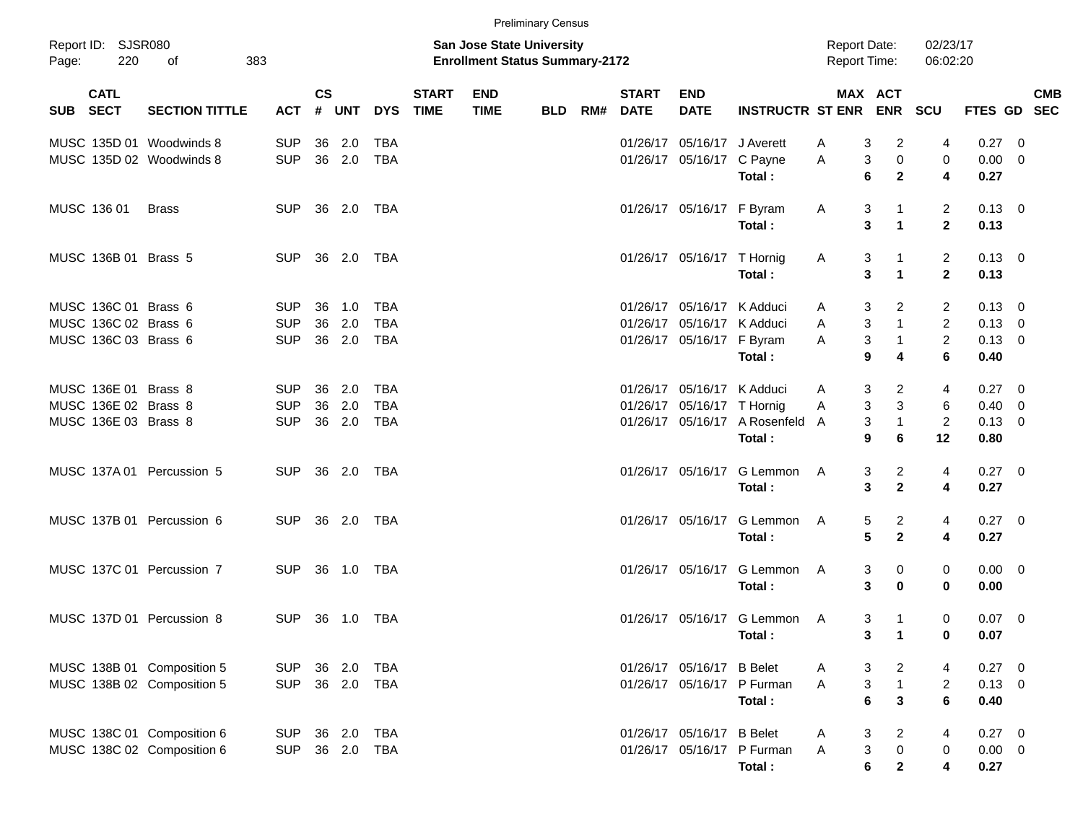|                                                                      |                                                          |                                        |                    |                      |                                        |                             |                                                                           | <b>Preliminary Census</b> |     |                             |                                                                                       |                                                                         |                                     |                                     |                                                |                                                    |                                            |                         |            |
|----------------------------------------------------------------------|----------------------------------------------------------|----------------------------------------|--------------------|----------------------|----------------------------------------|-----------------------------|---------------------------------------------------------------------------|---------------------------|-----|-----------------------------|---------------------------------------------------------------------------------------|-------------------------------------------------------------------------|-------------------------------------|-------------------------------------|------------------------------------------------|----------------------------------------------------|--------------------------------------------|-------------------------|------------|
| Report ID: SJSR080<br>Page:                                          | 220<br>383<br>оf                                         |                                        |                    |                      |                                        |                             | <b>San Jose State University</b><br><b>Enrollment Status Summary-2172</b> |                           |     |                             |                                                                                       |                                                                         | <b>Report Date:</b><br>Report Time: |                                     |                                                | 02/23/17<br>06:02:20                               |                                            |                         |            |
| <b>CATL</b><br>SUB SECT                                              | <b>SECTION TITTLE</b>                                    | ACT                                    | $\mathsf{cs}$<br># | <b>UNT</b>           | <b>DYS</b>                             | <b>START</b><br><b>TIME</b> | <b>END</b><br><b>TIME</b>                                                 | <b>BLD</b>                | RM# | <b>START</b><br><b>DATE</b> | <b>END</b><br><b>DATE</b>                                                             | <b>INSTRUCTR ST ENR</b>                                                 |                                     |                                     | MAX ACT<br><b>ENR</b>                          | <b>SCU</b>                                         | FTES GD SEC                                |                         | <b>CMB</b> |
|                                                                      | MUSC 135D 01 Woodwinds 8<br>MUSC 135D 02 Woodwinds 8     | <b>SUP</b><br><b>SUP</b>               |                    | 36 2.0<br>36 2.0     | <b>TBA</b><br><b>TBA</b>               |                             |                                                                           |                           |     | 01/26/17                    | 05/16/17 J Averett<br>01/26/17 05/16/17 C Payne                                       | Total:                                                                  | A<br>Α                              | 3<br>3<br>6                         | 2<br>$\pmb{0}$<br>$\mathbf{2}$                 | 4<br>0<br>4                                        | 0.27<br>$0.00 \t 0$<br>0.27                | $\overline{\mathbf{0}}$ |            |
| MUSC 136 01                                                          | <b>Brass</b>                                             | <b>SUP</b>                             |                    | 36 2.0               | TBA                                    |                             |                                                                           |                           |     |                             | 01/26/17 05/16/17 F Byram                                                             | Total:                                                                  | A                                   | 3<br>3                              | $\mathbf{1}$<br>$\mathbf{1}$                   | $\overline{2}$<br>$\mathbf{2}$                     | $0.13 \quad 0$<br>0.13                     |                         |            |
| MUSC 136B 01 Brass 5                                                 |                                                          | <b>SUP</b>                             |                    | 36 2.0               | TBA                                    |                             |                                                                           |                           |     |                             | 01/26/17 05/16/17 T Hornig                                                            | Total:                                                                  | A                                   | 3<br>3                              | $\mathbf{1}$<br>$\mathbf{1}$                   | $\overline{2}$<br>$\mathbf{2}$                     | $0.13 \quad 0$<br>0.13                     |                         |            |
| MUSC 136C 01 Brass 6<br>MUSC 136C 02 Brass 6<br>MUSC 136C 03 Brass 6 |                                                          | <b>SUP</b><br><b>SUP</b><br><b>SUP</b> | 36<br>36           | 1.0<br>2.0<br>36 2.0 | <b>TBA</b><br><b>TBA</b><br><b>TBA</b> |                             |                                                                           |                           |     |                             | 01/26/17 05/16/17 K Adduci<br>01/26/17 05/16/17 K Adduci<br>01/26/17 05/16/17 F Byram |                                                                         | A<br>A<br>Α                         | 3<br>$\ensuremath{\mathsf{3}}$<br>3 | $\overline{2}$<br>$\mathbf{1}$<br>$\mathbf{1}$ | $\overline{2}$<br>$\overline{2}$<br>$\overline{c}$ | $0.13 \quad 0$<br>$0.13 \ 0$<br>$0.13 \ 0$ |                         |            |
| MUSC 136E 01 Brass 8<br>MUSC 136E 02 Brass 8                         |                                                          | <b>SUP</b><br><b>SUP</b>               | 36                 | 2.0<br>36 2.0        | <b>TBA</b><br><b>TBA</b>               |                             |                                                                           |                           |     |                             | 01/26/17 05/16/17 K Adduci<br>01/26/17 05/16/17 T Hornig                              | Total:                                                                  | A<br>Α                              | 9<br>3<br>3                         | 4<br>$\overline{c}$<br>$\mathbf{3}$            | 6<br>4<br>6                                        | 0.40<br>$0.27$ 0<br>$0.40 \quad 0$         |                         |            |
| MUSC 136E 03 Brass 8                                                 | MUSC 137A 01 Percussion 5                                | <b>SUP</b><br><b>SUP</b>               |                    | 36 2.0<br>36 2.0     | <b>TBA</b><br>TBA                      |                             |                                                                           |                           |     |                             |                                                                                       | 01/26/17 05/16/17 A Rosenfeld A<br>Total:<br>01/26/17 05/16/17 G Lemmon | A                                   | 3<br>9<br>3                         | $\mathbf{1}$<br>6<br>$\overline{a}$            | $\overline{2}$<br>12<br>4                          | $0.13 \ 0$<br>0.80<br>$0.27 \ 0$           |                         |            |
|                                                                      | MUSC 137B 01 Percussion 6                                | <b>SUP</b>                             |                    | 36 2.0               | TBA                                    |                             |                                                                           |                           |     |                             |                                                                                       | Total:<br>01/26/17 05/16/17 G Lemmon                                    | A                                   | 3<br>5                              | $\mathbf{2}$<br>$\overline{a}$                 | 4<br>4                                             | 0.27<br>$0.27 \ 0$                         |                         |            |
|                                                                      | MUSC 137C 01 Percussion 7                                | <b>SUP</b>                             |                    | 36 1.0               | TBA                                    |                             |                                                                           |                           |     |                             |                                                                                       | Total:<br>01/26/17 05/16/17 G Lemmon<br>Total:                          | A                                   | $5\phantom{.0}$<br>3<br>3           | $\mathbf{2}$<br>0<br>$\bf{0}$                  | 4<br>0<br>0                                        | 0.27<br>$0.00 \t 0$<br>0.00                |                         |            |
|                                                                      | MUSC 137D 01 Percussion 8                                | <b>SUP</b>                             |                    | 36 1.0               | <b>TBA</b>                             |                             |                                                                           |                           |     |                             |                                                                                       | 01/26/17 05/16/17 G Lemmon A<br>Total:                                  |                                     | 3<br>3                              | $\overline{1}$<br>$\overline{1}$               | 0<br>0                                             | 0.07<br>0.07                               | $\overline{\mathbf{0}}$ |            |
|                                                                      | MUSC 138B 01 Composition 5<br>MUSC 138B 02 Composition 5 | <b>SUP</b><br><b>SUP</b>               |                    | 36 2.0<br>36 2.0     | <b>TBA</b><br>TBA                      |                             |                                                                           |                           |     |                             | 01/26/17 05/16/17 B Belet                                                             | 01/26/17 05/16/17 P Furman<br>Total:                                    | A<br>A                              | 3<br>3<br>$6\phantom{1}6$           | $\overline{2}$<br>$\mathbf{1}$<br>$\mathbf{3}$ | 4<br>$\overline{2}$<br>$6\phantom{a}$              | $0.27 \t 0$<br>$0.13 \quad 0$<br>0.40      |                         |            |
|                                                                      | MUSC 138C 01 Composition 6<br>MUSC 138C 02 Composition 6 | <b>SUP</b><br><b>SUP</b>               |                    | 36 2.0<br>36 2.0     | TBA<br>TBA                             |                             |                                                                           |                           |     |                             | 01/26/17 05/16/17 B Belet                                                             | 01/26/17 05/16/17 P Furman<br>Total:                                    | A<br>A                              | 3<br>3<br>6                         | $\overline{a}$<br>0<br>$\mathbf{2}$            | 4<br>0<br>$\overline{\mathbf{4}}$                  | $0.27$ 0<br>$0.00 \t 0$<br>0.27            |                         |            |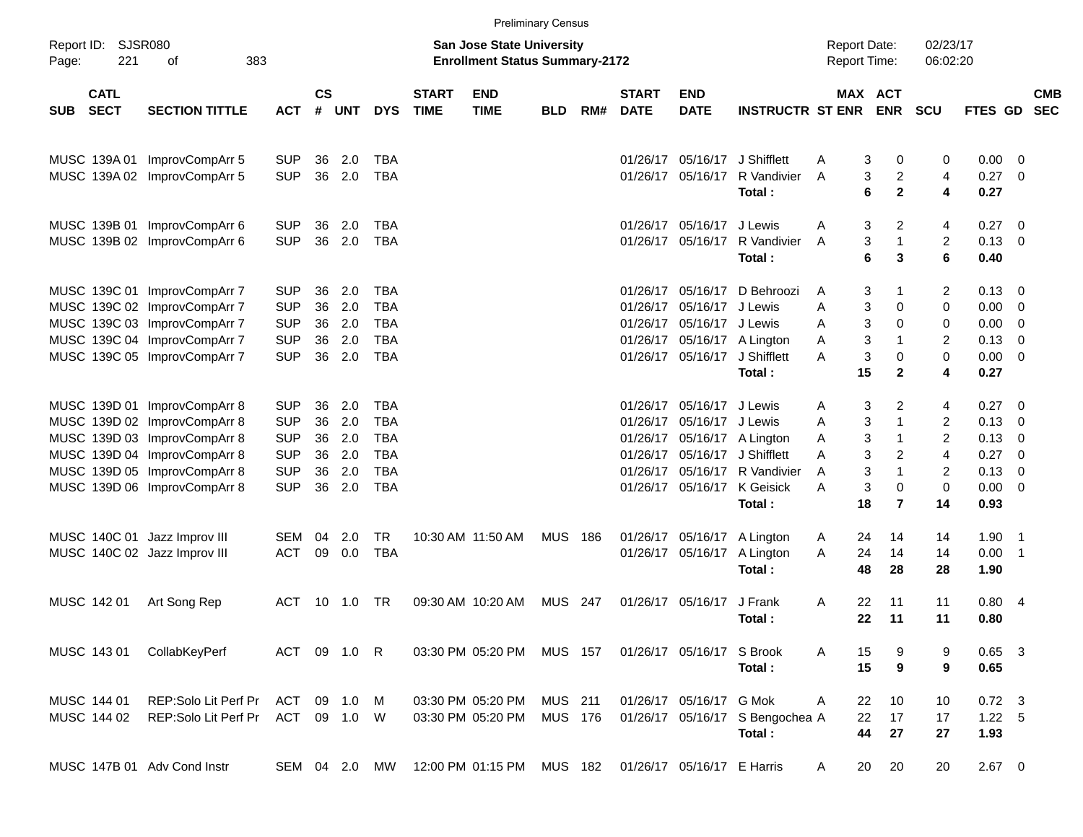|            |                            |                                                                                              |                                        |                    |                   |                                        |                             |                                                                           | <b>Preliminary Census</b> |     |                             |                                                             |                                                       |                                            |                                                   |                                       |                            |                                                                       |                          |
|------------|----------------------------|----------------------------------------------------------------------------------------------|----------------------------------------|--------------------|-------------------|----------------------------------------|-----------------------------|---------------------------------------------------------------------------|---------------------------|-----|-----------------------------|-------------------------------------------------------------|-------------------------------------------------------|--------------------------------------------|---------------------------------------------------|---------------------------------------|----------------------------|-----------------------------------------------------------------------|--------------------------|
| Page:      | Report ID: SJSR080<br>221  | 383<br>оf                                                                                    |                                        |                    |                   |                                        |                             | <b>San Jose State University</b><br><b>Enrollment Status Summary-2172</b> |                           |     |                             |                                                             |                                                       | <b>Report Date:</b><br><b>Report Time:</b> |                                                   | 02/23/17<br>06:02:20                  |                            |                                                                       |                          |
| <b>SUB</b> | <b>CATL</b><br><b>SECT</b> | <b>SECTION TITTLE</b>                                                                        | <b>ACT</b>                             | $\mathsf{cs}$<br># | <b>UNT</b>        | <b>DYS</b>                             | <b>START</b><br><b>TIME</b> | <b>END</b><br><b>TIME</b>                                                 | <b>BLD</b>                | RM# | <b>START</b><br><b>DATE</b> | <b>END</b><br><b>DATE</b>                                   | <b>INSTRUCTR ST ENR</b>                               |                                            | <b>MAX ACT</b><br><b>ENR</b>                      | <b>SCU</b>                            | FTES GD                    |                                                                       | <b>CMB</b><br><b>SEC</b> |
|            |                            | MUSC 139A 01 ImprovCompArr 5<br>MUSC 139A 02 ImprovCompArr 5                                 | <b>SUP</b><br><b>SUP</b>               | 36<br>36           | 2.0<br>2.0        | TBA<br><b>TBA</b>                      |                             |                                                                           |                           |     |                             | 01/26/17 05/16/17<br>01/26/17 05/16/17                      | J Shifflett<br>R Vandivier                            | A<br>A                                     | 3<br>0<br>3<br>$\overline{c}$                     | 0<br>4                                | $0.00 \t 0$<br>0.27        | $\overline{\phantom{0}}$                                              |                          |
|            |                            | MUSC 139B 01 ImprovCompArr 6                                                                 | <b>SUP</b>                             | 36                 | 2.0               | TBA                                    |                             |                                                                           |                           |     |                             | 01/26/17 05/16/17                                           | Total :<br>J Lewis                                    | A                                          | 6<br>$\mathbf{2}$<br>3<br>2                       | 4<br>4                                | 0.27<br>0.27               | - 0                                                                   |                          |
|            |                            | MUSC 139B 02 ImprovCompArr 6                                                                 | <b>SUP</b>                             | 36                 | 2.0               | <b>TBA</b>                             |                             |                                                                           |                           |     |                             | 01/26/17 05/16/17                                           | R Vandivier<br>Total:                                 | A                                          | 3<br>$\mathbf{1}$<br>6<br>3                       | $\overline{c}$<br>6                   | 0.13<br>0.40               | $\overline{0}$                                                        |                          |
|            |                            | MUSC 139C 01 ImprovCompArr 7<br>MUSC 139C 02 ImprovCompArr 7                                 | <b>SUP</b><br><b>SUP</b>               | 36<br>36           | 2.0<br>2.0        | TBA<br><b>TBA</b>                      |                             |                                                                           |                           |     | 01/26/17                    | 01/26/17 05/16/17<br>05/16/17                               | D Behroozi<br>J Lewis                                 | A<br>Α                                     | 3<br>1<br>3<br>0                                  | 2<br>0                                | 0.13<br>0.00               | - 0<br>- 0                                                            |                          |
|            |                            | MUSC 139C 03 ImprovCompArr 7<br>MUSC 139C 04 ImprovCompArr 7<br>MUSC 139C 05 ImprovCompArr 7 | <b>SUP</b><br><b>SUP</b><br><b>SUP</b> | 36<br>36<br>36     | 2.0<br>2.0<br>2.0 | <b>TBA</b><br><b>TBA</b><br><b>TBA</b> |                             |                                                                           |                           |     |                             | 01/26/17 05/16/17<br>01/26/17 05/16/17                      | J Lewis<br>01/26/17 05/16/17 A Lington<br>J Shifflett | Α<br>Α<br>Α                                | 3<br>0<br>3<br>1<br>3<br>0                        | 0<br>2<br>0                           | 0.00<br>0.13<br>0.00       | - 0<br>$\overline{\mathbf{0}}$<br>$\overline{\mathbf{0}}$             |                          |
|            |                            |                                                                                              |                                        |                    |                   |                                        |                             |                                                                           |                           |     |                             |                                                             | Total:                                                | 15                                         | $\mathbf{2}$                                      | 4                                     | 0.27                       |                                                                       |                          |
|            |                            | MUSC 139D 01 ImprovCompArr 8<br>MUSC 139D 02 ImprovCompArr 8<br>MUSC 139D 03 ImprovCompArr 8 | <b>SUP</b><br><b>SUP</b><br><b>SUP</b> | 36<br>36<br>36     | 2.0<br>2.0<br>2.0 | <b>TBA</b><br><b>TBA</b><br><b>TBA</b> |                             |                                                                           |                           |     | 01/26/17                    | 01/26/17 05/16/17<br>05/16/17                               | J Lewis<br>J Lewis<br>01/26/17 05/16/17 A Lington     | A<br>A<br>A                                | 3<br>$\overline{2}$<br>3<br>$\mathbf 1$<br>3<br>1 | 4<br>$\overline{2}$<br>$\overline{c}$ | 0.27<br>0.13<br>0.13       | - 0<br>- 0<br>- 0                                                     |                          |
|            |                            | MUSC 139D 04 ImprovCompArr 8<br>MUSC 139D 05 ImprovCompArr 8<br>MUSC 139D 06 ImprovCompArr 8 | <b>SUP</b><br><b>SUP</b><br><b>SUP</b> | 36<br>36<br>36     | 2.0<br>2.0<br>2.0 | <b>TBA</b><br><b>TBA</b><br><b>TBA</b> |                             |                                                                           |                           |     |                             | 01/26/17 05/16/17<br>01/26/17 05/16/17<br>01/26/17 05/16/17 | J Shifflett<br>R Vandivier<br>K Geisick               | A<br>A<br>A                                | 3<br>2<br>3<br>$\mathbf 1$<br>3<br>0              | 4<br>2<br>0                           | 0.27<br>0.13<br>0.00       | $\overline{\mathbf{0}}$<br>$\overline{0}$<br>$\overline{\phantom{0}}$ |                          |
|            |                            |                                                                                              |                                        |                    |                   |                                        |                             |                                                                           |                           |     |                             |                                                             | Total:                                                | 18                                         | $\overline{7}$                                    | 14                                    | 0.93                       |                                                                       |                          |
|            |                            | MUSC 140C 01 Jazz Improv III<br>MUSC 140C 02 Jazz Improv III                                 | SEM<br><b>ACT</b>                      | 04<br>09           | 2.0<br>0.0        | <b>TR</b><br><b>TBA</b>                |                             | 10:30 AM 11:50 AM                                                         | <b>MUS</b>                | 186 |                             | 01/26/17 05/16/17<br>01/26/17 05/16/17                      | A Lington<br>A Lington<br>Total:                      | 24<br>A<br>24<br>A<br>48                   | 14<br>14<br>28                                    | 14<br>14<br>28                        | $1.90$ 1<br>0.00<br>1.90   | $\overline{\phantom{1}}$                                              |                          |
|            | MUSC 142 01                | Art Song Rep                                                                                 | <b>ACT</b>                             | 10                 | 1.0               | TR                                     |                             | 09:30 AM 10:20 AM                                                         | <b>MUS</b>                | 247 |                             | 01/26/17 05/16/17                                           | J Frank<br>Total:                                     | 22<br>A<br>22                              | 11<br>11                                          | 11<br>11                              | 0.804<br>0.80              |                                                                       |                          |
|            | MUSC 143 01                | CollabKeyPerf                                                                                | ACT 09 1.0 R                           |                    |                   |                                        |                             | 03:30 PM 05:20 PM                                                         | <b>MUS 157</b>            |     |                             | 01/26/17 05/16/17 S Brook                                   | Total:                                                | 15<br>A<br>15                              | 9<br>9                                            | 9<br>9                                | $0.65$ 3<br>0.65           |                                                                       |                          |
|            | MUSC 144 01<br>MUSC 144 02 | REP:Solo Lit Perf Pr<br>REP:Solo Lit Perf Pr                                                 | ACT<br>ACT                             | 09                 | 1.0<br>09 1.0 W   | M                                      |                             | 03:30 PM 05:20 PM<br>03:30 PM 05:20 PM                                    | <b>MUS 211</b><br>MUS 176 |     |                             | 01/26/17 05/16/17                                           | G Mok<br>01/26/17 05/16/17 S Bengochea A<br>Total:    | 22<br>Α<br>22<br>44                        | 10<br>17<br>27                                    | 10<br>17<br>27                        | $0.72$ 3<br>1.22 5<br>1.93 |                                                                       |                          |
|            |                            | MUSC 147B 01 Adv Cond Instr                                                                  |                                        |                    | SEM 04 2.0 MW     |                                        |                             | 12:00 PM 01:15 PM MUS 182                                                 |                           |     |                             | 01/26/17 05/16/17 E Harris                                  |                                                       | A                                          | 20<br>20                                          | 20                                    | $2.67$ 0                   |                                                                       |                          |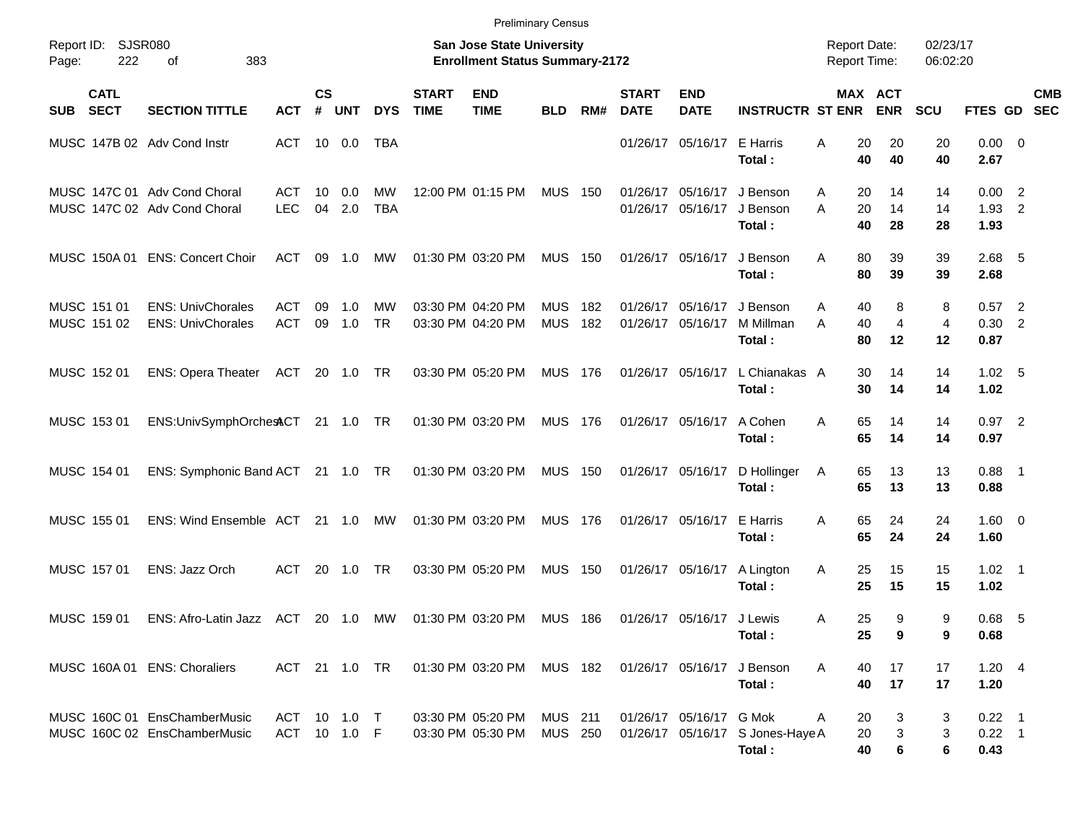|                                          |                                                              |                              |                    |            |                  |                             | <b>Preliminary Census</b>                                                 |                           |            |                             |                               |                                                  |                                            |                                             |                      |                              |            |
|------------------------------------------|--------------------------------------------------------------|------------------------------|--------------------|------------|------------------|-----------------------------|---------------------------------------------------------------------------|---------------------------|------------|-----------------------------|-------------------------------|--------------------------------------------------|--------------------------------------------|---------------------------------------------|----------------------|------------------------------|------------|
| Report ID:<br>222<br>Page:               | SJSR080<br>383<br>οf                                         |                              |                    |            |                  |                             | <b>San Jose State University</b><br><b>Enrollment Status Summary-2172</b> |                           |            |                             |                               |                                                  | <b>Report Date:</b><br><b>Report Time:</b> |                                             | 02/23/17<br>06:02:20 |                              |            |
| <b>CATL</b><br><b>SECT</b><br><b>SUB</b> | <b>SECTION TITTLE</b>                                        | <b>ACT</b>                   | $\mathsf{cs}$<br># | <b>UNT</b> | <b>DYS</b>       | <b>START</b><br><b>TIME</b> | <b>END</b><br><b>TIME</b>                                                 | <b>BLD</b>                | RM#        | <b>START</b><br><b>DATE</b> | <b>END</b><br><b>DATE</b>     | <b>INSTRUCTR ST ENR</b>                          |                                            | MAX ACT<br><b>ENR</b>                       | <b>SCU</b>           | FTES GD SEC                  | <b>CMB</b> |
| MUSC 147B 02 Adv Cond Instr              |                                                              | ACT                          |                    | 10 0.0     | TBA              |                             |                                                                           |                           |            |                             | 01/26/17 05/16/17 E Harris    | Total:                                           | Α                                          | 20<br>20<br>40<br>40                        | 20<br>40             | $0.00 \t 0$<br>2.67          |            |
|                                          | MUSC 147C 01 Adv Cond Choral<br>MUSC 147C 02 Adv Cond Choral | ACT<br><b>LEC</b>            | 10<br>04           | 0.0<br>2.0 | МW<br><b>TBA</b> |                             | 12:00 PM 01:15 PM                                                         | <b>MUS 150</b>            |            | 01/26/17                    | 05/16/17                      | J Benson<br>01/26/17 05/16/17 J Benson<br>Total: | A<br>A                                     | 20<br>14<br>20<br>14<br>40<br>28            | 14<br>14<br>28       | 0.00 2<br>$1.93$ 2<br>1.93   |            |
| MUSC 150A 01                             | <b>ENS: Concert Choir</b>                                    | ACT                          | 09                 | $-1.0$     | MW               |                             | 01:30 PM 03:20 PM                                                         | <b>MUS 150</b>            |            |                             | 01/26/17 05/16/17             | J Benson<br>Total:                               | Α                                          | 80<br>39<br>80<br>39                        | 39<br>39             | $2.68$ 5<br>2.68             |            |
| MUSC 151 01<br>MUSC 151 02               | <b>ENS: UnivChorales</b><br><b>ENS: UnivChorales</b>         | ACT<br><b>ACT</b>            | 09<br>09           | 1.0<br>1.0 | МW<br><b>TR</b>  |                             | 03:30 PM 04:20 PM<br>03:30 PM 04:20 PM                                    | <b>MUS</b><br><b>MUS</b>  | 182<br>182 | 01/26/17                    | 05/16/17<br>01/26/17 05/16/17 | J Benson<br>M Millman<br>Total:                  | A<br>A                                     | 8<br>40<br>$\overline{4}$<br>40<br>80<br>12 | 8<br>4<br>12         | $0.57$ 2<br>0.30 2<br>0.87   |            |
| MUSC 152 01                              | <b>ENS: Opera Theater</b>                                    | ACT                          |                    | 20 1.0 TR  |                  |                             | 03:30 PM 05:20 PM                                                         | <b>MUS 176</b>            |            |                             |                               | 01/26/17 05/16/17 L Chianakas A<br>Total:        |                                            | 30<br>14<br>30<br>14                        | 14<br>14             | 1.02 <sub>5</sub><br>1.02    |            |
| MUSC 153 01                              | ENS:UnivSymphOrchestCT 21 1.0 TR                             |                              |                    |            |                  |                             | 01:30 PM 03:20 PM                                                         | <b>MUS 176</b>            |            |                             | 01/26/17 05/16/17             | A Cohen<br>Total:                                | Α                                          | 65<br>14<br>65<br>14                        | 14<br>14             | $0.97$ 2<br>0.97             |            |
| MUSC 154 01                              | ENS: Symphonic Band ACT 21 1.0 TR                            |                              |                    |            |                  |                             | 01:30 PM 03:20 PM                                                         | <b>MUS 150</b>            |            |                             |                               | 01/26/17 05/16/17 D Hollinger<br>Total:          | 65<br>A                                    | 13<br>65<br>13                              | 13<br>13             | $0.88$ 1<br>0.88             |            |
| MUSC 155 01                              | ENS: Wind Ensemble ACT                                       |                              |                    | 21 1.0     | МW               |                             | 01:30 PM 03:20 PM                                                         | <b>MUS 176</b>            |            |                             | 01/26/17 05/16/17 E Harris    | Total:                                           | Α                                          | 65<br>24<br>65<br>24                        | 24<br>24             | $1.60 \t 0$<br>1.60          |            |
| MUSC 157 01                              | ENS: Jazz Orch                                               | ACT.                         |                    | 20 1.0     | <b>TR</b>        |                             | 03:30 PM 05:20 PM                                                         | <b>MUS 150</b>            |            |                             | 01/26/17 05/16/17             | A Lington<br>Total:                              | Α                                          | 25<br>15<br>25<br>15                        | 15<br>15             | $1.02 \quad 1$<br>1.02       |            |
| MUSC 159 01                              | ENS: Afro-Latin Jazz ACT                                     |                              |                    | 20 1.0     | МW               |                             | 01:30 PM 03:20 PM                                                         | <b>MUS 186</b>            |            |                             | 01/26/17 05/16/17 J Lewis     | Total:                                           | A                                          | 25<br>9<br>25<br>9                          | 9<br>9               | $0.68$ 5<br>0.68             |            |
|                                          | MUSC 160A 01 ENS: Choraliers                                 | ACT 21 1.0 TR                |                    |            |                  |                             | 01:30 PM 03:20 PM                                                         | MUS 182                   |            |                             |                               | 01/26/17 05/16/17 J Benson<br>Total:             | A                                          | 40<br>17<br>40<br>17                        | 17<br>17             | 1.20 4<br>1.20               |            |
|                                          | MUSC 160C 01 EnsChamberMusic<br>MUSC 160C 02 EnsChamberMusic | ACT 10 1.0 T<br>ACT 10 1.0 F |                    |            |                  |                             | 03:30 PM 05:20 PM<br>03:30 PM 05:30 PM                                    | <b>MUS 211</b><br>MUS 250 |            |                             | 01/26/17 05/16/17 G Mok       | 01/26/17 05/16/17 S Jones-Haye A<br>Total:       | A                                          | 20<br>3<br>3<br>20<br>6<br>40               | 3<br>3<br>6          | $0.22$ 1<br>$0.22$ 1<br>0.43 |            |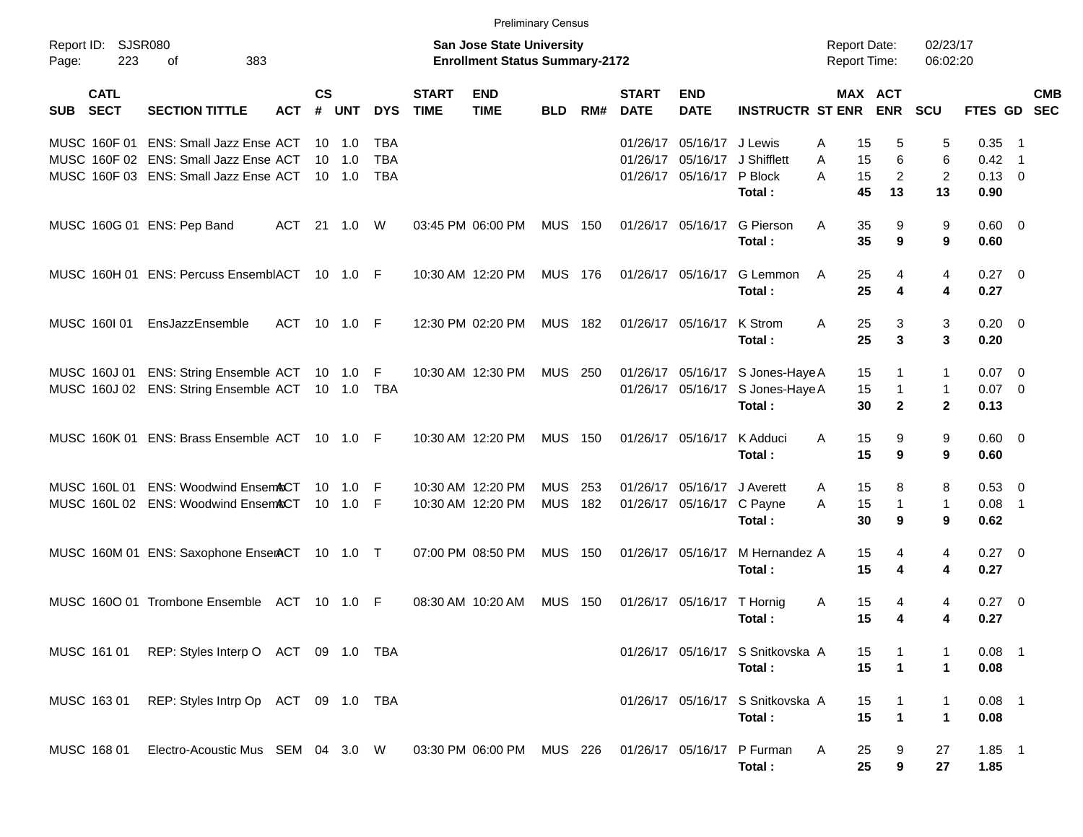|                                          |                                                                                                                         |            |                |                                         |                                 |                             | <b>Preliminary Census</b>                                                 |                          |            |                             |                                                   |                                            |                                            |                      |                                              |                                              |                                        |                                 |            |
|------------------------------------------|-------------------------------------------------------------------------------------------------------------------------|------------|----------------|-----------------------------------------|---------------------------------|-----------------------------|---------------------------------------------------------------------------|--------------------------|------------|-----------------------------|---------------------------------------------------|--------------------------------------------|--------------------------------------------|----------------------|----------------------------------------------|----------------------------------------------|----------------------------------------|---------------------------------|------------|
| Report ID:<br>223<br>Page:               | <b>SJSR080</b><br>383<br>οf                                                                                             |            |                |                                         |                                 |                             | <b>San Jose State University</b><br><b>Enrollment Status Summary-2172</b> |                          |            |                             |                                                   |                                            | <b>Report Date:</b><br><b>Report Time:</b> |                      |                                              | 02/23/17<br>06:02:20                         |                                        |                                 |            |
| <b>CATL</b><br><b>SECT</b><br><b>SUB</b> | <b>SECTION TITTLE</b>                                                                                                   | <b>ACT</b> | <b>CS</b><br># | <b>UNT</b>                              | <b>DYS</b>                      | <b>START</b><br><b>TIME</b> | <b>END</b><br><b>TIME</b>                                                 | <b>BLD</b>               | RM#        | <b>START</b><br><b>DATE</b> | <b>END</b><br><b>DATE</b>                         | <b>INSTRUCTR ST ENR</b>                    |                                            | MAX ACT              | <b>ENR</b>                                   | <b>SCU</b>                                   | FTES GD SEC                            |                                 | <b>CMB</b> |
|                                          | MUSC 160F 01 ENS: Small Jazz Ense ACT<br>MUSC 160F 02 ENS: Small Jazz Ense ACT<br>MUSC 160F 03 ENS: Small Jazz Ense ACT |            | 10             | $10 \quad 1.0$<br>1.0<br>$10 \quad 1.0$ | TBA<br><b>TBA</b><br><b>TBA</b> |                             |                                                                           |                          |            | 01/26/17<br>01/26/17        | 05/16/17 J Lewis<br>05/16/17<br>01/26/17 05/16/17 | J Shifflett<br>P Block<br>Total:           | Α<br>A<br>A                                | 15<br>15<br>15<br>45 | 5<br>6<br>2<br>13                            | 5<br>6<br>2<br>13                            | 0.35<br>0.42<br>$0.13 \quad 0$<br>0.90 | - 1<br>$\overline{\phantom{1}}$ |            |
| MUSC 160G 01 ENS: Pep Band               |                                                                                                                         | ACT        | 21             | 1.0                                     | W                               |                             | 03:45 PM 06:00 PM                                                         | <b>MUS 150</b>           |            |                             | 01/26/17 05/16/17                                 | G Pierson<br>Total:                        | A                                          | 35<br>35             | 9<br>9                                       | 9<br>9                                       | $0.60 \quad 0$<br>0.60                 |                                 |            |
|                                          | MUSC 160H 01 ENS: Percuss EnsemblACT 10 1.0 F                                                                           |            |                |                                         |                                 |                             | 10:30 AM 12:20 PM                                                         | MUS 176                  |            | 01/26/17 05/16/17           |                                                   | G Lemmon<br>Total:                         | A                                          | 25<br>25             | 4<br>4                                       | 4<br>4                                       | $0.27 \t 0$<br>0.27                    |                                 |            |
| MUSC 160101                              | EnsJazzEnsemble                                                                                                         | ACT        | 10             | 1.0                                     | -F                              |                             | 12:30 PM 02:20 PM                                                         | <b>MUS 182</b>           |            |                             | 01/26/17 05/16/17                                 | K Strom<br>Total:                          | A                                          | 25<br>25             | 3<br>3                                       | 3<br>3                                       | $0.20 \ 0$<br>0.20                     |                                 |            |
|                                          | MUSC 160J 01 ENS: String Ensemble ACT<br>MUSC 160J 02 ENS: String Ensemble ACT                                          |            |                | 10  1.0<br>10 1.0                       | F<br><b>TBA</b>                 |                             | 10:30 AM 12:30 PM                                                         | <b>MUS 250</b>           |            |                             | 01/26/17 05/16/17<br>01/26/17 05/16/17            | S Jones-Haye A<br>S Jones-Haye A<br>Total: |                                            | 15<br>15<br>30       | $\mathbf{1}$<br>$\mathbf{1}$<br>$\mathbf{2}$ | $\mathbf{1}$<br>$\mathbf{1}$<br>$\mathbf{2}$ | 0.07<br>$0.07$ 0<br>0.13               | $\overline{\phantom{0}}$        |            |
|                                          | MUSC 160K 01 ENS: Brass Ensemble ACT 10 1.0 F                                                                           |            |                |                                         |                                 |                             | 10:30 AM 12:20 PM                                                         | <b>MUS 150</b>           |            |                             | 01/26/17 05/16/17                                 | K Adduci<br>Total:                         | A                                          | 15<br>15             | 9<br>9                                       | 9<br>9                                       | $0.60 \quad 0$<br>0.60                 |                                 |            |
| MUSC 160L01                              | <b>ENS: Woodwind Ensem&amp;CT</b><br>MUSC 160L 02 ENS: Woodwind EnsemACT                                                |            | 10             | 1.0<br>$10 \quad 1.0$                   | F<br>-F                         |                             | 10:30 AM 12:20 PM<br>10:30 AM 12:20 PM                                    | <b>MUS</b><br><b>MUS</b> | 253<br>182 |                             | 01/26/17 05/16/17<br>01/26/17 05/16/17 C Payne    | J Averett<br>Total:                        | A<br>A                                     | 15<br>15<br>30       | 8<br>$\mathbf{1}$<br>9                       | 8<br>$\mathbf{1}$<br>9                       | $0.53$ 0<br>0.08<br>0.62               | $\overline{\phantom{0}}$        |            |
|                                          | MUSC 160M 01 ENS: Saxophone EnserACT 10 1.0 T                                                                           |            |                |                                         |                                 |                             | 07:00 PM 08:50 PM                                                         | <b>MUS 150</b>           |            | 01/26/17 05/16/17           |                                                   | M Hernandez A<br>Total:                    |                                            | 15<br>15             | 4<br>4                                       | 4<br>4                                       | $0.27 \t 0$<br>0.27                    |                                 |            |
|                                          | MUSC 1600 01 Trombone Ensemble                                                                                          | ACT        | 10             | 1.0                                     | F                               |                             | 08:30 AM 10:20 AM                                                         | MUS                      | 150        | 01/26/17 05/16/17           |                                                   | T Hornig<br>Total:                         | Α                                          | 15<br>15             | 4<br>4                                       | 4<br>4                                       | $0.27 \t 0$<br>0.27                    |                                 |            |
| MUSC 161 01                              | REP: Styles Interp O ACT 09 1.0 TBA                                                                                     |            |                |                                         |                                 |                             |                                                                           |                          |            |                             |                                                   | 01/26/17 05/16/17 S Snitkovska A<br>Total: |                                            | 15<br>15             | $\blacktriangleleft$                         | $\mathbf 1$                                  | $0.08$ 1<br>0.08                       |                                 |            |
| MUSC 163 01                              | REP: Styles Intrp Op ACT 09 1.0 TBA                                                                                     |            |                |                                         |                                 |                             |                                                                           |                          |            |                             |                                                   | 01/26/17 05/16/17 S Snitkovska A<br>Total: |                                            | 15<br>15             | $\mathbf{1}$<br>$\mathbf{1}$                 | 1<br>$\mathbf 1$                             | $0.08$ 1<br>0.08                       |                                 |            |
| MUSC 168 01                              | Electro-Acoustic Mus SEM 04 3.0 W                                                                                       |            |                |                                         |                                 |                             | 03:30 PM 06:00 PM                                                         | MUS 226                  |            |                             | 01/26/17 05/16/17                                 | P Furman<br>Total:                         | Α                                          | 25<br>25             | 9<br>9                                       | 27<br>27                                     | $1.85$ 1<br>1.85                       |                                 |            |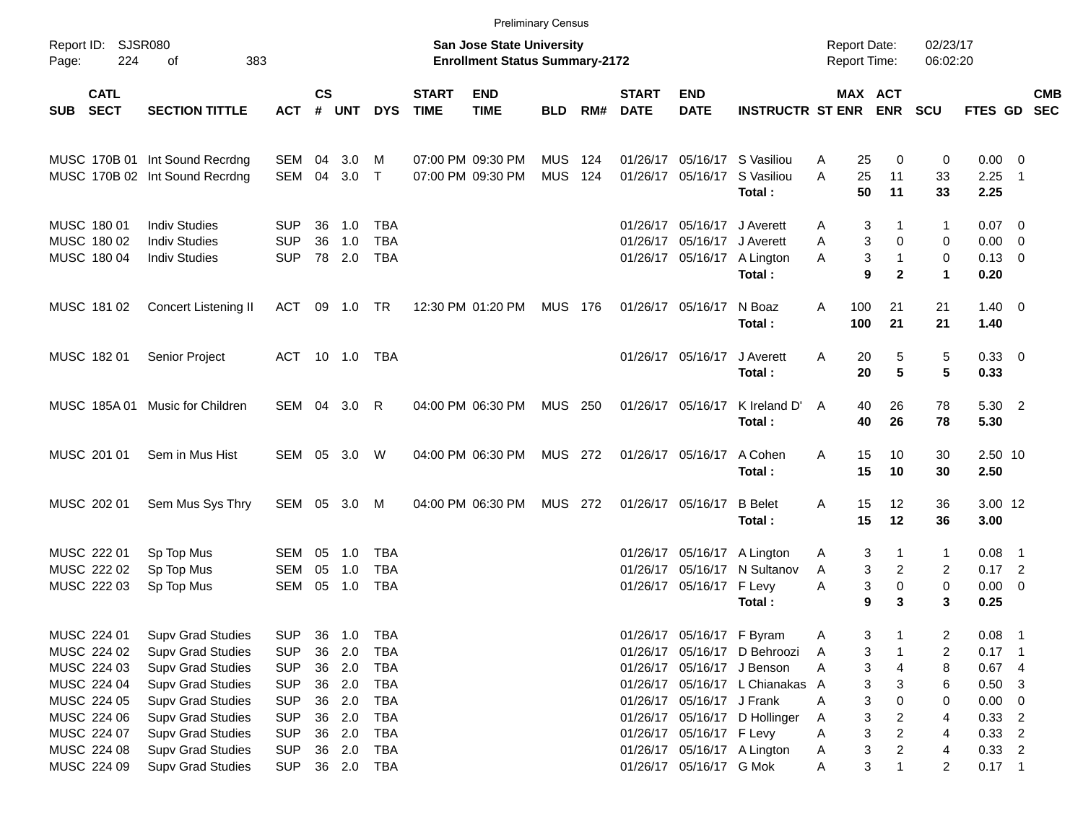|              |                                        |                                |                |                    |            |            |                             |                                                                    | <b>Preliminary Census</b> |     |                             |                             |                                       |                 |                                            |                      |                        |                            |                          |
|--------------|----------------------------------------|--------------------------------|----------------|--------------------|------------|------------|-----------------------------|--------------------------------------------------------------------|---------------------------|-----|-----------------------------|-----------------------------|---------------------------------------|-----------------|--------------------------------------------|----------------------|------------------------|----------------------------|--------------------------|
| Page:        | Report ID: SJSR080<br>383<br>224<br>оf |                                |                |                    |            |            |                             | San Jose State University<br><b>Enrollment Status Summary-2172</b> |                           |     |                             |                             |                                       |                 | <b>Report Date:</b><br><b>Report Time:</b> | 02/23/17<br>06:02:20 |                        |                            |                          |
| SUB          | <b>CATL</b><br><b>SECT</b>             | <b>SECTION TITTLE</b>          | <b>ACT</b>     | $\mathsf{cs}$<br># | UNT        | <b>DYS</b> | <b>START</b><br><b>TIME</b> | <b>END</b><br><b>TIME</b>                                          | <b>BLD</b>                | RM# | <b>START</b><br><b>DATE</b> | <b>END</b><br><b>DATE</b>   | <b>INSTRUCTR ST ENR</b>               |                 | MAX ACT<br><b>ENR</b>                      | <b>SCU</b>           | FTES GD                |                            | <b>CMB</b><br><b>SEC</b> |
|              |                                        | MUSC 170B 01 Int Sound Recrdng | SEM            | 04                 | 3.0        | M          |                             | 07:00 PM 09:30 PM                                                  | <b>MUS</b>                | 124 |                             |                             | 01/26/17 05/16/17 S Vasiliou          | A               | 25<br>0                                    | 0                    | $0.00 \t 0$            |                            |                          |
|              |                                        | MUSC 170B 02 Int Sound Recrdng | SEM            | 04                 | 3.0        | $\top$     |                             | 07:00 PM 09:30 PM                                                  | <b>MUS</b>                | 124 |                             | 01/26/17 05/16/17           | S Vasiliou<br>Total:                  | A               | 25<br>11<br>50<br>11                       | 33<br>33             | 2.25<br>2.25           | $\overline{\phantom{1}}$   |                          |
| MUSC 180 01  |                                        | <b>Indiv Studies</b>           | <b>SUP</b>     | 36                 | 1.0        | TBA        |                             |                                                                    |                           |     |                             | 01/26/17 05/16/17           | J Averett                             | A               | 3<br>1                                     | 1                    | $0.07$ 0               |                            |                          |
| MUSC 180 02  |                                        | <b>Indiv Studies</b>           | <b>SUP</b>     | 36                 | 1.0        | <b>TBA</b> |                             |                                                                    |                           |     |                             | 01/26/17 05/16/17 J Averett |                                       | A               | 3<br>$\mathbf 0$                           | 0                    | $0.00 \t 0$            |                            |                          |
| MUSC 180 04  |                                        | <b>Indiv Studies</b>           | <b>SUP</b>     |                    | 78 2.0     | <b>TBA</b> |                             |                                                                    |                           |     |                             |                             | 01/26/17 05/16/17 A Lington<br>Total: | A               | 3<br>$\mathbf{1}$<br>9<br>$\mathbf{2}$     | 0<br>$\mathbf{1}$    | $0.13 \quad 0$<br>0.20 |                            |                          |
| MUSC 181 02  |                                        | Concert Listening II           | ACT            |                    | 09 1.0 TR  |            |                             | 12:30 PM 01:20 PM                                                  | MUS 176                   |     |                             | 01/26/17 05/16/17           | N Boaz<br>Total:                      | 100<br>A<br>100 | 21<br>21                                   | 21<br>21             | $1.40 \ 0$<br>1.40     |                            |                          |
| MUSC 182 01  |                                        | Senior Project                 | ACT 10 1.0 TBA |                    |            |            |                             |                                                                    |                           |     |                             | 01/26/17 05/16/17           | J Averett<br>Total:                   | A               | 5<br>20<br>$5\phantom{1}$<br>20            | 5<br>5               | 0.33 0<br>0.33         |                            |                          |
| MUSC 185A 01 |                                        | Music for Children             | SEM 04 3.0     |                    |            | R          |                             | 04:00 PM 06:30 PM                                                  | <b>MUS 250</b>            |     |                             | 01/26/17 05/16/17           | K Ireland D'<br>Total:                | A               | 26<br>40<br>40<br>26                       | 78<br>78             | 5.30 2<br>5.30         |                            |                          |
| MUSC 201 01  |                                        | Sem in Mus Hist                | SEM 05 3.0 W   |                    |            |            |                             | 04:00 PM 06:30 PM                                                  | <b>MUS 272</b>            |     |                             | 01/26/17 05/16/17           | A Cohen<br>Total:                     | A               | 15<br>10<br>15<br>10                       | 30<br>30             | 2.50 10<br>2.50        |                            |                          |
| MUSC 202 01  |                                        | Sem Mus Sys Thry               | SEM 05 3.0     |                    |            | M          |                             | 04:00 PM 06:30 PM                                                  | <b>MUS 272</b>            |     |                             | 01/26/17 05/16/17           | <b>B</b> Belet<br>Total:              | A               | 15<br>12<br>15<br>12                       | 36<br>36             | 3.00 12<br>3.00        |                            |                          |
| MUSC 222 01  |                                        | Sp Top Mus                     | SEM            | 05                 | 1.0        | TBA        |                             |                                                                    |                           |     |                             |                             | 01/26/17 05/16/17 A Lington           | A               | 3<br>1                                     | 1                    | $0.08$ 1               |                            |                          |
| MUSC 222 02  |                                        | Sp Top Mus                     | <b>SEM</b>     | 05                 | 1.0        | <b>TBA</b> |                             |                                                                    |                           |     | 01/26/17                    | 05/16/17                    | N Sultanov                            | A               | 3<br>2                                     | 2                    | $0.17$ 2               |                            |                          |
| MUSC 222 03  |                                        | Sp Top Mus                     | <b>SEM</b>     | 05                 | 1.0        | <b>TBA</b> |                             |                                                                    |                           |     |                             | 01/26/17 05/16/17 F Levy    | Total:                                | Α               | 3<br>0<br>9<br>3                           | 0<br>3               | $0.00 \t 0$<br>0.25    |                            |                          |
| MUSC 224 01  |                                        | <b>Supv Grad Studies</b>       | <b>SUP</b>     | 36                 | 1.0        | <b>TBA</b> |                             |                                                                    |                           |     |                             | 01/26/17 05/16/17 F Byram   |                                       | A               | 3                                          | 2                    | 0.08                   | - 1                        |                          |
| MUSC 224 02  |                                        | <b>Supv Grad Studies</b>       | <b>SUP</b>     | 36                 | 2.0        | <b>TBA</b> |                             |                                                                    |                           |     |                             |                             | 01/26/17 05/16/17 D Behroozi          | Α               | 3                                          | 2                    | 0.17                   | - 1                        |                          |
| MUSC 224 03  |                                        | <b>Supv Grad Studies</b>       | <b>SUP</b>     | 36                 | 2.0        | <b>TBA</b> |                             |                                                                    |                           |     |                             |                             | 01/26/17 05/16/17 J Benson            | Α               | 3<br>4                                     | 8                    | 0.674                  |                            |                          |
| MUSC 224 04  |                                        | <b>Supv Grad Studies</b>       | <b>SUP</b>     | 36                 | 2.0        | <b>TBA</b> |                             |                                                                    |                           |     |                             |                             | 01/26/17 05/16/17 L Chianakas         | A               | 3<br>3                                     | 6                    | $0.50$ 3               |                            |                          |
| MUSC 224 05  |                                        | Supv Grad Studies              | <b>SUP</b>     | 36                 | 2.0        | <b>TBA</b> |                             |                                                                    |                           |     |                             | 01/26/17 05/16/17 J Frank   |                                       | Α               | 3<br>0                                     | 0                    | 0.00                   | $\overline{\phantom{0}}$   |                          |
| MUSC 224 06  |                                        | Supv Grad Studies              | <b>SUP</b>     | 36                 | 2.0        | TBA        |                             |                                                                    |                           |     |                             |                             | 01/26/17 05/16/17 D Hollinger         | A               | 3<br>2                                     | 4                    | 0.33                   | $\overline{\phantom{0}}^2$ |                          |
| MUSC 224 07  |                                        | <b>Supv Grad Studies</b>       | <b>SUP</b>     | 36                 | 2.0        | TBA        |                             |                                                                    |                           |     |                             | 01/26/17 05/16/17 F Levy    |                                       | Α               | 3<br>2                                     | 4                    | $0.33$ 2               |                            |                          |
| MUSC 224 08  |                                        | <b>Supv Grad Studies</b>       | <b>SUP</b>     | 36                 | 2.0        | <b>TBA</b> |                             |                                                                    |                           |     |                             |                             | 01/26/17 05/16/17 A Lington           | A               | 3<br>2                                     | 4                    | $0.33$ 2               |                            |                          |
| MUSC 224 09  |                                        | <b>Supv Grad Studies</b>       | <b>SUP</b>     |                    | 36 2.0 TBA |            |                             |                                                                    |                           |     |                             | 01/26/17 05/16/17 G Mok     |                                       | Α               | 3<br>1                                     | 2                    | $0.17$ 1               |                            |                          |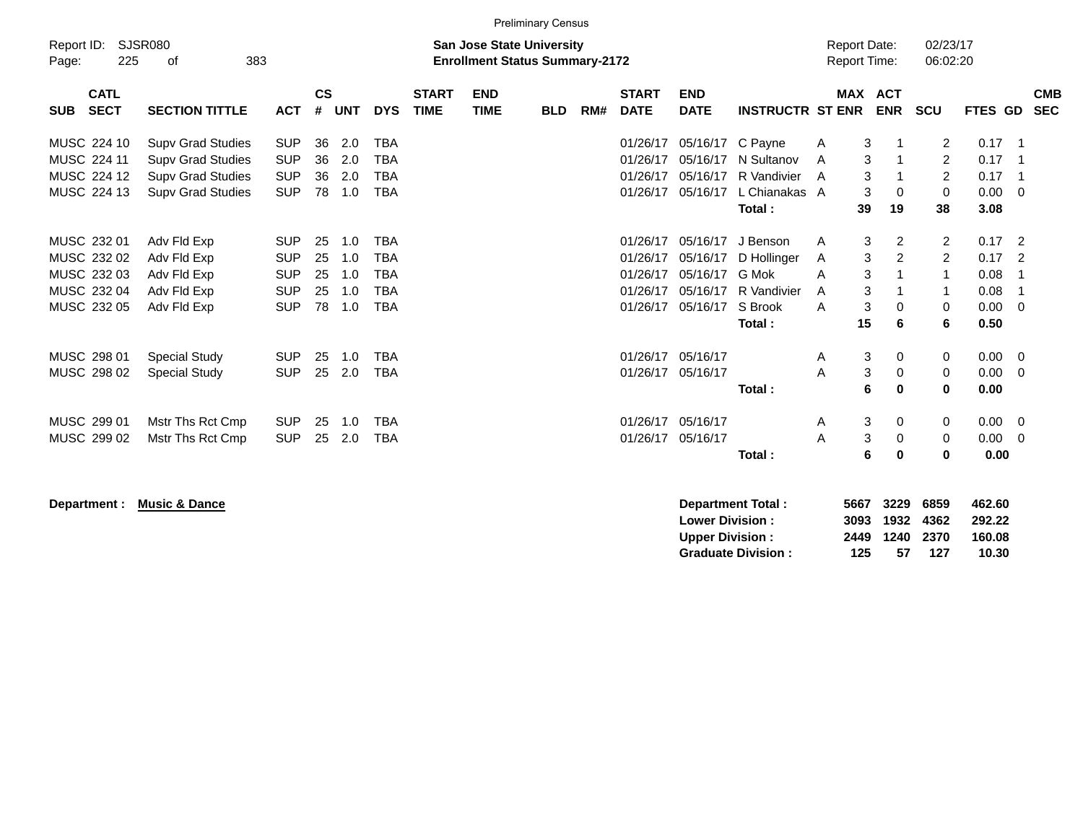|                           |                          |            |               |            |            |              |                                       | <b>Preliminary Census</b> |     |              |             |                         |                     |               |                                  |                |                            |            |
|---------------------------|--------------------------|------------|---------------|------------|------------|--------------|---------------------------------------|---------------------------|-----|--------------|-------------|-------------------------|---------------------|---------------|----------------------------------|----------------|----------------------------|------------|
| Report ID:                | <b>SJSR080</b>           |            |               |            |            |              | <b>San Jose State University</b>      |                           |     |              |             |                         | <b>Report Date:</b> |               | 02/23/17                         |                |                            |            |
| 225<br>Page:              | 383<br>οf                |            |               |            |            |              | <b>Enrollment Status Summary-2172</b> |                           |     |              |             |                         | <b>Report Time:</b> |               | 06:02:20                         |                |                            |            |
| <b>CATL</b>               |                          |            | $\mathsf{cs}$ |            |            | <b>START</b> | <b>END</b>                            |                           |     | <b>START</b> | <b>END</b>  |                         |                     | MAX ACT       |                                  |                |                            | <b>CMB</b> |
| <b>SECT</b><br><b>SUB</b> | <b>SECTION TITTLE</b>    | <b>ACT</b> | #             | <b>UNT</b> | <b>DYS</b> | <b>TIME</b>  | <b>TIME</b>                           | <b>BLD</b>                | RM# | <b>DATE</b>  | <b>DATE</b> | <b>INSTRUCTR ST ENR</b> |                     | <b>ENR</b>    | <b>SCU</b>                       | FTES GD        |                            | <b>SEC</b> |
|                           |                          |            |               |            |            |              |                                       |                           |     |              |             |                         |                     |               |                                  |                |                            |            |
| MUSC 224 10               | <b>Supv Grad Studies</b> | <b>SUP</b> | 36            | 2.0        | <b>TBA</b> |              |                                       |                           |     | 01/26/17     |             | 05/16/17 C Payne        | Α                   | 3             | $\overline{2}$                   | $0.17$ 1       |                            |            |
| MUSC 224 11               | <b>Supv Grad Studies</b> | <b>SUP</b> | 36            | 2.0        | <b>TBA</b> |              |                                       |                           |     | 01/26/17     | 05/16/17    | N Sultanov              | A                   | 3             | $\overline{2}$                   | 0.17           | - 1                        |            |
| MUSC 224 12               | <b>Supv Grad Studies</b> | <b>SUP</b> | 36            | 2.0        | <b>TBA</b> |              |                                       |                           |     | 01/26/17     | 05/16/17    | R Vandivier             | A                   | 3             | 2                                | $0.17$ 1       |                            |            |
| MUSC 224 13               | <b>Supv Grad Studies</b> | <b>SUP</b> | 78            | 1.0        | <b>TBA</b> |              |                                       |                           |     | 01/26/17     | 05/16/17    | L Chianakas A           |                     | 3<br>$\Omega$ | 0                                | $0.00 \quad 0$ |                            |            |
|                           |                          |            |               |            |            |              |                                       |                           |     |              |             | Total:                  | 39                  | 19            | 38                               | 3.08           |                            |            |
|                           |                          |            |               |            |            |              |                                       |                           |     |              |             |                         |                     |               |                                  |                |                            |            |
| MUSC 232 01               | Adv Fld Exp              | <b>SUP</b> | 25            | 1.0        | <b>TBA</b> |              |                                       |                           |     | 01/26/17     | 05/16/17    | J Benson                | A                   | 3             | 2<br>$\overline{2}$              | $0.17$ 2       |                            |            |
| MUSC 232 02               | Adv Fld Exp              | <b>SUP</b> | 25            | 1.0        | <b>TBA</b> |              |                                       |                           |     | 01/26/17     | 05/16/17    | D Hollinger             | A                   | 3             | $\overline{2}$<br>$\overline{2}$ | 0.17           | $\overline{\phantom{0}}^2$ |            |
| MUSC 232 03               | Adv Fld Exp              | <b>SUP</b> | 25            | 1.0        | <b>TBA</b> |              |                                       |                           |     | 01/26/17     | 05/16/17    | G Mok                   | A                   | 3             | 1                                | 0.08           | - 1                        |            |
| MUSC 232 04               | Adv Fld Exp              | <b>SUP</b> | 25            | 1.0        | <b>TBA</b> |              |                                       |                           |     | 01/26/17     | 05/16/17    | R Vandivier             | A                   | 3             | 1                                | 0.08           | - 1                        |            |
| MUSC 232 05               | Adv Fld Exp              | <b>SUP</b> | 78            | 1.0        | <b>TBA</b> |              |                                       |                           |     | 01/26/17     | 05/16/17    | S Brook                 | A                   | 3<br>0        | 0                                | $0.00 \t 0$    |                            |            |
|                           |                          |            |               |            |            |              |                                       |                           |     |              |             | Total:                  | 15                  |               | 6<br>6                           | 0.50           |                            |            |
|                           |                          |            |               |            |            |              |                                       |                           |     |              |             |                         |                     |               |                                  |                |                            |            |
| MUSC 298 01               | <b>Special Study</b>     | <b>SUP</b> | 25            | 1.0        | <b>TBA</b> |              |                                       |                           |     | 01/26/17     | 05/16/17    |                         | Α                   | 3<br>0        | 0                                | $0.00 \t 0$    |                            |            |
| MUSC 298 02               | <b>Special Study</b>     | <b>SUP</b> | 25            | 2.0        | <b>TBA</b> |              |                                       |                           |     | 01/26/17     | 05/16/17    |                         | A                   | 3<br>0        | 0                                | $0.00 \t 0$    |                            |            |
|                           |                          |            |               |            |            |              |                                       |                           |     |              |             | Total:                  |                     | 6<br>$\bf{0}$ | 0                                | 0.00           |                            |            |
|                           |                          |            |               |            |            |              |                                       |                           |     |              |             |                         |                     |               |                                  |                |                            |            |
| MUSC 299 01               | Mstr Ths Rct Cmp         | <b>SUP</b> | 25            | 1.0        | <b>TBA</b> |              |                                       |                           |     | 01/26/17     | 05/16/17    |                         | Α                   | 3<br>0        | 0                                | $0.00 \t 0$    |                            |            |
| MUSC 299 02               | Mstr Ths Rct Cmp         | <b>SUP</b> | 25            | 2.0        | <b>TBA</b> |              |                                       |                           |     | 01/26/17     | 05/16/17    |                         | A                   | 3             | 0<br>0                           | $0.00 \quad 0$ |                            |            |
|                           |                          |            |               |            |            |              |                                       |                           |     |              |             | Total:                  |                     | 6<br>$\bf{0}$ | 0                                | 0.00           |                            |            |

**Department : Music & Dance** 

| Department Total:         |     | 5667 3229 6859 |     | 462.60 |
|---------------------------|-----|----------------|-----|--------|
| <b>Lower Division:</b>    |     | 3093 1932 4362 |     | 292.22 |
| Upper Division:           |     | 2449 1240 2370 |     | 160.08 |
| <b>Graduate Division:</b> | 125 | 57             | 127 | 10.30  |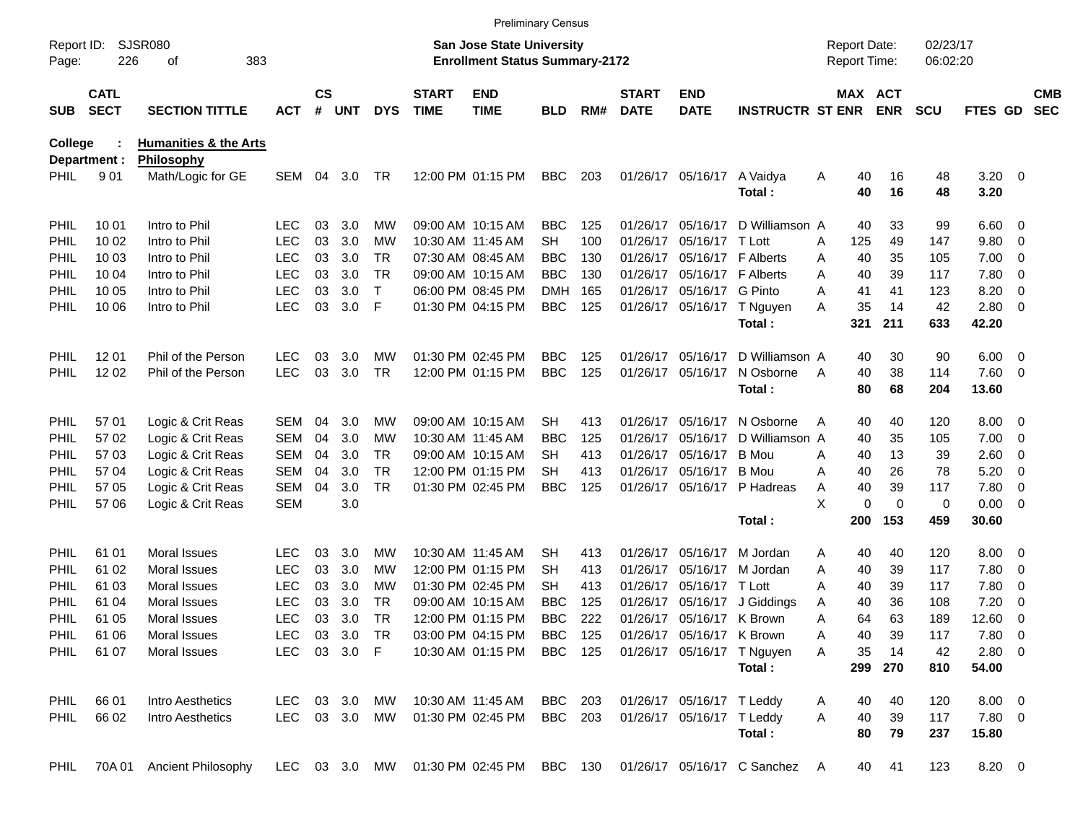|                     |                            |                                  |               |                    |            |               |                             |                                                                           | <b>Preliminary Census</b> |     |                             |                             |                             |                                     |                       |                      |                    |                          |                          |
|---------------------|----------------------------|----------------------------------|---------------|--------------------|------------|---------------|-----------------------------|---------------------------------------------------------------------------|---------------------------|-----|-----------------------------|-----------------------------|-----------------------------|-------------------------------------|-----------------------|----------------------|--------------------|--------------------------|--------------------------|
| Report ID:<br>Page: | 226                        | <b>SJSR080</b><br>383<br>оf      |               |                    |            |               |                             | <b>San Jose State University</b><br><b>Enrollment Status Summary-2172</b> |                           |     |                             |                             |                             | <b>Report Date:</b><br>Report Time: |                       | 02/23/17<br>06:02:20 |                    |                          |                          |
| <b>SUB</b>          | <b>CATL</b><br><b>SECT</b> | <b>SECTION TITTLE</b>            | <b>ACT</b>    | $\mathsf{cs}$<br># | <b>UNT</b> | <b>DYS</b>    | <b>START</b><br><b>TIME</b> | <b>END</b><br><b>TIME</b>                                                 | <b>BLD</b>                | RM# | <b>START</b><br><b>DATE</b> | <b>END</b><br><b>DATE</b>   | <b>INSTRUCTR ST ENR</b>     |                                     | MAX ACT<br><b>ENR</b> | <b>SCU</b>           | FTES GD            |                          | <b>CMB</b><br><b>SEC</b> |
| <b>College</b>      |                            | <b>Humanities &amp; the Arts</b> |               |                    |            |               |                             |                                                                           |                           |     |                             |                             |                             |                                     |                       |                      |                    |                          |                          |
|                     | Department :               | Philosophy                       |               |                    |            |               |                             |                                                                           |                           |     |                             |                             |                             |                                     |                       |                      |                    |                          |                          |
| PHIL                | 901                        | Math/Logic for GE                | SEM           | 04                 | 3.0        | TR.           |                             | 12:00 PM 01:15 PM                                                         | <b>BBC</b>                | 203 |                             | 01/26/17 05/16/17           | A Vaidya<br>Total:          | Α                                   | 40<br>16<br>40<br>16  | 48<br>48             | $3.20 \ 0$<br>3.20 |                          |                          |
| <b>PHIL</b>         | 10 01                      | Intro to Phil                    | LEC           | 03                 | 3.0        | MW            |                             | 09:00 AM 10:15 AM                                                         | <b>BBC</b>                | 125 |                             | 01/26/17 05/16/17           | D Williamson A              |                                     | 40<br>33              | 99                   | $6.60$ 0           |                          |                          |
| PHIL                | 10 02                      | Intro to Phil                    | <b>LEC</b>    | 03                 | 3.0        | МW            |                             | 10:30 AM 11:45 AM                                                         | <b>SH</b>                 | 100 |                             | 01/26/17 05/16/17 T Lott    |                             | 125<br>Α                            | 49                    | 147                  | 9.80               | $\overline{\mathbf{0}}$  |                          |
| PHIL                | 10 03                      | Intro to Phil                    | <b>LEC</b>    | 03                 | 3.0        | <b>TR</b>     |                             | 07:30 AM 08:45 AM                                                         | <b>BBC</b>                | 130 |                             | 01/26/17 05/16/17 F Alberts |                             | Α                                   | 40<br>35              | 105                  | 7.00               | $\overline{\mathbf{0}}$  |                          |
| PHIL                | 10 04                      | Intro to Phil                    | <b>LEC</b>    | 03                 | 3.0        | <b>TR</b>     |                             | 09:00 AM 10:15 AM                                                         | <b>BBC</b>                | 130 |                             | 01/26/17 05/16/17 F Alberts |                             | Α                                   | 40<br>39              | 117                  | 7.80               | $\overline{\mathbf{0}}$  |                          |
| PHIL                | 10 05                      | Intro to Phil                    | <b>LEC</b>    | 03                 | 3.0        | $\top$        |                             | 06:00 PM 08:45 PM                                                         | <b>DMH</b>                | 165 |                             | 01/26/17 05/16/17 G Pinto   |                             | A<br>41                             | 41                    | 123                  | 8.20               | 0                        |                          |
| PHIL                | 10 06                      | Intro to Phil                    | <b>LEC</b>    | 03                 | 3.0        | F             |                             | 01:30 PM 04:15 PM                                                         | <b>BBC</b>                | 125 |                             |                             | 01/26/17 05/16/17 T Nguyen  | Α                                   | 35<br>14              | 42                   | 2.80               | $\overline{\phantom{0}}$ |                          |
|                     |                            |                                  |               |                    |            |               |                             |                                                                           |                           |     |                             |                             | Total:                      | 321                                 | 211                   | 633                  | 42.20              |                          |                          |
| <b>PHIL</b>         | 12 01                      | Phil of the Person               | <b>LEC</b>    | 03                 | 3.0        | MW            |                             | 01:30 PM 02:45 PM                                                         | <b>BBC</b>                | 125 |                             | 01/26/17 05/16/17           | D Williamson A              |                                     | 30<br>40              | 90                   | $6.00 \quad 0$     |                          |                          |
| <b>PHIL</b>         | 12 02                      | Phil of the Person               | <b>LEC</b>    | 03                 | 3.0        | <b>TR</b>     |                             | 12:00 PM 01:15 PM                                                         | <b>BBC</b>                | 125 |                             | 01/26/17 05/16/17           | N Osborne                   | A                                   | 40<br>38              | 114                  | 7.60 0             |                          |                          |
|                     |                            |                                  |               |                    |            |               |                             |                                                                           |                           |     |                             |                             | Total:                      |                                     | 80<br>68              | 204                  | 13.60              |                          |                          |
| <b>PHIL</b>         | 57 01                      | Logic & Crit Reas                | <b>SEM</b>    | 04                 | 3.0        | MW            |                             | 09:00 AM 10:15 AM                                                         | SН                        | 413 |                             | 01/26/17 05/16/17           | N Osborne                   | A                                   | 40<br>40              | 120                  | $8.00 \t 0$        |                          |                          |
| <b>PHIL</b>         | 57 02                      | Logic & Crit Reas                | <b>SEM</b>    | 04                 | 3.0        | МW            |                             | 10:30 AM 11:45 AM                                                         | <b>BBC</b>                | 125 |                             | 01/26/17 05/16/17           | D Williamson A              |                                     | 35<br>40              | 105                  | 7.00               | $\overline{\mathbf{0}}$  |                          |
| PHIL                | 57 03                      | Logic & Crit Reas                | <b>SEM</b>    | 04                 | 3.0        | <b>TR</b>     |                             | 09:00 AM 10:15 AM                                                         | SН                        | 413 |                             | 01/26/17 05/16/17           | B Mou                       | A                                   | 40<br>13              | 39                   | 2.60               | $\overline{\phantom{0}}$ |                          |
| <b>PHIL</b>         | 57 04                      | Logic & Crit Reas                | <b>SEM</b>    | 04                 | 3.0        | <b>TR</b>     |                             | 12:00 PM 01:15 PM                                                         | SН                        | 413 |                             | 01/26/17 05/16/17           | B Mou                       | Α                                   | 26<br>40              | 78                   | 5.20               | 0                        |                          |
| PHIL                | 57 05                      | Logic & Crit Reas                | <b>SEM</b>    | 04                 | 3.0        | <b>TR</b>     |                             | 01:30 PM 02:45 PM                                                         | <b>BBC</b>                | 125 |                             | 01/26/17 05/16/17           | P Hadreas                   | Α                                   | 40<br>39              | 117                  | 7.80               | - 0                      |                          |
| PHIL                | 57 06                      | Logic & Crit Reas                | <b>SEM</b>    |                    | 3.0        |               |                             |                                                                           |                           |     |                             |                             |                             | X                                   | 0<br>$\mathbf 0$      | 0                    | 0.00               | $\overline{\phantom{0}}$ |                          |
|                     |                            |                                  |               |                    |            |               |                             |                                                                           |                           |     |                             |                             | Total:                      | 200                                 | 153                   | 459                  | 30.60              |                          |                          |
| PHIL                | 61 01                      | Moral Issues                     | LEC           | 03                 | 3.0        | MW            |                             | 10:30 AM 11:45 AM                                                         | SН                        | 413 |                             | 01/26/17 05/16/17           | M Jordan                    | Α                                   | 40<br>40              | 120                  | 8.00               | $\overline{\phantom{0}}$ |                          |
| PHIL                | 61 02                      | Moral Issues                     | <b>LEC</b>    | 03                 | 3.0        | МW            |                             | 12:00 PM 01:15 PM                                                         | <b>SH</b>                 | 413 |                             | 01/26/17 05/16/17           | M Jordan                    | Α                                   | 40<br>39              | 117                  | 7.80               | $\overline{\mathbf{0}}$  |                          |
| PHIL                | 61 03                      | Moral Issues                     | <b>LEC</b>    | 03                 | 3.0        | МW            |                             | 01:30 PM 02:45 PM                                                         | <b>SH</b>                 | 413 |                             | 01/26/17 05/16/17 T Lott    |                             | Α                                   | 40<br>39              | 117                  | 7.80               | $\overline{\mathbf{0}}$  |                          |
| PHIL                | 61 04                      | Moral Issues                     | <b>LEC</b>    | 03                 | 3.0        | <b>TR</b>     |                             | 09:00 AM 10:15 AM                                                         | <b>BBC</b>                | 125 |                             | 01/26/17 05/16/17           | J Giddings                  | Α                                   | 40<br>36              | 108                  | 7.20               | 0                        |                          |
| PHIL                | 61 05                      | <b>Moral Issues</b>              | <b>LEC</b>    | 03                 | 3.0        | <b>TR</b>     |                             | 12:00 PM 01:15 PM                                                         | <b>BBC</b>                | 222 |                             | 01/26/17 05/16/17 K Brown   |                             | Α                                   | 64<br>63              | 189                  | 12.60              | $\overline{\phantom{0}}$ |                          |
| PHIL                | 61 06                      | Moral Issues                     | LEC           |                    | 03 3.0 TR  |               |                             | 03:00 PM 04:15 PM BBC 125                                                 |                           |     |                             | 01/26/17 05/16/17 K Brown   |                             | A                                   | 40<br>39              | 117                  | 7.80 0             |                          |                          |
| PHIL                | 61 07                      | Moral Issues                     | <b>LEC</b>    |                    | 03 3.0 F   |               |                             | 10:30 AM 01:15 PM                                                         | <b>BBC</b> 125            |     |                             |                             | 01/26/17 05/16/17 T Nguyen  | A                                   | 35<br>14              | 42                   | 2.80 0             |                          |                          |
|                     |                            |                                  |               |                    |            |               |                             |                                                                           |                           |     |                             |                             | Total:                      | 299                                 | 270                   | 810                  | 54.00              |                          |                          |
| <b>PHIL</b>         | 66 01                      | Intro Aesthetics                 | LEC           |                    | 03 3.0     | МW            |                             | 10:30 AM 11:45 AM                                                         | BBC 203                   |     |                             | 01/26/17 05/16/17 T Leddy   |                             | A                                   | 40<br>40              | 120                  | $8.00 \t 0$        |                          |                          |
| <b>PHIL</b>         | 66 02                      | Intro Aesthetics                 | LEC 03 3.0 MW |                    |            |               |                             | 01:30 PM 02:45 PM                                                         | <b>BBC</b> 203            |     |                             | 01/26/17 05/16/17 T Leddy   |                             | A                                   | 40<br>39              | 117                  | 7.80 0             |                          |                          |
|                     |                            |                                  |               |                    |            |               |                             |                                                                           |                           |     |                             |                             | Total:                      |                                     | 80<br>79              | 237                  | 15.80              |                          |                          |
| PHIL                | 70A 01                     | Ancient Philosophy               |               |                    |            | LEC 03 3.0 MW |                             | 01:30 PM 02:45 PM BBC 130                                                 |                           |     |                             |                             | 01/26/17 05/16/17 C Sanchez | - A                                 | 41<br>40              | 123                  | 8.20 0             |                          |                          |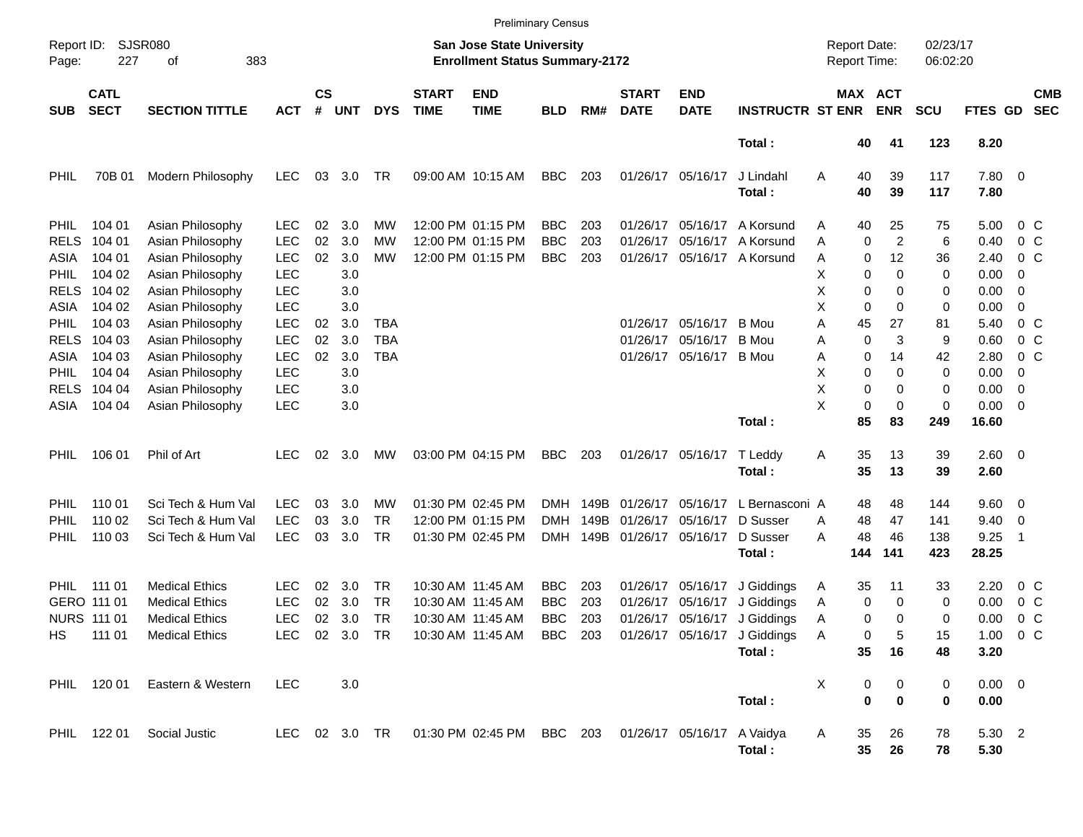|                                                           |                                                            |                                                                                                  |                                                      |                                                                    |                          |                              |                             | <b>Preliminary Census</b>                                              |                                        |                      |                             |                                           |                                                                                                                                            |                                                             |                         |                         |                          |                                               |                                         |                          |
|-----------------------------------------------------------|------------------------------------------------------------|--------------------------------------------------------------------------------------------------|------------------------------------------------------|--------------------------------------------------------------------|--------------------------|------------------------------|-----------------------------|------------------------------------------------------------------------|----------------------------------------|----------------------|-----------------------------|-------------------------------------------|--------------------------------------------------------------------------------------------------------------------------------------------|-------------------------------------------------------------|-------------------------|-------------------------|--------------------------|-----------------------------------------------|-----------------------------------------|--------------------------|
| <b>SJSR080</b><br>Report ID:<br>227<br>383<br>Page:<br>οf |                                                            |                                                                                                  |                                                      | San Jose State University<br><b>Enrollment Status Summary-2172</b> |                          |                              |                             |                                                                        |                                        |                      |                             |                                           |                                                                                                                                            | 02/23/17<br><b>Report Date:</b><br>Report Time:<br>06:02:20 |                         |                         |                          |                                               |                                         |                          |
| <b>SUB</b>                                                | <b>CATL</b><br><b>SECT</b>                                 | <b>SECTION TITTLE</b>                                                                            | <b>ACT</b>                                           | $\mathsf{cs}$<br>#                                                 | <b>UNT</b>               | <b>DYS</b>                   | <b>START</b><br><b>TIME</b> | <b>END</b><br><b>TIME</b>                                              | <b>BLD</b>                             | RM#                  | <b>START</b><br><b>DATE</b> | <b>END</b><br><b>DATE</b>                 | <b>INSTRUCTR ST ENR</b>                                                                                                                    |                                                             |                         | MAX ACT<br><b>ENR</b>   | <b>SCU</b>               | FTES GD                                       |                                         | <b>CMB</b><br><b>SEC</b> |
|                                                           |                                                            |                                                                                                  |                                                      |                                                                    |                          |                              |                             |                                                                        |                                        |                      |                             |                                           | Total:                                                                                                                                     |                                                             | 40                      | 41                      | 123                      | 8.20                                          |                                         |                          |
| PHIL                                                      | 70B 01                                                     | Modern Philosophy                                                                                | <b>LEC</b>                                           | 03                                                                 | 3.0                      | TR                           |                             | 09:00 AM 10:15 AM                                                      | <b>BBC</b>                             | 203                  |                             | 01/26/17 05/16/17                         | J Lindahl<br>Total:                                                                                                                        | A                                                           | 40<br>40                | 39<br>39                | 117<br>117               | 7.80 0<br>7.80                                |                                         |                          |
| <b>PHIL</b><br><b>RELS</b><br>ASIA                        | 104 01<br>104 01<br>104 01                                 | Asian Philosophy<br>Asian Philosophy<br>Asian Philosophy                                         | <b>LEC</b><br><b>LEC</b><br><b>LEC</b>               | 02<br>02<br>02                                                     | 3.0<br>3.0<br>3.0        | МW<br>МW<br>MW               |                             | 12:00 PM 01:15 PM<br>12:00 PM 01:15 PM<br>12:00 PM 01:15 PM            | <b>BBC</b><br><b>BBC</b><br><b>BBC</b> | 203<br>203<br>203    | 01/26/17<br>01/26/17        | 05/16/17<br>05/16/17                      | A Korsund<br>A Korsund<br>01/26/17 05/16/17 A Korsund                                                                                      | Α<br>Α<br>Α                                                 | 40<br>0<br>0            | 25<br>2<br>12           | 75<br>6<br>36            | 5.00<br>0.40<br>2.40                          | 0 C<br>0 C<br>0 C                       |                          |
| <b>PHIL</b><br><b>RELS</b><br>ASIA<br><b>PHIL</b>         | 104 02<br>104 02<br>104 02<br>104 03                       | Asian Philosophy<br>Asian Philosophy<br>Asian Philosophy<br>Asian Philosophy                     | <b>LEC</b><br><b>LEC</b><br><b>LEC</b><br><b>LEC</b> | 02                                                                 | 3.0<br>3.0<br>3.0<br>3.0 | TBA                          |                             |                                                                        |                                        |                      |                             | 01/26/17 05/16/17                         | B Mou                                                                                                                                      | х<br>Χ<br>Χ<br>Α                                            | 0<br>0<br>0<br>45       | 0<br>0<br>0<br>27       | 0<br>0<br>0<br>81        | 0.00<br>0.00<br>0.00<br>5.40                  | -0<br>0<br>0<br>0 <sup>o</sup>          |                          |
| <b>RELS</b><br>ASIA<br><b>PHIL</b>                        | 104 03<br>104 03<br>104 04                                 | Asian Philosophy<br>Asian Philosophy<br>Asian Philosophy                                         | <b>LEC</b><br><b>LEC</b><br><b>LEC</b>               | 02<br>02                                                           | 3.0<br>3.0<br>3.0        | <b>TBA</b><br><b>TBA</b>     |                             |                                                                        |                                        |                      | 01/26/17                    | 05/16/17<br>01/26/17 05/16/17 B Mou       | B Mou                                                                                                                                      | Α<br>Α<br>X                                                 | 0<br>0<br>0             | 3<br>14<br>0            | 9<br>42<br>0             | 0.60<br>2.80<br>0.00                          | 0 <sup>o</sup><br>0 <sup>o</sup><br>-0  |                          |
| <b>RELS</b><br>ASIA                                       | 104 04<br>104 04                                           | Asian Philosophy<br>Asian Philosophy                                                             | <b>LEC</b><br><b>LEC</b>                             |                                                                    | 3.0<br>3.0               |                              |                             |                                                                        |                                        |                      |                             |                                           | Total:                                                                                                                                     | X<br>X                                                      | 0<br>0<br>85            | 0<br>0<br>83            | 0<br>0<br>249            | 0.00<br>0.00<br>16.60                         | 0<br>$\overline{\phantom{0}}$           |                          |
| <b>PHIL</b>                                               | 106 01                                                     | Phil of Art                                                                                      | <b>LEC</b>                                           | 02                                                                 | 3.0                      | MW                           |                             | 03:00 PM 04:15 PM                                                      | <b>BBC</b>                             | 203                  |                             | 01/26/17 05/16/17                         | T Leddy<br>Total:                                                                                                                          | A                                                           | 35<br>35                | 13<br>13                | 39<br>39                 | 2.60 0<br>2.60                                |                                         |                          |
| <b>PHIL</b><br>PHIL<br><b>PHIL</b>                        | 110 01<br>110 02<br>110 03                                 | Sci Tech & Hum Val<br>Sci Tech & Hum Val<br>Sci Tech & Hum Val                                   | <b>LEC</b><br><b>LEC</b><br><b>LEC</b>               | 03<br>03<br>03                                                     | 3.0<br>3.0<br>3.0        | MW<br><b>TR</b><br><b>TR</b> |                             | 01:30 PM 02:45 PM<br>12:00 PM 01:15 PM<br>01:30 PM 02:45 PM            | <b>DMH</b><br>DMH<br>DMH.              | 149B<br>149B<br>149B | 01/26/17<br>01/26/17        | 05/16/17<br>05/16/17<br>01/26/17 05/16/17 | L Bernasconi A<br>D Susser<br>D Susser<br>Total:                                                                                           | A<br>А                                                      | 48<br>48<br>48<br>144   | 48<br>47<br>46<br>141   | 144<br>141<br>138<br>423 | $9.60 \quad 0$<br>9.40<br>9.25<br>28.25       | $\overline{\mathbf{0}}$<br>-1           |                          |
| HS                                                        | PHIL 111 01<br>GERO 111 01<br><b>NURS 111 01</b><br>111 01 | <b>Medical Ethics</b><br><b>Medical Ethics</b><br><b>Medical Ethics</b><br><b>Medical Ethics</b> | <b>LEC</b><br><b>LEC</b><br><b>LEC</b>               | 02<br>02<br>02                                                     | 3.0<br>3.0<br>3.0        | TR<br><b>TR</b><br>TR        |                             | 10:30 AM 11:45 AM<br>10:30 AM 11:45 AM<br>10:30 AM 11:45 AM            | <b>BBC</b><br><b>BBC</b><br>BBC        | 203<br>203<br>203    | 01/26/17                    | 01/26/17 05/16/17<br>05/16/17             | J Giddings<br>J Giddings<br>01/26/17 05/16/17 J Giddings<br>LEC 02 3.0 TR 10:30 AM 11:45 AM BBC 203 01/26/17 05/16/17 J Giddings<br>Total: | A<br>A<br>Α<br>$\mathsf{A}$                                 | 35<br>0<br>0<br>0<br>35 | 11<br>0<br>0<br>5<br>16 | 33<br>0<br>0<br>15<br>48 | 2.20<br>0.00<br>0.00<br>$1.00 \t 0 C$<br>3.20 | 0 C<br>0 <sup>o</sup><br>0 <sup>o</sup> |                          |
|                                                           | PHIL 120 01                                                | Eastern & Western                                                                                | <b>LEC</b>                                           |                                                                    | 3.0                      |                              |                             |                                                                        |                                        |                      |                             |                                           | Total:                                                                                                                                     | Х                                                           | 0<br>$\bf{0}$           | 0<br>$\bf{0}$           | 0<br>0                   | $0.00 \t 0$<br>0.00                           |                                         |                          |
|                                                           |                                                            | PHIL 122 01 Social Justic                                                                        |                                                      |                                                                    |                          |                              |                             | LEC 02 3.0 TR  01:30 PM 02:45 PM BBC 203  01/26/17  05/16/17  A Vaidya |                                        |                      |                             |                                           | Total:                                                                                                                                     | A                                                           | 35<br>35                | 26<br>26                | 78<br>78                 | 5.30 2<br>5.30                                |                                         |                          |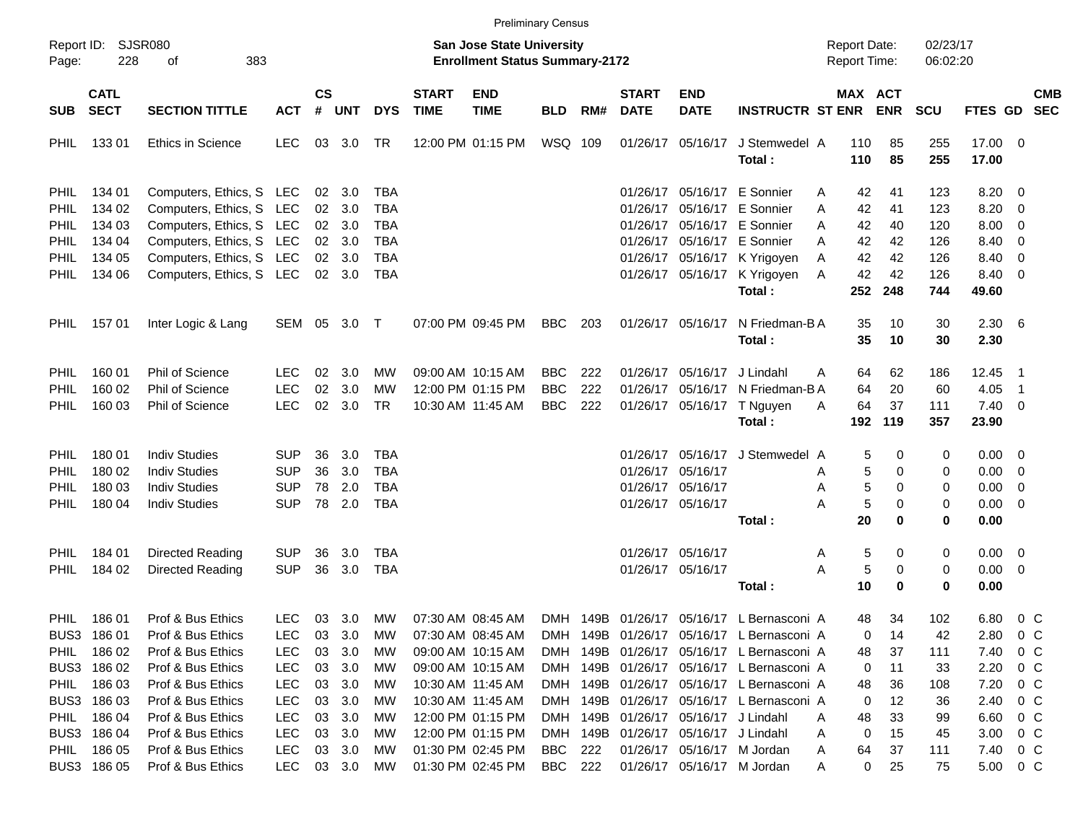|                                                    | <b>Preliminary Census</b>  |                          |            |                |                                                                           |            |                             |                           |            |     |                             |                                  |                                           |                                                             |                       |            |                       |                          |            |
|----------------------------------------------------|----------------------------|--------------------------|------------|----------------|---------------------------------------------------------------------------|------------|-----------------------------|---------------------------|------------|-----|-----------------------------|----------------------------------|-------------------------------------------|-------------------------------------------------------------|-----------------------|------------|-----------------------|--------------------------|------------|
| SJSR080<br>Report ID:<br>228<br>οf<br>383<br>Page: |                            |                          |            |                | <b>San Jose State University</b><br><b>Enrollment Status Summary-2172</b> |            |                             |                           |            |     |                             |                                  |                                           | 02/23/17<br><b>Report Date:</b><br>Report Time:<br>06:02:20 |                       |            |                       |                          |            |
| <b>SUB</b>                                         | <b>CATL</b><br><b>SECT</b> | <b>SECTION TITTLE</b>    | <b>ACT</b> | <b>CS</b><br># | UNT                                                                       | <b>DYS</b> | <b>START</b><br><b>TIME</b> | <b>END</b><br><b>TIME</b> | <b>BLD</b> | RM# | <b>START</b><br><b>DATE</b> | <b>END</b><br><b>DATE</b>        | <b>INSTRUCTR ST ENR</b>                   |                                                             | MAX ACT<br><b>ENR</b> | <b>SCU</b> | FTES GD SEC           |                          | <b>CMB</b> |
| <b>PHIL</b>                                        | 133 01                     | <b>Ethics in Science</b> | <b>LEC</b> |                | 03 3.0                                                                    | TR         |                             | 12:00 PM 01:15 PM         | WSQ 109    |     |                             | 01/26/17 05/16/17                | J Stemwedel A<br>Total:                   | 110<br>110                                                  | 85<br>85              | 255<br>255 | 17.00 0<br>17.00      |                          |            |
| <b>PHIL</b>                                        | 134 01                     | Computers, Ethics, S LEC |            |                | 02 3.0                                                                    | <b>TBA</b> |                             |                           |            |     | 01/26/17                    |                                  | 05/16/17 E Sonnier                        | 42<br>Α                                                     | 41                    | 123        | 8.20                  | 0                        |            |
| <b>PHIL</b>                                        | 134 02                     | Computers, Ethics, S LEC |            | 02             | 3.0                                                                       | <b>TBA</b> |                             |                           |            |     | 01/26/17                    |                                  | 05/16/17 E Sonnier                        | 42<br>A                                                     | 41                    | 123        | 8.20                  | 0                        |            |
| <b>PHIL</b>                                        | 134 03                     | Computers, Ethics, S LEC |            |                | 02 3.0                                                                    | <b>TBA</b> |                             |                           |            |     | 01/26/17                    |                                  | 05/16/17 E Sonnier                        | 42<br>A                                                     | 40                    | 120        | 8.00                  | 0                        |            |
| <b>PHIL</b>                                        | 134 04                     | Computers, Ethics, S LEC |            |                | $02 \quad 3.0$                                                            | <b>TBA</b> |                             |                           |            |     |                             |                                  | 01/26/17 05/16/17 E Sonnier               | А<br>42                                                     | 42                    | 126        | 8.40                  | 0                        |            |
| <b>PHIL</b>                                        | 134 05                     | Computers, Ethics, S LEC |            |                | $02 \quad 3.0$                                                            | TBA        |                             |                           |            |     |                             |                                  | 01/26/17 05/16/17 K Yrigoyen              | 42<br>A                                                     | 42                    | 126        | 8.40                  | 0                        |            |
| <b>PHIL</b>                                        | 134 06                     | Computers, Ethics, S LEC |            |                | 02 3.0                                                                    | <b>TBA</b> |                             |                           |            |     |                             |                                  | 01/26/17 05/16/17 K Yrigoyen              | 42<br>A                                                     | 42                    | 126        | 8.40                  | 0                        |            |
|                                                    |                            |                          |            |                |                                                                           |            |                             |                           |            |     |                             |                                  | Total:                                    | 252                                                         | 248                   | 744        | 49.60                 |                          |            |
| <b>PHIL</b>                                        | 15701                      | Inter Logic & Lang       | SEM 05 3.0 |                |                                                                           | $\top$     |                             | 07:00 PM 09:45 PM         | <b>BBC</b> | 203 |                             | 01/26/17 05/16/17                | N Friedman-BA<br>Total:                   | 35<br>35                                                    | 10<br>10              | 30<br>30   | $2.30\quad 6$<br>2.30 |                          |            |
| PHIL                                               | 160 01                     | Phil of Science          | <b>LEC</b> | 02             | 3.0                                                                       | МW         |                             | 09:00 AM 10:15 AM         | <b>BBC</b> | 222 | 01/26/17                    | 05/16/17                         | J Lindahl                                 | 64<br>A                                                     | 62                    | 186        | 12.45                 | $\overline{\phantom{0}}$ |            |
| PHIL                                               | 160 02                     | Phil of Science          | <b>LEC</b> | 02             | 3.0                                                                       | МW         |                             | 12:00 PM 01:15 PM         | <b>BBC</b> | 222 | 01/26/17                    | 05/16/17                         | N Friedman-B A                            | 64                                                          | 20                    | 60         | 4.05                  | - 1                      |            |
| <b>PHIL</b>                                        | 160 03                     | Phil of Science          | <b>LEC</b> | 02             | 3.0                                                                       | TR         |                             | 10:30 AM 11:45 AM         | <b>BBC</b> | 222 |                             |                                  | 01/26/17 05/16/17 T Nguyen                | 64<br>A                                                     | 37                    | 111        | $7.40 \quad 0$        |                          |            |
|                                                    |                            |                          |            |                |                                                                           |            |                             |                           |            |     |                             |                                  | Total:                                    | 192                                                         | 119                   | 357        | 23.90                 |                          |            |
| PHIL                                               | 180 01                     | <b>Indiv Studies</b>     | SUP        | 36             | 3.0                                                                       | TBA        |                             |                           |            |     | 01/26/17                    | 05/16/17                         | J Stemwedel A                             |                                                             | 5<br>0                | 0          | $0.00 \t 0$           |                          |            |
| PHIL                                               | 180 02                     | <b>Indiv Studies</b>     | <b>SUP</b> | 36             | 3.0                                                                       | <b>TBA</b> |                             |                           |            |     |                             | 01/26/17 05/16/17                |                                           | Α                                                           | 5<br>0                | 0          | 0.00                  | 0                        |            |
| PHIL                                               | 180 03                     | <b>Indiv Studies</b>     | <b>SUP</b> | 78             | 2.0                                                                       | TBA        |                             |                           |            |     |                             | 01/26/17 05/16/17                |                                           | Α                                                           | 5<br>$\Omega$         | 0          | 0.00                  | 0                        |            |
| <b>PHIL</b>                                        | 180 04                     | <b>Indiv Studies</b>     | <b>SUP</b> |                | 78 2.0                                                                    | <b>TBA</b> |                             |                           |            |     |                             | 01/26/17 05/16/17                |                                           | А                                                           | 5<br>0                | 0          | 0.00                  | 0                        |            |
|                                                    |                            |                          |            |                |                                                                           |            |                             |                           |            |     |                             |                                  | Total:                                    | 20                                                          | 0                     | 0          | 0.00                  |                          |            |
| <b>PHIL</b>                                        | 184 01                     | <b>Directed Reading</b>  | <b>SUP</b> | 36             | 3.0                                                                       | <b>TBA</b> |                             |                           |            |     |                             | 01/26/17 05/16/17                |                                           | A                                                           | 5<br>0                | 0          | $0.00 \t 0$           |                          |            |
| <b>PHIL</b>                                        | 184 02                     | Directed Reading         | <b>SUP</b> | 36             | 3.0                                                                       | <b>TBA</b> |                             |                           |            |     |                             | 01/26/17 05/16/17                |                                           | Α                                                           | 5<br>0                | 0          | 0.00                  | $\overline{0}$           |            |
|                                                    |                            |                          |            |                |                                                                           |            |                             |                           |            |     |                             |                                  | Total:                                    | 10                                                          | 0                     | 0          | 0.00                  |                          |            |
| <b>PHIL</b>                                        | 18601                      | Prof & Bus Ethics        | <b>LEC</b> | 03             | - 3.0                                                                     | <b>MW</b>  |                             | 07:30 AM 08:45 AM         |            |     |                             |                                  | DMH 149B 01/26/17 05/16/17 L Bernasconi A | 48                                                          | 34                    | 102        | 6.80                  | 0 <sup>o</sup>           |            |
|                                                    | BUS3 186 01                | Prof & Bus Ethics        | <b>LEC</b> | 03             | 3.0                                                                       | MW         |                             | 07:30 AM 08:45 AM         |            |     |                             |                                  | DMH 149B 01/26/17 05/16/17 L Bernasconi A |                                                             | 0<br>14               | 42         | 2.80                  | $0\,$ C                  |            |
|                                                    | PHIL 186 02                | Prof & Bus Ethics        | <b>LEC</b> | 03             | 3.0                                                                       | МW         |                             | 09:00 AM 10:15 AM         | DMH        |     |                             |                                  | 149B 01/26/17 05/16/17 L Bernasconi A     | 48                                                          | 37                    | 111        | 7.40                  | 0 <sup>o</sup>           |            |
|                                                    | BUS3 186 02                | Prof & Bus Ethics        | <b>LEC</b> |                | 03 3.0                                                                    | МW         |                             | 09:00 AM 10:15 AM         | DMH        |     |                             |                                  | 149B 01/26/17 05/16/17 L Bernasconi A     |                                                             | 11<br>0               | 33         | 2.20                  | $0\,C$                   |            |
| <b>PHIL</b>                                        | 186 03                     | Prof & Bus Ethics        | <b>LEC</b> |                | 03 3.0                                                                    | МW         |                             | 10:30 AM 11:45 AM         | DMH        |     |                             |                                  | 149B 01/26/17 05/16/17 L Bernasconi A     | 48                                                          | 36                    | 108        | 7.20                  | $0\,C$                   |            |
|                                                    | BUS3 186 03                | Prof & Bus Ethics        | <b>LEC</b> |                | 03 3.0                                                                    | МW         |                             | 10:30 AM 11:45 AM         | DMH        |     |                             |                                  | 149B 01/26/17 05/16/17 L Bernasconi A     |                                                             | 0<br>12               | 36         | 2.40                  | 0 <sup>o</sup>           |            |
| <b>PHIL</b>                                        | 186 04                     | Prof & Bus Ethics        | <b>LEC</b> |                | 03 3.0                                                                    | МW         |                             | 12:00 PM 01:15 PM         | DMH        |     |                             | 149B 01/26/17 05/16/17 J Lindahl |                                           | 48<br>Α                                                     | 33                    | 99         | 6.60                  | 0 <sup>o</sup>           |            |
|                                                    | BUS3 186 04                | Prof & Bus Ethics        | <b>LEC</b> |                | 03 3.0                                                                    | МW         |                             | 12:00 PM 01:15 PM         | DMH        |     |                             | 149B 01/26/17 05/16/17 J Lindahl |                                           | Α                                                           | 15<br>0               | 45         | 3.00                  | 0 <sup>o</sup>           |            |
| PHIL                                               | 186 05                     | Prof & Bus Ethics        | <b>LEC</b> |                | 03 3.0                                                                    | МW         |                             | 01:30 PM 02:45 PM         | BBC        | 222 |                             | 01/26/17 05/16/17 M Jordan       |                                           | 64<br>Α                                                     | 37                    | 111        | 7.40                  | $0\,C$                   |            |
|                                                    | BUS3 186 05                | Prof & Bus Ethics        | <b>LEC</b> |                | 03 3.0                                                                    | MW         |                             | 01:30 PM 02:45 PM         | <b>BBC</b> | 222 |                             | 01/26/17 05/16/17 M Jordan       |                                           | Α                                                           | 0<br>25               | 75         | 5.00 0 C              |                          |            |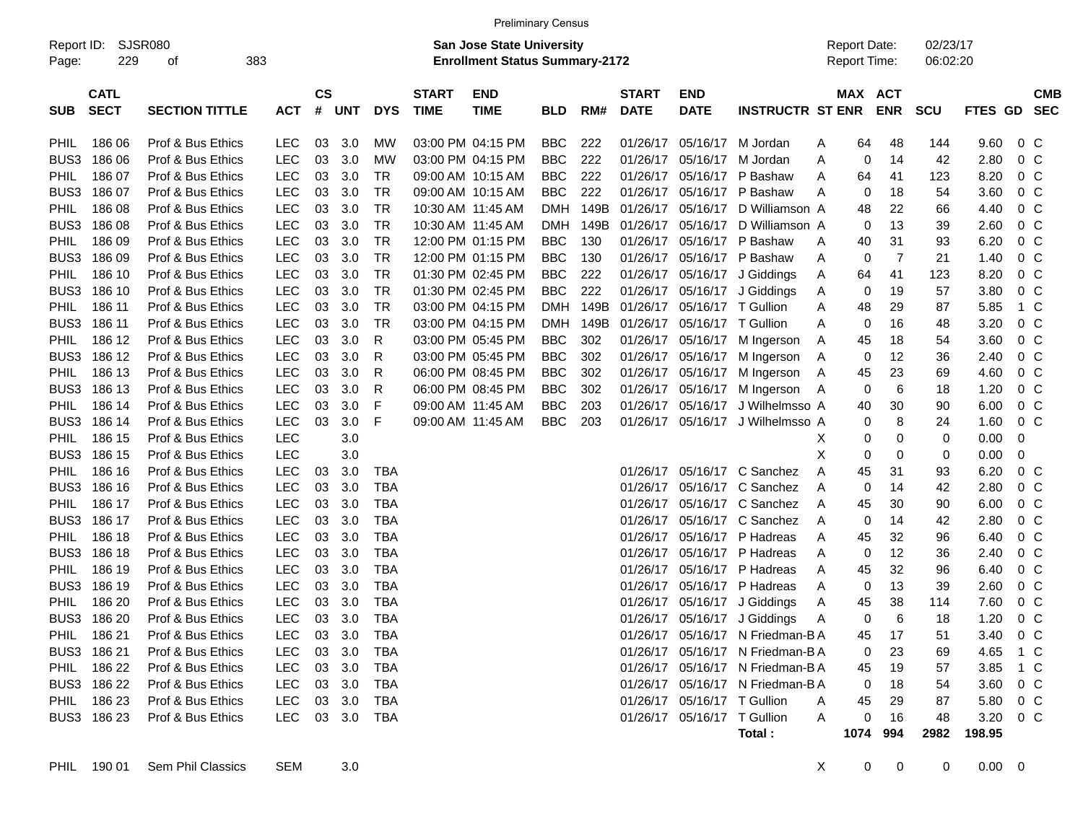|                                                           | <b>Preliminary Census</b>  |                       |            |                             |                                                                    |            |                             |                           |            |      |                             |                             |                                  |                                     |                       |                      |          |                |                          |
|-----------------------------------------------------------|----------------------------|-----------------------|------------|-----------------------------|--------------------------------------------------------------------|------------|-----------------------------|---------------------------|------------|------|-----------------------------|-----------------------------|----------------------------------|-------------------------------------|-----------------------|----------------------|----------|----------------|--------------------------|
| <b>SJSR080</b><br>Report ID:<br>229<br>383<br>Page:<br>οf |                            |                       |            |                             | San Jose State University<br><b>Enrollment Status Summary-2172</b> |            |                             |                           |            |      |                             |                             |                                  | <b>Report Date:</b><br>Report Time: |                       | 02/23/17<br>06:02:20 |          |                |                          |
| <b>SUB</b>                                                | <b>CATL</b><br><b>SECT</b> | <b>SECTION TITTLE</b> | <b>ACT</b> | $\mathbf{c}\mathbf{s}$<br># | <b>UNT</b>                                                         | <b>DYS</b> | <b>START</b><br><b>TIME</b> | <b>END</b><br><b>TIME</b> | <b>BLD</b> | RM#  | <b>START</b><br><b>DATE</b> | <b>END</b><br><b>DATE</b>   | <b>INSTRUCTR ST ENR</b>          |                                     | MAX ACT<br><b>ENR</b> | <b>SCU</b>           | FTES GD  |                | <b>CMB</b><br><b>SEC</b> |
| <b>PHIL</b>                                               | 186 06                     | Prof & Bus Ethics     | <b>LEC</b> | 03                          | 3.0                                                                | MW         |                             | 03:00 PM 04:15 PM         | BBC.       | 222  |                             | 01/26/17 05/16/17           | M Jordan                         | Α                                   | 64<br>48              | 144                  | 9.60     | 0 <sup>o</sup> |                          |
| BUS3                                                      | 186 06                     | Prof & Bus Ethics     | <b>LEC</b> | 03                          | 3.0                                                                | MW         |                             | 03:00 PM 04:15 PM         | <b>BBC</b> | 222  |                             | 01/26/17 05/16/17           | M Jordan                         | Α                                   | 0<br>14               | 42                   | 2.80     | $0\,$ C        |                          |
| PHIL                                                      | 186 07                     | Prof & Bus Ethics     | <b>LEC</b> | 03                          | 3.0                                                                | TR         |                             | 09:00 AM 10:15 AM         | <b>BBC</b> | 222  |                             | 01/26/17 05/16/17           | P Bashaw                         | Α                                   | 64<br>41              | 123                  | 8.20     | $0\,$ C        |                          |
| BUS3                                                      | 186 07                     | Prof & Bus Ethics     | <b>LEC</b> | 03                          | 3.0                                                                | TR         |                             | 09:00 AM 10:15 AM         | <b>BBC</b> | 222  |                             |                             | 01/26/17 05/16/17 P Bashaw       | Α                                   | 0<br>18               | 54                   | 3.60     | 0 <sup>o</sup> |                          |
| <b>PHIL</b>                                               | 186 08                     | Prof & Bus Ethics     | <b>LEC</b> | 03                          | 3.0                                                                | <b>TR</b>  |                             | 10:30 AM 11:45 AM         | <b>DMH</b> | 149B | 01/26/17                    | 05/16/17                    | D Williamson A                   |                                     | 22<br>48              | 66                   | 4.40     | 0 <sup>o</sup> |                          |
| BUS3                                                      | 186 08                     | Prof & Bus Ethics     | <b>LEC</b> | 03                          | 3.0                                                                | <b>TR</b>  |                             | 10:30 AM 11:45 AM         | <b>DMH</b> | 149B |                             | 01/26/17 05/16/17           | D Williamson A                   |                                     | 0<br>13               | 39                   | 2.60     | $0\,$ C        |                          |
| PHIL                                                      | 186 09                     | Prof & Bus Ethics     | <b>LEC</b> | 03                          | 3.0                                                                | <b>TR</b>  |                             | 12:00 PM 01:15 PM         | <b>BBC</b> | 130  |                             |                             | 01/26/17 05/16/17 P Bashaw       | Α                                   | 31<br>40              | 93                   | 6.20     | 0 <sup>o</sup> |                          |
| BUS3                                                      | 186 09                     | Prof & Bus Ethics     | <b>LEC</b> | 03                          | 3.0                                                                | <b>TR</b>  |                             | 12:00 PM 01:15 PM         | <b>BBC</b> | 130  |                             |                             | 01/26/17 05/16/17 P Bashaw       | Α                                   | $\overline{7}$<br>0   | 21                   | 1.40     | 0 <sup>o</sup> |                          |
| <b>PHIL</b>                                               | 186 10                     | Prof & Bus Ethics     | <b>LEC</b> | 03                          | 3.0                                                                | <b>TR</b>  |                             | 01:30 PM 02:45 PM         | <b>BBC</b> | 222  |                             | 01/26/17 05/16/17           | J Giddings                       | A                                   | 64<br>41              | 123                  | 8.20     | 0 <sup>o</sup> |                          |
| BUS3                                                      | 186 10                     | Prof & Bus Ethics     | <b>LEC</b> | 03                          | 3.0                                                                | <b>TR</b>  |                             | 01:30 PM 02:45 PM         | <b>BBC</b> | 222  |                             |                             | 01/26/17 05/16/17 J Giddings     | Α                                   | 0<br>19               | 57                   | 3.80     | $0\,$ C        |                          |
| <b>PHIL</b>                                               | 186 11                     | Prof & Bus Ethics     | <b>LEC</b> | 03                          | 3.0                                                                | <b>TR</b>  |                             | 03:00 PM 04:15 PM         | <b>DMH</b> | 149B |                             | 01/26/17 05/16/17 T Gullion |                                  | Α                                   | 48<br>29              | 87                   | 5.85     | 1 C            |                          |
| BUS3                                                      | 186 11                     | Prof & Bus Ethics     | <b>LEC</b> | 03                          | 3.0                                                                | <b>TR</b>  |                             | 03:00 PM 04:15 PM         | <b>DMH</b> | 149B |                             | 01/26/17 05/16/17 T Gullion |                                  | Α                                   | 0<br>16               | 48                   | 3.20     | 0 <sup>o</sup> |                          |
| <b>PHIL</b>                                               | 186 12                     | Prof & Bus Ethics     | <b>LEC</b> | 03                          | 3.0                                                                | R          |                             | 03:00 PM 05:45 PM         | <b>BBC</b> | 302  |                             |                             | 01/26/17 05/16/17 M Ingerson     | Α                                   | 18<br>45              | 54                   | 3.60     | $0\,$ C        |                          |
| BUS3                                                      | 186 12                     | Prof & Bus Ethics     | <b>LEC</b> | 03                          | 3.0                                                                | R          |                             | 03:00 PM 05:45 PM         | <b>BBC</b> | 302  |                             | 01/26/17 05/16/17           | M Ingerson                       | Α                                   | 12<br>0               | 36                   | 2.40     | 0 <sup>o</sup> |                          |
| <b>PHIL</b>                                               | 186 13                     | Prof & Bus Ethics     | <b>LEC</b> | 03                          | 3.0                                                                | R          |                             | 06:00 PM 08:45 PM         | <b>BBC</b> | 302  |                             | 01/26/17 05/16/17           | M Ingerson                       | Α                                   | 23<br>45              | 69                   | 4.60     | $0\,$ C        |                          |
| BUS3                                                      | 186 13                     | Prof & Bus Ethics     | <b>LEC</b> | 03                          | 3.0                                                                | R          |                             | 06:00 PM 08:45 PM         | <b>BBC</b> | 302  |                             |                             | 01/26/17 05/16/17 M Ingerson     | Α                                   | 0<br>6                | 18                   | 1.20     | $0\,$ C        |                          |
| <b>PHIL</b>                                               | 186 14                     | Prof & Bus Ethics     | <b>LEC</b> | 03                          | 3.0                                                                | F          |                             | 09:00 AM 11:45 AM         | <b>BBC</b> | 203  |                             | 01/26/17 05/16/17           | J Wilhelmsso A                   |                                     | 40<br>30              | 90                   | 6.00     | $0\,$ C        |                          |
| BUS3                                                      | 186 14                     | Prof & Bus Ethics     | <b>LEC</b> | 03                          | 3.0                                                                | F          |                             | 09:00 AM 11:45 AM         | <b>BBC</b> | 203  |                             | 01/26/17 05/16/17           | J Wilhelmsso A                   |                                     | 0<br>8                | 24                   | 1.60     | $0\,$ C        |                          |
| PHIL                                                      | 186 15                     | Prof & Bus Ethics     | <b>LEC</b> |                             | 3.0                                                                |            |                             |                           |            |      |                             |                             |                                  | х                                   | 0<br>0                | 0                    | 0.00     | 0              |                          |
| BUS3                                                      | 186 15                     | Prof & Bus Ethics     | <b>LEC</b> |                             | 3.0                                                                |            |                             |                           |            |      |                             |                             |                                  | х                                   | 0<br>0                | 0                    | 0.00     | 0              |                          |
| <b>PHIL</b>                                               | 186 16                     | Prof & Bus Ethics     | <b>LEC</b> | 03                          | 3.0                                                                | TBA        |                             |                           |            |      |                             |                             | 01/26/17 05/16/17 C Sanchez      | Α                                   | 45<br>31              | 93                   | 6.20     | $0\,$ C        |                          |
| BUS3                                                      | 186 16                     | Prof & Bus Ethics     | <b>LEC</b> | 03                          | 3.0                                                                | TBA        |                             |                           |            |      |                             |                             | 01/26/17 05/16/17 C Sanchez      | Α                                   | 0<br>14               | 42                   | 2.80     | 0 <sup>o</sup> |                          |
| <b>PHIL</b>                                               | 186 17                     | Prof & Bus Ethics     | <b>LEC</b> | 03                          | 3.0                                                                | TBA        |                             |                           |            |      | 01/26/17                    |                             | 05/16/17 C Sanchez               | Α                                   | 45<br>30              | 90                   | 6.00     | $0\,$ C        |                          |
| BUS3                                                      | 186 17                     | Prof & Bus Ethics     | <b>LEC</b> | 03                          | 3.0                                                                | TBA        |                             |                           |            |      | 01/26/17                    |                             | 05/16/17 C Sanchez               | Α                                   | 0<br>14               | 42                   | 2.80     | 0 <sup>o</sup> |                          |
| PHIL                                                      | 186 18                     | Prof & Bus Ethics     | <b>LEC</b> | 03                          | 3.0                                                                | TBA        |                             |                           |            |      | 01/26/17                    |                             | 05/16/17 P Hadreas               | Α                                   | 32<br>45              | 96                   | 6.40     | 0 <sup>o</sup> |                          |
| BUS3                                                      | 186 18                     | Prof & Bus Ethics     | <b>LEC</b> | 03                          | 3.0                                                                | TBA        |                             |                           |            |      | 01/26/17                    |                             | 05/16/17 P Hadreas               | Α                                   | 0<br>12               | 36                   | 2.40     | 0 <sup>o</sup> |                          |
| <b>PHIL</b>                                               | 186 19                     | Prof & Bus Ethics     | <b>LEC</b> | 03                          | 3.0                                                                | TBA        |                             |                           |            |      | 01/26/17                    |                             | 05/16/17 P Hadreas               | Α                                   | 32<br>45              | 96                   | 6.40     | $0\,$ C        |                          |
| BUS3                                                      | 186 19                     | Prof & Bus Ethics     | <b>LEC</b> | 03                          | 3.0                                                                | TBA        |                             |                           |            |      | 01/26/17                    |                             | 05/16/17 P Hadreas               | Α                                   | 0<br>13               | 39                   | 2.60     | $0\,$ C        |                          |
| PHIL                                                      | 186 20                     | Prof & Bus Ethics     | <b>LEC</b> | 03                          | 3.0                                                                | TBA        |                             |                           |            |      | 01/26/17                    |                             | 05/16/17 J Giddings              | Α                                   | 38<br>45              | 114                  | 7.60     | 0 <sup>o</sup> |                          |
| BUS3                                                      | 186 20                     | Prof & Bus Ethics     | <b>LEC</b> | 03                          | 3.0                                                                | TBA        |                             |                           |            |      |                             |                             | 01/26/17 05/16/17 J Giddings     | Α                                   | 0<br>6                | 18                   | 1.20     | 0 <sup>o</sup> |                          |
|                                                           | PHIL 186 21                | Prof & Bus Ethics     | LEC.       |                             | 03 3.0                                                             | TBA        |                             |                           |            |      |                             |                             | 01/26/17 05/16/17 N Friedman-B A |                                     | 17<br>45              | 51                   | 3.40 0 C |                |                          |
|                                                           | BUS3 186 21                | Prof & Bus Ethics     | <b>LEC</b> |                             | 03 3.0                                                             | TBA        |                             |                           |            |      |                             |                             | 01/26/17 05/16/17 N Friedman-B A |                                     | 0<br>23               | 69                   | 4.65 1 C |                |                          |
|                                                           | PHIL 186 22                | Prof & Bus Ethics     | <b>LEC</b> |                             | 03 3.0                                                             | TBA        |                             |                           |            |      |                             |                             | 01/26/17 05/16/17 N Friedman-B A |                                     | 19<br>45              | 57                   | 3.85 1 C |                |                          |
|                                                           | BUS3 186 22                | Prof & Bus Ethics     | <b>LEC</b> |                             | 03 3.0                                                             | TBA        |                             |                           |            |      |                             |                             | 01/26/17 05/16/17 N Friedman-B A |                                     | 0<br>18               | 54                   | 3.60 0 C |                |                          |
|                                                           | PHIL 186 23                | Prof & Bus Ethics     | <b>LEC</b> |                             | 03 3.0                                                             | TBA        |                             |                           |            |      |                             | 01/26/17 05/16/17 T Gullion |                                  | A                                   | 45<br>29              | 87                   | 5.80 0 C |                |                          |
|                                                           | BUS3 186 23                | Prof & Bus Ethics     | LEC.       |                             | 03 3.0 TBA                                                         |            |                             |                           |            |      |                             | 01/26/17 05/16/17 T Gullion |                                  | A                                   | 0<br>16               | 48                   | 3.20 0 C |                |                          |
|                                                           |                            |                       |            |                             |                                                                    |            |                             |                           |            |      |                             |                             | Total:                           |                                     | 1074 994              | 2982                 | 198.95   |                |                          |
|                                                           |                            |                       |            |                             |                                                                    |            |                             |                           |            |      |                             |                             |                                  |                                     |                       |                      |          |                |                          |

PHIL 190 01 Sem Phil Classics SEM 3.0 X 0 0 0.00 0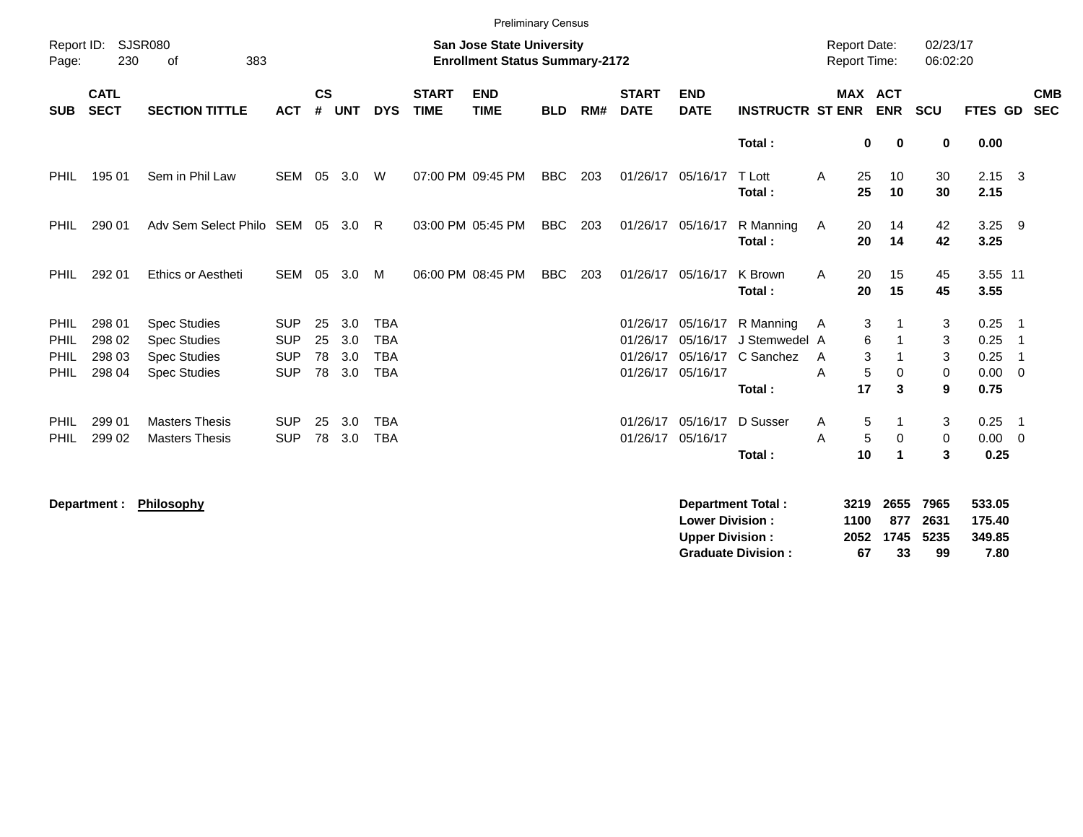|                                     |                                      |                                                                                          |                                                      |                      |                          |                                                      |                             | <b>Preliminary Census</b>                                                 |            |     |                                  |                                                       |                                         |                      |                                            |                     |                      |                                     |                              |  |
|-------------------------------------|--------------------------------------|------------------------------------------------------------------------------------------|------------------------------------------------------|----------------------|--------------------------|------------------------------------------------------|-----------------------------|---------------------------------------------------------------------------|------------|-----|----------------------------------|-------------------------------------------------------|-----------------------------------------|----------------------|--------------------------------------------|---------------------|----------------------|-------------------------------------|------------------------------|--|
| Report ID:<br>Page:                 | 230                                  | SJSR080<br>383<br>0f                                                                     |                                                      |                      |                          |                                                      |                             | <b>San Jose State University</b><br><b>Enrollment Status Summary-2172</b> |            |     |                                  |                                                       |                                         |                      | <b>Report Date:</b><br><b>Report Time:</b> |                     | 02/23/17<br>06:02:20 |                                     |                              |  |
| <b>SUB</b>                          | <b>CATL</b><br><b>SECT</b>           | <b>SECTION TITTLE</b>                                                                    | <b>ACT</b>                                           | $\mathsf{cs}$<br>#   | <b>UNT</b>               | <b>DYS</b>                                           | <b>START</b><br><b>TIME</b> | <b>END</b><br><b>TIME</b>                                                 | <b>BLD</b> | RM# | <b>START</b><br><b>DATE</b>      | <b>END</b><br><b>DATE</b>                             | <b>INSTRUCTR ST ENR</b>                 |                      | <b>MAX ACT</b><br><b>ENR</b>               |                     | <b>SCU</b>           | FTES GD                             | <b>CMB</b><br><b>SEC</b>     |  |
|                                     |                                      |                                                                                          |                                                      |                      |                          |                                                      |                             |                                                                           |            |     |                                  |                                                       | Total:                                  |                      | 0                                          | 0                   | 0                    | 0.00                                |                              |  |
| <b>PHIL</b>                         | 195 01                               | Sem in Phil Law                                                                          | <b>SEM</b>                                           | 05                   | 3.0                      | W                                                    |                             | 07:00 PM 09:45 PM                                                         | <b>BBC</b> | 203 | 01/26/17 05/16/17                |                                                       | T Lott<br>Total:                        | Α                    | 25<br>25                                   | 10<br>10            | 30<br>30             | $2.15 \quad 3$<br>2.15              |                              |  |
| <b>PHIL</b>                         | 290 01                               | Adv Sem Select Philo SEM 05 3.0                                                          |                                                      |                      |                          | - R                                                  |                             | 03:00 PM 05:45 PM                                                         | <b>BBC</b> | 203 |                                  | 01/26/17 05/16/17                                     | R Manning<br>Total:                     | A                    | 20<br>20                                   | 14<br>14            | 42<br>42             | $3.25$ 9<br>3.25                    |                              |  |
| <b>PHIL</b>                         | 292 01                               | Ethics or Aestheti                                                                       | <b>SEM</b>                                           | 05                   | 3.0                      | M                                                    |                             | 06:00 PM 08:45 PM                                                         | <b>BBC</b> | 203 |                                  | 01/26/17 05/16/17                                     | K Brown<br>Total:                       | A                    | 20<br>20                                   | 15<br>15            | 45<br>45             | 3.55 11<br>3.55                     |                              |  |
| <b>PHIL</b><br>PHIL<br>PHIL<br>PHIL | 298 01<br>298 02<br>298 03<br>298 04 | <b>Spec Studies</b><br><b>Spec Studies</b><br><b>Spec Studies</b><br><b>Spec Studies</b> | <b>SUP</b><br><b>SUP</b><br><b>SUP</b><br><b>SUP</b> | 25<br>25<br>78<br>78 | 3.0<br>3.0<br>3.0<br>3.0 | <b>TBA</b><br><b>TBA</b><br><b>TBA</b><br><b>TBA</b> |                             |                                                                           |            |     | 01/26/17<br>01/26/17<br>01/26/17 | 05/16/17<br>05/16/17<br>05/16/17<br>01/26/17 05/16/17 | R Manning<br>J Stemwedel A<br>C Sanchez | A<br>A<br>A          | 3<br>6<br>3<br>5                           | 0                   | 3<br>3<br>3<br>0     | 0.25<br>0.25<br>0.25<br>$0.00 \t 0$ | - 1<br>- 1<br>$\overline{1}$ |  |
|                                     |                                      |                                                                                          |                                                      |                      |                          |                                                      |                             |                                                                           |            |     |                                  |                                                       | Total:                                  |                      | 17                                         | 3                   | 9                    | 0.75                                |                              |  |
| <b>PHIL</b><br><b>PHIL</b>          | 299 01<br>299 02                     | <b>Masters Thesis</b><br><b>Masters Thesis</b>                                           | <b>SUP</b><br><b>SUP</b>                             | 25<br>78             | 3.0<br>3.0               | <b>TBA</b><br><b>TBA</b>                             |                             |                                                                           |            |     | 01/26/17                         | 05/16/17<br>01/26/17 05/16/17                         | D Susser<br>Total:                      | A<br>Α               | 5<br>5<br>10                               | $\mathbf 0$<br>-1   | 3<br>$\pmb{0}$<br>3  | $0.25$ 1<br>$0.00 \t 0$<br>0.25     |                              |  |
|                                     | Department :                         | Philosophy                                                                               |                                                      |                      |                          |                                                      |                             |                                                                           |            |     |                                  | <b>Lower Division:</b><br><b>Upper Division:</b>      | <b>Department Total:</b>                | 3219<br>1100<br>2052 |                                            | 2655<br>877<br>1745 | 7965<br>2631<br>5235 | 533.05<br>175.40<br>349.85          |                              |  |

**Graduate Division : 67 33 99 7.80**